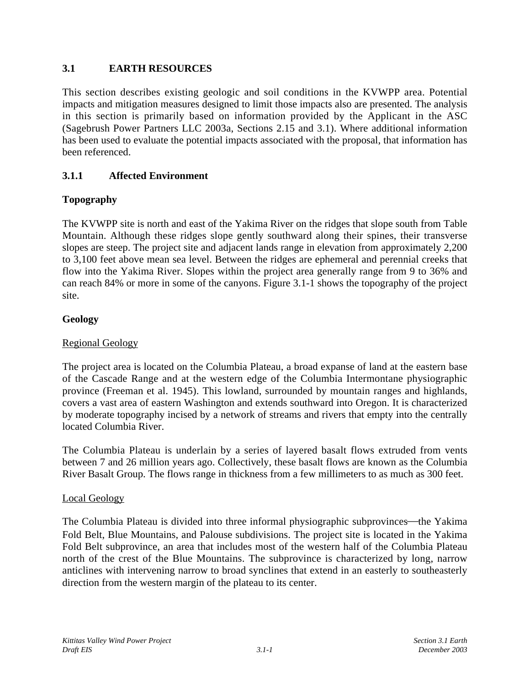# **3.1 EARTH RESOURCES**

This section describes existing geologic and soil conditions in the KVWPP area. Potential impacts and mitigation measures designed to limit those impacts also are presented. The analysis in this section is primarily based on information provided by the Applicant in the ASC (Sagebrush Power Partners LLC 2003a, Sections 2.15 and 3.1). Where additional information has been used to evaluate the potential impacts associated with the proposal, that information has been referenced.

# **3.1.1 Affected Environment**

# **Topography**

The KVWPP site is north and east of the Yakima River on the ridges that slope south from Table Mountain. Although these ridges slope gently southward along their spines, their transverse slopes are steep. The project site and adjacent lands range in elevation from approximately 2,200 to 3,100 feet above mean sea level. Between the ridges are ephemeral and perennial creeks that flow into the Yakima River. Slopes within the project area generally range from 9 to 36% and can reach 84% or more in some of the canyons. Figure 3.1-1 shows the topography of the project site.

### **Geology**

#### Regional Geology

The project area is located on the Columbia Plateau, a broad expanse of land at the eastern base of the Cascade Range and at the western edge of the Columbia Intermontane physiographic province (Freeman et al. 1945). This lowland, surrounded by mountain ranges and highlands, covers a vast area of eastern Washington and extends southward into Oregon. It is characterized by moderate topography incised by a network of streams and rivers that empty into the centrally located Columbia River.

The Columbia Plateau is underlain by a series of layered basalt flows extruded from vents between 7 and 26 million years ago. Collectively, these basalt flows are known as the Columbia River Basalt Group. The flows range in thickness from a few millimeters to as much as 300 feet.

#### Local Geology

The Columbia Plateau is divided into three informal physiographic subprovinces—the Yakima Fold Belt, Blue Mountains, and Palouse subdivisions. The project site is located in the Yakima Fold Belt subprovince, an area that includes most of the western half of the Columbia Plateau north of the crest of the Blue Mountains. The subprovince is characterized by long, narrow anticlines with intervening narrow to broad synclines that extend in an easterly to southeasterly direction from the western margin of the plateau to its center.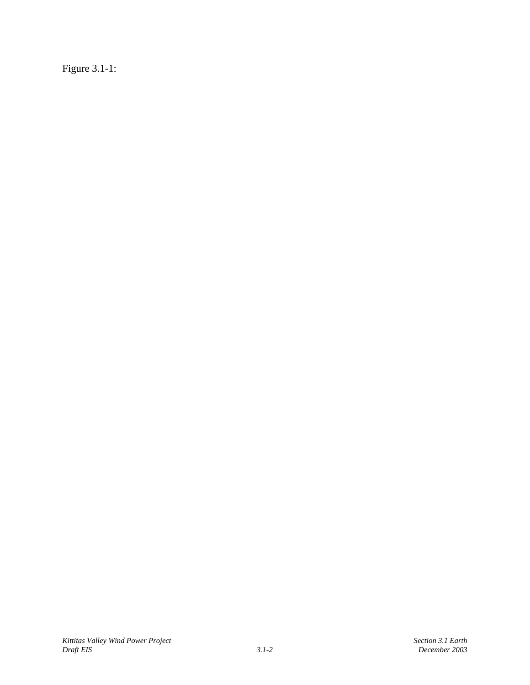Figure 3.1-1: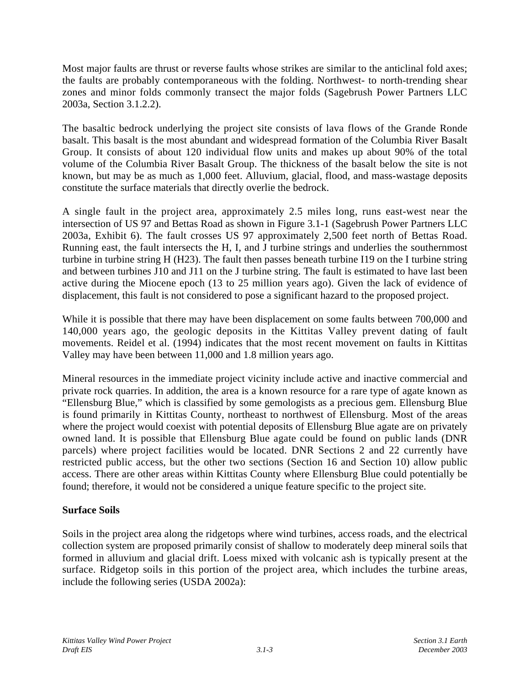Most major faults are thrust or reverse faults whose strikes are similar to the anticlinal fold axes; the faults are probably contemporaneous with the folding. Northwest- to north-trending shear zones and minor folds commonly transect the major folds (Sagebrush Power Partners LLC 2003a, Section 3.1.2.2).

The basaltic bedrock underlying the project site consists of lava flows of the Grande Ronde basalt. This basalt is the most abundant and widespread formation of the Columbia River Basalt Group. It consists of about 120 individual flow units and makes up about 90% of the total volume of the Columbia River Basalt Group. The thickness of the basalt below the site is not known, but may be as much as 1,000 feet. Alluvium, glacial, flood, and mass-wastage deposits constitute the surface materials that directly overlie the bedrock.

A single fault in the project area, approximately 2.5 miles long, runs east-west near the intersection of US 97 and Bettas Road as shown in Figure 3.1-1 (Sagebrush Power Partners LLC 2003a, Exhibit 6). The fault crosses US 97 approximately 2,500 feet north of Bettas Road. Running east, the fault intersects the H, I, and J turbine strings and underlies the southernmost turbine in turbine string H (H23). The fault then passes beneath turbine I19 on the I turbine string and between turbines J10 and J11 on the J turbine string. The fault is estimated to have last been active during the Miocene epoch (13 to 25 million years ago). Given the lack of evidence of displacement, this fault is not considered to pose a significant hazard to the proposed project.

While it is possible that there may have been displacement on some faults between 700,000 and 140,000 years ago, the geologic deposits in the Kittitas Valley prevent dating of fault movements. Reidel et al. (1994) indicates that the most recent movement on faults in Kittitas Valley may have been between 11,000 and 1.8 million years ago.

Mineral resources in the immediate project vicinity include active and inactive commercial and private rock quarries. In addition, the area is a known resource for a rare type of agate known as "Ellensburg Blue," which is classified by some gemologists as a precious gem. Ellensburg Blue is found primarily in Kittitas County, northeast to northwest of Ellensburg. Most of the areas where the project would coexist with potential deposits of Ellensburg Blue agate are on privately owned land. It is possible that Ellensburg Blue agate could be found on public lands (DNR parcels) where project facilities would be located. DNR Sections 2 and 22 currently have restricted public access, but the other two sections (Section 16 and Section 10) allow public access. There are other areas within Kittitas County where Ellensburg Blue could potentially be found; therefore, it would not be considered a unique feature specific to the project site.

# **Surface Soils**

Soils in the project area along the ridgetops where wind turbines, access roads, and the electrical collection system are proposed primarily consist of shallow to moderately deep mineral soils that formed in alluvium and glacial drift. Loess mixed with volcanic ash is typically present at the surface. Ridgetop soils in this portion of the project area, which includes the turbine areas, include the following series (USDA 2002a):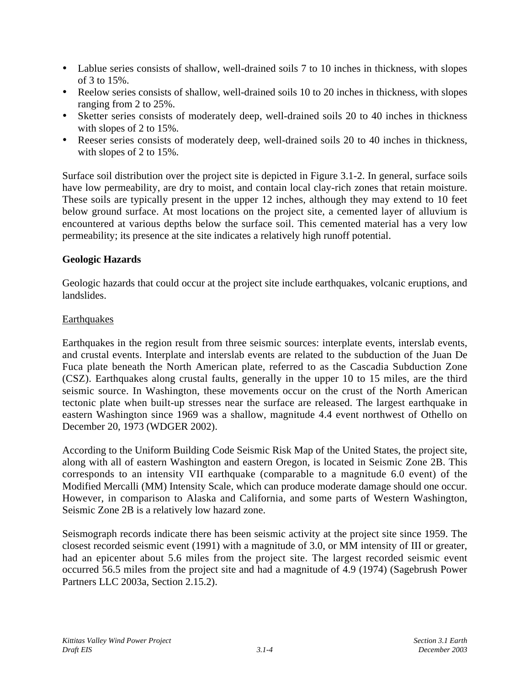- Lablue series consists of shallow, well-drained soils 7 to 10 inches in thickness, with slopes of 3 to 15%.
- Reelow series consists of shallow, well-drained soils 10 to 20 inches in thickness, with slopes ranging from 2 to 25%.
- Sketter series consists of moderately deep, well-drained soils 20 to 40 inches in thickness with slopes of 2 to 15%.
- Reeser series consists of moderately deep, well-drained soils 20 to 40 inches in thickness, with slopes of 2 to 15%.

Surface soil distribution over the project site is depicted in Figure 3.1-2. In general, surface soils have low permeability, are dry to moist, and contain local clay-rich zones that retain moisture. These soils are typically present in the upper 12 inches, although they may extend to 10 feet below ground surface. At most locations on the project site, a cemented layer of alluvium is encountered at various depths below the surface soil. This cemented material has a very low permeability; its presence at the site indicates a relatively high runoff potential.

### **Geologic Hazards**

Geologic hazards that could occur at the project site include earthquakes, volcanic eruptions, and landslides.

### **Earthquakes**

Earthquakes in the region result from three seismic sources: interplate events, interslab events, and crustal events. Interplate and interslab events are related to the subduction of the Juan De Fuca plate beneath the North American plate, referred to as the Cascadia Subduction Zone (CSZ). Earthquakes along crustal faults, generally in the upper 10 to 15 miles, are the third seismic source. In Washington, these movements occur on the crust of the North American tectonic plate when built-up stresses near the surface are released. The largest earthquake in eastern Washington since 1969 was a shallow, magnitude 4.4 event northwest of Othello on December 20, 1973 (WDGER 2002).

According to the Uniform Building Code Seismic Risk Map of the United States, the project site, along with all of eastern Washington and eastern Oregon, is located in Seismic Zone 2B. This corresponds to an intensity VII earthquake (comparable to a magnitude 6.0 event) of the Modified Mercalli (MM) Intensity Scale, which can produce moderate damage should one occur. However, in comparison to Alaska and California, and some parts of Western Washington, Seismic Zone 2B is a relatively low hazard zone.

Seismograph records indicate there has been seismic activity at the project site since 1959. The closest recorded seismic event (1991) with a magnitude of 3.0, or MM intensity of III or greater, had an epicenter about 5.6 miles from the project site. The largest recorded seismic event occurred 56.5 miles from the project site and had a magnitude of 4.9 (1974) (Sagebrush Power Partners LLC 2003a, Section 2.15.2).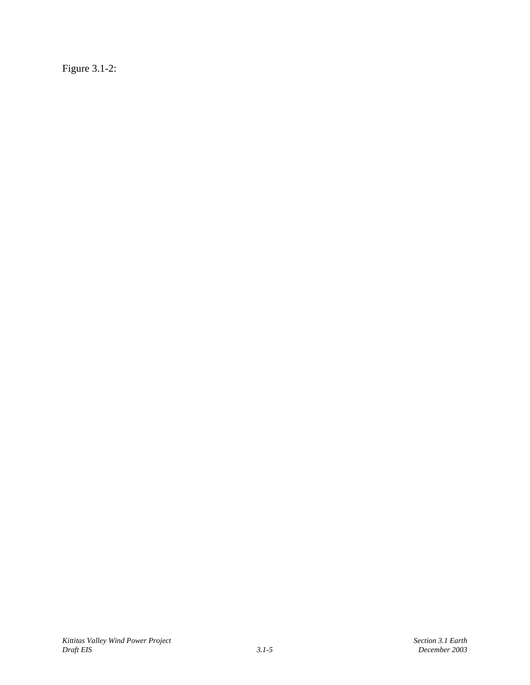Figure 3.1-2: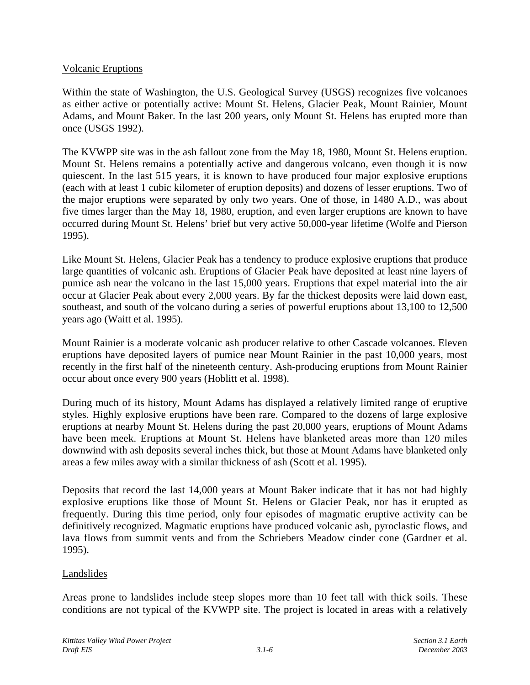### Volcanic Eruptions

Within the state of Washington, the U.S. Geological Survey (USGS) recognizes five volcanoes as either active or potentially active: Mount St. Helens, Glacier Peak, Mount Rainier, Mount Adams, and Mount Baker. In the last 200 years, only Mount St. Helens has erupted more than once (USGS 1992).

The KVWPP site was in the ash fallout zone from the May 18, 1980, Mount St. Helens eruption. Mount St. Helens remains a potentially active and dangerous volcano, even though it is now quiescent. In the last 515 years, it is known to have produced four major explosive eruptions (each with at least 1 cubic kilometer of eruption deposits) and dozens of lesser eruptions. Two of the major eruptions were separated by only two years. One of those, in 1480 A.D., was about five times larger than the May 18, 1980, eruption, and even larger eruptions are known to have occurred during Mount St. Helens' brief but very active 50,000-year lifetime (Wolfe and Pierson 1995).

Like Mount St. Helens, Glacier Peak has a tendency to produce explosive eruptions that produce large quantities of volcanic ash. Eruptions of Glacier Peak have deposited at least nine layers of pumice ash near the volcano in the last 15,000 years. Eruptions that expel material into the air occur at Glacier Peak about every 2,000 years. By far the thickest deposits were laid down east, southeast, and south of the volcano during a series of powerful eruptions about 13,100 to 12,500 years ago (Waitt et al. 1995).

Mount Rainier is a moderate volcanic ash producer relative to other Cascade volcanoes. Eleven eruptions have deposited layers of pumice near Mount Rainier in the past 10,000 years, most recently in the first half of the nineteenth century. Ash-producing eruptions from Mount Rainier occur about once every 900 years (Hoblitt et al. 1998).

During much of its history, Mount Adams has displayed a relatively limited range of eruptive styles. Highly explosive eruptions have been rare. Compared to the dozens of large explosive eruptions at nearby Mount St. Helens during the past 20,000 years, eruptions of Mount Adams have been meek. Eruptions at Mount St. Helens have blanketed areas more than 120 miles downwind with ash deposits several inches thick, but those at Mount Adams have blanketed only areas a few miles away with a similar thickness of ash (Scott et al. 1995).

Deposits that record the last 14,000 years at Mount Baker indicate that it has not had highly explosive eruptions like those of Mount St. Helens or Glacier Peak, nor has it erupted as frequently. During this time period, only four episodes of magmatic eruptive activity can be definitively recognized. Magmatic eruptions have produced volcanic ash, pyroclastic flows, and lava flows from summit vents and from the Schriebers Meadow cinder cone (Gardner et al. 1995).

#### Landslides

Areas prone to landslides include steep slopes more than 10 feet tall with thick soils. These conditions are not typical of the KVWPP site. The project is located in areas with a relatively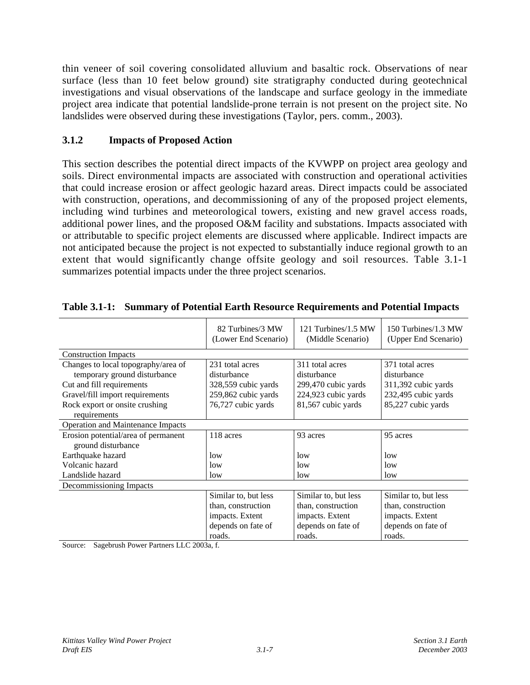thin veneer of soil covering consolidated alluvium and basaltic rock. Observations of near surface (less than 10 feet below ground) site stratigraphy conducted during geotechnical investigations and visual observations of the landscape and surface geology in the immediate project area indicate that potential landslide-prone terrain is not present on the project site. No landslides were observed during these investigations (Taylor, pers. comm., 2003).

## **3.1.2 Impacts of Proposed Action**

This section describes the potential direct impacts of the KVWPP on project area geology and soils. Direct environmental impacts are associated with construction and operational activities that could increase erosion or affect geologic hazard areas. Direct impacts could be associated with construction, operations, and decommissioning of any of the proposed project elements, including wind turbines and meteorological towers, existing and new gravel access roads, additional power lines, and the proposed O&M facility and substations. Impacts associated with or attributable to specific project elements are discussed where applicable. Indirect impacts are not anticipated because the project is not expected to substantially induce regional growth to an extent that would significantly change offsite geology and soil resources. Table 3.1-1 summarizes potential impacts under the three project scenarios.

|                                     | 82 Turbines/3 MW<br>(Lower End Scenario) | 121 Turbines/1.5 MW<br>(Middle Scenario) | 150 Turbines/1.3 MW<br>(Upper End Scenario) |
|-------------------------------------|------------------------------------------|------------------------------------------|---------------------------------------------|
| <b>Construction Impacts</b>         |                                          |                                          |                                             |
| Changes to local topography/area of | 231 total acres                          | 311 total acres                          | 371 total acres                             |
| temporary ground disturbance        | disturbance                              | disturbance                              | disturbance                                 |
| Cut and fill requirements           | 328,559 cubic yards                      | 299,470 cubic yards                      | 311,392 cubic yards                         |
| Gravel/fill import requirements     | 259,862 cubic yards                      | 224,923 cubic yards                      | 232,495 cubic yards                         |
| Rock export or onsite crushing      | 76,727 cubic yards                       | 81,567 cubic yards                       | 85,227 cubic yards                          |
| requirements                        |                                          |                                          |                                             |
| Operation and Maintenance Impacts   |                                          |                                          |                                             |
| Erosion potential/area of permanent | 118 acres                                | 93 acres                                 | 95 acres                                    |
| ground disturbance                  |                                          |                                          |                                             |
| Earthquake hazard                   | low                                      | low                                      | low                                         |
| Volcanic hazard                     | low                                      | low                                      | low                                         |
| Landslide hazard                    | low                                      | low                                      | low                                         |
| Decommissioning Impacts             |                                          |                                          |                                             |
|                                     | Similar to, but less                     | Similar to, but less                     | Similar to, but less                        |
|                                     | than, construction                       | than, construction                       | than, construction                          |
|                                     | impacts. Extent                          | impacts. Extent                          | impacts. Extent                             |
|                                     | depends on fate of                       | depends on fate of                       | depends on fate of                          |
|                                     | roads.                                   | roads.                                   | roads.                                      |

**Table 3.1-1: Summary of Potential Earth Resource Requirements and Potential Impacts**

Source: Sagebrush Power Partners LLC 2003a, f.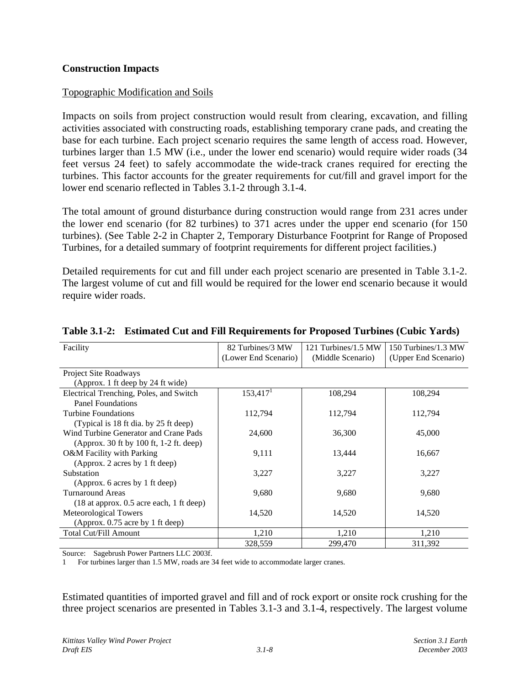### **Construction Impacts**

### Topographic Modification and Soils

Impacts on soils from project construction would result from clearing, excavation, and filling activities associated with constructing roads, establishing temporary crane pads, and creating the base for each turbine. Each project scenario requires the same length of access road. However, turbines larger than 1.5 MW (i.e., under the lower end scenario) would require wider roads (34 feet versus 24 feet) to safely accommodate the wide-track cranes required for erecting the turbines. This factor accounts for the greater requirements for cut/fill and gravel import for the lower end scenario reflected in Tables 3.1-2 through 3.1-4.

The total amount of ground disturbance during construction would range from 231 acres under the lower end scenario (for 82 turbines) to 371 acres under the upper end scenario (for 150 turbines). (See Table 2-2 in Chapter 2, Temporary Disturbance Footprint for Range of Proposed Turbines, for a detailed summary of footprint requirements for different project facilities.)

Detailed requirements for cut and fill under each project scenario are presented in Table 3.1-2. The largest volume of cut and fill would be required for the lower end scenario because it would require wider roads.

| Facility                                   | 82 Turbines/3 MW       | 121 Turbines/1.5 MW | 150 Turbines/1.3 MW  |
|--------------------------------------------|------------------------|---------------------|----------------------|
|                                            | (Lower End Scenario)   | (Middle Scenario)   | (Upper End Scenario) |
| Project Site Roadways                      |                        |                     |                      |
| (Approx. 1 ft deep by 24 ft wide)          |                        |                     |                      |
| Electrical Trenching, Poles, and Switch    | $153,417$ <sup>1</sup> | 108,294             | 108,294              |
| <b>Panel Foundations</b>                   |                        |                     |                      |
| Turbine Foundations                        | 112,794                | 112,794             | 112,794              |
| (Typical is 18 ft dia. by 25 ft deep)      |                        |                     |                      |
| Wind Turbine Generator and Crane Pads      | 24,600                 | 36,300              | 45,000               |
| (Approx. 30 ft by 100 ft, 1-2 ft. deep)    |                        |                     |                      |
| O&M Facility with Parking                  | 9,111                  | 13,444              | 16,667               |
| (Approx. 2 acres by 1 ft deep)             |                        |                     |                      |
| Substation                                 | 3,227                  | 3,227               | 3,227                |
| (Approx. 6 acres by 1 ft deep)             |                        |                     |                      |
| Turnaround Areas                           | 9,680                  | 9,680               | 9,680                |
| $(18$ at approx. 0.5 acre each, 1 ft deep) |                        |                     |                      |
| Meteorological Towers                      | 14,520                 | 14,520              | 14,520               |
| (Approx. 0.75 acre by 1 ft deep)           |                        |                     |                      |
| Total Cut/Fill Amount                      | 1,210                  | 1,210               | 1,210                |
|                                            | 328,559                | 299,470             | 311,392              |

### **Table 3.1-2: Estimated Cut and Fill Requirements for Proposed Turbines (Cubic Yards)**

Source: Sagebrush Power Partners LLC 2003f.

1 For turbines larger than 1.5 MW, roads are 34 feet wide to accommodate larger cranes.

Estimated quantities of imported gravel and fill and of rock export or onsite rock crushing for the three project scenarios are presented in Tables 3.1-3 and 3.1-4, respectively. The largest volume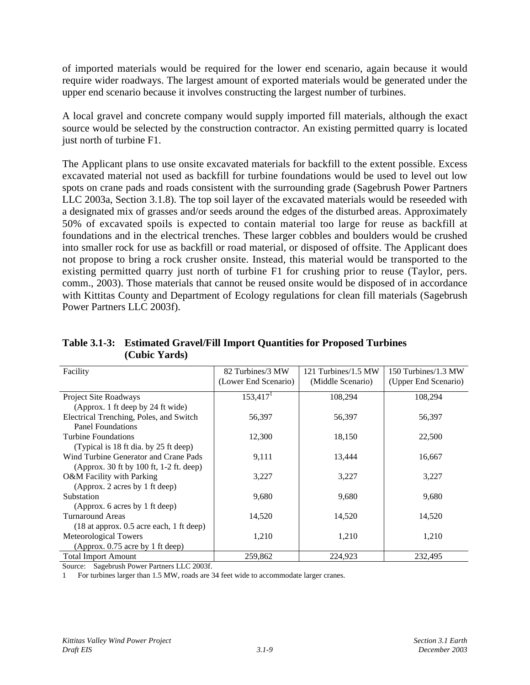of imported materials would be required for the lower end scenario, again because it would require wider roadways. The largest amount of exported materials would be generated under the upper end scenario because it involves constructing the largest number of turbines.

A local gravel and concrete company would supply imported fill materials, although the exact source would be selected by the construction contractor. An existing permitted quarry is located just north of turbine F1.

The Applicant plans to use onsite excavated materials for backfill to the extent possible. Excess excavated material not used as backfill for turbine foundations would be used to level out low spots on crane pads and roads consistent with the surrounding grade (Sagebrush Power Partners LLC 2003a, Section 3.1.8). The top soil layer of the excavated materials would be reseeded with a designated mix of grasses and/or seeds around the edges of the disturbed areas. Approximately 50% of excavated spoils is expected to contain material too large for reuse as backfill at foundations and in the electrical trenches. These larger cobbles and boulders would be crushed into smaller rock for use as backfill or road material, or disposed of offsite. The Applicant does not propose to bring a rock crusher onsite. Instead, this material would be transported to the existing permitted quarry just north of turbine F1 for crushing prior to reuse (Taylor, pers. comm., 2003). Those materials that cannot be reused onsite would be disposed of in accordance with Kittitas County and Department of Ecology regulations for clean fill materials (Sagebrush Power Partners LLC 2003f).

| Table 3.1-3: Estimated Gravel/Fill Import Quantities for Proposed Turbines |
|----------------------------------------------------------------------------|
| (Cubic Yards)                                                              |

| Facility                                   | 82 Turbines/3 MW<br>(Lower End Scenario) | 121 Turbines/1.5 MW<br>(Middle Scenario) | 150 Turbines/1.3 MW<br>(Upper End Scenario) |
|--------------------------------------------|------------------------------------------|------------------------------------------|---------------------------------------------|
| Project Site Roadways                      | 153,417 <sup>1</sup>                     | 108,294                                  | 108,294                                     |
| (Approx. 1 ft deep by 24 ft wide)          |                                          |                                          |                                             |
| Electrical Trenching, Poles, and Switch    | 56,397                                   | 56,397                                   | 56,397                                      |
| <b>Panel Foundations</b>                   |                                          |                                          |                                             |
| Turbine Foundations                        | 12,300                                   | 18,150                                   | 22,500                                      |
| (Typical is 18 ft dia. by 25 ft deep)      |                                          |                                          |                                             |
| Wind Turbine Generator and Crane Pads      | 9,111                                    | 13,444                                   | 16,667                                      |
| (Approx. 30 ft by 100 ft, 1-2 ft. deep)    |                                          |                                          |                                             |
| O&M Facility with Parking                  | 3,227                                    | 3,227                                    | 3,227                                       |
| (Approx. 2 acres by 1 ft deep)             |                                          |                                          |                                             |
| Substation                                 | 9,680                                    | 9,680                                    | 9,680                                       |
| (Approx. 6 acres by 1 ft deep)             |                                          |                                          |                                             |
| Turnaround Areas                           | 14,520                                   | 14,520                                   | 14,520                                      |
| $(18$ at approx. 0.5 acre each, 1 ft deep) |                                          |                                          |                                             |
| Meteorological Towers                      | 1,210                                    | 1,210                                    | 1,210                                       |
| (Approx. 0.75 acre by 1 ft deep)           |                                          |                                          |                                             |
| <b>Total Import Amount</b>                 | 259,862                                  | 224,923                                  | 232.495                                     |

Source: Sagebrush Power Partners LLC 2003f.

1 For turbines larger than 1.5 MW, roads are 34 feet wide to accommodate larger cranes.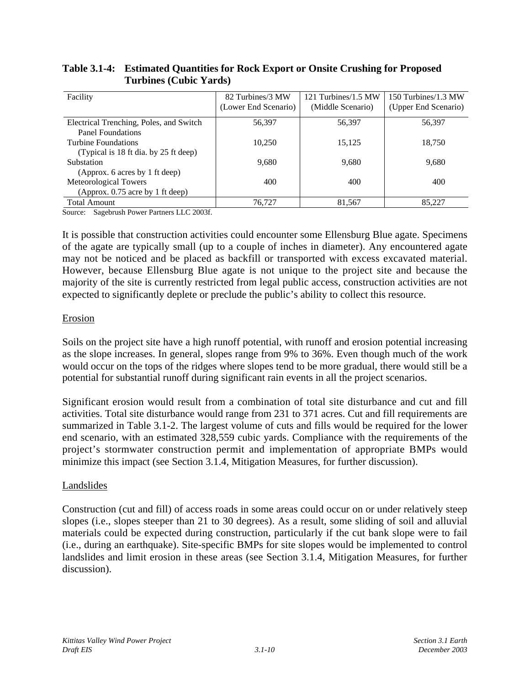| Facility                                | 82 Turbines/3 MW     | 121 Turbines/1.5 MW | 150 Turbines/1.3 MW  |
|-----------------------------------------|----------------------|---------------------|----------------------|
|                                         | (Lower End Scenario) | (Middle Scenario)   | (Upper End Scenario) |
| Electrical Trenching, Poles, and Switch | 56.397               | 56,397              | 56,397               |
| Panel Foundations                       |                      |                     |                      |
| Turbine Foundations                     | 10.250               | 15.125              | 18.750               |
| (Typical is 18 ft dia. by 25 ft deep)   |                      |                     |                      |
| Substation                              | 9.680                | 9.680               | 9,680                |
| (Approx. 6 acres by 1 ft deep)          |                      |                     |                      |
| Meteorological Towers                   | 400                  | 400                 | 400                  |
| (Approx. 0.75 acre by 1 ft deep)        |                      |                     |                      |
| <b>Total Amount</b>                     | 76.727               | 81,567              | 85,227               |

### **Table 3.1-4: Estimated Quantities for Rock Export or Onsite Crushing for Proposed Turbines (Cubic Yards)**

Source: Sagebrush Power Partners LLC 2003f.

It is possible that construction activities could encounter some Ellensburg Blue agate. Specimens of the agate are typically small (up to a couple of inches in diameter). Any encountered agate may not be noticed and be placed as backfill or transported with excess excavated material. However, because Ellensburg Blue agate is not unique to the project site and because the majority of the site is currently restricted from legal public access, construction activities are not expected to significantly deplete or preclude the public's ability to collect this resource.

#### Erosion

Soils on the project site have a high runoff potential, with runoff and erosion potential increasing as the slope increases. In general, slopes range from 9% to 36%. Even though much of the work would occur on the tops of the ridges where slopes tend to be more gradual, there would still be a potential for substantial runoff during significant rain events in all the project scenarios.

Significant erosion would result from a combination of total site disturbance and cut and fill activities. Total site disturbance would range from 231 to 371 acres. Cut and fill requirements are summarized in Table 3.1-2. The largest volume of cuts and fills would be required for the lower end scenario, with an estimated 328,559 cubic yards. Compliance with the requirements of the project's stormwater construction permit and implementation of appropriate BMPs would minimize this impact (see Section 3.1.4, Mitigation Measures, for further discussion).

#### Landslides

Construction (cut and fill) of access roads in some areas could occur on or under relatively steep slopes (i.e., slopes steeper than 21 to 30 degrees). As a result, some sliding of soil and alluvial materials could be expected during construction, particularly if the cut bank slope were to fail (i.e., during an earthquake). Site-specific BMPs for site slopes would be implemented to control landslides and limit erosion in these areas (see Section 3.1.4, Mitigation Measures, for further discussion).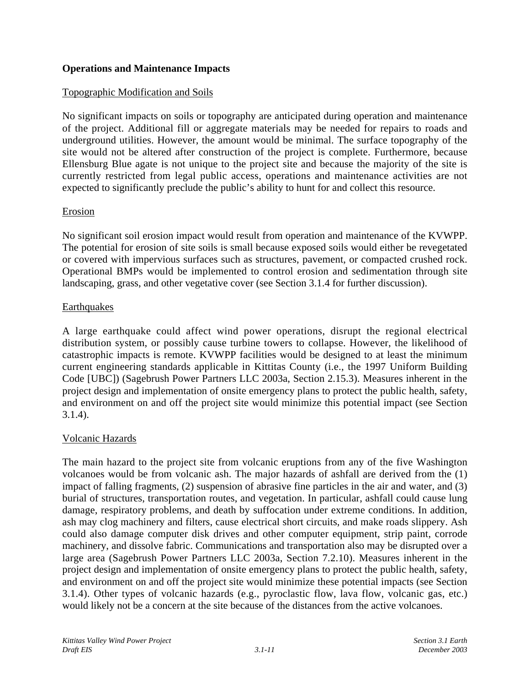### **Operations and Maintenance Impacts**

### Topographic Modification and Soils

No significant impacts on soils or topography are anticipated during operation and maintenance of the project. Additional fill or aggregate materials may be needed for repairs to roads and underground utilities. However, the amount would be minimal. The surface topography of the site would not be altered after construction of the project is complete. Furthermore, because Ellensburg Blue agate is not unique to the project site and because the majority of the site is currently restricted from legal public access, operations and maintenance activities are not expected to significantly preclude the public's ability to hunt for and collect this resource.

#### Erosion

No significant soil erosion impact would result from operation and maintenance of the KVWPP. The potential for erosion of site soils is small because exposed soils would either be revegetated or covered with impervious surfaces such as structures, pavement, or compacted crushed rock. Operational BMPs would be implemented to control erosion and sedimentation through site landscaping, grass, and other vegetative cover (see Section 3.1.4 for further discussion).

#### **Earthquakes**

A large earthquake could affect wind power operations, disrupt the regional electrical distribution system, or possibly cause turbine towers to collapse. However, the likelihood of catastrophic impacts is remote. KVWPP facilities would be designed to at least the minimum current engineering standards applicable in Kittitas County (i.e., the 1997 Uniform Building Code [UBC]) (Sagebrush Power Partners LLC 2003a, Section 2.15.3). Measures inherent in the project design and implementation of onsite emergency plans to protect the public health, safety, and environment on and off the project site would minimize this potential impact (see Section 3.1.4).

### Volcanic Hazards

The main hazard to the project site from volcanic eruptions from any of the five Washington volcanoes would be from volcanic ash. The major hazards of ashfall are derived from the (1) impact of falling fragments, (2) suspension of abrasive fine particles in the air and water, and (3) burial of structures, transportation routes, and vegetation. In particular, ashfall could cause lung damage, respiratory problems, and death by suffocation under extreme conditions. In addition, ash may clog machinery and filters, cause electrical short circuits, and make roads slippery. Ash could also damage computer disk drives and other computer equipment, strip paint, corrode machinery, and dissolve fabric. Communications and transportation also may be disrupted over a large area (Sagebrush Power Partners LLC 2003a, Section 7.2.10). Measures inherent in the project design and implementation of onsite emergency plans to protect the public health, safety, and environment on and off the project site would minimize these potential impacts (see Section 3.1.4). Other types of volcanic hazards (e.g., pyroclastic flow, lava flow, volcanic gas, etc.) would likely not be a concern at the site because of the distances from the active volcanoes.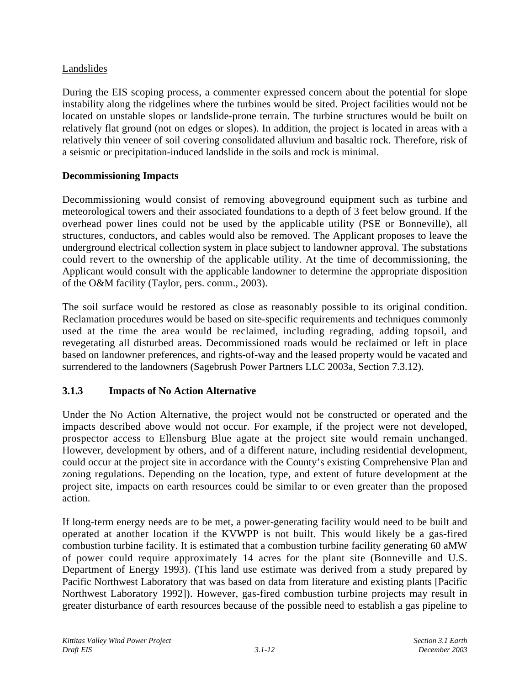# Landslides

During the EIS scoping process, a commenter expressed concern about the potential for slope instability along the ridgelines where the turbines would be sited. Project facilities would not be located on unstable slopes or landslide-prone terrain. The turbine structures would be built on relatively flat ground (not on edges or slopes). In addition, the project is located in areas with a relatively thin veneer of soil covering consolidated alluvium and basaltic rock. Therefore, risk of a seismic or precipitation-induced landslide in the soils and rock is minimal.

# **Decommissioning Impacts**

Decommissioning would consist of removing aboveground equipment such as turbine and meteorological towers and their associated foundations to a depth of 3 feet below ground. If the overhead power lines could not be used by the applicable utility (PSE or Bonneville), all structures, conductors, and cables would also be removed. The Applicant proposes to leave the underground electrical collection system in place subject to landowner approval. The substations could revert to the ownership of the applicable utility. At the time of decommissioning, the Applicant would consult with the applicable landowner to determine the appropriate disposition of the O&M facility (Taylor, pers. comm., 2003).

The soil surface would be restored as close as reasonably possible to its original condition. Reclamation procedures would be based on site-specific requirements and techniques commonly used at the time the area would be reclaimed, including regrading, adding topsoil, and revegetating all disturbed areas. Decommissioned roads would be reclaimed or left in place based on landowner preferences, and rights-of-way and the leased property would be vacated and surrendered to the landowners (Sagebrush Power Partners LLC 2003a, Section 7.3.12).

# **3.1.3 Impacts of No Action Alternative**

Under the No Action Alternative, the project would not be constructed or operated and the impacts described above would not occur. For example, if the project were not developed, prospector access to Ellensburg Blue agate at the project site would remain unchanged. However, development by others, and of a different nature, including residential development, could occur at the project site in accordance with the County's existing Comprehensive Plan and zoning regulations. Depending on the location, type, and extent of future development at the project site, impacts on earth resources could be similar to or even greater than the proposed action.

If long-term energy needs are to be met, a power-generating facility would need to be built and operated at another location if the KVWPP is not built. This would likely be a gas-fired combustion turbine facility. It is estimated that a combustion turbine facility generating 60 aMW of power could require approximately 14 acres for the plant site (Bonneville and U.S. Department of Energy 1993). (This land use estimate was derived from a study prepared by Pacific Northwest Laboratory that was based on data from literature and existing plants [Pacific Northwest Laboratory 1992]). However, gas-fired combustion turbine projects may result in greater disturbance of earth resources because of the possible need to establish a gas pipeline to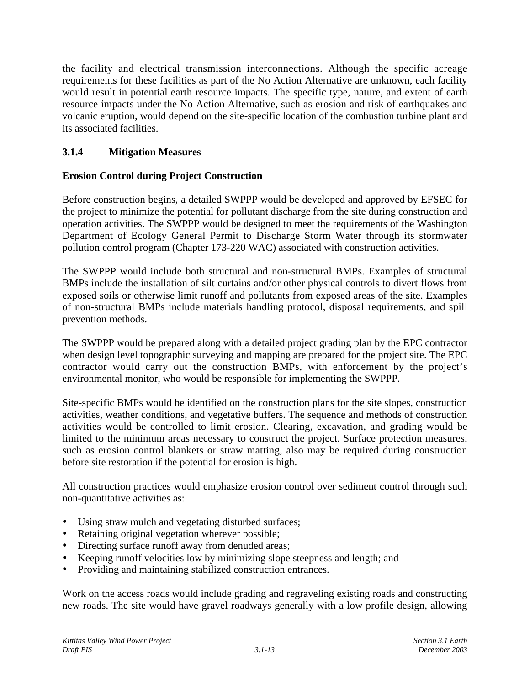the facility and electrical transmission interconnections. Although the specific acreage requirements for these facilities as part of the No Action Alternative are unknown, each facility would result in potential earth resource impacts. The specific type, nature, and extent of earth resource impacts under the No Action Alternative, such as erosion and risk of earthquakes and volcanic eruption, would depend on the site-specific location of the combustion turbine plant and its associated facilities.

# **3.1.4 Mitigation Measures**

# **Erosion Control during Project Construction**

Before construction begins, a detailed SWPPP would be developed and approved by EFSEC for the project to minimize the potential for pollutant discharge from the site during construction and operation activities. The SWPPP would be designed to meet the requirements of the Washington Department of Ecology General Permit to Discharge Storm Water through its stormwater pollution control program (Chapter 173-220 WAC) associated with construction activities.

The SWPPP would include both structural and non-structural BMPs. Examples of structural BMPs include the installation of silt curtains and/or other physical controls to divert flows from exposed soils or otherwise limit runoff and pollutants from exposed areas of the site. Examples of non-structural BMPs include materials handling protocol, disposal requirements, and spill prevention methods.

The SWPPP would be prepared along with a detailed project grading plan by the EPC contractor when design level topographic surveying and mapping are prepared for the project site. The EPC contractor would carry out the construction BMPs, with enforcement by the project's environmental monitor, who would be responsible for implementing the SWPPP.

Site-specific BMPs would be identified on the construction plans for the site slopes, construction activities, weather conditions, and vegetative buffers. The sequence and methods of construction activities would be controlled to limit erosion. Clearing, excavation, and grading would be limited to the minimum areas necessary to construct the project. Surface protection measures, such as erosion control blankets or straw matting, also may be required during construction before site restoration if the potential for erosion is high.

All construction practices would emphasize erosion control over sediment control through such non-quantitative activities as:

- Using straw mulch and vegetating disturbed surfaces;
- Retaining original vegetation wherever possible;
- Directing surface runoff away from denuded areas;
- Keeping runoff velocities low by minimizing slope steepness and length; and
- Providing and maintaining stabilized construction entrances.

Work on the access roads would include grading and regraveling existing roads and constructing new roads. The site would have gravel roadways generally with a low profile design, allowing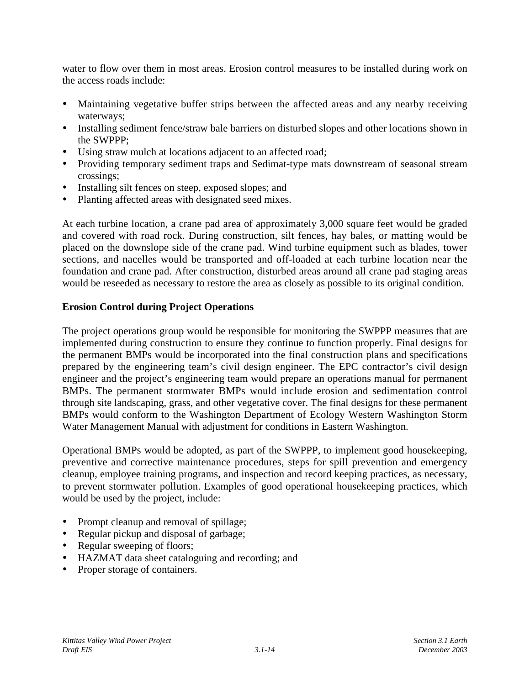water to flow over them in most areas. Erosion control measures to be installed during work on the access roads include:

- Maintaining vegetative buffer strips between the affected areas and any nearby receiving waterways;
- Installing sediment fence/straw bale barriers on disturbed slopes and other locations shown in the SWPPP;
- Using straw mulch at locations adjacent to an affected road;
- Providing temporary sediment traps and Sedimat-type mats downstream of seasonal stream crossings;
- Installing silt fences on steep, exposed slopes; and
- Planting affected areas with designated seed mixes.

At each turbine location, a crane pad area of approximately 3,000 square feet would be graded and covered with road rock. During construction, silt fences, hay bales, or matting would be placed on the downslope side of the crane pad. Wind turbine equipment such as blades, tower sections, and nacelles would be transported and off-loaded at each turbine location near the foundation and crane pad. After construction, disturbed areas around all crane pad staging areas would be reseeded as necessary to restore the area as closely as possible to its original condition.

#### **Erosion Control during Project Operations**

The project operations group would be responsible for monitoring the SWPPP measures that are implemented during construction to ensure they continue to function properly. Final designs for the permanent BMPs would be incorporated into the final construction plans and specifications prepared by the engineering team's civil design engineer. The EPC contractor's civil design engineer and the project's engineering team would prepare an operations manual for permanent BMPs. The permanent stormwater BMPs would include erosion and sedimentation control through site landscaping, grass, and other vegetative cover. The final designs for these permanent BMPs would conform to the Washington Department of Ecology Western Washington Storm Water Management Manual with adjustment for conditions in Eastern Washington.

Operational BMPs would be adopted, as part of the SWPPP, to implement good housekeeping, preventive and corrective maintenance procedures, steps for spill prevention and emergency cleanup, employee training programs, and inspection and record keeping practices, as necessary, to prevent stormwater pollution. Examples of good operational housekeeping practices, which would be used by the project, include:

- Prompt cleanup and removal of spillage;
- Regular pickup and disposal of garbage;
- Regular sweeping of floors;
- HAZMAT data sheet cataloguing and recording; and
- Proper storage of containers.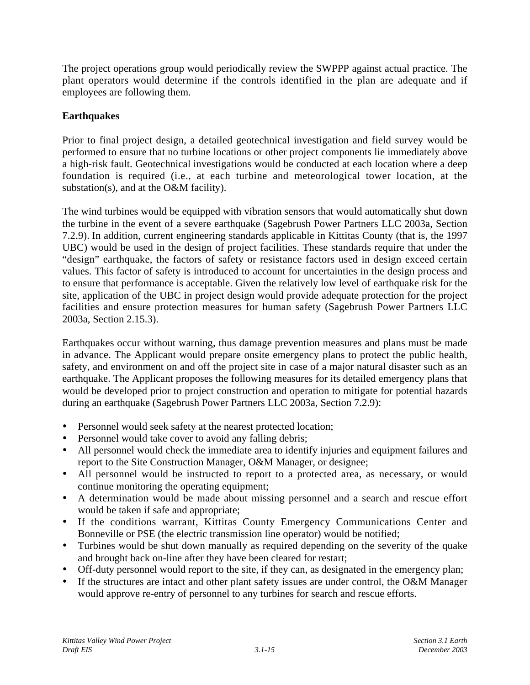The project operations group would periodically review the SWPPP against actual practice. The plant operators would determine if the controls identified in the plan are adequate and if employees are following them.

# **Earthquakes**

Prior to final project design, a detailed geotechnical investigation and field survey would be performed to ensure that no turbine locations or other project components lie immediately above a high-risk fault. Geotechnical investigations would be conducted at each location where a deep foundation is required (i.e., at each turbine and meteorological tower location, at the substation(s), and at the O&M facility).

The wind turbines would be equipped with vibration sensors that would automatically shut down the turbine in the event of a severe earthquake (Sagebrush Power Partners LLC 2003a, Section 7.2.9). In addition, current engineering standards applicable in Kittitas County (that is, the 1997 UBC) would be used in the design of project facilities. These standards require that under the "design" earthquake, the factors of safety or resistance factors used in design exceed certain values. This factor of safety is introduced to account for uncertainties in the design process and to ensure that performance is acceptable. Given the relatively low level of earthquake risk for the site, application of the UBC in project design would provide adequate protection for the project facilities and ensure protection measures for human safety (Sagebrush Power Partners LLC 2003a, Section 2.15.3).

Earthquakes occur without warning, thus damage prevention measures and plans must be made in advance. The Applicant would prepare onsite emergency plans to protect the public health, safety, and environment on and off the project site in case of a major natural disaster such as an earthquake. The Applicant proposes the following measures for its detailed emergency plans that would be developed prior to project construction and operation to mitigate for potential hazards during an earthquake (Sagebrush Power Partners LLC 2003a, Section 7.2.9):

- Personnel would seek safety at the nearest protected location;
- Personnel would take cover to avoid any falling debris;
- All personnel would check the immediate area to identify injuries and equipment failures and report to the Site Construction Manager, O&M Manager, or designee;
- All personnel would be instructed to report to a protected area, as necessary, or would continue monitoring the operating equipment:
- A determination would be made about missing personnel and a search and rescue effort would be taken if safe and appropriate;
- If the conditions warrant, Kittitas County Emergency Communications Center and Bonneville or PSE (the electric transmission line operator) would be notified;
- Turbines would be shut down manually as required depending on the severity of the quake and brought back on-line after they have been cleared for restart;
- Off-duty personnel would report to the site, if they can, as designated in the emergency plan;
- If the structures are intact and other plant safety issues are under control, the O&M Manager would approve re-entry of personnel to any turbines for search and rescue efforts.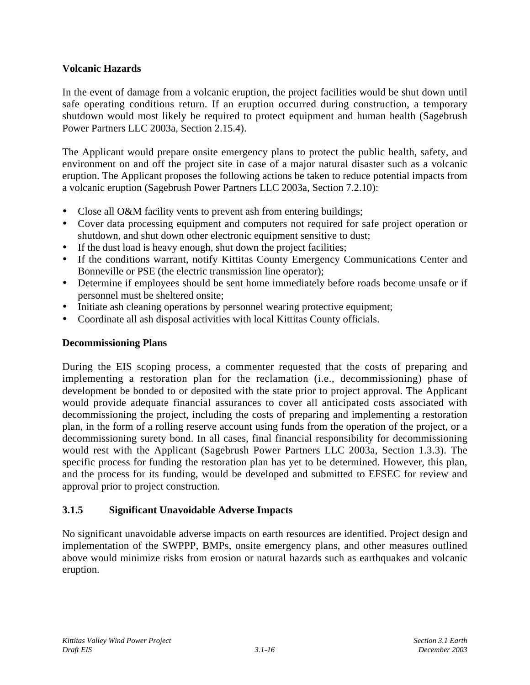## **Volcanic Hazards**

In the event of damage from a volcanic eruption, the project facilities would be shut down until safe operating conditions return. If an eruption occurred during construction, a temporary shutdown would most likely be required to protect equipment and human health (Sagebrush Power Partners LLC 2003a, Section 2.15.4).

The Applicant would prepare onsite emergency plans to protect the public health, safety, and environment on and off the project site in case of a major natural disaster such as a volcanic eruption. The Applicant proposes the following actions be taken to reduce potential impacts from a volcanic eruption (Sagebrush Power Partners LLC 2003a, Section 7.2.10):

- Close all O&M facility vents to prevent ash from entering buildings;
- Cover data processing equipment and computers not required for safe project operation or shutdown, and shut down other electronic equipment sensitive to dust;
- If the dust load is heavy enough, shut down the project facilities;
- If the conditions warrant, notify Kittitas County Emergency Communications Center and Bonneville or PSE (the electric transmission line operator);
- Determine if employees should be sent home immediately before roads become unsafe or if personnel must be sheltered onsite;
- Initiate ash cleaning operations by personnel wearing protective equipment;
- Coordinate all ash disposal activities with local Kittitas County officials.

### **Decommissioning Plans**

During the EIS scoping process, a commenter requested that the costs of preparing and implementing a restoration plan for the reclamation (i.e., decommissioning) phase of development be bonded to or deposited with the state prior to project approval. The Applicant would provide adequate financial assurances to cover all anticipated costs associated with decommissioning the project, including the costs of preparing and implementing a restoration plan, in the form of a rolling reserve account using funds from the operation of the project, or a decommissioning surety bond. In all cases, final financial responsibility for decommissioning would rest with the Applicant (Sagebrush Power Partners LLC 2003a, Section 1.3.3). The specific process for funding the restoration plan has yet to be determined. However, this plan, and the process for its funding, would be developed and submitted to EFSEC for review and approval prior to project construction.

### **3.1.5 Significant Unavoidable Adverse Impacts**

No significant unavoidable adverse impacts on earth resources are identified. Project design and implementation of the SWPPP, BMPs, onsite emergency plans, and other measures outlined above would minimize risks from erosion or natural hazards such as earthquakes and volcanic eruption.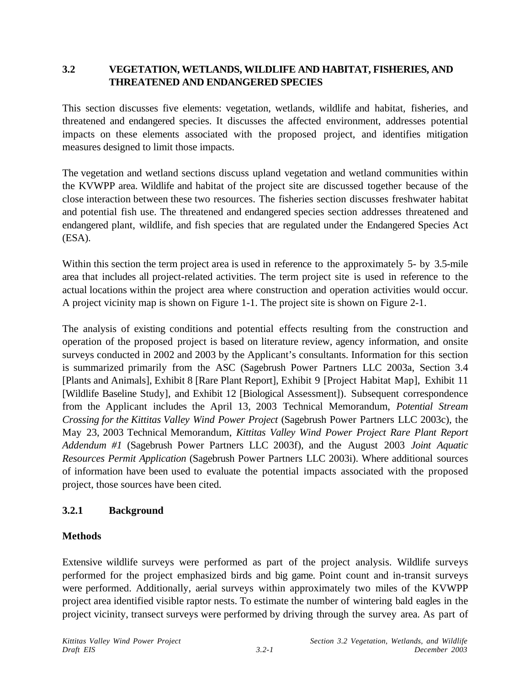# **3.2 VEGETATION, WETLANDS, WILDLIFE AND HABITAT, FISHERIES, AND THREATENED AND ENDANGERED SPECIES**

This section discusses five elements: vegetation, wetlands, wildlife and habitat, fisheries, and threatened and endangered species. It discusses the affected environment, addresses potential impacts on these elements associated with the proposed project, and identifies mitigation measures designed to limit those impacts.

The vegetation and wetland sections discuss upland vegetation and wetland communities within the KVWPP area. Wildlife and habitat of the project site are discussed together because of the close interaction between these two resources. The fisheries section discusses freshwater habitat and potential fish use. The threatened and endangered species section addresses threatened and endangered plant, wildlife, and fish species that are regulated under the Endangered Species Act (ESA).

Within this section the term project area is used in reference to the approximately 5- by 3.5-mile area that includes all project-related activities. The term project site is used in reference to the actual locations within the project area where construction and operation activities would occur. A project vicinity map is shown on Figure 1-1. The project site is shown on Figure 2-1.

The analysis of existing conditions and potential effects resulting from the construction and operation of the proposed project is based on literature review, agency information, and onsite surveys conducted in 2002 and 2003 by the Applicant's consultants. Information for this section is summarized primarily from the ASC (Sagebrush Power Partners LLC 2003a, Section 3.4 [Plants and Animals], Exhibit 8 [Rare Plant Report], Exhibit 9 [Project Habitat Map], Exhibit 11 [Wildlife Baseline Study], and Exhibit 12 [Biological Assessment]). Subsequent correspondence from the Applicant includes the April 13, 2003 Technical Memorandum, *Potential Stream Crossing for the Kittitas Valley Wind Power Project* (Sagebrush Power Partners LLC 2003c), the May 23, 2003 Technical Memorandum, *Kittitas Valley Wind Power Project Rare Plant Report Addendum #1* (Sagebrush Power Partners LLC 2003f), and the August 2003 *Joint Aquatic Resources Permit Application* (Sagebrush Power Partners LLC 2003i). Where additional sources of information have been used to evaluate the potential impacts associated with the proposed project, those sources have been cited.

### **3.2.1 Background**

# **Methods**

Extensive wildlife surveys were performed as part of the project analysis. Wildlife surveys performed for the project emphasized birds and big game. Point count and in-transit surveys were performed. Additionally, aerial surveys within approximately two miles of the KVWPP project area identified visible raptor nests. To estimate the number of wintering bald eagles in the project vicinity, transect surveys were performed by driving through the survey area. As part of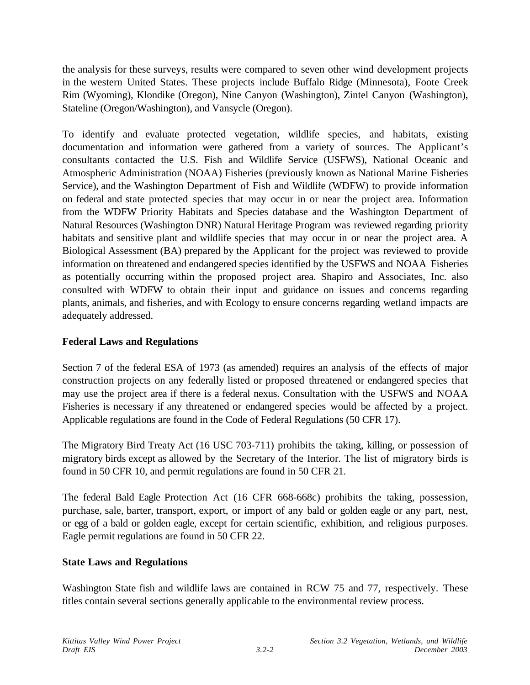the analysis for these surveys, results were compared to seven other wind development projects in the western United States. These projects include Buffalo Ridge (Minnesota), Foote Creek Rim (Wyoming), Klondike (Oregon), Nine Canyon (Washington), Zintel Canyon (Washington), Stateline (Oregon/Washington), and Vansycle (Oregon).

To identify and evaluate protected vegetation, wildlife species, and habitats, existing documentation and information were gathered from a variety of sources. The Applicant's consultants contacted the U.S. Fish and Wildlife Service (USFWS), National Oceanic and Atmospheric Administration (NOAA) Fisheries (previously known as National Marine Fisheries Service), and the Washington Department of Fish and Wildlife (WDFW) to provide information on federal and state protected species that may occur in or near the project area. Information from the WDFW Priority Habitats and Species database and the Washington Department of Natural Resources (Washington DNR) Natural Heritage Program was reviewed regarding priority habitats and sensitive plant and wildlife species that may occur in or near the project area. A Biological Assessment (BA) prepared by the Applicant for the project was reviewed to provide information on threatened and endangered species identified by the USFWS and NOAA Fisheries as potentially occurring within the proposed project area. Shapiro and Associates, Inc. also consulted with WDFW to obtain their input and guidance on issues and concerns regarding plants, animals, and fisheries, and with Ecology to ensure concerns regarding wetland impacts are adequately addressed.

## **Federal Laws and Regulations**

Section 7 of the federal ESA of 1973 (as amended) requires an analysis of the effects of major construction projects on any federally listed or proposed threatened or endangered species that may use the project area if there is a federal nexus. Consultation with the USFWS and NOAA Fisheries is necessary if any threatened or endangered species would be affected by a project. Applicable regulations are found in the Code of Federal Regulations (50 CFR 17).

The Migratory Bird Treaty Act (16 USC 703-711) prohibits the taking, killing, or possession of migratory birds except as allowed by the Secretary of the Interior. The list of migratory birds is found in 50 CFR 10, and permit regulations are found in 50 CFR 21.

The federal Bald Eagle Protection Act (16 CFR 668-668c) prohibits the taking, possession, purchase, sale, barter, transport, export, or import of any bald or golden eagle or any part, nest, or egg of a bald or golden eagle, except for certain scientific, exhibition, and religious purposes. Eagle permit regulations are found in 50 CFR 22.

### **State Laws and Regulations**

Washington State fish and wildlife laws are contained in RCW 75 and 77, respectively. These titles contain several sections generally applicable to the environmental review process.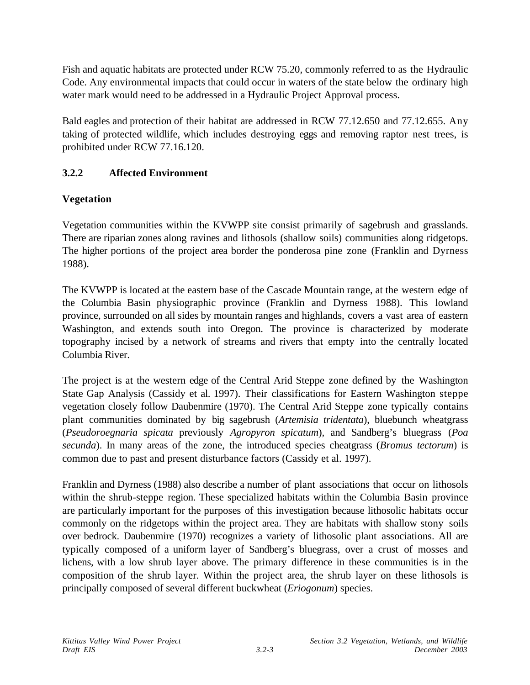Fish and aquatic habitats are protected under RCW 75.20, commonly referred to as the Hydraulic Code. Any environmental impacts that could occur in waters of the state below the ordinary high water mark would need to be addressed in a Hydraulic Project Approval process.

Bald eagles and protection of their habitat are addressed in RCW 77.12.650 and 77.12.655. Any taking of protected wildlife, which includes destroying eggs and removing raptor nest trees, is prohibited under RCW 77.16.120.

# **3.2.2 Affected Environment**

# **Vegetation**

Vegetation communities within the KVWPP site consist primarily of sagebrush and grasslands. There are riparian zones along ravines and lithosols (shallow soils) communities along ridgetops. The higher portions of the project area border the ponderosa pine zone (Franklin and Dyrness 1988).

The KVWPP is located at the eastern base of the Cascade Mountain range, at the western edge of the Columbia Basin physiographic province (Franklin and Dyrness 1988). This lowland province, surrounded on all sides by mountain ranges and highlands, covers a vast area of eastern Washington, and extends south into Oregon. The province is characterized by moderate topography incised by a network of streams and rivers that empty into the centrally located Columbia River.

The project is at the western edge of the Central Arid Steppe zone defined by the Washington State Gap Analysis (Cassidy et al. 1997). Their classifications for Eastern Washington steppe vegetation closely follow Daubenmire (1970). The Central Arid Steppe zone typically contains plant communities dominated by big sagebrush (*Artemisia tridentata*), bluebunch wheatgrass (*Pseudoroegnaria spicata* previously *Agropyron spicatum*), and Sandberg's bluegrass (*Poa secunda*). In many areas of the zone, the introduced species cheatgrass (*Bromus tectorum*) is common due to past and present disturbance factors (Cassidy et al. 1997).

Franklin and Dyrness (1988) also describe a number of plant associations that occur on lithosols within the shrub-steppe region. These specialized habitats within the Columbia Basin province are particularly important for the purposes of this investigation because lithosolic habitats occur commonly on the ridgetops within the project area. They are habitats with shallow stony soils over bedrock. Daubenmire (1970) recognizes a variety of lithosolic plant associations. All are typically composed of a uniform layer of Sandberg's bluegrass, over a crust of mosses and lichens, with a low shrub layer above. The primary difference in these communities is in the composition of the shrub layer. Within the project area, the shrub layer on these lithosols is principally composed of several different buckwheat (*Eriogonum*) species.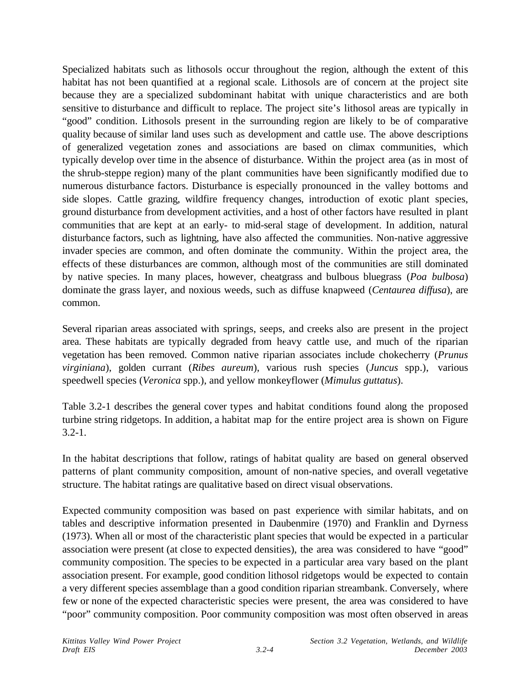Specialized habitats such as lithosols occur throughout the region, although the extent of this habitat has not been quantified at a regional scale. Lithosols are of concern at the project site because they are a specialized subdominant habitat with unique characteristics and are both sensitive to disturbance and difficult to replace. The project site's lithosol areas are typically in "good" condition. Lithosols present in the surrounding region are likely to be of comparative quality because of similar land uses such as development and cattle use. The above descriptions of generalized vegetation zones and associations are based on climax communities, which typically develop over time in the absence of disturbance. Within the project area (as in most of the shrub-steppe region) many of the plant communities have been significantly modified due to numerous disturbance factors. Disturbance is especially pronounced in the valley bottoms and side slopes. Cattle grazing, wildfire frequency changes, introduction of exotic plant species, ground disturbance from development activities, and a host of other factors have resulted in plant communities that are kept at an early- to mid-seral stage of development. In addition, natural disturbance factors, such as lightning, have also affected the communities. Non-native aggressive invader species are common, and often dominate the community. Within the project area, the effects of these disturbances are common, although most of the communities are still dominated by native species. In many places, however, cheatgrass and bulbous bluegrass (*Poa bulbosa*) dominate the grass layer, and noxious weeds, such as diffuse knapweed (*Centaurea diffusa*), are common.

Several riparian areas associated with springs, seeps, and creeks also are present in the project area. These habitats are typically degraded from heavy cattle use, and much of the riparian vegetation has been removed. Common native riparian associates include chokecherry (*Prunus virginiana*), golden currant (*Ribes aureum*), various rush species (*Juncus* spp.), various speedwell species (*Veronica* spp.), and yellow monkeyflower (*Mimulus guttatus*).

Table 3.2-1 describes the general cover types and habitat conditions found along the proposed turbine string ridgetops. In addition, a habitat map for the entire project area is shown on Figure 3.2-1.

In the habitat descriptions that follow, ratings of habitat quality are based on general observed patterns of plant community composition, amount of non-native species, and overall vegetative structure. The habitat ratings are qualitative based on direct visual observations.

Expected community composition was based on past experience with similar habitats, and on tables and descriptive information presented in Daubenmire (1970) and Franklin and Dyrness (1973). When all or most of the characteristic plant species that would be expected in a particular association were present (at close to expected densities), the area was considered to have "good" community composition. The species to be expected in a particular area vary based on the plant association present. For example, good condition lithosol ridgetops would be expected to contain a very different species assemblage than a good condition riparian streambank. Conversely, where few or none of the expected characteristic species were present, the area was considered to have "poor" community composition. Poor community composition was most often observed in areas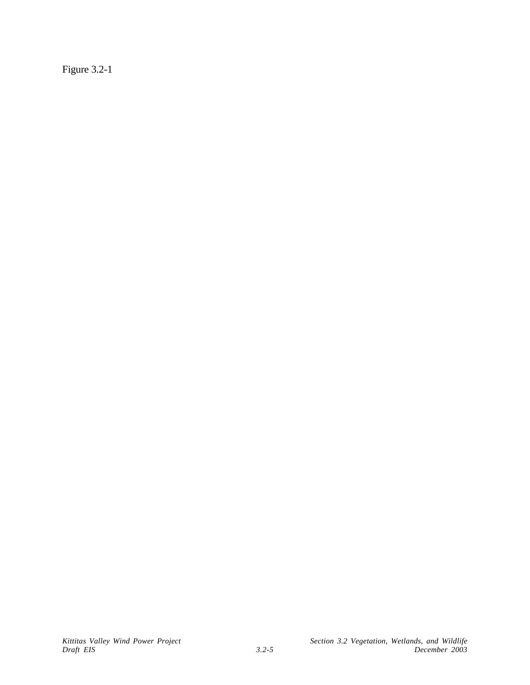Figure 3.2-1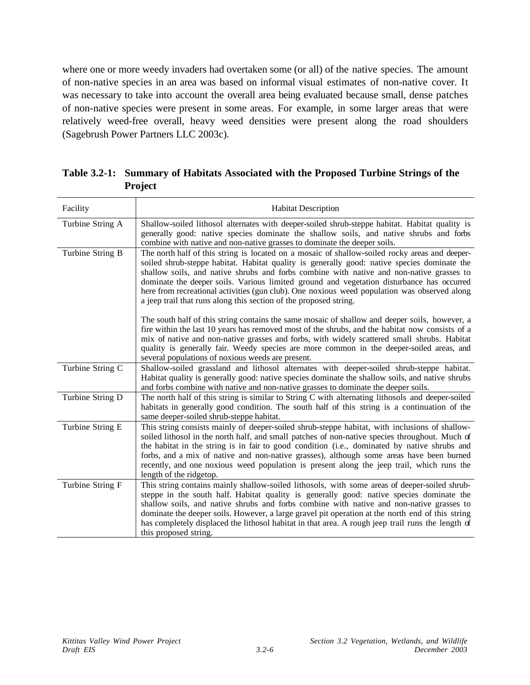where one or more weedy invaders had overtaken some (or all) of the native species. The amount of non-native species in an area was based on informal visual estimates of non-native cover. It was necessary to take into account the overall area being evaluated because small, dense patches of non-native species were present in some areas. For example, in some larger areas that were relatively weed-free overall, heavy weed densities were present along the road shoulders (Sagebrush Power Partners LLC 2003c).

| Facility         | <b>Habitat Description</b>                                                                                                                                                                                                                                                                                                                                                                                                                                                                                                                                  |
|------------------|-------------------------------------------------------------------------------------------------------------------------------------------------------------------------------------------------------------------------------------------------------------------------------------------------------------------------------------------------------------------------------------------------------------------------------------------------------------------------------------------------------------------------------------------------------------|
| Turbine String A | Shallow-soiled lithosol alternates with deeper-soiled shrub-steppe habitat. Habitat quality is<br>generally good: native species dominate the shallow soils, and native shrubs and forbs<br>combine with native and non-native grasses to dominate the deeper soils.                                                                                                                                                                                                                                                                                        |
| Turbine String B | The north half of this string is located on a mosaic of shallow-soiled rocky areas and deeper-<br>soiled shrub-steppe habitat. Habitat quality is generally good: native species dominate the<br>shallow soils, and native shrubs and forbs combine with native and non-native grasses to<br>dominate the deeper soils. Various limited ground and vegetation disturbance has occurred<br>here from recreational activities (gun club). One noxious weed population was observed along<br>a jeep trail that runs along this section of the proposed string. |
|                  | The south half of this string contains the same mosaic of shallow and deeper soils, however, a<br>fire within the last 10 years has removed most of the shrubs, and the habitat now consists of a<br>mix of native and non-native grasses and forbs, with widely scattered small shrubs. Habitat<br>quality is generally fair. Weedy species are more common in the deeper-soiled areas, and<br>several populations of noxious weeds are present.                                                                                                           |
| Turbine String C | Shallow-soiled grassland and lithosol alternates with deeper-soiled shrub-steppe habitat.<br>Habitat quality is generally good: native species dominate the shallow soils, and native shrubs<br>and forbs combine with native and non-native grasses to dominate the deeper soils.                                                                                                                                                                                                                                                                          |
| Turbine String D | The north half of this string is similar to String C with alternating lithosols and deeper-soiled<br>habitats in generally good condition. The south half of this string is a continuation of the<br>same deeper-soiled shrub-steppe habitat.                                                                                                                                                                                                                                                                                                               |
| Turbine String E | This string consists mainly of deeper-soiled shrub-steppe habitat, with inclusions of shallow-<br>soiled lithosol in the north half, and small patches of non-native species throughout. Much of<br>the habitat in the string is in fair to good condition (i.e., dominated by native shrubs and<br>forbs, and a mix of native and non-native grasses), although some areas have been burned<br>recently, and one noxious weed population is present along the jeep trail, which runs the<br>length of the ridgetop.                                        |
| Turbine String F | This string contains mainly shallow-soiled lithosols, with some areas of deeper-soiled shrub-<br>steppe in the south half. Habitat quality is generally good: native species dominate the<br>shallow soils, and native shrubs and forbs combine with native and non-native grasses to<br>dominate the deeper soils. However, a large gravel pit operation at the north end of this string<br>has completely displaced the lithosol habitat in that area. A rough jeep trail runs the length of<br>this proposed string.                                     |

**Table 3.2-1: Summary of Habitats Associated with the Proposed Turbine Strings of the Project**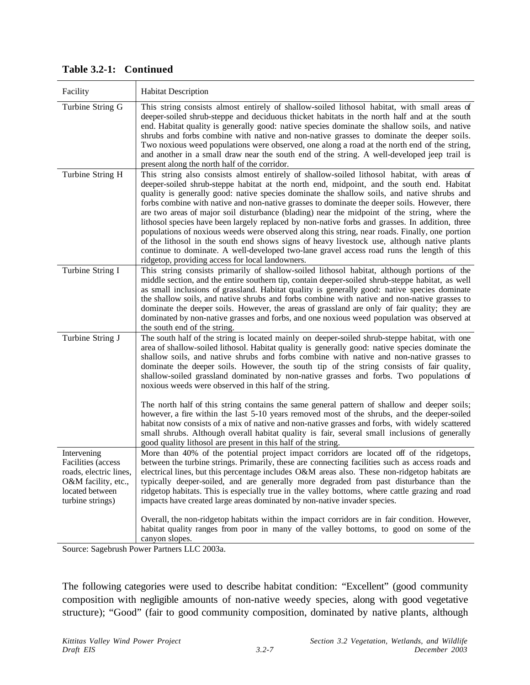| Facility                                                                                                                         | <b>Habitat Description</b>                                                                                                                                                                                                                                                                                                                                                                                                                                                                                                                                                                                                                                                                                                                                                                                                                                                                                                                     |
|----------------------------------------------------------------------------------------------------------------------------------|------------------------------------------------------------------------------------------------------------------------------------------------------------------------------------------------------------------------------------------------------------------------------------------------------------------------------------------------------------------------------------------------------------------------------------------------------------------------------------------------------------------------------------------------------------------------------------------------------------------------------------------------------------------------------------------------------------------------------------------------------------------------------------------------------------------------------------------------------------------------------------------------------------------------------------------------|
| Turbine String G                                                                                                                 | This string consists almost entirely of shallow-soiled lithosol habitat, with small areas of<br>deeper-soiled shrub-steppe and deciduous thicket habitats in the north half and at the south<br>end. Habitat quality is generally good: native species dominate the shallow soils, and native<br>shrubs and forbs combine with native and non-native grasses to dominate the deeper soils.<br>Two noxious weed populations were observed, one along a road at the north end of the string,<br>and another in a small draw near the south end of the string. A well-developed jeep trail is<br>present along the north half of the corridor.                                                                                                                                                                                                                                                                                                    |
| Turbine String H                                                                                                                 | This string also consists almost entirely of shallow-soiled lithosol habitat, with areas of<br>deeper-soiled shrub-steppe habitat at the north end, midpoint, and the south end. Habitat<br>quality is generally good: native species dominate the shallow soils, and native shrubs and<br>forbs combine with native and non-native grasses to dominate the deeper soils. However, there<br>are two areas of major soil disturbance (blading) near the midpoint of the string, where the<br>lithosol species have been largely replaced by non-native forbs and grasses. In addition, three<br>populations of noxious weeds were observed along this string, near roads. Finally, one portion<br>of the lithosol in the south end shows signs of heavy livestock use, although native plants<br>continue to dominate. A well-developed two-lane gravel access road runs the length of this<br>ridgetop, providing access for local landowners. |
| Turbine String I                                                                                                                 | This string consists primarily of shallow-soiled lithosol habitat, although portions of the<br>middle section, and the entire southern tip, contain deeper-soiled shrub-steppe habitat, as well<br>as small inclusions of grassland. Habitat quality is generally good: native species dominate<br>the shallow soils, and native shrubs and forbs combine with native and non-native grasses to<br>dominate the deeper soils. However, the areas of grassland are only of fair quality; they are<br>dominated by non-native grasses and forbs, and one noxious weed population was observed at<br>the south end of the string.                                                                                                                                                                                                                                                                                                                 |
| Turbine String J                                                                                                                 | The south half of the string is located mainly on deeper-soiled shrub-steppe habitat, with one<br>area of shallow-soiled lithosol. Habitat quality is generally good: native species dominate the<br>shallow soils, and native shrubs and forbs combine with native and non-native grasses to<br>dominate the deeper soils. However, the south tip of the string consists of fair quality,<br>shallow-soiled grassland dominated by non-native grasses and forbs. Two populations of<br>noxious weeds were observed in this half of the string.                                                                                                                                                                                                                                                                                                                                                                                                |
|                                                                                                                                  | The north half of this string contains the same general pattern of shallow and deeper soils;<br>however, a fire within the last 5-10 years removed most of the shrubs, and the deeper-soiled<br>habitat now consists of a mix of native and non-native grasses and forbs, with widely scattered<br>small shrubs. Although overall habitat quality is fair, several small inclusions of generally<br>good quality lithosol are present in this half of the string.                                                                                                                                                                                                                                                                                                                                                                                                                                                                              |
| Intervening<br><b>Facilities</b> (access<br>roads, electric lines,<br>O&M facility, etc.,<br>located between<br>turbine strings) | More than 40% of the potential project impact corridors are located off of the ridgetops,<br>between the turbine strings. Primarily, these are connecting facilities such as access roads and<br>electrical lines, but this percentage includes O&M areas also. These non-ridgetop habitats are<br>typically deeper-soiled, and are generally more degraded from past disturbance than the<br>ridgetop habitats. This is especially true in the valley bottoms, where cattle grazing and road<br>impacts have created large areas dominated by non-native invader species.                                                                                                                                                                                                                                                                                                                                                                     |
|                                                                                                                                  | Overall, the non-ridgetop habitats within the impact corridors are in fair condition. However,<br>habitat quality ranges from poor in many of the valley bottoms, to good on some of the<br>canyon slopes.                                                                                                                                                                                                                                                                                                                                                                                                                                                                                                                                                                                                                                                                                                                                     |
|                                                                                                                                  | Source: Sagebrush Power Partners LLC 2003a.                                                                                                                                                                                                                                                                                                                                                                                                                                                                                                                                                                                                                                                                                                                                                                                                                                                                                                    |

**Table 3.2-1: Continued**

The following categories were used to describe habitat condition: "Excellent" (good community composition with negligible amounts of non-native weedy species, along with good vegetative structure); "Good" (fair to good community composition, dominated by native plants, although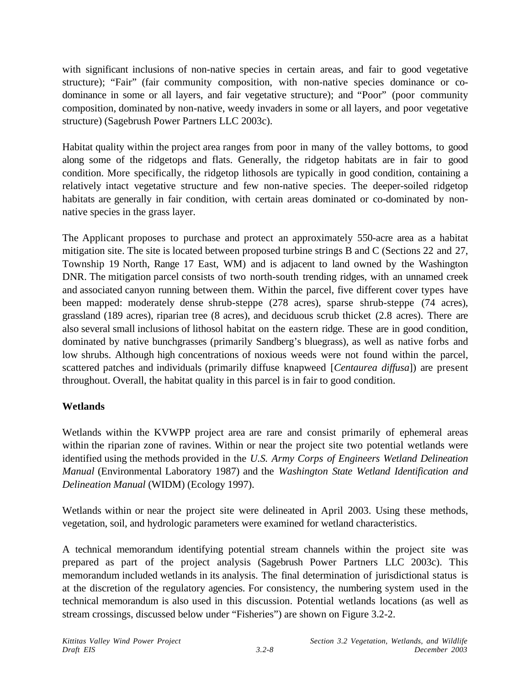with significant inclusions of non-native species in certain areas, and fair to good vegetative structure); "Fair" (fair community composition, with non-native species dominance or codominance in some or all layers, and fair vegetative structure); and "Poor" (poor community composition, dominated by non-native, weedy invaders in some or all layers, and poor vegetative structure) (Sagebrush Power Partners LLC 2003c).

Habitat quality within the project area ranges from poor in many of the valley bottoms, to good along some of the ridgetops and flats. Generally, the ridgetop habitats are in fair to good condition. More specifically, the ridgetop lithosols are typically in good condition, containing a relatively intact vegetative structure and few non-native species. The deeper-soiled ridgetop habitats are generally in fair condition, with certain areas dominated or co-dominated by nonnative species in the grass layer.

The Applicant proposes to purchase and protect an approximately 550-acre area as a habitat mitigation site. The site is located between proposed turbine strings B and C (Sections 22 and 27, Township 19 North, Range 17 East, WM) and is adjacent to land owned by the Washington DNR. The mitigation parcel consists of two north-south trending ridges, with an unnamed creek and associated canyon running between them. Within the parcel, five different cover types have been mapped: moderately dense shrub-steppe (278 acres), sparse shrub-steppe (74 acres), grassland (189 acres), riparian tree (8 acres), and deciduous scrub thicket (2.8 acres). There are also several small inclusions of lithosol habitat on the eastern ridge. These are in good condition, dominated by native bunchgrasses (primarily Sandberg's bluegrass), as well as native forbs and low shrubs. Although high concentrations of noxious weeds were not found within the parcel, scattered patches and individuals (primarily diffuse knapweed [*Centaurea diffusa*]) are present throughout. Overall, the habitat quality in this parcel is in fair to good condition.

# **Wetlands**

Wetlands within the KVWPP project area are rare and consist primarily of ephemeral areas within the riparian zone of ravines. Within or near the project site two potential wetlands were identified using the methods provided in the *U.S. Army Corps of Engineers Wetland Delineation Manual* (Environmental Laboratory 1987) and the *Washington State Wetland Identification and Delineation Manual* (WIDM) (Ecology 1997).

Wetlands within or near the project site were delineated in April 2003. Using these methods, vegetation, soil, and hydrologic parameters were examined for wetland characteristics.

A technical memorandum identifying potential stream channels within the project site was prepared as part of the project analysis (Sagebrush Power Partners LLC 2003c). This memorandum included wetlands in its analysis. The final determination of jurisdictional status is at the discretion of the regulatory agencies. For consistency, the numbering system used in the technical memorandum is also used in this discussion. Potential wetlands locations (as well as stream crossings, discussed below under "Fisheries") are shown on Figure 3.2-2.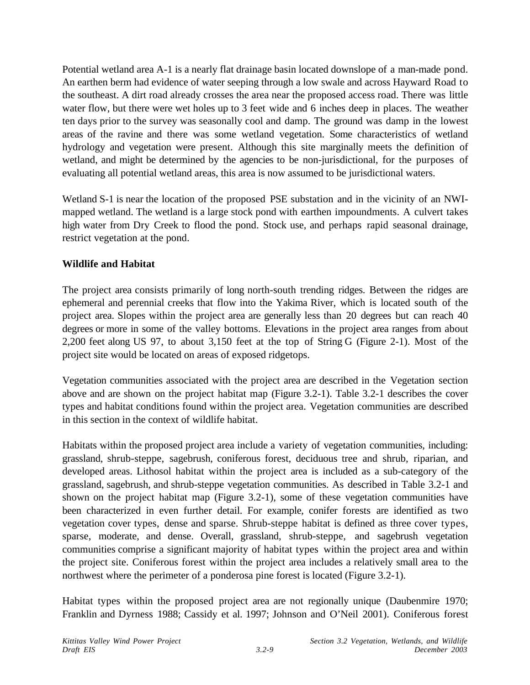Potential wetland area A-1 is a nearly flat drainage basin located downslope of a man-made pond. An earthen berm had evidence of water seeping through a low swale and across Hayward Road to the southeast. A dirt road already crosses the area near the proposed access road. There was little water flow, but there were wet holes up to 3 feet wide and 6 inches deep in places. The weather ten days prior to the survey was seasonally cool and damp. The ground was damp in the lowest areas of the ravine and there was some wetland vegetation. Some characteristics of wetland hydrology and vegetation were present. Although this site marginally meets the definition of wetland, and might be determined by the agencies to be non-jurisdictional, for the purposes of evaluating all potential wetland areas, this area is now assumed to be jurisdictional waters.

Wetland S-1 is near the location of the proposed PSE substation and in the vicinity of an NWImapped wetland. The wetland is a large stock pond with earthen impoundments. A culvert takes high water from Dry Creek to flood the pond. Stock use, and perhaps rapid seasonal drainage, restrict vegetation at the pond.

# **Wildlife and Habitat**

The project area consists primarily of long north-south trending ridges. Between the ridges are ephemeral and perennial creeks that flow into the Yakima River, which is located south of the project area. Slopes within the project area are generally less than 20 degrees but can reach 40 degrees or more in some of the valley bottoms. Elevations in the project area ranges from about 2,200 feet along US 97, to about 3,150 feet at the top of String G (Figure 2-1). Most of the project site would be located on areas of exposed ridgetops.

Vegetation communities associated with the project area are described in the Vegetation section above and are shown on the project habitat map (Figure 3.2-1). Table 3.2-1 describes the cover types and habitat conditions found within the project area. Vegetation communities are described in this section in the context of wildlife habitat.

Habitats within the proposed project area include a variety of vegetation communities, including: grassland, shrub-steppe, sagebrush, coniferous forest, deciduous tree and shrub, riparian, and developed areas. Lithosol habitat within the project area is included as a sub-category of the grassland, sagebrush, and shrub-steppe vegetation communities. As described in Table 3.2-1 and shown on the project habitat map (Figure 3.2-1), some of these vegetation communities have been characterized in even further detail. For example, conifer forests are identified as two vegetation cover types, dense and sparse. Shrub-steppe habitat is defined as three cover types, sparse, moderate, and dense. Overall, grassland, shrub-steppe, and sagebrush vegetation communities comprise a significant majority of habitat types within the project area and within the project site. Coniferous forest within the project area includes a relatively small area to the northwest where the perimeter of a ponderosa pine forest is located (Figure 3.2-1).

Habitat types within the proposed project area are not regionally unique (Daubenmire 1970; Franklin and Dyrness 1988; Cassidy et al. 1997; Johnson and O'Neil 2001). Coniferous forest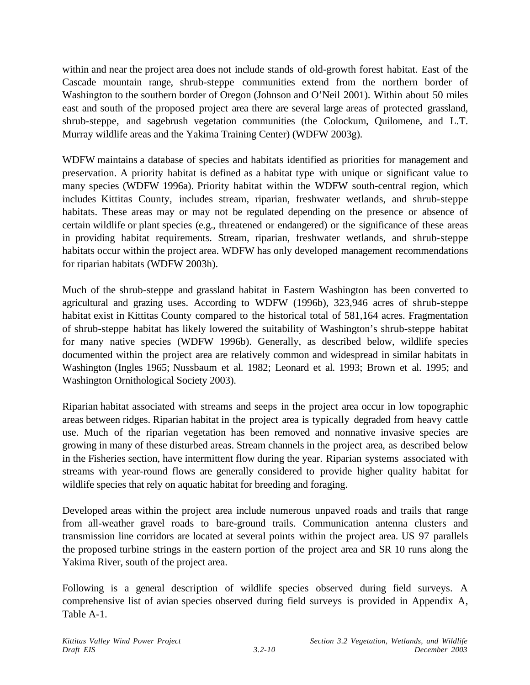within and near the project area does not include stands of old-growth forest habitat. East of the Cascade mountain range, shrub-steppe communities extend from the northern border of Washington to the southern border of Oregon (Johnson and O'Neil 2001). Within about 50 miles east and south of the proposed project area there are several large areas of protected grassland, shrub-steppe, and sagebrush vegetation communities (the Colockum, Quilomene, and L.T. Murray wildlife areas and the Yakima Training Center) (WDFW 2003g).

WDFW maintains a database of species and habitats identified as priorities for management and preservation. A priority habitat is defined as a habitat type with unique or significant value to many species (WDFW 1996a). Priority habitat within the WDFW south-central region, which includes Kittitas County, includes stream, riparian, freshwater wetlands, and shrub-steppe habitats. These areas may or may not be regulated depending on the presence or absence of certain wildlife or plant species (e.g., threatened or endangered) or the significance of these areas in providing habitat requirements. Stream, riparian, freshwater wetlands, and shrub-steppe habitats occur within the project area. WDFW has only developed management recommendations for riparian habitats (WDFW 2003h).

Much of the shrub-steppe and grassland habitat in Eastern Washington has been converted to agricultural and grazing uses. According to WDFW (1996b), 323,946 acres of shrub-steppe habitat exist in Kittitas County compared to the historical total of 581,164 acres. Fragmentation of shrub-steppe habitat has likely lowered the suitability of Washington's shrub-steppe habitat for many native species (WDFW 1996b). Generally, as described below, wildlife species documented within the project area are relatively common and widespread in similar habitats in Washington (Ingles 1965; Nussbaum et al. 1982; Leonard et al. 1993; Brown et al. 1995; and Washington Ornithological Society 2003).

Riparian habitat associated with streams and seeps in the project area occur in low topographic areas between ridges. Riparian habitat in the project area is typically degraded from heavy cattle use. Much of the riparian vegetation has been removed and nonnative invasive species are growing in many of these disturbed areas. Stream channels in the project area, as described below in the Fisheries section, have intermittent flow during the year. Riparian systems associated with streams with year-round flows are generally considered to provide higher quality habitat for wildlife species that rely on aquatic habitat for breeding and foraging.

Developed areas within the project area include numerous unpaved roads and trails that range from all-weather gravel roads to bare-ground trails. Communication antenna clusters and transmission line corridors are located at several points within the project area. US 97 parallels the proposed turbine strings in the eastern portion of the project area and SR 10 runs along the Yakima River, south of the project area.

Following is a general description of wildlife species observed during field surveys. A comprehensive list of avian species observed during field surveys is provided in Appendix A, Table A-1.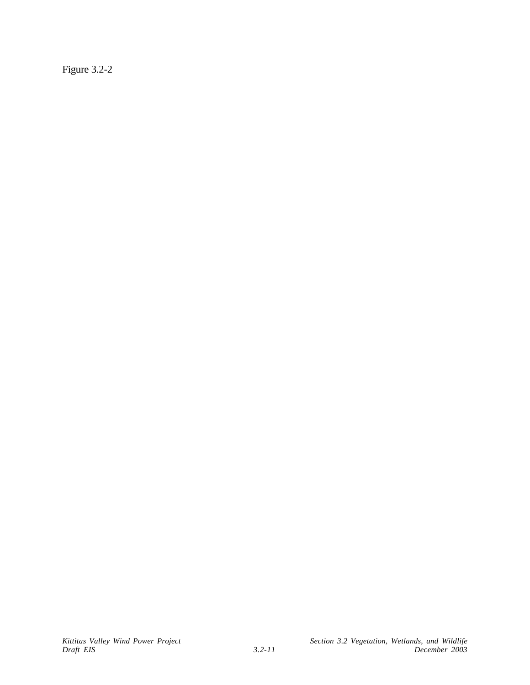Figure 3.2-2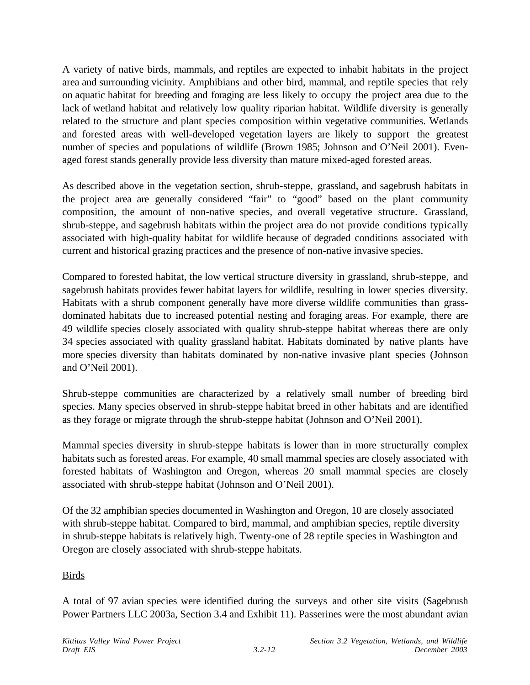A variety of native birds, mammals, and reptiles are expected to inhabit habitats in the project area and surrounding vicinity. Amphibians and other bird, mammal, and reptile species that rely on aquatic habitat for breeding and foraging are less likely to occupy the project area due to the lack of wetland habitat and relatively low quality riparian habitat. Wildlife diversity is generally related to the structure and plant species composition within vegetative communities. Wetlands and forested areas with well-developed vegetation layers are likely to support the greatest number of species and populations of wildlife (Brown 1985; Johnson and O'Neil 2001). Evenaged forest stands generally provide less diversity than mature mixed-aged forested areas.

As described above in the vegetation section, shrub-steppe, grassland, and sagebrush habitats in the project area are generally considered "fair" to "good" based on the plant community composition, the amount of non-native species, and overall vegetative structure. Grassland, shrub-steppe, and sagebrush habitats within the project area do not provide conditions typically associated with high-quality habitat for wildlife because of degraded conditions associated with current and historical grazing practices and the presence of non-native invasive species.

Compared to forested habitat, the low vertical structure diversity in grassland, shrub-steppe, and sagebrush habitats provides fewer habitat layers for wildlife, resulting in lower species diversity. Habitats with a shrub component generally have more diverse wildlife communities than grassdominated habitats due to increased potential nesting and foraging areas. For example, there are 49 wildlife species closely associated with quality shrub-steppe habitat whereas there are only 34 species associated with quality grassland habitat. Habitats dominated by native plants have more species diversity than habitats dominated by non-native invasive plant species (Johnson and O'Neil 2001).

Shrub-steppe communities are characterized by a relatively small number of breeding bird species. Many species observed in shrub-steppe habitat breed in other habitats and are identified as they forage or migrate through the shrub-steppe habitat (Johnson and O'Neil 2001).

Mammal species diversity in shrub-steppe habitats is lower than in more structurally complex habitats such as forested areas. For example, 40 small mammal species are closely associated with forested habitats of Washington and Oregon, whereas 20 small mammal species are closely associated with shrub-steppe habitat (Johnson and O'Neil 2001).

Of the 32 amphibian species documented in Washington and Oregon, 10 are closely associated with shrub-steppe habitat. Compared to bird, mammal, and amphibian species, reptile diversity in shrub-steppe habitats is relatively high. Twenty-one of 28 reptile species in Washington and Oregon are closely associated with shrub-steppe habitats.

# Birds

A total of 97 avian species were identified during the surveys and other site visits (Sagebrush Power Partners LLC 2003a, Section 3.4 and Exhibit 11). Passerines were the most abundant avian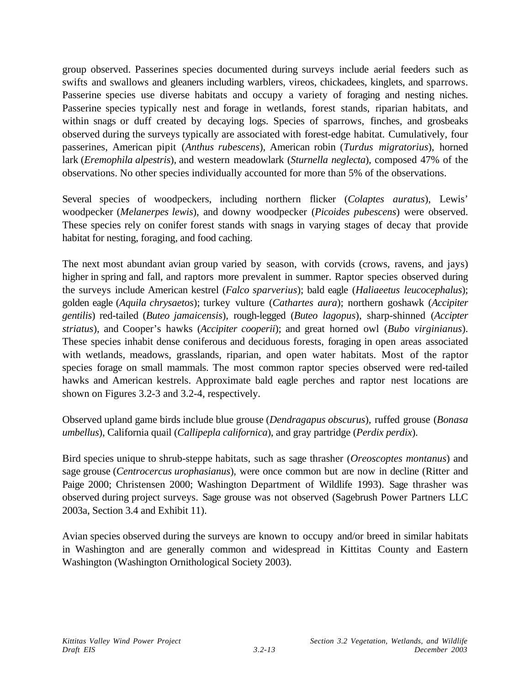group observed. Passerines species documented during surveys include aerial feeders such as swifts and swallows and gleaners including warblers, vireos, chickadees, kinglets, and sparrows. Passerine species use diverse habitats and occupy a variety of foraging and nesting niches. Passerine species typically nest and forage in wetlands, forest stands, riparian habitats, and within snags or duff created by decaying logs. Species of sparrows, finches, and grosbeaks observed during the surveys typically are associated with forest-edge habitat. Cumulatively, four passerines, American pipit (*Anthus rubescens*), American robin (*Turdus migratorius*), horned lark (*Eremophila alpestris*), and western meadowlark (*Sturnella neglecta*), composed 47% of the observations. No other species individually accounted for more than 5% of the observations.

Several species of woodpeckers, including northern flicker (*Colaptes auratus*), Lewis' woodpecker (*Melanerpes lewis*), and downy woodpecker (*Picoides pubescens*) were observed. These species rely on conifer forest stands with snags in varying stages of decay that provide habitat for nesting, foraging, and food caching.

The next most abundant avian group varied by season, with corvids (crows, ravens, and jays) higher in spring and fall, and raptors more prevalent in summer. Raptor species observed during the surveys include American kestrel (*Falco sparverius*); bald eagle (*Haliaeetus leucocephalus*); golden eagle (*Aquila chrysaetos*); turkey vulture (*Cathartes aura*); northern goshawk (*Accipiter gentilis*) red-tailed (*Buteo jamaicensis*), rough-legged (*Buteo lagopus*), sharp-shinned (*Accipter striatus*), and Cooper's hawks (*Accipiter cooperii*); and great horned owl (*Bubo virginianus*). These species inhabit dense coniferous and deciduous forests, foraging in open areas associated with wetlands, meadows, grasslands, riparian, and open water habitats. Most of the raptor species forage on small mammals. The most common raptor species observed were red-tailed hawks and American kestrels. Approximate bald eagle perches and raptor nest locations are shown on Figures 3.2-3 and 3.2-4, respectively.

Observed upland game birds include blue grouse (*Dendragapus obscurus*), ruffed grouse (*Bonasa umbellus*), California quail (*Callipepla californica*), and gray partridge (*Perdix perdix*).

Bird species unique to shrub-steppe habitats, such as sage thrasher (*Oreoscoptes montanus*) and sage grouse (*Centrocercus urophasianus*), were once common but are now in decline (Ritter and Paige 2000; Christensen 2000; Washington Department of Wildlife 1993). Sage thrasher was observed during project surveys. Sage grouse was not observed (Sagebrush Power Partners LLC 2003a, Section 3.4 and Exhibit 11).

Avian species observed during the surveys are known to occupy and/or breed in similar habitats in Washington and are generally common and widespread in Kittitas County and Eastern Washington (Washington Ornithological Society 2003).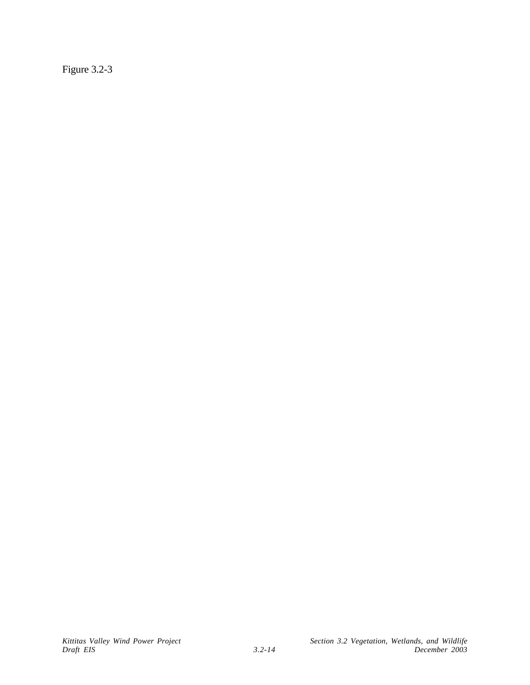Figure 3.2-3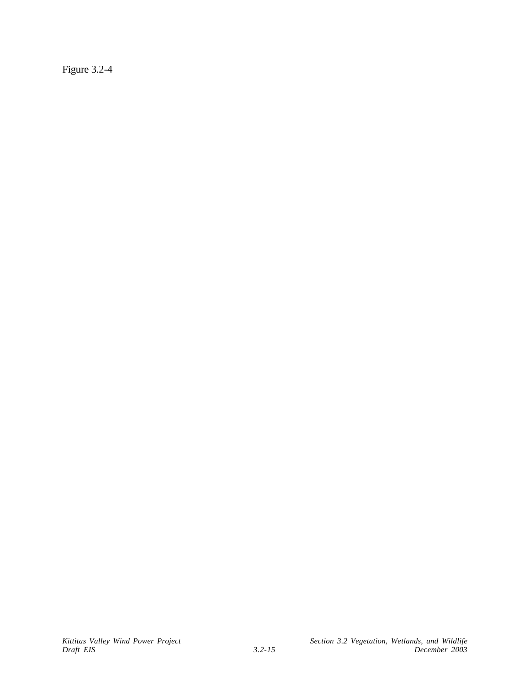Figure 3.2-4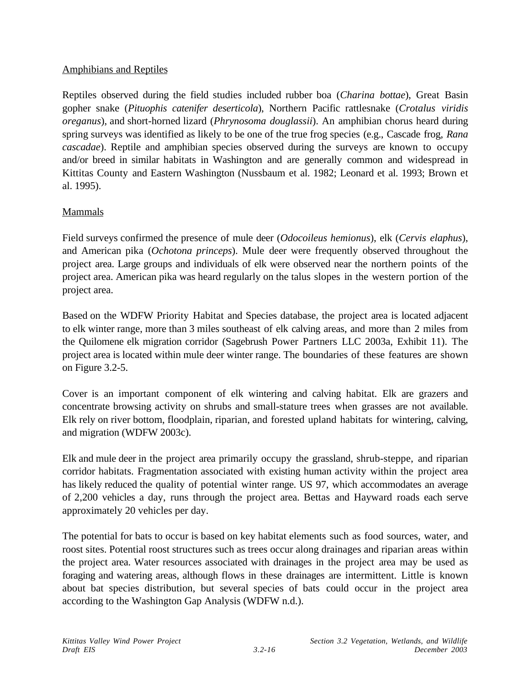## Amphibians and Reptiles

Reptiles observed during the field studies included rubber boa (*Charina bottae*), Great Basin gopher snake (*Pituophis catenifer deserticola*), Northern Pacific rattlesnake (*Crotalus viridis oreganus*), and short-horned lizard (*Phrynosoma douglassii*). An amphibian chorus heard during spring surveys was identified as likely to be one of the true frog species (e.g., Cascade frog, *Rana cascadae*). Reptile and amphibian species observed during the surveys are known to occupy and/or breed in similar habitats in Washington and are generally common and widespread in Kittitas County and Eastern Washington (Nussbaum et al. 1982; Leonard et al. 1993; Brown et al. 1995).

# Mammals

Field surveys confirmed the presence of mule deer (*Odocoileus hemionus*), elk (*Cervis elaphus*), and American pika (*Ochotona princeps*). Mule deer were frequently observed throughout the project area. Large groups and individuals of elk were observed near the northern points of the project area. American pika was heard regularly on the talus slopes in the western portion of the project area.

Based on the WDFW Priority Habitat and Species database, the project area is located adjacent to elk winter range, more than 3 miles southeast of elk calving areas, and more than 2 miles from the Quilomene elk migration corridor (Sagebrush Power Partners LLC 2003a, Exhibit 11). The project area is located within mule deer winter range. The boundaries of these features are shown on Figure 3.2-5.

Cover is an important component of elk wintering and calving habitat. Elk are grazers and concentrate browsing activity on shrubs and small-stature trees when grasses are not available. Elk rely on river bottom, floodplain, riparian, and forested upland habitats for wintering, calving, and migration (WDFW 2003c).

Elk and mule deer in the project area primarily occupy the grassland, shrub-steppe, and riparian corridor habitats. Fragmentation associated with existing human activity within the project area has likely reduced the quality of potential winter range. US 97, which accommodates an average of 2,200 vehicles a day, runs through the project area. Bettas and Hayward roads each serve approximately 20 vehicles per day.

The potential for bats to occur is based on key habitat elements such as food sources, water, and roost sites. Potential roost structures such as trees occur along drainages and riparian areas within the project area. Water resources associated with drainages in the project area may be used as foraging and watering areas, although flows in these drainages are intermittent. Little is known about bat species distribution, but several species of bats could occur in the project area according to the Washington Gap Analysis (WDFW n.d.).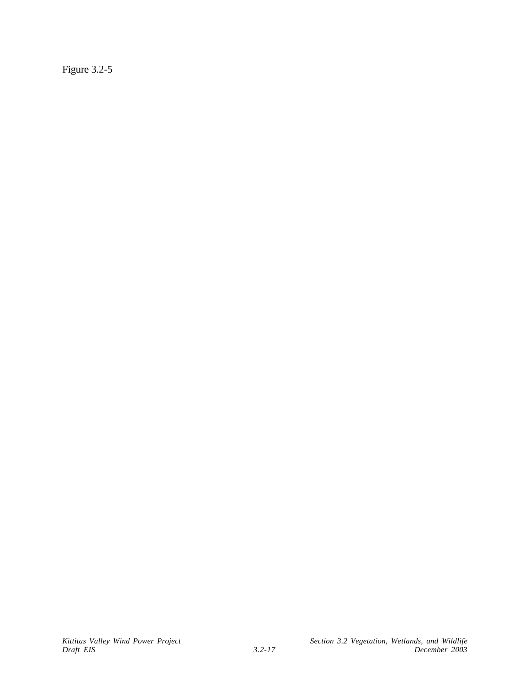Figure 3.2-5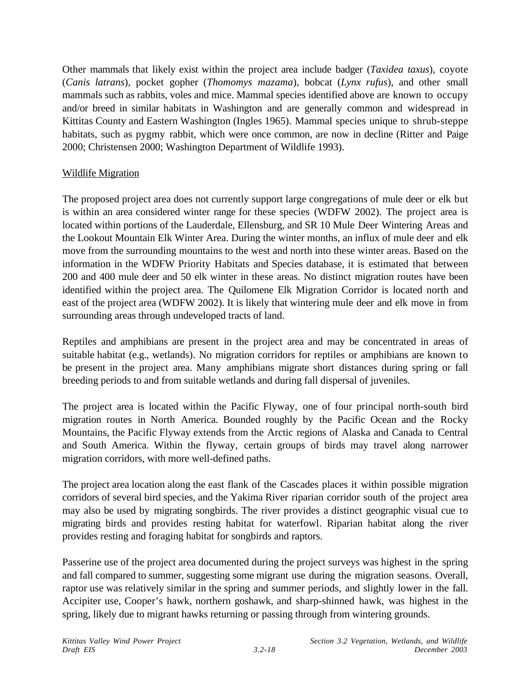Other mammals that likely exist within the project area include badger (*Taxidea taxus*), coyote (*Canis latrans*), pocket gopher (*Thomomys mazama*), bobcat (*Lynx rufus*), and other small mammals such as rabbits, voles and mice. Mammal species identified above are known to occupy and/or breed in similar habitats in Washington and are generally common and widespread in Kittitas County and Eastern Washington (Ingles 1965). Mammal species unique to shrub-steppe habitats, such as pygmy rabbit, which were once common, are now in decline (Ritter and Paige 2000; Christensen 2000; Washington Department of Wildlife 1993).

# Wildlife Migration

The proposed project area does not currently support large congregations of mule deer or elk but is within an area considered winter range for these species (WDFW 2002). The project area is located within portions of the Lauderdale, Ellensburg, and SR 10 Mule Deer Wintering Areas and the Lookout Mountain Elk Winter Area. During the winter months, an influx of mule deer and elk move from the surrounding mountains to the west and north into these winter areas. Based on the information in the WDFW Priority Habitats and Species database, it is estimated that between 200 and 400 mule deer and 50 elk winter in these areas. No distinct migration routes have been identified within the project area. The Quilomene Elk Migration Corridor is located north and east of the project area (WDFW 2002). It is likely that wintering mule deer and elk move in from surrounding areas through undeveloped tracts of land.

Reptiles and amphibians are present in the project area and may be concentrated in areas of suitable habitat (e.g., wetlands). No migration corridors for reptiles or amphibians are known to be present in the project area. Many amphibians migrate short distances during spring or fall breeding periods to and from suitable wetlands and during fall dispersal of juveniles.

The project area is located within the Pacific Flyway, one of four principal north-south bird migration routes in North America. Bounded roughly by the Pacific Ocean and the Rocky Mountains, the Pacific Flyway extends from the Arctic regions of Alaska and Canada to Central and South America. Within the flyway, certain groups of birds may travel along narrower migration corridors, with more well-defined paths.

The project area location along the east flank of the Cascades places it within possible migration corridors of several bird species, and the Yakima River riparian corridor south of the project area may also be used by migrating songbirds. The river provides a distinct geographic visual cue to migrating birds and provides resting habitat for waterfowl. Riparian habitat along the river provides resting and foraging habitat for songbirds and raptors.

Passerine use of the project area documented during the project surveys was highest in the spring and fall compared to summer, suggesting some migrant use during the migration seasons. Overall, raptor use was relatively similar in the spring and summer periods, and slightly lower in the fall. Accipiter use, Cooper's hawk, northern goshawk, and sharp-shinned hawk, was highest in the spring, likely due to migrant hawks returning or passing through from wintering grounds.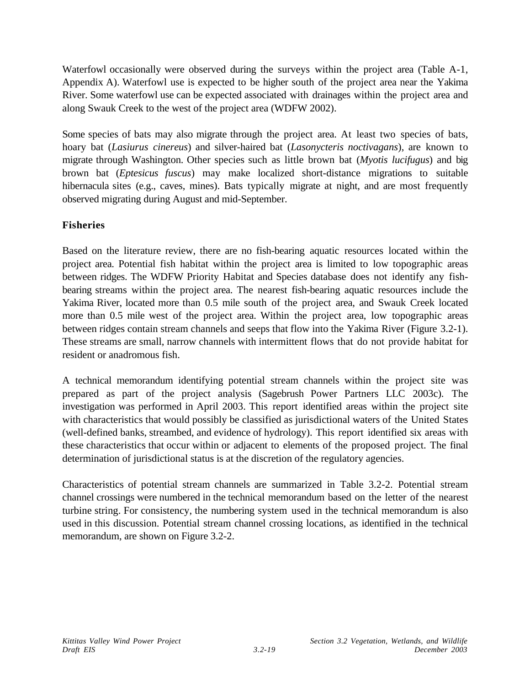Waterfowl occasionally were observed during the surveys within the project area (Table A-1, Appendix A). Waterfowl use is expected to be higher south of the project area near the Yakima River. Some waterfowl use can be expected associated with drainages within the project area and along Swauk Creek to the west of the project area (WDFW 2002).

Some species of bats may also migrate through the project area. At least two species of bats, hoary bat (*Lasiurus cinereus*) and silver-haired bat (*Lasonycteris noctivagans*), are known to migrate through Washington. Other species such as little brown bat (*Myotis lucifugus*) and big brown bat (*Eptesicus fuscus*) may make localized short-distance migrations to suitable hibernacula sites (e.g., caves, mines). Bats typically migrate at night, and are most frequently observed migrating during August and mid-September.

# **Fisheries**

Based on the literature review, there are no fish-bearing aquatic resources located within the project area. Potential fish habitat within the project area is limited to low topographic areas between ridges. The WDFW Priority Habitat and Species database does not identify any fishbearing streams within the project area. The nearest fish-bearing aquatic resources include the Yakima River, located more than 0.5 mile south of the project area, and Swauk Creek located more than 0.5 mile west of the project area. Within the project area, low topographic areas between ridges contain stream channels and seeps that flow into the Yakima River (Figure 3.2-1). These streams are small, narrow channels with intermittent flows that do not provide habitat for resident or anadromous fish.

A technical memorandum identifying potential stream channels within the project site was prepared as part of the project analysis (Sagebrush Power Partners LLC 2003c). The investigation was performed in April 2003. This report identified areas within the project site with characteristics that would possibly be classified as jurisdictional waters of the United States (well-defined banks, streambed, and evidence of hydrology). This report identified six areas with these characteristics that occur within or adjacent to elements of the proposed project. The final determination of jurisdictional status is at the discretion of the regulatory agencies.

Characteristics of potential stream channels are summarized in Table 3.2-2. Potential stream channel crossings were numbered in the technical memorandum based on the letter of the nearest turbine string. For consistency, the numbering system used in the technical memorandum is also used in this discussion. Potential stream channel crossing locations, as identified in the technical memorandum, are shown on Figure 3.2-2.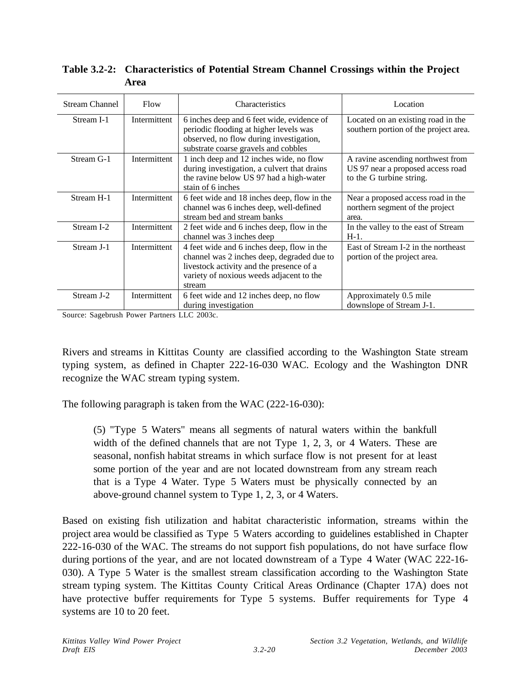| <b>Stream Channel</b> | Flow         | Characteristics                                                                                                                                                                            | Location                                                                                           |
|-----------------------|--------------|--------------------------------------------------------------------------------------------------------------------------------------------------------------------------------------------|----------------------------------------------------------------------------------------------------|
| Stream I-1            | Intermittent | 6 inches deep and 6 feet wide, evidence of<br>periodic flooding at higher levels was<br>observed, no flow during investigation,<br>substrate coarse gravels and cobbles                    | Located on an existing road in the<br>southern portion of the project area.                        |
| Stream G-1            | Intermittent | 1 inch deep and 12 inches wide, no flow<br>during investigation, a culvert that drains<br>the ravine below US 97 had a high-water<br>stain of 6 inches                                     | A ravine ascending northwest from<br>US 97 near a proposed access road<br>to the G turbine string. |
| Stream H-1            | Intermittent | 6 feet wide and 18 inches deep, flow in the<br>channel was 6 inches deep, well-defined<br>stream bed and stream banks                                                                      | Near a proposed access road in the<br>northern segment of the project<br>area.                     |
| Stream I-2            | Intermittent | 2 feet wide and 6 inches deep, flow in the<br>channel was 3 inches deep                                                                                                                    | In the valley to the east of Stream<br>$H-1$ .                                                     |
| Stream J-1            | Intermittent | 4 feet wide and 6 inches deep, flow in the<br>channel was 2 inches deep, degraded due to<br>livestock activity and the presence of a<br>variety of noxious weeds adjacent to the<br>stream | East of Stream I-2 in the northeast<br>portion of the project area.                                |
| Stream J-2            | Intermittent | 6 feet wide and 12 inches deep, no flow<br>during investigation                                                                                                                            | Approximately 0.5 mile<br>downslope of Stream J-1.                                                 |

**Table 3.2-2: Characteristics of Potential Stream Channel Crossings within the Project Area**

Source: Sagebrush Power Partners LLC 2003c.

Rivers and streams in Kittitas County are classified according to the Washington State stream typing system, as defined in Chapter 222-16-030 WAC. Ecology and the Washington DNR recognize the WAC stream typing system.

The following paragraph is taken from the WAC (222-16-030):

(5) "Type 5 Waters" means all segments of natural waters within the bankfull width of the defined channels that are not Type 1, 2, 3, or 4 Waters. These are seasonal, nonfish habitat streams in which surface flow is not present for at least some portion of the year and are not located downstream from any stream reach that is a Type 4 Water. Type 5 Waters must be physically connected by an above-ground channel system to Type 1, 2, 3, or 4 Waters.

Based on existing fish utilization and habitat characteristic information, streams within the project area would be classified as Type 5 Waters according to guidelines established in Chapter 222-16-030 of the WAC. The streams do not support fish populations, do not have surface flow during portions of the year, and are not located downstream of a Type 4 Water (WAC 222-16- 030). A Type 5 Water is the smallest stream classification according to the Washington State stream typing system. The Kittitas County Critical Areas Ordinance (Chapter 17A) does not have protective buffer requirements for Type 5 systems. Buffer requirements for Type 4 systems are 10 to 20 feet.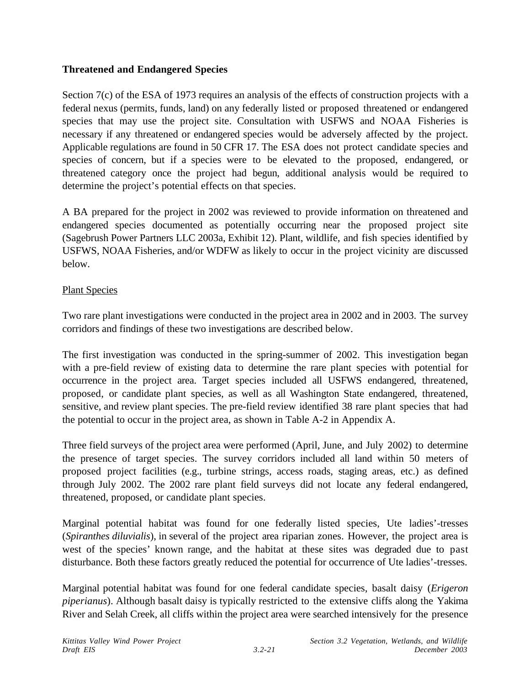## **Threatened and Endangered Species**

Section 7(c) of the ESA of 1973 requires an analysis of the effects of construction projects with a federal nexus (permits, funds, land) on any federally listed or proposed threatened or endangered species that may use the project site. Consultation with USFWS and NOAA Fisheries is necessary if any threatened or endangered species would be adversely affected by the project. Applicable regulations are found in 50 CFR 17. The ESA does not protect candidate species and species of concern, but if a species were to be elevated to the proposed, endangered, or threatened category once the project had begun, additional analysis would be required to determine the project's potential effects on that species.

A BA prepared for the project in 2002 was reviewed to provide information on threatened and endangered species documented as potentially occurring near the proposed project site (Sagebrush Power Partners LLC 2003a, Exhibit 12). Plant, wildlife, and fish species identified by USFWS, NOAA Fisheries, and/or WDFW as likely to occur in the project vicinity are discussed below.

## Plant Species

Two rare plant investigations were conducted in the project area in 2002 and in 2003. The survey corridors and findings of these two investigations are described below.

The first investigation was conducted in the spring-summer of 2002. This investigation began with a pre-field review of existing data to determine the rare plant species with potential for occurrence in the project area. Target species included all USFWS endangered, threatened, proposed, or candidate plant species, as well as all Washington State endangered, threatened, sensitive, and review plant species. The pre-field review identified 38 rare plant species that had the potential to occur in the project area, as shown in Table A-2 in Appendix A.

Three field surveys of the project area were performed (April, June, and July 2002) to determine the presence of target species. The survey corridors included all land within 50 meters of proposed project facilities (e.g., turbine strings, access roads, staging areas, etc.) as defined through July 2002. The 2002 rare plant field surveys did not locate any federal endangered, threatened, proposed, or candidate plant species.

Marginal potential habitat was found for one federally listed species, Ute ladies'-tresses (*Spiranthes diluvialis*), in several of the project area riparian zones. However, the project area is west of the species' known range, and the habitat at these sites was degraded due to past disturbance. Both these factors greatly reduced the potential for occurrence of Ute ladies'-tresses.

Marginal potential habitat was found for one federal candidate species, basalt daisy (*Erigeron piperianus*). Although basalt daisy is typically restricted to the extensive cliffs along the Yakima River and Selah Creek, all cliffs within the project area were searched intensively for the presence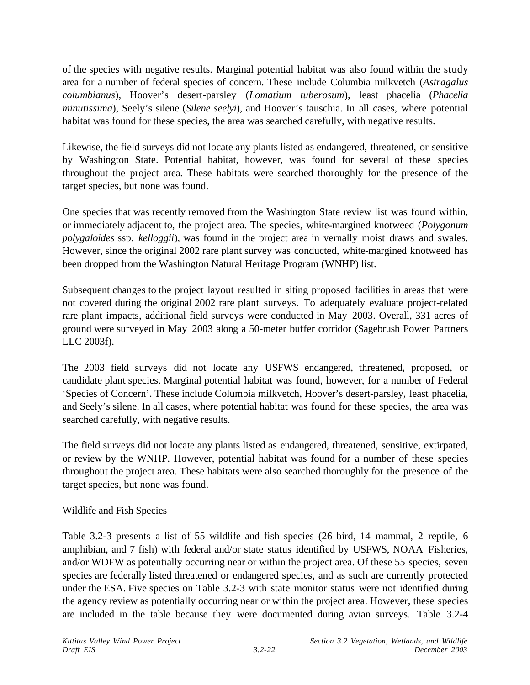of the species with negative results. Marginal potential habitat was also found within the study area for a number of federal species of concern. These include Columbia milkvetch (*Astragalus columbianus*), Hoover's desert-parsley (*Lomatium tuberosum*), least phacelia (*Phacelia minutissima*), Seely's silene (*Silene seelyi*), and Hoover's tauschia. In all cases, where potential habitat was found for these species, the area was searched carefully, with negative results.

Likewise, the field surveys did not locate any plants listed as endangered, threatened, or sensitive by Washington State. Potential habitat, however, was found for several of these species throughout the project area. These habitats were searched thoroughly for the presence of the target species, but none was found.

One species that was recently removed from the Washington State review list was found within, or immediately adjacent to, the project area. The species, white-margined knotweed (*Polygonum polygaloides* ssp. *kelloggii*), was found in the project area in vernally moist draws and swales. However, since the original 2002 rare plant survey was conducted, white-margined knotweed has been dropped from the Washington Natural Heritage Program (WNHP) list.

Subsequent changes to the project layout resulted in siting proposed facilities in areas that were not covered during the original 2002 rare plant surveys. To adequately evaluate project-related rare plant impacts, additional field surveys were conducted in May 2003. Overall, 331 acres of ground were surveyed in May 2003 along a 50-meter buffer corridor (Sagebrush Power Partners LLC 2003f).

The 2003 field surveys did not locate any USFWS endangered, threatened, proposed, or candidate plant species. Marginal potential habitat was found, however, for a number of Federal 'Species of Concern'. These include Columbia milkvetch, Hoover's desert-parsley, least phacelia, and Seely's silene. In all cases, where potential habitat was found for these species, the area was searched carefully, with negative results.

The field surveys did not locate any plants listed as endangered, threatened, sensitive, extirpated, or review by the WNHP. However, potential habitat was found for a number of these species throughout the project area. These habitats were also searched thoroughly for the presence of the target species, but none was found.

### Wildlife and Fish Species

Table 3.2-3 presents a list of 55 wildlife and fish species (26 bird, 14 mammal, 2 reptile, 6 amphibian, and 7 fish) with federal and/or state status identified by USFWS, NOAA Fisheries, and/or WDFW as potentially occurring near or within the project area. Of these 55 species, seven species are federally listed threatened or endangered species, and as such are currently protected under the ESA. Five species on Table 3.2-3 with state monitor status were not identified during the agency review as potentially occurring near or within the project area. However, these species are included in the table because they were documented during avian surveys. Table 3.2-4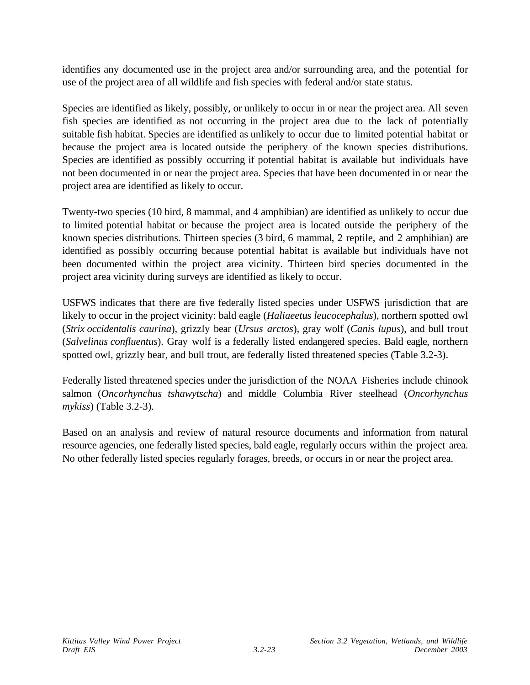identifies any documented use in the project area and/or surrounding area, and the potential for use of the project area of all wildlife and fish species with federal and/or state status.

Species are identified as likely, possibly, or unlikely to occur in or near the project area. All seven fish species are identified as not occurring in the project area due to the lack of potentially suitable fish habitat. Species are identified as unlikely to occur due to limited potential habitat or because the project area is located outside the periphery of the known species distributions. Species are identified as possibly occurring if potential habitat is available but individuals have not been documented in or near the project area. Species that have been documented in or near the project area are identified as likely to occur.

Twenty-two species (10 bird, 8 mammal, and 4 amphibian) are identified as unlikely to occur due to limited potential habitat or because the project area is located outside the periphery of the known species distributions. Thirteen species (3 bird, 6 mammal, 2 reptile, and 2 amphibian) are identified as possibly occurring because potential habitat is available but individuals have not been documented within the project area vicinity. Thirteen bird species documented in the project area vicinity during surveys are identified as likely to occur.

USFWS indicates that there are five federally listed species under USFWS jurisdiction that are likely to occur in the project vicinity: bald eagle (*Haliaeetus leucocephalus*), northern spotted owl (*Strix occidentalis caurina*), grizzly bear (*Ursus arctos*), gray wolf (*Canis lupus*), and bull trout (*Salvelinus confluentus*). Gray wolf is a federally listed endangered species. Bald eagle, northern spotted owl, grizzly bear, and bull trout, are federally listed threatened species (Table 3.2-3).

Federally listed threatened species under the jurisdiction of the NOAA Fisheries include chinook salmon (*Oncorhynchus tshawytscha*) and middle Columbia River steelhead (*Oncorhynchus mykiss*) (Table 3.2-3).

Based on an analysis and review of natural resource documents and information from natural resource agencies, one federally listed species, bald eagle, regularly occurs within the project area. No other federally listed species regularly forages, breeds, or occurs in or near the project area.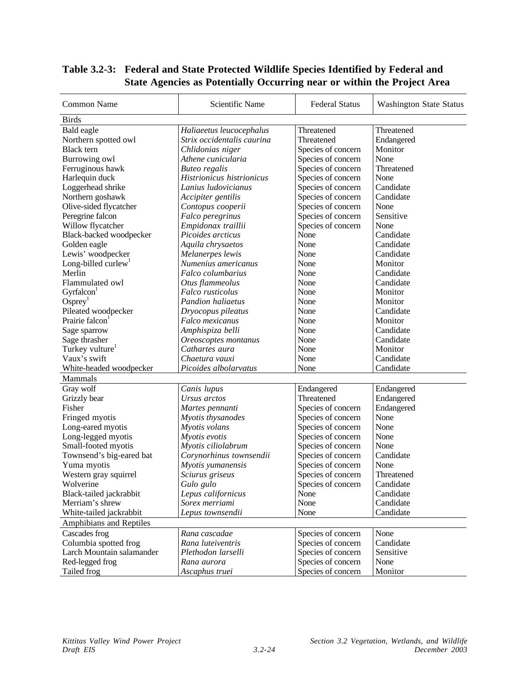| Common Name                     | Scientific Name            | <b>Federal Status</b>                    | <b>Washington State Status</b> |
|---------------------------------|----------------------------|------------------------------------------|--------------------------------|
| <b>Birds</b>                    |                            |                                          |                                |
| Bald eagle                      | Haliaeetus leucocephalus   | Threatened                               | Threatened                     |
| Northern spotted owl            | Strix occidentalis caurina | Threatened                               | Endangered                     |
| <b>Black</b> tern               | Chlidonias niger           | Species of concern                       | Monitor                        |
| Burrowing owl                   | Athene cunicularia         | Species of concern                       | None                           |
| Ferruginous hawk                | <b>Buteo</b> regalis       | Species of concern                       | Threatened                     |
| Harlequin duck                  | Histrionicus histrionicus  | Species of concern                       | None                           |
| Loggerhead shrike               | Lanius ludovicianus        | Species of concern                       | Candidate                      |
| Northern goshawk                | Accipiter gentilis         | Species of concern                       | Candidate                      |
| Olive-sided flycatcher          | Contopus cooperii          | Species of concern                       | None                           |
| Peregrine falcon                | Falco peregrinus           | Species of concern                       | Sensitive                      |
| Willow flycatcher               | Empidonax traillii         | Species of concern                       | None                           |
| Black-backed woodpecker         | Picoides arcticus          | None                                     | Candidate                      |
| Golden eagle                    | Aquila chrysaetos          | None                                     | Candidate                      |
| Lewis' woodpecker               | Melanerpes lewis           | None                                     | Candidate                      |
| Long-billed curlew <sup>1</sup> | Numenius americanus        | None                                     | Monitor                        |
| Merlin                          | Falco columbarius          | None                                     | Candidate                      |
| Flammulated owl                 | Otus flammeolus            | None                                     | Candidate                      |
| Gyrfalcon <sup>1</sup>          | Falco rusticolus           | None                                     | Monitor                        |
| $O$ sprey $1$                   | <b>Pandion haliaetus</b>   | None                                     | Monitor                        |
| Pileated woodpecker             | Dryocopus pileatus         | None                                     | Candidate                      |
| Prairie falcon                  | Falco mexicanus            | None                                     | Monitor                        |
| Sage sparrow                    | Amphispiza belli           | None                                     | Candidate                      |
| Sage thrasher                   | Oreoscoptes montanus       | None                                     | Candidate                      |
| Turkey vulture                  | Cathartes aura             | None                                     | Monitor                        |
| Vaux's swift                    | Chaetura vauxi             | None                                     | Candidate                      |
| White-headed woodpecker         | Picoides albolarvatus      | None                                     | Candidate                      |
| Mammals                         |                            |                                          |                                |
| Gray wolf                       | Canis lupus                | Endangered                               | Endangered                     |
| Grizzly bear                    | Ursus arctos               | Threatened                               | Endangered                     |
| Fisher                          | Martes pennanti            | Species of concern                       | Endangered                     |
| Fringed myotis                  | Myotis thysanodes          | Species of concern                       | None                           |
| Long-eared myotis               | Myotis volans              | Species of concern                       | None                           |
| Long-legged myotis              | Myotis evotis              | Species of concern                       | None                           |
| Small-footed myotis             | Myotis ciliolabrum         | Species of concern                       | None                           |
| Townsend's big-eared bat        | Corynorhinus townsendii    | Species of concern                       | Candidate                      |
| Yuma myotis                     | Myotis yumanensis          | Species of concern                       | None                           |
| Western gray squirrel           | Sciurus griseus            | Species of concern                       | Threatened                     |
| Wolverine                       | Gulo gulo                  | Species of concern                       | Candidate                      |
| Black-tailed jackrabbit         | Lepus californicus         | None                                     | Candidate                      |
| Merriam's shrew                 | Sorex merriami             | None                                     | Candidate                      |
| White-tailed jackrabbit         | Lepus townsendii           | None                                     | Candidate                      |
| Amphibians and Reptiles         |                            |                                          |                                |
| Cascades frog                   | Rana cascadae              |                                          | None                           |
| Columbia spotted frog           | Rana luteiventris          | Species of concern<br>Species of concern | Candidate                      |
| Larch Mountain salamander       | Plethodon larselli         | Species of concern                       | Sensitive                      |
| Red-legged frog                 | Rana aurora                |                                          | None                           |
|                                 |                            | Species of concern<br>Species of concern |                                |
| Tailed frog                     | Ascaphus truei             |                                          | Monitor                        |

# **Table 3.2-3: Federal and State Protected Wildlife Species Identified by Federal and State Agencies as Potentially Occurring near or within the Project Area**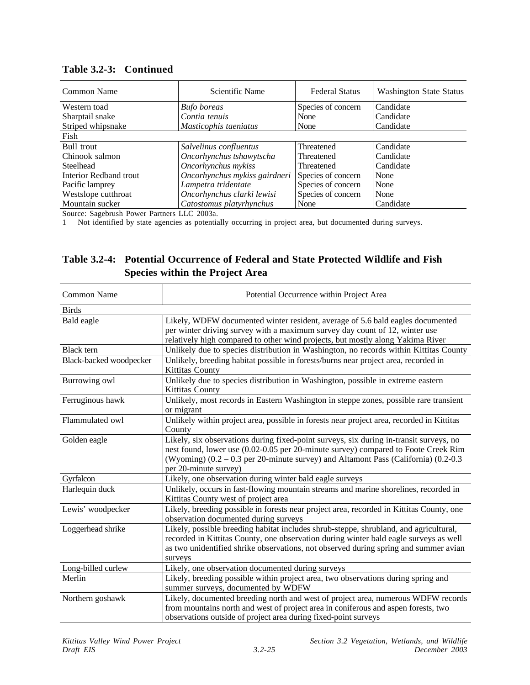| Common Name                                  | Scientific Name                             | <b>Federal Status</b> | <b>Washington State Status</b> |
|----------------------------------------------|---------------------------------------------|-----------------------|--------------------------------|
| Western toad                                 | <b>Bufo</b> boreas                          | Species of concern    | Candidate                      |
| Sharptail snake                              | Contia tenuis                               | None                  | Candidate                      |
| Striped whipsnake                            | Masticophis taeniatus                       | None                  | Candidate                      |
| Fish                                         |                                             |                       |                                |
| <b>Bull trout</b>                            | Salvelinus confluentus                      | Threatened            | Candidate                      |
| Chinook salmon                               | Oncorhynchus tshawytscha                    | Threatened            | Candidate                      |
| Steelhead                                    | Oncorhynchus mykiss                         | Threatened            | Candidate                      |
| Interior Redband trout                       | Oncorhynchus mykiss gairdneri               | Species of concern    | None                           |
| Pacific lamprey                              | Lampetra tridentate                         | Species of concern    | None                           |
| Westslope cutthroat                          | Oncorhynchus clarki lewisi                  | Species of concern    | None                           |
| Mountain sucker                              | Catostomus platyrhynchus                    | None                  | Candidate                      |
| $\alpha$ $\alpha$ $\alpha$ $\alpha$ $\alpha$ | $\mathbf{r}$ $\mathbf{r}$ $\alpha$ $\alpha$ |                       |                                |

#### **Table 3.2-3: Continued**

Source: Sagebrush Power Partners LLC 2003a.

1 Not identified by state agencies as potentially occurring in project area, but documented during surveys.

# **Table 3.2-4: Potential Occurrence of Federal and State Protected Wildlife and Fish Species within the Project Area**

| Common Name             | Potential Occurrence within Project Area                                                                                                                                                                                                                                                           |  |  |
|-------------------------|----------------------------------------------------------------------------------------------------------------------------------------------------------------------------------------------------------------------------------------------------------------------------------------------------|--|--|
| <b>Birds</b>            |                                                                                                                                                                                                                                                                                                    |  |  |
| Bald eagle              | Likely, WDFW documented winter resident, average of 5.6 bald eagles documented<br>per winter driving survey with a maximum survey day count of 12, winter use<br>relatively high compared to other wind projects, but mostly along Yakima River                                                    |  |  |
| <b>Black</b> tern       | Unlikely due to species distribution in Washington, no records within Kittitas County                                                                                                                                                                                                              |  |  |
| Black-backed woodpecker | Unlikely, breeding habitat possible in forests/burns near project area, recorded in<br>Kittitas County                                                                                                                                                                                             |  |  |
| Burrowing owl           | Unlikely due to species distribution in Washington, possible in extreme eastern<br>Kittitas County                                                                                                                                                                                                 |  |  |
| Ferruginous hawk        | Unlikely, most records in Eastern Washington in steppe zones, possible rare transient<br>or migrant                                                                                                                                                                                                |  |  |
| Flammulated owl         | Unlikely within project area, possible in forests near project area, recorded in Kittitas<br>County                                                                                                                                                                                                |  |  |
| Golden eagle            | Likely, six observations during fixed-point surveys, six during in-transit surveys, no<br>nest found, lower use (0.02-0.05 per 20-minute survey) compared to Foote Creek Rim<br>(Wyoming) $(0.2 - 0.3$ per 20-minute survey) and Altamont Pass (California) $(0.2 - 0.3)$<br>per 20-minute survey) |  |  |
| Gyrfalcon               | Likely, one observation during winter bald eagle surveys                                                                                                                                                                                                                                           |  |  |
| Harlequin duck          | Unlikely, occurs in fast-flowing mountain streams and marine shorelines, recorded in<br>Kittitas County west of project area                                                                                                                                                                       |  |  |
| Lewis' woodpecker       | Likely, breeding possible in forests near project area, recorded in Kittitas County, one<br>observation documented during surveys                                                                                                                                                                  |  |  |
| Loggerhead shrike       | Likely, possible breeding habitat includes shrub-steppe, shrubland, and agricultural,<br>recorded in Kittitas County, one observation during winter bald eagle surveys as well<br>as two unidentified shrike observations, not observed during spring and summer avian<br>surveys                  |  |  |
| Long-billed curlew      | Likely, one observation documented during surveys                                                                                                                                                                                                                                                  |  |  |
| Merlin                  | Likely, breeding possible within project area, two observations during spring and<br>summer surveys, documented by WDFW                                                                                                                                                                            |  |  |
| Northern goshawk        | Likely, documented breeding north and west of project area, numerous WDFW records<br>from mountains north and west of project area in coniferous and aspen forests, two<br>observations outside of project area during fixed-point surveys                                                         |  |  |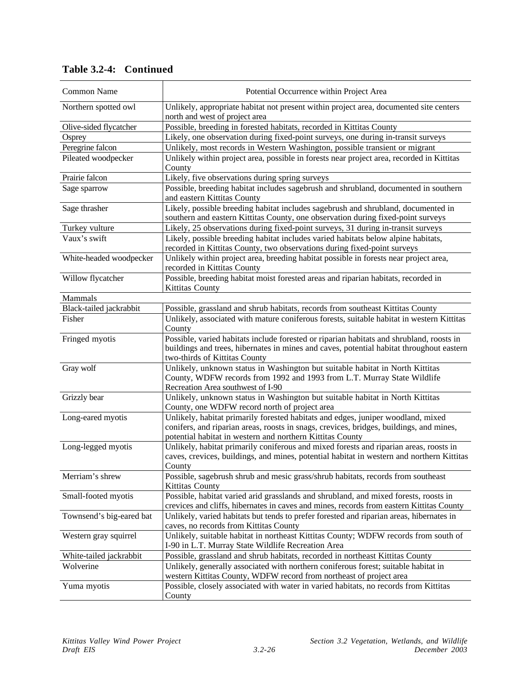| Common Name              | Potential Occurrence within Project Area                                                                                                                                                                                                 |
|--------------------------|------------------------------------------------------------------------------------------------------------------------------------------------------------------------------------------------------------------------------------------|
| Northern spotted owl     | Unlikely, appropriate habitat not present within project area, documented site centers<br>north and west of project area                                                                                                                 |
| Olive-sided flycatcher   | Possible, breeding in forested habitats, recorded in Kittitas County                                                                                                                                                                     |
| Osprey                   | Likely, one observation during fixed-point surveys, one during in-transit surveys                                                                                                                                                        |
| Peregrine falcon         | Unlikely, most records in Western Washington, possible transient or migrant                                                                                                                                                              |
| Pileated woodpecker      | Unlikely within project area, possible in forests near project area, recorded in Kittitas                                                                                                                                                |
|                          | County                                                                                                                                                                                                                                   |
| Prairie falcon           | Likely, five observations during spring surveys                                                                                                                                                                                          |
| Sage sparrow             | Possible, breeding habitat includes sagebrush and shrubland, documented in southern<br>and eastern Kittitas County                                                                                                                       |
| Sage thrasher            | Likely, possible breeding habitat includes sagebrush and shrubland, documented in<br>southern and eastern Kittitas County, one observation during fixed-point surveys                                                                    |
| Turkey vulture           | Likely, 25 observations during fixed-point surveys, 31 during in-transit surveys                                                                                                                                                         |
| Vaux's swift             | Likely, possible breeding habitat includes varied habitats below alpine habitats,<br>recorded in Kittitas County, two observations during fixed-point surveys                                                                            |
| White-headed woodpecker  | Unlikely within project area, breeding habitat possible in forests near project area,<br>recorded in Kittitas County                                                                                                                     |
| Willow flycatcher        | Possible, breeding habitat moist forested areas and riparian habitats, recorded in<br><b>Kittitas County</b>                                                                                                                             |
| Mammals                  |                                                                                                                                                                                                                                          |
| Black-tailed jackrabbit  | Possible, grassland and shrub habitats, records from southeast Kittitas County                                                                                                                                                           |
| Fisher                   | Unlikely, associated with mature coniferous forests, suitable habitat in western Kittitas<br>County                                                                                                                                      |
| Fringed myotis           | Possible, varied habitats include forested or riparian habitats and shrubland, roosts in<br>buildings and trees, hibernates in mines and caves, potential habitat throughout eastern<br>two-thirds of Kittitas County                    |
| Gray wolf                | Unlikely, unknown status in Washington but suitable habitat in North Kittitas<br>County, WDFW records from 1992 and 1993 from L.T. Murray State Wildlife<br>Recreation Area southwest of I-90                                            |
| Grizzly bear             | Unlikely, unknown status in Washington but suitable habitat in North Kittitas<br>County, one WDFW record north of project area                                                                                                           |
| Long-eared myotis        | Unlikely, habitat primarily forested habitats and edges, juniper woodland, mixed<br>conifers, and riparian areas, roosts in snags, crevices, bridges, buildings, and mines,<br>potential habitat in western and northern Kittitas County |
| Long-legged myotis       | Unlikely, habitat primarily coniferous and mixed forests and riparian areas, roosts in<br>caves, crevices, buildings, and mines, potential habitat in western and northern Kittitas<br>County                                            |
| Merriam's shrew          | Possible, sagebrush shrub and mesic grass/shrub habitats, records from southeast<br><b>Kittitas County</b>                                                                                                                               |
| Small-footed myotis      | Possible, habitat varied arid grasslands and shrubland, and mixed forests, roosts in<br>crevices and cliffs, hibernates in caves and mines, records from eastern Kittitas County                                                         |
| Townsend's big-eared bat | Unlikely, varied habitats but tends to prefer forested and riparian areas, hibernates in<br>caves, no records from Kittitas County                                                                                                       |
| Western gray squirrel    | Unlikely, suitable habitat in northeast Kittitas County; WDFW records from south of<br>I-90 in L.T. Murray State Wildlife Recreation Area                                                                                                |
| White-tailed jackrabbit  | Possible, grassland and shrub habitats, recorded in northeast Kittitas County                                                                                                                                                            |
| Wolverine                | Unlikely, generally associated with northern coniferous forest; suitable habitat in<br>western Kittitas County, WDFW record from northeast of project area                                                                               |
| Yuma myotis              | Possible, closely associated with water in varied habitats, no records from Kittitas<br>County                                                                                                                                           |

**Table 3.2-4: Continued**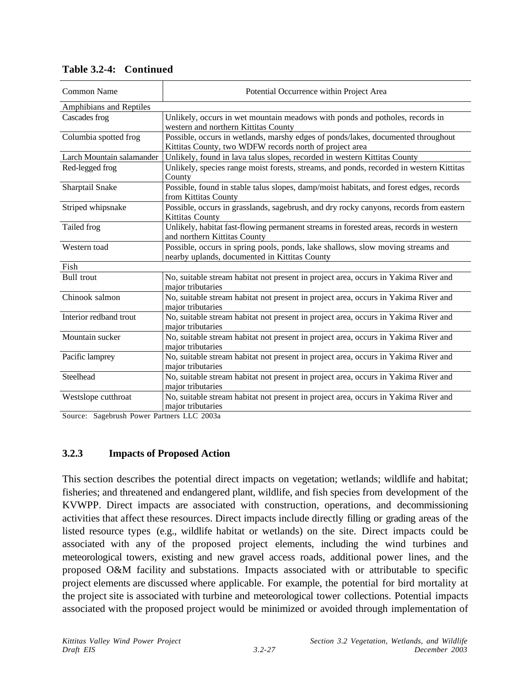| <b>Common Name</b>        | Potential Occurrence within Project Area                                                                                                    |
|---------------------------|---------------------------------------------------------------------------------------------------------------------------------------------|
| Amphibians and Reptiles   |                                                                                                                                             |
| Cascades frog             | Unlikely, occurs in wet mountain meadows with ponds and potholes, records in<br>western and northern Kittitas County                        |
| Columbia spotted frog     | Possible, occurs in wetlands, marshy edges of ponds/lakes, documented throughout<br>Kittitas County, two WDFW records north of project area |
| Larch Mountain salamander | Unlikely, found in lava talus slopes, recorded in western Kittitas County                                                                   |
| Red-legged frog           | Unlikely, species range moist forests, streams, and ponds, recorded in western Kittitas<br>County                                           |
| Sharptail Snake           | Possible, found in stable talus slopes, damp/moist habitats, and forest edges, records<br>from Kittitas County                              |
| Striped whipsnake         | Possible, occurs in grasslands, sagebrush, and dry rocky canyons, records from eastern<br>Kittitas County                                   |
| Tailed frog               | Unlikely, habitat fast-flowing permanent streams in forested areas, records in western<br>and northern Kittitas County                      |
| Western toad              | Possible, occurs in spring pools, ponds, lake shallows, slow moving streams and<br>nearby uplands, documented in Kittitas County            |
| Fish                      |                                                                                                                                             |
| <b>Bull</b> trout         | No, suitable stream habitat not present in project area, occurs in Yakima River and<br>major tributaries                                    |
| Chinook salmon            | No, suitable stream habitat not present in project area, occurs in Yakima River and<br>major tributaries                                    |
| Interior redband trout    | No, suitable stream habitat not present in project area, occurs in Yakima River and<br>major tributaries                                    |
| Mountain sucker           | No, suitable stream habitat not present in project area, occurs in Yakima River and<br>major tributaries                                    |
| Pacific lamprey           | No, suitable stream habitat not present in project area, occurs in Yakima River and<br>major tributaries                                    |
| Steelhead                 | No, suitable stream habitat not present in project area, occurs in Yakima River and<br>major tributaries                                    |
| Westslope cutthroat       | No, suitable stream habitat not present in project area, occurs in Yakima River and<br>major tributaries                                    |

#### **Table 3.2-4: Continued**

Source: Sagebrush Power Partners LLC 2003a

### **3.2.3 Impacts of Proposed Action**

This section describes the potential direct impacts on vegetation; wetlands; wildlife and habitat; fisheries; and threatened and endangered plant, wildlife, and fish species from development of the KVWPP. Direct impacts are associated with construction, operations, and decommissioning activities that affect these resources. Direct impacts include directly filling or grading areas of the listed resource types (e.g., wildlife habitat or wetlands) on the site. Direct impacts could be associated with any of the proposed project elements, including the wind turbines and meteorological towers, existing and new gravel access roads, additional power lines, and the proposed O&M facility and substations. Impacts associated with or attributable to specific project elements are discussed where applicable. For example, the potential for bird mortality at the project site is associated with turbine and meteorological tower collections. Potential impacts associated with the proposed project would be minimized or avoided through implementation of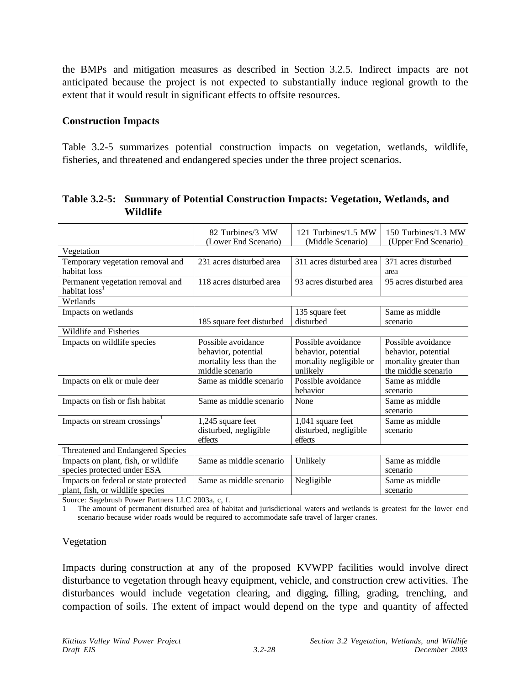the BMPs and mitigation measures as described in Section 3.2.5. Indirect impacts are not anticipated because the project is not expected to substantially induce regional growth to the extent that it would result in significant effects to offsite resources.

#### **Construction Impacts**

Table 3.2-5 summarizes potential construction impacts on vegetation, wetlands, wildlife, fisheries, and threatened and endangered species under the three project scenarios.

|                                                                           | 82 Turbines/3 MW<br>(Lower End Scenario)                                                | 121 Turbines/1.5 MW<br>(Middle Scenario)                                         | 150 Turbines/1.3 MW<br>(Upper End Scenario)                                                |  |
|---------------------------------------------------------------------------|-----------------------------------------------------------------------------------------|----------------------------------------------------------------------------------|--------------------------------------------------------------------------------------------|--|
| Vegetation                                                                |                                                                                         |                                                                                  |                                                                                            |  |
| Temporary vegetation removal and<br>habitat loss                          | 231 acres disturbed area                                                                | 311 acres disturbed area                                                         | 371 acres disturbed<br>area                                                                |  |
| Permanent vegetation removal and<br>habitat loss                          | 118 acres disturbed area                                                                | 93 acres disturbed area                                                          | 95 acres disturbed area                                                                    |  |
| Wetlands                                                                  |                                                                                         |                                                                                  |                                                                                            |  |
| Impacts on wetlands                                                       | 185 square feet disturbed                                                               | 135 square feet<br>disturbed                                                     | Same as middle<br>scenario                                                                 |  |
| Wildlife and Fisheries                                                    |                                                                                         |                                                                                  |                                                                                            |  |
| Impacts on wildlife species                                               | Possible avoidance<br>behavior, potential<br>mortality less than the<br>middle scenario | Possible avoidance<br>behavior, potential<br>mortality negligible or<br>unlikely | Possible avoidance<br>behavior, potential<br>mortality greater than<br>the middle scenario |  |
| Impacts on elk or mule deer                                               | Same as middle scenario                                                                 | Possible avoidance<br>behavior                                                   | Same as middle<br>scenario                                                                 |  |
| Impacts on fish or fish habitat                                           | Same as middle scenario                                                                 | None                                                                             | Same as middle<br>scenario                                                                 |  |
| Impacts on stream crossings <sup>1</sup>                                  | 1,245 square feet<br>disturbed, negligible<br>effects                                   | 1,041 square feet<br>disturbed, negligible<br>effects                            | Same as middle<br>scenario                                                                 |  |
| Threatened and Endangered Species                                         |                                                                                         |                                                                                  |                                                                                            |  |
| Impacts on plant, fish, or wildlife<br>species protected under ESA        | Same as middle scenario                                                                 | Unlikely                                                                         | Same as middle<br>scenario                                                                 |  |
| Impacts on federal or state protected<br>plant, fish, or wildlife species | Same as middle scenario<br>$\mathbf{r}$ $\mathbf{r}$ $\alpha$ $\alpha$                  | Negligible                                                                       | Same as middle<br>scenario                                                                 |  |

**Table 3.2-5: Summary of Potential Construction Impacts: Vegetation, Wetlands, and Wildlife**

Source: Sagebrush Power Partners LLC 2003a, c, f.

1 The amount of permanent disturbed area of habitat and jurisdictional waters and wetlands is greatest for the lower end scenario because wider roads would be required to accommodate safe travel of larger cranes.

#### Vegetation

Impacts during construction at any of the proposed KVWPP facilities would involve direct disturbance to vegetation through heavy equipment, vehicle, and construction crew activities. The disturbances would include vegetation clearing, and digging, filling, grading, trenching, and compaction of soils. The extent of impact would depend on the type and quantity of affected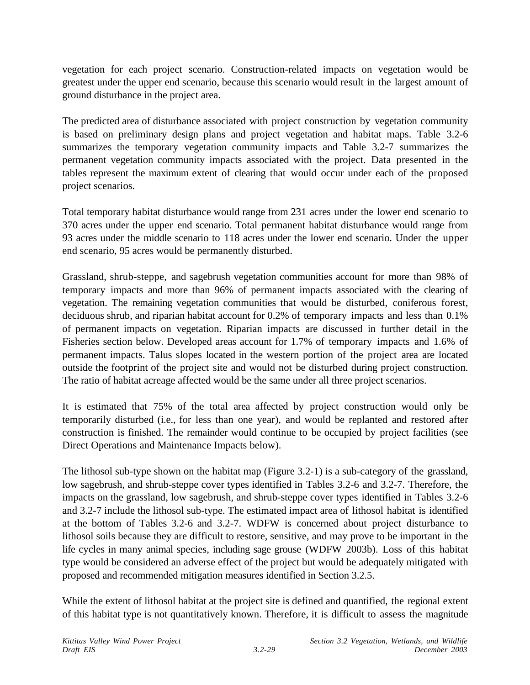vegetation for each project scenario. Construction-related impacts on vegetation would be greatest under the upper end scenario, because this scenario would result in the largest amount of ground disturbance in the project area.

The predicted area of disturbance associated with project construction by vegetation community is based on preliminary design plans and project vegetation and habitat maps. Table 3.2-6 summarizes the temporary vegetation community impacts and Table 3.2-7 summarizes the permanent vegetation community impacts associated with the project. Data presented in the tables represent the maximum extent of clearing that would occur under each of the proposed project scenarios.

Total temporary habitat disturbance would range from 231 acres under the lower end scenario to 370 acres under the upper end scenario. Total permanent habitat disturbance would range from 93 acres under the middle scenario to 118 acres under the lower end scenario. Under the upper end scenario, 95 acres would be permanently disturbed.

Grassland, shrub-steppe, and sagebrush vegetation communities account for more than 98% of temporary impacts and more than 96% of permanent impacts associated with the clearing of vegetation. The remaining vegetation communities that would be disturbed, coniferous forest, deciduous shrub, and riparian habitat account for 0.2% of temporary impacts and less than 0.1% of permanent impacts on vegetation. Riparian impacts are discussed in further detail in the Fisheries section below. Developed areas account for 1.7% of temporary impacts and 1.6% of permanent impacts. Talus slopes located in the western portion of the project area are located outside the footprint of the project site and would not be disturbed during project construction. The ratio of habitat acreage affected would be the same under all three project scenarios.

It is estimated that 75% of the total area affected by project construction would only be temporarily disturbed (i.e., for less than one year), and would be replanted and restored after construction is finished. The remainder would continue to be occupied by project facilities (see Direct Operations and Maintenance Impacts below).

The lithosol sub-type shown on the habitat map (Figure 3.2-1) is a sub-category of the grassland, low sagebrush, and shrub-steppe cover types identified in Tables 3.2-6 and 3.2-7. Therefore, the impacts on the grassland, low sagebrush, and shrub-steppe cover types identified in Tables 3.2-6 and 3.2-7 include the lithosol sub-type. The estimated impact area of lithosol habitat is identified at the bottom of Tables 3.2-6 and 3.2-7. WDFW is concerned about project disturbance to lithosol soils because they are difficult to restore, sensitive, and may prove to be important in the life cycles in many animal species, including sage grouse (WDFW 2003b). Loss of this habitat type would be considered an adverse effect of the project but would be adequately mitigated with proposed and recommended mitigation measures identified in Section 3.2.5.

While the extent of lithosol habitat at the project site is defined and quantified, the regional extent of this habitat type is not quantitatively known. Therefore, it is difficult to assess the magnitude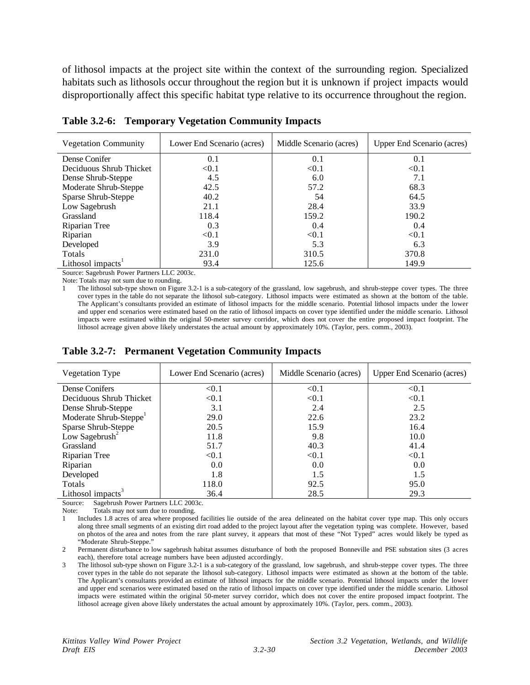of lithosol impacts at the project site within the context of the surrounding region. Specialized habitats such as lithosols occur throughout the region but it is unknown if project impacts would disproportionally affect this specific habitat type relative to its occurrence throughout the region.

| <b>Vegetation Community</b>   | Lower End Scenario (acres) | Middle Scenario (acres) | Upper End Scenario (acres) |
|-------------------------------|----------------------------|-------------------------|----------------------------|
| Dense Conifer                 | 0.1                        | 0.1                     | 0.1                        |
| Deciduous Shrub Thicket       | < 0.1                      | < 0.1                   | < 0.1                      |
| Dense Shrub-Steppe            | 4.5                        | 6.0                     | 7.1                        |
| Moderate Shrub-Steppe         | 42.5                       | 57.2                    | 68.3                       |
| Sparse Shrub-Steppe           | 40.2                       | 54                      | 64.5                       |
| Low Sagebrush                 | 21.1                       | 28.4                    | 33.9                       |
| Grassland                     | 118.4                      | 159.2                   | 190.2                      |
| Riparian Tree                 | 0.3                        | 0.4                     | 0.4                        |
| Riparian                      | < 0.1                      | < 0.1                   | < 0.1                      |
| Developed                     | 3.9                        | 5.3                     | 6.3                        |
| Totals                        | 231.0                      | 310.5                   | 370.8                      |
| Lithosol impacts <sup>1</sup> | 93.4                       | 125.6                   | 149.9                      |

**Table 3.2-6: Temporary Vegetation Community Impacts**

Source: Sagebrush Power Partners LLC 2003c.

Note: Totals may not sum due to rounding.

1 The lithosol sub-type shown on Figure 3.2-1 is a sub-category of the grassland, low sagebrush, and shrub-steppe cover types. The three cover types in the table do not separate the lithosol sub-category. Lithosol impacts were estimated as shown at the bottom of the table. The Applicant's consultants provided an estimate of lithosol impacts for the middle scenario. Potential lithosol impacts under the lower and upper end scenarios were estimated based on the ratio of lithosol impacts on cover type identified under the middle scenario. Lithosol impacts were estimated within the original 50-meter survey corridor, which does not cover the entire proposed impact footprint. The lithosol acreage given above likely understates the actual amount by approximately 10%. (Taylor, pers. comm., 2003).

| <b>Vegetation Type</b>             | Lower End Scenario (acres) | Middle Scenario (acres) | Upper End Scenario (acres) |
|------------------------------------|----------------------------|-------------------------|----------------------------|
| Dense Conifers                     | < 0.1                      | < 0.1                   | < 0.1                      |
| Deciduous Shrub Thicket            | < 0.1                      | < 0.1                   | < 0.1                      |
| Dense Shrub-Steppe                 | 3.1                        | 2.4                     | 2.5                        |
| Moderate Shrub-Steppe <sup>1</sup> | 29.0                       | 22.6                    | 23.2                       |
| Sparse Shrub-Steppe                | 20.5                       | 15.9                    | 16.4                       |
| Low Sagebrush <sup>2</sup>         | 11.8                       | 9.8                     | 10.0                       |
| Grassland                          | 51.7                       | 40.3                    | 41.4                       |
| Riparian Tree                      | < 0.1                      | < 0.1                   | < 0.1                      |
| Riparian                           | 0.0                        | 0.0                     | 0.0                        |
| Developed                          | 1.8                        | 1.5                     | 1.5                        |
| Totals                             | 118.0                      | 92.5                    | 95.0                       |
| Lithosol impacts <sup>3</sup>      | 36.4                       | 28.5                    | 29.3                       |

**Table 3.2-7: Permanent Vegetation Community Impacts**

Source: Sagebrush Power Partners LLC 2003c.

Note: Totals may not sum due to rounding.

1 Includes 1.8 acres of area where proposed facilities lie outside of the area delineated on the habitat cover type map. This only occurs along three small segments of an existing dirt road added to the project layout after the vegetation typing was complete. However, based on photos of the area and notes from the rare plant survey, it appears that most of these "Not Typed" acres would likely be typed as "Moderate Shrub-Steppe."

2 Permanent disturbance to low sagebrush habitat assumes disturbance of both the proposed Bonneville and PSE substation sites (3 acres each), therefore total acreage numbers have been adjusted accordingly.

3 The lithosol sub-type shown on Figure 3.2-1 is a sub-category of the grassland, low sagebrush, and shrub-steppe cover types. The three cover types in the table do not separate the lithosol sub-category. Lithosol impacts were estimated as shown at the bottom of the table. The Applicant's consultants provided an estimate of lithosol impacts for the middle scenario. Potential lithosol impacts under the lower and upper end scenarios were estimated based on the ratio of lithosol impacts on cover type identified under the middle scenario. Lithosol impacts were estimated within the original 50-meter survey corridor, which does not cover the entire proposed impact footprint. The lithosol acreage given above likely understates the actual amount by approximately 10%. (Taylor, pers. comm., 2003).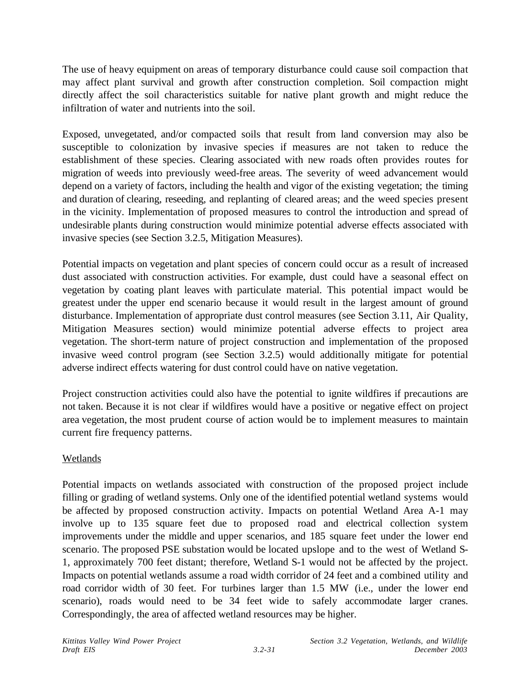The use of heavy equipment on areas of temporary disturbance could cause soil compaction that may affect plant survival and growth after construction completion. Soil compaction might directly affect the soil characteristics suitable for native plant growth and might reduce the infiltration of water and nutrients into the soil.

Exposed, unvegetated, and/or compacted soils that result from land conversion may also be susceptible to colonization by invasive species if measures are not taken to reduce the establishment of these species. Clearing associated with new roads often provides routes for migration of weeds into previously weed-free areas. The severity of weed advancement would depend on a variety of factors, including the health and vigor of the existing vegetation; the timing and duration of clearing, reseeding, and replanting of cleared areas; and the weed species present in the vicinity. Implementation of proposed measures to control the introduction and spread of undesirable plants during construction would minimize potential adverse effects associated with invasive species (see Section 3.2.5, Mitigation Measures).

Potential impacts on vegetation and plant species of concern could occur as a result of increased dust associated with construction activities. For example, dust could have a seasonal effect on vegetation by coating plant leaves with particulate material. This potential impact would be greatest under the upper end scenario because it would result in the largest amount of ground disturbance. Implementation of appropriate dust control measures (see Section 3.11, Air Quality, Mitigation Measures section) would minimize potential adverse effects to project area vegetation. The short-term nature of project construction and implementation of the proposed invasive weed control program (see Section 3.2.5) would additionally mitigate for potential adverse indirect effects watering for dust control could have on native vegetation.

Project construction activities could also have the potential to ignite wildfires if precautions are not taken. Because it is not clear if wildfires would have a positive or negative effect on project area vegetation, the most prudent course of action would be to implement measures to maintain current fire frequency patterns.

## Wetlands

Potential impacts on wetlands associated with construction of the proposed project include filling or grading of wetland systems. Only one of the identified potential wetland systems would be affected by proposed construction activity. Impacts on potential Wetland Area A-1 may involve up to 135 square feet due to proposed road and electrical collection system improvements under the middle and upper scenarios, and 185 square feet under the lower end scenario. The proposed PSE substation would be located upslope and to the west of Wetland S-1, approximately 700 feet distant; therefore, Wetland S-1 would not be affected by the project. Impacts on potential wetlands assume a road width corridor of 24 feet and a combined utility and road corridor width of 30 feet. For turbines larger than 1.5 MW (i.e., under the lower end scenario), roads would need to be 34 feet wide to safely accommodate larger cranes. Correspondingly, the area of affected wetland resources may be higher.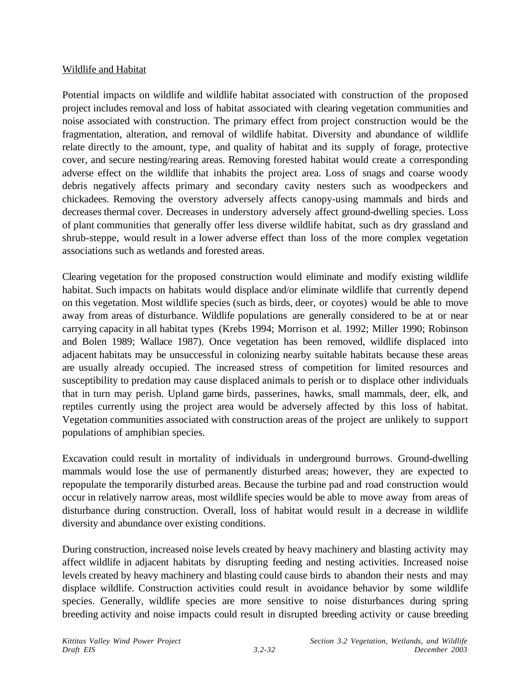#### Wildlife and Habitat

Potential impacts on wildlife and wildlife habitat associated with construction of the proposed project includes removal and loss of habitat associated with clearing vegetation communities and noise associated with construction. The primary effect from project construction would be the fragmentation, alteration, and removal of wildlife habitat. Diversity and abundance of wildlife relate directly to the amount, type, and quality of habitat and its supply of forage, protective cover, and secure nesting/rearing areas. Removing forested habitat would create a corresponding adverse effect on the wildlife that inhabits the project area. Loss of snags and coarse woody debris negatively affects primary and secondary cavity nesters such as woodpeckers and chickadees. Removing the overstory adversely affects canopy-using mammals and birds and decreases thermal cover. Decreases in understory adversely affect ground-dwelling species. Loss of plant communities that generally offer less diverse wildlife habitat, such as dry grassland and shrub-steppe, would result in a lower adverse effect than loss of the more complex vegetation associations such as wetlands and forested areas.

Clearing vegetation for the proposed construction would eliminate and modify existing wildlife habitat. Such impacts on habitats would displace and/or eliminate wildlife that currently depend on this vegetation. Most wildlife species (such as birds, deer, or coyotes) would be able to move away from areas of disturbance. Wildlife populations are generally considered to be at or near carrying capacity in all habitat types (Krebs 1994; Morrison et al. 1992; Miller 1990; Robinson and Bolen 1989; Wallace 1987). Once vegetation has been removed, wildlife displaced into adjacent habitats may be unsuccessful in colonizing nearby suitable habitats because these areas are usually already occupied. The increased stress of competition for limited resources and susceptibility to predation may cause displaced animals to perish or to displace other individuals that in turn may perish. Upland game birds, passerines, hawks, small mammals, deer, elk, and reptiles currently using the project area would be adversely affected by this loss of habitat. Vegetation communities associated with construction areas of the project are unlikely to support populations of amphibian species.

Excavation could result in mortality of individuals in underground burrows. Ground-dwelling mammals would lose the use of permanently disturbed areas; however, they are expected to repopulate the temporarily disturbed areas. Because the turbine pad and road construction would occur in relatively narrow areas, most wildlife species would be able to move away from areas of disturbance during construction. Overall, loss of habitat would result in a decrease in wildlife diversity and abundance over existing conditions.

During construction, increased noise levels created by heavy machinery and blasting activity may affect wildlife in adjacent habitats by disrupting feeding and nesting activities. Increased noise levels created by heavy machinery and blasting could cause birds to abandon their nests and may displace wildlife. Construction activities could result in avoidance behavior by some wildlife species. Generally, wildlife species are more sensitive to noise disturbances during spring breeding activity and noise impacts could result in disrupted breeding activity or cause breeding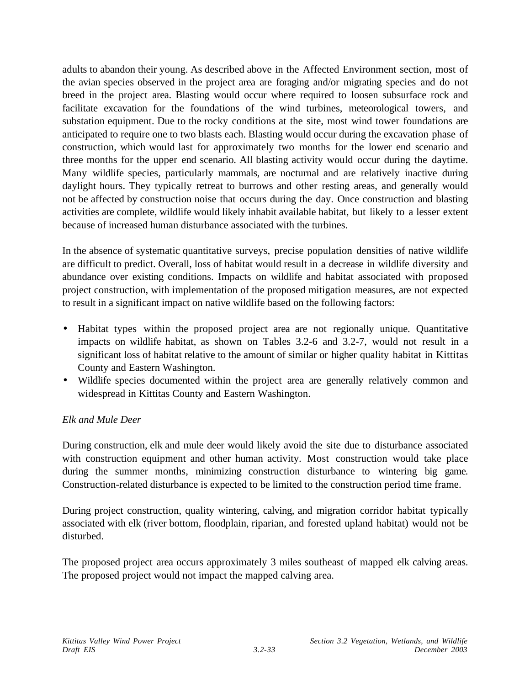adults to abandon their young. As described above in the Affected Environment section, most of the avian species observed in the project area are foraging and/or migrating species and do not breed in the project area. Blasting would occur where required to loosen subsurface rock and facilitate excavation for the foundations of the wind turbines, meteorological towers, and substation equipment. Due to the rocky conditions at the site, most wind tower foundations are anticipated to require one to two blasts each. Blasting would occur during the excavation phase of construction, which would last for approximately two months for the lower end scenario and three months for the upper end scenario. All blasting activity would occur during the daytime. Many wildlife species, particularly mammals, are nocturnal and are relatively inactive during daylight hours. They typically retreat to burrows and other resting areas, and generally would not be affected by construction noise that occurs during the day. Once construction and blasting activities are complete, wildlife would likely inhabit available habitat, but likely to a lesser extent because of increased human disturbance associated with the turbines.

In the absence of systematic quantitative surveys, precise population densities of native wildlife are difficult to predict. Overall, loss of habitat would result in a decrease in wildlife diversity and abundance over existing conditions. Impacts on wildlife and habitat associated with proposed project construction, with implementation of the proposed mitigation measures, are not expected to result in a significant impact on native wildlife based on the following factors:

- Habitat types within the proposed project area are not regionally unique. Quantitative impacts on wildlife habitat, as shown on Tables 3.2-6 and 3.2-7, would not result in a significant loss of habitat relative to the amount of similar or higher quality habitat in Kittitas County and Eastern Washington.
- Wildlife species documented within the project area are generally relatively common and widespread in Kittitas County and Eastern Washington.

## *Elk and Mule Deer*

During construction, elk and mule deer would likely avoid the site due to disturbance associated with construction equipment and other human activity. Most construction would take place during the summer months, minimizing construction disturbance to wintering big game. Construction-related disturbance is expected to be limited to the construction period time frame.

During project construction, quality wintering, calving, and migration corridor habitat typically associated with elk (river bottom, floodplain, riparian, and forested upland habitat) would not be disturbed.

The proposed project area occurs approximately 3 miles southeast of mapped elk calving areas. The proposed project would not impact the mapped calving area.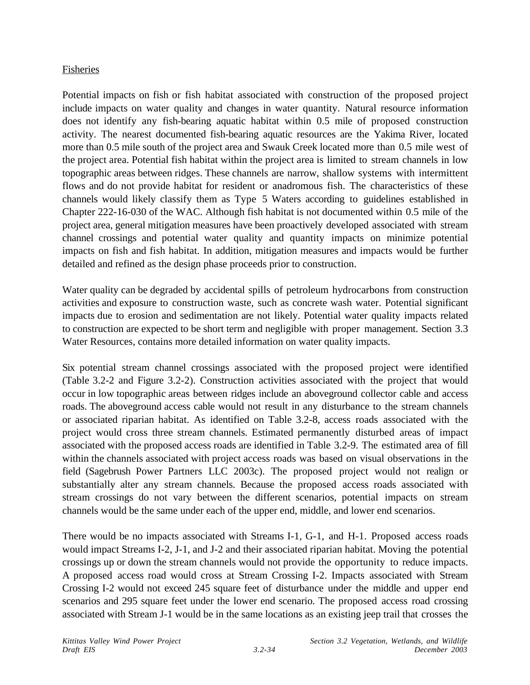### Fisheries

Potential impacts on fish or fish habitat associated with construction of the proposed project include impacts on water quality and changes in water quantity. Natural resource information does not identify any fish-bearing aquatic habitat within 0.5 mile of proposed construction activity. The nearest documented fish-bearing aquatic resources are the Yakima River, located more than 0.5 mile south of the project area and Swauk Creek located more than 0.5 mile west of the project area. Potential fish habitat within the project area is limited to stream channels in low topographic areas between ridges. These channels are narrow, shallow systems with intermittent flows and do not provide habitat for resident or anadromous fish. The characteristics of these channels would likely classify them as Type 5 Waters according to guidelines established in Chapter 222-16-030 of the WAC. Although fish habitat is not documented within 0.5 mile of the project area, general mitigation measures have been proactively developed associated with stream channel crossings and potential water quality and quantity impacts on minimize potential impacts on fish and fish habitat. In addition, mitigation measures and impacts would be further detailed and refined as the design phase proceeds prior to construction.

Water quality can be degraded by accidental spills of petroleum hydrocarbons from construction activities and exposure to construction waste, such as concrete wash water. Potential significant impacts due to erosion and sedimentation are not likely. Potential water quality impacts related to construction are expected to be short term and negligible with proper management. Section 3.3 Water Resources, contains more detailed information on water quality impacts.

Six potential stream channel crossings associated with the proposed project were identified (Table 3.2-2 and Figure 3.2-2). Construction activities associated with the project that would occur in low topographic areas between ridges include an aboveground collector cable and access roads. The aboveground access cable would not result in any disturbance to the stream channels or associated riparian habitat. As identified on Table 3.2-8, access roads associated with the project would cross three stream channels. Estimated permanently disturbed areas of impact associated with the proposed access roads are identified in Table 3.2-9. The estimated area of fill within the channels associated with project access roads was based on visual observations in the field (Sagebrush Power Partners LLC 2003c). The proposed project would not realign or substantially alter any stream channels. Because the proposed access roads associated with stream crossings do not vary between the different scenarios, potential impacts on stream channels would be the same under each of the upper end, middle, and lower end scenarios.

There would be no impacts associated with Streams I-1, G-1, and H-1. Proposed access roads would impact Streams I-2, J-1, and J-2 and their associated riparian habitat. Moving the potential crossings up or down the stream channels would not provide the opportunity to reduce impacts. A proposed access road would cross at Stream Crossing I-2. Impacts associated with Stream Crossing I-2 would not exceed 245 square feet of disturbance under the middle and upper end scenarios and 295 square feet under the lower end scenario. The proposed access road crossing associated with Stream J-1 would be in the same locations as an existing jeep trail that crosses the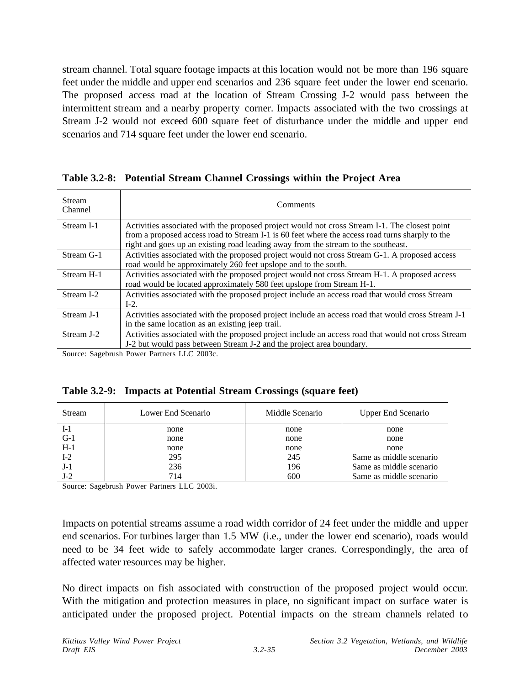stream channel. Total square footage impacts at this location would not be more than 196 square feet under the middle and upper end scenarios and 236 square feet under the lower end scenario. The proposed access road at the location of Stream Crossing J-2 would pass between the intermittent stream and a nearby property corner. Impacts associated with the two crossings at Stream J-2 would not exceed 600 square feet of disturbance under the middle and upper end scenarios and 714 square feet under the lower end scenario.

#### **Table 3.2-8: Potential Stream Channel Crossings within the Project Area**

| <b>Stream</b><br>Channel | Comments                                                                                                                                                                                                                                                                              |
|--------------------------|---------------------------------------------------------------------------------------------------------------------------------------------------------------------------------------------------------------------------------------------------------------------------------------|
| Stream I-1               | Activities associated with the proposed project would not cross Stream I-1. The closest point<br>from a proposed access road to Stream I-1 is 60 feet where the access road turns sharply to the<br>right and goes up an existing road leading away from the stream to the southeast. |
| Stream G-1               | Activities associated with the proposed project would not cross Stream G-1. A proposed access<br>road would be approximately 260 feet upslope and to the south.                                                                                                                       |
| Stream H-1               | Activities associated with the proposed project would not cross Stream H-1. A proposed access<br>road would be located approximately 580 feet upslope from Stream H-1.                                                                                                                |
| Stream I-2               | Activities associated with the proposed project include an access road that would cross Stream<br>$I-2$ .                                                                                                                                                                             |
| Stream J-1               | Activities associated with the proposed project include an access road that would cross Stream J-1<br>in the same location as an existing jeep trail.                                                                                                                                 |
| Stream J-2               | Activities associated with the proposed project include an access road that would not cross Stream<br>J-2 but would pass between Stream J-2 and the project area boundary.                                                                                                            |

Source: Sagebrush Power Partners LLC 2003c.

|  | Table 3.2-9: Impacts at Potential Stream Crossings (square feet) |  |
|--|------------------------------------------------------------------|--|
|  |                                                                  |  |

| Stream | Lower End Scenario | Middle Scenario | <b>Upper End Scenario</b> |
|--------|--------------------|-----------------|---------------------------|
| I-1    | none               | none            | none                      |
| $G-1$  | none               | none            | none                      |
| $H-1$  | none               | none            | none                      |
| $I-2$  | 295                | 245             | Same as middle scenario   |
| $J-1$  | 236                | 196             | Same as middle scenario   |
| $J-2$  | 714                | 600             | Same as middle scenario   |

Source: Sagebrush Power Partners LLC 2003i.

Impacts on potential streams assume a road width corridor of 24 feet under the middle and upper end scenarios. For turbines larger than 1.5 MW (i.e., under the lower end scenario), roads would need to be 34 feet wide to safely accommodate larger cranes. Correspondingly, the area of affected water resources may be higher.

No direct impacts on fish associated with construction of the proposed project would occur. With the mitigation and protection measures in place, no significant impact on surface water is anticipated under the proposed project. Potential impacts on the stream channels related to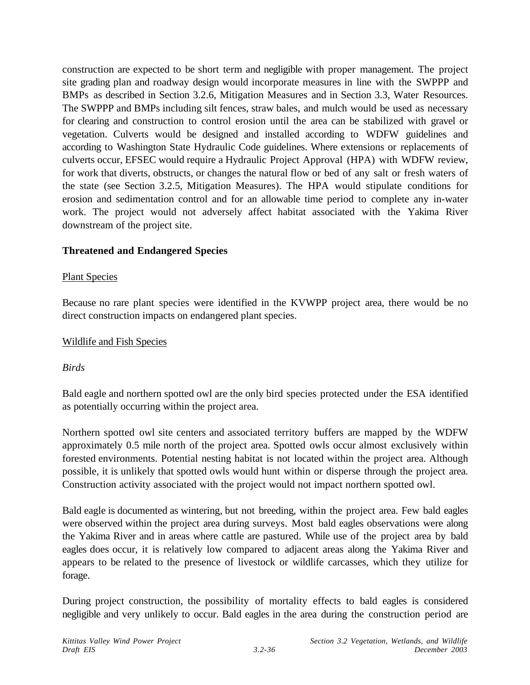construction are expected to be short term and negligible with proper management. The project site grading plan and roadway design would incorporate measures in line with the SWPPP and BMPs as described in Section 3.2.6, Mitigation Measures and in Section 3.3, Water Resources. The SWPPP and BMPs including silt fences, straw bales, and mulch would be used as necessary for clearing and construction to control erosion until the area can be stabilized with gravel or vegetation. Culverts would be designed and installed according to WDFW guidelines and according to Washington State Hydraulic Code guidelines. Where extensions or replacements of culverts occur, EFSEC would require a Hydraulic Project Approval (HPA) with WDFW review, for work that diverts, obstructs, or changes the natural flow or bed of any salt or fresh waters of the state (see Section 3.2.5, Mitigation Measures). The HPA would stipulate conditions for erosion and sedimentation control and for an allowable time period to complete any in-water work. The project would not adversely affect habitat associated with the Yakima River downstream of the project site.

### **Threatened and Endangered Species**

#### Plant Species

Because no rare plant species were identified in the KVWPP project area, there would be no direct construction impacts on endangered plant species.

#### Wildlife and Fish Species

#### *Birds*

Bald eagle and northern spotted owl are the only bird species protected under the ESA identified as potentially occurring within the project area.

Northern spotted owl site centers and associated territory buffers are mapped by the WDFW approximately 0.5 mile north of the project area. Spotted owls occur almost exclusively within forested environments. Potential nesting habitat is not located within the project area. Although possible, it is unlikely that spotted owls would hunt within or disperse through the project area. Construction activity associated with the project would not impact northern spotted owl.

Bald eagle is documented as wintering, but not breeding, within the project area. Few bald eagles were observed within the project area during surveys. Most bald eagles observations were along the Yakima River and in areas where cattle are pastured. While use of the project area by bald eagles does occur, it is relatively low compared to adjacent areas along the Yakima River and appears to be related to the presence of livestock or wildlife carcasses, which they utilize for forage.

During project construction, the possibility of mortality effects to bald eagles is considered negligible and very unlikely to occur. Bald eagles in the area during the construction period are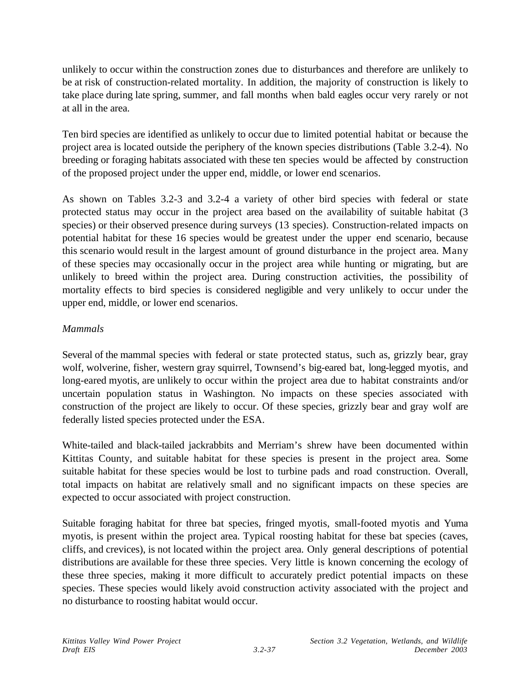unlikely to occur within the construction zones due to disturbances and therefore are unlikely to be at risk of construction-related mortality. In addition, the majority of construction is likely to take place during late spring, summer, and fall months when bald eagles occur very rarely or not at all in the area.

Ten bird species are identified as unlikely to occur due to limited potential habitat or because the project area is located outside the periphery of the known species distributions (Table 3.2-4). No breeding or foraging habitats associated with these ten species would be affected by construction of the proposed project under the upper end, middle, or lower end scenarios.

As shown on Tables 3.2-3 and 3.2-4 a variety of other bird species with federal or state protected status may occur in the project area based on the availability of suitable habitat (3 species) or their observed presence during surveys (13 species). Construction-related impacts on potential habitat for these 16 species would be greatest under the upper end scenario, because this scenario would result in the largest amount of ground disturbance in the project area. Many of these species may occasionally occur in the project area while hunting or migrating, but are unlikely to breed within the project area. During construction activities, the possibility of mortality effects to bird species is considered negligible and very unlikely to occur under the upper end, middle, or lower end scenarios.

## *Mammals*

Several of the mammal species with federal or state protected status, such as, grizzly bear, gray wolf, wolverine, fisher, western gray squirrel, Townsend's big-eared bat, long-legged myotis, and long-eared myotis, are unlikely to occur within the project area due to habitat constraints and/or uncertain population status in Washington. No impacts on these species associated with construction of the project are likely to occur. Of these species, grizzly bear and gray wolf are federally listed species protected under the ESA.

White-tailed and black-tailed jackrabbits and Merriam's shrew have been documented within Kittitas County, and suitable habitat for these species is present in the project area. Some suitable habitat for these species would be lost to turbine pads and road construction. Overall, total impacts on habitat are relatively small and no significant impacts on these species are expected to occur associated with project construction.

Suitable foraging habitat for three bat species, fringed myotis, small-footed myotis and Yuma myotis, is present within the project area. Typical roosting habitat for these bat species (caves, cliffs, and crevices), is not located within the project area. Only general descriptions of potential distributions are available for these three species. Very little is known concerning the ecology of these three species, making it more difficult to accurately predict potential impacts on these species. These species would likely avoid construction activity associated with the project and no disturbance to roosting habitat would occur.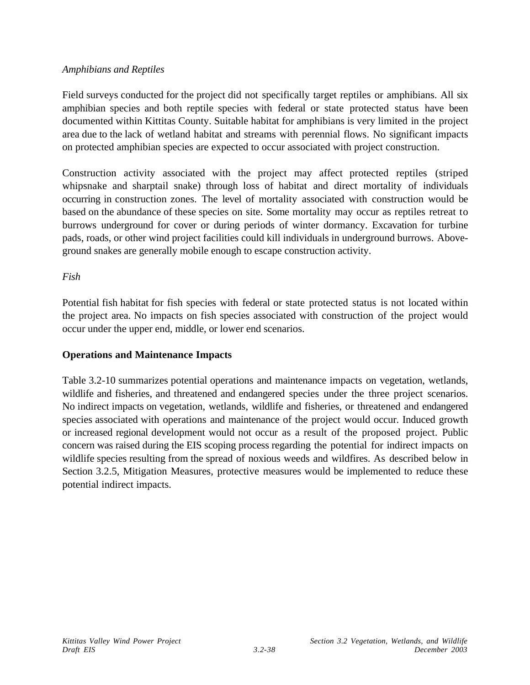#### *Amphibians and Reptiles*

Field surveys conducted for the project did not specifically target reptiles or amphibians. All six amphibian species and both reptile species with federal or state protected status have been documented within Kittitas County. Suitable habitat for amphibians is very limited in the project area due to the lack of wetland habitat and streams with perennial flows. No significant impacts on protected amphibian species are expected to occur associated with project construction.

Construction activity associated with the project may affect protected reptiles (striped whipsnake and sharptail snake) through loss of habitat and direct mortality of individuals occurring in construction zones. The level of mortality associated with construction would be based on the abundance of these species on site. Some mortality may occur as reptiles retreat to burrows underground for cover or during periods of winter dormancy. Excavation for turbine pads, roads, or other wind project facilities could kill individuals in underground burrows. Aboveground snakes are generally mobile enough to escape construction activity.

#### *Fish*

Potential fish habitat for fish species with federal or state protected status is not located within the project area. No impacts on fish species associated with construction of the project would occur under the upper end, middle, or lower end scenarios.

### **Operations and Maintenance Impacts**

Table 3.2-10 summarizes potential operations and maintenance impacts on vegetation, wetlands, wildlife and fisheries, and threatened and endangered species under the three project scenarios. No indirect impacts on vegetation, wetlands, wildlife and fisheries, or threatened and endangered species associated with operations and maintenance of the project would occur. Induced growth or increased regional development would not occur as a result of the proposed project. Public concern was raised during the EIS scoping process regarding the potential for indirect impacts on wildlife species resulting from the spread of noxious weeds and wildfires. As described below in Section 3.2.5, Mitigation Measures, protective measures would be implemented to reduce these potential indirect impacts.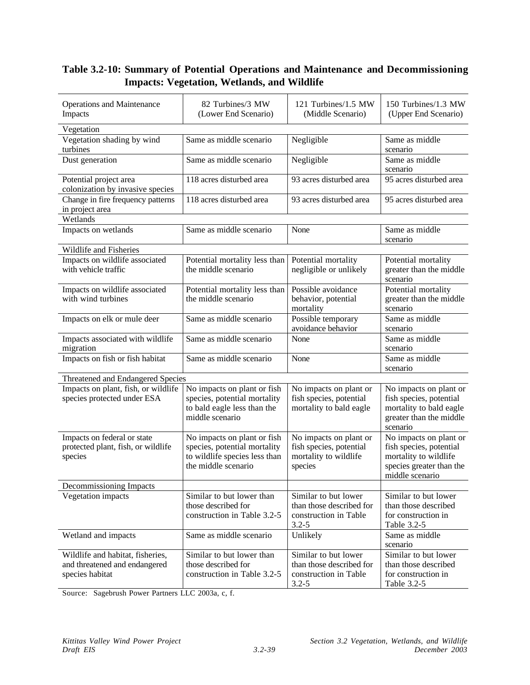## **Table 3.2-10: Summary of Potential Operations and Maintenance and Decommissioning Impacts: Vegetation, Wetlands, and Wildlife**

| <b>Operations and Maintenance</b><br>Impacts                                         | 82 Turbines/3 MW<br>(Lower End Scenario)                                                                            | 121 Turbines/1.5 MW<br>(Middle Scenario)                                               | 150 Turbines/1.3 MW<br>(Upper End Scenario)                                                                               |
|--------------------------------------------------------------------------------------|---------------------------------------------------------------------------------------------------------------------|----------------------------------------------------------------------------------------|---------------------------------------------------------------------------------------------------------------------------|
| Vegetation                                                                           |                                                                                                                     |                                                                                        |                                                                                                                           |
| Vegetation shading by wind<br>turbines                                               | Same as middle scenario                                                                                             | Negligible                                                                             | Same as middle<br>scenario                                                                                                |
| Dust generation                                                                      | Same as middle scenario                                                                                             | Negligible                                                                             | Same as middle<br>scenario                                                                                                |
| Potential project area<br>colonization by invasive species                           | 118 acres disturbed area                                                                                            | 93 acres disturbed area                                                                | 95 acres disturbed area                                                                                                   |
| Change in fire frequency patterns<br>in project area                                 | 118 acres disturbed area                                                                                            | 93 acres disturbed area                                                                | 95 acres disturbed area                                                                                                   |
| Wetlands                                                                             |                                                                                                                     |                                                                                        |                                                                                                                           |
| Impacts on wetlands                                                                  | Same as middle scenario                                                                                             | None                                                                                   | Same as middle<br>scenario                                                                                                |
| Wildlife and Fisheries                                                               |                                                                                                                     |                                                                                        |                                                                                                                           |
| Impacts on wildlife associated<br>with vehicle traffic                               | Potential mortality less than<br>the middle scenario                                                                | Potential mortality<br>negligible or unlikely                                          | Potential mortality<br>greater than the middle<br>scenario                                                                |
| Impacts on wildlife associated<br>with wind turbines                                 | Potential mortality less than<br>the middle scenario                                                                | Possible avoidance<br>behavior, potential<br>mortality                                 | Potential mortality<br>greater than the middle<br>scenario                                                                |
| Impacts on elk or mule deer                                                          | Same as middle scenario                                                                                             | Possible temporary<br>avoidance behavior                                               | Same as middle<br>scenario                                                                                                |
| Impacts associated with wildlife<br>migration                                        | Same as middle scenario                                                                                             | None                                                                                   | Same as middle<br>scenario                                                                                                |
| Impacts on fish or fish habitat                                                      | Same as middle scenario                                                                                             | None                                                                                   | Same as middle<br>scenario                                                                                                |
| Threatened and Endangered Species                                                    |                                                                                                                     |                                                                                        |                                                                                                                           |
| Impacts on plant, fish, or wildlife<br>species protected under ESA                   | No impacts on plant or fish<br>species, potential mortality<br>to bald eagle less than the<br>middle scenario       | No impacts on plant or<br>fish species, potential<br>mortality to bald eagle           | No impacts on plant or<br>fish species, potential<br>mortality to bald eagle<br>greater than the middle<br>scenario       |
| Impacts on federal or state<br>protected plant, fish, or wildlife<br>species         | No impacts on plant or fish<br>species, potential mortality<br>to wildlife species less than<br>the middle scenario | No impacts on plant or<br>fish species, potential<br>mortality to wildlife<br>species  | No impacts on plant or<br>fish species, potential<br>mortality to wildlife<br>species greater than the<br>middle scenario |
| Decommissioning Impacts                                                              |                                                                                                                     |                                                                                        |                                                                                                                           |
| Vegetation impacts                                                                   | Similar to but lower than<br>those described for<br>construction in Table 3.2-5                                     | Similar to but lower<br>than those described for<br>construction in Table<br>$3.2 - 5$ | Similar to but lower<br>than those described<br>for construction in<br>Table 3.2-5                                        |
| Wetland and impacts                                                                  | Same as middle scenario                                                                                             | Unlikely                                                                               | Same as middle<br>scenario                                                                                                |
| Wildlife and habitat, fisheries,<br>and threatened and endangered<br>species habitat | Similar to but lower than<br>those described for<br>construction in Table 3.2-5                                     | Similar to but lower<br>than those described for<br>construction in Table<br>$3.2 - 5$ | Similar to but lower<br>than those described<br>for construction in<br>Table 3.2-5                                        |

Source: Sagebrush Power Partners LLC 2003a, c, f.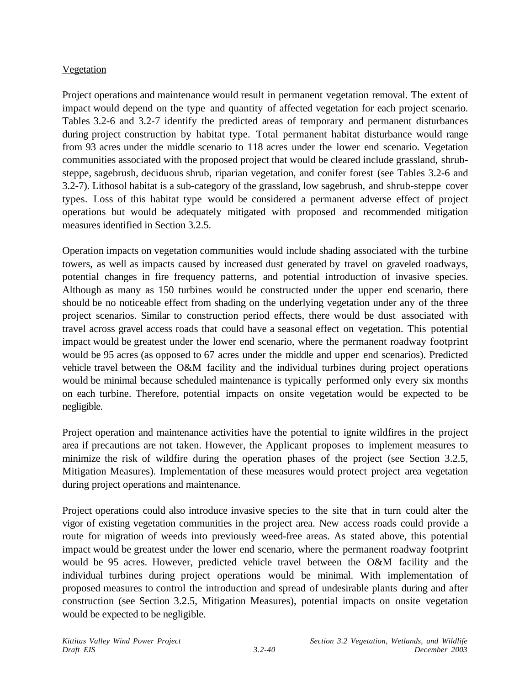### Vegetation

Project operations and maintenance would result in permanent vegetation removal. The extent of impact would depend on the type and quantity of affected vegetation for each project scenario. Tables 3.2-6 and 3.2-7 identify the predicted areas of temporary and permanent disturbances during project construction by habitat type. Total permanent habitat disturbance would range from 93 acres under the middle scenario to 118 acres under the lower end scenario. Vegetation communities associated with the proposed project that would be cleared include grassland, shrubsteppe, sagebrush, deciduous shrub, riparian vegetation, and conifer forest (see Tables 3.2-6 and 3.2-7). Lithosol habitat is a sub-category of the grassland, low sagebrush, and shrub-steppe cover types. Loss of this habitat type would be considered a permanent adverse effect of project operations but would be adequately mitigated with proposed and recommended mitigation measures identified in Section 3.2.5.

Operation impacts on vegetation communities would include shading associated with the turbine towers, as well as impacts caused by increased dust generated by travel on graveled roadways, potential changes in fire frequency patterns, and potential introduction of invasive species. Although as many as 150 turbines would be constructed under the upper end scenario, there should be no noticeable effect from shading on the underlying vegetation under any of the three project scenarios. Similar to construction period effects, there would be dust associated with travel across gravel access roads that could have a seasonal effect on vegetation. This potential impact would be greatest under the lower end scenario, where the permanent roadway footprint would be 95 acres (as opposed to 67 acres under the middle and upper end scenarios). Predicted vehicle travel between the O&M facility and the individual turbines during project operations would be minimal because scheduled maintenance is typically performed only every six months on each turbine. Therefore, potential impacts on onsite vegetation would be expected to be negligible.

Project operation and maintenance activities have the potential to ignite wildfires in the project area if precautions are not taken. However, the Applicant proposes to implement measures to minimize the risk of wildfire during the operation phases of the project (see Section 3.2.5, Mitigation Measures). Implementation of these measures would protect project area vegetation during project operations and maintenance.

Project operations could also introduce invasive species to the site that in turn could alter the vigor of existing vegetation communities in the project area. New access roads could provide a route for migration of weeds into previously weed-free areas. As stated above, this potential impact would be greatest under the lower end scenario, where the permanent roadway footprint would be 95 acres. However, predicted vehicle travel between the O&M facility and the individual turbines during project operations would be minimal. With implementation of proposed measures to control the introduction and spread of undesirable plants during and after construction (see Section 3.2.5, Mitigation Measures), potential impacts on onsite vegetation would be expected to be negligible.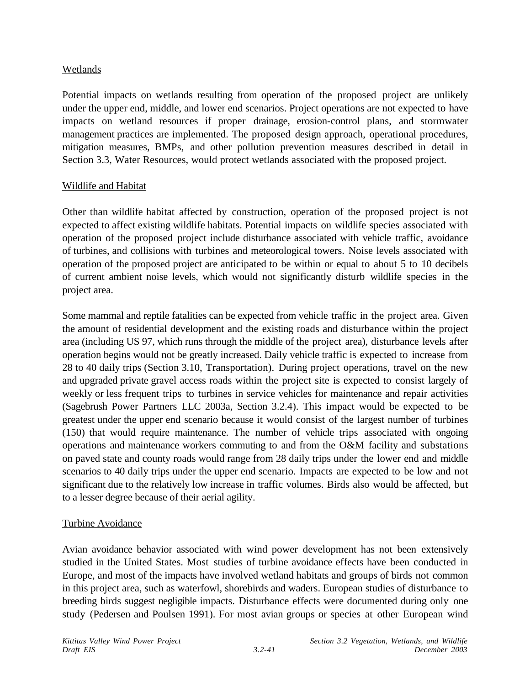### Wetlands

Potential impacts on wetlands resulting from operation of the proposed project are unlikely under the upper end, middle, and lower end scenarios. Project operations are not expected to have impacts on wetland resources if proper drainage, erosion-control plans, and stormwater management practices are implemented. The proposed design approach, operational procedures, mitigation measures, BMPs, and other pollution prevention measures described in detail in Section 3.3, Water Resources, would protect wetlands associated with the proposed project.

### Wildlife and Habitat

Other than wildlife habitat affected by construction, operation of the proposed project is not expected to affect existing wildlife habitats. Potential impacts on wildlife species associated with operation of the proposed project include disturbance associated with vehicle traffic, avoidance of turbines, and collisions with turbines and meteorological towers. Noise levels associated with operation of the proposed project are anticipated to be within or equal to about 5 to 10 decibels of current ambient noise levels, which would not significantly disturb wildlife species in the project area.

Some mammal and reptile fatalities can be expected from vehicle traffic in the project area. Given the amount of residential development and the existing roads and disturbance within the project area (including US 97, which runs through the middle of the project area), disturbance levels after operation begins would not be greatly increased. Daily vehicle traffic is expected to increase from 28 to 40 daily trips (Section 3.10, Transportation). During project operations, travel on the new and upgraded private gravel access roads within the project site is expected to consist largely of weekly or less frequent trips to turbines in service vehicles for maintenance and repair activities (Sagebrush Power Partners LLC 2003a, Section 3.2.4). This impact would be expected to be greatest under the upper end scenario because it would consist of the largest number of turbines (150) that would require maintenance. The number of vehicle trips associated with ongoing operations and maintenance workers commuting to and from the O&M facility and substations on paved state and county roads would range from 28 daily trips under the lower end and middle scenarios to 40 daily trips under the upper end scenario. Impacts are expected to be low and not significant due to the relatively low increase in traffic volumes. Birds also would be affected, but to a lesser degree because of their aerial agility.

### Turbine Avoidance

Avian avoidance behavior associated with wind power development has not been extensively studied in the United States. Most studies of turbine avoidance effects have been conducted in Europe, and most of the impacts have involved wetland habitats and groups of birds not common in this project area, such as waterfowl, shorebirds and waders. European studies of disturbance to breeding birds suggest negligible impacts. Disturbance effects were documented during only one study (Pedersen and Poulsen 1991). For most avian groups or species at other European wind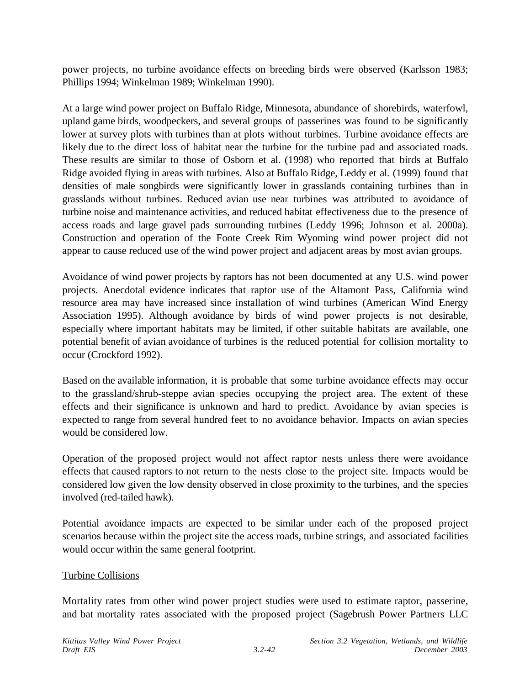power projects, no turbine avoidance effects on breeding birds were observed (Karlsson 1983; Phillips 1994; Winkelman 1989; Winkelman 1990).

At a large wind power project on Buffalo Ridge, Minnesota, abundance of shorebirds, waterfowl, upland game birds, woodpeckers, and several groups of passerines was found to be significantly lower at survey plots with turbines than at plots without turbines. Turbine avoidance effects are likely due to the direct loss of habitat near the turbine for the turbine pad and associated roads. These results are similar to those of Osborn et al. (1998) who reported that birds at Buffalo Ridge avoided flying in areas with turbines. Also at Buffalo Ridge, Leddy et al. (1999) found that densities of male songbirds were significantly lower in grasslands containing turbines than in grasslands without turbines. Reduced avian use near turbines was attributed to avoidance of turbine noise and maintenance activities, and reduced habitat effectiveness due to the presence of access roads and large gravel pads surrounding turbines (Leddy 1996; Johnson et al. 2000a). Construction and operation of the Foote Creek Rim Wyoming wind power project did not appear to cause reduced use of the wind power project and adjacent areas by most avian groups.

Avoidance of wind power projects by raptors has not been documented at any U.S. wind power projects. Anecdotal evidence indicates that raptor use of the Altamont Pass, California wind resource area may have increased since installation of wind turbines (American Wind Energy Association 1995). Although avoidance by birds of wind power projects is not desirable, especially where important habitats may be limited, if other suitable habitats are available, one potential benefit of avian avoidance of turbines is the reduced potential for collision mortality to occur (Crockford 1992).

Based on the available information, it is probable that some turbine avoidance effects may occur to the grassland/shrub-steppe avian species occupying the project area. The extent of these effects and their significance is unknown and hard to predict. Avoidance by avian species is expected to range from several hundred feet to no avoidance behavior. Impacts on avian species would be considered low.

Operation of the proposed project would not affect raptor nests unless there were avoidance effects that caused raptors to not return to the nests close to the project site. Impacts would be considered low given the low density observed in close proximity to the turbines, and the species involved (red-tailed hawk).

Potential avoidance impacts are expected to be similar under each of the proposed project scenarios because within the project site the access roads, turbine strings, and associated facilities would occur within the same general footprint.

### Turbine Collisions

Mortality rates from other wind power project studies were used to estimate raptor, passerine, and bat mortality rates associated with the proposed project (Sagebrush Power Partners LLC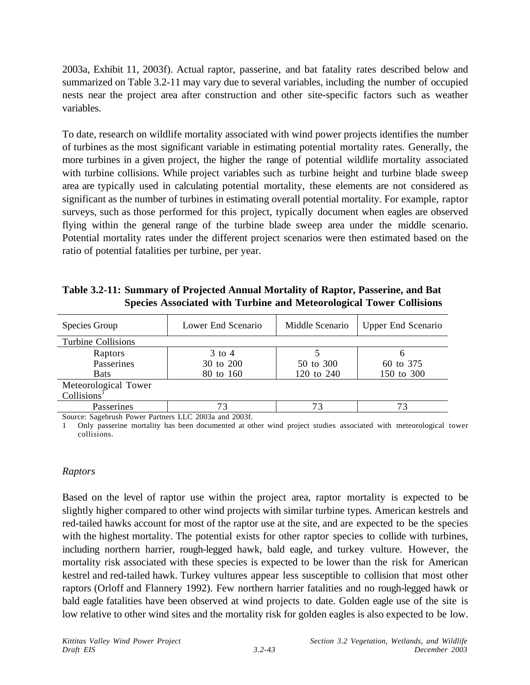2003a, Exhibit 11, 2003f). Actual raptor, passerine, and bat fatality rates described below and summarized on Table 3.2-11 may vary due to several variables, including the number of occupied nests near the project area after construction and other site-specific factors such as weather variables.

To date, research on wildlife mortality associated with wind power projects identifies the number of turbines as the most significant variable in estimating potential mortality rates. Generally, the more turbines in a given project, the higher the range of potential wildlife mortality associated with turbine collisions. While project variables such as turbine height and turbine blade sweep area are typically used in calculating potential mortality, these elements are not considered as significant as the number of turbines in estimating overall potential mortality. For example, raptor surveys, such as those performed for this project, typically document when eagles are observed flying within the general range of the turbine blade sweep area under the middle scenario. Potential mortality rates under the different project scenarios were then estimated based on the ratio of potential fatalities per turbine, per year.

**Table 3.2-11: Summary of Projected Annual Mortality of Raptor, Passerine, and Bat Species Associated with Turbine and Meteorological Tower Collisions**

| Species Group                                   | Lower End Scenario | Middle Scenario | <b>Upper End Scenario</b> |
|-------------------------------------------------|--------------------|-----------------|---------------------------|
| Turbine Collisions                              |                    |                 |                           |
| Raptors                                         | $3 \text{ to } 4$  |                 | h                         |
| Passerines                                      | 30 to 200          | 50 to 300       | 60 to 375                 |
| <b>Bats</b>                                     | 80 to 160          | 120 to 240      | 150 to 300                |
| Meteorological Tower<br>Collisions <sup>1</sup> |                    |                 |                           |
| Passerines                                      | 73                 | 73              |                           |
| $C = C + 1 D$ $D + T C 2002 12002C$             |                    |                 |                           |

Source: Sagebrush Power Partners LLC 2003a and 2003f.

1 Only passerine mortality has been documented at other wind project studies associated with meteorological tower collisions.

#### *Raptors*

Based on the level of raptor use within the project area, raptor mortality is expected to be slightly higher compared to other wind projects with similar turbine types. American kestrels and red-tailed hawks account for most of the raptor use at the site, and are expected to be the species with the highest mortality. The potential exists for other raptor species to collide with turbines, including northern harrier, rough-legged hawk, bald eagle, and turkey vulture. However, the mortality risk associated with these species is expected to be lower than the risk for American kestrel and red-tailed hawk. Turkey vultures appear less susceptible to collision that most other raptors (Orloff and Flannery 1992). Few northern harrier fatalities and no rough-legged hawk or bald eagle fatalities have been observed at wind projects to date. Golden eagle use of the site is low relative to other wind sites and the mortality risk for golden eagles is also expected to be low.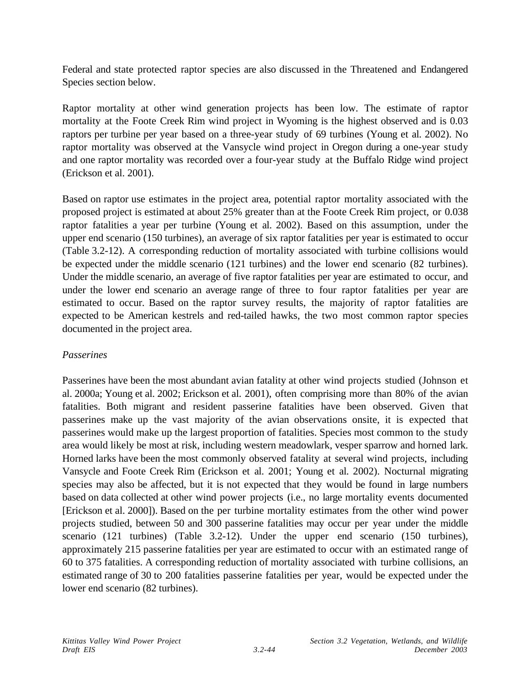Federal and state protected raptor species are also discussed in the Threatened and Endangered Species section below.

Raptor mortality at other wind generation projects has been low. The estimate of raptor mortality at the Foote Creek Rim wind project in Wyoming is the highest observed and is 0.03 raptors per turbine per year based on a three-year study of 69 turbines (Young et al. 2002). No raptor mortality was observed at the Vansycle wind project in Oregon during a one-year study and one raptor mortality was recorded over a four-year study at the Buffalo Ridge wind project (Erickson et al. 2001).

Based on raptor use estimates in the project area, potential raptor mortality associated with the proposed project is estimated at about 25% greater than at the Foote Creek Rim project, or 0.038 raptor fatalities a year per turbine (Young et al. 2002). Based on this assumption, under the upper end scenario (150 turbines), an average of six raptor fatalities per year is estimated to occur (Table 3.2-12). A corresponding reduction of mortality associated with turbine collisions would be expected under the middle scenario (121 turbines) and the lower end scenario (82 turbines). Under the middle scenario, an average of five raptor fatalities per year are estimated to occur, and under the lower end scenario an average range of three to four raptor fatalities per year are estimated to occur. Based on the raptor survey results, the majority of raptor fatalities are expected to be American kestrels and red-tailed hawks, the two most common raptor species documented in the project area.

### *Passerines*

Passerines have been the most abundant avian fatality at other wind projects studied (Johnson et al. 2000a; Young et al. 2002; Erickson et al. 2001), often comprising more than 80% of the avian fatalities. Both migrant and resident passerine fatalities have been observed. Given that passerines make up the vast majority of the avian observations onsite, it is expected that passerines would make up the largest proportion of fatalities. Species most common to the study area would likely be most at risk, including western meadowlark, vesper sparrow and horned lark. Horned larks have been the most commonly observed fatality at several wind projects, including Vansycle and Foote Creek Rim (Erickson et al. 2001; Young et al. 2002). Nocturnal migrating species may also be affected, but it is not expected that they would be found in large numbers based on data collected at other wind power projects (i.e., no large mortality events documented [Erickson et al. 2000]). Based on the per turbine mortality estimates from the other wind power projects studied, between 50 and 300 passerine fatalities may occur per year under the middle scenario (121 turbines) (Table 3.2-12). Under the upper end scenario (150 turbines), approximately 215 passerine fatalities per year are estimated to occur with an estimated range of 60 to 375 fatalities. A corresponding reduction of mortality associated with turbine collisions, an estimated range of 30 to 200 fatalities passerine fatalities per year, would be expected under the lower end scenario (82 turbines).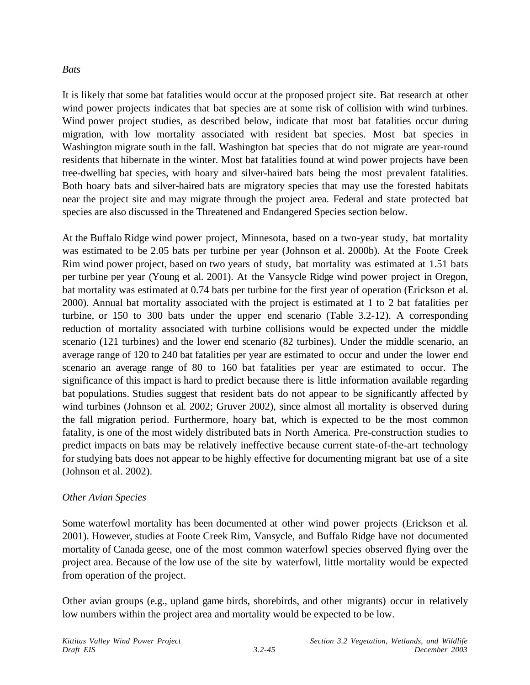#### *Bats*

It is likely that some bat fatalities would occur at the proposed project site. Bat research at other wind power projects indicates that bat species are at some risk of collision with wind turbines. Wind power project studies, as described below, indicate that most bat fatalities occur during migration, with low mortality associated with resident bat species. Most bat species in Washington migrate south in the fall. Washington bat species that do not migrate are year-round residents that hibernate in the winter. Most bat fatalities found at wind power projects have been tree-dwelling bat species, with hoary and silver-haired bats being the most prevalent fatalities. Both hoary bats and silver-haired bats are migratory species that may use the forested habitats near the project site and may migrate through the project area. Federal and state protected bat species are also discussed in the Threatened and Endangered Species section below.

At the Buffalo Ridge wind power project, Minnesota, based on a two-year study, bat mortality was estimated to be 2.05 bats per turbine per year (Johnson et al. 2000b). At the Foote Creek Rim wind power project, based on two years of study, bat mortality was estimated at 1.51 bats per turbine per year (Young et al. 2001). At the Vansycle Ridge wind power project in Oregon, bat mortality was estimated at 0.74 bats per turbine for the first year of operation (Erickson et al. 2000). Annual bat mortality associated with the project is estimated at 1 to 2 bat fatalities per turbine, or 150 to 300 bats under the upper end scenario (Table 3.2-12). A corresponding reduction of mortality associated with turbine collisions would be expected under the middle scenario (121 turbines) and the lower end scenario (82 turbines). Under the middle scenario, an average range of 120 to 240 bat fatalities per year are estimated to occur and under the lower end scenario an average range of 80 to 160 bat fatalities per year are estimated to occur. The significance of this impact is hard to predict because there is little information available regarding bat populations. Studies suggest that resident bats do not appear to be significantly affected by wind turbines (Johnson et al. 2002; Gruver 2002), since almost all mortality is observed during the fall migration period. Furthermore, hoary bat, which is expected to be the most common fatality, is one of the most widely distributed bats in North America. Pre-construction studies to predict impacts on bats may be relatively ineffective because current state-of-the-art technology for studying bats does not appear to be highly effective for documenting migrant bat use of a site (Johnson et al. 2002).

### *Other Avian Species*

Some waterfowl mortality has been documented at other wind power projects (Erickson et al. 2001). However, studies at Foote Creek Rim, Vansycle, and Buffalo Ridge have not documented mortality of Canada geese, one of the most common waterfowl species observed flying over the project area. Because of the low use of the site by waterfowl, little mortality would be expected from operation of the project.

Other avian groups (e.g., upland game birds, shorebirds, and other migrants) occur in relatively low numbers within the project area and mortality would be expected to be low.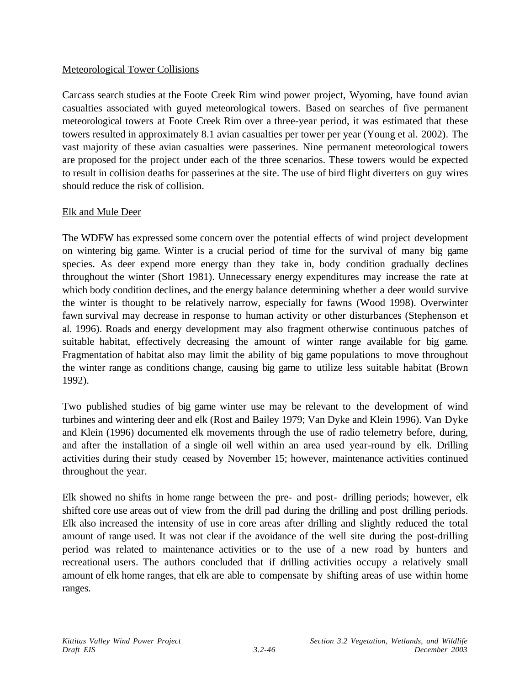### Meteorological Tower Collisions

Carcass search studies at the Foote Creek Rim wind power project, Wyoming, have found avian casualties associated with guyed meteorological towers. Based on searches of five permanent meteorological towers at Foote Creek Rim over a three-year period, it was estimated that these towers resulted in approximately 8.1 avian casualties per tower per year (Young et al. 2002). The vast majority of these avian casualties were passerines. Nine permanent meteorological towers are proposed for the project under each of the three scenarios. These towers would be expected to result in collision deaths for passerines at the site. The use of bird flight diverters on guy wires should reduce the risk of collision.

#### Elk and Mule Deer

The WDFW has expressed some concern over the potential effects of wind project development on wintering big game. Winter is a crucial period of time for the survival of many big game species. As deer expend more energy than they take in, body condition gradually declines throughout the winter (Short 1981). Unnecessary energy expenditures may increase the rate at which body condition declines, and the energy balance determining whether a deer would survive the winter is thought to be relatively narrow, especially for fawns (Wood 1998). Overwinter fawn survival may decrease in response to human activity or other disturbances (Stephenson et al. 1996). Roads and energy development may also fragment otherwise continuous patches of suitable habitat, effectively decreasing the amount of winter range available for big game. Fragmentation of habitat also may limit the ability of big game populations to move throughout the winter range as conditions change, causing big game to utilize less suitable habitat (Brown 1992).

Two published studies of big game winter use may be relevant to the development of wind turbines and wintering deer and elk (Rost and Bailey 1979; Van Dyke and Klein 1996). Van Dyke and Klein (1996) documented elk movements through the use of radio telemetry before, during, and after the installation of a single oil well within an area used year-round by elk. Drilling activities during their study ceased by November 15; however, maintenance activities continued throughout the year.

Elk showed no shifts in home range between the pre- and post- drilling periods; however, elk shifted core use areas out of view from the drill pad during the drilling and post drilling periods. Elk also increased the intensity of use in core areas after drilling and slightly reduced the total amount of range used. It was not clear if the avoidance of the well site during the post-drilling period was related to maintenance activities or to the use of a new road by hunters and recreational users. The authors concluded that if drilling activities occupy a relatively small amount of elk home ranges, that elk are able to compensate by shifting areas of use within home ranges.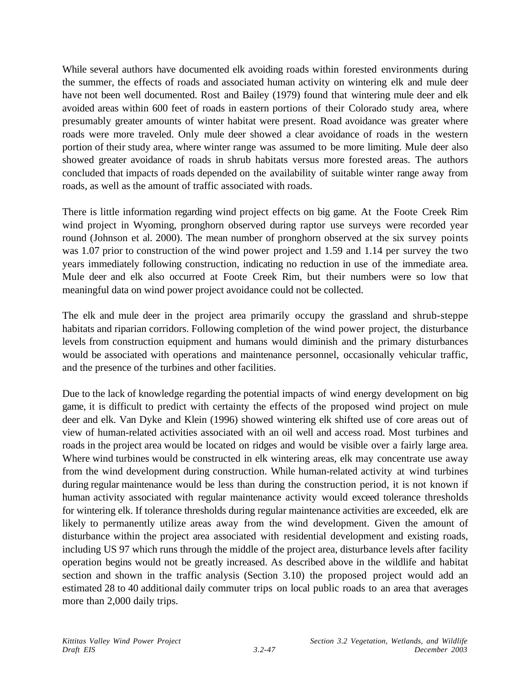While several authors have documented elk avoiding roads within forested environments during the summer, the effects of roads and associated human activity on wintering elk and mule deer have not been well documented. Rost and Bailey (1979) found that wintering mule deer and elk avoided areas within 600 feet of roads in eastern portions of their Colorado study area, where presumably greater amounts of winter habitat were present. Road avoidance was greater where roads were more traveled. Only mule deer showed a clear avoidance of roads in the western portion of their study area, where winter range was assumed to be more limiting. Mule deer also showed greater avoidance of roads in shrub habitats versus more forested areas. The authors concluded that impacts of roads depended on the availability of suitable winter range away from roads, as well as the amount of traffic associated with roads.

There is little information regarding wind project effects on big game. At the Foote Creek Rim wind project in Wyoming, pronghorn observed during raptor use surveys were recorded year round (Johnson et al. 2000). The mean number of pronghorn observed at the six survey points was 1.07 prior to construction of the wind power project and 1.59 and 1.14 per survey the two years immediately following construction, indicating no reduction in use of the immediate area. Mule deer and elk also occurred at Foote Creek Rim, but their numbers were so low that meaningful data on wind power project avoidance could not be collected.

The elk and mule deer in the project area primarily occupy the grassland and shrub-steppe habitats and riparian corridors. Following completion of the wind power project, the disturbance levels from construction equipment and humans would diminish and the primary disturbances would be associated with operations and maintenance personnel, occasionally vehicular traffic, and the presence of the turbines and other facilities.

Due to the lack of knowledge regarding the potential impacts of wind energy development on big game, it is difficult to predict with certainty the effects of the proposed wind project on mule deer and elk. Van Dyke and Klein (1996) showed wintering elk shifted use of core areas out of view of human-related activities associated with an oil well and access road. Most turbines and roads in the project area would be located on ridges and would be visible over a fairly large area. Where wind turbines would be constructed in elk wintering areas, elk may concentrate use away from the wind development during construction. While human-related activity at wind turbines during regular maintenance would be less than during the construction period, it is not known if human activity associated with regular maintenance activity would exceed tolerance thresholds for wintering elk. If tolerance thresholds during regular maintenance activities are exceeded, elk are likely to permanently utilize areas away from the wind development. Given the amount of disturbance within the project area associated with residential development and existing roads, including US 97 which runs through the middle of the project area, disturbance levels after facility operation begins would not be greatly increased. As described above in the wildlife and habitat section and shown in the traffic analysis (Section 3.10) the proposed project would add an estimated 28 to 40 additional daily commuter trips on local public roads to an area that averages more than 2,000 daily trips.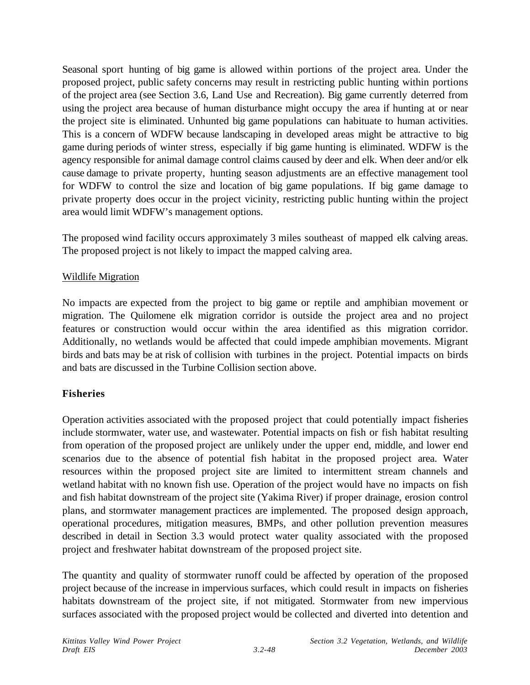Seasonal sport hunting of big game is allowed within portions of the project area. Under the proposed project, public safety concerns may result in restricting public hunting within portions of the project area (see Section 3.6, Land Use and Recreation). Big game currently deterred from using the project area because of human disturbance might occupy the area if hunting at or near the project site is eliminated. Unhunted big game populations can habituate to human activities. This is a concern of WDFW because landscaping in developed areas might be attractive to big game during periods of winter stress, especially if big game hunting is eliminated. WDFW is the agency responsible for animal damage control claims caused by deer and elk. When deer and/or elk cause damage to private property, hunting season adjustments are an effective management tool for WDFW to control the size and location of big game populations. If big game damage to private property does occur in the project vicinity, restricting public hunting within the project area would limit WDFW's management options.

The proposed wind facility occurs approximately 3 miles southeast of mapped elk calving areas. The proposed project is not likely to impact the mapped calving area.

### Wildlife Migration

No impacts are expected from the project to big game or reptile and amphibian movement or migration. The Quilomene elk migration corridor is outside the project area and no project features or construction would occur within the area identified as this migration corridor. Additionally, no wetlands would be affected that could impede amphibian movements. Migrant birds and bats may be at risk of collision with turbines in the project. Potential impacts on birds and bats are discussed in the Turbine Collision section above.

### **Fisheries**

Operation activities associated with the proposed project that could potentially impact fisheries include stormwater, water use, and wastewater. Potential impacts on fish or fish habitat resulting from operation of the proposed project are unlikely under the upper end, middle, and lower end scenarios due to the absence of potential fish habitat in the proposed project area. Water resources within the proposed project site are limited to intermittent stream channels and wetland habitat with no known fish use. Operation of the project would have no impacts on fish and fish habitat downstream of the project site (Yakima River) if proper drainage, erosion control plans, and stormwater management practices are implemented. The proposed design approach, operational procedures, mitigation measures, BMPs, and other pollution prevention measures described in detail in Section 3.3 would protect water quality associated with the proposed project and freshwater habitat downstream of the proposed project site.

The quantity and quality of stormwater runoff could be affected by operation of the proposed project because of the increase in impervious surfaces, which could result in impacts on fisheries habitats downstream of the project site, if not mitigated. Stormwater from new impervious surfaces associated with the proposed project would be collected and diverted into detention and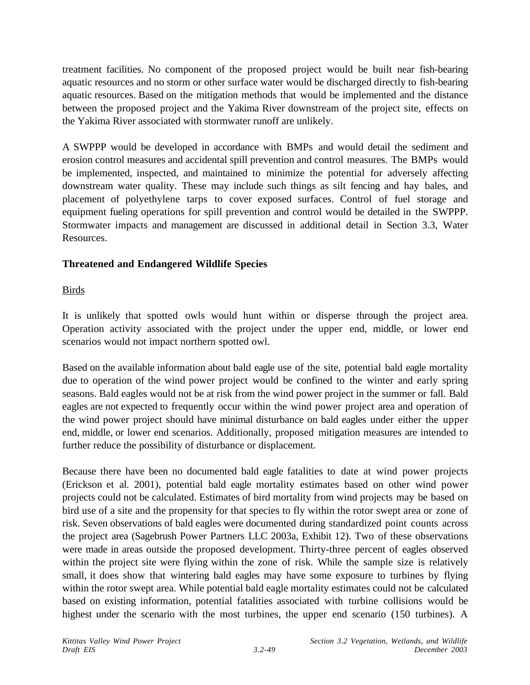treatment facilities. No component of the proposed project would be built near fish-bearing aquatic resources and no storm or other surface water would be discharged directly to fish-bearing aquatic resources. Based on the mitigation methods that would be implemented and the distance between the proposed project and the Yakima River downstream of the project site, effects on the Yakima River associated with stormwater runoff are unlikely.

A SWPPP would be developed in accordance with BMPs and would detail the sediment and erosion control measures and accidental spill prevention and control measures. The BMPs would be implemented, inspected, and maintained to minimize the potential for adversely affecting downstream water quality. These may include such things as silt fencing and hay bales, and placement of polyethylene tarps to cover exposed surfaces. Control of fuel storage and equipment fueling operations for spill prevention and control would be detailed in the SWPPP. Stormwater impacts and management are discussed in additional detail in Section 3.3, Water Resources.

## **Threatened and Endangered Wildlife Species**

## Birds

It is unlikely that spotted owls would hunt within or disperse through the project area. Operation activity associated with the project under the upper end, middle, or lower end scenarios would not impact northern spotted owl.

Based on the available information about bald eagle use of the site, potential bald eagle mortality due to operation of the wind power project would be confined to the winter and early spring seasons. Bald eagles would not be at risk from the wind power project in the summer or fall. Bald eagles are not expected to frequently occur within the wind power project area and operation of the wind power project should have minimal disturbance on bald eagles under either the upper end, middle, or lower end scenarios. Additionally, proposed mitigation measures are intended to further reduce the possibility of disturbance or displacement.

Because there have been no documented bald eagle fatalities to date at wind power projects (Erickson et al. 2001), potential bald eagle mortality estimates based on other wind power projects could not be calculated. Estimates of bird mortality from wind projects may be based on bird use of a site and the propensity for that species to fly within the rotor swept area or zone of risk. Seven observations of bald eagles were documented during standardized point counts across the project area (Sagebrush Power Partners LLC 2003a, Exhibit 12). Two of these observations were made in areas outside the proposed development. Thirty-three percent of eagles observed within the project site were flying within the zone of risk. While the sample size is relatively small, it does show that wintering bald eagles may have some exposure to turbines by flying within the rotor swept area. While potential bald eagle mortality estimates could not be calculated based on existing information, potential fatalities associated with turbine collisions would be highest under the scenario with the most turbines, the upper end scenario (150 turbines). A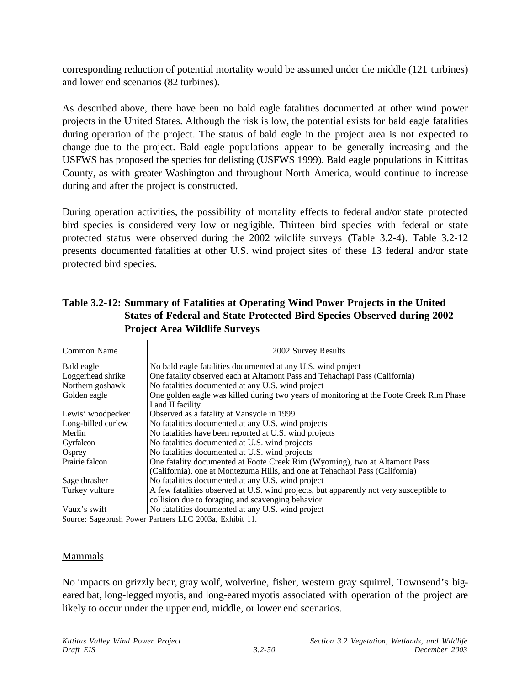corresponding reduction of potential mortality would be assumed under the middle (121 turbines) and lower end scenarios (82 turbines).

As described above, there have been no bald eagle fatalities documented at other wind power projects in the United States. Although the risk is low, the potential exists for bald eagle fatalities during operation of the project. The status of bald eagle in the project area is not expected to change due to the project. Bald eagle populations appear to be generally increasing and the USFWS has proposed the species for delisting (USFWS 1999). Bald eagle populations in Kittitas County, as with greater Washington and throughout North America, would continue to increase during and after the project is constructed.

During operation activities, the possibility of mortality effects to federal and/or state protected bird species is considered very low or negligible. Thirteen bird species with federal or state protected status were observed during the 2002 wildlife surveys (Table 3.2-4). Table 3.2-12 presents documented fatalities at other U.S. wind project sites of these 13 federal and/or state protected bird species.

| Common Name        | 2002 Survey Results                                                                     |  |  |
|--------------------|-----------------------------------------------------------------------------------------|--|--|
| Bald eagle         | No bald eagle fatalities documented at any U.S. wind project                            |  |  |
| Loggerhead shrike  | One fatality observed each at Altamont Pass and Tehachapi Pass (California)             |  |  |
| Northern goshawk   | No fatalities documented at any U.S. wind project                                       |  |  |
| Golden eagle       | One golden eagle was killed during two years of monitoring at the Foote Creek Rim Phase |  |  |
|                    | I and II facility                                                                       |  |  |
| Lewis' woodpecker  | Observed as a fatality at Vansycle in 1999                                              |  |  |
| Long-billed curlew | No fatalities documented at any U.S. wind projects                                      |  |  |
| Merlin             | No fatalities have been reported at U.S. wind projects                                  |  |  |
| Gyrfalcon          | No fatalities documented at U.S. wind projects                                          |  |  |
| Osprey             | No fatalities documented at U.S. wind projects                                          |  |  |
| Prairie falcon     | One fatality documented at Foote Creek Rim (Wyoming), two at Altamont Pass              |  |  |
|                    | (California), one at Montezuma Hills, and one at Tehachapi Pass (California)            |  |  |
| Sage thrasher      | No fatalities documented at any U.S. wind project                                       |  |  |
| Turkey vulture     | A few fatalities observed at U.S. wind projects, but apparently not very susceptible to |  |  |
|                    | collision due to foraging and scavenging behavior                                       |  |  |
| Vaux's swift       | No fatalities documented at any U.S. wind project                                       |  |  |

**Table 3.2-12: Summary of Fatalities at Operating Wind Power Projects in the United States of Federal and State Protected Bird Species Observed during 2002 Project Area Wildlife Surveys**

Source: Sagebrush Power Partners LLC 2003a, Exhibit 11.

#### Mammals

No impacts on grizzly bear, gray wolf, wolverine, fisher, western gray squirrel, Townsend's bigeared bat, long-legged myotis, and long-eared myotis associated with operation of the project are likely to occur under the upper end, middle, or lower end scenarios.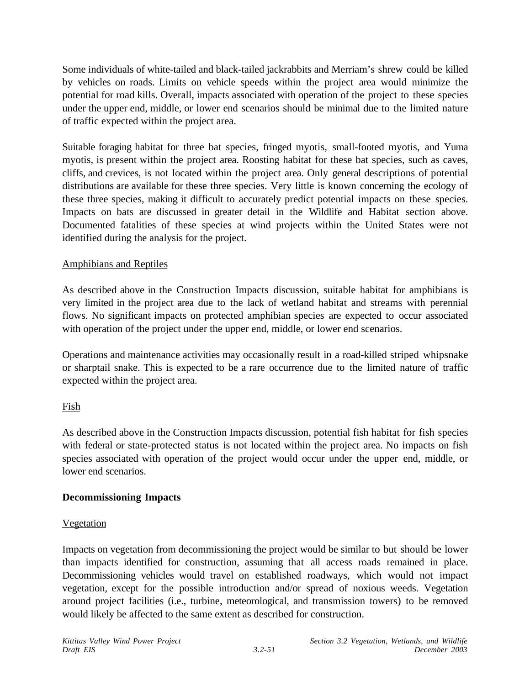Some individuals of white-tailed and black-tailed jackrabbits and Merriam's shrew could be killed by vehicles on roads. Limits on vehicle speeds within the project area would minimize the potential for road kills. Overall, impacts associated with operation of the project to these species under the upper end, middle, or lower end scenarios should be minimal due to the limited nature of traffic expected within the project area.

Suitable foraging habitat for three bat species, fringed myotis, small-footed myotis, and Yuma myotis, is present within the project area. Roosting habitat for these bat species, such as caves, cliffs, and crevices, is not located within the project area. Only general descriptions of potential distributions are available for these three species. Very little is known concerning the ecology of these three species, making it difficult to accurately predict potential impacts on these species. Impacts on bats are discussed in greater detail in the Wildlife and Habitat section above. Documented fatalities of these species at wind projects within the United States were not identified during the analysis for the project.

### Amphibians and Reptiles

As described above in the Construction Impacts discussion, suitable habitat for amphibians is very limited in the project area due to the lack of wetland habitat and streams with perennial flows. No significant impacts on protected amphibian species are expected to occur associated with operation of the project under the upper end, middle, or lower end scenarios.

Operations and maintenance activities may occasionally result in a road-killed striped whipsnake or sharptail snake. This is expected to be a rare occurrence due to the limited nature of traffic expected within the project area.

## Fish

As described above in the Construction Impacts discussion, potential fish habitat for fish species with federal or state-protected status is not located within the project area. No impacts on fish species associated with operation of the project would occur under the upper end, middle, or lower end scenarios.

## **Decommissioning Impacts**

### **Vegetation**

Impacts on vegetation from decommissioning the project would be similar to but should be lower than impacts identified for construction, assuming that all access roads remained in place. Decommissioning vehicles would travel on established roadways, which would not impact vegetation, except for the possible introduction and/or spread of noxious weeds. Vegetation around project facilities (i.e., turbine, meteorological, and transmission towers) to be removed would likely be affected to the same extent as described for construction.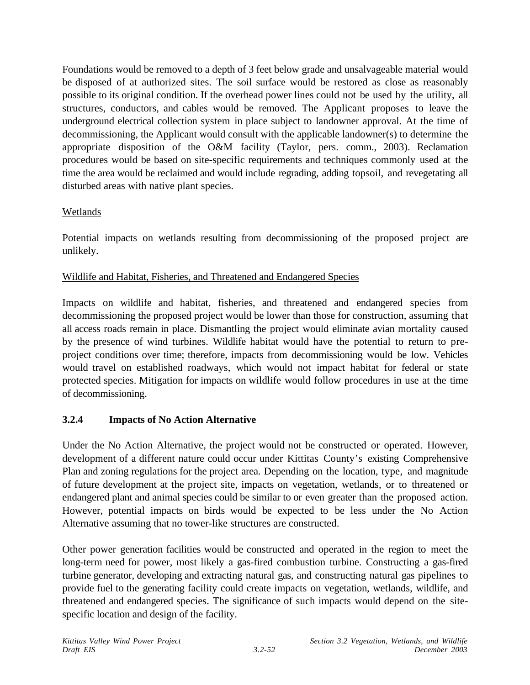Foundations would be removed to a depth of 3 feet below grade and unsalvageable material would be disposed of at authorized sites. The soil surface would be restored as close as reasonably possible to its original condition. If the overhead power lines could not be used by the utility, all structures, conductors, and cables would be removed. The Applicant proposes to leave the underground electrical collection system in place subject to landowner approval. At the time of decommissioning, the Applicant would consult with the applicable landowner(s) to determine the appropriate disposition of the O&M facility (Taylor, pers. comm., 2003). Reclamation procedures would be based on site-specific requirements and techniques commonly used at the time the area would be reclaimed and would include regrading, adding topsoil, and revegetating all disturbed areas with native plant species.

## Wetlands

Potential impacts on wetlands resulting from decommissioning of the proposed project are unlikely.

## Wildlife and Habitat, Fisheries, and Threatened and Endangered Species

Impacts on wildlife and habitat, fisheries, and threatened and endangered species from decommissioning the proposed project would be lower than those for construction, assuming that all access roads remain in place. Dismantling the project would eliminate avian mortality caused by the presence of wind turbines. Wildlife habitat would have the potential to return to preproject conditions over time; therefore, impacts from decommissioning would be low. Vehicles would travel on established roadways, which would not impact habitat for federal or state protected species. Mitigation for impacts on wildlife would follow procedures in use at the time of decommissioning.

## **3.2.4 Impacts of No Action Alternative**

Under the No Action Alternative, the project would not be constructed or operated. However, development of a different nature could occur under Kittitas County's existing Comprehensive Plan and zoning regulations for the project area. Depending on the location, type, and magnitude of future development at the project site, impacts on vegetation, wetlands, or to threatened or endangered plant and animal species could be similar to or even greater than the proposed action. However, potential impacts on birds would be expected to be less under the No Action Alternative assuming that no tower-like structures are constructed.

Other power generation facilities would be constructed and operated in the region to meet the long-term need for power, most likely a gas-fired combustion turbine. Constructing a gas-fired turbine generator, developing and extracting natural gas, and constructing natural gas pipelines to provide fuel to the generating facility could create impacts on vegetation, wetlands, wildlife, and threatened and endangered species. The significance of such impacts would depend on the sitespecific location and design of the facility.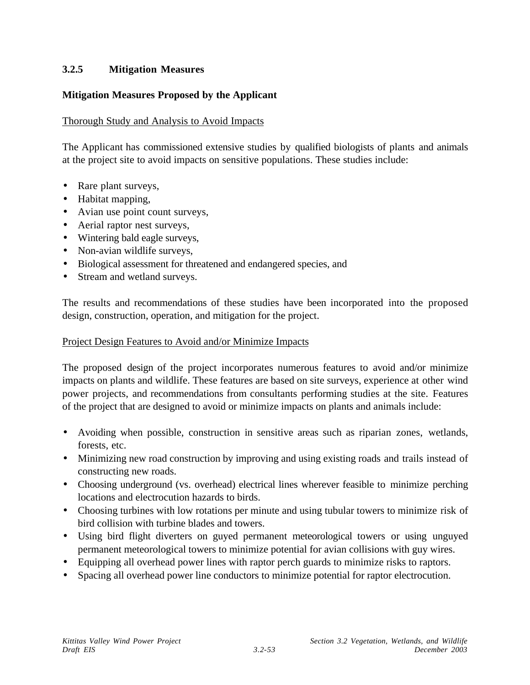## **3.2.5 Mitigation Measures**

## **Mitigation Measures Proposed by the Applicant**

#### Thorough Study and Analysis to Avoid Impacts

The Applicant has commissioned extensive studies by qualified biologists of plants and animals at the project site to avoid impacts on sensitive populations. These studies include:

- Rare plant surveys,
- Habitat mapping,
- Avian use point count surveys,
- Aerial raptor nest surveys,
- Wintering bald eagle surveys,
- Non-avian wildlife surveys,
- Biological assessment for threatened and endangered species, and
- Stream and wetland surveys.

The results and recommendations of these studies have been incorporated into the proposed design, construction, operation, and mitigation for the project.

#### Project Design Features to Avoid and/or Minimize Impacts

The proposed design of the project incorporates numerous features to avoid and/or minimize impacts on plants and wildlife. These features are based on site surveys, experience at other wind power projects, and recommendations from consultants performing studies at the site. Features of the project that are designed to avoid or minimize impacts on plants and animals include:

- Avoiding when possible, construction in sensitive areas such as riparian zones, wetlands, forests, etc.
- Minimizing new road construction by improving and using existing roads and trails instead of constructing new roads.
- Choosing underground (vs. overhead) electrical lines wherever feasible to minimize perching locations and electrocution hazards to birds.
- Choosing turbines with low rotations per minute and using tubular towers to minimize risk of bird collision with turbine blades and towers.
- Using bird flight diverters on guyed permanent meteorological towers or using unguyed permanent meteorological towers to minimize potential for avian collisions with guy wires.
- Equipping all overhead power lines with raptor perch guards to minimize risks to raptors.
- Spacing all overhead power line conductors to minimize potential for raptor electrocution.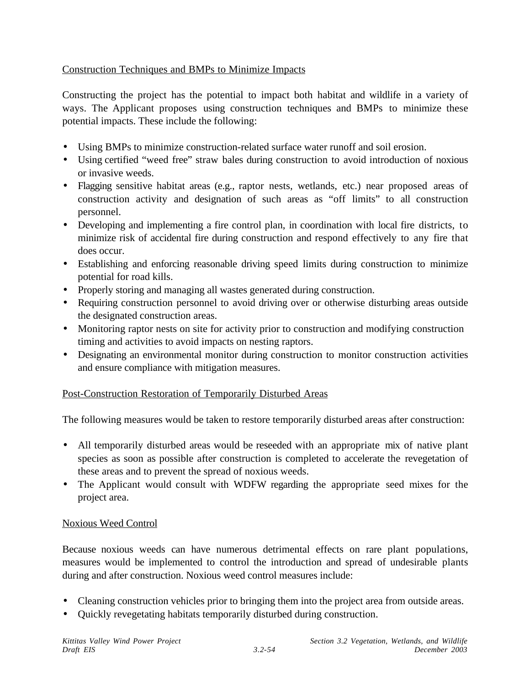## Construction Techniques and BMPs to Minimize Impacts

Constructing the project has the potential to impact both habitat and wildlife in a variety of ways. The Applicant proposes using construction techniques and BMPs to minimize these potential impacts. These include the following:

- Using BMPs to minimize construction-related surface water runoff and soil erosion.
- Using certified "weed free" straw bales during construction to avoid introduction of noxious or invasive weeds.
- Flagging sensitive habitat areas (e.g., raptor nests, wetlands, etc.) near proposed areas of construction activity and designation of such areas as "off limits" to all construction personnel.
- Developing and implementing a fire control plan, in coordination with local fire districts, to minimize risk of accidental fire during construction and respond effectively to any fire that does occur.
- Establishing and enforcing reasonable driving speed limits during construction to minimize potential for road kills.
- Properly storing and managing all wastes generated during construction.
- Requiring construction personnel to avoid driving over or otherwise disturbing areas outside the designated construction areas.
- Monitoring raptor nests on site for activity prior to construction and modifying construction timing and activities to avoid impacts on nesting raptors.
- Designating an environmental monitor during construction to monitor construction activities and ensure compliance with mitigation measures.

### Post-Construction Restoration of Temporarily Disturbed Areas

The following measures would be taken to restore temporarily disturbed areas after construction:

- All temporarily disturbed areas would be reseeded with an appropriate mix of native plant species as soon as possible after construction is completed to accelerate the revegetation of these areas and to prevent the spread of noxious weeds.
- The Applicant would consult with WDFW regarding the appropriate seed mixes for the project area.

### Noxious Weed Control

Because noxious weeds can have numerous detrimental effects on rare plant populations, measures would be implemented to control the introduction and spread of undesirable plants during and after construction. Noxious weed control measures include:

- Cleaning construction vehicles prior to bringing them into the project area from outside areas.
- Quickly revegetating habitats temporarily disturbed during construction.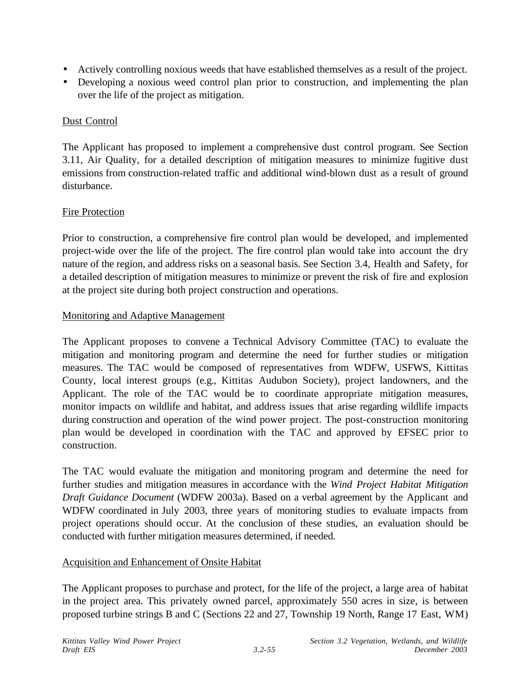- Actively controlling noxious weeds that have established themselves as a result of the project.
- Developing a noxious weed control plan prior to construction, and implementing the plan over the life of the project as mitigation.

### Dust Control

The Applicant has proposed to implement a comprehensive dust control program. See Section 3.11, Air Quality, for a detailed description of mitigation measures to minimize fugitive dust emissions from construction-related traffic and additional wind-blown dust as a result of ground disturbance.

### Fire Protection

Prior to construction, a comprehensive fire control plan would be developed, and implemented project-wide over the life of the project. The fire control plan would take into account the dry nature of the region, and address risks on a seasonal basis. See Section 3.4, Health and Safety, for a detailed description of mitigation measures to minimize or prevent the risk of fire and explosion at the project site during both project construction and operations.

#### Monitoring and Adaptive Management

The Applicant proposes to convene a Technical Advisory Committee (TAC) to evaluate the mitigation and monitoring program and determine the need for further studies or mitigation measures. The TAC would be composed of representatives from WDFW, USFWS, Kittitas County, local interest groups (e.g., Kittitas Audubon Society), project landowners, and the Applicant. The role of the TAC would be to coordinate appropriate mitigation measures, monitor impacts on wildlife and habitat, and address issues that arise regarding wildlife impacts during construction and operation of the wind power project. The post-construction monitoring plan would be developed in coordination with the TAC and approved by EFSEC prior to construction.

The TAC would evaluate the mitigation and monitoring program and determine the need for further studies and mitigation measures in accordance with the *Wind Project Habitat Mitigation Draft Guidance Document* (WDFW 2003a). Based on a verbal agreement by the Applicant and WDFW coordinated in July 2003, three years of monitoring studies to evaluate impacts from project operations should occur. At the conclusion of these studies, an evaluation should be conducted with further mitigation measures determined, if needed.

### Acquisition and Enhancement of Onsite Habitat

The Applicant proposes to purchase and protect, for the life of the project, a large area of habitat in the project area. This privately owned parcel, approximately 550 acres in size, is between proposed turbine strings B and C (Sections 22 and 27, Township 19 North, Range 17 East, WM)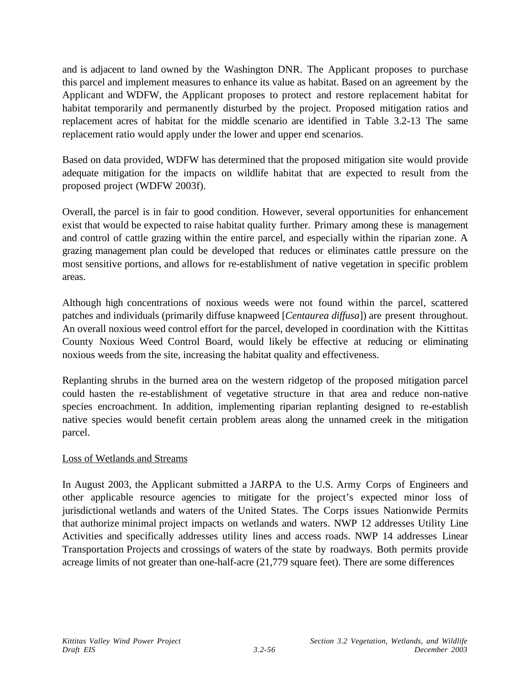and is adjacent to land owned by the Washington DNR. The Applicant proposes to purchase this parcel and implement measures to enhance its value as habitat. Based on an agreement by the Applicant and WDFW, the Applicant proposes to protect and restore replacement habitat for habitat temporarily and permanently disturbed by the project. Proposed mitigation ratios and replacement acres of habitat for the middle scenario are identified in Table 3.2-13 The same replacement ratio would apply under the lower and upper end scenarios.

Based on data provided, WDFW has determined that the proposed mitigation site would provide adequate mitigation for the impacts on wildlife habitat that are expected to result from the proposed project (WDFW 2003f).

Overall, the parcel is in fair to good condition. However, several opportunities for enhancement exist that would be expected to raise habitat quality further. Primary among these is management and control of cattle grazing within the entire parcel, and especially within the riparian zone. A grazing management plan could be developed that reduces or eliminates cattle pressure on the most sensitive portions, and allows for re-establishment of native vegetation in specific problem areas.

Although high concentrations of noxious weeds were not found within the parcel, scattered patches and individuals (primarily diffuse knapweed [*Centaurea diffusa*]) are present throughout. An overall noxious weed control effort for the parcel, developed in coordination with the Kittitas County Noxious Weed Control Board, would likely be effective at reducing or eliminating noxious weeds from the site, increasing the habitat quality and effectiveness.

Replanting shrubs in the burned area on the western ridgetop of the proposed mitigation parcel could hasten the re-establishment of vegetative structure in that area and reduce non-native species encroachment. In addition, implementing riparian replanting designed to re-establish native species would benefit certain problem areas along the unnamed creek in the mitigation parcel.

### Loss of Wetlands and Streams

In August 2003, the Applicant submitted a JARPA to the U.S. Army Corps of Engineers and other applicable resource agencies to mitigate for the project's expected minor loss of jurisdictional wetlands and waters of the United States. The Corps issues Nationwide Permits that authorize minimal project impacts on wetlands and waters. NWP 12 addresses Utility Line Activities and specifically addresses utility lines and access roads. NWP 14 addresses Linear Transportation Projects and crossings of waters of the state by roadways. Both permits provide acreage limits of not greater than one-half-acre (21,779 square feet). There are some differences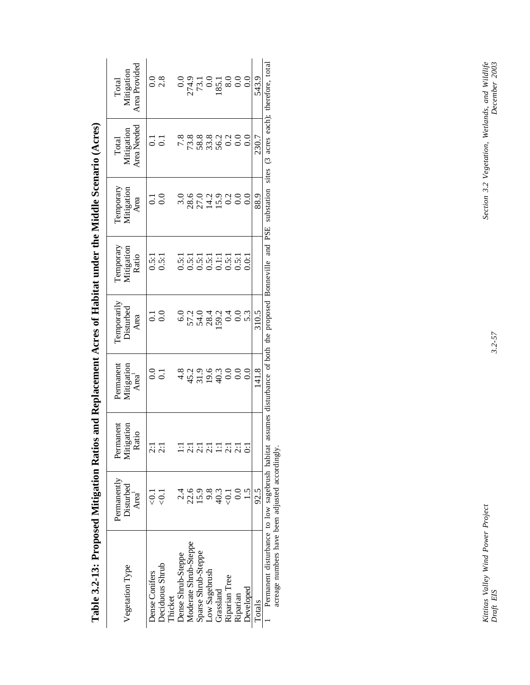| Vegetation Type                                | Permanently<br>Disturbed<br>Area <sup>1</sup> | Permanent<br>Mitigation<br>Ratio                                      | Permanent<br>Mitigation<br>Area <sup>1</sup>        | l'emporarily<br>Disturbed<br>Area                                      | <b>Temporary</b><br>Mitigation<br>Ratio | <b>Temporary</b><br>Mitigation<br>Area | Area Needed<br>Mitigation<br>Total     | Area Provided<br>Mitigation<br>Total                                                        |
|------------------------------------------------|-----------------------------------------------|-----------------------------------------------------------------------|-----------------------------------------------------|------------------------------------------------------------------------|-----------------------------------------|----------------------------------------|----------------------------------------|---------------------------------------------------------------------------------------------|
| Dense Conifers                                 |                                               | $\overline{c}$                                                        | $\rm ^{0.0}$                                        | $\overline{0}$ .                                                       |                                         | 5                                      | $\Xi$                                  |                                                                                             |
| Deciduous Shrub<br>Thicket                     | $\vec{\odot}$                                 | $\overline{c}$                                                        | $\overline{c}$                                      | $\overline{0}$                                                         | 0.5:1                                   | 0.0                                    | $\overline{c}$                         | 0.08                                                                                        |
| Dense Shrub-Steppe                             |                                               | $\Xi$                                                                 |                                                     | 6.0                                                                    | 0.5:1                                   | 3.0                                    |                                        |                                                                                             |
| Moderate Shrub-Steppe                          | 22.6                                          | $\overline{2:1}$                                                      | 4 4 5 5 4 6 6 6<br>8 6 7 6 7 6 6 6<br>8 7 7 7 6 6 7 |                                                                        | 0.5:1                                   |                                        |                                        | $\begin{array}{c} 0.0 \\ 274.9 \\ 73.1 \\ 85.1 \\ 88.0 \\ 0.0 \\ 0.0 \\ 0.0 \\ \end{array}$ |
| Sparse Shrub-Steppe                            | <b>15.9</b>                                   | $\frac{1}{2}$ $\frac{1}{2}$ $\frac{1}{2}$ $\frac{1}{2}$ $\frac{1}{2}$ |                                                     | 79.789000000000                                                        |                                         | 8001910<br>8011900                     |                                        |                                                                                             |
| Low Sagebrush                                  |                                               |                                                                       |                                                     |                                                                        |                                         |                                        |                                        |                                                                                             |
| Grassland                                      | $9.\overline{3}$<br>40.3                      |                                                                       |                                                     |                                                                        |                                         |                                        |                                        |                                                                                             |
| Riparian Tree                                  | l.<br>G                                       |                                                                       |                                                     |                                                                        |                                         |                                        |                                        |                                                                                             |
| Riparian                                       | $\frac{0}{2}$                                 | 2:1                                                                   |                                                     |                                                                        |                                         |                                        |                                        |                                                                                             |
| Developed                                      | $\overline{1.5}$                              | ි                                                                     | $\overline{0}$ .                                    |                                                                        | 0.01                                    | 0.0                                    | 0.0                                    |                                                                                             |
| Totals                                         | 92.5                                          |                                                                       | 141.8                                               | 310.5                                                                  |                                         | 88.9                                   | 230.7                                  | 543.9                                                                                       |
| Permanent disturbance to low sagebrush habitat |                                               |                                                                       |                                                     | assumes disturbance of both the proposed Bonneville and PSE substation |                                         |                                        | sites (3 acres each); therefore, total |                                                                                             |

Table 3.2-13: Proposed Mitigation Ratios and Replacement Acres of Habitat under the Middle Scenario (Acres) **Table 3.2-13: Proposed Mitigation Ratios and Replacement Acres of Habitat under the Middle Scenario (Acres)**

A CALIFICATE CONTROL OF THE SECTION AND THE SCIENCE SCIENCE ACCORDINGLY. acreage numbers have been adjusted accordingly.

Kittitas Valley Wind Power Project<br>Draft EIS

Section 3.2 Vegetation, Wetlands, and Wildlife<br>December 2003 *Kittitas Valley Wind Power Project Section 3.2 Vegetation, Wetlands, and Wildlife Draft EIS 3.2-57 December 2003*

 $3.2 - 57$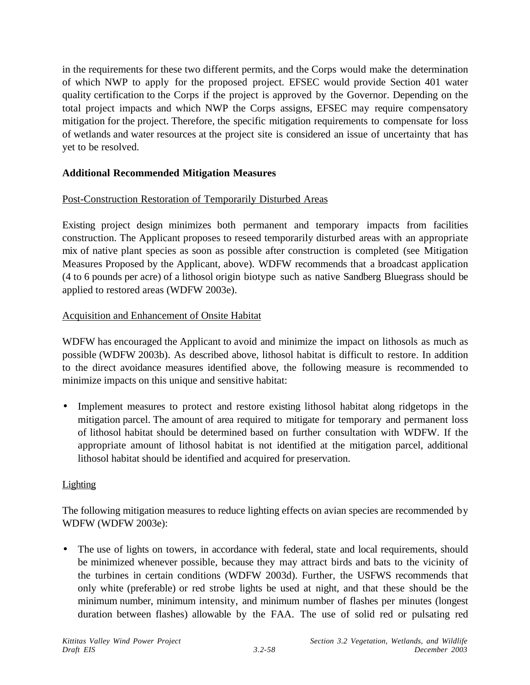in the requirements for these two different permits, and the Corps would make the determination of which NWP to apply for the proposed project. EFSEC would provide Section 401 water quality certification to the Corps if the project is approved by the Governor. Depending on the total project impacts and which NWP the Corps assigns, EFSEC may require compensatory mitigation for the project. Therefore, the specific mitigation requirements to compensate for loss of wetlands and water resources at the project site is considered an issue of uncertainty that has yet to be resolved.

## **Additional Recommended Mitigation Measures**

## Post-Construction Restoration of Temporarily Disturbed Areas

Existing project design minimizes both permanent and temporary impacts from facilities construction. The Applicant proposes to reseed temporarily disturbed areas with an appropriate mix of native plant species as soon as possible after construction is completed (see Mitigation Measures Proposed by the Applicant, above). WDFW recommends that a broadcast application (4 to 6 pounds per acre) of a lithosol origin biotype such as native Sandberg Bluegrass should be applied to restored areas (WDFW 2003e).

### Acquisition and Enhancement of Onsite Habitat

WDFW has encouraged the Applicant to avoid and minimize the impact on lithosols as much as possible (WDFW 2003b). As described above, lithosol habitat is difficult to restore. In addition to the direct avoidance measures identified above, the following measure is recommended to minimize impacts on this unique and sensitive habitat:

• Implement measures to protect and restore existing lithosol habitat along ridgetops in the mitigation parcel. The amount of area required to mitigate for temporary and permanent loss of lithosol habitat should be determined based on further consultation with WDFW. If the appropriate amount of lithosol habitat is not identified at the mitigation parcel, additional lithosol habitat should be identified and acquired for preservation.

#### **Lighting**

The following mitigation measures to reduce lighting effects on avian species are recommended by WDFW (WDFW 2003e):

• The use of lights on towers, in accordance with federal, state and local requirements, should be minimized whenever possible, because they may attract birds and bats to the vicinity of the turbines in certain conditions (WDFW 2003d). Further, the USFWS recommends that only white (preferable) or red strobe lights be used at night, and that these should be the minimum number, minimum intensity, and minimum number of flashes per minutes (longest duration between flashes) allowable by the FAA. The use of solid red or pulsating red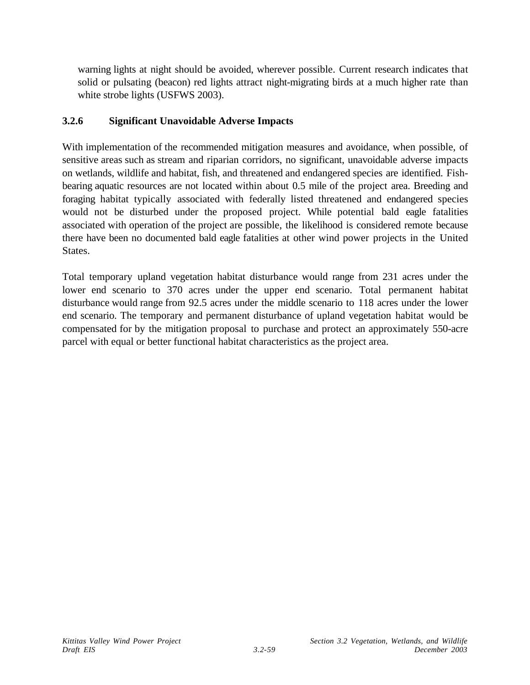warning lights at night should be avoided, wherever possible. Current research indicates that solid or pulsating (beacon) red lights attract night-migrating birds at a much higher rate than white strobe lights (USFWS 2003).

# **3.2.6 Significant Unavoidable Adverse Impacts**

With implementation of the recommended mitigation measures and avoidance, when possible, of sensitive areas such as stream and riparian corridors, no significant, unavoidable adverse impacts on wetlands, wildlife and habitat, fish, and threatened and endangered species are identified. Fishbearing aquatic resources are not located within about 0.5 mile of the project area. Breeding and foraging habitat typically associated with federally listed threatened and endangered species would not be disturbed under the proposed project. While potential bald eagle fatalities associated with operation of the project are possible, the likelihood is considered remote because there have been no documented bald eagle fatalities at other wind power projects in the United States.

Total temporary upland vegetation habitat disturbance would range from 231 acres under the lower end scenario to 370 acres under the upper end scenario. Total permanent habitat disturbance would range from 92.5 acres under the middle scenario to 118 acres under the lower end scenario. The temporary and permanent disturbance of upland vegetation habitat would be compensated for by the mitigation proposal to purchase and protect an approximately 550-acre parcel with equal or better functional habitat characteristics as the project area.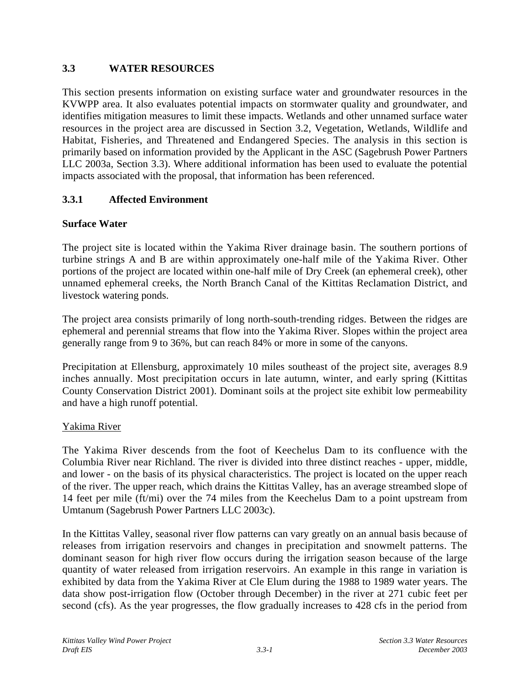# **3.3 WATER RESOURCES**

This section presents information on existing surface water and groundwater resources in the KVWPP area. It also evaluates potential impacts on stormwater quality and groundwater, and identifies mitigation measures to limit these impacts. Wetlands and other unnamed surface water resources in the project area are discussed in Section 3.2, Vegetation, Wetlands, Wildlife and Habitat, Fisheries, and Threatened and Endangered Species. The analysis in this section is primarily based on information provided by the Applicant in the ASC (Sagebrush Power Partners LLC 2003a, Section 3.3). Where additional information has been used to evaluate the potential impacts associated with the proposal, that information has been referenced.

# **3.3.1 Affected Environment**

## **Surface Water**

The project site is located within the Yakima River drainage basin. The southern portions of turbine strings A and B are within approximately one-half mile of the Yakima River. Other portions of the project are located within one-half mile of Dry Creek (an ephemeral creek), other unnamed ephemeral creeks, the North Branch Canal of the Kittitas Reclamation District, and livestock watering ponds.

The project area consists primarily of long north-south-trending ridges. Between the ridges are ephemeral and perennial streams that flow into the Yakima River. Slopes within the project area generally range from 9 to 36%, but can reach 84% or more in some of the canyons.

Precipitation at Ellensburg, approximately 10 miles southeast of the project site, averages 8.9 inches annually. Most precipitation occurs in late autumn, winter, and early spring (Kittitas County Conservation District 2001). Dominant soils at the project site exhibit low permeability and have a high runoff potential.

## Yakima River

The Yakima River descends from the foot of Keechelus Dam to its confluence with the Columbia River near Richland. The river is divided into three distinct reaches - upper, middle, and lower - on the basis of its physical characteristics. The project is located on the upper reach of the river. The upper reach, which drains the Kittitas Valley, has an average streambed slope of 14 feet per mile (ft/mi) over the 74 miles from the Keechelus Dam to a point upstream from Umtanum (Sagebrush Power Partners LLC 2003c).

In the Kittitas Valley, seasonal river flow patterns can vary greatly on an annual basis because of releases from irrigation reservoirs and changes in precipitation and snowmelt patterns. The dominant season for high river flow occurs during the irrigation season because of the large quantity of water released from irrigation reservoirs. An example in this range in variation is exhibited by data from the Yakima River at Cle Elum during the 1988 to 1989 water years. The data show post-irrigation flow (October through December) in the river at 271 cubic feet per second (cfs). As the year progresses, the flow gradually increases to 428 cfs in the period from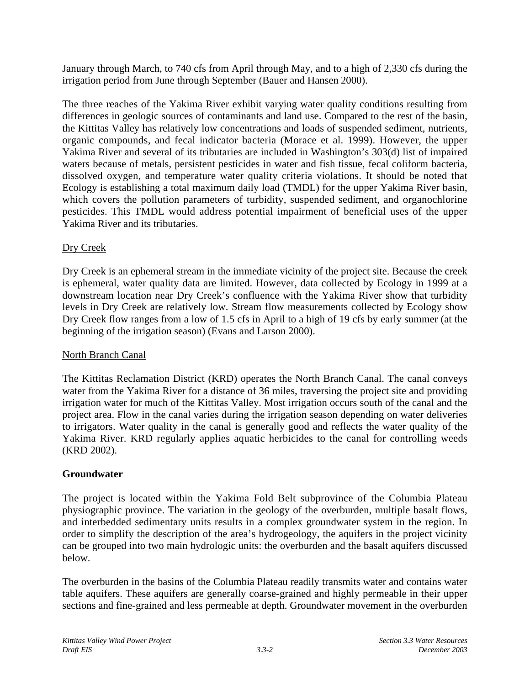January through March, to 740 cfs from April through May, and to a high of 2,330 cfs during the irrigation period from June through September (Bauer and Hansen 2000).

The three reaches of the Yakima River exhibit varying water quality conditions resulting from differences in geologic sources of contaminants and land use. Compared to the rest of the basin, the Kittitas Valley has relatively low concentrations and loads of suspended sediment, nutrients, organic compounds, and fecal indicator bacteria (Morace et al. 1999). However, the upper Yakima River and several of its tributaries are included in Washington's 303(d) list of impaired waters because of metals, persistent pesticides in water and fish tissue, fecal coliform bacteria, dissolved oxygen, and temperature water quality criteria violations. It should be noted that Ecology is establishing a total maximum daily load (TMDL) for the upper Yakima River basin, which covers the pollution parameters of turbidity, suspended sediment, and organochlorine pesticides. This TMDL would address potential impairment of beneficial uses of the upper Yakima River and its tributaries.

# Dry Creek

Dry Creek is an ephemeral stream in the immediate vicinity of the project site. Because the creek is ephemeral, water quality data are limited. However, data collected by Ecology in 1999 at a downstream location near Dry Creek's confluence with the Yakima River show that turbidity levels in Dry Creek are relatively low. Stream flow measurements collected by Ecology show Dry Creek flow ranges from a low of 1.5 cfs in April to a high of 19 cfs by early summer (at the beginning of the irrigation season) (Evans and Larson 2000).

# North Branch Canal

The Kittitas Reclamation District (KRD) operates the North Branch Canal. The canal conveys water from the Yakima River for a distance of 36 miles, traversing the project site and providing irrigation water for much of the Kittitas Valley. Most irrigation occurs south of the canal and the project area. Flow in the canal varies during the irrigation season depending on water deliveries to irrigators. Water quality in the canal is generally good and reflects the water quality of the Yakima River. KRD regularly applies aquatic herbicides to the canal for controlling weeds (KRD 2002).

# **Groundwater**

The project is located within the Yakima Fold Belt subprovince of the Columbia Plateau physiographic province. The variation in the geology of the overburden, multiple basalt flows, and interbedded sedimentary units results in a complex groundwater system in the region. In order to simplify the description of the area's hydrogeology, the aquifers in the project vicinity can be grouped into two main hydrologic units: the overburden and the basalt aquifers discussed below.

The overburden in the basins of the Columbia Plateau readily transmits water and contains water table aquifers. These aquifers are generally coarse-grained and highly permeable in their upper sections and fine-grained and less permeable at depth. Groundwater movement in the overburden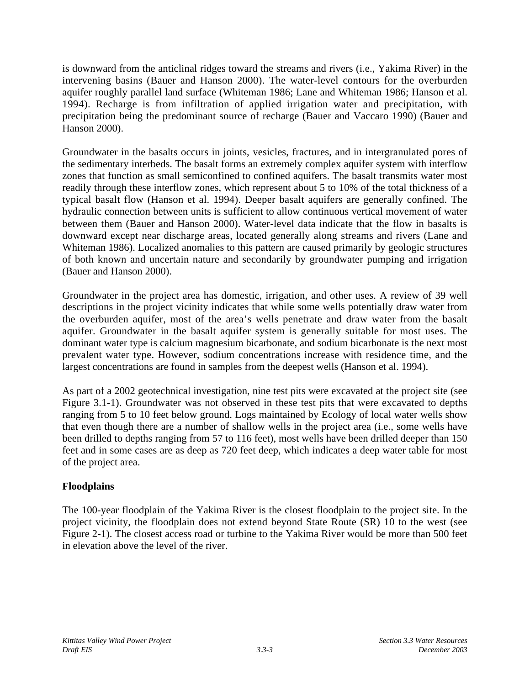is downward from the anticlinal ridges toward the streams and rivers (i.e., Yakima River) in the intervening basins (Bauer and Hanson 2000). The water-level contours for the overburden aquifer roughly parallel land surface (Whiteman 1986; Lane and Whiteman 1986; Hanson et al. 1994). Recharge is from infiltration of applied irrigation water and precipitation, with precipitation being the predominant source of recharge (Bauer and Vaccaro 1990) (Bauer and Hanson 2000).

Groundwater in the basalts occurs in joints, vesicles, fractures, and in intergranulated pores of the sedimentary interbeds. The basalt forms an extremely complex aquifer system with interflow zones that function as small semiconfined to confined aquifers. The basalt transmits water most readily through these interflow zones, which represent about 5 to 10% of the total thickness of a typical basalt flow (Hanson et al. 1994). Deeper basalt aquifers are generally confined. The hydraulic connection between units is sufficient to allow continuous vertical movement of water between them (Bauer and Hanson 2000). Water-level data indicate that the flow in basalts is downward except near discharge areas, located generally along streams and rivers (Lane and Whiteman 1986). Localized anomalies to this pattern are caused primarily by geologic structures of both known and uncertain nature and secondarily by groundwater pumping and irrigation (Bauer and Hanson 2000).

Groundwater in the project area has domestic, irrigation, and other uses. A review of 39 well descriptions in the project vicinity indicates that while some wells potentially draw water from the overburden aquifer, most of the area's wells penetrate and draw water from the basalt aquifer. Groundwater in the basalt aquifer system is generally suitable for most uses. The dominant water type is calcium magnesium bicarbonate, and sodium bicarbonate is the next most prevalent water type. However, sodium concentrations increase with residence time, and the largest concentrations are found in samples from the deepest wells (Hanson et al. 1994).

As part of a 2002 geotechnical investigation, nine test pits were excavated at the project site (see Figure 3.1-1). Groundwater was not observed in these test pits that were excavated to depths ranging from 5 to 10 feet below ground. Logs maintained by Ecology of local water wells show that even though there are a number of shallow wells in the project area (i.e., some wells have been drilled to depths ranging from 57 to 116 feet), most wells have been drilled deeper than 150 feet and in some cases are as deep as 720 feet deep, which indicates a deep water table for most of the project area.

# **Floodplains**

The 100-year floodplain of the Yakima River is the closest floodplain to the project site. In the project vicinity, the floodplain does not extend beyond State Route (SR) 10 to the west (see Figure 2-1). The closest access road or turbine to the Yakima River would be more than 500 feet in elevation above the level of the river.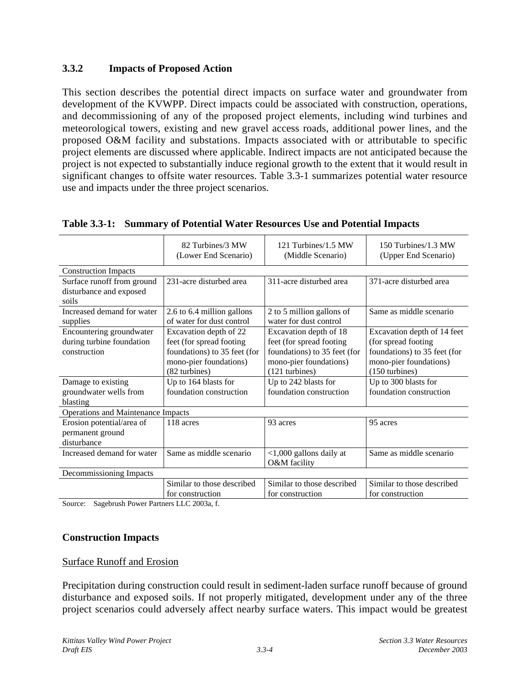## **3.3.2 Impacts of Proposed Action**

This section describes the potential direct impacts on surface water and groundwater from development of the KVWPP. Direct impacts could be associated with construction, operations, and decommissioning of any of the proposed project elements, including wind turbines and meteorological towers, existing and new gravel access roads, additional power lines, and the proposed O&M facility and substations. Impacts associated with or attributable to specific project elements are discussed where applicable. Indirect impacts are not anticipated because the project is not expected to substantially induce regional growth to the extent that it would result in significant changes to offsite water resources. Table 3.3-1 summarizes potential water resource use and impacts under the three project scenarios.

|                                                                       | 82 Turbines/3 MW<br>(Lower End Scenario)                                                                                      | 121 Turbines/1.5 MW<br>(Middle Scenario)                                                                                       | 150 Turbines/1.3 MW<br>(Upper End Scenario)                                                                                    |
|-----------------------------------------------------------------------|-------------------------------------------------------------------------------------------------------------------------------|--------------------------------------------------------------------------------------------------------------------------------|--------------------------------------------------------------------------------------------------------------------------------|
| <b>Construction Impacts</b>                                           |                                                                                                                               |                                                                                                                                |                                                                                                                                |
| Surface runoff from ground<br>disturbance and exposed<br>soils        | 231-acre disturbed area                                                                                                       | 311-acre disturbed area                                                                                                        | 371-acre disturbed area                                                                                                        |
| Increased demand for water<br>supplies                                | 2.6 to 6.4 million gallons<br>of water for dust control                                                                       | 2 to 5 million gallons of<br>water for dust control                                                                            | Same as middle scenario                                                                                                        |
| Encountering groundwater<br>during turbine foundation<br>construction | Excavation depth of 22<br>feet (for spread footing<br>foundations) to 35 feet (for<br>mono-pier foundations)<br>(82 turbines) | Excavation depth of 18<br>feet (for spread footing<br>foundations) to 35 feet (for<br>mono-pier foundations)<br>(121 turbines) | Excavation depth of 14 feet<br>(for spread footing<br>foundations) to 35 feet (for<br>mono-pier foundations)<br>(150 turbines) |
| Damage to existing<br>groundwater wells from<br>blasting              | Up to 164 blasts for<br>foundation construction                                                                               | Up to 242 blasts for<br>foundation construction                                                                                | Up to 300 blasts for<br>foundation construction                                                                                |
| Operations and Maintenance Impacts                                    |                                                                                                                               |                                                                                                                                |                                                                                                                                |
| Erosion potential/area of<br>permanent ground<br>disturbance          | 118 acres                                                                                                                     | 93 acres                                                                                                                       | 95 acres                                                                                                                       |
| Increased demand for water<br>Same as middle scenario                 |                                                                                                                               | $<$ 1,000 gallons daily at<br>O&M facility                                                                                     | Same as middle scenario                                                                                                        |
| Decommissioning Impacts                                               |                                                                                                                               |                                                                                                                                |                                                                                                                                |
| $\alpha$ $\alpha$ $\alpha$<br>$\mathbf{r}$                            | Similar to those described<br>for construction<br>$\mathbf{r}$ $\mathbf{r}$ $\alpha$ $\alpha$                                 | Similar to those described<br>for construction                                                                                 | Similar to those described<br>for construction                                                                                 |

## **Table 3.3-1: Summary of Potential Water Resources Use and Potential Impacts**

Source: Sagebrush Power Partners LLC 2003a, f.

## **Construction Impacts**

#### Surface Runoff and Erosion

Precipitation during construction could result in sediment-laden surface runoff because of ground disturbance and exposed soils. If not properly mitigated, development under any of the three project scenarios could adversely affect nearby surface waters. This impact would be greatest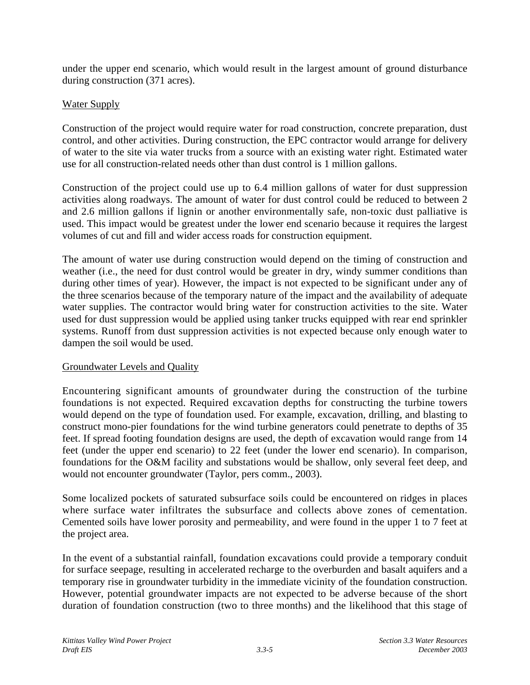under the upper end scenario, which would result in the largest amount of ground disturbance during construction (371 acres).

## Water Supply

Construction of the project would require water for road construction, concrete preparation, dust control, and other activities. During construction, the EPC contractor would arrange for delivery of water to the site via water trucks from a source with an existing water right. Estimated water use for all construction-related needs other than dust control is 1 million gallons.

Construction of the project could use up to 6.4 million gallons of water for dust suppression activities along roadways. The amount of water for dust control could be reduced to between 2 and 2.6 million gallons if lignin or another environmentally safe, non-toxic dust palliative is used. This impact would be greatest under the lower end scenario because it requires the largest volumes of cut and fill and wider access roads for construction equipment.

The amount of water use during construction would depend on the timing of construction and weather (i.e., the need for dust control would be greater in dry, windy summer conditions than during other times of year). However, the impact is not expected to be significant under any of the three scenarios because of the temporary nature of the impact and the availability of adequate water supplies. The contractor would bring water for construction activities to the site. Water used for dust suppression would be applied using tanker trucks equipped with rear end sprinkler systems. Runoff from dust suppression activities is not expected because only enough water to dampen the soil would be used.

## Groundwater Levels and Quality

Encountering significant amounts of groundwater during the construction of the turbine foundations is not expected. Required excavation depths for constructing the turbine towers would depend on the type of foundation used. For example, excavation, drilling, and blasting to construct mono-pier foundations for the wind turbine generators could penetrate to depths of 35 feet. If spread footing foundation designs are used, the depth of excavation would range from 14 feet (under the upper end scenario) to 22 feet (under the lower end scenario). In comparison, foundations for the O&M facility and substations would be shallow, only several feet deep, and would not encounter groundwater (Taylor, pers comm., 2003).

Some localized pockets of saturated subsurface soils could be encountered on ridges in places where surface water infiltrates the subsurface and collects above zones of cementation. Cemented soils have lower porosity and permeability, and were found in the upper 1 to 7 feet at the project area.

In the event of a substantial rainfall, foundation excavations could provide a temporary conduit for surface seepage, resulting in accelerated recharge to the overburden and basalt aquifers and a temporary rise in groundwater turbidity in the immediate vicinity of the foundation construction. However, potential groundwater impacts are not expected to be adverse because of the short duration of foundation construction (two to three months) and the likelihood that this stage of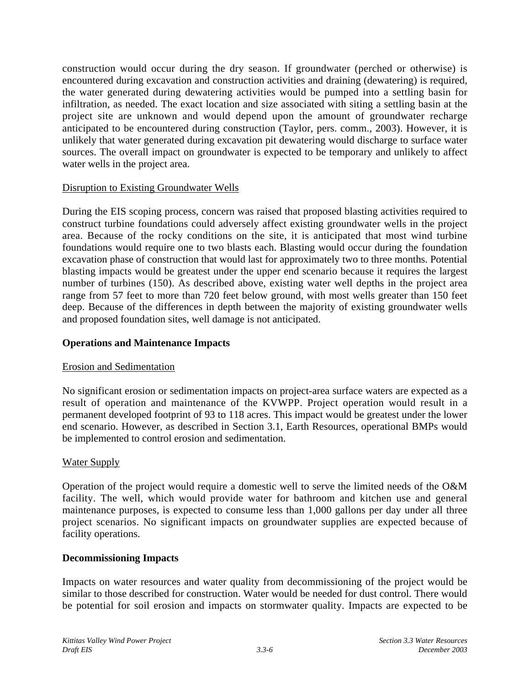construction would occur during the dry season. If groundwater (perched or otherwise) is encountered during excavation and construction activities and draining (dewatering) is required, the water generated during dewatering activities would be pumped into a settling basin for infiltration, as needed. The exact location and size associated with siting a settling basin at the project site are unknown and would depend upon the amount of groundwater recharge anticipated to be encountered during construction (Taylor, pers. comm., 2003). However, it is unlikely that water generated during excavation pit dewatering would discharge to surface water sources. The overall impact on groundwater is expected to be temporary and unlikely to affect water wells in the project area.

## Disruption to Existing Groundwater Wells

During the EIS scoping process, concern was raised that proposed blasting activities required to construct turbine foundations could adversely affect existing groundwater wells in the project area. Because of the rocky conditions on the site, it is anticipated that most wind turbine foundations would require one to two blasts each. Blasting would occur during the foundation excavation phase of construction that would last for approximately two to three months. Potential blasting impacts would be greatest under the upper end scenario because it requires the largest number of turbines (150). As described above, existing water well depths in the project area range from 57 feet to more than 720 feet below ground, with most wells greater than 150 feet deep. Because of the differences in depth between the majority of existing groundwater wells and proposed foundation sites, well damage is not anticipated.

### **Operations and Maintenance Impacts**

#### Erosion and Sedimentation

No significant erosion or sedimentation impacts on project-area surface waters are expected as a result of operation and maintenance of the KVWPP. Project operation would result in a permanent developed footprint of 93 to 118 acres. This impact would be greatest under the lower end scenario. However, as described in Section 3.1, Earth Resources, operational BMPs would be implemented to control erosion and sedimentation.

## Water Supply

Operation of the project would require a domestic well to serve the limited needs of the O&M facility. The well, which would provide water for bathroom and kitchen use and general maintenance purposes, is expected to consume less than 1,000 gallons per day under all three project scenarios. No significant impacts on groundwater supplies are expected because of facility operations.

#### **Decommissioning Impacts**

Impacts on water resources and water quality from decommissioning of the project would be similar to those described for construction. Water would be needed for dust control. There would be potential for soil erosion and impacts on stormwater quality. Impacts are expected to be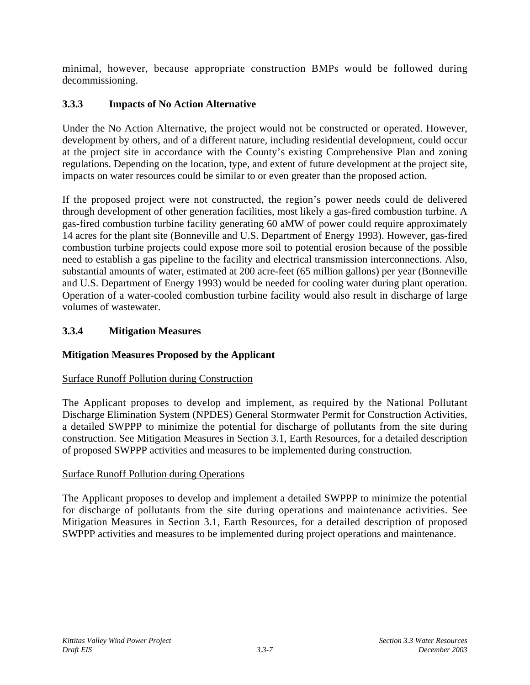minimal, however, because appropriate construction BMPs would be followed during decommissioning.

# **3.3.3 Impacts of No Action Alternative**

Under the No Action Alternative, the project would not be constructed or operated. However, development by others, and of a different nature, including residential development, could occur at the project site in accordance with the County's existing Comprehensive Plan and zoning regulations. Depending on the location, type, and extent of future development at the project site, impacts on water resources could be similar to or even greater than the proposed action.

If the proposed project were not constructed, the region's power needs could de delivered through development of other generation facilities, most likely a gas-fired combustion turbine. A gas-fired combustion turbine facility generating 60 aMW of power could require approximately 14 acres for the plant site (Bonneville and U.S. Department of Energy 1993). However, gas-fired combustion turbine projects could expose more soil to potential erosion because of the possible need to establish a gas pipeline to the facility and electrical transmission interconnections. Also, substantial amounts of water, estimated at 200 acre-feet (65 million gallons) per year (Bonneville and U.S. Department of Energy 1993) would be needed for cooling water during plant operation. Operation of a water-cooled combustion turbine facility would also result in discharge of large volumes of wastewater.

# **3.3.4 Mitigation Measures**

# **Mitigation Measures Proposed by the Applicant**

# Surface Runoff Pollution during Construction

The Applicant proposes to develop and implement, as required by the National Pollutant Discharge Elimination System (NPDES) General Stormwater Permit for Construction Activities, a detailed SWPPP to minimize the potential for discharge of pollutants from the site during construction. See Mitigation Measures in Section 3.1, Earth Resources, for a detailed description of proposed SWPPP activities and measures to be implemented during construction.

# Surface Runoff Pollution during Operations

The Applicant proposes to develop and implement a detailed SWPPP to minimize the potential for discharge of pollutants from the site during operations and maintenance activities. See Mitigation Measures in Section 3.1, Earth Resources, for a detailed description of proposed SWPPP activities and measures to be implemented during project operations and maintenance.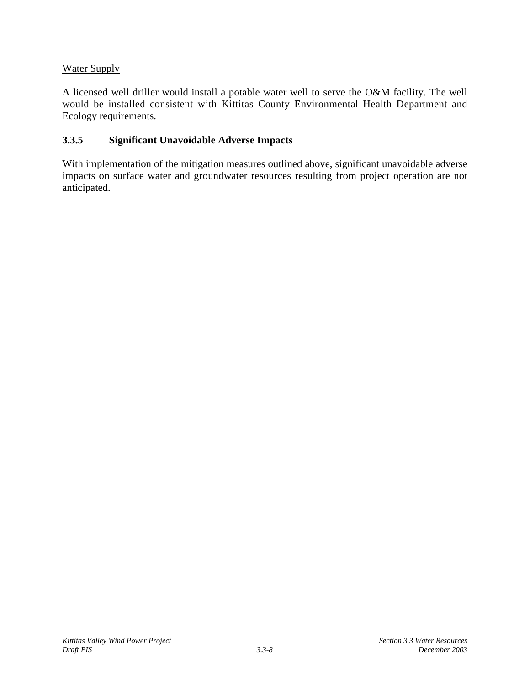# Water Supply

A licensed well driller would install a potable water well to serve the O&M facility. The well would be installed consistent with Kittitas County Environmental Health Department and Ecology requirements.

# **3.3.5 Significant Unavoidable Adverse Impacts**

With implementation of the mitigation measures outlined above, significant unavoidable adverse impacts on surface water and groundwater resources resulting from project operation are not anticipated.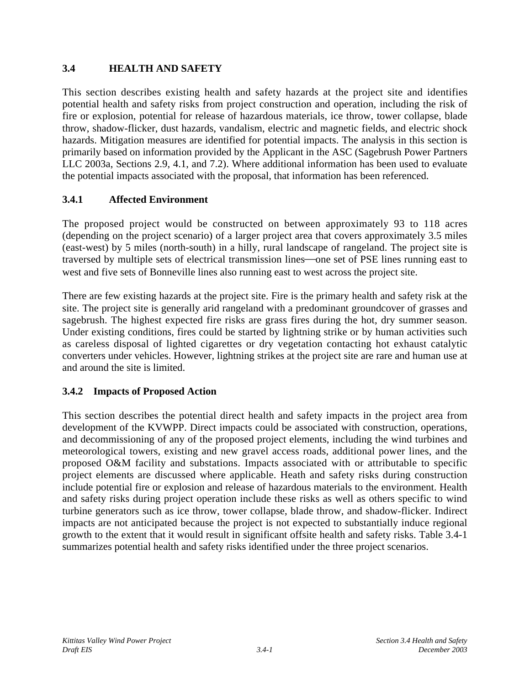## **3.4 HEALTH AND SAFETY**

This section describes existing health and safety hazards at the project site and identifies potential health and safety risks from project construction and operation, including the risk of fire or explosion, potential for release of hazardous materials, ice throw, tower collapse, blade throw, shadow-flicker, dust hazards, vandalism, electric and magnetic fields, and electric shock hazards. Mitigation measures are identified for potential impacts. The analysis in this section is primarily based on information provided by the Applicant in the ASC (Sagebrush Power Partners LLC 2003a, Sections 2.9, 4.1, and 7.2). Where additional information has been used to evaluate the potential impacts associated with the proposal, that information has been referenced.

# **3.4.1 Affected Environment**

The proposed project would be constructed on between approximately 93 to 118 acres (depending on the project scenario) of a larger project area that covers approximately 3.5 miles (east-west) by 5 miles (north-south) in a hilly, rural landscape of rangeland. The project site is traversed by multiple sets of electrical transmission lines—one set of PSE lines running east to west and five sets of Bonneville lines also running east to west across the project site.

There are few existing hazards at the project site. Fire is the primary health and safety risk at the site. The project site is generally arid rangeland with a predominant groundcover of grasses and sagebrush. The highest expected fire risks are grass fires during the hot, dry summer season. Under existing conditions, fires could be started by lightning strike or by human activities such as careless disposal of lighted cigarettes or dry vegetation contacting hot exhaust catalytic converters under vehicles. However, lightning strikes at the project site are rare and human use at and around the site is limited.

# **3.4.2 Impacts of Proposed Action**

This section describes the potential direct health and safety impacts in the project area from development of the KVWPP. Direct impacts could be associated with construction, operations, and decommissioning of any of the proposed project elements, including the wind turbines and meteorological towers, existing and new gravel access roads, additional power lines, and the proposed O&M facility and substations. Impacts associated with or attributable to specific project elements are discussed where applicable. Heath and safety risks during construction include potential fire or explosion and release of hazardous materials to the environment. Health and safety risks during project operation include these risks as well as others specific to wind turbine generators such as ice throw, tower collapse, blade throw, and shadow-flicker. Indirect impacts are not anticipated because the project is not expected to substantially induce regional growth to the extent that it would result in significant offsite health and safety risks. Table 3.4-1 summarizes potential health and safety risks identified under the three project scenarios.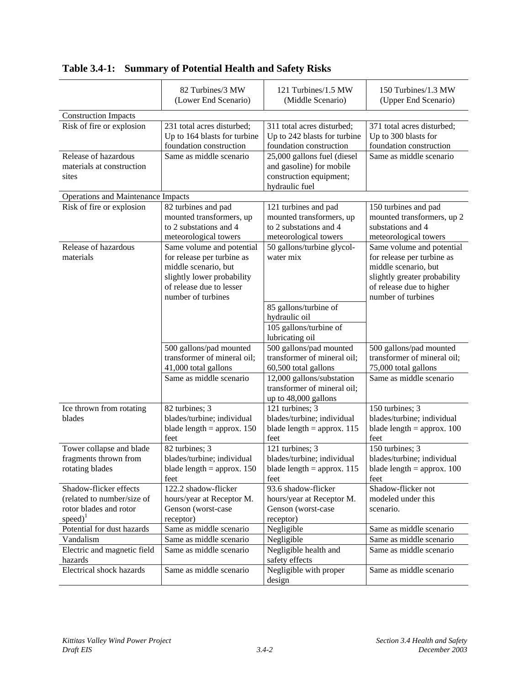|                                    | 82 Turbines/3 MW<br>(Lower End Scenario) | 121 Turbines/1.5 MW<br>(Middle Scenario)            | 150 Turbines/1.3 MW<br>(Upper End Scenario) |
|------------------------------------|------------------------------------------|-----------------------------------------------------|---------------------------------------------|
| <b>Construction Impacts</b>        |                                          |                                                     |                                             |
| Risk of fire or explosion          | 231 total acres disturbed;               | 311 total acres disturbed;                          | 371 total acres disturbed;                  |
|                                    | Up to 164 blasts for turbine             | Up to 242 blasts for turbine                        | Up to 300 blasts for                        |
|                                    | foundation construction                  | foundation construction                             | foundation construction                     |
| Release of hazardous               | Same as middle scenario                  | 25,000 gallons fuel (diesel                         | Same as middle scenario                     |
| materials at construction          |                                          | and gasoline) for mobile                            |                                             |
| sites                              |                                          | construction equipment;                             |                                             |
|                                    |                                          | hydraulic fuel                                      |                                             |
| Operations and Maintenance Impacts |                                          |                                                     |                                             |
| Risk of fire or explosion          | 82 turbines and pad                      | 121 turbines and pad                                | 150 turbines and pad                        |
|                                    | mounted transformers, up                 | mounted transformers, up                            | mounted transformers, up 2                  |
|                                    | to 2 substations and 4                   | to 2 substations and 4                              | substations and 4                           |
|                                    | meteorological towers                    | meteorological towers                               | meteorological towers                       |
| Release of hazardous               | Same volume and potential                | $\overline{50}$ gallons/turbine glycol-             | Same volume and potential                   |
| materials                          | for release per turbine as               | water mix                                           | for release per turbine as                  |
|                                    | middle scenario, but                     |                                                     | middle scenario, but                        |
|                                    | slightly lower probability               |                                                     | slightly greater probability                |
|                                    | of release due to lesser                 |                                                     | of release due to higher                    |
|                                    | number of turbines                       |                                                     | number of turbines                          |
|                                    |                                          | 85 gallons/turbine of                               |                                             |
|                                    |                                          | hydraulic oil                                       |                                             |
|                                    |                                          | 105 gallons/turbine of                              |                                             |
|                                    |                                          | lubricating oil                                     |                                             |
|                                    | 500 gallons/pad mounted                  | 500 gallons/pad mounted                             | 500 gallons/pad mounted                     |
|                                    | transformer of mineral oil;              | transformer of mineral oil;                         | transformer of mineral oil;                 |
|                                    | 41,000 total gallons                     | 60,500 total gallons                                | 75,000 total gallons                        |
|                                    | Same as middle scenario                  | 12,000 gallons/substation                           | Same as middle scenario                     |
|                                    |                                          | transformer of mineral oil;<br>up to 48,000 gallons |                                             |
| Ice thrown from rotating           | 82 turbines; 3                           | 121 turbines; 3                                     | 150 turbines; 3                             |
| blades                             | blades/turbine; individual               | blades/turbine; individual                          | blades/turbine; individual                  |
|                                    | blade length = approx. $150$             | blade length = approx. $115$                        | blade length = approx. $100$                |
|                                    | feet                                     | feet                                                | feet                                        |
| Tower collapse and blade           | 82 turbines; 3                           | 121 turbines; 3                                     | 150 turbines; 3                             |
| fragments thrown from              | blades/turbine; individual               | blades/turbine; individual                          | blades/turbine; individual                  |
| rotating blades                    | blade length $=$ approx. 150             | blade length $=$ approx. 115                        | blade length $=$ approx. 100                |
|                                    | feet                                     | feet                                                | feet                                        |
| Shadow-flicker effects             | 122.2 shadow-flicker                     | 93.6 shadow-flicker                                 | Shadow-flicker not                          |
| (related to number/size of         | hours/year at Receptor M.                | hours/year at Receptor M.                           | modeled under this                          |
| rotor blades and rotor             | Genson (worst-case                       | Genson (worst-case                                  | scenario.                                   |
| $speed)$ <sup>1</sup>              | receptor)                                | receptor)                                           |                                             |
| Potential for dust hazards         | Same as middle scenario                  | Negligible                                          | Same as middle scenario                     |
| Vandalism                          | Same as middle scenario                  | Negligible                                          | Same as middle scenario                     |
| Electric and magnetic field        | Same as middle scenario                  | Negligible health and                               | Same as middle scenario                     |
| hazards                            |                                          | safety effects                                      |                                             |
| Electrical shock hazards           | Same as middle scenario                  | Negligible with proper                              | Same as middle scenario                     |
|                                    |                                          | design                                              |                                             |

**Table 3.4-1: Summary of Potential Health and Safety Risks**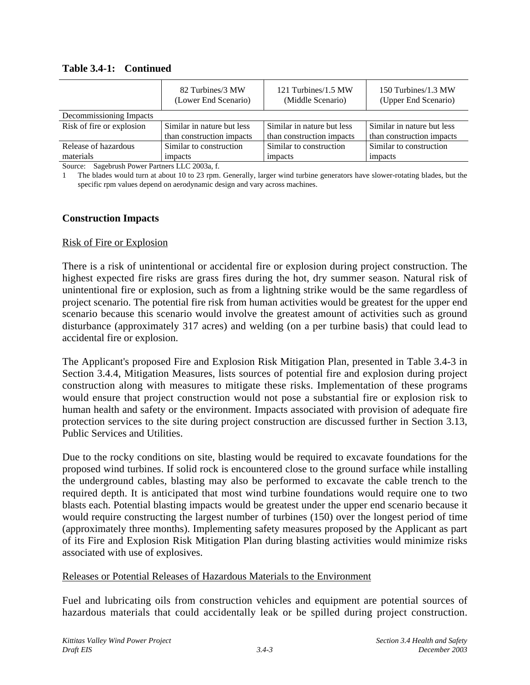|                                                 | 82 Turbines/3 MW<br>(Lower End Scenario) | 121 Turbines/1.5 MW<br>(Middle Scenario) | 150 Turbines/1.3 MW<br>(Upper End Scenario) |  |  |  |
|-------------------------------------------------|------------------------------------------|------------------------------------------|---------------------------------------------|--|--|--|
| Decommissioning Impacts                         |                                          |                                          |                                             |  |  |  |
| Risk of fire or explosion                       | Similar in nature but less               |                                          | Similar in nature but less                  |  |  |  |
|                                                 | than construction impacts                | than construction impacts                | than construction impacts                   |  |  |  |
| Similar to construction<br>Release of hazardous |                                          | Similar to construction                  | Similar to construction                     |  |  |  |
| materials<br>impacts                            |                                          | impacts                                  | impacts                                     |  |  |  |

#### **Table 3.4-1: Continued**

Source: Sagebrush Power Partners LLC 2003a, f.

1 The blades would turn at about 10 to 23 rpm. Generally, larger wind turbine generators have slower-rotating blades, but the specific rpm values depend on aerodynamic design and vary across machines.

### **Construction Impacts**

#### Risk of Fire or Explosion

There is a risk of unintentional or accidental fire or explosion during project construction. The highest expected fire risks are grass fires during the hot, dry summer season. Natural risk of unintentional fire or explosion, such as from a lightning strike would be the same regardless of project scenario. The potential fire risk from human activities would be greatest for the upper end scenario because this scenario would involve the greatest amount of activities such as ground disturbance (approximately 317 acres) and welding (on a per turbine basis) that could lead to accidental fire or explosion.

The Applicant's proposed Fire and Explosion Risk Mitigation Plan, presented in Table 3.4-3 in Section 3.4.4, Mitigation Measures, lists sources of potential fire and explosion during project construction along with measures to mitigate these risks. Implementation of these programs would ensure that project construction would not pose a substantial fire or explosion risk to human health and safety or the environment. Impacts associated with provision of adequate fire protection services to the site during project construction are discussed further in Section 3.13, Public Services and Utilities.

Due to the rocky conditions on site, blasting would be required to excavate foundations for the proposed wind turbines. If solid rock is encountered close to the ground surface while installing the underground cables, blasting may also be performed to excavate the cable trench to the required depth. It is anticipated that most wind turbine foundations would require one to two blasts each. Potential blasting impacts would be greatest under the upper end scenario because it would require constructing the largest number of turbines (150) over the longest period of time (approximately three months). Implementing safety measures proposed by the Applicant as part of its Fire and Explosion Risk Mitigation Plan during blasting activities would minimize risks associated with use of explosives.

#### Releases or Potential Releases of Hazardous Materials to the Environment

Fuel and lubricating oils from construction vehicles and equipment are potential sources of hazardous materials that could accidentally leak or be spilled during project construction.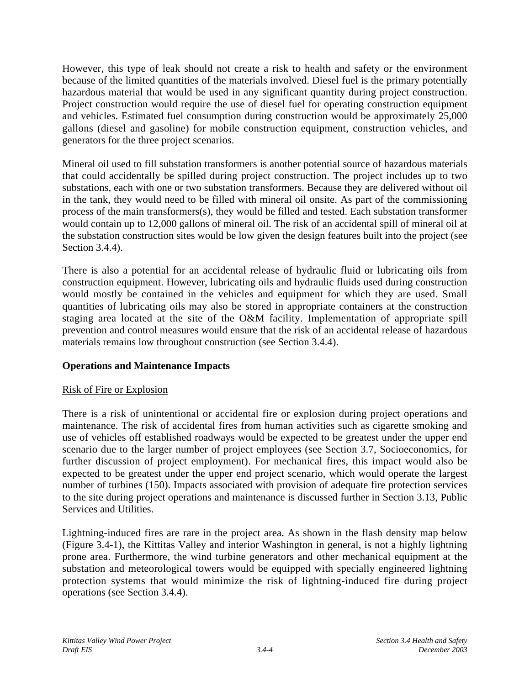However, this type of leak should not create a risk to health and safety or the environment because of the limited quantities of the materials involved. Diesel fuel is the primary potentially hazardous material that would be used in any significant quantity during project construction. Project construction would require the use of diesel fuel for operating construction equipment and vehicles. Estimated fuel consumption during construction would be approximately 25,000 gallons (diesel and gasoline) for mobile construction equipment, construction vehicles, and generators for the three project scenarios.

Mineral oil used to fill substation transformers is another potential source of hazardous materials that could accidentally be spilled during project construction. The project includes up to two substations, each with one or two substation transformers. Because they are delivered without oil in the tank, they would need to be filled with mineral oil onsite. As part of the commissioning process of the main transformers(s), they would be filled and tested. Each substation transformer would contain up to 12,000 gallons of mineral oil. The risk of an accidental spill of mineral oil at the substation construction sites would be low given the design features built into the project (see Section 3.4.4).

There is also a potential for an accidental release of hydraulic fluid or lubricating oils from construction equipment. However, lubricating oils and hydraulic fluids used during construction would mostly be contained in the vehicles and equipment for which they are used. Small quantities of lubricating oils may also be stored in appropriate containers at the construction staging area located at the site of the O&M facility. Implementation of appropriate spill prevention and control measures would ensure that the risk of an accidental release of hazardous materials remains low throughout construction (see Section 3.4.4).

## **Operations and Maintenance Impacts**

## Risk of Fire or Explosion

There is a risk of unintentional or accidental fire or explosion during project operations and maintenance. The risk of accidental fires from human activities such as cigarette smoking and use of vehicles off established roadways would be expected to be greatest under the upper end scenario due to the larger number of project employees (see Section 3.7, Socioeconomics, for further discussion of project employment). For mechanical fires, this impact would also be expected to be greatest under the upper end project scenario, which would operate the largest number of turbines (150). Impacts associated with provision of adequate fire protection services to the site during project operations and maintenance is discussed further in Section 3.13, Public Services and Utilities.

Lightning-induced fires are rare in the project area. As shown in the flash density map below (Figure 3.4-1), the Kittitas Valley and interior Washington in general, is not a highly lightning prone area. Furthermore, the wind turbine generators and other mechanical equipment at the substation and meteorological towers would be equipped with specially engineered lightning protection systems that would minimize the risk of lightning-induced fire during project operations (see Section 3.4.4).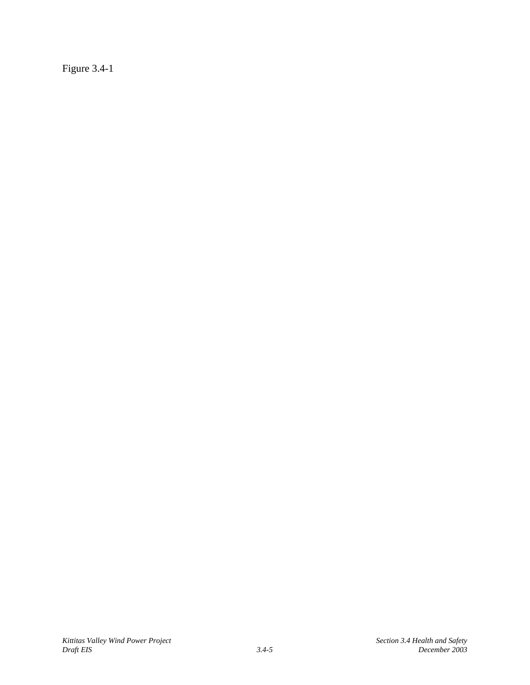Figure 3.4-1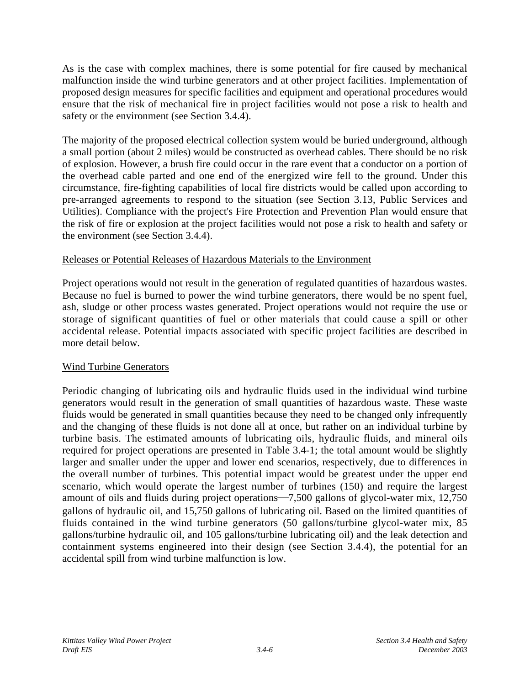As is the case with complex machines, there is some potential for fire caused by mechanical malfunction inside the wind turbine generators and at other project facilities. Implementation of proposed design measures for specific facilities and equipment and operational procedures would ensure that the risk of mechanical fire in project facilities would not pose a risk to health and safety or the environment (see Section 3.4.4).

The majority of the proposed electrical collection system would be buried underground, although a small portion (about 2 miles) would be constructed as overhead cables. There should be no risk of explosion. However, a brush fire could occur in the rare event that a conductor on a portion of the overhead cable parted and one end of the energized wire fell to the ground. Under this circumstance, fire-fighting capabilities of local fire districts would be called upon according to pre-arranged agreements to respond to the situation (see Section 3.13, Public Services and Utilities). Compliance with the project's Fire Protection and Prevention Plan would ensure that the risk of fire or explosion at the project facilities would not pose a risk to health and safety or the environment (see Section 3.4.4).

## Releases or Potential Releases of Hazardous Materials to the Environment

Project operations would not result in the generation of regulated quantities of hazardous wastes. Because no fuel is burned to power the wind turbine generators, there would be no spent fuel, ash, sludge or other process wastes generated. Project operations would not require the use or storage of significant quantities of fuel or other materials that could cause a spill or other accidental release. Potential impacts associated with specific project facilities are described in more detail below.

## Wind Turbine Generators

Periodic changing of lubricating oils and hydraulic fluids used in the individual wind turbine generators would result in the generation of small quantities of hazardous waste. These waste fluids would be generated in small quantities because they need to be changed only infrequently and the changing of these fluids is not done all at once, but rather on an individual turbine by turbine basis. The estimated amounts of lubricating oils, hydraulic fluids, and mineral oils required for project operations are presented in Table 3.4-1; the total amount would be slightly larger and smaller under the upper and lower end scenarios, respectively, due to differences in the overall number of turbines. This potential impact would be greatest under the upper end scenario, which would operate the largest number of turbines (150) and require the largest amount of oils and fluids during project operations—7,500 gallons of glycol-water mix, 12,750 gallons of hydraulic oil, and 15,750 gallons of lubricating oil. Based on the limited quantities of fluids contained in the wind turbine generators (50 gallons/turbine glycol-water mix, 85 gallons/turbine hydraulic oil, and 105 gallons/turbine lubricating oil) and the leak detection and containment systems engineered into their design (see Section 3.4.4), the potential for an accidental spill from wind turbine malfunction is low.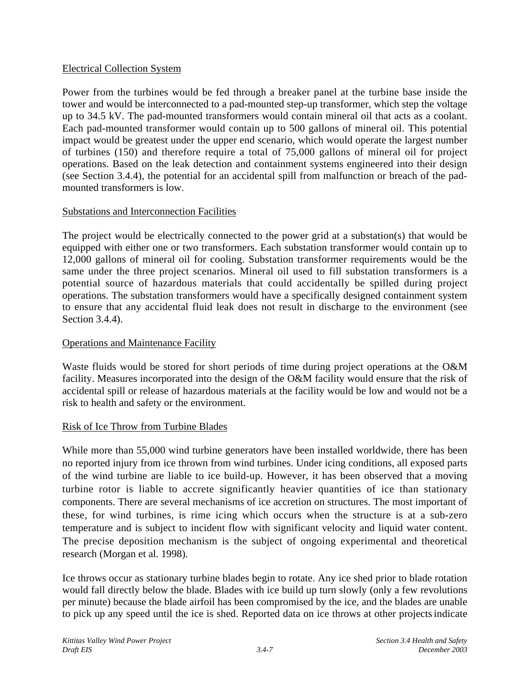## Electrical Collection System

Power from the turbines would be fed through a breaker panel at the turbine base inside the tower and would be interconnected to a pad-mounted step-up transformer, which step the voltage up to 34.5 kV. The pad-mounted transformers would contain mineral oil that acts as a coolant. Each pad-mounted transformer would contain up to 500 gallons of mineral oil. This potential impact would be greatest under the upper end scenario, which would operate the largest number of turbines (150) and therefore require a total of 75,000 gallons of mineral oil for project operations. Based on the leak detection and containment systems engineered into their design (see Section 3.4.4), the potential for an accidental spill from malfunction or breach of the padmounted transformers is low.

## Substations and Interconnection Facilities

The project would be electrically connected to the power grid at a substation(s) that would be equipped with either one or two transformers. Each substation transformer would contain up to 12,000 gallons of mineral oil for cooling. Substation transformer requirements would be the same under the three project scenarios. Mineral oil used to fill substation transformers is a potential source of hazardous materials that could accidentally be spilled during project operations. The substation transformers would have a specifically designed containment system to ensure that any accidental fluid leak does not result in discharge to the environment (see Section 3.4.4).

## Operations and Maintenance Facility

Waste fluids would be stored for short periods of time during project operations at the O&M facility. Measures incorporated into the design of the O&M facility would ensure that the risk of accidental spill or release of hazardous materials at the facility would be low and would not be a risk to health and safety or the environment.

## Risk of Ice Throw from Turbine Blades

While more than 55,000 wind turbine generators have been installed worldwide, there has been no reported injury from ice thrown from wind turbines. Under icing conditions, all exposed parts of the wind turbine are liable to ice build-up. However, it has been observed that a moving turbine rotor is liable to accrete significantly heavier quantities of ice than stationary components. There are several mechanisms of ice accretion on structures. The most important of these, for wind turbines, is rime icing which occurs when the structure is at a sub-zero temperature and is subject to incident flow with significant velocity and liquid water content. The precise deposition mechanism is the subject of ongoing experimental and theoretical research (Morgan et al. 1998).

Ice throws occur as stationary turbine blades begin to rotate. Any ice shed prior to blade rotation would fall directly below the blade. Blades with ice build up turn slowly (only a few revolutions per minute) because the blade airfoil has been compromised by the ice, and the blades are unable to pick up any speed until the ice is shed. Reported data on ice throws at other projectsindicate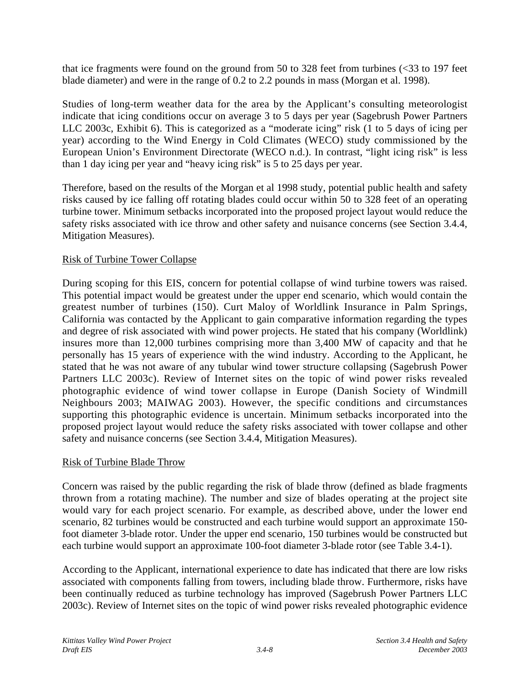that ice fragments were found on the ground from 50 to 328 feet from turbines  $\langle$  <33 to 197 feet blade diameter) and were in the range of 0.2 to 2.2 pounds in mass (Morgan et al. 1998).

Studies of long-term weather data for the area by the Applicant's consulting meteorologist indicate that icing conditions occur on average 3 to 5 days per year (Sagebrush Power Partners LLC 2003c, Exhibit 6). This is categorized as a "moderate icing" risk (1 to 5 days of icing per year) according to the Wind Energy in Cold Climates (WECO) study commissioned by the European Union's Environment Directorate (WECO n.d.). In contrast, "light icing risk" is less than 1 day icing per year and "heavy icing risk" is 5 to 25 days per year.

Therefore, based on the results of the Morgan et al 1998 study, potential public health and safety risks caused by ice falling off rotating blades could occur within 50 to 328 feet of an operating turbine tower. Minimum setbacks incorporated into the proposed project layout would reduce the safety risks associated with ice throw and other safety and nuisance concerns (see Section 3.4.4, Mitigation Measures).

## Risk of Turbine Tower Collapse

During scoping for this EIS, concern for potential collapse of wind turbine towers was raised. This potential impact would be greatest under the upper end scenario, which would contain the greatest number of turbines (150). Curt Maloy of Worldlink Insurance in Palm Springs, California was contacted by the Applicant to gain comparative information regarding the types and degree of risk associated with wind power projects. He stated that his company (Worldlink) insures more than 12,000 turbines comprising more than 3,400 MW of capacity and that he personally has 15 years of experience with the wind industry. According to the Applicant, he stated that he was not aware of any tubular wind tower structure collapsing (Sagebrush Power Partners LLC 2003c). Review of Internet sites on the topic of wind power risks revealed photographic evidence of wind tower collapse in Europe (Danish Society of Windmill Neighbours 2003; MAIWAG 2003). However, the specific conditions and circumstances supporting this photographic evidence is uncertain. Minimum setbacks incorporated into the proposed project layout would reduce the safety risks associated with tower collapse and other safety and nuisance concerns (see Section 3.4.4, Mitigation Measures).

#### Risk of Turbine Blade Throw

Concern was raised by the public regarding the risk of blade throw (defined as blade fragments thrown from a rotating machine). The number and size of blades operating at the project site would vary for each project scenario. For example, as described above, under the lower end scenario, 82 turbines would be constructed and each turbine would support an approximate 150 foot diameter 3-blade rotor. Under the upper end scenario, 150 turbines would be constructed but each turbine would support an approximate 100-foot diameter 3-blade rotor (see Table 3.4-1).

According to the Applicant, international experience to date has indicated that there are low risks associated with components falling from towers, including blade throw. Furthermore, risks have been continually reduced as turbine technology has improved (Sagebrush Power Partners LLC 2003c). Review of Internet sites on the topic of wind power risks revealed photographic evidence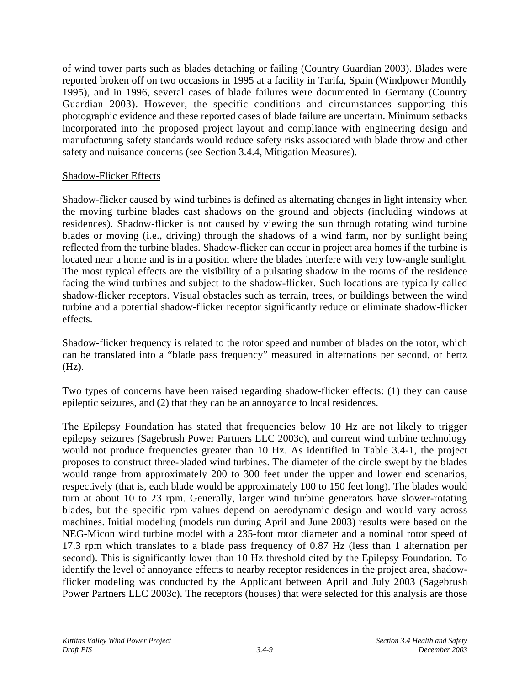of wind tower parts such as blades detaching or failing (Country Guardian 2003). Blades were reported broken off on two occasions in 1995 at a facility in Tarifa, Spain (Windpower Monthly 1995), and in 1996, several cases of blade failures were documented in Germany (Country Guardian 2003). However, the specific conditions and circumstances supporting this photographic evidence and these reported cases of blade failure are uncertain. Minimum setbacks incorporated into the proposed project layout and compliance with engineering design and manufacturing safety standards would reduce safety risks associated with blade throw and other safety and nuisance concerns (see Section 3.4.4, Mitigation Measures).

### Shadow-Flicker Effects

Shadow-flicker caused by wind turbines is defined as alternating changes in light intensity when the moving turbine blades cast shadows on the ground and objects (including windows at residences). Shadow-flicker is not caused by viewing the sun through rotating wind turbine blades or moving (i.e., driving) through the shadows of a wind farm, nor by sunlight being reflected from the turbine blades. Shadow-flicker can occur in project area homes if the turbine is located near a home and is in a position where the blades interfere with very low-angle sunlight. The most typical effects are the visibility of a pulsating shadow in the rooms of the residence facing the wind turbines and subject to the shadow-flicker. Such locations are typically called shadow-flicker receptors. Visual obstacles such as terrain, trees, or buildings between the wind turbine and a potential shadow-flicker receptor significantly reduce or eliminate shadow-flicker effects.

Shadow-flicker frequency is related to the rotor speed and number of blades on the rotor, which can be translated into a "blade pass frequency" measured in alternations per second, or hertz (Hz).

Two types of concerns have been raised regarding shadow-flicker effects: (1) they can cause epileptic seizures, and (2) that they can be an annoyance to local residences.

The Epilepsy Foundation has stated that frequencies below 10 Hz are not likely to trigger epilepsy seizures (Sagebrush Power Partners LLC 2003c), and current wind turbine technology would not produce frequencies greater than 10 Hz. As identified in Table 3.4-1, the project proposes to construct three-bladed wind turbines. The diameter of the circle swept by the blades would range from approximately 200 to 300 feet under the upper and lower end scenarios, respectively (that is, each blade would be approximately 100 to 150 feet long). The blades would turn at about 10 to 23 rpm. Generally, larger wind turbine generators have slower-rotating blades, but the specific rpm values depend on aerodynamic design and would vary across machines. Initial modeling (models run during April and June 2003) results were based on the NEG-Micon wind turbine model with a 235-foot rotor diameter and a nominal rotor speed of 17.3 rpm which translates to a blade pass frequency of 0.87 Hz (less than 1 alternation per second). This is significantly lower than 10 Hz threshold cited by the Epilepsy Foundation. To identify the level of annoyance effects to nearby receptor residences in the project area, shadowflicker modeling was conducted by the Applicant between April and July 2003 (Sagebrush Power Partners LLC 2003c). The receptors (houses) that were selected for this analysis are those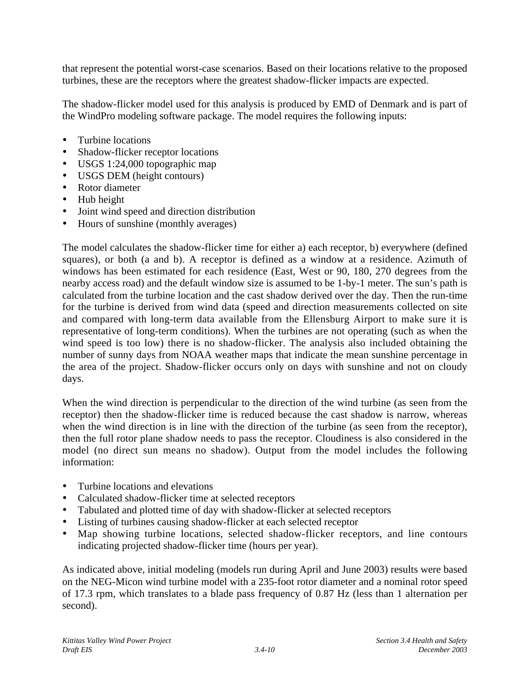that represent the potential worst-case scenarios. Based on their locations relative to the proposed turbines, these are the receptors where the greatest shadow-flicker impacts are expected.

The shadow-flicker model used for this analysis is produced by EMD of Denmark and is part of the WindPro modeling software package. The model requires the following inputs:

- Turbine locations
- Shadow-flicker receptor locations
- USGS 1:24,000 topographic map
- USGS DEM (height contours)
- Rotor diameter
- Hub height
- Joint wind speed and direction distribution
- Hours of sunshine (monthly averages)

The model calculates the shadow-flicker time for either a) each receptor, b) everywhere (defined squares), or both (a and b). A receptor is defined as a window at a residence. Azimuth of windows has been estimated for each residence (East, West or 90, 180, 270 degrees from the nearby access road) and the default window size is assumed to be 1-by-1 meter. The sun's path is calculated from the turbine location and the cast shadow derived over the day. Then the run-time for the turbine is derived from wind data (speed and direction measurements collected on site and compared with long-term data available from the Ellensburg Airport to make sure it is representative of long-term conditions). When the turbines are not operating (such as when the wind speed is too low) there is no shadow-flicker. The analysis also included obtaining the number of sunny days from NOAA weather maps that indicate the mean sunshine percentage in the area of the project. Shadow-flicker occurs only on days with sunshine and not on cloudy days.

When the wind direction is perpendicular to the direction of the wind turbine (as seen from the receptor) then the shadow-flicker time is reduced because the cast shadow is narrow, whereas when the wind direction is in line with the direction of the turbine (as seen from the receptor), then the full rotor plane shadow needs to pass the receptor. Cloudiness is also considered in the model (no direct sun means no shadow). Output from the model includes the following information:

- Turbine locations and elevations
- Calculated shadow-flicker time at selected receptors
- Tabulated and plotted time of day with shadow-flicker at selected receptors
- Listing of turbines causing shadow-flicker at each selected receptor
- Map showing turbine locations, selected shadow-flicker receptors, and line contours indicating projected shadow-flicker time (hours per year).

As indicated above, initial modeling (models run during April and June 2003) results were based on the NEG-Micon wind turbine model with a 235-foot rotor diameter and a nominal rotor speed of 17.3 rpm, which translates to a blade pass frequency of 0.87 Hz (less than 1 alternation per second).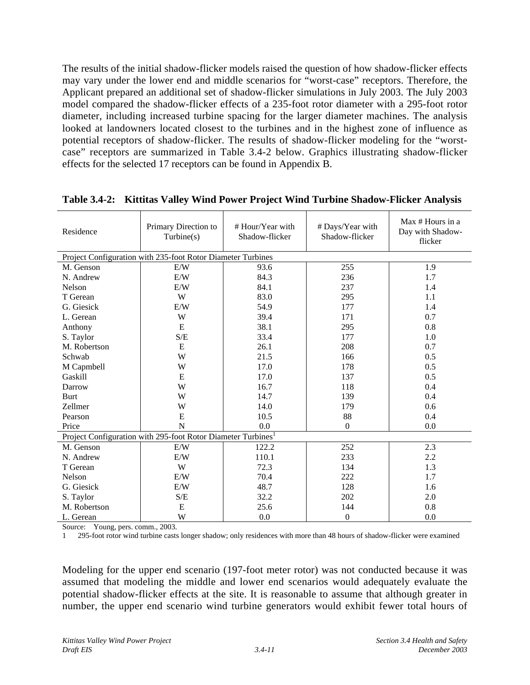The results of the initial shadow-flicker models raised the question of how shadow-flicker effects may vary under the lower end and middle scenarios for "worst-case" receptors. Therefore, the Applicant prepared an additional set of shadow-flicker simulations in July 2003. The July 2003 model compared the shadow-flicker effects of a 235-foot rotor diameter with a 295-foot rotor diameter, including increased turbine spacing for the larger diameter machines. The analysis looked at landowners located closest to the turbines and in the highest zone of influence as potential receptors of shadow-flicker. The results of shadow-flicker modeling for the "worstcase" receptors are summarized in Table 3.4-2 below. Graphics illustrating shadow-flicker effects for the selected 17 receptors can be found in Appendix B.

| Residence                                                                | Primary Direction to<br>Turbine(s)                          | # Hour/Year with<br>Shadow-flicker | # Days/Year with<br>Shadow-flicker | Max # Hours in a<br>Day with Shadow-<br>flicker |  |
|--------------------------------------------------------------------------|-------------------------------------------------------------|------------------------------------|------------------------------------|-------------------------------------------------|--|
|                                                                          | Project Configuration with 235-foot Rotor Diameter Turbines |                                    |                                    |                                                 |  |
| M. Genson                                                                | E/W                                                         | 93.6                               | 255                                | 1.9                                             |  |
| N. Andrew                                                                | E/W                                                         | 84.3                               | 236                                | 1.7                                             |  |
| Nelson                                                                   | E/W                                                         | 84.1                               | 237                                | 1.4                                             |  |
| T Gerean                                                                 | W                                                           | 83.0                               | 295                                | 1.1                                             |  |
| G. Giesick                                                               | E/W                                                         | 54.9                               | 177                                | 1.4                                             |  |
| L. Gerean                                                                | W                                                           | 39.4                               | 171                                | 0.7                                             |  |
| Anthony                                                                  | E                                                           | 38.1                               | 295                                | 0.8                                             |  |
| S. Taylor                                                                | S/E                                                         | 33.4                               | 177                                | 1.0                                             |  |
| M. Robertson                                                             | E                                                           | 26.1                               | 208                                | 0.7                                             |  |
| Schwab                                                                   | W                                                           | 21.5                               | 166                                | 0.5                                             |  |
| M Capmbell                                                               | W                                                           | 17.0                               | 178                                | 0.5                                             |  |
| Gaskill                                                                  | E                                                           | 17.0                               | 137                                | 0.5                                             |  |
| Darrow                                                                   | W                                                           | 16.7                               | 118                                | 0.4                                             |  |
| Burt                                                                     | W                                                           | 14.7                               | 139                                | 0.4                                             |  |
| Zellmer                                                                  | W                                                           | 14.0                               | 179                                | 0.6                                             |  |
| Pearson                                                                  | E                                                           | 10.5                               | 88                                 | 0.4                                             |  |
| Price                                                                    | N                                                           | 0.0                                | $\boldsymbol{0}$                   | 0.0                                             |  |
| Project Configuration with 295-foot Rotor Diameter Turbines <sup>1</sup> |                                                             |                                    |                                    |                                                 |  |
| M. Genson                                                                | E/W                                                         | 122.2                              | 252                                | 2.3                                             |  |
| N. Andrew                                                                | E/W                                                         | 110.1                              | 233                                | 2.2                                             |  |
| T Gerean                                                                 | W                                                           | 72.3                               | 134                                | 1.3                                             |  |
| Nelson                                                                   | E/W                                                         | 70.4                               | 222                                | 1.7                                             |  |
| G. Giesick                                                               | E/W                                                         | 48.7                               | 128                                | 1.6                                             |  |
| S. Taylor                                                                | S/E                                                         | 32.2                               | 202                                | 2.0                                             |  |
| M. Robertson                                                             | E                                                           | 25.6                               | 144                                | 0.8                                             |  |
| L. Gerean                                                                | W                                                           | 0.0                                | $\boldsymbol{0}$                   | 0.0                                             |  |

**Table 3.4-2: Kittitas Valley Wind Power Project Wind Turbine Shadow-Flicker Analysis**

Source: Young, pers. comm., 2003.

1 295-foot rotor wind turbine casts longer shadow; only residences with more than 48 hours of shadow-flicker were examined

Modeling for the upper end scenario (197-foot meter rotor) was not conducted because it was assumed that modeling the middle and lower end scenarios would adequately evaluate the potential shadow-flicker effects at the site. It is reasonable to assume that although greater in number, the upper end scenario wind turbine generators would exhibit fewer total hours of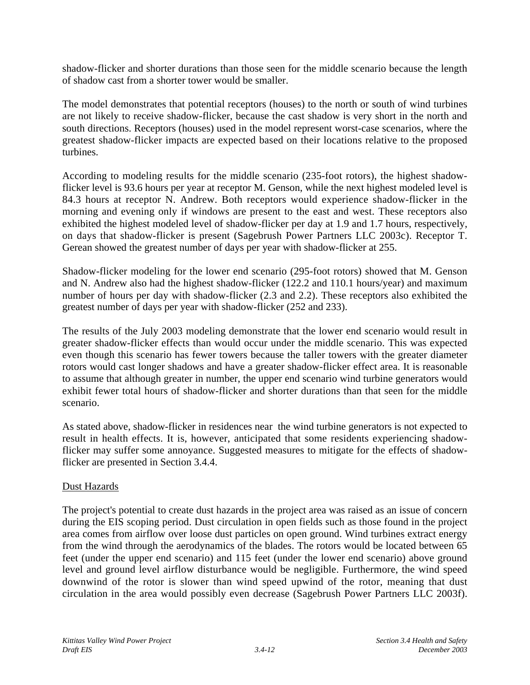shadow-flicker and shorter durations than those seen for the middle scenario because the length of shadow cast from a shorter tower would be smaller.

The model demonstrates that potential receptors (houses) to the north or south of wind turbines are not likely to receive shadow-flicker, because the cast shadow is very short in the north and south directions. Receptors (houses) used in the model represent worst-case scenarios, where the greatest shadow-flicker impacts are expected based on their locations relative to the proposed turbines.

According to modeling results for the middle scenario (235-foot rotors), the highest shadowflicker level is 93.6 hours per year at receptor M. Genson, while the next highest modeled level is 84.3 hours at receptor N. Andrew. Both receptors would experience shadow-flicker in the morning and evening only if windows are present to the east and west. These receptors also exhibited the highest modeled level of shadow-flicker per day at 1.9 and 1.7 hours, respectively, on days that shadow-flicker is present (Sagebrush Power Partners LLC 2003c). Receptor T. Gerean showed the greatest number of days per year with shadow-flicker at 255.

Shadow-flicker modeling for the lower end scenario (295-foot rotors) showed that M. Genson and N. Andrew also had the highest shadow-flicker (122.2 and 110.1 hours/year) and maximum number of hours per day with shadow-flicker (2.3 and 2.2). These receptors also exhibited the greatest number of days per year with shadow-flicker (252 and 233).

The results of the July 2003 modeling demonstrate that the lower end scenario would result in greater shadow-flicker effects than would occur under the middle scenario. This was expected even though this scenario has fewer towers because the taller towers with the greater diameter rotors would cast longer shadows and have a greater shadow-flicker effect area. It is reasonable to assume that although greater in number, the upper end scenario wind turbine generators would exhibit fewer total hours of shadow-flicker and shorter durations than that seen for the middle scenario.

As stated above, shadow-flicker in residences near the wind turbine generators is not expected to result in health effects. It is, however, anticipated that some residents experiencing shadowflicker may suffer some annoyance. Suggested measures to mitigate for the effects of shadowflicker are presented in Section 3.4.4.

## Dust Hazards

The project's potential to create dust hazards in the project area was raised as an issue of concern during the EIS scoping period. Dust circulation in open fields such as those found in the project area comes from airflow over loose dust particles on open ground. Wind turbines extract energy from the wind through the aerodynamics of the blades. The rotors would be located between 65 feet (under the upper end scenario) and 115 feet (under the lower end scenario) above ground level and ground level airflow disturbance would be negligible. Furthermore, the wind speed downwind of the rotor is slower than wind speed upwind of the rotor, meaning that dust circulation in the area would possibly even decrease (Sagebrush Power Partners LLC 2003f).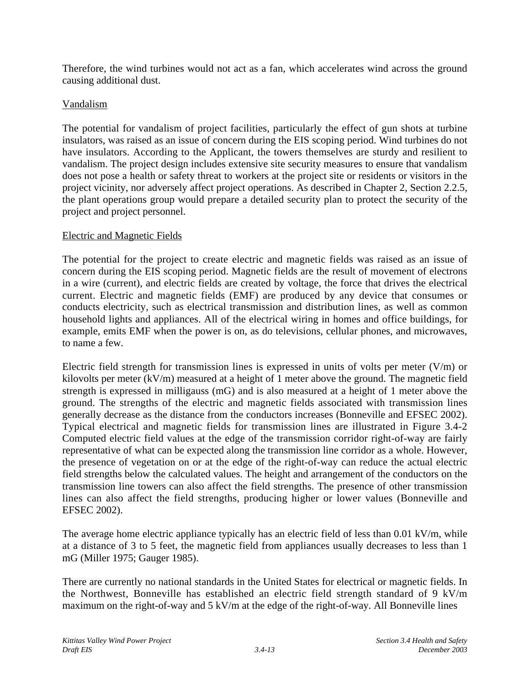Therefore, the wind turbines would not act as a fan, which accelerates wind across the ground causing additional dust.

## Vandalism

The potential for vandalism of project facilities, particularly the effect of gun shots at turbine insulators, was raised as an issue of concern during the EIS scoping period. Wind turbines do not have insulators. According to the Applicant, the towers themselves are sturdy and resilient to vandalism. The project design includes extensive site security measures to ensure that vandalism does not pose a health or safety threat to workers at the project site or residents or visitors in the project vicinity, nor adversely affect project operations. As described in Chapter 2, Section 2.2.5, the plant operations group would prepare a detailed security plan to protect the security of the project and project personnel.

## Electric and Magnetic Fields

The potential for the project to create electric and magnetic fields was raised as an issue of concern during the EIS scoping period. Magnetic fields are the result of movement of electrons in a wire (current), and electric fields are created by voltage, the force that drives the electrical current. Electric and magnetic fields (EMF) are produced by any device that consumes or conducts electricity, such as electrical transmission and distribution lines, as well as common household lights and appliances. All of the electrical wiring in homes and office buildings, for example, emits EMF when the power is on, as do televisions, cellular phones, and microwaves, to name a few.

Electric field strength for transmission lines is expressed in units of volts per meter  $(V/m)$  or kilovolts per meter (kV/m) measured at a height of 1 meter above the ground. The magnetic field strength is expressed in milligauss (mG) and is also measured at a height of 1 meter above the ground. The strengths of the electric and magnetic fields associated with transmission lines generally decrease as the distance from the conductors increases (Bonneville and EFSEC 2002). Typical electrical and magnetic fields for transmission lines are illustrated in Figure 3.4-2 Computed electric field values at the edge of the transmission corridor right-of-way are fairly representative of what can be expected along the transmission line corridor as a whole. However, the presence of vegetation on or at the edge of the right-of-way can reduce the actual electric field strengths below the calculated values. The height and arrangement of the conductors on the transmission line towers can also affect the field strengths. The presence of other transmission lines can also affect the field strengths, producing higher or lower values (Bonneville and EFSEC 2002).

The average home electric appliance typically has an electric field of less than 0.01 kV/m, while at a distance of 3 to 5 feet, the magnetic field from appliances usually decreases to less than 1 mG (Miller 1975; Gauger 1985).

There are currently no national standards in the United States for electrical or magnetic fields. In the Northwest, Bonneville has established an electric field strength standard of 9 kV/m maximum on the right-of-way and 5 kV/m at the edge of the right-of-way. All Bonneville lines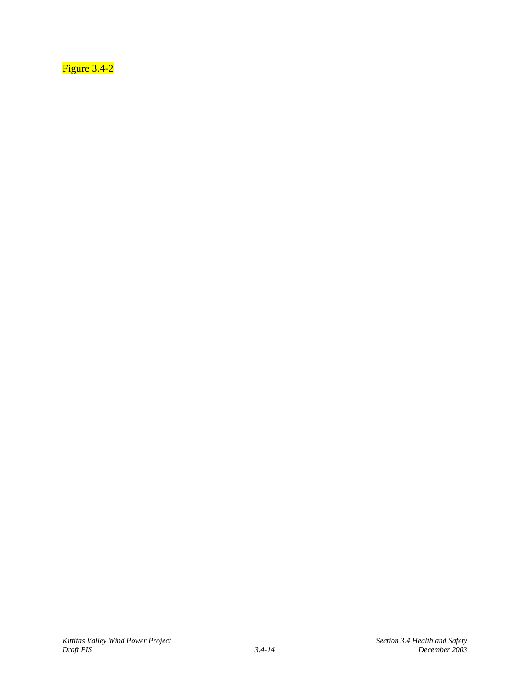Figure 3.4-2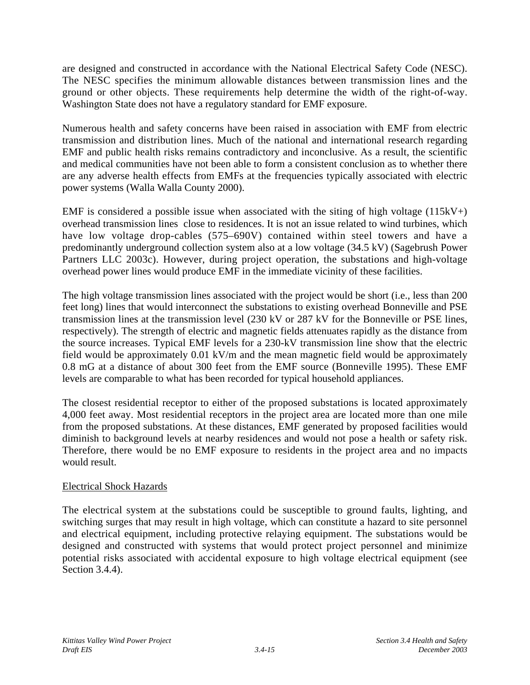are designed and constructed in accordance with the National Electrical Safety Code (NESC). The NESC specifies the minimum allowable distances between transmission lines and the ground or other objects. These requirements help determine the width of the right-of-way. Washington State does not have a regulatory standard for EMF exposure.

Numerous health and safety concerns have been raised in association with EMF from electric transmission and distribution lines. Much of the national and international research regarding EMF and public health risks remains contradictory and inconclusive. As a result, the scientific and medical communities have not been able to form a consistent conclusion as to whether there are any adverse health effects from EMFs at the frequencies typically associated with electric power systems (Walla Walla County 2000).

EMF is considered a possible issue when associated with the siting of high voltage  $(115kV+)$ overhead transmission lines close to residences. It is not an issue related to wind turbines, which have low voltage drop-cables (575–690V) contained within steel towers and have a predominantly underground collection system also at a low voltage (34.5 kV) (Sagebrush Power Partners LLC 2003c). However, during project operation, the substations and high-voltage overhead power lines would produce EMF in the immediate vicinity of these facilities.

The high voltage transmission lines associated with the project would be short (i.e., less than 200 feet long) lines that would interconnect the substations to existing overhead Bonneville and PSE transmission lines at the transmission level (230 kV or 287 kV for the Bonneville or PSE lines, respectively). The strength of electric and magnetic fields attenuates rapidly as the distance from the source increases. Typical EMF levels for a 230-kV transmission line show that the electric field would be approximately 0.01 kV/m and the mean magnetic field would be approximately 0.8 mG at a distance of about 300 feet from the EMF source (Bonneville 1995). These EMF levels are comparable to what has been recorded for typical household appliances.

The closest residential receptor to either of the proposed substations is located approximately 4,000 feet away. Most residential receptors in the project area are located more than one mile from the proposed substations. At these distances, EMF generated by proposed facilities would diminish to background levels at nearby residences and would not pose a health or safety risk. Therefore, there would be no EMF exposure to residents in the project area and no impacts would result.

## Electrical Shock Hazards

The electrical system at the substations could be susceptible to ground faults, lighting, and switching surges that may result in high voltage, which can constitute a hazard to site personnel and electrical equipment, including protective relaying equipment. The substations would be designed and constructed with systems that would protect project personnel and minimize potential risks associated with accidental exposure to high voltage electrical equipment (see Section 3.4.4).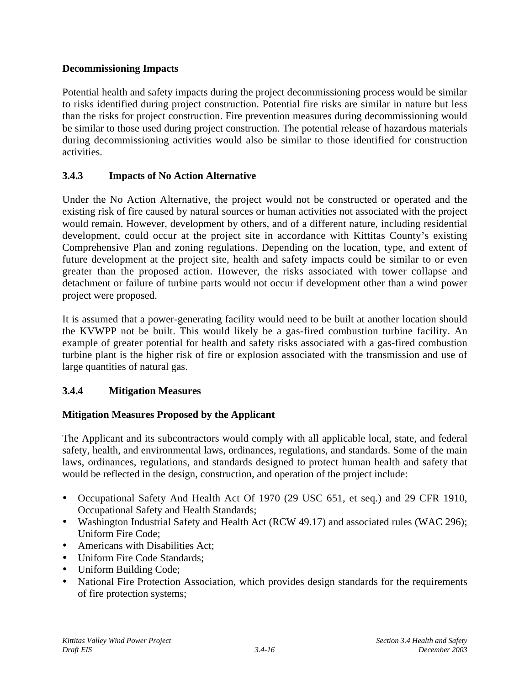## **Decommissioning Impacts**

Potential health and safety impacts during the project decommissioning process would be similar to risks identified during project construction. Potential fire risks are similar in nature but less than the risks for project construction. Fire prevention measures during decommissioning would be similar to those used during project construction. The potential release of hazardous materials during decommissioning activities would also be similar to those identified for construction activities.

# **3.4.3 Impacts of No Action Alternative**

Under the No Action Alternative, the project would not be constructed or operated and the existing risk of fire caused by natural sources or human activities not associated with the project would remain. However, development by others, and of a different nature, including residential development, could occur at the project site in accordance with Kittitas County's existing Comprehensive Plan and zoning regulations. Depending on the location, type, and extent of future development at the project site, health and safety impacts could be similar to or even greater than the proposed action. However, the risks associated with tower collapse and detachment or failure of turbine parts would not occur if development other than a wind power project were proposed.

It is assumed that a power-generating facility would need to be built at another location should the KVWPP not be built. This would likely be a gas-fired combustion turbine facility. An example of greater potential for health and safety risks associated with a gas-fired combustion turbine plant is the higher risk of fire or explosion associated with the transmission and use of large quantities of natural gas.

# **3.4.4 Mitigation Measures**

## **Mitigation Measures Proposed by the Applicant**

The Applicant and its subcontractors would comply with all applicable local, state, and federal safety, health, and environmental laws, ordinances, regulations, and standards. Some of the main laws, ordinances, regulations, and standards designed to protect human health and safety that would be reflected in the design, construction, and operation of the project include:

- Occupational Safety And Health Act Of 1970 (29 USC 651, et seq.) and 29 CFR 1910, Occupational Safety and Health Standards;
- Washington Industrial Safety and Health Act (RCW 49.17) and associated rules (WAC 296); Uniform Fire Code;
- Americans with Disabilities Act;
- Uniform Fire Code Standards:
- Uniform Building Code;
- National Fire Protection Association, which provides design standards for the requirements of fire protection systems;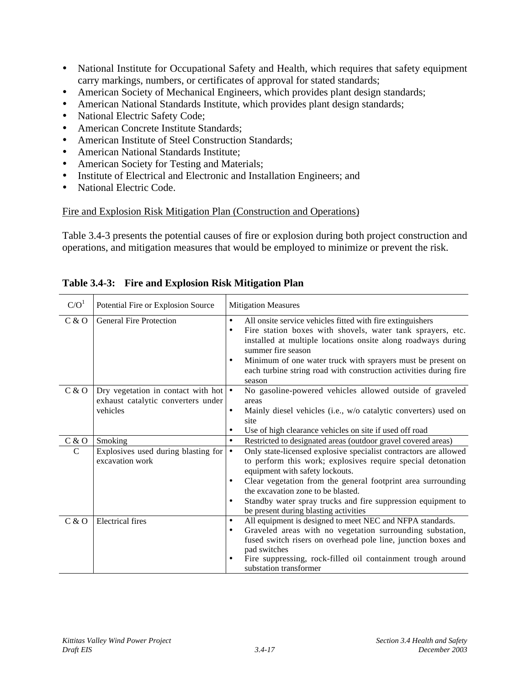- National Institute for Occupational Safety and Health, which requires that safety equipment carry markings, numbers, or certificates of approval for stated standards;
- American Society of Mechanical Engineers, which provides plant design standards;
- American National Standards Institute, which provides plant design standards;
- National Electric Safety Code;
- American Concrete Institute Standards;
- American Institute of Steel Construction Standards:
- American National Standards Institute;
- American Society for Testing and Materials;
- Institute of Electrical and Electronic and Installation Engineers; and
- National Electric Code.

## Fire and Explosion Risk Mitigation Plan (Construction and Operations)

Table 3.4-3 presents the potential causes of fire or explosion during both project construction and operations, and mitigation measures that would be employed to minimize or prevent the risk.

| C/O <sup>1</sup> | Potential Fire or Explosion Source                                                   | <b>Mitigation Measures</b>                                                                                                                                                                                                                                                                                                                                                                                               |
|------------------|--------------------------------------------------------------------------------------|--------------------------------------------------------------------------------------------------------------------------------------------------------------------------------------------------------------------------------------------------------------------------------------------------------------------------------------------------------------------------------------------------------------------------|
| C & O            | <b>General Fire Protection</b>                                                       | $\bullet$<br>All onsite service vehicles fitted with fire extinguishers<br>Fire station boxes with shovels, water tank sprayers, etc.<br>$\bullet$<br>installed at multiple locations onsite along roadways during<br>summer fire season<br>Minimum of one water truck with sprayers must be present on<br>$\bullet$<br>each turbine string road with construction activities during fire<br>season                      |
| C & O            | Dry vegetation in contact with hot<br>exhaust catalytic converters under<br>vehicles | No gasoline-powered vehicles allowed outside of graveled<br>$\bullet$<br>areas<br>Mainly diesel vehicles (i.e., w/o catalytic converters) used on<br>$\bullet$<br>site<br>Use of high clearance vehicles on site if used off road<br>$\bullet$                                                                                                                                                                           |
| C & O            | Smoking                                                                              | Restricted to designated areas (outdoor gravel covered areas)<br>$\bullet$                                                                                                                                                                                                                                                                                                                                               |
| C                | Explosives used during blasting for<br>excavation work                               | Only state-licensed explosive specialist contractors are allowed<br>$\bullet$<br>to perform this work; explosives require special detonation<br>equipment with safety lockouts.<br>Clear vegetation from the general footprint area surrounding<br>$\bullet$<br>the excavation zone to be blasted.<br>Standby water spray trucks and fire suppression equipment to<br>$\bullet$<br>be present during blasting activities |
| C & O            | <b>Electrical</b> fires                                                              | All equipment is designed to meet NEC and NFPA standards.<br>$\bullet$<br>Graveled areas with no vegetation surrounding substation,<br>$\bullet$<br>fused switch risers on overhead pole line, junction boxes and<br>pad switches<br>Fire suppressing, rock-filled oil containment trough around<br>$\bullet$<br>substation transformer                                                                                  |

## **Table 3.4-3: Fire and Explosion Risk Mitigation Plan**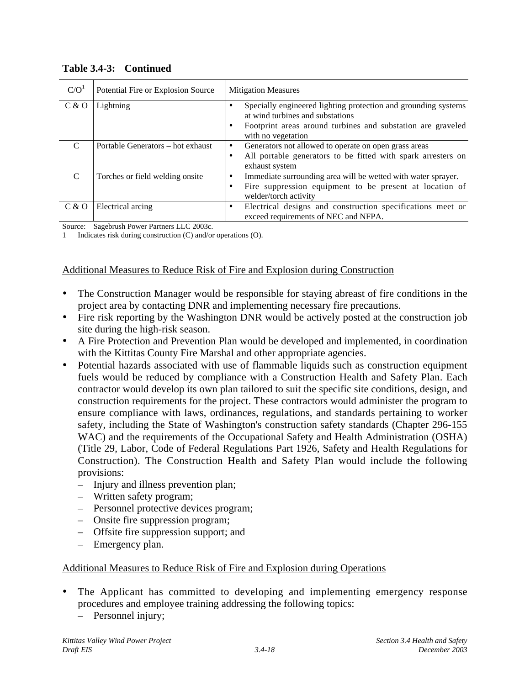| C/O <sup>1</sup> | Potential Fire or Explosion Source | <b>Mitigation Measures</b>                                                                                                                                                                        |
|------------------|------------------------------------|---------------------------------------------------------------------------------------------------------------------------------------------------------------------------------------------------|
| C & O            | Lightning                          | Specially engineered lighting protection and grounding systems<br>٠<br>at wind turbines and substations<br>Footprint areas around turbines and substation are graveled<br>٠<br>with no vegetation |
| $\mathcal{C}$    | Portable Generators – hot exhaust  | Generators not allowed to operate on open grass areas<br>٠<br>All portable generators to be fitted with spark arresters on<br>٠<br>exhaust system                                                 |
| C                | Torches or field welding onsite    | Immediate surrounding area will be wetted with water sprayer.<br>٠<br>Fire suppression equipment to be present at location of<br>٠<br>welder/torch activity                                       |
| C & O            | Electrical arcing                  | Electrical designs and construction specifications meet or<br>٠<br>exceed requirements of NEC and NFPA.                                                                                           |

#### **Table 3.4-3: Continued**

Source: Sagebrush Power Partners LLC 2003c.

1 Indicates risk during construction (C) and/or operations (O).

### Additional Measures to Reduce Risk of Fire and Explosion during Construction

- The Construction Manager would be responsible for staying abreast of fire conditions in the project area by contacting DNR and implementing necessary fire precautions.
- Fire risk reporting by the Washington DNR would be actively posted at the construction job site during the high-risk season.
- A Fire Protection and Prevention Plan would be developed and implemented, in coordination with the Kittitas County Fire Marshal and other appropriate agencies.
- Potential hazards associated with use of flammable liquids such as construction equipment fuels would be reduced by compliance with a Construction Health and Safety Plan. Each contractor would develop its own plan tailored to suit the specific site conditions, design, and construction requirements for the project. These contractors would administer the program to ensure compliance with laws, ordinances, regulations, and standards pertaining to worker safety, including the State of Washington's construction safety standards (Chapter 296-155 WAC) and the requirements of the Occupational Safety and Health Administration (OSHA) (Title 29, Labor, Code of Federal Regulations Part 1926, Safety and Health Regulations for Construction). The Construction Health and Safety Plan would include the following provisions:
	- Injury and illness prevention plan;
	- Written safety program;
	- Personnel protective devices program;
	- Onsite fire suppression program;
	- Offsite fire suppression support; and
	- Emergency plan.

#### Additional Measures to Reduce Risk of Fire and Explosion during Operations

- The Applicant has committed to developing and implementing emergency response procedures and employee training addressing the following topics:
	- Personnel injury;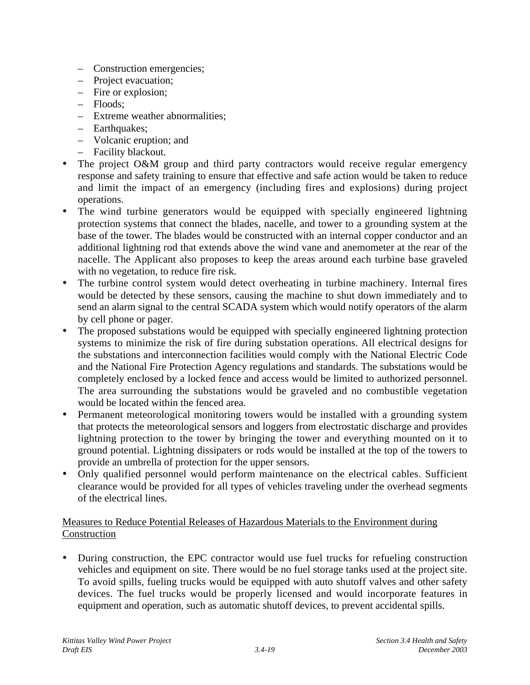- Construction emergencies;
- Project evacuation;
- Fire or explosion;
- Floods;
- Extreme weather abnormalities;
- Earthquakes;
- Volcanic eruption; and
- Facility blackout.
- The project O&M group and third party contractors would receive regular emergency response and safety training to ensure that effective and safe action would be taken to reduce and limit the impact of an emergency (including fires and explosions) during project operations.
- The wind turbine generators would be equipped with specially engineered lightning protection systems that connect the blades, nacelle, and tower to a grounding system at the base of the tower. The blades would be constructed with an internal copper conductor and an additional lightning rod that extends above the wind vane and anemometer at the rear of the nacelle. The Applicant also proposes to keep the areas around each turbine base graveled with no vegetation, to reduce fire risk.
- The turbine control system would detect overheating in turbine machinery. Internal fires would be detected by these sensors, causing the machine to shut down immediately and to send an alarm signal to the central SCADA system which would notify operators of the alarm by cell phone or pager.
- The proposed substations would be equipped with specially engineered lightning protection systems to minimize the risk of fire during substation operations. All electrical designs for the substations and interconnection facilities would comply with the National Electric Code and the National Fire Protection Agency regulations and standards. The substations would be completely enclosed by a locked fence and access would be limited to authorized personnel. The area surrounding the substations would be graveled and no combustible vegetation would be located within the fenced area.
- Permanent meteorological monitoring towers would be installed with a grounding system that protects the meteorological sensors and loggers from electrostatic discharge and provides lightning protection to the tower by bringing the tower and everything mounted on it to ground potential. Lightning dissipaters or rods would be installed at the top of the towers to provide an umbrella of protection for the upper sensors.
- Only qualified personnel would perform maintenance on the electrical cables. Sufficient clearance would be provided for all types of vehicles traveling under the overhead segments of the electrical lines.

## Measures to Reduce Potential Releases of Hazardous Materials to the Environment during Construction

• During construction, the EPC contractor would use fuel trucks for refueling construction vehicles and equipment on site. There would be no fuel storage tanks used at the project site. To avoid spills, fueling trucks would be equipped with auto shutoff valves and other safety devices. The fuel trucks would be properly licensed and would incorporate features in equipment and operation, such as automatic shutoff devices, to prevent accidental spills.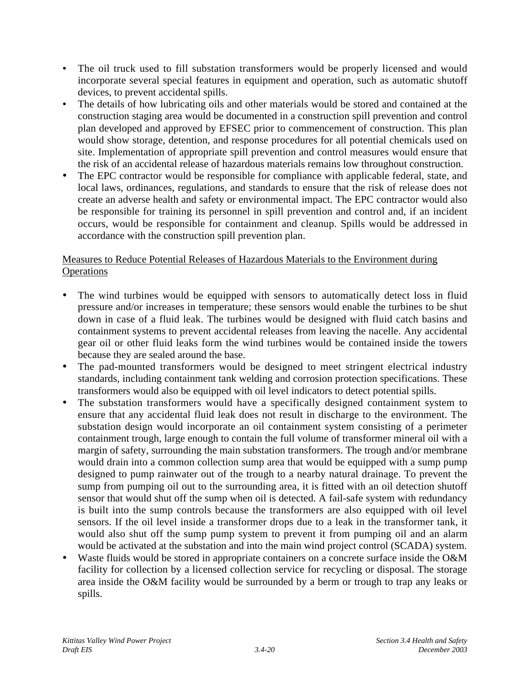- The oil truck used to fill substation transformers would be properly licensed and would incorporate several special features in equipment and operation, such as automatic shutoff devices, to prevent accidental spills.
- The details of how lubricating oils and other materials would be stored and contained at the construction staging area would be documented in a construction spill prevention and control plan developed and approved by EFSEC prior to commencement of construction. This plan would show storage, detention, and response procedures for all potential chemicals used on site. Implementation of appropriate spill prevention and control measures would ensure that the risk of an accidental release of hazardous materials remains low throughout construction.
- The EPC contractor would be responsible for compliance with applicable federal, state, and local laws, ordinances, regulations, and standards to ensure that the risk of release does not create an adverse health and safety or environmental impact. The EPC contractor would also be responsible for training its personnel in spill prevention and control and, if an incident occurs, would be responsible for containment and cleanup. Spills would be addressed in accordance with the construction spill prevention plan.

# Measures to Reduce Potential Releases of Hazardous Materials to the Environment during **Operations**

- The wind turbines would be equipped with sensors to automatically detect loss in fluid pressure and/or increases in temperature; these sensors would enable the turbines to be shut down in case of a fluid leak. The turbines would be designed with fluid catch basins and containment systems to prevent accidental releases from leaving the nacelle. Any accidental gear oil or other fluid leaks form the wind turbines would be contained inside the towers because they are sealed around the base.
- The pad-mounted transformers would be designed to meet stringent electrical industry standards, including containment tank welding and corrosion protection specifications. These transformers would also be equipped with oil level indicators to detect potential spills.
- The substation transformers would have a specifically designed containment system to ensure that any accidental fluid leak does not result in discharge to the environment. The substation design would incorporate an oil containment system consisting of a perimeter containment trough, large enough to contain the full volume of transformer mineral oil with a margin of safety, surrounding the main substation transformers. The trough and/or membrane would drain into a common collection sump area that would be equipped with a sump pump designed to pump rainwater out of the trough to a nearby natural drainage. To prevent the sump from pumping oil out to the surrounding area, it is fitted with an oil detection shutoff sensor that would shut off the sump when oil is detected. A fail-safe system with redundancy is built into the sump controls because the transformers are also equipped with oil level sensors. If the oil level inside a transformer drops due to a leak in the transformer tank, it would also shut off the sump pump system to prevent it from pumping oil and an alarm would be activated at the substation and into the main wind project control (SCADA) system.
- Waste fluids would be stored in appropriate containers on a concrete surface inside the O&M facility for collection by a licensed collection service for recycling or disposal. The storage area inside the O&M facility would be surrounded by a berm or trough to trap any leaks or spills.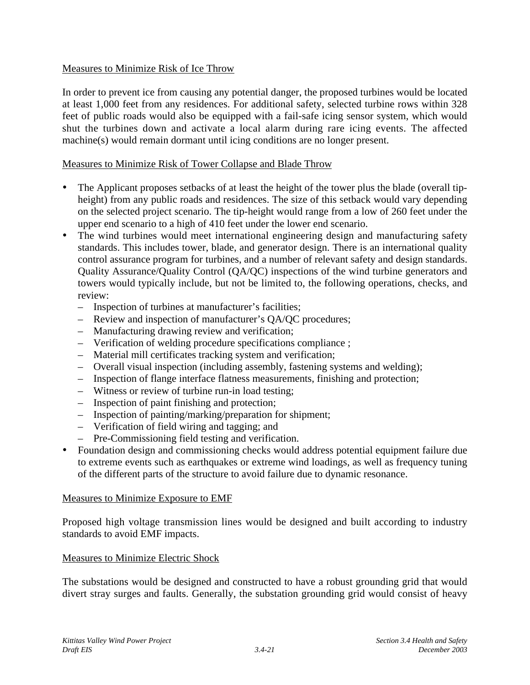## Measures to Minimize Risk of Ice Throw

In order to prevent ice from causing any potential danger, the proposed turbines would be located at least 1,000 feet from any residences. For additional safety, selected turbine rows within 328 feet of public roads would also be equipped with a fail-safe icing sensor system, which would shut the turbines down and activate a local alarm during rare icing events. The affected machine(s) would remain dormant until icing conditions are no longer present.

### Measures to Minimize Risk of Tower Collapse and Blade Throw

- The Applicant proposes setbacks of at least the height of the tower plus the blade (overall tipheight) from any public roads and residences. The size of this setback would vary depending on the selected project scenario. The tip-height would range from a low of 260 feet under the upper end scenario to a high of 410 feet under the lower end scenario.
- The wind turbines would meet international engineering design and manufacturing safety standards. This includes tower, blade, and generator design. There is an international quality control assurance program for turbines, and a number of relevant safety and design standards. Quality Assurance/Quality Control (QA/QC) inspections of the wind turbine generators and towers would typically include, but not be limited to, the following operations, checks, and review:
	- Inspection of turbines at manufacturer's facilities;
	- Review and inspection of manufacturer's QA/QC procedures;
	- Manufacturing drawing review and verification;
	- Verification of welding procedure specifications compliance ;
	- Material mill certificates tracking system and verification;
	- Overall visual inspection (including assembly, fastening systems and welding);
	- Inspection of flange interface flatness measurements, finishing and protection;
	- Witness or review of turbine run-in load testing;
	- Inspection of paint finishing and protection;
	- Inspection of painting/marking/preparation for shipment;
	- Verification of field wiring and tagging; and
	- Pre-Commissioning field testing and verification.
- Foundation design and commissioning checks would address potential equipment failure due to extreme events such as earthquakes or extreme wind loadings, as well as frequency tuning of the different parts of the structure to avoid failure due to dynamic resonance.

## Measures to Minimize Exposure to EMF

Proposed high voltage transmission lines would be designed and built according to industry standards to avoid EMF impacts.

## Measures to Minimize Electric Shock

The substations would be designed and constructed to have a robust grounding grid that would divert stray surges and faults. Generally, the substation grounding grid would consist of heavy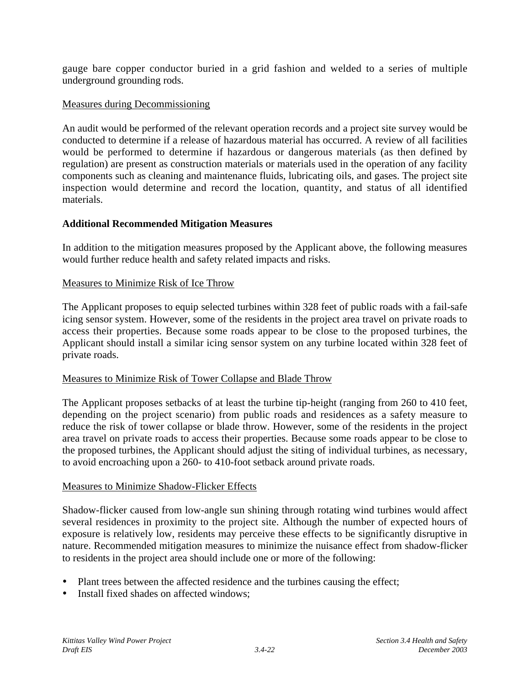gauge bare copper conductor buried in a grid fashion and welded to a series of multiple underground grounding rods.

### Measures during Decommissioning

An audit would be performed of the relevant operation records and a project site survey would be conducted to determine if a release of hazardous material has occurred. A review of all facilities would be performed to determine if hazardous or dangerous materials (as then defined by regulation) are present as construction materials or materials used in the operation of any facility components such as cleaning and maintenance fluids, lubricating oils, and gases. The project site inspection would determine and record the location, quantity, and status of all identified materials.

### **Additional Recommended Mitigation Measures**

In addition to the mitigation measures proposed by the Applicant above, the following measures would further reduce health and safety related impacts and risks.

### Measures to Minimize Risk of Ice Throw

The Applicant proposes to equip selected turbines within 328 feet of public roads with a fail-safe icing sensor system. However, some of the residents in the project area travel on private roads to access their properties. Because some roads appear to be close to the proposed turbines, the Applicant should install a similar icing sensor system on any turbine located within 328 feet of private roads.

#### Measures to Minimize Risk of Tower Collapse and Blade Throw

The Applicant proposes setbacks of at least the turbine tip-height (ranging from 260 to 410 feet, depending on the project scenario) from public roads and residences as a safety measure to reduce the risk of tower collapse or blade throw. However, some of the residents in the project area travel on private roads to access their properties. Because some roads appear to be close to the proposed turbines, the Applicant should adjust the siting of individual turbines, as necessary, to avoid encroaching upon a 260- to 410-foot setback around private roads.

#### Measures to Minimize Shadow-Flicker Effects

Shadow-flicker caused from low-angle sun shining through rotating wind turbines would affect several residences in proximity to the project site. Although the number of expected hours of exposure is relatively low, residents may perceive these effects to be significantly disruptive in nature. Recommended mitigation measures to minimize the nuisance effect from shadow-flicker to residents in the project area should include one or more of the following:

- Plant trees between the affected residence and the turbines causing the effect;
- Install fixed shades on affected windows;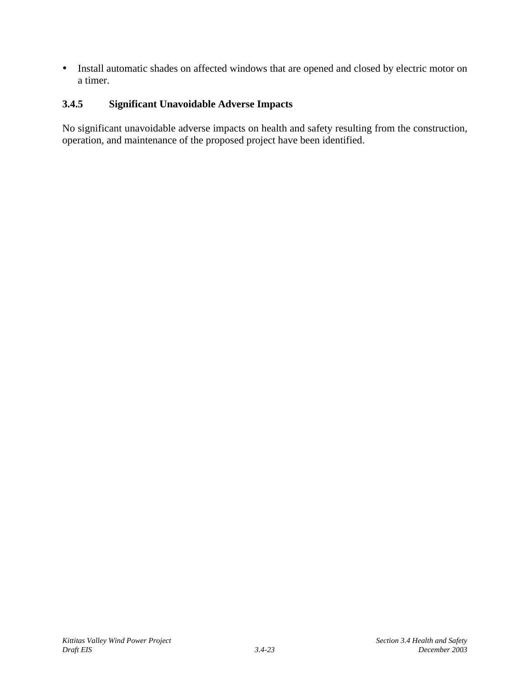• Install automatic shades on affected windows that are opened and closed by electric motor on a timer.

## **3.4.5 Significant Unavoidable Adverse Impacts**

No significant unavoidable adverse impacts on health and safety resulting from the construction, operation, and maintenance of the proposed project have been identified.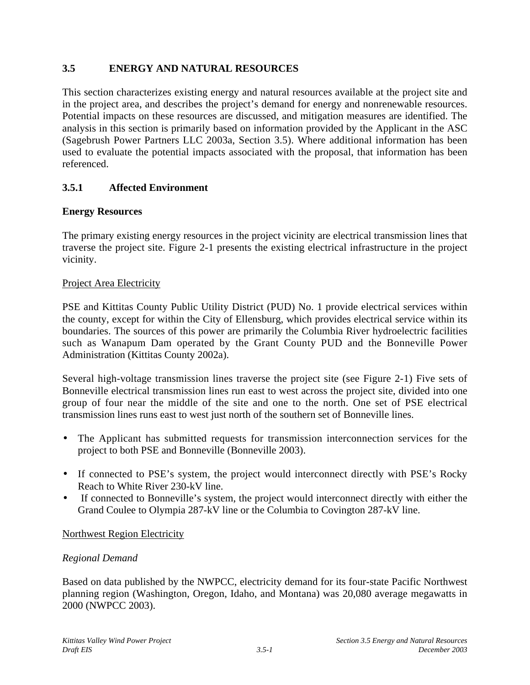# **3.5 ENERGY AND NATURAL RESOURCES**

This section characterizes existing energy and natural resources available at the project site and in the project area, and describes the project's demand for energy and nonrenewable resources. Potential impacts on these resources are discussed, and mitigation measures are identified. The analysis in this section is primarily based on information provided by the Applicant in the ASC (Sagebrush Power Partners LLC 2003a, Section 3.5). Where additional information has been used to evaluate the potential impacts associated with the proposal, that information has been referenced.

# **3.5.1 Affected Environment**

## **Energy Resources**

The primary existing energy resources in the project vicinity are electrical transmission lines that traverse the project site. Figure 2-1 presents the existing electrical infrastructure in the project vicinity.

#### Project Area Electricity

PSE and Kittitas County Public Utility District (PUD) No. 1 provide electrical services within the county, except for within the City of Ellensburg, which provides electrical service within its boundaries. The sources of this power are primarily the Columbia River hydroelectric facilities such as Wanapum Dam operated by the Grant County PUD and the Bonneville Power Administration (Kittitas County 2002a).

Several high-voltage transmission lines traverse the project site (see Figure 2-1) Five sets of Bonneville electrical transmission lines run east to west across the project site, divided into one group of four near the middle of the site and one to the north. One set of PSE electrical transmission lines runs east to west just north of the southern set of Bonneville lines.

- The Applicant has submitted requests for transmission interconnection services for the project to both PSE and Bonneville (Bonneville 2003).
- If connected to PSE's system, the project would interconnect directly with PSE's Rocky Reach to White River 230-kV line.
- If connected to Bonneville's system, the project would interconnect directly with either the Grand Coulee to Olympia 287-kV line or the Columbia to Covington 287-kV line.

## Northwest Region Electricity

## *Regional Demand*

Based on data published by the NWPCC, electricity demand for its four-state Pacific Northwest planning region (Washington, Oregon, Idaho, and Montana) was 20,080 average megawatts in 2000 (NWPCC 2003).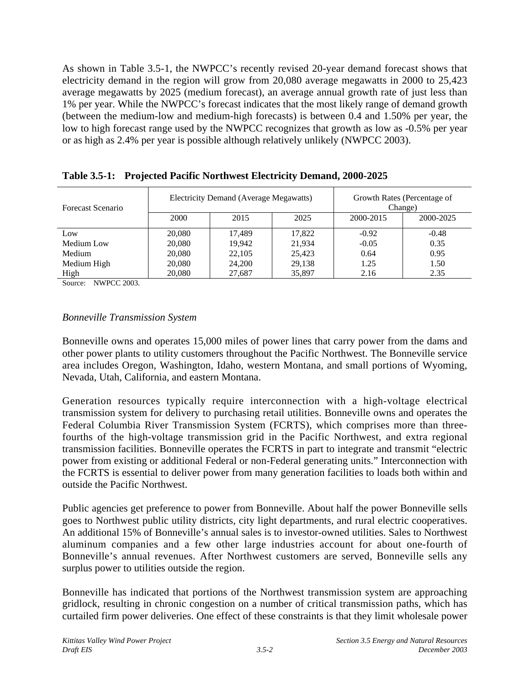As shown in Table 3.5-1, the NWPCC's recently revised 20-year demand forecast shows that electricity demand in the region will grow from 20,080 average megawatts in 2000 to 25,423 average megawatts by 2025 (medium forecast), an average annual growth rate of just less than 1% per year. While the NWPCC's forecast indicates that the most likely range of demand growth (between the medium-low and medium-high forecasts) is between 0.4 and 1.50% per year, the low to high forecast range used by the NWPCC recognizes that growth as low as -0.5% per year or as high as 2.4% per year is possible although relatively unlikely (NWPCC 2003).

| Forecast Scenario | Electricity Demand (Average Megawatts) |        |        | Growth Rates (Percentage of<br>Change) |           |
|-------------------|----------------------------------------|--------|--------|----------------------------------------|-----------|
|                   | <b>2000</b>                            | 2015   | 2025   | 2000-2015                              | 2000-2025 |
| Low               | 20,080                                 | 17.489 | 17,822 | $-0.92$                                | $-0.48$   |
| Medium Low        | 20,080                                 | 19.942 | 21,934 | $-0.05$                                | 0.35      |
| Medium            | 20,080                                 | 22,105 | 25,423 | 0.64                                   | 0.95      |
| Medium High       | 20,080                                 | 24,200 | 29,138 | 1.25                                   | 1.50      |
| High              | 20,080                                 | 27,687 | 35,897 | 2.16                                   | 2.35      |

**Table 3.5-1: Projected Pacific Northwest Electricity Demand, 2000-2025**

Source: NWPCC 2003.

### *Bonneville Transmission System*

Bonneville owns and operates 15,000 miles of power lines that carry power from the dams and other power plants to utility customers throughout the Pacific Northwest. The Bonneville service area includes Oregon, Washington, Idaho, western Montana, and small portions of Wyoming, Nevada, Utah, California, and eastern Montana.

Generation resources typically require interconnection with a high-voltage electrical transmission system for delivery to purchasing retail utilities. Bonneville owns and operates the Federal Columbia River Transmission System (FCRTS), which comprises more than threefourths of the high-voltage transmission grid in the Pacific Northwest, and extra regional transmission facilities. Bonneville operates the FCRTS in part to integrate and transmit "electric power from existing or additional Federal or non-Federal generating units." Interconnection with the FCRTS is essential to deliver power from many generation facilities to loads both within and outside the Pacific Northwest.

Public agencies get preference to power from Bonneville. About half the power Bonneville sells goes to Northwest public utility districts, city light departments, and rural electric cooperatives. An additional 15% of Bonneville's annual sales is to investor-owned utilities. Sales to Northwest aluminum companies and a few other large industries account for about one-fourth of Bonneville's annual revenues. After Northwest customers are served, Bonneville sells any surplus power to utilities outside the region.

Bonneville has indicated that portions of the Northwest transmission system are approaching gridlock, resulting in chronic congestion on a number of critical transmission paths, which has curtailed firm power deliveries. One effect of these constraints is that they limit wholesale power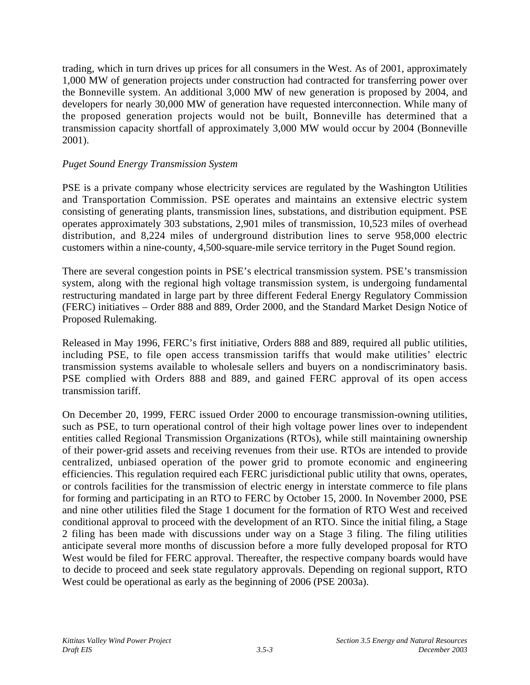trading, which in turn drives up prices for all consumers in the West. As of 2001, approximately 1,000 MW of generation projects under construction had contracted for transferring power over the Bonneville system. An additional 3,000 MW of new generation is proposed by 2004, and developers for nearly 30,000 MW of generation have requested interconnection. While many of the proposed generation projects would not be built, Bonneville has determined that a transmission capacity shortfall of approximately 3,000 MW would occur by 2004 (Bonneville 2001).

### *Puget Sound Energy Transmission System*

PSE is a private company whose electricity services are regulated by the Washington Utilities and Transportation Commission. PSE operates and maintains an extensive electric system consisting of generating plants, transmission lines, substations, and distribution equipment. PSE operates approximately 303 substations, 2,901 miles of transmission, 10,523 miles of overhead distribution, and 8,224 miles of underground distribution lines to serve 958,000 electric customers within a nine-county, 4,500-square-mile service territory in the Puget Sound region.

There are several congestion points in PSE's electrical transmission system. PSE's transmission system, along with the regional high voltage transmission system, is undergoing fundamental restructuring mandated in large part by three different Federal Energy Regulatory Commission (FERC) initiatives – Order 888 and 889, Order 2000, and the Standard Market Design Notice of Proposed Rulemaking.

Released in May 1996, FERC's first initiative, Orders 888 and 889, required all public utilities, including PSE, to file open access transmission tariffs that would make utilities' electric transmission systems available to wholesale sellers and buyers on a nondiscriminatory basis. PSE complied with Orders 888 and 889, and gained FERC approval of its open access transmission tariff.

On December 20, 1999, FERC issued Order 2000 to encourage transmission-owning utilities, such as PSE, to turn operational control of their high voltage power lines over to independent entities called Regional Transmission Organizations (RTOs), while still maintaining ownership of their power-grid assets and receiving revenues from their use. RTOs are intended to provide centralized, unbiased operation of the power grid to promote economic and engineering efficiencies. This regulation required each FERC jurisdictional public utility that owns, operates, or controls facilities for the transmission of electric energy in interstate commerce to file plans for forming and participating in an RTO to FERC by October 15, 2000. In November 2000, PSE and nine other utilities filed the Stage 1 document for the formation of RTO West and received conditional approval to proceed with the development of an RTO. Since the initial filing, a Stage 2 filing has been made with discussions under way on a Stage 3 filing. The filing utilities anticipate several more months of discussion before a more fully developed proposal for RTO West would be filed for FERC approval. Thereafter, the respective company boards would have to decide to proceed and seek state regulatory approvals. Depending on regional support, RTO West could be operational as early as the beginning of 2006 (PSE 2003a).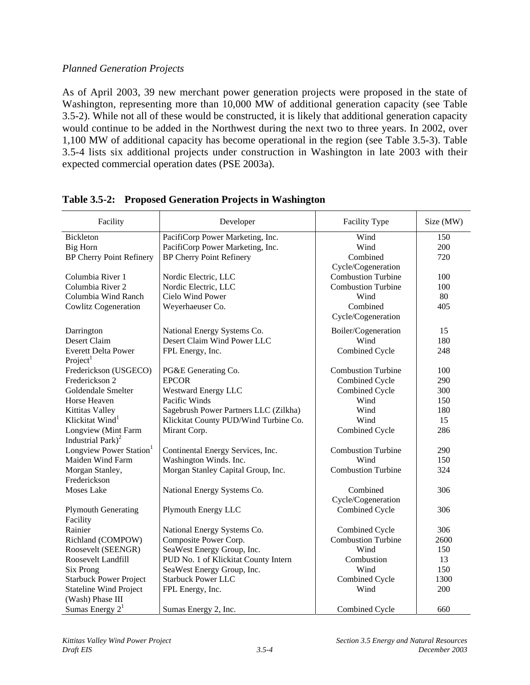### *Planned Generation Projects*

As of April 2003, 39 new merchant power generation projects were proposed in the state of Washington, representing more than 10,000 MW of additional generation capacity (see Table 3.5-2). While not all of these would be constructed, it is likely that additional generation capacity would continue to be added in the Northwest during the next two to three years. In 2002, over 1,100 MW of additional capacity has become operational in the region (see Table 3.5-3). Table 3.5-4 lists six additional projects under construction in Washington in late 2003 with their expected commercial operation dates (PSE 2003a).

| Facility                            | Developer                             | Facility Type             | Size (MW) |
|-------------------------------------|---------------------------------------|---------------------------|-----------|
| <b>Bickleton</b>                    | PacifiCorp Power Marketing, Inc.      | Wind                      | 150       |
| <b>Big Horn</b>                     | PacifiCorp Power Marketing, Inc.      | Wind                      | 200       |
| <b>BP Cherry Point Refinery</b>     | <b>BP Cherry Point Refinery</b>       | Combined                  | 720       |
|                                     |                                       | Cycle/Cogeneration        |           |
| Columbia River 1                    | Nordic Electric, LLC                  | <b>Combustion Turbine</b> | 100       |
| Columbia River 2                    | Nordic Electric, LLC                  | <b>Combustion Turbine</b> | 100       |
| Columbia Wind Ranch                 | Cielo Wind Power                      | Wind                      | 80        |
| <b>Cowlitz Cogeneration</b>         | Weyerhaeuser Co.                      | Combined                  | 405       |
|                                     |                                       | Cycle/Cogeneration        |           |
| Darrington                          | National Energy Systems Co.           | Boiler/Cogeneration       | 15        |
| Desert Claim                        | Desert Claim Wind Power LLC           | Wind                      | 180       |
| <b>Everett Delta Power</b>          | FPL Energy, Inc.                      | Combined Cycle            | 248       |
| Project <sup>1</sup>                |                                       |                           |           |
| Frederickson (USGECO)               | PG&E Generating Co.                   | <b>Combustion Turbine</b> | 100       |
| Frederickson 2                      | <b>EPCOR</b>                          | Combined Cycle            | 290       |
| Goldendale Smelter                  | <b>Westward Energy LLC</b>            | Combined Cycle            | 300       |
| Horse Heaven                        | Pacific Winds                         | Wind                      | 150       |
| Kittitas Valley                     | Sagebrush Power Partners LLC (Zilkha) | Wind                      | 180       |
| Klickitat Wind <sup>1</sup>         | Klickitat County PUD/Wind Turbine Co. | Wind                      | 15        |
| Longview (Mint Farm                 | Mirant Corp.                          | Combined Cycle            | 286       |
| Industrial Park) <sup>2</sup>       |                                       |                           |           |
| Longview Power Station <sup>1</sup> | Continental Energy Services, Inc.     | <b>Combustion Turbine</b> | 290       |
| Maiden Wind Farm                    | Washington Winds. Inc.                | Wind                      | 150       |
| Morgan Stanley,                     | Morgan Stanley Capital Group, Inc.    | <b>Combustion Turbine</b> | 324       |
| Frederickson                        |                                       |                           |           |
| Moses Lake                          | National Energy Systems Co.           | Combined                  | 306       |
|                                     |                                       | Cycle/Cogeneration        |           |
| <b>Plymouth Generating</b>          | Plymouth Energy LLC                   | Combined Cycle            | 306       |
| Facility                            |                                       |                           |           |
| Rainier                             | National Energy Systems Co.           | Combined Cycle            | 306       |
| Richland (COMPOW)                   | Composite Power Corp.                 | <b>Combustion Turbine</b> | 2600      |
| Roosevelt (SEENGR)                  | SeaWest Energy Group, Inc.            | Wind                      | 150       |
| Roosevelt Landfill                  | PUD No. 1 of Klickitat County Intern  | Combustion                | 13        |
| Six Prong                           | SeaWest Energy Group, Inc.            | Wind                      | 150       |
| <b>Starbuck Power Project</b>       | <b>Starbuck Power LLC</b>             | Combined Cycle            | 1300      |
| <b>Stateline Wind Project</b>       | FPL Energy, Inc.                      | Wind                      | 200       |
| (Wash) Phase III                    |                                       |                           |           |
| Sumas Energy $21$                   | Sumas Energy 2, Inc.                  | Combined Cycle            | 660       |

**Table 3.5-2: Proposed Generation Projects in Washington**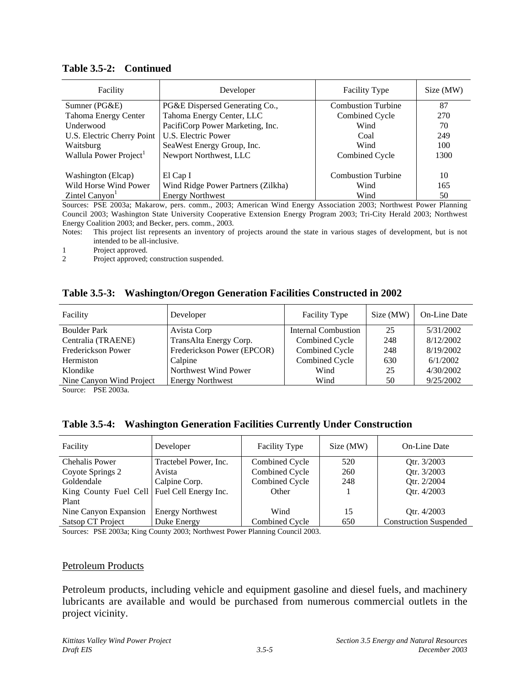| Facility                           | Developer                          | <b>Facility Type</b>      | Size (MW) |
|------------------------------------|------------------------------------|---------------------------|-----------|
| Sumner (PG&E)                      | PG&E Dispersed Generating Co.,     | <b>Combustion Turbine</b> | 87        |
| Tahoma Energy Center               | Tahoma Energy Center, LLC          | Combined Cycle            | 270       |
| Underwood                          | PacifiCorp Power Marketing, Inc.   | Wind                      | 70        |
| U.S. Electric Cherry Point         | U.S. Electric Power                | Coal                      | 249       |
| Waitsburg                          | SeaWest Energy Group, Inc.         | Wind                      | 100       |
| Wallula Power Project <sup>1</sup> | Newport Northwest, LLC             | Combined Cycle            | 1300      |
|                                    |                                    |                           |           |
| Washington (Elcap)                 | El Cap I                           | <b>Combustion Turbine</b> | 10        |
| Wild Horse Wind Power              | Wind Ridge Power Partners (Zilkha) | Wind                      | 165       |
| Zintel Canyon                      | <b>Energy Northwest</b>            | Wind                      | 50        |

#### **Table 3.5-2: Continued**

Sources: PSE 2003a; Makarow, pers. comm., 2003; American Wind Energy Association 2003; Northwest Power Planning Council 2003; Washington State University Cooperative Extension Energy Program 2003; Tri-City Herald 2003; Northwest Energy Coalition 2003; and Becker, pers. comm., 2003.

Notes: This project list represents an inventory of projects around the state in various stages of development, but is not intended to be all-inclusive.

1 Project approved.

2 Project approved; construction suspended.

### **Table 3.5-3: Washington/Oregon Generation Facilities Constructed in 2002**

| Developer                  | <b>Facility Type</b>       | Size (MW) | On-Line Date |
|----------------------------|----------------------------|-----------|--------------|
| Avista Corp                | <b>Internal Combustion</b> | 25        | 5/31/2002    |
| TransAlta Energy Corp.     | Combined Cycle             | 248       | 8/12/2002    |
| Frederickson Power (EPCOR) | Combined Cycle             | 248       | 8/19/2002    |
| Calpine                    | Combined Cycle             | 630       | 6/1/2002     |
| Northwest Wind Power       | Wind                       | 25        | 4/30/2002    |
| <b>Energy Northwest</b>    | Wind                       | 50        | 9/25/2002    |
|                            |                            |           |              |

Source: PSE 2003a.

### **Table 3.5-4: Washington Generation Facilities Currently Under Construction**

| Facility                                      | Developer               | <b>Facility Type</b> | Size (MW) | On-Line Date                  |
|-----------------------------------------------|-------------------------|----------------------|-----------|-------------------------------|
| Chehalis Power                                | Tractebel Power, Inc.   | Combined Cycle       | 520       | Otr. 3/2003                   |
| Coyote Springs 2                              | Avista                  | Combined Cycle       | 260       | Qtr. 3/2003                   |
| Goldendale                                    | Calpine Corp.           | Combined Cycle       | 248       | Qtr. 2/2004                   |
| King County Fuel Cell   Fuel Cell Energy Inc. |                         | Other                |           | Qtr. 4/2003                   |
| Plant                                         |                         |                      |           |                               |
| Nine Canyon Expansion                         | <b>Energy Northwest</b> | Wind                 | 15        | Otr. 4/2003                   |
| Satsop CT Project                             | Duke Energy             | Combined Cycle       | 650       | <b>Construction Suspended</b> |

Sources: PSE 2003a; King County 2003; Northwest Power Planning Council 2003.

#### Petroleum Products

Petroleum products, including vehicle and equipment gasoline and diesel fuels, and machinery lubricants are available and would be purchased from numerous commercial outlets in the project vicinity.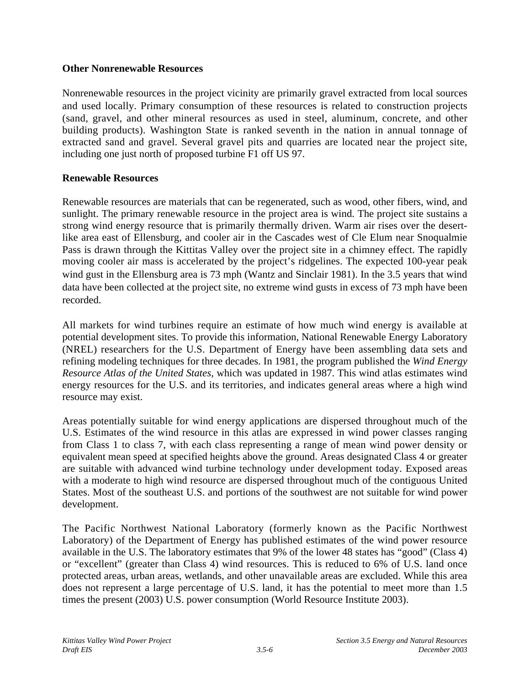### **Other Nonrenewable Resources**

Nonrenewable resources in the project vicinity are primarily gravel extracted from local sources and used locally. Primary consumption of these resources is related to construction projects (sand, gravel, and other mineral resources as used in steel, aluminum, concrete, and other building products). Washington State is ranked seventh in the nation in annual tonnage of extracted sand and gravel. Several gravel pits and quarries are located near the project site, including one just north of proposed turbine F1 off US 97.

## **Renewable Resources**

Renewable resources are materials that can be regenerated, such as wood, other fibers, wind, and sunlight. The primary renewable resource in the project area is wind. The project site sustains a strong wind energy resource that is primarily thermally driven. Warm air rises over the desertlike area east of Ellensburg, and cooler air in the Cascades west of Cle Elum near Snoqualmie Pass is drawn through the Kittitas Valley over the project site in a chimney effect. The rapidly moving cooler air mass is accelerated by the project's ridgelines. The expected 100-year peak wind gust in the Ellensburg area is 73 mph (Wantz and Sinclair 1981). In the 3.5 years that wind data have been collected at the project site, no extreme wind gusts in excess of 73 mph have been recorded.

All markets for wind turbines require an estimate of how much wind energy is available at potential development sites. To provide this information, National Renewable Energy Laboratory (NREL) researchers for the U.S. Department of Energy have been assembling data sets and refining modeling techniques for three decades. In 1981, the program published the *Wind Energy Resource Atlas of the United States*, which was updated in 1987. This wind atlas estimates wind energy resources for the U.S. and its territories, and indicates general areas where a high wind resource may exist.

Areas potentially suitable for wind energy applications are dispersed throughout much of the U.S. Estimates of the wind resource in this atlas are expressed in wind power classes ranging from Class 1 to class 7, with each class representing a range of mean wind power density or equivalent mean speed at specified heights above the ground. Areas designated Class 4 or greater are suitable with advanced wind turbine technology under development today. Exposed areas with a moderate to high wind resource are dispersed throughout much of the contiguous United States. Most of the southeast U.S. and portions of the southwest are not suitable for wind power development.

The Pacific Northwest National Laboratory (formerly known as the Pacific Northwest Laboratory) of the Department of Energy has published estimates of the wind power resource available in the U.S. The laboratory estimates that 9% of the lower 48 states has "good" (Class 4) or "excellent" (greater than Class 4) wind resources. This is reduced to 6% of U.S. land once protected areas, urban areas, wetlands, and other unavailable areas are excluded. While this area does not represent a large percentage of U.S. land, it has the potential to meet more than 1.5 times the present (2003) U.S. power consumption (World Resource Institute 2003).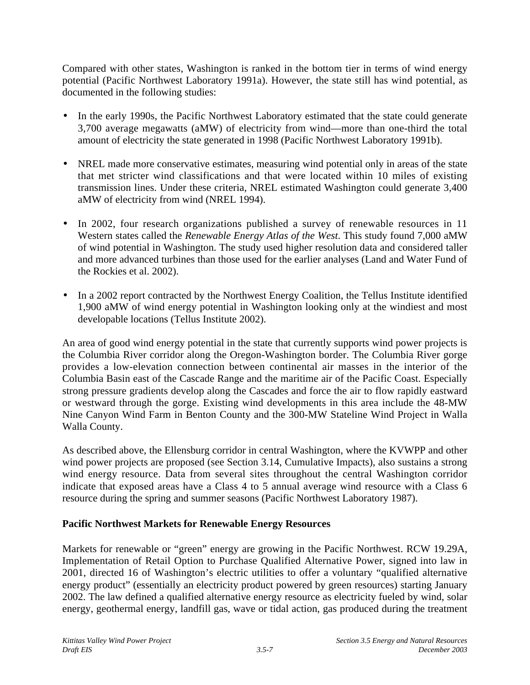Compared with other states, Washington is ranked in the bottom tier in terms of wind energy potential (Pacific Northwest Laboratory 1991a). However, the state still has wind potential, as documented in the following studies:

- In the early 1990s, the Pacific Northwest Laboratory estimated that the state could generate 3,700 average megawatts (aMW) of electricity from wind—more than one-third the total amount of electricity the state generated in 1998 (Pacific Northwest Laboratory 1991b).
- NREL made more conservative estimates, measuring wind potential only in areas of the state that met stricter wind classifications and that were located within 10 miles of existing transmission lines. Under these criteria, NREL estimated Washington could generate 3,400 aMW of electricity from wind (NREL 1994).
- In 2002, four research organizations published a survey of renewable resources in 11 Western states called the *Renewable Energy Atlas of the West*. This study found 7,000 aMW of wind potential in Washington. The study used higher resolution data and considered taller and more advanced turbines than those used for the earlier analyses (Land and Water Fund of the Rockies et al. 2002).
- In a 2002 report contracted by the Northwest Energy Coalition, the Tellus Institute identified 1,900 aMW of wind energy potential in Washington looking only at the windiest and most developable locations (Tellus Institute 2002).

An area of good wind energy potential in the state that currently supports wind power projects is the Columbia River corridor along the Oregon-Washington border. The Columbia River gorge provides a low-elevation connection between continental air masses in the interior of the Columbia Basin east of the Cascade Range and the maritime air of the Pacific Coast. Especially strong pressure gradients develop along the Cascades and force the air to flow rapidly eastward or westward through the gorge. Existing wind developments in this area include the 48-MW Nine Canyon Wind Farm in Benton County and the 300-MW Stateline Wind Project in Walla Walla County.

As described above, the Ellensburg corridor in central Washington, where the KVWPP and other wind power projects are proposed (see Section 3.14, Cumulative Impacts), also sustains a strong wind energy resource. Data from several sites throughout the central Washington corridor indicate that exposed areas have a Class 4 to 5 annual average wind resource with a Class 6 resource during the spring and summer seasons (Pacific Northwest Laboratory 1987).

# **Pacific Northwest Markets for Renewable Energy Resources**

Markets for renewable or "green" energy are growing in the Pacific Northwest. RCW 19.29A, Implementation of Retail Option to Purchase Qualified Alternative Power, signed into law in 2001, directed 16 of Washington's electric utilities to offer a voluntary "qualified alternative energy product" (essentially an electricity product powered by green resources) starting January 2002. The law defined a qualified alternative energy resource as electricity fueled by wind, solar energy, geothermal energy, landfill gas, wave or tidal action, gas produced during the treatment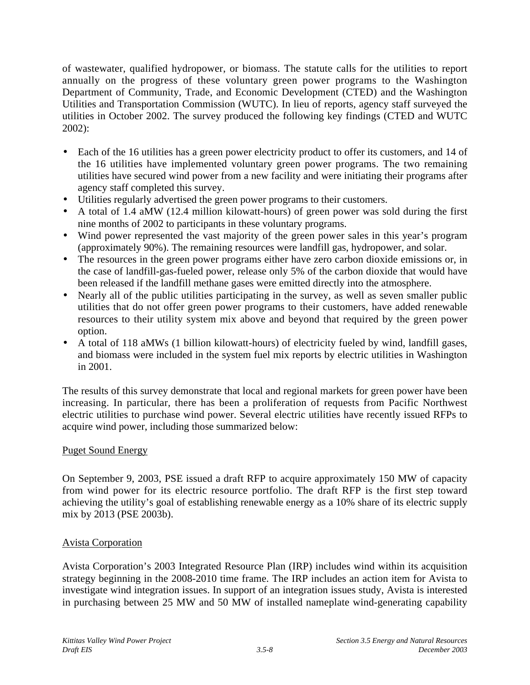of wastewater, qualified hydropower, or biomass. The statute calls for the utilities to report annually on the progress of these voluntary green power programs to the Washington Department of Community, Trade, and Economic Development (CTED) and the Washington Utilities and Transportation Commission (WUTC). In lieu of reports, agency staff surveyed the utilities in October 2002. The survey produced the following key findings (CTED and WUTC 2002):

- Each of the 16 utilities has a green power electricity product to offer its customers, and 14 of the 16 utilities have implemented voluntary green power programs. The two remaining utilities have secured wind power from a new facility and were initiating their programs after agency staff completed this survey.
- Utilities regularly advertised the green power programs to their customers.
- A total of 1.4 aMW (12.4 million kilowatt-hours) of green power was sold during the first nine months of 2002 to participants in these voluntary programs.
- Wind power represented the vast majority of the green power sales in this year's program (approximately 90%). The remaining resources were landfill gas, hydropower, and solar.
- The resources in the green power programs either have zero carbon dioxide emissions or, in the case of landfill-gas-fueled power, release only 5% of the carbon dioxide that would have been released if the landfill methane gases were emitted directly into the atmosphere.
- Nearly all of the public utilities participating in the survey, as well as seven smaller public utilities that do not offer green power programs to their customers, have added renewable resources to their utility system mix above and beyond that required by the green power option.
- A total of 118 aMWs (1 billion kilowatt-hours) of electricity fueled by wind, landfill gases, and biomass were included in the system fuel mix reports by electric utilities in Washington in 2001.

The results of this survey demonstrate that local and regional markets for green power have been increasing. In particular, there has been a proliferation of requests from Pacific Northwest electric utilities to purchase wind power. Several electric utilities have recently issued RFPs to acquire wind power, including those summarized below:

## Puget Sound Energy

On September 9, 2003, PSE issued a draft RFP to acquire approximately 150 MW of capacity from wind power for its electric resource portfolio. The draft RFP is the first step toward achieving the utility's goal of establishing renewable energy as a 10% share of its electric supply mix by 2013 (PSE 2003b).

## Avista Corporation

Avista Corporation's 2003 Integrated Resource Plan (IRP) includes wind within its acquisition strategy beginning in the 2008-2010 time frame. The IRP includes an action item for Avista to investigate wind integration issues. In support of an integration issues study, Avista is interested in purchasing between 25 MW and 50 MW of installed nameplate wind-generating capability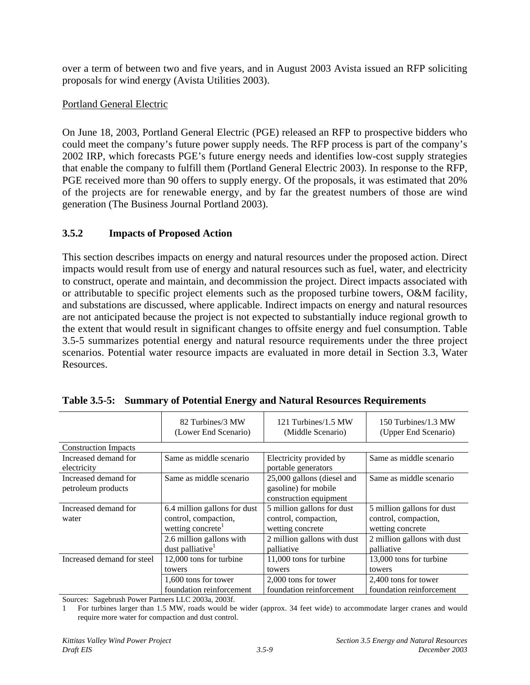over a term of between two and five years, and in August 2003 Avista issued an RFP soliciting proposals for wind energy (Avista Utilities 2003).

### Portland General Electric

On June 18, 2003, Portland General Electric (PGE) released an RFP to prospective bidders who could meet the company's future power supply needs. The RFP process is part of the company's 2002 IRP, which forecasts PGE's future energy needs and identifies low-cost supply strategies that enable the company to fulfill them (Portland General Electric 2003). In response to the RFP, PGE received more than 90 offers to supply energy. Of the proposals, it was estimated that 20% of the projects are for renewable energy, and by far the greatest numbers of those are wind generation (The Business Journal Portland 2003).

## **3.5.2 Impacts of Proposed Action**

This section describes impacts on energy and natural resources under the proposed action. Direct impacts would result from use of energy and natural resources such as fuel, water, and electricity to construct, operate and maintain, and decommission the project. Direct impacts associated with or attributable to specific project elements such as the proposed turbine towers, O&M facility, and substations are discussed, where applicable. Indirect impacts on energy and natural resources are not anticipated because the project is not expected to substantially induce regional growth to the extent that would result in significant changes to offsite energy and fuel consumption. Table 3.5-5 summarizes potential energy and natural resource requirements under the three project scenarios. Potential water resource impacts are evaluated in more detail in Section 3.3, Water Resources.

|                                            | 82 Turbines/3 MW                                                                      | 121 Turbines/1.5 MW                                                          | 150 Turbines/1.3 MW                                                    |
|--------------------------------------------|---------------------------------------------------------------------------------------|------------------------------------------------------------------------------|------------------------------------------------------------------------|
|                                            | (Lower End Scenario)                                                                  | (Middle Scenario)                                                            | (Upper End Scenario)                                                   |
| <b>Construction Impacts</b>                |                                                                                       |                                                                              |                                                                        |
| Increased demand for<br>electricity        | Same as middle scenario                                                               | Electricity provided by<br>portable generators                               | Same as middle scenario                                                |
| Increased demand for<br>petroleum products | Same as middle scenario                                                               | 25,000 gallons (diesel and<br>gasoline) for mobile<br>construction equipment | Same as middle scenario                                                |
| Increased demand for<br>water              | 6.4 million gallons for dust<br>control, compaction,<br>wetting concrete <sup>1</sup> | 5 million gallons for dust<br>control, compaction,<br>wetting concrete       | 5 million gallons for dust<br>control, compaction,<br>wetting concrete |
|                                            | 2.6 million gallons with                                                              | 2 million gallons with dust                                                  | 2 million gallons with dust                                            |
|                                            | dust palliative <sup>1</sup>                                                          | palliative                                                                   | palliative                                                             |
| Increased demand for steel                 | 12,000 tons for turbine                                                               | 11,000 tons for turbine                                                      | 13,000 tons for turbine                                                |
|                                            | towers                                                                                | towers                                                                       | towers                                                                 |
|                                            | 1,600 tons for tower                                                                  | 2,000 tons for tower                                                         | 2,400 tons for tower                                                   |
|                                            | foundation reinforcement                                                              | foundation reinforcement                                                     | foundation reinforcement                                               |

| Table 3.5-5: Summary of Potential Energy and Natural Resources Requirements |  |  |  |
|-----------------------------------------------------------------------------|--|--|--|
|                                                                             |  |  |  |

Sources: Sagebrush Power Partners LLC 2003a, 2003f.

<sup>1</sup> For turbines larger than 1.5 MW, roads would be wider (approx. 34 feet wide) to accommodate larger cranes and would require more water for compaction and dust control.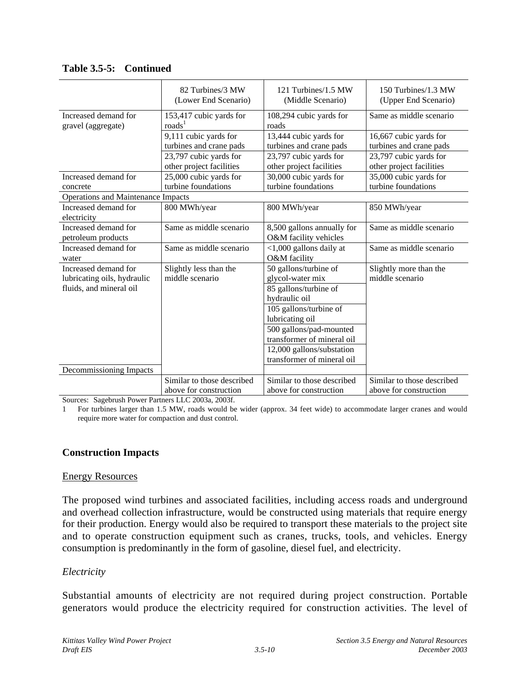|                                                                                | 82 Turbines/3 MW<br>(Lower End Scenario)             | 121 Turbines/1.5 MW<br>(Middle Scenario)                                                                                                                                                                                                             | 150 Turbines/1.3 MW<br>(Upper End Scenario)          |
|--------------------------------------------------------------------------------|------------------------------------------------------|------------------------------------------------------------------------------------------------------------------------------------------------------------------------------------------------------------------------------------------------------|------------------------------------------------------|
| Increased demand for<br>gravel (aggregate)                                     | 153,417 cubic yards for<br>$\text{roads}^1$          | 108,294 cubic yards for<br>roads                                                                                                                                                                                                                     | Same as middle scenario                              |
|                                                                                | 9,111 cubic yards for<br>turbines and crane pads     | 13,444 cubic yards for<br>turbines and crane pads                                                                                                                                                                                                    | 16,667 cubic yards for<br>turbines and crane pads    |
|                                                                                | 23,797 cubic yards for<br>other project facilities   | 23,797 cubic yards for<br>other project facilities                                                                                                                                                                                                   | 23,797 cubic yards for<br>other project facilities   |
| Increased demand for<br>concrete                                               | 25,000 cubic yards for<br>turbine foundations        | 30,000 cubic yards for<br>turbine foundations                                                                                                                                                                                                        | 35,000 cubic yards for<br>turbine foundations        |
| Operations and Maintenance Impacts                                             |                                                      |                                                                                                                                                                                                                                                      |                                                      |
| Increased demand for<br>electricity                                            | 800 MWh/year                                         | 800 MWh/year                                                                                                                                                                                                                                         | 850 MWh/year                                         |
| Increased demand for<br>petroleum products                                     | Same as middle scenario                              | 8,500 gallons annually for<br>O&M facility vehicles                                                                                                                                                                                                  | Same as middle scenario                              |
| Increased demand for<br>water                                                  | Same as middle scenario                              | $<$ 1,000 gallons daily at<br>O&M facility                                                                                                                                                                                                           | Same as middle scenario                              |
| Increased demand for<br>lubricating oils, hydraulic<br>fluids, and mineral oil | Slightly less than the<br>middle scenario            | 50 gallons/turbine of<br>glycol-water mix<br>85 gallons/turbine of<br>hydraulic oil<br>105 gallons/turbine of<br>lubricating oil<br>500 gallons/pad-mounted<br>transformer of mineral oil<br>12,000 gallons/substation<br>transformer of mineral oil | Slightly more than the<br>middle scenario            |
| Decommissioning Impacts                                                        |                                                      |                                                                                                                                                                                                                                                      |                                                      |
|                                                                                | Similar to those described<br>above for construction | Similar to those described<br>above for construction                                                                                                                                                                                                 | Similar to those described<br>above for construction |

**Table 3.5-5: Continued**

Sources: Sagebrush Power Partners LLC 2003a, 2003f.

1 For turbines larger than 1.5 MW, roads would be wider (approx. 34 feet wide) to accommodate larger cranes and would require more water for compaction and dust control.

### **Construction Impacts**

#### Energy Resources

The proposed wind turbines and associated facilities, including access roads and underground and overhead collection infrastructure, would be constructed using materials that require energy for their production. Energy would also be required to transport these materials to the project site and to operate construction equipment such as cranes, trucks, tools, and vehicles. Energy consumption is predominantly in the form of gasoline, diesel fuel, and electricity.

### *Electricity*

Substantial amounts of electricity are not required during project construction. Portable generators would produce the electricity required for construction activities. The level of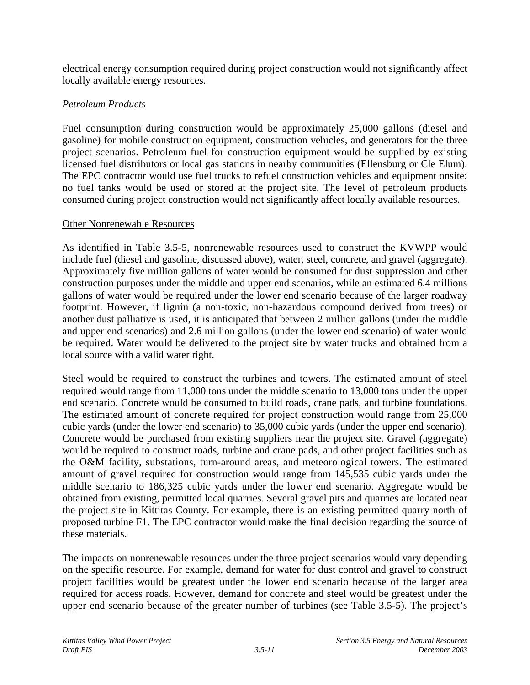electrical energy consumption required during project construction would not significantly affect locally available energy resources.

## *Petroleum Products*

Fuel consumption during construction would be approximately 25,000 gallons (diesel and gasoline) for mobile construction equipment, construction vehicles, and generators for the three project scenarios. Petroleum fuel for construction equipment would be supplied by existing licensed fuel distributors or local gas stations in nearby communities (Ellensburg or Cle Elum). The EPC contractor would use fuel trucks to refuel construction vehicles and equipment onsite; no fuel tanks would be used or stored at the project site. The level of petroleum products consumed during project construction would not significantly affect locally available resources.

### Other Nonrenewable Resources

As identified in Table 3.5-5, nonrenewable resources used to construct the KVWPP would include fuel (diesel and gasoline, discussed above), water, steel, concrete, and gravel (aggregate). Approximately five million gallons of water would be consumed for dust suppression and other construction purposes under the middle and upper end scenarios, while an estimated 6.4 millions gallons of water would be required under the lower end scenario because of the larger roadway footprint. However, if lignin (a non-toxic, non-hazardous compound derived from trees) or another dust palliative is used, it is anticipated that between 2 million gallons (under the middle and upper end scenarios) and 2.6 million gallons (under the lower end scenario) of water would be required. Water would be delivered to the project site by water trucks and obtained from a local source with a valid water right.

Steel would be required to construct the turbines and towers. The estimated amount of steel required would range from 11,000 tons under the middle scenario to 13,000 tons under the upper end scenario. Concrete would be consumed to build roads, crane pads, and turbine foundations. The estimated amount of concrete required for project construction would range from 25,000 cubic yards (under the lower end scenario) to 35,000 cubic yards (under the upper end scenario). Concrete would be purchased from existing suppliers near the project site. Gravel (aggregate) would be required to construct roads, turbine and crane pads, and other project facilities such as the O&M facility, substations, turn-around areas, and meteorological towers. The estimated amount of gravel required for construction would range from 145,535 cubic yards under the middle scenario to 186,325 cubic yards under the lower end scenario. Aggregate would be obtained from existing, permitted local quarries. Several gravel pits and quarries are located near the project site in Kittitas County. For example, there is an existing permitted quarry north of proposed turbine F1. The EPC contractor would make the final decision regarding the source of these materials.

The impacts on nonrenewable resources under the three project scenarios would vary depending on the specific resource. For example, demand for water for dust control and gravel to construct project facilities would be greatest under the lower end scenario because of the larger area required for access roads. However, demand for concrete and steel would be greatest under the upper end scenario because of the greater number of turbines (see Table 3.5-5). The project's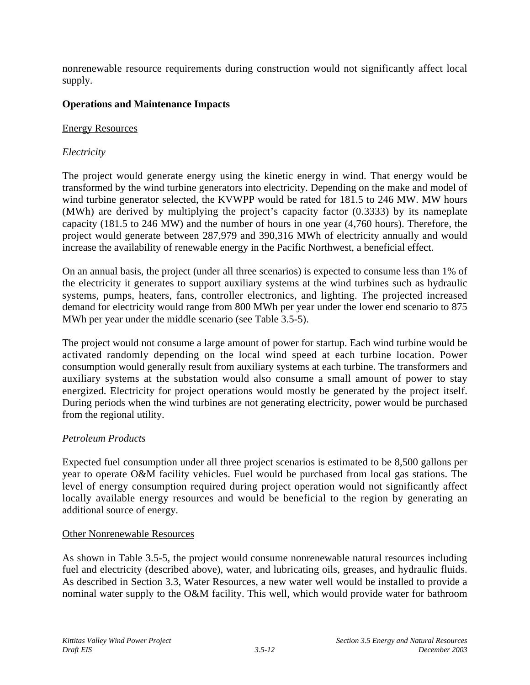nonrenewable resource requirements during construction would not significantly affect local supply.

## **Operations and Maintenance Impacts**

### Energy Resources

## *Electricity*

The project would generate energy using the kinetic energy in wind. That energy would be transformed by the wind turbine generators into electricity. Depending on the make and model of wind turbine generator selected, the KVWPP would be rated for 181.5 to 246 MW. MW hours (MWh) are derived by multiplying the project's capacity factor (0.3333) by its nameplate capacity (181.5 to 246 MW) and the number of hours in one year (4,760 hours). Therefore, the project would generate between 287,979 and 390,316 MWh of electricity annually and would increase the availability of renewable energy in the Pacific Northwest, a beneficial effect.

On an annual basis, the project (under all three scenarios) is expected to consume less than 1% of the electricity it generates to support auxiliary systems at the wind turbines such as hydraulic systems, pumps, heaters, fans, controller electronics, and lighting. The projected increased demand for electricity would range from 800 MWh per year under the lower end scenario to 875 MWh per year under the middle scenario (see Table 3.5-5).

The project would not consume a large amount of power for startup. Each wind turbine would be activated randomly depending on the local wind speed at each turbine location. Power consumption would generally result from auxiliary systems at each turbine. The transformers and auxiliary systems at the substation would also consume a small amount of power to stay energized. Electricity for project operations would mostly be generated by the project itself. During periods when the wind turbines are not generating electricity, power would be purchased from the regional utility.

## *Petroleum Products*

Expected fuel consumption under all three project scenarios is estimated to be 8,500 gallons per year to operate O&M facility vehicles. Fuel would be purchased from local gas stations. The level of energy consumption required during project operation would not significantly affect locally available energy resources and would be beneficial to the region by generating an additional source of energy.

### Other Nonrenewable Resources

As shown in Table 3.5-5, the project would consume nonrenewable natural resources including fuel and electricity (described above), water, and lubricating oils, greases, and hydraulic fluids. As described in Section 3.3, Water Resources, a new water well would be installed to provide a nominal water supply to the O&M facility. This well, which would provide water for bathroom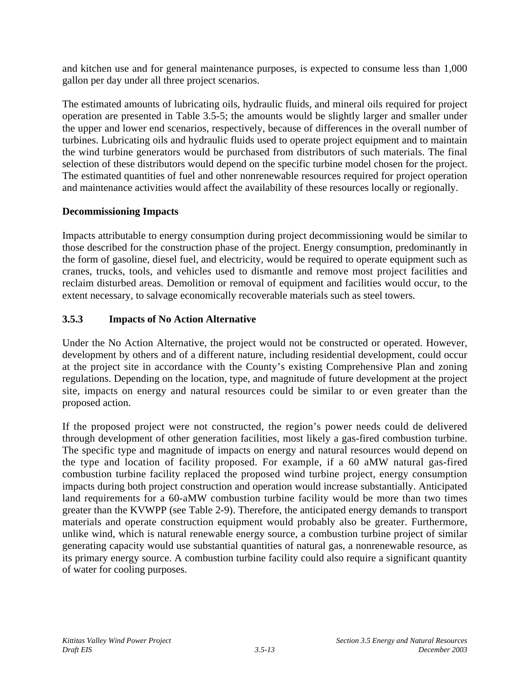and kitchen use and for general maintenance purposes, is expected to consume less than 1,000 gallon per day under all three project scenarios.

The estimated amounts of lubricating oils, hydraulic fluids, and mineral oils required for project operation are presented in Table 3.5-5; the amounts would be slightly larger and smaller under the upper and lower end scenarios, respectively, because of differences in the overall number of turbines. Lubricating oils and hydraulic fluids used to operate project equipment and to maintain the wind turbine generators would be purchased from distributors of such materials. The final selection of these distributors would depend on the specific turbine model chosen for the project. The estimated quantities of fuel and other nonrenewable resources required for project operation and maintenance activities would affect the availability of these resources locally or regionally.

## **Decommissioning Impacts**

Impacts attributable to energy consumption during project decommissioning would be similar to those described for the construction phase of the project. Energy consumption, predominantly in the form of gasoline, diesel fuel, and electricity, would be required to operate equipment such as cranes, trucks, tools, and vehicles used to dismantle and remove most project facilities and reclaim disturbed areas. Demolition or removal of equipment and facilities would occur, to the extent necessary, to salvage economically recoverable materials such as steel towers.

# **3.5.3 Impacts of No Action Alternative**

Under the No Action Alternative, the project would not be constructed or operated. However, development by others and of a different nature, including residential development, could occur at the project site in accordance with the County's existing Comprehensive Plan and zoning regulations. Depending on the location, type, and magnitude of future development at the project site, impacts on energy and natural resources could be similar to or even greater than the proposed action.

If the proposed project were not constructed, the region's power needs could de delivered through development of other generation facilities, most likely a gas-fired combustion turbine. The specific type and magnitude of impacts on energy and natural resources would depend on the type and location of facility proposed. For example, if a 60 aMW natural gas-fired combustion turbine facility replaced the proposed wind turbine project, energy consumption impacts during both project construction and operation would increase substantially. Anticipated land requirements for a 60-aMW combustion turbine facility would be more than two times greater than the KVWPP (see Table 2-9). Therefore, the anticipated energy demands to transport materials and operate construction equipment would probably also be greater. Furthermore, unlike wind, which is natural renewable energy source, a combustion turbine project of similar generating capacity would use substantial quantities of natural gas, a nonrenewable resource, as its primary energy source. A combustion turbine facility could also require a significant quantity of water for cooling purposes.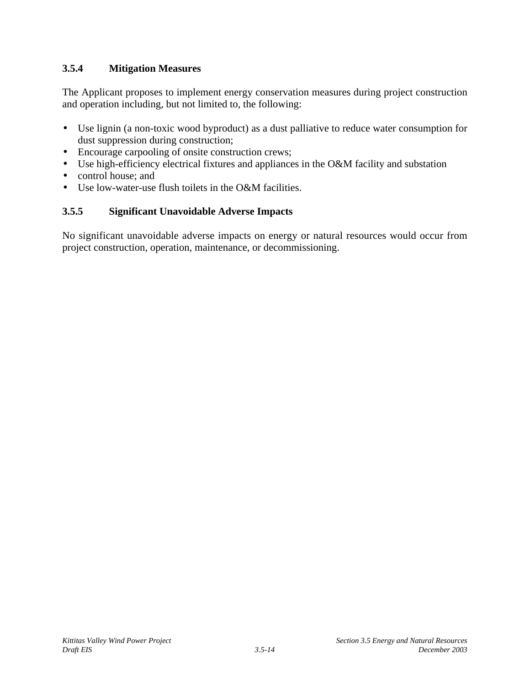## **3.5.4 Mitigation Measures**

The Applicant proposes to implement energy conservation measures during project construction and operation including, but not limited to, the following:

- Use lignin (a non-toxic wood byproduct) as a dust palliative to reduce water consumption for dust suppression during construction;
- Encourage carpooling of onsite construction crews;
- Use high-efficiency electrical fixtures and appliances in the O&M facility and substation
- control house; and
- Use low-water-use flush toilets in the O&M facilities.

# **3.5.5 Significant Unavoidable Adverse Impacts**

No significant unavoidable adverse impacts on energy or natural resources would occur from project construction, operation, maintenance, or decommissioning.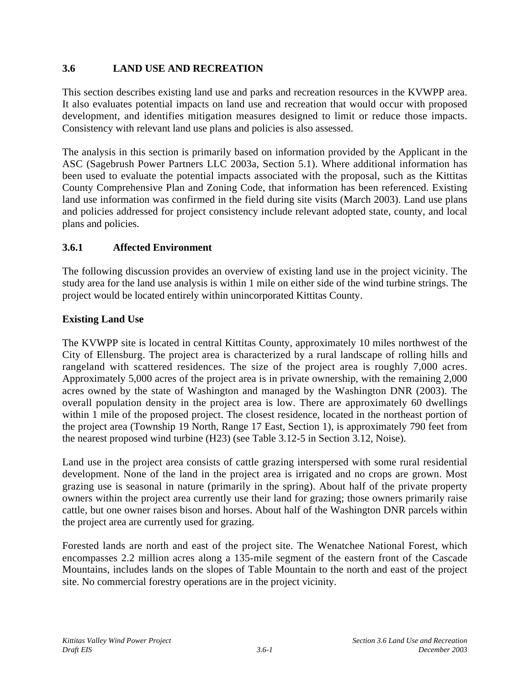## **3.6 LAND USE AND RECREATION**

This section describes existing land use and parks and recreation resources in the KVWPP area. It also evaluates potential impacts on land use and recreation that would occur with proposed development, and identifies mitigation measures designed to limit or reduce those impacts. Consistency with relevant land use plans and policies is also assessed.

The analysis in this section is primarily based on information provided by the Applicant in the ASC (Sagebrush Power Partners LLC 2003a, Section 5.1). Where additional information has been used to evaluate the potential impacts associated with the proposal, such as the Kittitas County Comprehensive Plan and Zoning Code, that information has been referenced. Existing land use information was confirmed in the field during site visits (March 2003). Land use plans and policies addressed for project consistency include relevant adopted state, county, and local plans and policies.

## **3.6.1 Affected Environment**

The following discussion provides an overview of existing land use in the project vicinity. The study area for the land use analysis is within 1 mile on either side of the wind turbine strings. The project would be located entirely within unincorporated Kittitas County.

## **Existing Land Use**

The KVWPP site is located in central Kittitas County, approximately 10 miles northwest of the City of Ellensburg. The project area is characterized by a rural landscape of rolling hills and rangeland with scattered residences. The size of the project area is roughly 7,000 acres. Approximately 5,000 acres of the project area is in private ownership, with the remaining 2,000 acres owned by the state of Washington and managed by the Washington DNR (2003). The overall population density in the project area is low. There are approximately 60 dwellings within 1 mile of the proposed project. The closest residence, located in the northeast portion of the project area (Township 19 North, Range 17 East, Section 1), is approximately 790 feet from the nearest proposed wind turbine (H23) (see Table 3.12-5 in Section 3.12, Noise).

Land use in the project area consists of cattle grazing interspersed with some rural residential development. None of the land in the project area is irrigated and no crops are grown. Most grazing use is seasonal in nature (primarily in the spring). About half of the private property owners within the project area currently use their land for grazing; those owners primarily raise cattle, but one owner raises bison and horses. About half of the Washington DNR parcels within the project area are currently used for grazing.

Forested lands are north and east of the project site. The Wenatchee National Forest, which encompasses 2.2 million acres along a 135-mile segment of the eastern front of the Cascade Mountains, includes lands on the slopes of Table Mountain to the north and east of the project site. No commercial forestry operations are in the project vicinity.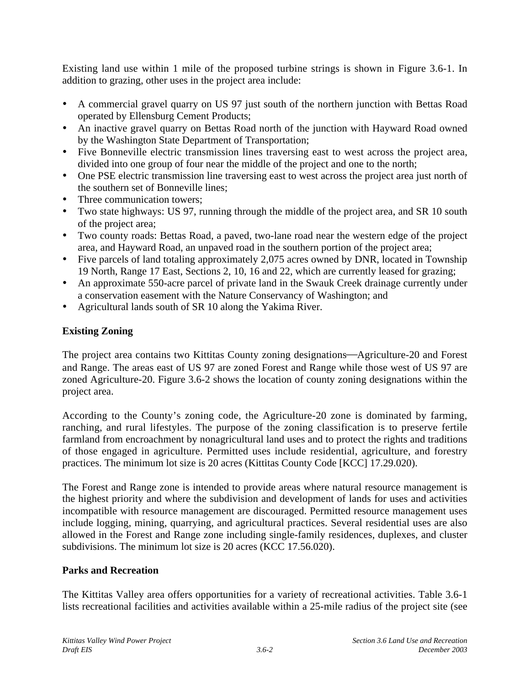Existing land use within 1 mile of the proposed turbine strings is shown in Figure 3.6-1. In addition to grazing, other uses in the project area include:

- A commercial gravel quarry on US 97 just south of the northern junction with Bettas Road operated by Ellensburg Cement Products;
- An inactive gravel quarry on Bettas Road north of the junction with Hayward Road owned by the Washington State Department of Transportation;
- Five Bonneville electric transmission lines traversing east to west across the project area, divided into one group of four near the middle of the project and one to the north;
- One PSE electric transmission line traversing east to west across the project area just north of the southern set of Bonneville lines;
- Three communication towers:
- Two state highways: US 97, running through the middle of the project area, and SR 10 south of the project area;
- Two county roads: Bettas Road, a paved, two-lane road near the western edge of the project area, and Hayward Road, an unpaved road in the southern portion of the project area;
- Five parcels of land totaling approximately 2,075 acres owned by DNR, located in Township 19 North, Range 17 East, Sections 2, 10, 16 and 22, which are currently leased for grazing;
- An approximate 550-acre parcel of private land in the Swauk Creek drainage currently under a conservation easement with the Nature Conservancy of Washington; and
- Agricultural lands south of SR 10 along the Yakima River.

# **Existing Zoning**

The project area contains two Kittitas County zoning designations—Agriculture-20 and Forest and Range. The areas east of US 97 are zoned Forest and Range while those west of US 97 are zoned Agriculture-20. Figure 3.6-2 shows the location of county zoning designations within the project area.

According to the County's zoning code, the Agriculture-20 zone is dominated by farming, ranching, and rural lifestyles. The purpose of the zoning classification is to preserve fertile farmland from encroachment by nonagricultural land uses and to protect the rights and traditions of those engaged in agriculture. Permitted uses include residential, agriculture, and forestry practices. The minimum lot size is 20 acres (Kittitas County Code [KCC] 17.29.020).

The Forest and Range zone is intended to provide areas where natural resource management is the highest priority and where the subdivision and development of lands for uses and activities incompatible with resource management are discouraged. Permitted resource management uses include logging, mining, quarrying, and agricultural practices. Several residential uses are also allowed in the Forest and Range zone including single-family residences, duplexes, and cluster subdivisions. The minimum lot size is 20 acres (KCC 17.56.020).

## **Parks and Recreation**

The Kittitas Valley area offers opportunities for a variety of recreational activities. Table 3.6-1 lists recreational facilities and activities available within a 25-mile radius of the project site (see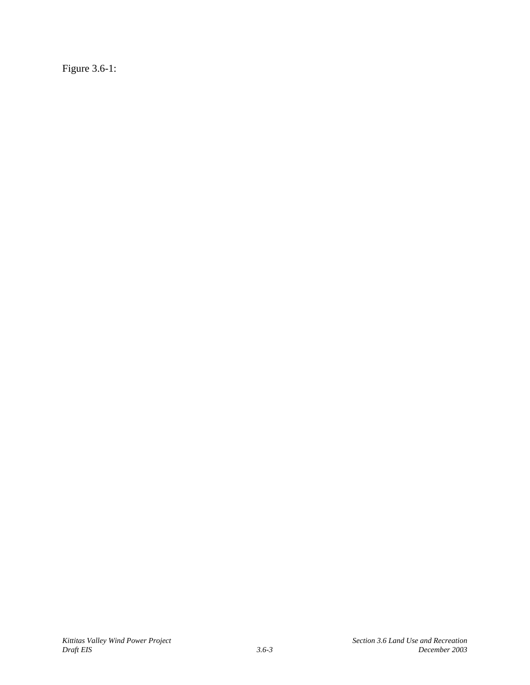Figure 3.6-1: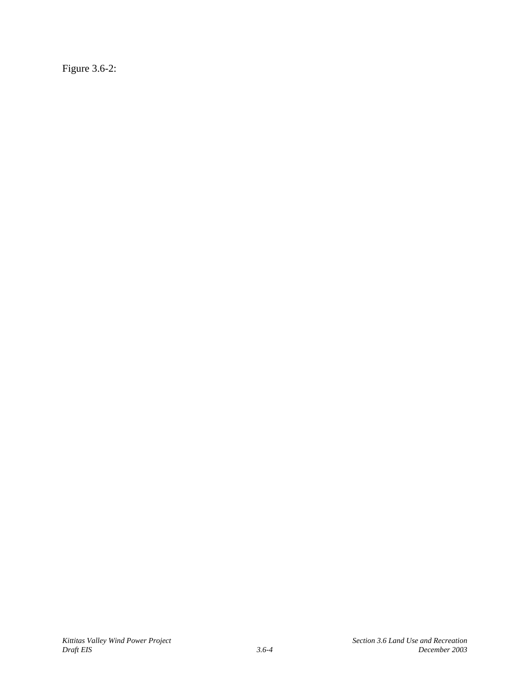Figure 3.6-2: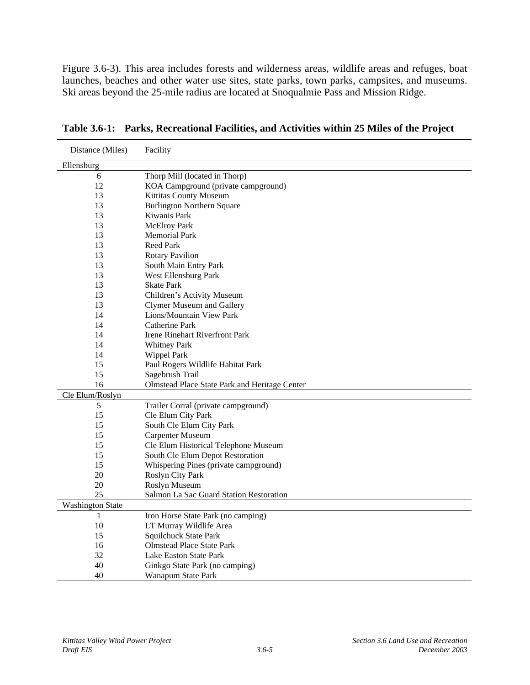Figure 3.6-3). This area includes forests and wilderness areas, wildlife areas and refuges, boat launches, beaches and other water use sites, state parks, town parks, campsites, and museums. Ski areas beyond the 25-mile radius are located at Snoqualmie Pass and Mission Ridge.

| Distance (Miles)        | Facility                                      |
|-------------------------|-----------------------------------------------|
| Ellensburg              |                                               |
| 6                       | Thorp Mill (located in Thorp)                 |
| 12                      | KOA Campground (private campground)           |
| 13                      | Kittitas County Museum                        |
| 13                      | <b>Burlington Northern Square</b>             |
| 13                      | Kiwanis Park                                  |
| 13                      | <b>McElroy Park</b>                           |
| 13                      | <b>Memorial Park</b>                          |
| 13                      | <b>Reed Park</b>                              |
| 13                      | <b>Rotary Pavilion</b>                        |
| 13                      | South Main Entry Park                         |
| 13                      | West Ellensburg Park                          |
| 13                      | <b>Skate Park</b>                             |
| 13                      | Children's Activity Museum                    |
| 13                      | <b>Clymer Museum and Gallery</b>              |
| 14                      | Lions/Mountain View Park                      |
| 14                      | Catherine Park                                |
| 14                      | Irene Rinehart Riverfront Park                |
| 14                      | <b>Whitney Park</b>                           |
| 14                      | Wippel Park                                   |
| 15                      | Paul Rogers Wildlife Habitat Park             |
| 15                      | Sagebrush Trail                               |
| 16                      | Olmstead Place State Park and Heritage Center |
| Cle Elum/Roslyn         |                                               |
| 5                       | Trailer Corral (private campground)           |
| 15                      | Cle Elum City Park                            |
| 15                      | South Cle Elum City Park                      |
| 15                      | Carpenter Museum                              |
| 15                      | Cle Elum Historical Telephone Museum          |
| 15                      | South Cle Elum Depot Restoration              |
| 15                      | Whispering Pines (private campground)         |
| 20                      | Roslyn City Park                              |
| 20                      | Roslyn Museum                                 |
| 25                      | Salmon La Sac Guard Station Restoration       |
| <b>Washington State</b> |                                               |
| 1                       | Iron Horse State Park (no camping)            |
| 10                      | LT Murray Wildlife Area                       |
| 15                      | Squilchuck State Park                         |
| 16                      | <b>Olmstead Place State Park</b>              |
| 32                      | Lake Easton State Park                        |
| 40                      | Ginkgo State Park (no camping)                |
| 40                      | Wanapum State Park                            |

**Table 3.6-1: Parks, Recreational Facilities, and Activities within 25 Miles of the Project**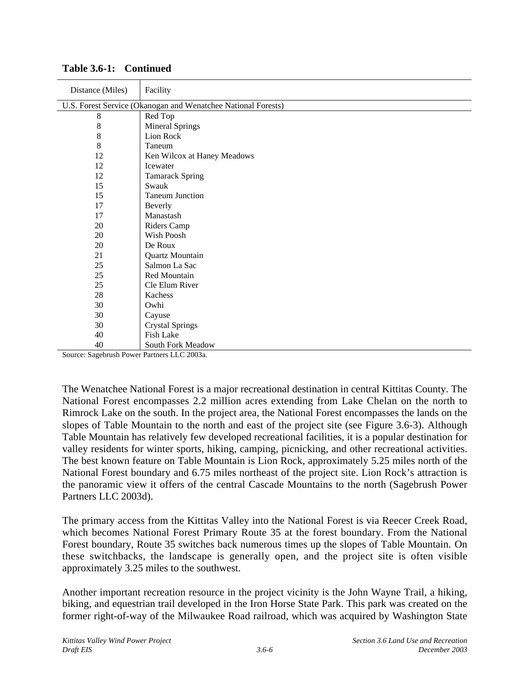| Distance (Miles) | Facility                                                                         |
|------------------|----------------------------------------------------------------------------------|
|                  | U.S. Forest Service (Okanogan and Wenatchee National Forests)                    |
| 8                | Red Top                                                                          |
| 8                | <b>Mineral Springs</b>                                                           |
| 8                | Lion Rock                                                                        |
| 8                | Taneum                                                                           |
| 12               | Ken Wilcox at Haney Meadows                                                      |
| 12               | <b>I</b> cewater                                                                 |
| 12               | <b>Tamarack Spring</b>                                                           |
| 15               | Swauk                                                                            |
| 15               | <b>Taneum Junction</b>                                                           |
| 17               | Beverly                                                                          |
| 17               | Manastash                                                                        |
| 20               | Riders Camp                                                                      |
| 20               | Wish Poosh                                                                       |
| $20\,$           | De Roux                                                                          |
| 21               | Quartz Mountain                                                                  |
| 25               | Salmon La Sac                                                                    |
| 25               | Red Mountain                                                                     |
| 25               | Cle Elum River                                                                   |
| 28               | Kachess                                                                          |
| 30               | Owhi                                                                             |
| 30               | Cayuse                                                                           |
| 30               | <b>Crystal Springs</b>                                                           |
| 40               | Fish Lake                                                                        |
| 40<br>$\sim$     | South Fork Meadow<br>$\mathbf{r}$<br>$\mathbf{r}$ $\mathbf{r}$ $\alpha$ $\alpha$ |

**Table 3.6-1: Continued**

Source: Sagebrush Power Partners LLC 2003a.

The Wenatchee National Forest is a major recreational destination in central Kittitas County. The National Forest encompasses 2.2 million acres extending from Lake Chelan on the north to Rimrock Lake on the south. In the project area, the National Forest encompasses the lands on the slopes of Table Mountain to the north and east of the project site (see Figure 3.6-3). Although Table Mountain has relatively few developed recreational facilities, it is a popular destination for valley residents for winter sports, hiking, camping, picnicking, and other recreational activities. The best known feature on Table Mountain is Lion Rock, approximately 5.25 miles north of the National Forest boundary and 6.75 miles northeast of the project site. Lion Rock's attraction is the panoramic view it offers of the central Cascade Mountains to the north (Sagebrush Power Partners LLC 2003d).

The primary access from the Kittitas Valley into the National Forest is via Reecer Creek Road, which becomes National Forest Primary Route 35 at the forest boundary. From the National Forest boundary, Route 35 switches back numerous times up the slopes of Table Mountain. On these switchbacks, the landscape is generally open, and the project site is often visible approximately 3.25 miles to the southwest.

Another important recreation resource in the project vicinity is the John Wayne Trail, a hiking, biking, and equestrian trail developed in the Iron Horse State Park. This park was created on the former right-of-way of the Milwaukee Road railroad, which was acquired by Washington State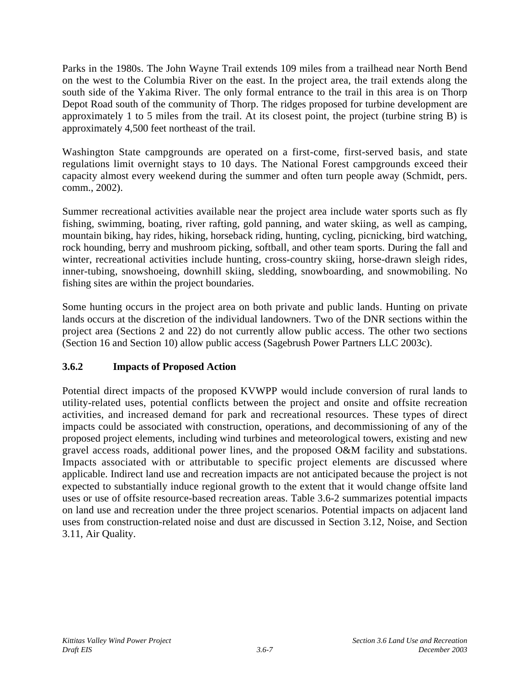Parks in the 1980s. The John Wayne Trail extends 109 miles from a trailhead near North Bend on the west to the Columbia River on the east. In the project area, the trail extends along the south side of the Yakima River. The only formal entrance to the trail in this area is on Thorp Depot Road south of the community of Thorp. The ridges proposed for turbine development are approximately 1 to 5 miles from the trail. At its closest point, the project (turbine string B) is approximately 4,500 feet northeast of the trail.

Washington State campgrounds are operated on a first-come, first-served basis, and state regulations limit overnight stays to 10 days. The National Forest campgrounds exceed their capacity almost every weekend during the summer and often turn people away (Schmidt, pers. comm., 2002).

Summer recreational activities available near the project area include water sports such as fly fishing, swimming, boating, river rafting, gold panning, and water skiing, as well as camping, mountain biking, hay rides, hiking, horseback riding, hunting, cycling, picnicking, bird watching, rock hounding, berry and mushroom picking, softball, and other team sports. During the fall and winter, recreational activities include hunting, cross-country skiing, horse-drawn sleigh rides, inner-tubing, snowshoeing, downhill skiing, sledding, snowboarding, and snowmobiling. No fishing sites are within the project boundaries.

Some hunting occurs in the project area on both private and public lands. Hunting on private lands occurs at the discretion of the individual landowners. Two of the DNR sections within the project area (Sections 2 and 22) do not currently allow public access. The other two sections (Section 16 and Section 10) allow public access (Sagebrush Power Partners LLC 2003c).

# **3.6.2 Impacts of Proposed Action**

Potential direct impacts of the proposed KVWPP would include conversion of rural lands to utility-related uses, potential conflicts between the project and onsite and offsite recreation activities, and increased demand for park and recreational resources. These types of direct impacts could be associated with construction, operations, and decommissioning of any of the proposed project elements, including wind turbines and meteorological towers, existing and new gravel access roads, additional power lines, and the proposed O&M facility and substations. Impacts associated with or attributable to specific project elements are discussed where applicable. Indirect land use and recreation impacts are not anticipated because the project is not expected to substantially induce regional growth to the extent that it would change offsite land uses or use of offsite resource-based recreation areas. Table 3.6-2 summarizes potential impacts on land use and recreation under the three project scenarios. Potential impacts on adjacent land uses from construction-related noise and dust are discussed in Section 3.12, Noise, and Section 3.11, Air Quality.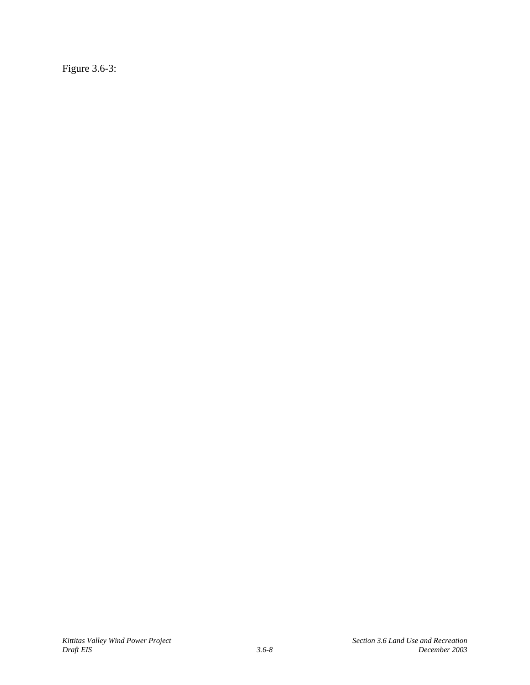Figure 3.6-3: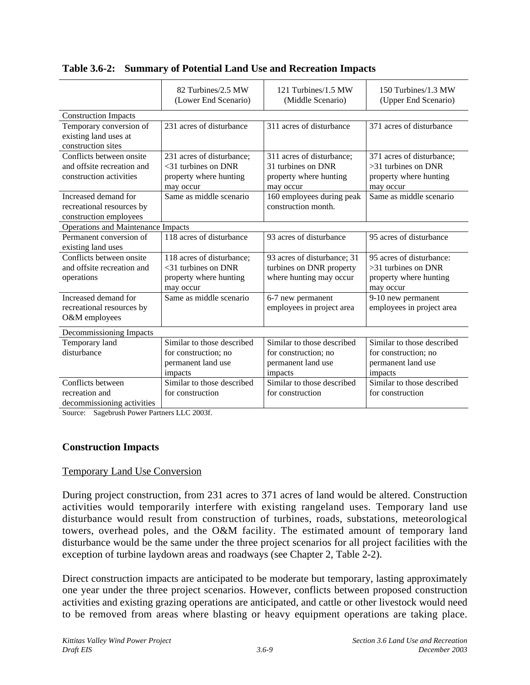|                                                                                   | 82 Turbines/2.5 MW<br>(Lower End Scenario)                                                 | 121 Turbines/1.5 MW<br>(Middle Scenario)                                               | 150 Turbines/1.3 MW<br>(Upper End Scenario)                                               |
|-----------------------------------------------------------------------------------|--------------------------------------------------------------------------------------------|----------------------------------------------------------------------------------------|-------------------------------------------------------------------------------------------|
| <b>Construction Impacts</b>                                                       |                                                                                            |                                                                                        |                                                                                           |
| Temporary conversion of<br>existing land uses at<br>construction sites            | 231 acres of disturbance                                                                   | 311 acres of disturbance                                                               | 371 acres of disturbance                                                                  |
| Conflicts between onsite<br>and offsite recreation and<br>construction activities | 231 acres of disturbance;<br>$<$ 31 turbines on DNR<br>property where hunting<br>may occur | 311 acres of disturbance;<br>31 turbines on DNR<br>property where hunting<br>may occur | 371 acres of disturbance;<br>$>31$ turbines on DNR<br>property where hunting<br>may occur |
| Increased demand for<br>recreational resources by<br>construction employees       | Same as middle scenario                                                                    | 160 employees during peak<br>construction month.                                       | Same as middle scenario                                                                   |
| Operations and Maintenance Impacts                                                |                                                                                            |                                                                                        |                                                                                           |
| Permanent conversion of<br>existing land uses                                     | 118 acres of disturbance                                                                   | 93 acres of disturbance                                                                | 95 acres of disturbance                                                                   |
| Conflicts between onsite<br>and offsite recreation and<br>operations              | 118 acres of disturbance;<br>$<$ 31 turbines on DNR<br>property where hunting<br>may occur | 93 acres of disturbance; 31<br>turbines on DNR property<br>where hunting may occur     | 95 acres of disturbance:<br>$>31$ turbines on DNR<br>property where hunting<br>may occur  |
| Increased demand for<br>recreational resources by<br>O&M employees                | Same as middle scenario                                                                    | 6-7 new permanent<br>employees in project area                                         | 9-10 new permanent<br>employees in project area                                           |
| Decommissioning Impacts                                                           |                                                                                            |                                                                                        |                                                                                           |
| Temporary land<br>disturbance                                                     | Similar to those described<br>for construction; no<br>permanent land use<br>impacts        | Similar to those described<br>for construction; no<br>permanent land use<br>impacts    | Similar to those described<br>for construction; no<br>permanent land use<br>impacts       |
| Conflicts between<br>recreation and<br>decommissioning activities                 | Similar to those described<br>for construction                                             | Similar to those described<br>for construction                                         | Similar to those described<br>for construction                                            |

**Table 3.6-2: Summary of Potential Land Use and Recreation Impacts**

Source: Sagebrush Power Partners LLC 2003f.

## **Construction Impacts**

### Temporary Land Use Conversion

During project construction, from 231 acres to 371 acres of land would be altered. Construction activities would temporarily interfere with existing rangeland uses. Temporary land use disturbance would result from construction of turbines, roads, substations, meteorological towers, overhead poles, and the O&M facility. The estimated amount of temporary land disturbance would be the same under the three project scenarios for all project facilities with the exception of turbine laydown areas and roadways (see Chapter 2, Table 2-2).

Direct construction impacts are anticipated to be moderate but temporary, lasting approximately one year under the three project scenarios. However, conflicts between proposed construction activities and existing grazing operations are anticipated, and cattle or other livestock would need to be removed from areas where blasting or heavy equipment operations are taking place.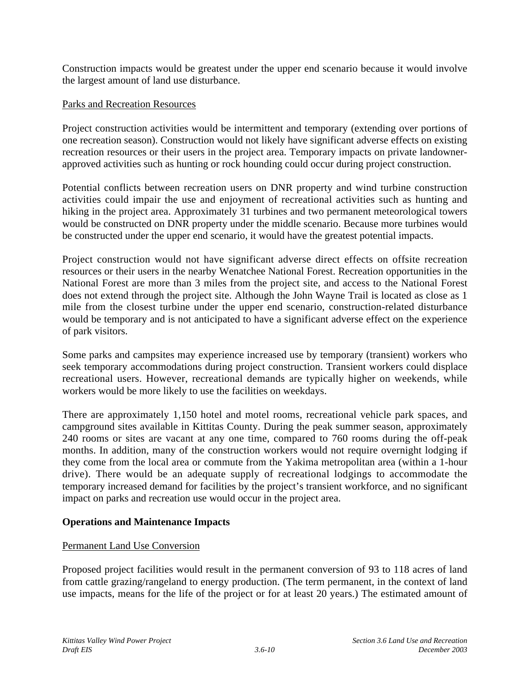Construction impacts would be greatest under the upper end scenario because it would involve the largest amount of land use disturbance.

### Parks and Recreation Resources

Project construction activities would be intermittent and temporary (extending over portions of one recreation season). Construction would not likely have significant adverse effects on existing recreation resources or their users in the project area. Temporary impacts on private landownerapproved activities such as hunting or rock hounding could occur during project construction.

Potential conflicts between recreation users on DNR property and wind turbine construction activities could impair the use and enjoyment of recreational activities such as hunting and hiking in the project area. Approximately 31 turbines and two permanent meteorological towers would be constructed on DNR property under the middle scenario. Because more turbines would be constructed under the upper end scenario, it would have the greatest potential impacts.

Project construction would not have significant adverse direct effects on offsite recreation resources or their users in the nearby Wenatchee National Forest. Recreation opportunities in the National Forest are more than 3 miles from the project site, and access to the National Forest does not extend through the project site. Although the John Wayne Trail is located as close as 1 mile from the closest turbine under the upper end scenario, construction-related disturbance would be temporary and is not anticipated to have a significant adverse effect on the experience of park visitors.

Some parks and campsites may experience increased use by temporary (transient) workers who seek temporary accommodations during project construction. Transient workers could displace recreational users. However, recreational demands are typically higher on weekends, while workers would be more likely to use the facilities on weekdays.

There are approximately 1,150 hotel and motel rooms, recreational vehicle park spaces, and campground sites available in Kittitas County. During the peak summer season, approximately 240 rooms or sites are vacant at any one time, compared to 760 rooms during the off-peak months. In addition, many of the construction workers would not require overnight lodging if they come from the local area or commute from the Yakima metropolitan area (within a 1-hour drive). There would be an adequate supply of recreational lodgings to accommodate the temporary increased demand for facilities by the project's transient workforce, and no significant impact on parks and recreation use would occur in the project area.

### **Operations and Maintenance Impacts**

### Permanent Land Use Conversion

Proposed project facilities would result in the permanent conversion of 93 to 118 acres of land from cattle grazing/rangeland to energy production. (The term permanent, in the context of land use impacts, means for the life of the project or for at least 20 years.) The estimated amount of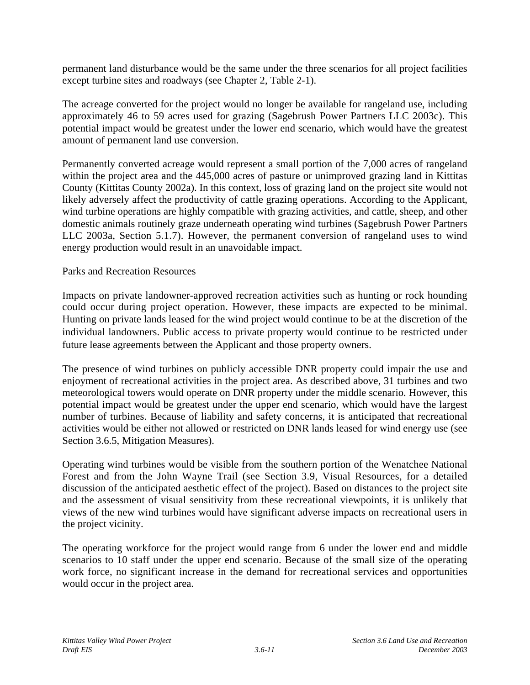permanent land disturbance would be the same under the three scenarios for all project facilities except turbine sites and roadways (see Chapter 2, Table 2-1).

The acreage converted for the project would no longer be available for rangeland use, including approximately 46 to 59 acres used for grazing (Sagebrush Power Partners LLC 2003c). This potential impact would be greatest under the lower end scenario, which would have the greatest amount of permanent land use conversion.

Permanently converted acreage would represent a small portion of the 7,000 acres of rangeland within the project area and the 445,000 acres of pasture or unimproved grazing land in Kittitas County (Kittitas County 2002a). In this context, loss of grazing land on the project site would not likely adversely affect the productivity of cattle grazing operations. According to the Applicant, wind turbine operations are highly compatible with grazing activities, and cattle, sheep, and other domestic animals routinely graze underneath operating wind turbines (Sagebrush Power Partners LLC 2003a, Section 5.1.7). However, the permanent conversion of rangeland uses to wind energy production would result in an unavoidable impact.

### Parks and Recreation Resources

Impacts on private landowner-approved recreation activities such as hunting or rock hounding could occur during project operation. However, these impacts are expected to be minimal. Hunting on private lands leased for the wind project would continue to be at the discretion of the individual landowners. Public access to private property would continue to be restricted under future lease agreements between the Applicant and those property owners.

The presence of wind turbines on publicly accessible DNR property could impair the use and enjoyment of recreational activities in the project area. As described above, 31 turbines and two meteorological towers would operate on DNR property under the middle scenario. However, this potential impact would be greatest under the upper end scenario, which would have the largest number of turbines. Because of liability and safety concerns, it is anticipated that recreational activities would be either not allowed or restricted on DNR lands leased for wind energy use (see Section 3.6.5, Mitigation Measures).

Operating wind turbines would be visible from the southern portion of the Wenatchee National Forest and from the John Wayne Trail (see Section 3.9, Visual Resources, for a detailed discussion of the anticipated aesthetic effect of the project). Based on distances to the project site and the assessment of visual sensitivity from these recreational viewpoints, it is unlikely that views of the new wind turbines would have significant adverse impacts on recreational users in the project vicinity.

The operating workforce for the project would range from 6 under the lower end and middle scenarios to 10 staff under the upper end scenario. Because of the small size of the operating work force, no significant increase in the demand for recreational services and opportunities would occur in the project area.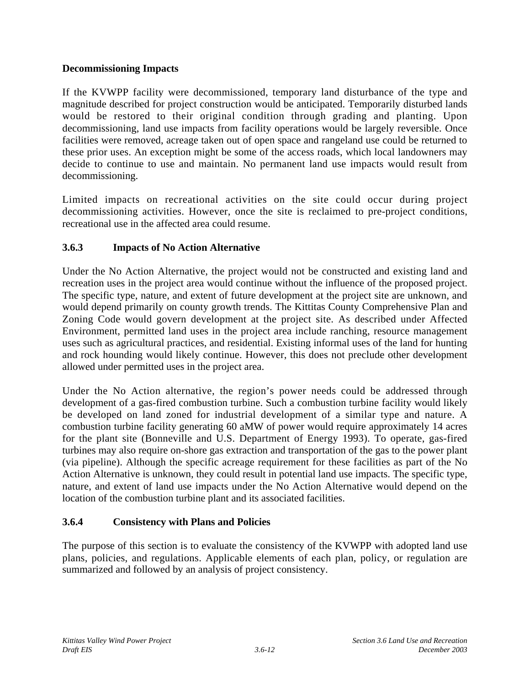## **Decommissioning Impacts**

If the KVWPP facility were decommissioned, temporary land disturbance of the type and magnitude described for project construction would be anticipated. Temporarily disturbed lands would be restored to their original condition through grading and planting. Upon decommissioning, land use impacts from facility operations would be largely reversible. Once facilities were removed, acreage taken out of open space and rangeland use could be returned to these prior uses. An exception might be some of the access roads, which local landowners may decide to continue to use and maintain. No permanent land use impacts would result from decommissioning.

Limited impacts on recreational activities on the site could occur during project decommissioning activities. However, once the site is reclaimed to pre-project conditions, recreational use in the affected area could resume.

# **3.6.3 Impacts of No Action Alternative**

Under the No Action Alternative, the project would not be constructed and existing land and recreation uses in the project area would continue without the influence of the proposed project. The specific type, nature, and extent of future development at the project site are unknown, and would depend primarily on county growth trends. The Kittitas County Comprehensive Plan and Zoning Code would govern development at the project site. As described under Affected Environment, permitted land uses in the project area include ranching, resource management uses such as agricultural practices, and residential. Existing informal uses of the land for hunting and rock hounding would likely continue. However, this does not preclude other development allowed under permitted uses in the project area.

Under the No Action alternative, the region's power needs could be addressed through development of a gas-fired combustion turbine. Such a combustion turbine facility would likely be developed on land zoned for industrial development of a similar type and nature. A combustion turbine facility generating 60 aMW of power would require approximately 14 acres for the plant site (Bonneville and U.S. Department of Energy 1993). To operate, gas-fired turbines may also require on-shore gas extraction and transportation of the gas to the power plant (via pipeline). Although the specific acreage requirement for these facilities as part of the No Action Alternative is unknown, they could result in potential land use impacts. The specific type, nature, and extent of land use impacts under the No Action Alternative would depend on the location of the combustion turbine plant and its associated facilities.

## **3.6.4 Consistency with Plans and Policies**

The purpose of this section is to evaluate the consistency of the KVWPP with adopted land use plans, policies, and regulations. Applicable elements of each plan, policy, or regulation are summarized and followed by an analysis of project consistency.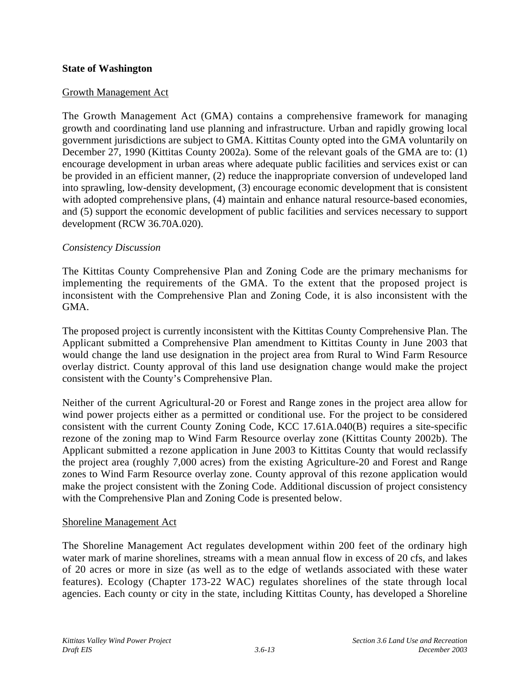### **State of Washington**

### Growth Management Act

The Growth Management Act (GMA) contains a comprehensive framework for managing growth and coordinating land use planning and infrastructure. Urban and rapidly growing local government jurisdictions are subject to GMA. Kittitas County opted into the GMA voluntarily on December 27, 1990 (Kittitas County 2002a). Some of the relevant goals of the GMA are to: (1) encourage development in urban areas where adequate public facilities and services exist or can be provided in an efficient manner, (2) reduce the inappropriate conversion of undeveloped land into sprawling, low-density development, (3) encourage economic development that is consistent with adopted comprehensive plans, (4) maintain and enhance natural resource-based economies, and (5) support the economic development of public facilities and services necessary to support development (RCW 36.70A.020).

### *Consistency Discussion*

The Kittitas County Comprehensive Plan and Zoning Code are the primary mechanisms for implementing the requirements of the GMA. To the extent that the proposed project is inconsistent with the Comprehensive Plan and Zoning Code, it is also inconsistent with the GMA.

The proposed project is currently inconsistent with the Kittitas County Comprehensive Plan. The Applicant submitted a Comprehensive Plan amendment to Kittitas County in June 2003 that would change the land use designation in the project area from Rural to Wind Farm Resource overlay district. County approval of this land use designation change would make the project consistent with the County's Comprehensive Plan.

Neither of the current Agricultural-20 or Forest and Range zones in the project area allow for wind power projects either as a permitted or conditional use. For the project to be considered consistent with the current County Zoning Code, KCC 17.61A.040(B) requires a site-specific rezone of the zoning map to Wind Farm Resource overlay zone (Kittitas County 2002b). The Applicant submitted a rezone application in June 2003 to Kittitas County that would reclassify the project area (roughly 7,000 acres) from the existing Agriculture-20 and Forest and Range zones to Wind Farm Resource overlay zone. County approval of this rezone application would make the project consistent with the Zoning Code. Additional discussion of project consistency with the Comprehensive Plan and Zoning Code is presented below.

### Shoreline Management Act

The Shoreline Management Act regulates development within 200 feet of the ordinary high water mark of marine shorelines, streams with a mean annual flow in excess of 20 cfs, and lakes of 20 acres or more in size (as well as to the edge of wetlands associated with these water features). Ecology (Chapter 173-22 WAC) regulates shorelines of the state through local agencies. Each county or city in the state, including Kittitas County, has developed a Shoreline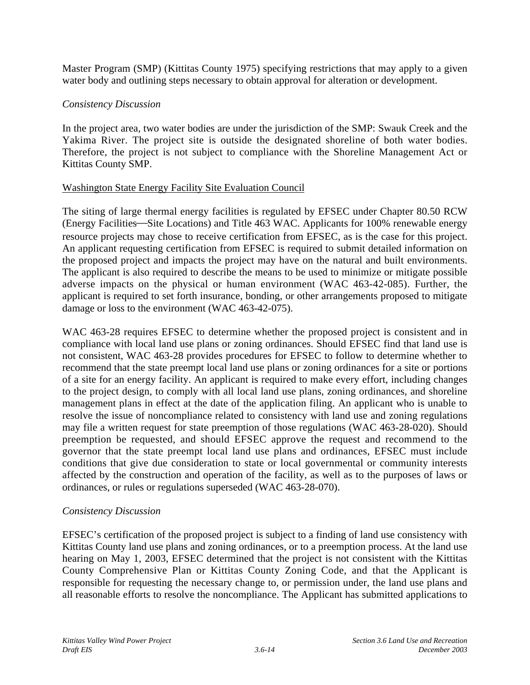Master Program (SMP) (Kittitas County 1975) specifying restrictions that may apply to a given water body and outlining steps necessary to obtain approval for alteration or development.

## *Consistency Discussion*

In the project area, two water bodies are under the jurisdiction of the SMP: Swauk Creek and the Yakima River. The project site is outside the designated shoreline of both water bodies. Therefore, the project is not subject to compliance with the Shoreline Management Act or Kittitas County SMP.

## Washington State Energy Facility Site Evaluation Council

The siting of large thermal energy facilities is regulated by EFSEC under Chapter 80.50 RCW (Energy Facilities—Site Locations) and Title 463 WAC. Applicants for 100% renewable energy resource projects may chose to receive certification from EFSEC, as is the case for this project. An applicant requesting certification from EFSEC is required to submit detailed information on the proposed project and impacts the project may have on the natural and built environments. The applicant is also required to describe the means to be used to minimize or mitigate possible adverse impacts on the physical or human environment (WAC 463-42-085). Further, the applicant is required to set forth insurance, bonding, or other arrangements proposed to mitigate damage or loss to the environment (WAC 463-42-075).

WAC 463-28 requires EFSEC to determine whether the proposed project is consistent and in compliance with local land use plans or zoning ordinances. Should EFSEC find that land use is not consistent, WAC 463-28 provides procedures for EFSEC to follow to determine whether to recommend that the state preempt local land use plans or zoning ordinances for a site or portions of a site for an energy facility. An applicant is required to make every effort, including changes to the project design, to comply with all local land use plans, zoning ordinances, and shoreline management plans in effect at the date of the application filing. An applicant who is unable to resolve the issue of noncompliance related to consistency with land use and zoning regulations may file a written request for state preemption of those regulations (WAC 463-28-020). Should preemption be requested, and should EFSEC approve the request and recommend to the governor that the state preempt local land use plans and ordinances, EFSEC must include conditions that give due consideration to state or local governmental or community interests affected by the construction and operation of the facility, as well as to the purposes of laws or ordinances, or rules or regulations superseded (WAC 463-28-070).

## *Consistency Discussion*

EFSEC's certification of the proposed project is subject to a finding of land use consistency with Kittitas County land use plans and zoning ordinances, or to a preemption process. At the land use hearing on May 1, 2003, EFSEC determined that the project is not consistent with the Kittitas County Comprehensive Plan or Kittitas County Zoning Code, and that the Applicant is responsible for requesting the necessary change to, or permission under, the land use plans and all reasonable efforts to resolve the noncompliance. The Applicant has submitted applications to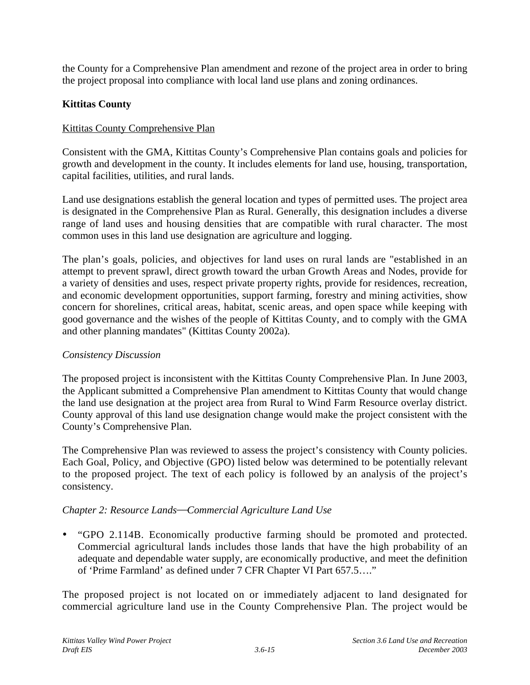the County for a Comprehensive Plan amendment and rezone of the project area in order to bring the project proposal into compliance with local land use plans and zoning ordinances.

## **Kittitas County**

## Kittitas County Comprehensive Plan

Consistent with the GMA, Kittitas County's Comprehensive Plan contains goals and policies for growth and development in the county. It includes elements for land use, housing, transportation, capital facilities, utilities, and rural lands.

Land use designations establish the general location and types of permitted uses. The project area is designated in the Comprehensive Plan as Rural. Generally, this designation includes a diverse range of land uses and housing densities that are compatible with rural character. The most common uses in this land use designation are agriculture and logging.

The plan's goals, policies, and objectives for land uses on rural lands are "established in an attempt to prevent sprawl, direct growth toward the urban Growth Areas and Nodes, provide for a variety of densities and uses, respect private property rights, provide for residences, recreation, and economic development opportunities, support farming, forestry and mining activities, show concern for shorelines, critical areas, habitat, scenic areas, and open space while keeping with good governance and the wishes of the people of Kittitas County, and to comply with the GMA and other planning mandates" (Kittitas County 2002a).

## *Consistency Discussion*

The proposed project is inconsistent with the Kittitas County Comprehensive Plan. In June 2003, the Applicant submitted a Comprehensive Plan amendment to Kittitas County that would change the land use designation at the project area from Rural to Wind Farm Resource overlay district. County approval of this land use designation change would make the project consistent with the County's Comprehensive Plan.

The Comprehensive Plan was reviewed to assess the project's consistency with County policies. Each Goal, Policy, and Objective (GPO) listed below was determined to be potentially relevant to the proposed project. The text of each policy is followed by an analysis of the project's consistency.

## *Chapter 2: Resource LandsCommercial Agriculture Land Use*

• "GPO 2.114B. Economically productive farming should be promoted and protected. Commercial agricultural lands includes those lands that have the high probability of an adequate and dependable water supply, are economically productive, and meet the definition of 'Prime Farmland' as defined under 7 CFR Chapter VI Part 657.5…."

The proposed project is not located on or immediately adjacent to land designated for commercial agriculture land use in the County Comprehensive Plan. The project would be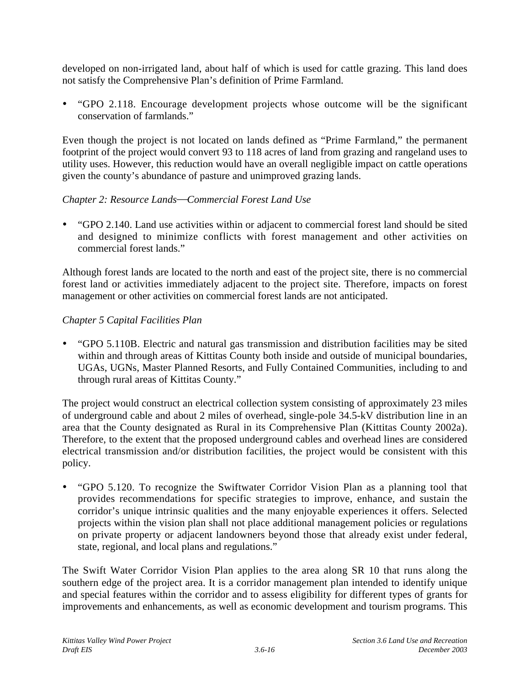developed on non-irrigated land, about half of which is used for cattle grazing. This land does not satisfy the Comprehensive Plan's definition of Prime Farmland.

• "GPO 2.118. Encourage development projects whose outcome will be the significant conservation of farmlands."

Even though the project is not located on lands defined as "Prime Farmland," the permanent footprint of the project would convert 93 to 118 acres of land from grazing and rangeland uses to utility uses. However, this reduction would have an overall negligible impact on cattle operations given the county's abundance of pasture and unimproved grazing lands.

## **Chapter 2: Resource Lands–Commercial Forest Land Use**

• "GPO 2.140. Land use activities within or adjacent to commercial forest land should be sited and designed to minimize conflicts with forest management and other activities on commercial forest lands."

Although forest lands are located to the north and east of the project site, there is no commercial forest land or activities immediately adjacent to the project site. Therefore, impacts on forest management or other activities on commercial forest lands are not anticipated.

### *Chapter 5 Capital Facilities Plan*

• "GPO 5.110B. Electric and natural gas transmission and distribution facilities may be sited within and through areas of Kittitas County both inside and outside of municipal boundaries, UGAs, UGNs, Master Planned Resorts, and Fully Contained Communities, including to and through rural areas of Kittitas County."

The project would construct an electrical collection system consisting of approximately 23 miles of underground cable and about 2 miles of overhead, single-pole 34.5-kV distribution line in an area that the County designated as Rural in its Comprehensive Plan (Kittitas County 2002a). Therefore, to the extent that the proposed underground cables and overhead lines are considered electrical transmission and/or distribution facilities, the project would be consistent with this policy.

• "GPO 5.120. To recognize the Swiftwater Corridor Vision Plan as a planning tool that provides recommendations for specific strategies to improve, enhance, and sustain the corridor's unique intrinsic qualities and the many enjoyable experiences it offers. Selected projects within the vision plan shall not place additional management policies or regulations on private property or adjacent landowners beyond those that already exist under federal, state, regional, and local plans and regulations."

The Swift Water Corridor Vision Plan applies to the area along SR 10 that runs along the southern edge of the project area. It is a corridor management plan intended to identify unique and special features within the corridor and to assess eligibility for different types of grants for improvements and enhancements, as well as economic development and tourism programs. This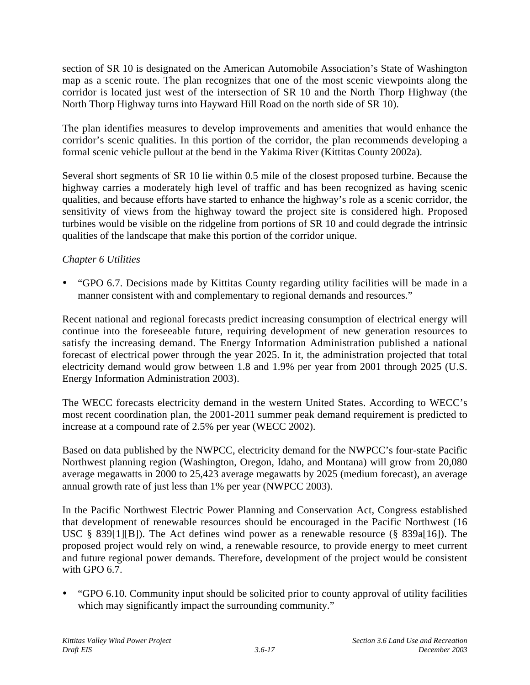section of SR 10 is designated on the American Automobile Association's State of Washington map as a scenic route. The plan recognizes that one of the most scenic viewpoints along the corridor is located just west of the intersection of SR 10 and the North Thorp Highway (the North Thorp Highway turns into Hayward Hill Road on the north side of SR 10).

The plan identifies measures to develop improvements and amenities that would enhance the corridor's scenic qualities. In this portion of the corridor, the plan recommends developing a formal scenic vehicle pullout at the bend in the Yakima River (Kittitas County 2002a).

Several short segments of SR 10 lie within 0.5 mile of the closest proposed turbine. Because the highway carries a moderately high level of traffic and has been recognized as having scenic qualities, and because efforts have started to enhance the highway's role as a scenic corridor, the sensitivity of views from the highway toward the project site is considered high. Proposed turbines would be visible on the ridgeline from portions of SR 10 and could degrade the intrinsic qualities of the landscape that make this portion of the corridor unique.

## *Chapter 6 Utilities*

• "GPO 6.7. Decisions made by Kittitas County regarding utility facilities will be made in a manner consistent with and complementary to regional demands and resources."

Recent national and regional forecasts predict increasing consumption of electrical energy will continue into the foreseeable future, requiring development of new generation resources to satisfy the increasing demand. The Energy Information Administration published a national forecast of electrical power through the year 2025. In it, the administration projected that total electricity demand would grow between 1.8 and 1.9% per year from 2001 through 2025 (U.S. Energy Information Administration 2003).

The WECC forecasts electricity demand in the western United States. According to WECC's most recent coordination plan, the 2001-2011 summer peak demand requirement is predicted to increase at a compound rate of 2.5% per year (WECC 2002).

Based on data published by the NWPCC, electricity demand for the NWPCC's four-state Pacific Northwest planning region (Washington, Oregon, Idaho, and Montana) will grow from 20,080 average megawatts in 2000 to 25,423 average megawatts by 2025 (medium forecast), an average annual growth rate of just less than 1% per year (NWPCC 2003).

In the Pacific Northwest Electric Power Planning and Conservation Act, Congress established that development of renewable resources should be encouraged in the Pacific Northwest (16 USC § 839[1][B]). The Act defines wind power as a renewable resource (§ 839a[16]). The proposed project would rely on wind, a renewable resource, to provide energy to meet current and future regional power demands. Therefore, development of the project would be consistent with GPO 6.7.

• "GPO 6.10. Community input should be solicited prior to county approval of utility facilities which may significantly impact the surrounding community."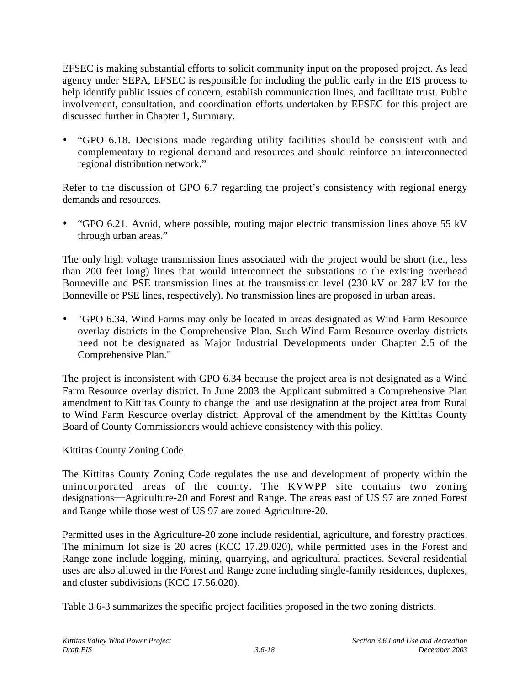EFSEC is making substantial efforts to solicit community input on the proposed project. As lead agency under SEPA, EFSEC is responsible for including the public early in the EIS process to help identify public issues of concern, establish communication lines, and facilitate trust. Public involvement, consultation, and coordination efforts undertaken by EFSEC for this project are discussed further in Chapter 1, Summary.

• "GPO 6.18. Decisions made regarding utility facilities should be consistent with and complementary to regional demand and resources and should reinforce an interconnected regional distribution network."

Refer to the discussion of GPO 6.7 regarding the project's consistency with regional energy demands and resources.

• "GPO 6.21. Avoid, where possible, routing major electric transmission lines above 55 kV through urban areas."

The only high voltage transmission lines associated with the project would be short (i.e., less than 200 feet long) lines that would interconnect the substations to the existing overhead Bonneville and PSE transmission lines at the transmission level (230 kV or 287 kV for the Bonneville or PSE lines, respectively). No transmission lines are proposed in urban areas.

• "GPO 6.34. Wind Farms may only be located in areas designated as Wind Farm Resource overlay districts in the Comprehensive Plan. Such Wind Farm Resource overlay districts need not be designated as Major Industrial Developments under Chapter 2.5 of the Comprehensive Plan."

The project is inconsistent with GPO 6.34 because the project area is not designated as a Wind Farm Resource overlay district. In June 2003 the Applicant submitted a Comprehensive Plan amendment to Kittitas County to change the land use designation at the project area from Rural to Wind Farm Resource overlay district. Approval of the amendment by the Kittitas County Board of County Commissioners would achieve consistency with this policy.

## Kittitas County Zoning Code

The Kittitas County Zoning Code regulates the use and development of property within the unincorporated areas of the county. The KVWPP site contains two zoning designations—Agriculture-20 and Forest and Range. The areas east of US 97 are zoned Forest and Range while those west of US 97 are zoned Agriculture-20.

Permitted uses in the Agriculture-20 zone include residential, agriculture, and forestry practices. The minimum lot size is 20 acres (KCC 17.29.020), while permitted uses in the Forest and Range zone include logging, mining, quarrying, and agricultural practices. Several residential uses are also allowed in the Forest and Range zone including single-family residences, duplexes, and cluster subdivisions (KCC 17.56.020).

Table 3.6-3 summarizes the specific project facilities proposed in the two zoning districts.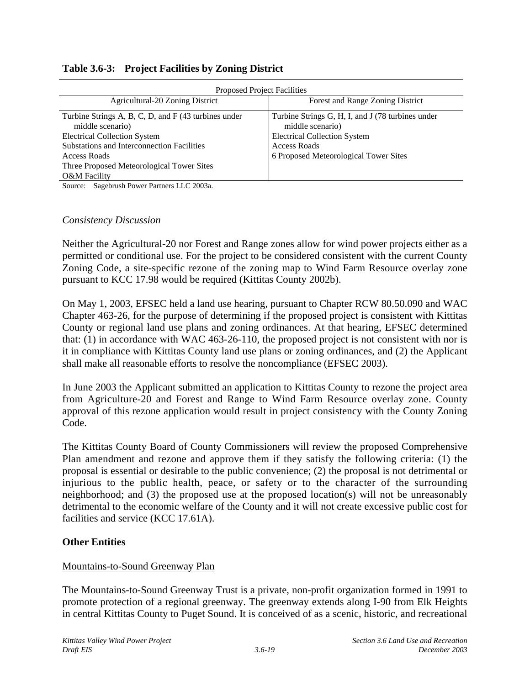| <b>Proposed Project Facilities</b>                                       |                                                                       |  |  |  |
|--------------------------------------------------------------------------|-----------------------------------------------------------------------|--|--|--|
| Agricultural-20 Zoning District                                          | Forest and Range Zoning District                                      |  |  |  |
| Turbine Strings A, B, C, D, and F (43 turbines under<br>middle scenario) | Turbine Strings G, H, I, and J (78 turbines under<br>middle scenario) |  |  |  |
| <b>Electrical Collection System</b>                                      | <b>Electrical Collection System</b>                                   |  |  |  |
| Substations and Interconnection Facilities                               | Access Roads                                                          |  |  |  |
| Access Roads                                                             | 6 Proposed Meteorological Tower Sites                                 |  |  |  |
| Three Proposed Meteorological Tower Sites                                |                                                                       |  |  |  |
| <b>O&amp;M</b> Facility                                                  |                                                                       |  |  |  |

### **Table 3.6-3: Project Facilities by Zoning District**

Source: Sagebrush Power Partners LLC 2003a.

#### *Consistency Discussion*

Neither the Agricultural-20 nor Forest and Range zones allow for wind power projects either as a permitted or conditional use. For the project to be considered consistent with the current County Zoning Code, a site-specific rezone of the zoning map to Wind Farm Resource overlay zone pursuant to KCC 17.98 would be required (Kittitas County 2002b).

On May 1, 2003, EFSEC held a land use hearing, pursuant to Chapter RCW 80.50.090 and WAC Chapter 463-26, for the purpose of determining if the proposed project is consistent with Kittitas County or regional land use plans and zoning ordinances. At that hearing, EFSEC determined that: (1) in accordance with WAC 463-26-110, the proposed project is not consistent with nor is it in compliance with Kittitas County land use plans or zoning ordinances, and (2) the Applicant shall make all reasonable efforts to resolve the noncompliance (EFSEC 2003).

In June 2003 the Applicant submitted an application to Kittitas County to rezone the project area from Agriculture-20 and Forest and Range to Wind Farm Resource overlay zone. County approval of this rezone application would result in project consistency with the County Zoning Code.

The Kittitas County Board of County Commissioners will review the proposed Comprehensive Plan amendment and rezone and approve them if they satisfy the following criteria: (1) the proposal is essential or desirable to the public convenience; (2) the proposal is not detrimental or injurious to the public health, peace, or safety or to the character of the surrounding neighborhood; and (3) the proposed use at the proposed location(s) will not be unreasonably detrimental to the economic welfare of the County and it will not create excessive public cost for facilities and service (KCC 17.61A).

### **Other Entities**

### Mountains-to-Sound Greenway Plan

The Mountains-to-Sound Greenway Trust is a private, non-profit organization formed in 1991 to promote protection of a regional greenway. The greenway extends along I-90 from Elk Heights in central Kittitas County to Puget Sound. It is conceived of as a scenic, historic, and recreational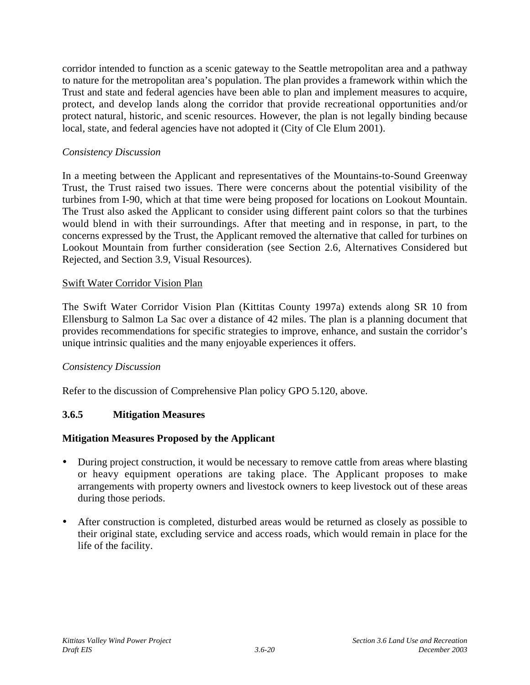corridor intended to function as a scenic gateway to the Seattle metropolitan area and a pathway to nature for the metropolitan area's population. The plan provides a framework within which the Trust and state and federal agencies have been able to plan and implement measures to acquire, protect, and develop lands along the corridor that provide recreational opportunities and/or protect natural, historic, and scenic resources. However, the plan is not legally binding because local, state, and federal agencies have not adopted it (City of Cle Elum 2001).

## *Consistency Discussion*

In a meeting between the Applicant and representatives of the Mountains-to-Sound Greenway Trust, the Trust raised two issues. There were concerns about the potential visibility of the turbines from I-90, which at that time were being proposed for locations on Lookout Mountain. The Trust also asked the Applicant to consider using different paint colors so that the turbines would blend in with their surroundings. After that meeting and in response, in part, to the concerns expressed by the Trust, the Applicant removed the alternative that called for turbines on Lookout Mountain from further consideration (see Section 2.6, Alternatives Considered but Rejected, and Section 3.9, Visual Resources).

## Swift Water Corridor Vision Plan

The Swift Water Corridor Vision Plan (Kittitas County 1997a) extends along SR 10 from Ellensburg to Salmon La Sac over a distance of 42 miles. The plan is a planning document that provides recommendations for specific strategies to improve, enhance, and sustain the corridor's unique intrinsic qualities and the many enjoyable experiences it offers.

## *Consistency Discussion*

Refer to the discussion of Comprehensive Plan policy GPO 5.120, above.

# **3.6.5 Mitigation Measures**

## **Mitigation Measures Proposed by the Applicant**

- During project construction, it would be necessary to remove cattle from areas where blasting or heavy equipment operations are taking place. The Applicant proposes to make arrangements with property owners and livestock owners to keep livestock out of these areas during those periods.
- After construction is completed, disturbed areas would be returned as closely as possible to their original state, excluding service and access roads, which would remain in place for the life of the facility.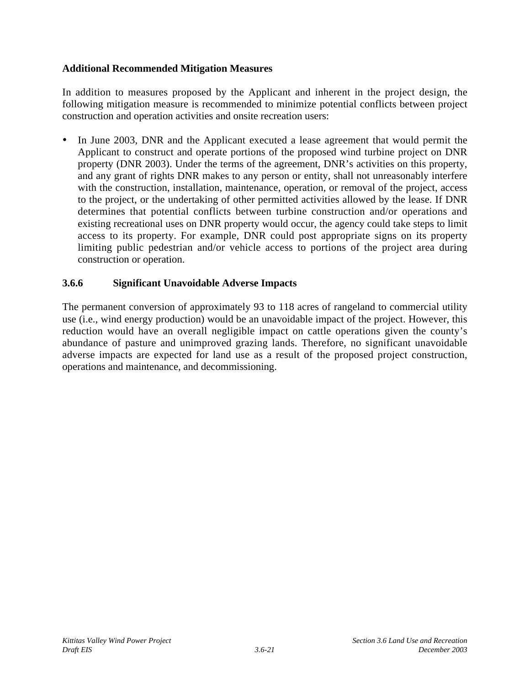## **Additional Recommended Mitigation Measures**

In addition to measures proposed by the Applicant and inherent in the project design, the following mitigation measure is recommended to minimize potential conflicts between project construction and operation activities and onsite recreation users:

In June 2003, DNR and the Applicant executed a lease agreement that would permit the Applicant to construct and operate portions of the proposed wind turbine project on DNR property (DNR 2003). Under the terms of the agreement, DNR's activities on this property, and any grant of rights DNR makes to any person or entity, shall not unreasonably interfere with the construction, installation, maintenance, operation, or removal of the project, access to the project, or the undertaking of other permitted activities allowed by the lease. If DNR determines that potential conflicts between turbine construction and/or operations and existing recreational uses on DNR property would occur, the agency could take steps to limit access to its property. For example, DNR could post appropriate signs on its property limiting public pedestrian and/or vehicle access to portions of the project area during construction or operation.

## **3.6.6 Significant Unavoidable Adverse Impacts**

The permanent conversion of approximately 93 to 118 acres of rangeland to commercial utility use (i.e., wind energy production) would be an unavoidable impact of the project. However, this reduction would have an overall negligible impact on cattle operations given the county's abundance of pasture and unimproved grazing lands. Therefore, no significant unavoidable adverse impacts are expected for land use as a result of the proposed project construction, operations and maintenance, and decommissioning.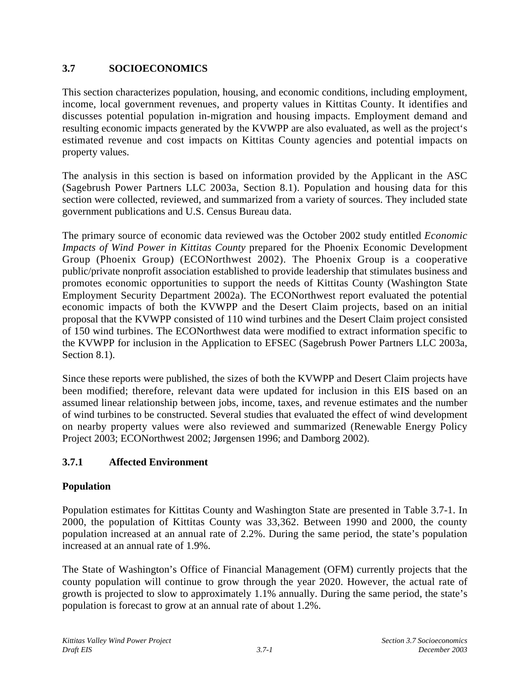# **3.7 SOCIOECONOMICS**

This section characterizes population, housing, and economic conditions, including employment, income, local government revenues, and property values in Kittitas County. It identifies and discusses potential population in-migration and housing impacts. Employment demand and resulting economic impacts generated by the KVWPP are also evaluated, as well as the project's estimated revenue and cost impacts on Kittitas County agencies and potential impacts on property values.

The analysis in this section is based on information provided by the Applicant in the ASC (Sagebrush Power Partners LLC 2003a, Section 8.1). Population and housing data for this section were collected, reviewed, and summarized from a variety of sources. They included state government publications and U.S. Census Bureau data.

The primary source of economic data reviewed was the October 2002 study entitled *Economic Impacts of Wind Power in Kittitas County* prepared for the Phoenix Economic Development Group (Phoenix Group) (ECONorthwest 2002). The Phoenix Group is a cooperative public/private nonprofit association established to provide leadership that stimulates business and promotes economic opportunities to support the needs of Kittitas County (Washington State Employment Security Department 2002a). The ECONorthwest report evaluated the potential economic impacts of both the KVWPP and the Desert Claim projects, based on an initial proposal that the KVWPP consisted of 110 wind turbines and the Desert Claim project consisted of 150 wind turbines. The ECONorthwest data were modified to extract information specific to the KVWPP for inclusion in the Application to EFSEC (Sagebrush Power Partners LLC 2003a, Section 8.1).

Since these reports were published, the sizes of both the KVWPP and Desert Claim projects have been modified; therefore, relevant data were updated for inclusion in this EIS based on an assumed linear relationship between jobs, income, taxes, and revenue estimates and the number of wind turbines to be constructed. Several studies that evaluated the effect of wind development on nearby property values were also reviewed and summarized (Renewable Energy Policy Project 2003; ECONorthwest 2002; Jørgensen 1996; and Damborg 2002).

# **3.7.1 Affected Environment**

# **Population**

Population estimates for Kittitas County and Washington State are presented in Table 3.7-1. In 2000, the population of Kittitas County was 33,362. Between 1990 and 2000, the county population increased at an annual rate of 2.2%. During the same period, the state's population increased at an annual rate of 1.9%.

The State of Washington's Office of Financial Management (OFM) currently projects that the county population will continue to grow through the year 2020. However, the actual rate of growth is projected to slow to approximately 1.1% annually. During the same period, the state's population is forecast to grow at an annual rate of about 1.2%.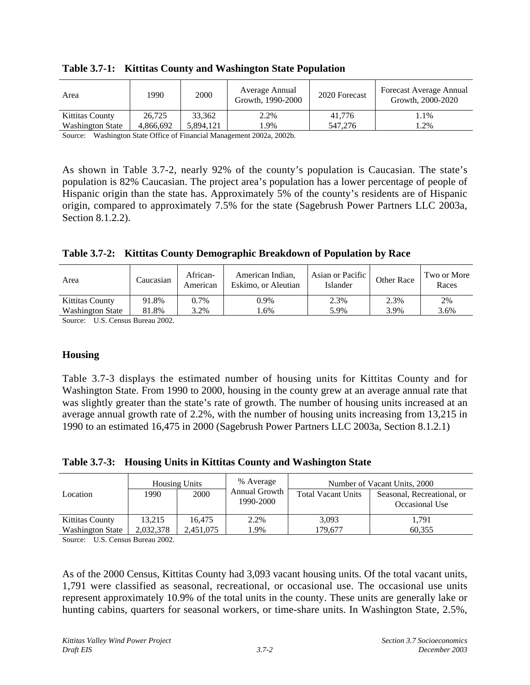| Area                    | 1990      | 2000      | Average Annual<br>Growth, 1990-2000 | 2020 Forecast | Forecast Average Annual<br>Growth, 2000-2020 |
|-------------------------|-----------|-----------|-------------------------------------|---------------|----------------------------------------------|
| Kittitas County         | 26,725    | 33.362    | 2.2%                                | 41.776        | $1.1\%$                                      |
| <b>Washington State</b> | 4.866.692 | 5.894.121 | $.9\%$                              | 547,276       | .2%                                          |

**Table 3.7-1: Kittitas County and Washington State Population**

Source: Washington State Office of Financial Management 2002a, 2002b.

As shown in Table 3.7-2, nearly 92% of the county's population is Caucasian. The state's population is 82% Caucasian. The project area's population has a lower percentage of people of Hispanic origin than the state has. Approximately 5% of the county's residents are of Hispanic origin, compared to approximately 7.5% for the state (Sagebrush Power Partners LLC 2003a, Section 8.1.2.2).

|  |  | Table 3.7-2: Kittitas County Demographic Breakdown of Population by Race |
|--|--|--------------------------------------------------------------------------|
|  |  |                                                                          |

| Area                    | Caucasian | African-<br>American | American Indian.<br>Eskimo, or Aleutian | Asian or Pacific<br>Islander | Other Race | Two or More<br>Races |
|-------------------------|-----------|----------------------|-----------------------------------------|------------------------------|------------|----------------------|
| Kittitas County         | 91.8%     | 0.7%                 | 0.9%                                    | 2.3%                         | 2.3%       | 2%                   |
| <b>Washington State</b> | 81.8%     | 3.2%                 | .6%                                     | 5.9%                         | 3.9%       | 3.6%                 |

Source: U.S. Census Bureau 2002.

### **Housing**

Table 3.7-3 displays the estimated number of housing units for Kittitas County and for Washington State. From 1990 to 2000, housing in the county grew at an average annual rate that was slightly greater than the state's rate of growth. The number of housing units increased at an average annual growth rate of 2.2%, with the number of housing units increasing from 13,215 in 1990 to an estimated 16,475 in 2000 (Sagebrush Power Partners LLC 2003a, Section 8.1.2.1)

### **Table 3.7-3: Housing Units in Kittitas County and Washington State**

| Location                | 1990.     | <b>Housing Units</b><br>2000 | % Average<br>Annual Growth<br>1990-2000 | Number of Vacant Units, 2000<br><b>Total Vacant Units</b><br>Seasonal, Recreational, or<br>Occasional Use |        |
|-------------------------|-----------|------------------------------|-----------------------------------------|-----------------------------------------------------------------------------------------------------------|--------|
|                         |           |                              |                                         |                                                                                                           |        |
| <b>Kittitas County</b>  | 13.215    | 16.475                       | 2.2%                                    | 3,093                                                                                                     | 1,791  |
| <b>Washington State</b> | 2,032,378 | 2,451,075                    | .9%                                     | 179.677                                                                                                   | 60.355 |

Source: U.S. Census Bureau 2002.

As of the 2000 Census, Kittitas County had 3,093 vacant housing units. Of the total vacant units, 1,791 were classified as seasonal, recreational, or occasional use. The occasional use units represent approximately 10.9% of the total units in the county. These units are generally lake or hunting cabins, quarters for seasonal workers, or time-share units. In Washington State, 2.5%,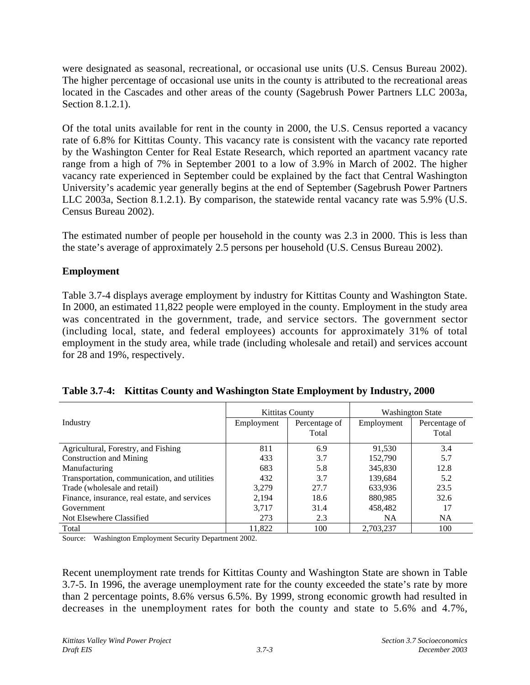were designated as seasonal, recreational, or occasional use units (U.S. Census Bureau 2002). The higher percentage of occasional use units in the county is attributed to the recreational areas located in the Cascades and other areas of the county (Sagebrush Power Partners LLC 2003a, Section 8.1.2.1).

Of the total units available for rent in the county in 2000, the U.S. Census reported a vacancy rate of 6.8% for Kittitas County. This vacancy rate is consistent with the vacancy rate reported by the Washington Center for Real Estate Research, which reported an apartment vacancy rate range from a high of 7% in September 2001 to a low of 3.9% in March of 2002. The higher vacancy rate experienced in September could be explained by the fact that Central Washington University's academic year generally begins at the end of September (Sagebrush Power Partners LLC 2003a, Section 8.1.2.1). By comparison, the statewide rental vacancy rate was 5.9% (U.S. Census Bureau 2002).

The estimated number of people per household in the county was 2.3 in 2000. This is less than the state's average of approximately 2.5 persons per household (U.S. Census Bureau 2002).

## **Employment**

Table 3.7-4 displays average employment by industry for Kittitas County and Washington State. In 2000, an estimated 11,822 people were employed in the county. Employment in the study area was concentrated in the government, trade, and service sectors. The government sector (including local, state, and federal employees) accounts for approximately 31% of total employment in the study area, while trade (including wholesale and retail) and services account for 28 and 19%, respectively.

|                                               | <b>Kittitas County</b> |               | <b>Washington State</b> |               |  |
|-----------------------------------------------|------------------------|---------------|-------------------------|---------------|--|
| Industry                                      | Employment             | Percentage of | Employment              | Percentage of |  |
|                                               |                        | Total         |                         | Total         |  |
| Agricultural, Forestry, and Fishing           | 811                    | 6.9           | 91.530                  | 3.4           |  |
| <b>Construction and Mining</b>                | 433                    | 3.7           | 152,790                 | 5.7           |  |
| Manufacturing                                 | 683                    | 5.8           | 345,830                 | 12.8          |  |
| Transportation, communication, and utilities  | 432                    | 3.7           | 139,684                 | 5.2           |  |
| Trade (wholesale and retail)                  | 3.279                  | 27.7          | 633,936                 | 23.5          |  |
| Finance, insurance, real estate, and services | 2,194                  | 18.6          | 880,985                 | 32.6          |  |
| Government                                    | 3,717                  | 31.4          | 458,482                 | 17            |  |
| Not Elsewhere Classified                      | 273                    | 2.3           | <b>NA</b>               | <b>NA</b>     |  |
| Total                                         | 11,822                 | 100           | 2,703,237               | 100           |  |

| Table 3.7-4: Kittitas County and Washington State Employment by Industry, 2000 |  |  |
|--------------------------------------------------------------------------------|--|--|
|                                                                                |  |  |

Source: Washington Employment Security Department 2002.

Recent unemployment rate trends for Kittitas County and Washington State are shown in Table 3.7-5. In 1996, the average unemployment rate for the county exceeded the state's rate by more than 2 percentage points, 8.6% versus 6.5%. By 1999, strong economic growth had resulted in decreases in the unemployment rates for both the county and state to 5.6% and 4.7%,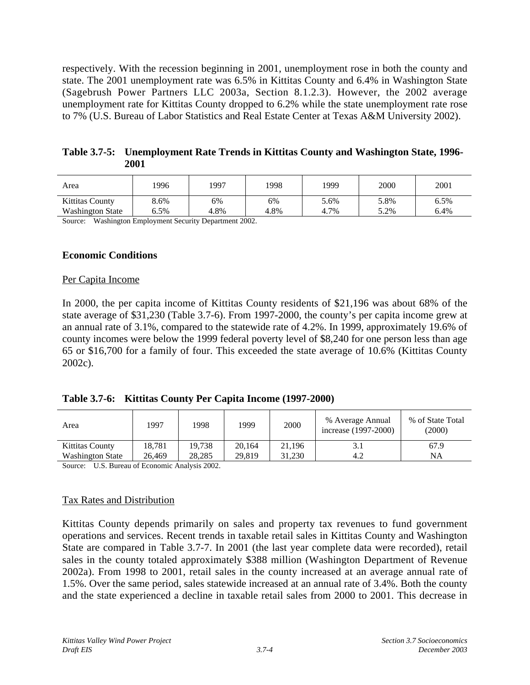respectively. With the recession beginning in 2001, unemployment rose in both the county and state. The 2001 unemployment rate was 6.5% in Kittitas County and 6.4% in Washington State (Sagebrush Power Partners LLC 2003a, Section 8.1.2.3). However, the 2002 average unemployment rate for Kittitas County dropped to 6.2% while the state unemployment rate rose to 7% (U.S. Bureau of Labor Statistics and Real Estate Center at Texas A&M University 2002).

**Table 3.7-5: Unemployment Rate Trends in Kittitas County and Washington State, 1996- 2001**

| Area                    | 1996 | 1997 | 1998 | 1999 | 2000 | 2001 |
|-------------------------|------|------|------|------|------|------|
| Kittitas County         | 8.6% | 6%   | 6%   | 5.6% | 5.8% | 6.5% |
| <b>Washington State</b> | 6.5% | 4.8% | 4.8% | 4.7% | 5.2% | 6.4% |

Source: Washington Employment Security Department 2002.

#### **Economic Conditions**

#### Per Capita Income

In 2000, the per capita income of Kittitas County residents of \$21,196 was about 68% of the state average of \$31,230 (Table 3.7-6). From 1997-2000, the county's per capita income grew at an annual rate of 3.1%, compared to the statewide rate of 4.2%. In 1999, approximately 19.6% of county incomes were below the 1999 federal poverty level of \$8,240 for one person less than age 65 or \$16,700 for a family of four. This exceeded the state average of 10.6% (Kittitas County 2002c).

| Table 3.7-6: Kittitas County Per Capita Income (1997-2000) |  |  |  |  |
|------------------------------------------------------------|--|--|--|--|
|------------------------------------------------------------|--|--|--|--|

| Area                    | 1997   | 1998   | 1999   | 2000   | % Average Annual<br>increase (1997-2000) | % of State Total<br>(2000) |
|-------------------------|--------|--------|--------|--------|------------------------------------------|----------------------------|
| <b>Kittitas County</b>  | 18.781 | 19.738 | 20.164 | 21.196 | 3.1                                      | 67.9                       |
| <b>Washington State</b> | 26.469 | 28.285 | 29.819 | 31.230 | 4.2                                      | <b>NA</b>                  |

Source: U.S. Bureau of Economic Analysis 2002.

### Tax Rates and Distribution

Kittitas County depends primarily on sales and property tax revenues to fund government operations and services. Recent trends in taxable retail sales in Kittitas County and Washington State are compared in Table 3.7-7. In 2001 (the last year complete data were recorded), retail sales in the county totaled approximately \$388 million (Washington Department of Revenue 2002a). From 1998 to 2001, retail sales in the county increased at an average annual rate of 1.5%. Over the same period, sales statewide increased at an annual rate of 3.4%. Both the county and the state experienced a decline in taxable retail sales from 2000 to 2001. This decrease in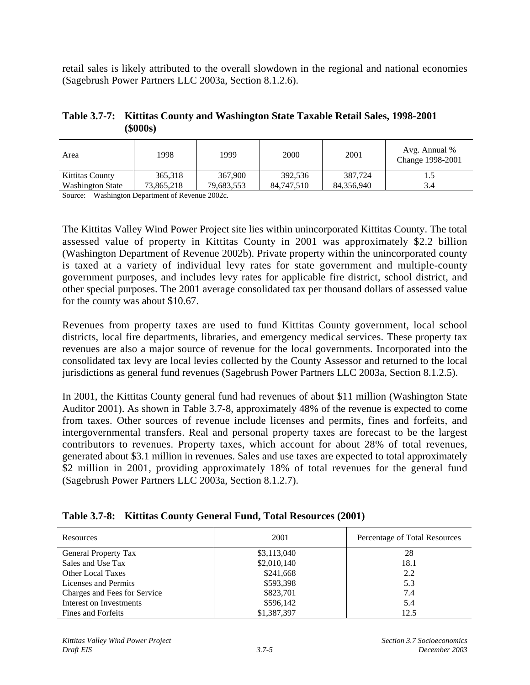retail sales is likely attributed to the overall slowdown in the regional and national economies (Sagebrush Power Partners LLC 2003a, Section 8.1.2.6).

| Table 3.7-7: Kittitas County and Washington State Taxable Retail Sales, 1998-2001 |
|-----------------------------------------------------------------------------------|
| $($ \$000s $)$                                                                    |

| Area                    | 1998       | 1999       | 2000       | 2001       | Avg. Annual %<br>Change 1998-2001 |
|-------------------------|------------|------------|------------|------------|-----------------------------------|
| Kittitas County         | 365,318    | 367,900    | 392,536    | 387.724    | 3.4                               |
| <b>Washington State</b> | 73.865.218 | 79,683,553 | 84,747,510 | 84.356.940 |                                   |

Source: Washington Department of Revenue 2002c.

The Kittitas Valley Wind Power Project site lies within unincorporated Kittitas County. The total assessed value of property in Kittitas County in 2001 was approximately \$2.2 billion (Washington Department of Revenue 2002b). Private property within the unincorporated county is taxed at a variety of individual levy rates for state government and multiple-county government purposes, and includes levy rates for applicable fire district, school district, and other special purposes. The 2001 average consolidated tax per thousand dollars of assessed value for the county was about \$10.67.

Revenues from property taxes are used to fund Kittitas County government, local school districts, local fire departments, libraries, and emergency medical services. These property tax revenues are also a major source of revenue for the local governments. Incorporated into the consolidated tax levy are local levies collected by the County Assessor and returned to the local jurisdictions as general fund revenues (Sagebrush Power Partners LLC 2003a, Section 8.1.2.5).

In 2001, the Kittitas County general fund had revenues of about \$11 million (Washington State Auditor 2001). As shown in Table 3.7-8, approximately 48% of the revenue is expected to come from taxes. Other sources of revenue include licenses and permits, fines and forfeits, and intergovernmental transfers. Real and personal property taxes are forecast to be the largest contributors to revenues. Property taxes, which account for about 28% of total revenues, generated about \$3.1 million in revenues. Sales and use taxes are expected to total approximately \$2 million in 2001, providing approximately 18% of total revenues for the general fund (Sagebrush Power Partners LLC 2003a, Section 8.1.2.7).

| Resources                    | 2001        | Percentage of Total Resources |
|------------------------------|-------------|-------------------------------|
| <b>General Property Tax</b>  | \$3,113,040 | 28                            |
| Sales and Use Tax            | \$2,010,140 | 18.1                          |
| Other Local Taxes            | \$241,668   | 2.2                           |
| Licenses and Permits         | \$593,398   | 5.3                           |
| Charges and Fees for Service | \$823,701   | 7.4                           |
| Interest on Investments      | \$596,142   | 5.4                           |
| Fines and Forfeits           | \$1,387,397 | 12.5                          |

**Table 3.7-8: Kittitas County General Fund, Total Resources (2001)**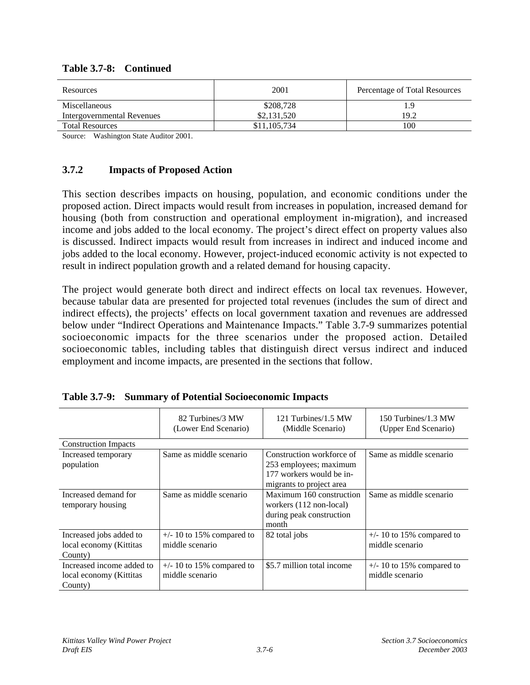| Resources                  | 2001         | Percentage of Total Resources |
|----------------------------|--------------|-------------------------------|
| Miscellaneous              | \$208,728    |                               |
| Intergovernmental Revenues | \$2,131,520  | 19.2                          |
| <b>Total Resources</b>     | \$11,105,734 | 100                           |

### **Table 3.7-8: Continued**

Source: Washington State Auditor 2001.

## **3.7.2 Impacts of Proposed Action**

This section describes impacts on housing, population, and economic conditions under the proposed action. Direct impacts would result from increases in population, increased demand for housing (both from construction and operational employment in-migration), and increased income and jobs added to the local economy. The project's direct effect on property values also is discussed. Indirect impacts would result from increases in indirect and induced income and jobs added to the local economy. However, project-induced economic activity is not expected to result in indirect population growth and a related demand for housing capacity.

The project would generate both direct and indirect effects on local tax revenues. However, because tabular data are presented for projected total revenues (includes the sum of direct and indirect effects), the projects' effects on local government taxation and revenues are addressed below under "Indirect Operations and Maintenance Impacts." Table 3.7-9 summarizes potential socioeconomic impacts for the three scenarios under the proposed action. Detailed socioeconomic tables, including tables that distinguish direct versus indirect and induced employment and income impacts, are presented in the sections that follow.

|                                                                 | 82 Turbines/3 MW<br>(Lower End Scenario)       | 121 Turbines/1.5 MW<br>(Middle Scenario)                                                                    | 150 Turbines/1.3 MW<br>(Upper End Scenario)    |
|-----------------------------------------------------------------|------------------------------------------------|-------------------------------------------------------------------------------------------------------------|------------------------------------------------|
| <b>Construction Impacts</b>                                     |                                                |                                                                                                             |                                                |
| Increased temporary<br>population                               | Same as middle scenario                        | Construction workforce of<br>253 employees; maximum<br>177 workers would be in-<br>migrants to project area | Same as middle scenario                        |
| Increased demand for<br>temporary housing                       | Same as middle scenario                        | Maximum 160 construction<br>workers (112 non-local)<br>during peak construction<br>month                    | Same as middle scenario                        |
| Increased jobs added to<br>local economy (Kittitas<br>County)   | $+/- 10$ to 15% compared to<br>middle scenario | 82 total jobs                                                                                               | $+/- 10$ to 15% compared to<br>middle scenario |
| Increased income added to<br>local economy (Kittitas<br>County) | $+/- 10$ to 15% compared to<br>middle scenario | \$5.7 million total income                                                                                  | $+/- 10$ to 15% compared to<br>middle scenario |

| Table 3.7-9: Summary of Potential Socioeconomic Impacts |  |  |  |  |  |
|---------------------------------------------------------|--|--|--|--|--|
|---------------------------------------------------------|--|--|--|--|--|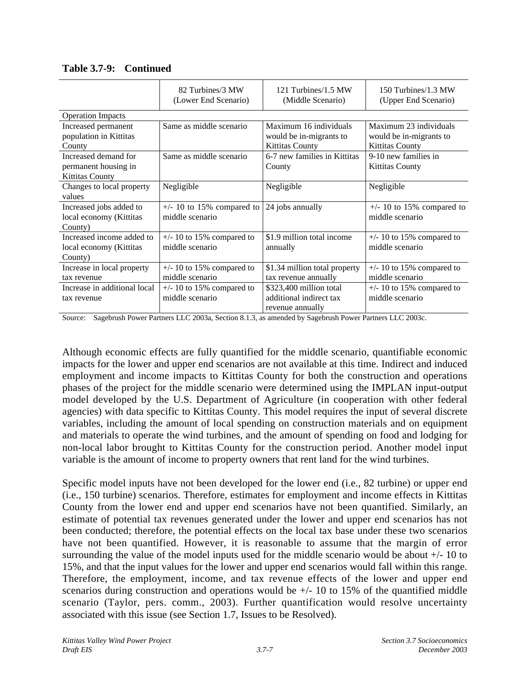|                                                                        | 82 Turbines/3 MW<br>(Lower End Scenario)       | 121 Turbines/1.5 MW<br>(Middle Scenario)                                    | 150 Turbines/1.3 MW<br>(Upper End Scenario)                                 |
|------------------------------------------------------------------------|------------------------------------------------|-----------------------------------------------------------------------------|-----------------------------------------------------------------------------|
| <b>Operation Impacts</b>                                               |                                                |                                                                             |                                                                             |
| Increased permanent<br>population in Kittitas<br>County                | Same as middle scenario                        | Maximum 16 individuals<br>would be in-migrants to<br><b>Kittitas County</b> | Maximum 23 individuals<br>would be in-migrants to<br><b>Kittitas County</b> |
| Increased demand for<br>permanent housing in<br><b>Kittitas County</b> | Same as middle scenario                        | 6-7 new families in Kittitas<br>County                                      | 9-10 new families in<br><b>Kittitas County</b>                              |
| Changes to local property<br>values                                    | Negligible                                     | Negligible                                                                  | Negligible                                                                  |
| Increased jobs added to<br>local economy (Kittitas<br>County)          | $+/- 10$ to 15% compared to<br>middle scenario | 24 jobs annually                                                            | $+/- 10$ to 15% compared to<br>middle scenario                              |
| Increased income added to<br>local economy (Kittitas<br>County)        | $+/- 10$ to 15% compared to<br>middle scenario | \$1.9 million total income<br>annually                                      | $+/- 10$ to 15% compared to<br>middle scenario                              |
| Increase in local property<br>tax revenue                              | $+/- 10$ to 15% compared to<br>middle scenario | \$1.34 million total property<br>tax revenue annually                       | $+/- 10$ to 15% compared to<br>middle scenario                              |
| Increase in additional local<br>tax revenue                            | $+/- 10$ to 15% compared to<br>middle scenario | \$323,400 million total<br>additional indirect tax<br>revenue annually      | $+/- 10$ to 15% compared to<br>middle scenario                              |

**Table 3.7-9: Continued**

Source: Sagebrush Power Partners LLC 2003a, Section 8.1.3, as amended by Sagebrush Power Partners LLC 2003c.

Although economic effects are fully quantified for the middle scenario, quantifiable economic impacts for the lower and upper end scenarios are not available at this time. Indirect and induced employment and income impacts to Kittitas County for both the construction and operations phases of the project for the middle scenario were determined using the IMPLAN input-output model developed by the U.S. Department of Agriculture (in cooperation with other federal agencies) with data specific to Kittitas County. This model requires the input of several discrete variables, including the amount of local spending on construction materials and on equipment and materials to operate the wind turbines, and the amount of spending on food and lodging for non-local labor brought to Kittitas County for the construction period. Another model input variable is the amount of income to property owners that rent land for the wind turbines.

Specific model inputs have not been developed for the lower end (i.e., 82 turbine) or upper end (i.e., 150 turbine) scenarios. Therefore, estimates for employment and income effects in Kittitas County from the lower end and upper end scenarios have not been quantified. Similarly, an estimate of potential tax revenues generated under the lower and upper end scenarios has not been conducted; therefore, the potential effects on the local tax base under these two scenarios have not been quantified. However, it is reasonable to assume that the margin of error surrounding the value of the model inputs used for the middle scenario would be about +/- 10 to 15%, and that the input values for the lower and upper end scenarios would fall within this range. Therefore, the employment, income, and tax revenue effects of the lower and upper end scenarios during construction and operations would be  $+/-10$  to 15% of the quantified middle scenario (Taylor, pers. comm., 2003). Further quantification would resolve uncertainty associated with this issue (see Section 1.7, Issues to be Resolved).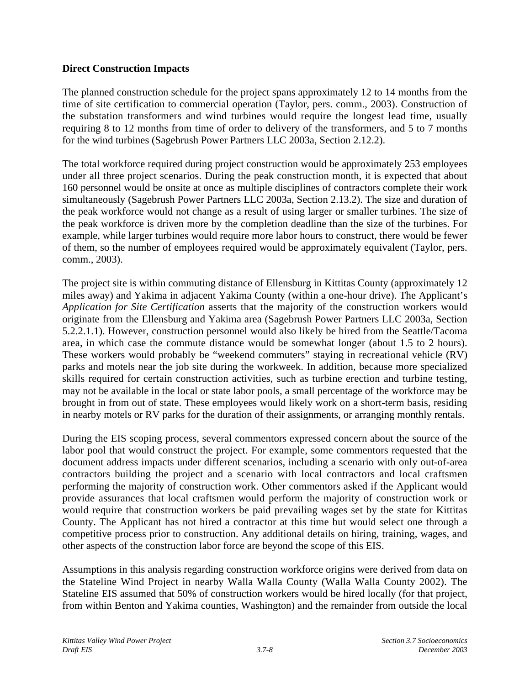## **Direct Construction Impacts**

The planned construction schedule for the project spans approximately 12 to 14 months from the time of site certification to commercial operation (Taylor, pers. comm., 2003). Construction of the substation transformers and wind turbines would require the longest lead time, usually requiring 8 to 12 months from time of order to delivery of the transformers, and 5 to 7 months for the wind turbines (Sagebrush Power Partners LLC 2003a, Section 2.12.2).

The total workforce required during project construction would be approximately 253 employees under all three project scenarios. During the peak construction month, it is expected that about 160 personnel would be onsite at once as multiple disciplines of contractors complete their work simultaneously (Sagebrush Power Partners LLC 2003a, Section 2.13.2). The size and duration of the peak workforce would not change as a result of using larger or smaller turbines. The size of the peak workforce is driven more by the completion deadline than the size of the turbines. For example, while larger turbines would require more labor hours to construct, there would be fewer of them, so the number of employees required would be approximately equivalent (Taylor, pers. comm., 2003).

The project site is within commuting distance of Ellensburg in Kittitas County (approximately 12 miles away) and Yakima in adjacent Yakima County (within a one-hour drive). The Applicant's *Application for Site Certification* asserts that the majority of the construction workers would originate from the Ellensburg and Yakima area (Sagebrush Power Partners LLC 2003a, Section 5.2.2.1.1). However, construction personnel would also likely be hired from the Seattle/Tacoma area, in which case the commute distance would be somewhat longer (about 1.5 to 2 hours). These workers would probably be "weekend commuters" staying in recreational vehicle (RV) parks and motels near the job site during the workweek. In addition, because more specialized skills required for certain construction activities, such as turbine erection and turbine testing, may not be available in the local or state labor pools, a small percentage of the workforce may be brought in from out of state. These employees would likely work on a short-term basis, residing in nearby motels or RV parks for the duration of their assignments, or arranging monthly rentals.

During the EIS scoping process, several commentors expressed concern about the source of the labor pool that would construct the project. For example, some commentors requested that the document address impacts under different scenarios, including a scenario with only out-of-area contractors building the project and a scenario with local contractors and local craftsmen performing the majority of construction work. Other commentors asked if the Applicant would provide assurances that local craftsmen would perform the majority of construction work or would require that construction workers be paid prevailing wages set by the state for Kittitas County. The Applicant has not hired a contractor at this time but would select one through a competitive process prior to construction. Any additional details on hiring, training, wages, and other aspects of the construction labor force are beyond the scope of this EIS.

Assumptions in this analysis regarding construction workforce origins were derived from data on the Stateline Wind Project in nearby Walla Walla County (Walla Walla County 2002). The Stateline EIS assumed that 50% of construction workers would be hired locally (for that project, from within Benton and Yakima counties, Washington) and the remainder from outside the local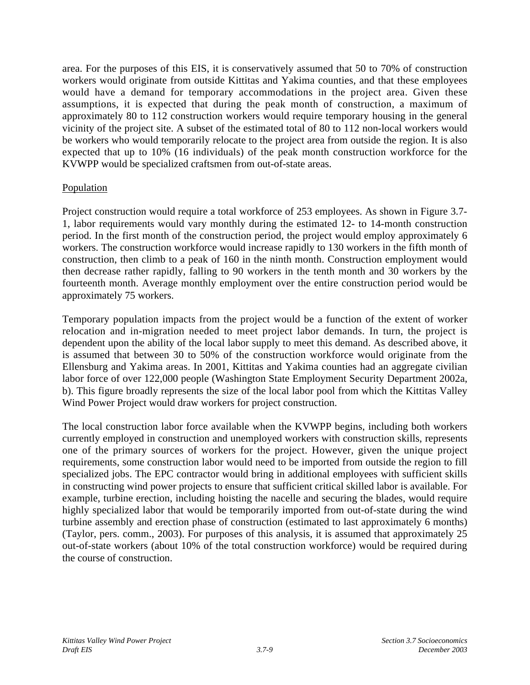area. For the purposes of this EIS, it is conservatively assumed that 50 to 70% of construction workers would originate from outside Kittitas and Yakima counties, and that these employees would have a demand for temporary accommodations in the project area. Given these assumptions, it is expected that during the peak month of construction, a maximum of approximately 80 to 112 construction workers would require temporary housing in the general vicinity of the project site. A subset of the estimated total of 80 to 112 non-local workers would be workers who would temporarily relocate to the project area from outside the region. It is also expected that up to 10% (16 individuals) of the peak month construction workforce for the KVWPP would be specialized craftsmen from out-of-state areas.

### **Population**

Project construction would require a total workforce of 253 employees. As shown in Figure 3.7- 1, labor requirements would vary monthly during the estimated 12- to 14-month construction period. In the first month of the construction period, the project would employ approximately 6 workers. The construction workforce would increase rapidly to 130 workers in the fifth month of construction, then climb to a peak of 160 in the ninth month. Construction employment would then decrease rather rapidly, falling to 90 workers in the tenth month and 30 workers by the fourteenth month. Average monthly employment over the entire construction period would be approximately 75 workers.

Temporary population impacts from the project would be a function of the extent of worker relocation and in-migration needed to meet project labor demands. In turn, the project is dependent upon the ability of the local labor supply to meet this demand. As described above, it is assumed that between 30 to 50% of the construction workforce would originate from the Ellensburg and Yakima areas. In 2001, Kittitas and Yakima counties had an aggregate civilian labor force of over 122,000 people (Washington State Employment Security Department 2002a, b). This figure broadly represents the size of the local labor pool from which the Kittitas Valley Wind Power Project would draw workers for project construction.

The local construction labor force available when the KVWPP begins, including both workers currently employed in construction and unemployed workers with construction skills, represents one of the primary sources of workers for the project. However, given the unique project requirements, some construction labor would need to be imported from outside the region to fill specialized jobs. The EPC contractor would bring in additional employees with sufficient skills in constructing wind power projects to ensure that sufficient critical skilled labor is available. For example, turbine erection, including hoisting the nacelle and securing the blades, would require highly specialized labor that would be temporarily imported from out-of-state during the wind turbine assembly and erection phase of construction (estimated to last approximately 6 months) (Taylor, pers. comm., 2003). For purposes of this analysis, it is assumed that approximately 25 out-of-state workers (about 10% of the total construction workforce) would be required during the course of construction.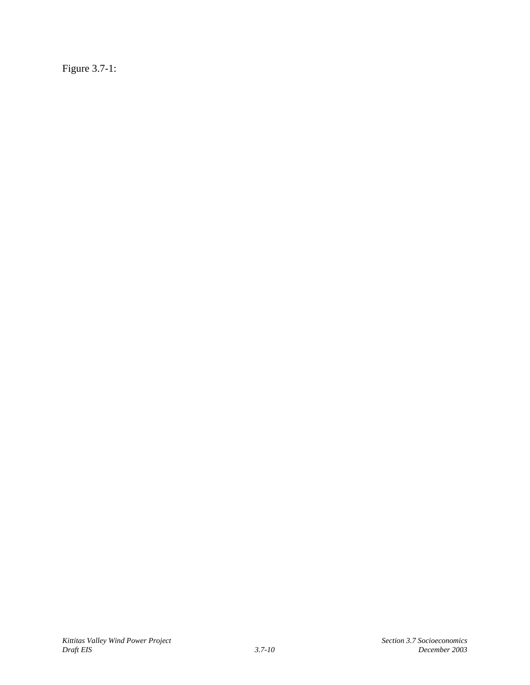Figure 3.7-1: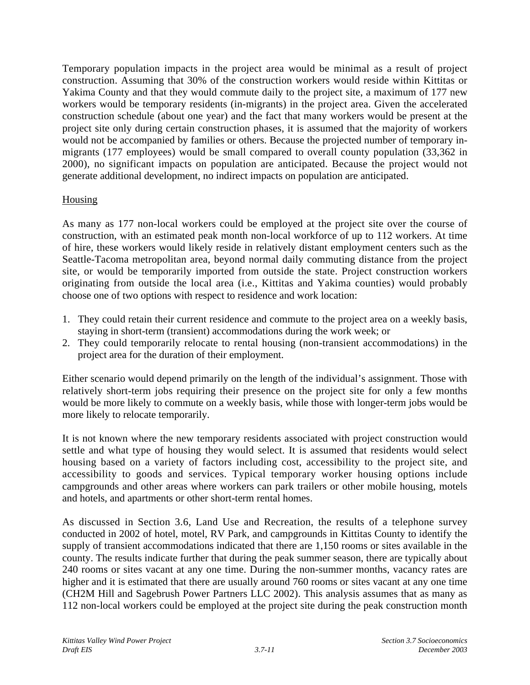Temporary population impacts in the project area would be minimal as a result of project construction. Assuming that 30% of the construction workers would reside within Kittitas or Yakima County and that they would commute daily to the project site, a maximum of 177 new workers would be temporary residents (in-migrants) in the project area. Given the accelerated construction schedule (about one year) and the fact that many workers would be present at the project site only during certain construction phases, it is assumed that the majority of workers would not be accompanied by families or others. Because the projected number of temporary inmigrants (177 employees) would be small compared to overall county population (33,362 in 2000), no significant impacts on population are anticipated. Because the project would not generate additional development, no indirect impacts on population are anticipated.

## **Housing**

As many as 177 non-local workers could be employed at the project site over the course of construction, with an estimated peak month non-local workforce of up to 112 workers. At time of hire, these workers would likely reside in relatively distant employment centers such as the Seattle-Tacoma metropolitan area, beyond normal daily commuting distance from the project site, or would be temporarily imported from outside the state. Project construction workers originating from outside the local area (i.e., Kittitas and Yakima counties) would probably choose one of two options with respect to residence and work location:

- 1. They could retain their current residence and commute to the project area on a weekly basis, staying in short-term (transient) accommodations during the work week; or
- 2. They could temporarily relocate to rental housing (non-transient accommodations) in the project area for the duration of their employment.

Either scenario would depend primarily on the length of the individual's assignment. Those with relatively short-term jobs requiring their presence on the project site for only a few months would be more likely to commute on a weekly basis, while those with longer-term jobs would be more likely to relocate temporarily.

It is not known where the new temporary residents associated with project construction would settle and what type of housing they would select. It is assumed that residents would select housing based on a variety of factors including cost, accessibility to the project site, and accessibility to goods and services. Typical temporary worker housing options include campgrounds and other areas where workers can park trailers or other mobile housing, motels and hotels, and apartments or other short-term rental homes.

As discussed in Section 3.6, Land Use and Recreation, the results of a telephone survey conducted in 2002 of hotel, motel, RV Park, and campgrounds in Kittitas County to identify the supply of transient accommodations indicated that there are 1,150 rooms or sites available in the county. The results indicate further that during the peak summer season, there are typically about 240 rooms or sites vacant at any one time. During the non-summer months, vacancy rates are higher and it is estimated that there are usually around 760 rooms or sites vacant at any one time (CH2M Hill and Sagebrush Power Partners LLC 2002). This analysis assumes that as many as 112 non-local workers could be employed at the project site during the peak construction month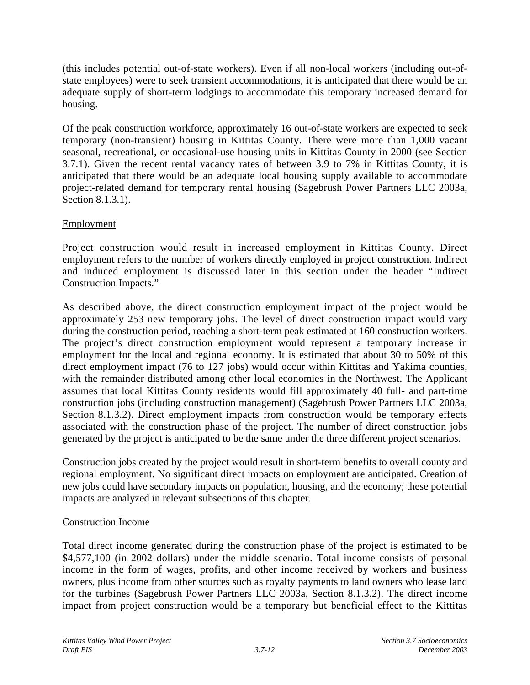(this includes potential out-of-state workers). Even if all non-local workers (including out-ofstate employees) were to seek transient accommodations, it is anticipated that there would be an adequate supply of short-term lodgings to accommodate this temporary increased demand for housing.

Of the peak construction workforce, approximately 16 out-of-state workers are expected to seek temporary (non-transient) housing in Kittitas County. There were more than 1,000 vacant seasonal, recreational, or occasional-use housing units in Kittitas County in 2000 (see Section 3.7.1). Given the recent rental vacancy rates of between 3.9 to 7% in Kittitas County, it is anticipated that there would be an adequate local housing supply available to accommodate project-related demand for temporary rental housing (Sagebrush Power Partners LLC 2003a, Section 8.1.3.1).

## **Employment**

Project construction would result in increased employment in Kittitas County. Direct employment refers to the number of workers directly employed in project construction. Indirect and induced employment is discussed later in this section under the header "Indirect Construction Impacts."

As described above, the direct construction employment impact of the project would be approximately 253 new temporary jobs. The level of direct construction impact would vary during the construction period, reaching a short-term peak estimated at 160 construction workers. The project's direct construction employment would represent a temporary increase in employment for the local and regional economy. It is estimated that about 30 to 50% of this direct employment impact (76 to 127 jobs) would occur within Kittitas and Yakima counties, with the remainder distributed among other local economies in the Northwest. The Applicant assumes that local Kittitas County residents would fill approximately 40 full- and part-time construction jobs (including construction management) (Sagebrush Power Partners LLC 2003a, Section 8.1.3.2). Direct employment impacts from construction would be temporary effects associated with the construction phase of the project. The number of direct construction jobs generated by the project is anticipated to be the same under the three different project scenarios.

Construction jobs created by the project would result in short-term benefits to overall county and regional employment. No significant direct impacts on employment are anticipated. Creation of new jobs could have secondary impacts on population, housing, and the economy; these potential impacts are analyzed in relevant subsections of this chapter.

## Construction Income

Total direct income generated during the construction phase of the project is estimated to be \$4,577,100 (in 2002 dollars) under the middle scenario. Total income consists of personal income in the form of wages, profits, and other income received by workers and business owners, plus income from other sources such as royalty payments to land owners who lease land for the turbines (Sagebrush Power Partners LLC 2003a, Section 8.1.3.2). The direct income impact from project construction would be a temporary but beneficial effect to the Kittitas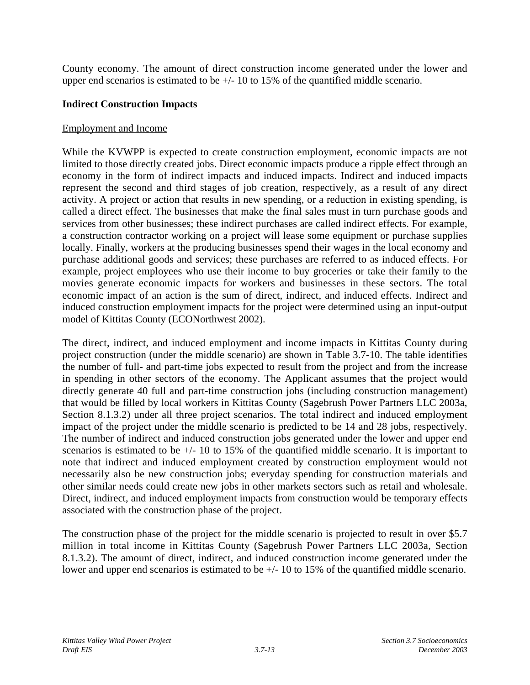County economy. The amount of direct construction income generated under the lower and upper end scenarios is estimated to be +/- 10 to 15% of the quantified middle scenario.

## **Indirect Construction Impacts**

### Employment and Income

While the KVWPP is expected to create construction employment, economic impacts are not limited to those directly created jobs. Direct economic impacts produce a ripple effect through an economy in the form of indirect impacts and induced impacts. Indirect and induced impacts represent the second and third stages of job creation, respectively, as a result of any direct activity. A project or action that results in new spending, or a reduction in existing spending, is called a direct effect. The businesses that make the final sales must in turn purchase goods and services from other businesses; these indirect purchases are called indirect effects. For example, a construction contractor working on a project will lease some equipment or purchase supplies locally. Finally, workers at the producing businesses spend their wages in the local economy and purchase additional goods and services; these purchases are referred to as induced effects. For example, project employees who use their income to buy groceries or take their family to the movies generate economic impacts for workers and businesses in these sectors. The total economic impact of an action is the sum of direct, indirect, and induced effects. Indirect and induced construction employment impacts for the project were determined using an input-output model of Kittitas County (ECONorthwest 2002).

The direct, indirect, and induced employment and income impacts in Kittitas County during project construction (under the middle scenario) are shown in Table 3.7-10. The table identifies the number of full- and part-time jobs expected to result from the project and from the increase in spending in other sectors of the economy. The Applicant assumes that the project would directly generate 40 full and part-time construction jobs (including construction management) that would be filled by local workers in Kittitas County (Sagebrush Power Partners LLC 2003a, Section 8.1.3.2) under all three project scenarios. The total indirect and induced employment impact of the project under the middle scenario is predicted to be 14 and 28 jobs, respectively. The number of indirect and induced construction jobs generated under the lower and upper end scenarios is estimated to be  $+/- 10$  to 15% of the quantified middle scenario. It is important to note that indirect and induced employment created by construction employment would not necessarily also be new construction jobs; everyday spending for construction materials and other similar needs could create new jobs in other markets sectors such as retail and wholesale. Direct, indirect, and induced employment impacts from construction would be temporary effects associated with the construction phase of the project.

The construction phase of the project for the middle scenario is projected to result in over \$5.7 million in total income in Kittitas County (Sagebrush Power Partners LLC 2003a, Section 8.1.3.2). The amount of direct, indirect, and induced construction income generated under the lower and upper end scenarios is estimated to be +/- 10 to 15% of the quantified middle scenario.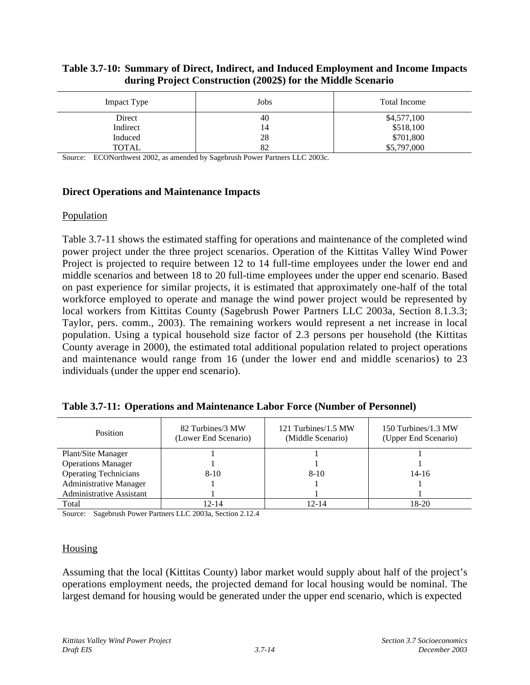#### **Table 3.7-10: Summary of Direct, Indirect, and Induced Employment and Income Impacts during Project Construction (2002\$) for the Middle Scenario**

| Impact Type | Jobs | <b>Total Income</b> |
|-------------|------|---------------------|
| Direct      | 40   | \$4,577,100         |
| Indirect    | 14   | \$518,100           |
| Induced     | 28   | \$701,800           |
| TOTAL       | 82   | \$5,797,000         |

Source: ECONorthwest 2002, as amended by Sagebrush Power Partners LLC 2003c.

### **Direct Operations and Maintenance Impacts**

### Population

Table 3.7-11 shows the estimated staffing for operations and maintenance of the completed wind power project under the three project scenarios. Operation of the Kittitas Valley Wind Power Project is projected to require between 12 to 14 full-time employees under the lower end and middle scenarios and between 18 to 20 full-time employees under the upper end scenario. Based on past experience for similar projects, it is estimated that approximately one-half of the total workforce employed to operate and manage the wind power project would be represented by local workers from Kittitas County (Sagebrush Power Partners LLC 2003a, Section 8.1.3.3; Taylor, pers. comm., 2003). The remaining workers would represent a net increase in local population. Using a typical household size factor of 2.3 persons per household (the Kittitas County average in 2000), the estimated total additional population related to project operations and maintenance would range from 16 (under the lower end and middle scenarios) to 23 individuals (under the upper end scenario).

| Table 3.7-11: Operations and Maintenance Labor Force (Number of Personnel) |  |  |
|----------------------------------------------------------------------------|--|--|
|                                                                            |  |  |

| Position                        | 82 Turbines/3 MW<br>(Lower End Scenario) | 121 Turbines/1.5 MW<br>(Middle Scenario) | 150 Turbines/1.3 MW<br>(Upper End Scenario) |
|---------------------------------|------------------------------------------|------------------------------------------|---------------------------------------------|
| Plant/Site Manager              |                                          |                                          |                                             |
| <b>Operations Manager</b>       |                                          |                                          |                                             |
| <b>Operating Technicians</b>    | $8 - 10$                                 | $8 - 10$                                 | $14 - 16$                                   |
| Administrative Manager          |                                          |                                          |                                             |
| <b>Administrative Assistant</b> |                                          |                                          |                                             |
| Total                           | 12-14                                    | 12-14                                    | 18-20                                       |

Source: Sagebrush Power Partners LLC 2003a, Section 2.12.4

### **Housing**

Assuming that the local (Kittitas County) labor market would supply about half of the project's operations employment needs, the projected demand for local housing would be nominal. The largest demand for housing would be generated under the upper end scenario, which is expected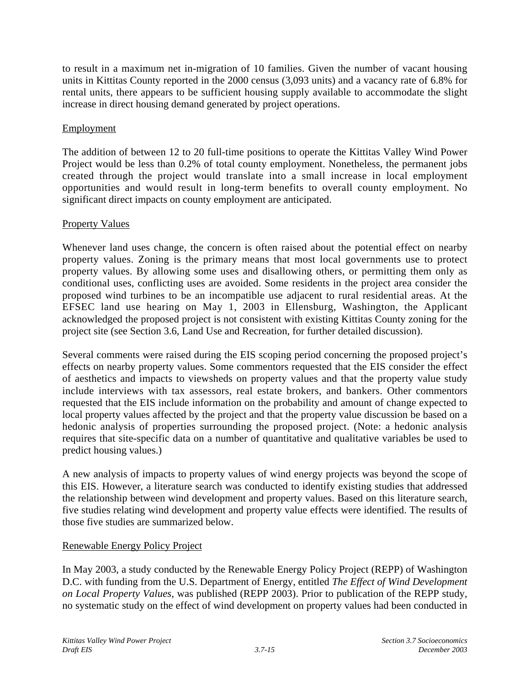to result in a maximum net in-migration of 10 families. Given the number of vacant housing units in Kittitas County reported in the 2000 census (3,093 units) and a vacancy rate of 6.8% for rental units, there appears to be sufficient housing supply available to accommodate the slight increase in direct housing demand generated by project operations.

## **Employment**

The addition of between 12 to 20 full-time positions to operate the Kittitas Valley Wind Power Project would be less than 0.2% of total county employment. Nonetheless, the permanent jobs created through the project would translate into a small increase in local employment opportunities and would result in long-term benefits to overall county employment. No significant direct impacts on county employment are anticipated.

# Property Values

Whenever land uses change, the concern is often raised about the potential effect on nearby property values. Zoning is the primary means that most local governments use to protect property values. By allowing some uses and disallowing others, or permitting them only as conditional uses, conflicting uses are avoided. Some residents in the project area consider the proposed wind turbines to be an incompatible use adjacent to rural residential areas. At the EFSEC land use hearing on May 1, 2003 in Ellensburg, Washington, the Applicant acknowledged the proposed project is not consistent with existing Kittitas County zoning for the project site (see Section 3.6, Land Use and Recreation, for further detailed discussion).

Several comments were raised during the EIS scoping period concerning the proposed project's effects on nearby property values. Some commentors requested that the EIS consider the effect of aesthetics and impacts to viewsheds on property values and that the property value study include interviews with tax assessors, real estate brokers, and bankers. Other commentors requested that the EIS include information on the probability and amount of change expected to local property values affected by the project and that the property value discussion be based on a hedonic analysis of properties surrounding the proposed project. (Note: a hedonic analysis requires that site-specific data on a number of quantitative and qualitative variables be used to predict housing values.)

A new analysis of impacts to property values of wind energy projects was beyond the scope of this EIS. However, a literature search was conducted to identify existing studies that addressed the relationship between wind development and property values. Based on this literature search, five studies relating wind development and property value effects were identified. The results of those five studies are summarized below.

## Renewable Energy Policy Project

In May 2003, a study conducted by the Renewable Energy Policy Project (REPP) of Washington D.C. with funding from the U.S. Department of Energy, entitled *The Effect of Wind Development on Local Property Values,* was published (REPP 2003). Prior to publication of the REPP study, no systematic study on the effect of wind development on property values had been conducted in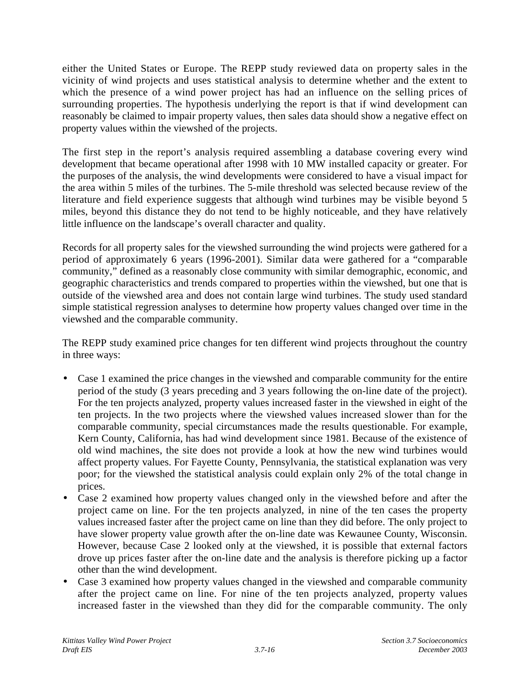either the United States or Europe. The REPP study reviewed data on property sales in the vicinity of wind projects and uses statistical analysis to determine whether and the extent to which the presence of a wind power project has had an influence on the selling prices of surrounding properties. The hypothesis underlying the report is that if wind development can reasonably be claimed to impair property values, then sales data should show a negative effect on property values within the viewshed of the projects.

The first step in the report's analysis required assembling a database covering every wind development that became operational after 1998 with 10 MW installed capacity or greater. For the purposes of the analysis, the wind developments were considered to have a visual impact for the area within 5 miles of the turbines. The 5-mile threshold was selected because review of the literature and field experience suggests that although wind turbines may be visible beyond 5 miles, beyond this distance they do not tend to be highly noticeable, and they have relatively little influence on the landscape's overall character and quality.

Records for all property sales for the viewshed surrounding the wind projects were gathered for a period of approximately 6 years (1996-2001). Similar data were gathered for a "comparable community," defined as a reasonably close community with similar demographic, economic, and geographic characteristics and trends compared to properties within the viewshed, but one that is outside of the viewshed area and does not contain large wind turbines. The study used standard simple statistical regression analyses to determine how property values changed over time in the viewshed and the comparable community.

The REPP study examined price changes for ten different wind projects throughout the country in three ways:

- Case 1 examined the price changes in the viewshed and comparable community for the entire period of the study (3 years preceding and 3 years following the on-line date of the project). For the ten projects analyzed, property values increased faster in the viewshed in eight of the ten projects. In the two projects where the viewshed values increased slower than for the comparable community, special circumstances made the results questionable. For example, Kern County, California, has had wind development since 1981. Because of the existence of old wind machines, the site does not provide a look at how the new wind turbines would affect property values. For Fayette County, Pennsylvania, the statistical explanation was very poor; for the viewshed the statistical analysis could explain only 2% of the total change in prices.
- Case 2 examined how property values changed only in the viewshed before and after the project came on line. For the ten projects analyzed, in nine of the ten cases the property values increased faster after the project came on line than they did before. The only project to have slower property value growth after the on-line date was Kewaunee County, Wisconsin. However, because Case 2 looked only at the viewshed, it is possible that external factors drove up prices faster after the on-line date and the analysis is therefore picking up a factor other than the wind development.
- Case 3 examined how property values changed in the viewshed and comparable community after the project came on line. For nine of the ten projects analyzed, property values increased faster in the viewshed than they did for the comparable community. The only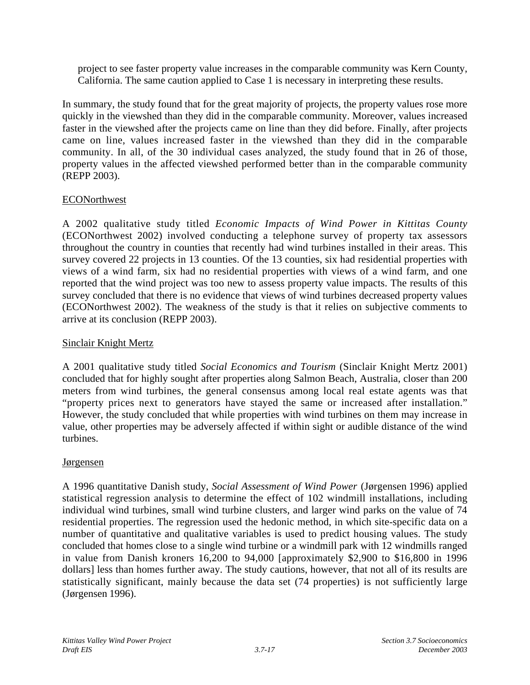project to see faster property value increases in the comparable community was Kern County, California. The same caution applied to Case 1 is necessary in interpreting these results.

In summary, the study found that for the great majority of projects, the property values rose more quickly in the viewshed than they did in the comparable community. Moreover, values increased faster in the viewshed after the projects came on line than they did before. Finally, after projects came on line, values increased faster in the viewshed than they did in the comparable community. In all, of the 30 individual cases analyzed, the study found that in 26 of those, property values in the affected viewshed performed better than in the comparable community (REPP 2003).

## **ECONorthwest**

A 2002 qualitative study titled *Economic Impacts of Wind Power in Kittitas County* (ECONorthwest 2002) involved conducting a telephone survey of property tax assessors throughout the country in counties that recently had wind turbines installed in their areas. This survey covered 22 projects in 13 counties. Of the 13 counties, six had residential properties with views of a wind farm, six had no residential properties with views of a wind farm, and one reported that the wind project was too new to assess property value impacts. The results of this survey concluded that there is no evidence that views of wind turbines decreased property values (ECONorthwest 2002). The weakness of the study is that it relies on subjective comments to arrive at its conclusion (REPP 2003).

## Sinclair Knight Mertz

A 2001 qualitative study titled *Social Economics and Tourism* (Sinclair Knight Mertz 2001) concluded that for highly sought after properties along Salmon Beach, Australia, closer than 200 meters from wind turbines, the general consensus among local real estate agents was that "property prices next to generators have stayed the same or increased after installation." However, the study concluded that while properties with wind turbines on them may increase in value, other properties may be adversely affected if within sight or audible distance of the wind turbines.

### Jørgensen

A 1996 quantitative Danish study, *Social Assessment of Wind Power* (Jørgensen 1996) applied statistical regression analysis to determine the effect of 102 windmill installations, including individual wind turbines, small wind turbine clusters, and larger wind parks on the value of 74 residential properties. The regression used the hedonic method, in which site-specific data on a number of quantitative and qualitative variables is used to predict housing values. The study concluded that homes close to a single wind turbine or a windmill park with 12 windmills ranged in value from Danish kroners 16,200 to 94,000 [approximately \$2,900 to \$16,800 in 1996 dollars] less than homes further away. The study cautions, however, that not all of its results are statistically significant, mainly because the data set (74 properties) is not sufficiently large (Jørgensen 1996).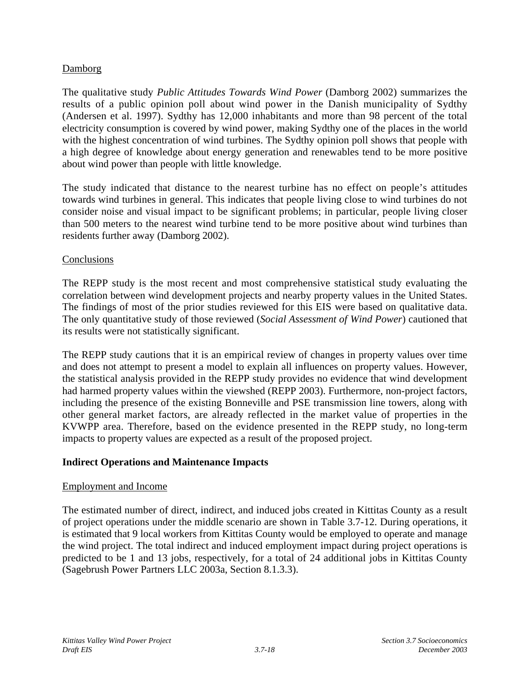## Damborg

The qualitative study *Public Attitudes Towards Wind Power* (Damborg 2002) summarizes the results of a public opinion poll about wind power in the Danish municipality of Sydthy (Andersen et al. 1997). Sydthy has 12,000 inhabitants and more than 98 percent of the total electricity consumption is covered by wind power, making Sydthy one of the places in the world with the highest concentration of wind turbines. The Sydthy opinion poll shows that people with a high degree of knowledge about energy generation and renewables tend to be more positive about wind power than people with little knowledge.

The study indicated that distance to the nearest turbine has no effect on people's attitudes towards wind turbines in general. This indicates that people living close to wind turbines do not consider noise and visual impact to be significant problems; in particular, people living closer than 500 meters to the nearest wind turbine tend to be more positive about wind turbines than residents further away (Damborg 2002).

## **Conclusions**

The REPP study is the most recent and most comprehensive statistical study evaluating the correlation between wind development projects and nearby property values in the United States. The findings of most of the prior studies reviewed for this EIS were based on qualitative data. The only quantitative study of those reviewed (*Social Assessment of Wind Power*) cautioned that its results were not statistically significant.

The REPP study cautions that it is an empirical review of changes in property values over time and does not attempt to present a model to explain all influences on property values. However, the statistical analysis provided in the REPP study provides no evidence that wind development had harmed property values within the viewshed (REPP 2003). Furthermore, non-project factors, including the presence of the existing Bonneville and PSE transmission line towers, along with other general market factors, are already reflected in the market value of properties in the KVWPP area. Therefore, based on the evidence presented in the REPP study, no long-term impacts to property values are expected as a result of the proposed project.

## **Indirect Operations and Maintenance Impacts**

### Employment and Income

The estimated number of direct, indirect, and induced jobs created in Kittitas County as a result of project operations under the middle scenario are shown in Table 3.7-12. During operations, it is estimated that 9 local workers from Kittitas County would be employed to operate and manage the wind project. The total indirect and induced employment impact during project operations is predicted to be 1 and 13 jobs, respectively, for a total of 24 additional jobs in Kittitas County (Sagebrush Power Partners LLC 2003a, Section 8.1.3.3).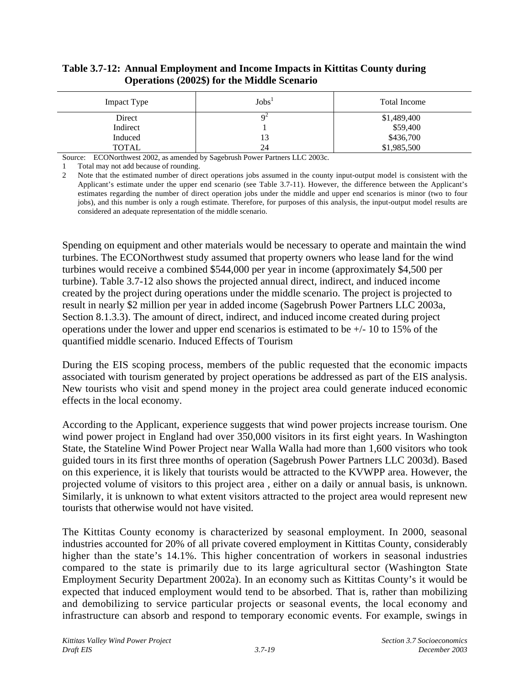### **Table 3.7-12: Annual Employment and Income Impacts in Kittitas County during Operations (2002\$) for the Middle Scenario**

| Impact Type | $\mathrm{Jobs}^1$ | <b>Total Income</b> |
|-------------|-------------------|---------------------|
| Direct      |                   | \$1,489,400         |
| Indirect    |                   | \$59,400            |
| Induced     | 13                | \$436,700           |
| TOTAL       | 24                | \$1,985,500         |

Source: ECONorthwest 2002, as amended by Sagebrush Power Partners LLC 2003c.

1 Total may not add because of rounding.

2 Note that the estimated number of direct operations jobs assumed in the county input-output model is consistent with the Applicant's estimate under the upper end scenario (see Table 3.7-11). However, the difference between the Applicant's estimates regarding the number of direct operation jobs under the middle and upper end scenarios is minor (two to four jobs), and this number is only a rough estimate. Therefore, for purposes of this analysis, the input-output model results are considered an adequate representation of the middle scenario.

Spending on equipment and other materials would be necessary to operate and maintain the wind turbines. The ECONorthwest study assumed that property owners who lease land for the wind turbines would receive a combined \$544,000 per year in income (approximately \$4,500 per turbine). Table 3.7-12 also shows the projected annual direct, indirect, and induced income created by the project during operations under the middle scenario. The project is projected to result in nearly \$2 million per year in added income (Sagebrush Power Partners LLC 2003a, Section 8.1.3.3). The amount of direct, indirect, and induced income created during project operations under the lower and upper end scenarios is estimated to be +/- 10 to 15% of the quantified middle scenario. Induced Effects of Tourism

During the EIS scoping process, members of the public requested that the economic impacts associated with tourism generated by project operations be addressed as part of the EIS analysis. New tourists who visit and spend money in the project area could generate induced economic effects in the local economy.

According to the Applicant, experience suggests that wind power projects increase tourism. One wind power project in England had over 350,000 visitors in its first eight years. In Washington State, the Stateline Wind Power Project near Walla Walla had more than 1,600 visitors who took guided tours in its first three months of operation (Sagebrush Power Partners LLC 2003d). Based on this experience, it is likely that tourists would be attracted to the KVWPP area. However, the projected volume of visitors to this project area , either on a daily or annual basis, is unknown. Similarly, it is unknown to what extent visitors attracted to the project area would represent new tourists that otherwise would not have visited.

The Kittitas County economy is characterized by seasonal employment. In 2000, seasonal industries accounted for 20% of all private covered employment in Kittitas County, considerably higher than the state's 14.1%. This higher concentration of workers in seasonal industries compared to the state is primarily due to its large agricultural sector (Washington State Employment Security Department 2002a). In an economy such as Kittitas County's it would be expected that induced employment would tend to be absorbed. That is, rather than mobilizing and demobilizing to service particular projects or seasonal events, the local economy and infrastructure can absorb and respond to temporary economic events. For example, swings in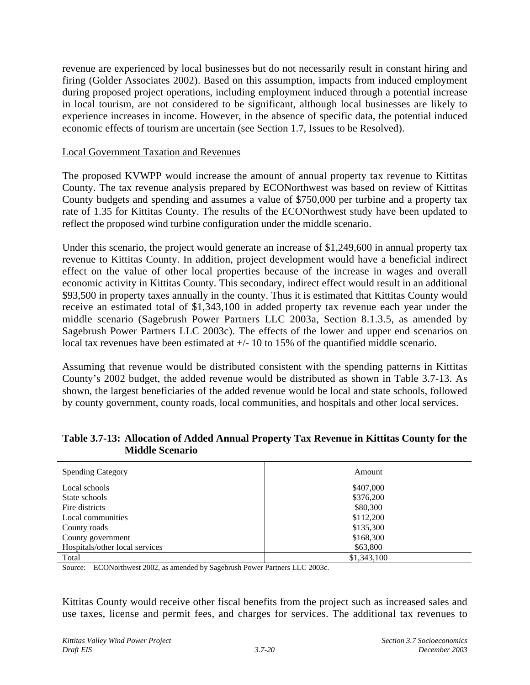revenue are experienced by local businesses but do not necessarily result in constant hiring and firing (Golder Associates 2002). Based on this assumption, impacts from induced employment during proposed project operations, including employment induced through a potential increase in local tourism, are not considered to be significant, although local businesses are likely to experience increases in income. However, in the absence of specific data, the potential induced economic effects of tourism are uncertain (see Section 1.7, Issues to be Resolved).

### Local Government Taxation and Revenues

The proposed KVWPP would increase the amount of annual property tax revenue to Kittitas County. The tax revenue analysis prepared by ECONorthwest was based on review of Kittitas County budgets and spending and assumes a value of \$750,000 per turbine and a property tax rate of 1.35 for Kittitas County. The results of the ECONorthwest study have been updated to reflect the proposed wind turbine configuration under the middle scenario.

Under this scenario, the project would generate an increase of \$1,249,600 in annual property tax revenue to Kittitas County. In addition, project development would have a beneficial indirect effect on the value of other local properties because of the increase in wages and overall economic activity in Kittitas County. This secondary, indirect effect would result in an additional \$93,500 in property taxes annually in the county. Thus it is estimated that Kittitas County would receive an estimated total of \$1,343,100 in added property tax revenue each year under the middle scenario (Sagebrush Power Partners LLC 2003a, Section 8.1.3.5, as amended by Sagebrush Power Partners LLC 2003c). The effects of the lower and upper end scenarios on local tax revenues have been estimated at  $+/- 10$  to 15% of the quantified middle scenario.

Assuming that revenue would be distributed consistent with the spending patterns in Kittitas County's 2002 budget, the added revenue would be distributed as shown in Table 3.7-13. As shown, the largest beneficiaries of the added revenue would be local and state schools, followed by county government, county roads, local communities, and hospitals and other local services.

| <b>Spending Category</b>       | Amount      |
|--------------------------------|-------------|
| Local schools                  | \$407,000   |
| State schools                  | \$376,200   |
| Fire districts                 | \$80,300    |
| Local communities              | \$112,200   |
| County roads                   | \$135,300   |
| County government              | \$168,300   |
| Hospitals/other local services | \$63,800    |
| Total                          | \$1,343,100 |

**Table 3.7-13: Allocation of Added Annual Property Tax Revenue in Kittitas County for the Middle Scenario**

Source: ECONorthwest 2002, as amended by Sagebrush Power Partners LLC 2003c.

Kittitas County would receive other fiscal benefits from the project such as increased sales and use taxes, license and permit fees, and charges for services. The additional tax revenues to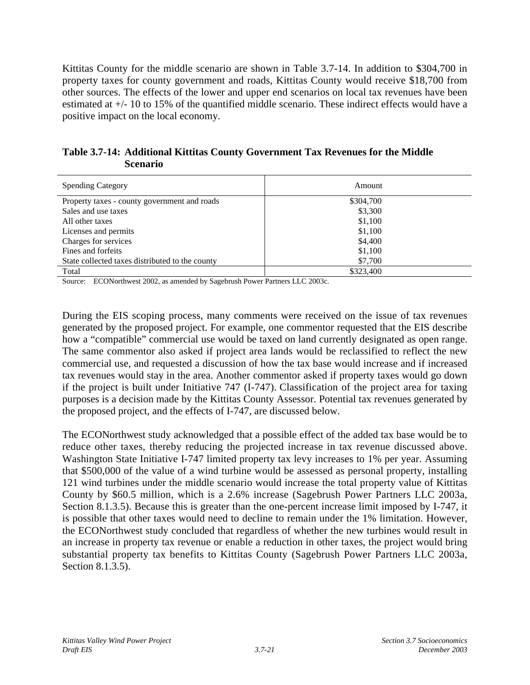Kittitas County for the middle scenario are shown in Table 3.7-14. In addition to \$304,700 in property taxes for county government and roads, Kittitas County would receive \$18,700 from other sources. The effects of the lower and upper end scenarios on local tax revenues have been estimated at +/- 10 to 15% of the quantified middle scenario. These indirect effects would have a positive impact on the local economy.

|                 | Table 3.7-14: Additional Kittitas County Government Tax Revenues for the Middle |  |
|-----------------|---------------------------------------------------------------------------------|--|
| <b>Scenario</b> |                                                                                 |  |

| <b>Spending Category</b>                        | Amount    |
|-------------------------------------------------|-----------|
| Property taxes - county government and roads    | \$304,700 |
| Sales and use taxes                             | \$3,300   |
| All other taxes                                 | \$1,100   |
| Licenses and permits                            | \$1,100   |
| Charges for services                            | \$4,400   |
| Fines and forfeits                              | \$1,100   |
| State collected taxes distributed to the county | \$7,700   |
| Total                                           | \$323,400 |

Source: ECONorthwest 2002, as amended by Sagebrush Power Partners LLC 2003c.

During the EIS scoping process, many comments were received on the issue of tax revenues generated by the proposed project. For example, one commentor requested that the EIS describe how a "compatible" commercial use would be taxed on land currently designated as open range. The same commentor also asked if project area lands would be reclassified to reflect the new commercial use, and requested a discussion of how the tax base would increase and if increased tax revenues would stay in the area. Another commentor asked if property taxes would go down if the project is built under Initiative 747 (I-747). Classification of the project area for taxing purposes is a decision made by the Kittitas County Assessor. Potential tax revenues generated by the proposed project, and the effects of I-747, are discussed below.

The ECONorthwest study acknowledged that a possible effect of the added tax base would be to reduce other taxes, thereby reducing the projected increase in tax revenue discussed above. Washington State Initiative I-747 limited property tax levy increases to 1% per year. Assuming that \$500,000 of the value of a wind turbine would be assessed as personal property, installing 121 wind turbines under the middle scenario would increase the total property value of Kittitas County by \$60.5 million, which is a 2.6% increase (Sagebrush Power Partners LLC 2003a, Section 8.1.3.5). Because this is greater than the one-percent increase limit imposed by I-747, it is possible that other taxes would need to decline to remain under the 1% limitation. However, the ECONorthwest study concluded that regardless of whether the new turbines would result in an increase in property tax revenue or enable a reduction in other taxes, the project would bring substantial property tax benefits to Kittitas County (Sagebrush Power Partners LLC 2003a, Section 8.1.3.5).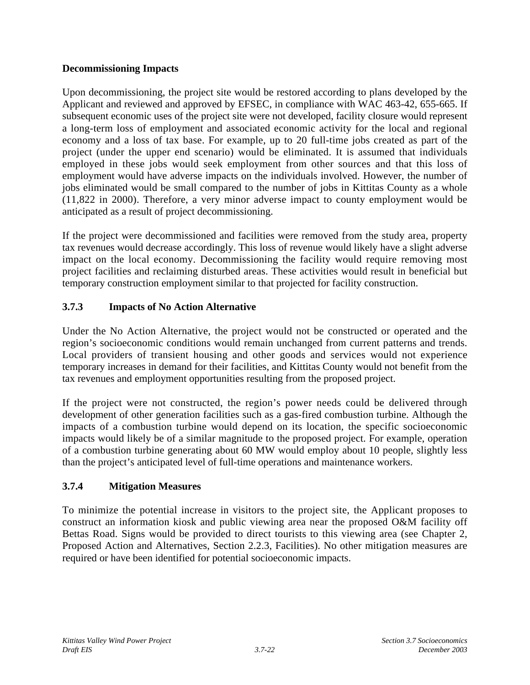## **Decommissioning Impacts**

Upon decommissioning, the project site would be restored according to plans developed by the Applicant and reviewed and approved by EFSEC, in compliance with WAC 463-42, 655-665. If subsequent economic uses of the project site were not developed, facility closure would represent a long-term loss of employment and associated economic activity for the local and regional economy and a loss of tax base. For example, up to 20 full-time jobs created as part of the project (under the upper end scenario) would be eliminated. It is assumed that individuals employed in these jobs would seek employment from other sources and that this loss of employment would have adverse impacts on the individuals involved. However, the number of jobs eliminated would be small compared to the number of jobs in Kittitas County as a whole (11,822 in 2000). Therefore, a very minor adverse impact to county employment would be anticipated as a result of project decommissioning.

If the project were decommissioned and facilities were removed from the study area, property tax revenues would decrease accordingly. This loss of revenue would likely have a slight adverse impact on the local economy. Decommissioning the facility would require removing most project facilities and reclaiming disturbed areas. These activities would result in beneficial but temporary construction employment similar to that projected for facility construction.

# **3.7.3 Impacts of No Action Alternative**

Under the No Action Alternative, the project would not be constructed or operated and the region's socioeconomic conditions would remain unchanged from current patterns and trends. Local providers of transient housing and other goods and services would not experience temporary increases in demand for their facilities, and Kittitas County would not benefit from the tax revenues and employment opportunities resulting from the proposed project.

If the project were not constructed, the region's power needs could be delivered through development of other generation facilities such as a gas-fired combustion turbine. Although the impacts of a combustion turbine would depend on its location, the specific socioeconomic impacts would likely be of a similar magnitude to the proposed project. For example, operation of a combustion turbine generating about 60 MW would employ about 10 people, slightly less than the project's anticipated level of full-time operations and maintenance workers.

# **3.7.4 Mitigation Measures**

To minimize the potential increase in visitors to the project site, the Applicant proposes to construct an information kiosk and public viewing area near the proposed O&M facility off Bettas Road. Signs would be provided to direct tourists to this viewing area (see Chapter 2, Proposed Action and Alternatives, Section 2.2.3, Facilities). No other mitigation measures are required or have been identified for potential socioeconomic impacts.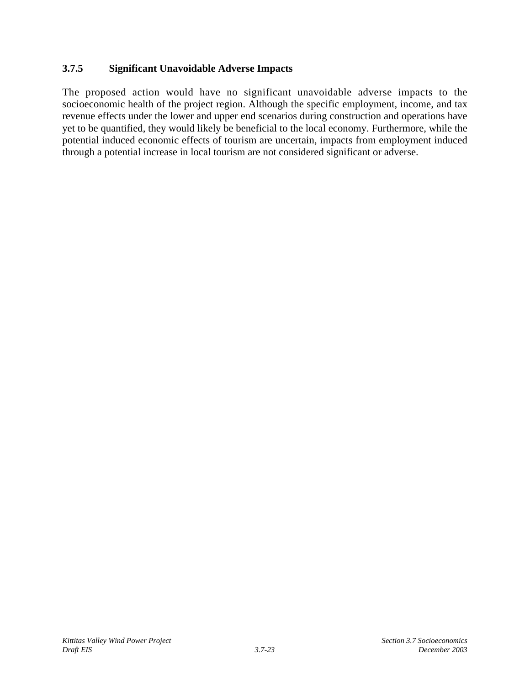# **3.7.5 Significant Unavoidable Adverse Impacts**

The proposed action would have no significant unavoidable adverse impacts to the socioeconomic health of the project region. Although the specific employment, income, and tax revenue effects under the lower and upper end scenarios during construction and operations have yet to be quantified, they would likely be beneficial to the local economy. Furthermore, while the potential induced economic effects of tourism are uncertain, impacts from employment induced through a potential increase in local tourism are not considered significant or adverse.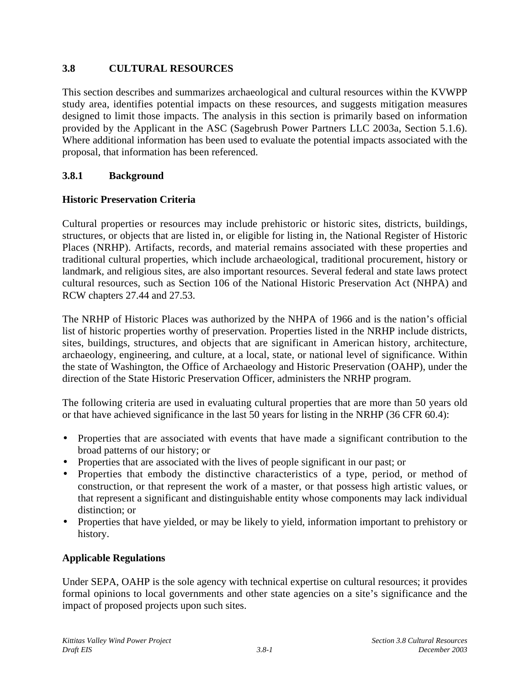# **3.8 CULTURAL RESOURCES**

This section describes and summarizes archaeological and cultural resources within the KVWPP study area, identifies potential impacts on these resources, and suggests mitigation measures designed to limit those impacts. The analysis in this section is primarily based on information provided by the Applicant in the ASC (Sagebrush Power Partners LLC 2003a, Section 5.1.6). Where additional information has been used to evaluate the potential impacts associated with the proposal, that information has been referenced.

# **3.8.1 Background**

# **Historic Preservation Criteria**

Cultural properties or resources may include prehistoric or historic sites, districts, buildings, structures, or objects that are listed in, or eligible for listing in, the National Register of Historic Places (NRHP). Artifacts, records, and material remains associated with these properties and traditional cultural properties, which include archaeological, traditional procurement, history or landmark, and religious sites, are also important resources. Several federal and state laws protect cultural resources, such as Section 106 of the National Historic Preservation Act (NHPA) and RCW chapters 27.44 and 27.53.

The NRHP of Historic Places was authorized by the NHPA of 1966 and is the nation's official list of historic properties worthy of preservation. Properties listed in the NRHP include districts, sites, buildings, structures, and objects that are significant in American history, architecture, archaeology, engineering, and culture, at a local, state, or national level of significance. Within the state of Washington, the Office of Archaeology and Historic Preservation (OAHP), under the direction of the State Historic Preservation Officer, administers the NRHP program.

The following criteria are used in evaluating cultural properties that are more than 50 years old or that have achieved significance in the last 50 years for listing in the NRHP (36 CFR 60.4):

- Properties that are associated with events that have made a significant contribution to the broad patterns of our history; or
- Properties that are associated with the lives of people significant in our past; or
- Properties that embody the distinctive characteristics of a type, period, or method of construction, or that represent the work of a master, or that possess high artistic values, or that represent a significant and distinguishable entity whose components may lack individual distinction; or
- Properties that have yielded, or may be likely to yield, information important to prehistory or history.

## **Applicable Regulations**

Under SEPA, OAHP is the sole agency with technical expertise on cultural resources; it provides formal opinions to local governments and other state agencies on a site's significance and the impact of proposed projects upon such sites.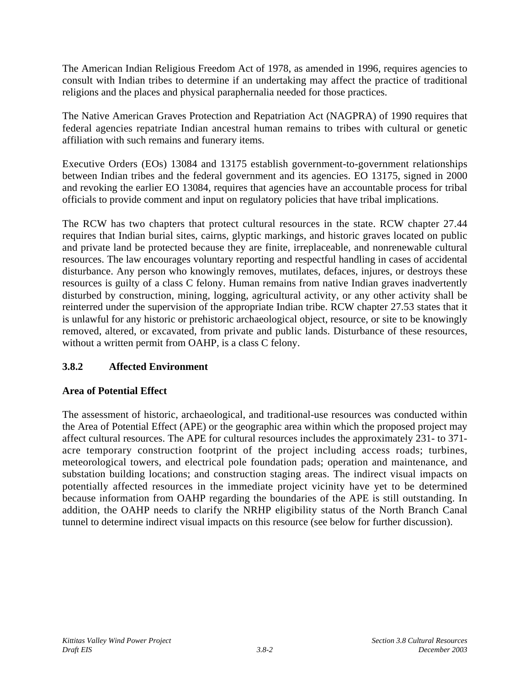The American Indian Religious Freedom Act of 1978, as amended in 1996, requires agencies to consult with Indian tribes to determine if an undertaking may affect the practice of traditional religions and the places and physical paraphernalia needed for those practices.

The Native American Graves Protection and Repatriation Act (NAGPRA) of 1990 requires that federal agencies repatriate Indian ancestral human remains to tribes with cultural or genetic affiliation with such remains and funerary items.

Executive Orders (EOs) 13084 and 13175 establish government-to-government relationships between Indian tribes and the federal government and its agencies. EO 13175, signed in 2000 and revoking the earlier EO 13084, requires that agencies have an accountable process for tribal officials to provide comment and input on regulatory policies that have tribal implications.

The RCW has two chapters that protect cultural resources in the state. RCW chapter 27.44 requires that Indian burial sites, cairns, glyptic markings, and historic graves located on public and private land be protected because they are finite, irreplaceable, and nonrenewable cultural resources. The law encourages voluntary reporting and respectful handling in cases of accidental disturbance. Any person who knowingly removes, mutilates, defaces, injures, or destroys these resources is guilty of a class C felony. Human remains from native Indian graves inadvertently disturbed by construction, mining, logging, agricultural activity, or any other activity shall be reinterred under the supervision of the appropriate Indian tribe. RCW chapter 27.53 states that it is unlawful for any historic or prehistoric archaeological object, resource, or site to be knowingly removed, altered, or excavated, from private and public lands. Disturbance of these resources, without a written permit from OAHP, is a class C felony.

# **3.8.2 Affected Environment**

# **Area of Potential Effect**

The assessment of historic, archaeological, and traditional-use resources was conducted within the Area of Potential Effect (APE) or the geographic area within which the proposed project may affect cultural resources. The APE for cultural resources includes the approximately 231- to 371 acre temporary construction footprint of the project including access roads; turbines, meteorological towers, and electrical pole foundation pads; operation and maintenance, and substation building locations; and construction staging areas. The indirect visual impacts on potentially affected resources in the immediate project vicinity have yet to be determined because information from OAHP regarding the boundaries of the APE is still outstanding. In addition, the OAHP needs to clarify the NRHP eligibility status of the North Branch Canal tunnel to determine indirect visual impacts on this resource (see below for further discussion).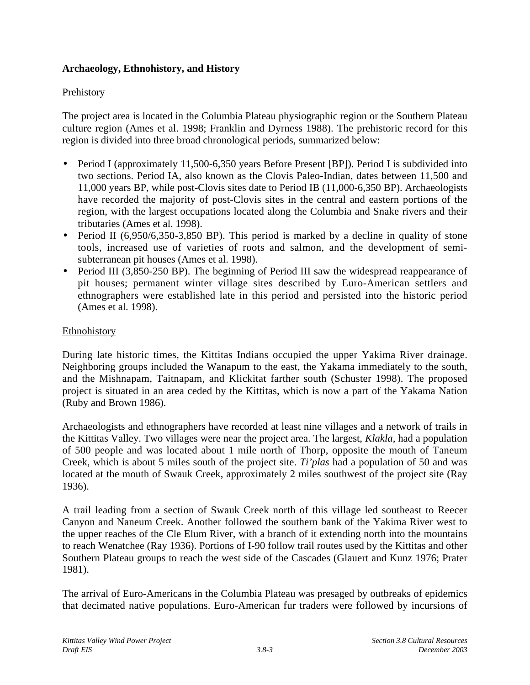# **Archaeology, Ethnohistory, and History**

## Prehistory

The project area is located in the Columbia Plateau physiographic region or the Southern Plateau culture region (Ames et al. 1998; Franklin and Dyrness 1988). The prehistoric record for this region is divided into three broad chronological periods, summarized below:

- Period I (approximately 11,500-6,350 years Before Present [BP]). Period I is subdivided into two sections. Period IA, also known as the Clovis Paleo-Indian, dates between 11,500 and 11,000 years BP, while post-Clovis sites date to Period IB (11,000-6,350 BP). Archaeologists have recorded the majority of post-Clovis sites in the central and eastern portions of the region, with the largest occupations located along the Columbia and Snake rivers and their tributaries (Ames et al. 1998).
- Period II (6,950/6,350-3,850 BP). This period is marked by a decline in quality of stone tools, increased use of varieties of roots and salmon, and the development of semisubterranean pit houses (Ames et al. 1998).
- Period III (3,850-250 BP). The beginning of Period III saw the widespread reappearance of pit houses; permanent winter village sites described by Euro-American settlers and ethnographers were established late in this period and persisted into the historic period (Ames et al. 1998).

## Ethnohistory

During late historic times, the Kittitas Indians occupied the upper Yakima River drainage. Neighboring groups included the Wanapum to the east, the Yakama immediately to the south, and the Mishnapam, Taitnapam, and Klickitat farther south (Schuster 1998). The proposed project is situated in an area ceded by the Kittitas, which is now a part of the Yakama Nation (Ruby and Brown 1986).

Archaeologists and ethnographers have recorded at least nine villages and a network of trails in the Kittitas Valley. Two villages were near the project area. The largest, *Klakla*, had a population of 500 people and was located about 1 mile north of Thorp, opposite the mouth of Taneum Creek, which is about 5 miles south of the project site. *Ti'plas* had a population of 50 and was located at the mouth of Swauk Creek, approximately 2 miles southwest of the project site (Ray 1936).

A trail leading from a section of Swauk Creek north of this village led southeast to Reecer Canyon and Naneum Creek. Another followed the southern bank of the Yakima River west to the upper reaches of the Cle Elum River, with a branch of it extending north into the mountains to reach Wenatchee (Ray 1936). Portions of I-90 follow trail routes used by the Kittitas and other Southern Plateau groups to reach the west side of the Cascades (Glauert and Kunz 1976; Prater 1981).

The arrival of Euro-Americans in the Columbia Plateau was presaged by outbreaks of epidemics that decimated native populations. Euro-American fur traders were followed by incursions of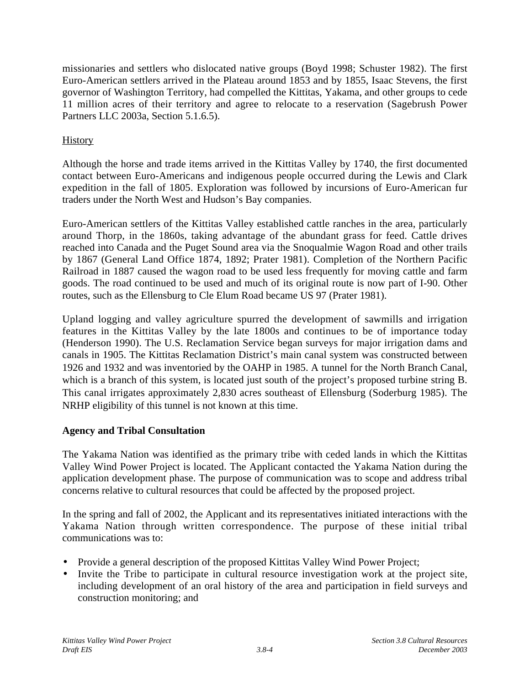missionaries and settlers who dislocated native groups (Boyd 1998; Schuster 1982). The first Euro-American settlers arrived in the Plateau around 1853 and by 1855, Isaac Stevens, the first governor of Washington Territory, had compelled the Kittitas, Yakama, and other groups to cede 11 million acres of their territory and agree to relocate to a reservation (Sagebrush Power Partners LLC 2003a, Section 5.1.6.5).

# **History**

Although the horse and trade items arrived in the Kittitas Valley by 1740, the first documented contact between Euro-Americans and indigenous people occurred during the Lewis and Clark expedition in the fall of 1805. Exploration was followed by incursions of Euro-American fur traders under the North West and Hudson's Bay companies.

Euro-American settlers of the Kittitas Valley established cattle ranches in the area, particularly around Thorp, in the 1860s, taking advantage of the abundant grass for feed. Cattle drives reached into Canada and the Puget Sound area via the Snoqualmie Wagon Road and other trails by 1867 (General Land Office 1874, 1892; Prater 1981). Completion of the Northern Pacific Railroad in 1887 caused the wagon road to be used less frequently for moving cattle and farm goods. The road continued to be used and much of its original route is now part of I-90. Other routes, such as the Ellensburg to Cle Elum Road became US 97 (Prater 1981).

Upland logging and valley agriculture spurred the development of sawmills and irrigation features in the Kittitas Valley by the late 1800s and continues to be of importance today (Henderson 1990). The U.S. Reclamation Service began surveys for major irrigation dams and canals in 1905. The Kittitas Reclamation District's main canal system was constructed between 1926 and 1932 and was inventoried by the OAHP in 1985. A tunnel for the North Branch Canal, which is a branch of this system, is located just south of the project's proposed turbine string B. This canal irrigates approximately 2,830 acres southeast of Ellensburg (Soderburg 1985). The NRHP eligibility of this tunnel is not known at this time.

# **Agency and Tribal Consultation**

The Yakama Nation was identified as the primary tribe with ceded lands in which the Kittitas Valley Wind Power Project is located. The Applicant contacted the Yakama Nation during the application development phase. The purpose of communication was to scope and address tribal concerns relative to cultural resources that could be affected by the proposed project.

In the spring and fall of 2002, the Applicant and its representatives initiated interactions with the Yakama Nation through written correspondence. The purpose of these initial tribal communications was to:

- Provide a general description of the proposed Kittitas Valley Wind Power Project;
- Invite the Tribe to participate in cultural resource investigation work at the project site, including development of an oral history of the area and participation in field surveys and construction monitoring; and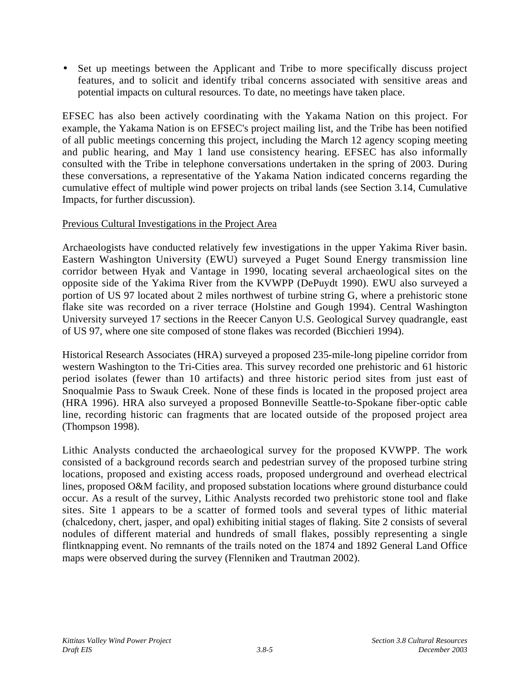• Set up meetings between the Applicant and Tribe to more specifically discuss project features, and to solicit and identify tribal concerns associated with sensitive areas and potential impacts on cultural resources. To date, no meetings have taken place.

EFSEC has also been actively coordinating with the Yakama Nation on this project. For example, the Yakama Nation is on EFSEC's project mailing list, and the Tribe has been notified of all public meetings concerning this project, including the March 12 agency scoping meeting and public hearing, and May 1 land use consistency hearing. EFSEC has also informally consulted with the Tribe in telephone conversations undertaken in the spring of 2003. During these conversations, a representative of the Yakama Nation indicated concerns regarding the cumulative effect of multiple wind power projects on tribal lands (see Section 3.14, Cumulative Impacts, for further discussion).

## Previous Cultural Investigations in the Project Area

Archaeologists have conducted relatively few investigations in the upper Yakima River basin. Eastern Washington University (EWU) surveyed a Puget Sound Energy transmission line corridor between Hyak and Vantage in 1990, locating several archaeological sites on the opposite side of the Yakima River from the KVWPP (DePuydt 1990). EWU also surveyed a portion of US 97 located about 2 miles northwest of turbine string G, where a prehistoric stone flake site was recorded on a river terrace (Holstine and Gough 1994). Central Washington University surveyed 17 sections in the Reecer Canyon U.S. Geological Survey quadrangle, east of US 97, where one site composed of stone flakes was recorded (Bicchieri 1994).

Historical Research Associates (HRA) surveyed a proposed 235-mile-long pipeline corridor from western Washington to the Tri-Cities area. This survey recorded one prehistoric and 61 historic period isolates (fewer than 10 artifacts) and three historic period sites from just east of Snoqualmie Pass to Swauk Creek. None of these finds is located in the proposed project area (HRA 1996). HRA also surveyed a proposed Bonneville Seattle-to-Spokane fiber-optic cable line, recording historic can fragments that are located outside of the proposed project area (Thompson 1998).

Lithic Analysts conducted the archaeological survey for the proposed KVWPP. The work consisted of a background records search and pedestrian survey of the proposed turbine string locations, proposed and existing access roads, proposed underground and overhead electrical lines, proposed O&M facility, and proposed substation locations where ground disturbance could occur. As a result of the survey, Lithic Analysts recorded two prehistoric stone tool and flake sites. Site 1 appears to be a scatter of formed tools and several types of lithic material (chalcedony, chert, jasper, and opal) exhibiting initial stages of flaking. Site 2 consists of several nodules of different material and hundreds of small flakes, possibly representing a single flintknapping event. No remnants of the trails noted on the 1874 and 1892 General Land Office maps were observed during the survey (Flenniken and Trautman 2002).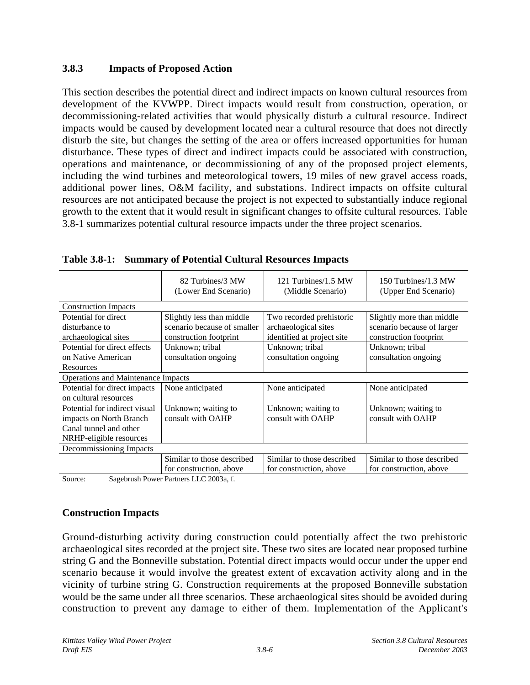## **3.8.3 Impacts of Proposed Action**

This section describes the potential direct and indirect impacts on known cultural resources from development of the KVWPP. Direct impacts would result from construction, operation, or decommissioning-related activities that would physically disturb a cultural resource. Indirect impacts would be caused by development located near a cultural resource that does not directly disturb the site, but changes the setting of the area or offers increased opportunities for human disturbance. These types of direct and indirect impacts could be associated with construction, operations and maintenance, or decommissioning of any of the proposed project elements, including the wind turbines and meteorological towers, 19 miles of new gravel access roads, additional power lines, O&M facility, and substations. Indirect impacts on offsite cultural resources are not anticipated because the project is not expected to substantially induce regional growth to the extent that it would result in significant changes to offsite cultural resources. Table 3.8-1 summarizes potential cultural resource impacts under the three project scenarios.

|                                      | 82 Turbines/3 MW<br>(Lower End Scenario) | 121 Turbines/1.5 MW<br>(Middle Scenario) | 150 Turbines/1.3 MW<br>(Upper End Scenario) |
|--------------------------------------|------------------------------------------|------------------------------------------|---------------------------------------------|
| <b>Construction Impacts</b>          |                                          |                                          |                                             |
| Potential for direct                 | Slightly less than middle                | Two recorded prehistoric                 | Slightly more than middle                   |
| disturbance to                       | scenario because of smaller              | archaeological sites                     | scenario because of larger                  |
| archaeological sites                 | construction footprint                   | identified at project site               | construction footprint                      |
| Potential for direct effects         | Unknown; tribal                          | Unknown; tribal                          | Unknown; tribal                             |
| on Native American                   | consultation ongoing                     | consultation ongoing                     | consultation ongoing                        |
| Resources                            |                                          |                                          |                                             |
| Operations and Maintenance Impacts   |                                          |                                          |                                             |
| Potential for direct impacts         | None anticipated                         | None anticipated                         | None anticipated                            |
| on cultural resources                |                                          |                                          |                                             |
| Potential for indirect visual        | Unknown; waiting to                      | Unknown; waiting to                      | Unknown; waiting to                         |
| impacts on North Branch              | consult with OAHP                        | consult with OAHP                        | consult with OAHP                           |
| Canal tunnel and other               |                                          |                                          |                                             |
| NRHP-eligible resources              |                                          |                                          |                                             |
| Decommissioning Impacts              |                                          |                                          |                                             |
|                                      | Similar to those described               | Similar to those described               | Similar to those described                  |
|                                      | for construction, above                  | for construction, above                  | for construction, above                     |
| $\sim$<br>$\alpha$ $\alpha$ $\alpha$ | T T Q Q Q Q Q                            |                                          |                                             |

**Table 3.8-1: Summary of Potential Cultural Resources Impacts**

Source: Sagebrush Power Partners LLC 2003a, f.

## **Construction Impacts**

Ground-disturbing activity during construction could potentially affect the two prehistoric archaeological sites recorded at the project site. These two sites are located near proposed turbine string G and the Bonneville substation. Potential direct impacts would occur under the upper end scenario because it would involve the greatest extent of excavation activity along and in the vicinity of turbine string G. Construction requirements at the proposed Bonneville substation would be the same under all three scenarios. These archaeological sites should be avoided during construction to prevent any damage to either of them. Implementation of the Applicant's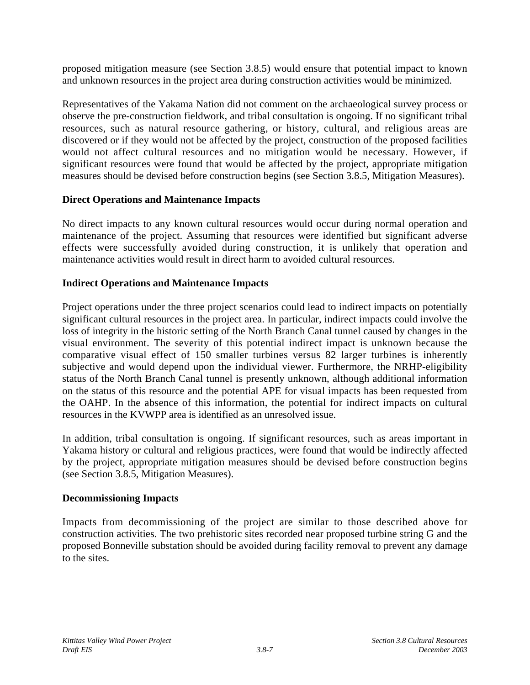proposed mitigation measure (see Section 3.8.5) would ensure that potential impact to known and unknown resources in the project area during construction activities would be minimized.

Representatives of the Yakama Nation did not comment on the archaeological survey process or observe the pre-construction fieldwork, and tribal consultation is ongoing. If no significant tribal resources, such as natural resource gathering, or history, cultural, and religious areas are discovered or if they would not be affected by the project, construction of the proposed facilities would not affect cultural resources and no mitigation would be necessary. However, if significant resources were found that would be affected by the project, appropriate mitigation measures should be devised before construction begins (see Section 3.8.5, Mitigation Measures).

### **Direct Operations and Maintenance Impacts**

No direct impacts to any known cultural resources would occur during normal operation and maintenance of the project. Assuming that resources were identified but significant adverse effects were successfully avoided during construction, it is unlikely that operation and maintenance activities would result in direct harm to avoided cultural resources.

### **Indirect Operations and Maintenance Impacts**

Project operations under the three project scenarios could lead to indirect impacts on potentially significant cultural resources in the project area. In particular, indirect impacts could involve the loss of integrity in the historic setting of the North Branch Canal tunnel caused by changes in the visual environment. The severity of this potential indirect impact is unknown because the comparative visual effect of 150 smaller turbines versus 82 larger turbines is inherently subjective and would depend upon the individual viewer. Furthermore, the NRHP-eligibility status of the North Branch Canal tunnel is presently unknown, although additional information on the status of this resource and the potential APE for visual impacts has been requested from the OAHP. In the absence of this information, the potential for indirect impacts on cultural resources in the KVWPP area is identified as an unresolved issue.

In addition, tribal consultation is ongoing. If significant resources, such as areas important in Yakama history or cultural and religious practices, were found that would be indirectly affected by the project, appropriate mitigation measures should be devised before construction begins (see Section 3.8.5, Mitigation Measures).

### **Decommissioning Impacts**

Impacts from decommissioning of the project are similar to those described above for construction activities. The two prehistoric sites recorded near proposed turbine string G and the proposed Bonneville substation should be avoided during facility removal to prevent any damage to the sites.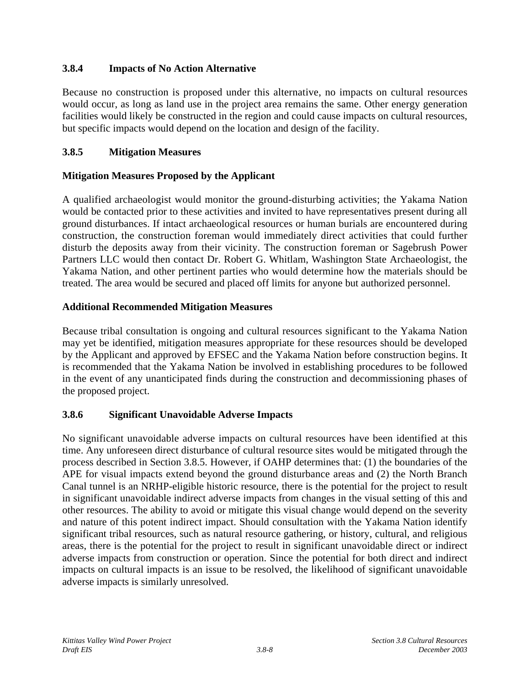# **3.8.4 Impacts of No Action Alternative**

Because no construction is proposed under this alternative, no impacts on cultural resources would occur, as long as land use in the project area remains the same. Other energy generation facilities would likely be constructed in the region and could cause impacts on cultural resources, but specific impacts would depend on the location and design of the facility.

# **3.8.5 Mitigation Measures**

# **Mitigation Measures Proposed by the Applicant**

A qualified archaeologist would monitor the ground-disturbing activities; the Yakama Nation would be contacted prior to these activities and invited to have representatives present during all ground disturbances. If intact archaeological resources or human burials are encountered during construction, the construction foreman would immediately direct activities that could further disturb the deposits away from their vicinity. The construction foreman or Sagebrush Power Partners LLC would then contact Dr. Robert G. Whitlam, Washington State Archaeologist, the Yakama Nation, and other pertinent parties who would determine how the materials should be treated. The area would be secured and placed off limits for anyone but authorized personnel.

## **Additional Recommended Mitigation Measures**

Because tribal consultation is ongoing and cultural resources significant to the Yakama Nation may yet be identified, mitigation measures appropriate for these resources should be developed by the Applicant and approved by EFSEC and the Yakama Nation before construction begins. It is recommended that the Yakama Nation be involved in establishing procedures to be followed in the event of any unanticipated finds during the construction and decommissioning phases of the proposed project.

## **3.8.6 Significant Unavoidable Adverse Impacts**

No significant unavoidable adverse impacts on cultural resources have been identified at this time. Any unforeseen direct disturbance of cultural resource sites would be mitigated through the process described in Section 3.8.5. However, if OAHP determines that: (1) the boundaries of the APE for visual impacts extend beyond the ground disturbance areas and (2) the North Branch Canal tunnel is an NRHP-eligible historic resource, there is the potential for the project to result in significant unavoidable indirect adverse impacts from changes in the visual setting of this and other resources. The ability to avoid or mitigate this visual change would depend on the severity and nature of this potent indirect impact. Should consultation with the Yakama Nation identify significant tribal resources, such as natural resource gathering, or history, cultural, and religious areas, there is the potential for the project to result in significant unavoidable direct or indirect adverse impacts from construction or operation. Since the potential for both direct and indirect impacts on cultural impacts is an issue to be resolved, the likelihood of significant unavoidable adverse impacts is similarly unresolved.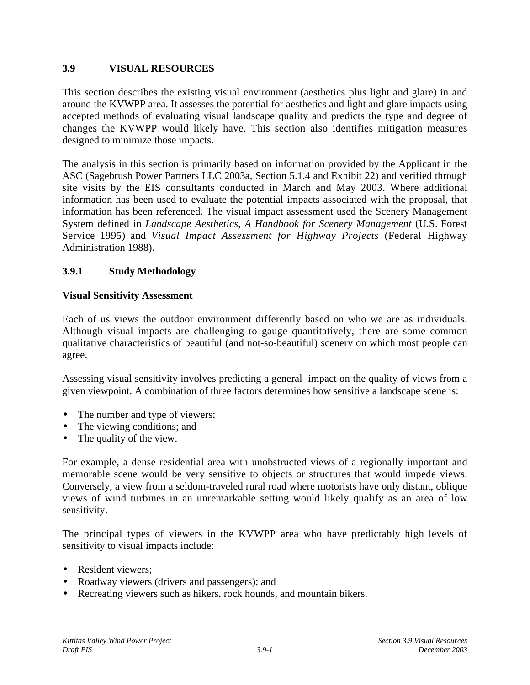## **3.9 VISUAL RESOURCES**

This section describes the existing visual environment (aesthetics plus light and glare) in and around the KVWPP area. It assesses the potential for aesthetics and light and glare impacts using accepted methods of evaluating visual landscape quality and predicts the type and degree of changes the KVWPP would likely have. This section also identifies mitigation measures designed to minimize those impacts.

The analysis in this section is primarily based on information provided by the Applicant in the ASC (Sagebrush Power Partners LLC 2003a, Section 5.1.4 and Exhibit 22) and verified through site visits by the EIS consultants conducted in March and May 2003. Where additional information has been used to evaluate the potential impacts associated with the proposal, that information has been referenced. The visual impact assessment used the Scenery Management System defined in *Landscape Aesthetics, A Handbook for Scenery Management* (U.S. Forest Service 1995) and *Visual Impact Assessment for Highway Projects* (Federal Highway Administration 1988).

# **3.9.1 Study Methodology**

## **Visual Sensitivity Assessment**

Each of us views the outdoor environment differently based on who we are as individuals. Although visual impacts are challenging to gauge quantitatively, there are some common qualitative characteristics of beautiful (and not-so-beautiful) scenery on which most people can agree.

Assessing visual sensitivity involves predicting a general impact on the quality of views from a given viewpoint. A combination of three factors determines how sensitive a landscape scene is:

- The number and type of viewers;
- The viewing conditions; and
- The quality of the view.

For example, a dense residential area with unobstructed views of a regionally important and memorable scene would be very sensitive to objects or structures that would impede views. Conversely, a view from a seldom-traveled rural road where motorists have only distant, oblique views of wind turbines in an unremarkable setting would likely qualify as an area of low sensitivity.

The principal types of viewers in the KVWPP area who have predictably high levels of sensitivity to visual impacts include:

- Resident viewers:
- Roadway viewers (drivers and passengers); and
- Recreating viewers such as hikers, rock hounds, and mountain bikers.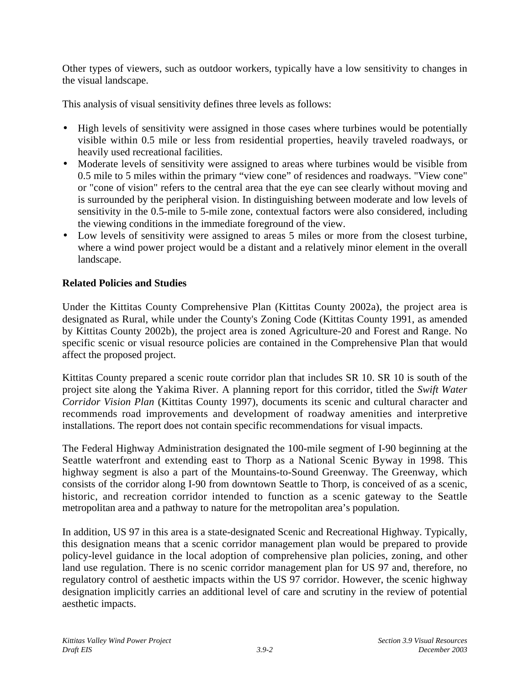Other types of viewers, such as outdoor workers, typically have a low sensitivity to changes in the visual landscape.

This analysis of visual sensitivity defines three levels as follows:

- High levels of sensitivity were assigned in those cases where turbines would be potentially visible within 0.5 mile or less from residential properties, heavily traveled roadways, or heavily used recreational facilities.
- Moderate levels of sensitivity were assigned to areas where turbines would be visible from 0.5 mile to 5 miles within the primary "view cone" of residences and roadways. "View cone" or "cone of vision" refers to the central area that the eye can see clearly without moving and is surrounded by the peripheral vision. In distinguishing between moderate and low levels of sensitivity in the 0.5-mile to 5-mile zone, contextual factors were also considered, including the viewing conditions in the immediate foreground of the view.
- Low levels of sensitivity were assigned to areas 5 miles or more from the closest turbine, where a wind power project would be a distant and a relatively minor element in the overall landscape.

## **Related Policies and Studies**

Under the Kittitas County Comprehensive Plan (Kittitas County 2002a), the project area is designated as Rural, while under the County's Zoning Code (Kittitas County 1991, as amended by Kittitas County 2002b), the project area is zoned Agriculture-20 and Forest and Range. No specific scenic or visual resource policies are contained in the Comprehensive Plan that would affect the proposed project.

Kittitas County prepared a scenic route corridor plan that includes SR 10. SR 10 is south of the project site along the Yakima River. A planning report for this corridor, titled the *Swift Water Corridor Vision Plan* (Kittitas County 1997), documents its scenic and cultural character and recommends road improvements and development of roadway amenities and interpretive installations. The report does not contain specific recommendations for visual impacts.

The Federal Highway Administration designated the 100-mile segment of I-90 beginning at the Seattle waterfront and extending east to Thorp as a National Scenic Byway in 1998. This highway segment is also a part of the Mountains-to-Sound Greenway. The Greenway, which consists of the corridor along I-90 from downtown Seattle to Thorp, is conceived of as a scenic, historic, and recreation corridor intended to function as a scenic gateway to the Seattle metropolitan area and a pathway to nature for the metropolitan area's population.

In addition, US 97 in this area is a state-designated Scenic and Recreational Highway. Typically, this designation means that a scenic corridor management plan would be prepared to provide policy-level guidance in the local adoption of comprehensive plan policies, zoning, and other land use regulation. There is no scenic corridor management plan for US 97 and, therefore, no regulatory control of aesthetic impacts within the US 97 corridor. However, the scenic highway designation implicitly carries an additional level of care and scrutiny in the review of potential aesthetic impacts.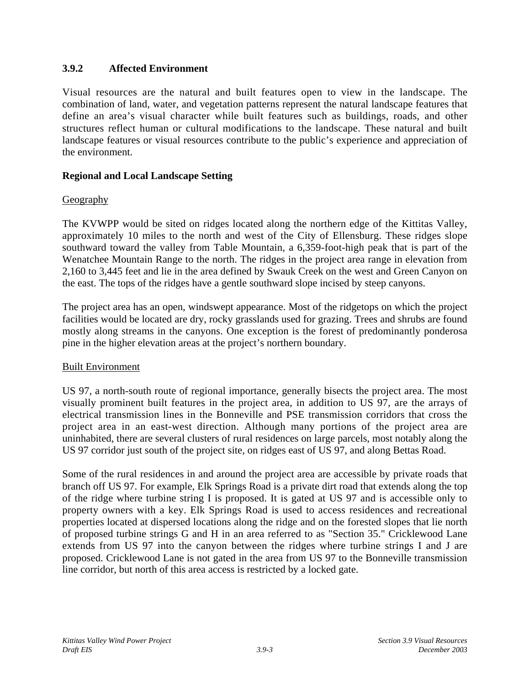## **3.9.2 Affected Environment**

Visual resources are the natural and built features open to view in the landscape. The combination of land, water, and vegetation patterns represent the natural landscape features that define an area's visual character while built features such as buildings, roads, and other structures reflect human or cultural modifications to the landscape. These natural and built landscape features or visual resources contribute to the public's experience and appreciation of the environment.

# **Regional and Local Landscape Setting**

# **Geography**

The KVWPP would be sited on ridges located along the northern edge of the Kittitas Valley, approximately 10 miles to the north and west of the City of Ellensburg. These ridges slope southward toward the valley from Table Mountain, a 6,359-foot-high peak that is part of the Wenatchee Mountain Range to the north. The ridges in the project area range in elevation from 2,160 to 3,445 feet and lie in the area defined by Swauk Creek on the west and Green Canyon on the east. The tops of the ridges have a gentle southward slope incised by steep canyons.

The project area has an open, windswept appearance. Most of the ridgetops on which the project facilities would be located are dry, rocky grasslands used for grazing. Trees and shrubs are found mostly along streams in the canyons. One exception is the forest of predominantly ponderosa pine in the higher elevation areas at the project's northern boundary.

## Built Environment

US 97, a north-south route of regional importance, generally bisects the project area. The most visually prominent built features in the project area, in addition to US 97, are the arrays of electrical transmission lines in the Bonneville and PSE transmission corridors that cross the project area in an east-west direction. Although many portions of the project area are uninhabited, there are several clusters of rural residences on large parcels, most notably along the US 97 corridor just south of the project site, on ridges east of US 97, and along Bettas Road.

Some of the rural residences in and around the project area are accessible by private roads that branch off US 97. For example, Elk Springs Road is a private dirt road that extends along the top of the ridge where turbine string I is proposed. It is gated at US 97 and is accessible only to property owners with a key. Elk Springs Road is used to access residences and recreational properties located at dispersed locations along the ridge and on the forested slopes that lie north of proposed turbine strings G and H in an area referred to as "Section 35." Cricklewood Lane extends from US 97 into the canyon between the ridges where turbine strings I and J are proposed. Cricklewood Lane is not gated in the area from US 97 to the Bonneville transmission line corridor, but north of this area access is restricted by a locked gate.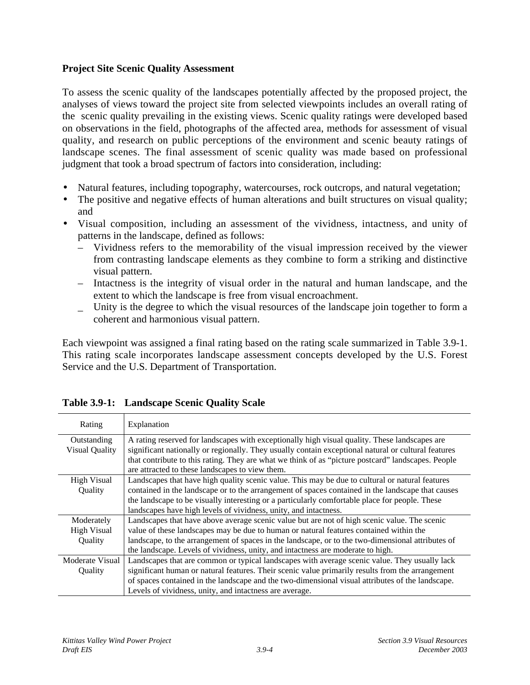### **Project Site Scenic Quality Assessment**

To assess the scenic quality of the landscapes potentially affected by the proposed project, the analyses of views toward the project site from selected viewpoints includes an overall rating of the scenic quality prevailing in the existing views. Scenic quality ratings were developed based on observations in the field, photographs of the affected area, methods for assessment of visual quality, and research on public perceptions of the environment and scenic beauty ratings of landscape scenes. The final assessment of scenic quality was made based on professional judgment that took a broad spectrum of factors into consideration, including:

- Natural features, including topography, watercourses, rock outcrops, and natural vegetation;
- The positive and negative effects of human alterations and built structures on visual quality; and
- Visual composition, including an assessment of the vividness, intactness, and unity of patterns in the landscape, defined as follows:
	- Vividness refers to the memorability of the visual impression received by the viewer from contrasting landscape elements as they combine to form a striking and distinctive visual pattern.
	- Intactness is the integrity of visual order in the natural and human landscape, and the extent to which the landscape is free from visual encroachment.
	- \_ Unity is the degree to which the visual resources of the landscape join together to form a coherent and harmonious visual pattern.

Each viewpoint was assigned a final rating based on the rating scale summarized in Table 3.9-1. This rating scale incorporates landscape assessment concepts developed by the U.S. Forest Service and the U.S. Department of Transportation.

| Rating                | Explanation                                                                                         |
|-----------------------|-----------------------------------------------------------------------------------------------------|
| Outstanding           | A rating reserved for landscapes with exceptionally high visual quality. These landscapes are       |
| <b>Visual Quality</b> | significant nationally or regionally. They usually contain exceptional natural or cultural features |
|                       | that contribute to this rating. They are what we think of as "picture postcard" landscapes. People  |
|                       | are attracted to these landscapes to view them.                                                     |
| <b>High Visual</b>    | Landscapes that have high quality scenic value. This may be due to cultural or natural features     |
| Quality               | contained in the landscape or to the arrangement of spaces contained in the landscape that causes   |
|                       | the landscape to be visually interesting or a particularly comfortable place for people. These      |
|                       | landscapes have high levels of vividness, unity, and intactness.                                    |
| Moderately            | Landscapes that have above average scenic value but are not of high scenic value. The scenic        |
| <b>High Visual</b>    | value of these landscapes may be due to human or natural features contained within the              |
| Quality               | landscape, to the arrangement of spaces in the landscape, or to the two-dimensional attributes of   |
|                       | the landscape. Levels of vividness, unity, and intactness are moderate to high.                     |
| Moderate Visual       | Landscapes that are common or typical landscapes with average scenic value. They usually lack       |
| <b>Ouality</b>        | significant human or natural features. Their scenic value primarily results from the arrangement    |
|                       | of spaces contained in the landscape and the two-dimensional visual attributes of the landscape.    |
|                       | Levels of vividness, unity, and intactness are average.                                             |

# **Table 3.9-1: Landscape Scenic Quality Scale**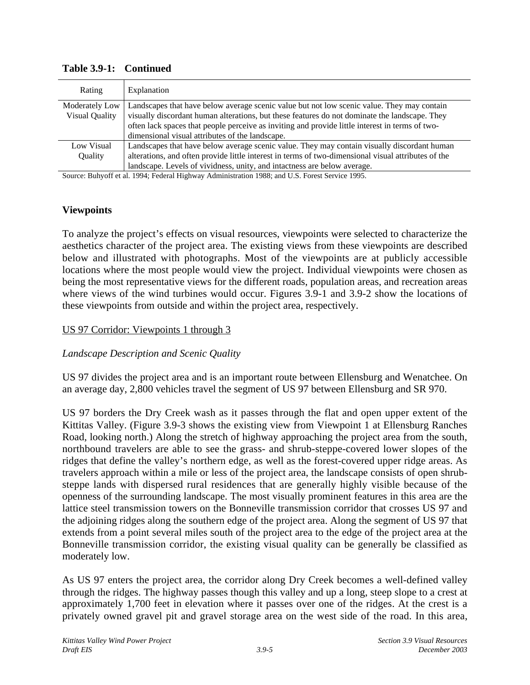| Rating                | Explanation                                                                                         |
|-----------------------|-----------------------------------------------------------------------------------------------------|
| Moderately Low        | Landscapes that have below average scenic value but not low scenic value. They may contain          |
| <b>Visual Quality</b> | visually discordant human alterations, but these features do not dominate the landscape. They       |
|                       | often lack spaces that people perceive as inviting and provide little interest in terms of two-     |
|                       | dimensional visual attributes of the landscape.                                                     |
| Low Visual            | Landscapes that have below average scenic value. They may contain visually discordant human         |
| <b>Ouality</b>        | alterations, and often provide little interest in terms of two-dimensional visual attributes of the |
|                       | landscape. Levels of vividness, unity, and intactness are below average.                            |

**Table 3.9-1: Continued**

Source: Buhyoff et al. 1994; Federal Highway Administration 1988; and U.S. Forest Service 1995.

## **Viewpoints**

To analyze the project's effects on visual resources, viewpoints were selected to characterize the aesthetics character of the project area. The existing views from these viewpoints are described below and illustrated with photographs. Most of the viewpoints are at publicly accessible locations where the most people would view the project. Individual viewpoints were chosen as being the most representative views for the different roads, population areas, and recreation areas where views of the wind turbines would occur. Figures 3.9-1 and 3.9-2 show the locations of these viewpoints from outside and within the project area, respectively.

### US 97 Corridor: Viewpoints 1 through 3

## *Landscape Description and Scenic Quality*

US 97 divides the project area and is an important route between Ellensburg and Wenatchee. On an average day, 2,800 vehicles travel the segment of US 97 between Ellensburg and SR 970.

US 97 borders the Dry Creek wash as it passes through the flat and open upper extent of the Kittitas Valley. (Figure 3.9-3 shows the existing view from Viewpoint 1 at Ellensburg Ranches Road, looking north.) Along the stretch of highway approaching the project area from the south, northbound travelers are able to see the grass- and shrub-steppe-covered lower slopes of the ridges that define the valley's northern edge, as well as the forest-covered upper ridge areas. As travelers approach within a mile or less of the project area, the landscape consists of open shrubsteppe lands with dispersed rural residences that are generally highly visible because of the openness of the surrounding landscape. The most visually prominent features in this area are the lattice steel transmission towers on the Bonneville transmission corridor that crosses US 97 and the adjoining ridges along the southern edge of the project area. Along the segment of US 97 that extends from a point several miles south of the project area to the edge of the project area at the Bonneville transmission corridor, the existing visual quality can be generally be classified as moderately low.

As US 97 enters the project area, the corridor along Dry Creek becomes a well-defined valley through the ridges. The highway passes though this valley and up a long, steep slope to a crest at approximately 1,700 feet in elevation where it passes over one of the ridges. At the crest is a privately owned gravel pit and gravel storage area on the west side of the road. In this area,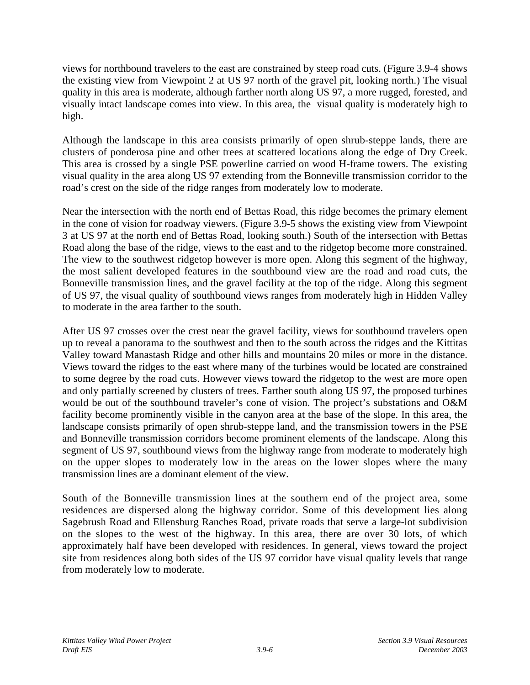views for northbound travelers to the east are constrained by steep road cuts. (Figure 3.9-4 shows the existing view from Viewpoint 2 at US 97 north of the gravel pit, looking north.) The visual quality in this area is moderate, although farther north along US 97, a more rugged, forested, and visually intact landscape comes into view. In this area, the visual quality is moderately high to high.

Although the landscape in this area consists primarily of open shrub-steppe lands, there are clusters of ponderosa pine and other trees at scattered locations along the edge of Dry Creek. This area is crossed by a single PSE powerline carried on wood H-frame towers. The existing visual quality in the area along US 97 extending from the Bonneville transmission corridor to the road's crest on the side of the ridge ranges from moderately low to moderate.

Near the intersection with the north end of Bettas Road, this ridge becomes the primary element in the cone of vision for roadway viewers. (Figure 3.9-5 shows the existing view from Viewpoint 3 at US 97 at the north end of Bettas Road, looking south.) South of the intersection with Bettas Road along the base of the ridge, views to the east and to the ridgetop become more constrained. The view to the southwest ridgetop however is more open. Along this segment of the highway, the most salient developed features in the southbound view are the road and road cuts, the Bonneville transmission lines, and the gravel facility at the top of the ridge. Along this segment of US 97, the visual quality of southbound views ranges from moderately high in Hidden Valley to moderate in the area farther to the south.

After US 97 crosses over the crest near the gravel facility, views for southbound travelers open up to reveal a panorama to the southwest and then to the south across the ridges and the Kittitas Valley toward Manastash Ridge and other hills and mountains 20 miles or more in the distance. Views toward the ridges to the east where many of the turbines would be located are constrained to some degree by the road cuts. However views toward the ridgetop to the west are more open and only partially screened by clusters of trees. Farther south along US 97, the proposed turbines would be out of the southbound traveler's cone of vision. The project's substations and O&M facility become prominently visible in the canyon area at the base of the slope. In this area, the landscape consists primarily of open shrub-steppe land, and the transmission towers in the PSE and Bonneville transmission corridors become prominent elements of the landscape. Along this segment of US 97, southbound views from the highway range from moderate to moderately high on the upper slopes to moderately low in the areas on the lower slopes where the many transmission lines are a dominant element of the view.

South of the Bonneville transmission lines at the southern end of the project area, some residences are dispersed along the highway corridor. Some of this development lies along Sagebrush Road and Ellensburg Ranches Road, private roads that serve a large-lot subdivision on the slopes to the west of the highway. In this area, there are over 30 lots, of which approximately half have been developed with residences. In general, views toward the project site from residences along both sides of the US 97 corridor have visual quality levels that range from moderately low to moderate.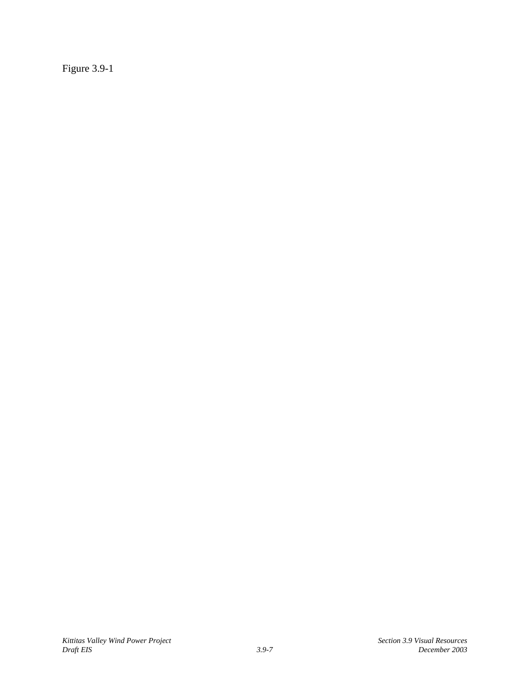Figure 3.9-1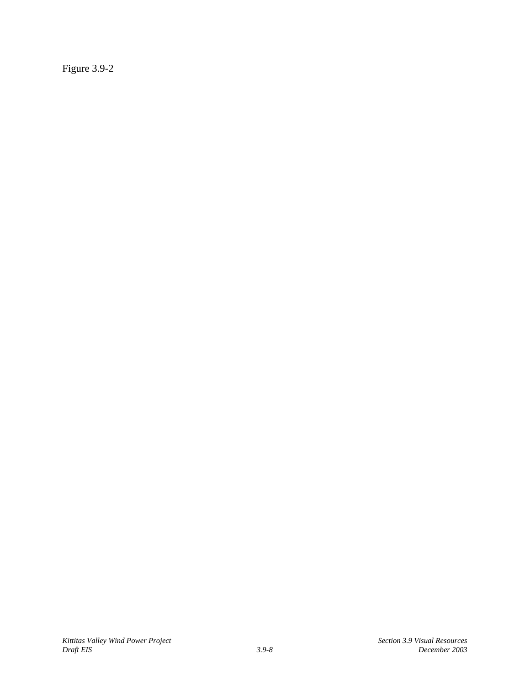Figure 3.9-2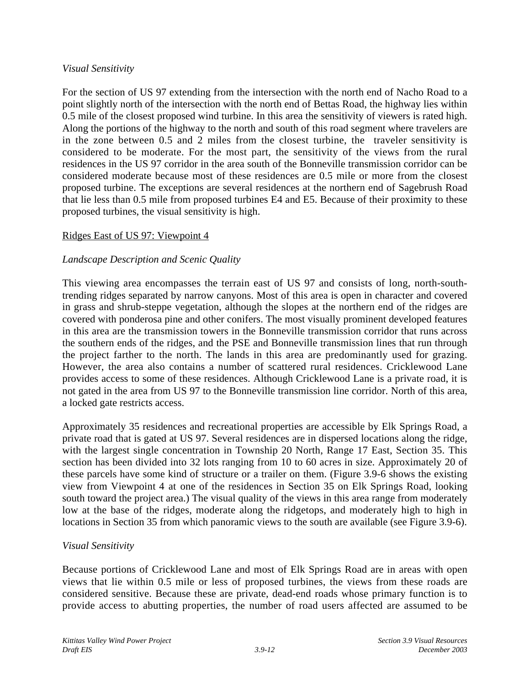### *Visual Sensitivity*

For the section of US 97 extending from the intersection with the north end of Nacho Road to a point slightly north of the intersection with the north end of Bettas Road, the highway lies within 0.5 mile of the closest proposed wind turbine. In this area the sensitivity of viewers is rated high. Along the portions of the highway to the north and south of this road segment where travelers are in the zone between 0.5 and 2 miles from the closest turbine, the traveler sensitivity is considered to be moderate. For the most part, the sensitivity of the views from the rural residences in the US 97 corridor in the area south of the Bonneville transmission corridor can be considered moderate because most of these residences are 0.5 mile or more from the closest proposed turbine. The exceptions are several residences at the northern end of Sagebrush Road that lie less than 0.5 mile from proposed turbines E4 and E5. Because of their proximity to these proposed turbines, the visual sensitivity is high.

### Ridges East of US 97: Viewpoint 4

## *Landscape Description and Scenic Quality*

This viewing area encompasses the terrain east of US 97 and consists of long, north-southtrending ridges separated by narrow canyons. Most of this area is open in character and covered in grass and shrub-steppe vegetation, although the slopes at the northern end of the ridges are covered with ponderosa pine and other conifers. The most visually prominent developed features in this area are the transmission towers in the Bonneville transmission corridor that runs across the southern ends of the ridges, and the PSE and Bonneville transmission lines that run through the project farther to the north. The lands in this area are predominantly used for grazing. However, the area also contains a number of scattered rural residences. Cricklewood Lane provides access to some of these residences. Although Cricklewood Lane is a private road, it is not gated in the area from US 97 to the Bonneville transmission line corridor. North of this area, a locked gate restricts access.

Approximately 35 residences and recreational properties are accessible by Elk Springs Road, a private road that is gated at US 97. Several residences are in dispersed locations along the ridge, with the largest single concentration in Township 20 North, Range 17 East, Section 35. This section has been divided into 32 lots ranging from 10 to 60 acres in size. Approximately 20 of these parcels have some kind of structure or a trailer on them. (Figure 3.9-6 shows the existing view from Viewpoint 4 at one of the residences in Section 35 on Elk Springs Road, looking south toward the project area.) The visual quality of the views in this area range from moderately low at the base of the ridges, moderate along the ridgetops, and moderately high to high in locations in Section 35 from which panoramic views to the south are available (see Figure 3.9-6).

### *Visual Sensitivity*

Because portions of Cricklewood Lane and most of Elk Springs Road are in areas with open views that lie within 0.5 mile or less of proposed turbines, the views from these roads are considered sensitive. Because these are private, dead-end roads whose primary function is to provide access to abutting properties, the number of road users affected are assumed to be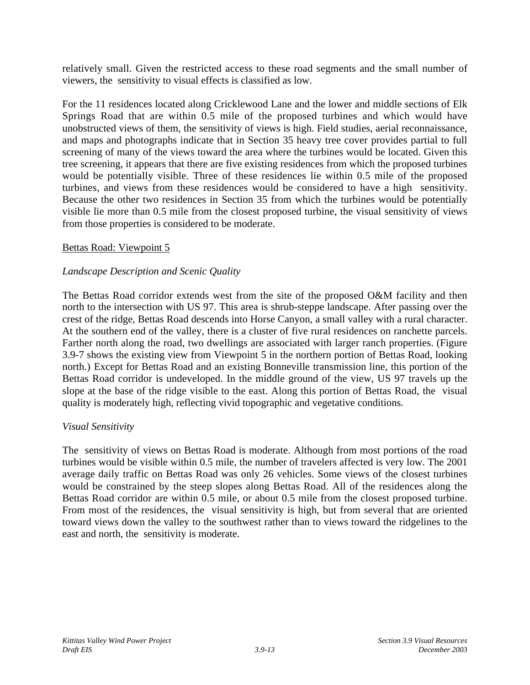relatively small. Given the restricted access to these road segments and the small number of viewers, the sensitivity to visual effects is classified as low.

For the 11 residences located along Cricklewood Lane and the lower and middle sections of Elk Springs Road that are within 0.5 mile of the proposed turbines and which would have unobstructed views of them, the sensitivity of views is high. Field studies, aerial reconnaissance, and maps and photographs indicate that in Section 35 heavy tree cover provides partial to full screening of many of the views toward the area where the turbines would be located. Given this tree screening, it appears that there are five existing residences from which the proposed turbines would be potentially visible. Three of these residences lie within 0.5 mile of the proposed turbines, and views from these residences would be considered to have a high sensitivity. Because the other two residences in Section 35 from which the turbines would be potentially visible lie more than 0.5 mile from the closest proposed turbine, the visual sensitivity of views from those properties is considered to be moderate.

### Bettas Road: Viewpoint 5

## *Landscape Description and Scenic Quality*

The Bettas Road corridor extends west from the site of the proposed O&M facility and then north to the intersection with US 97. This area is shrub-steppe landscape. After passing over the crest of the ridge, Bettas Road descends into Horse Canyon, a small valley with a rural character. At the southern end of the valley, there is a cluster of five rural residences on ranchette parcels. Farther north along the road, two dwellings are associated with larger ranch properties. (Figure 3.9-7 shows the existing view from Viewpoint 5 in the northern portion of Bettas Road, looking north.) Except for Bettas Road and an existing Bonneville transmission line, this portion of the Bettas Road corridor is undeveloped. In the middle ground of the view, US 97 travels up the slope at the base of the ridge visible to the east. Along this portion of Bettas Road, the visual quality is moderately high, reflecting vivid topographic and vegetative conditions.

## *Visual Sensitivity*

The sensitivity of views on Bettas Road is moderate. Although from most portions of the road turbines would be visible within 0.5 mile, the number of travelers affected is very low. The 2001 average daily traffic on Bettas Road was only 26 vehicles. Some views of the closest turbines would be constrained by the steep slopes along Bettas Road. All of the residences along the Bettas Road corridor are within 0.5 mile, or about 0.5 mile from the closest proposed turbine. From most of the residences, the visual sensitivity is high, but from several that are oriented toward views down the valley to the southwest rather than to views toward the ridgelines to the east and north, the sensitivity is moderate.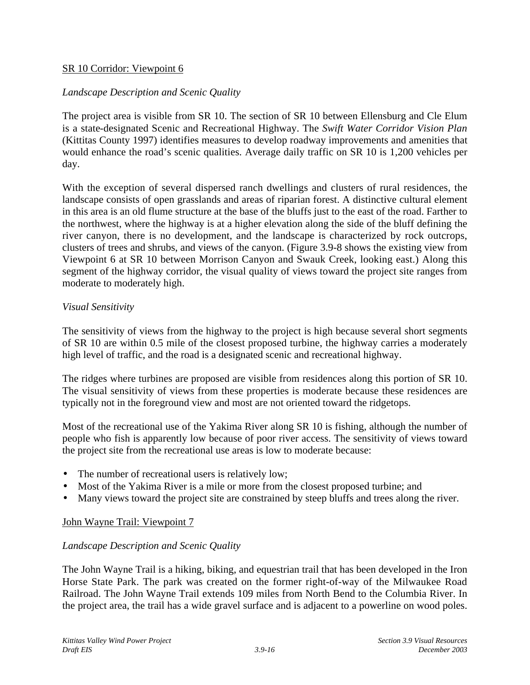### SR 10 Corridor: Viewpoint 6

### *Landscape Description and Scenic Quality*

The project area is visible from SR 10. The section of SR 10 between Ellensburg and Cle Elum is a state-designated Scenic and Recreational Highway. The *Swift Water Corridor Vision Plan* (Kittitas County 1997) identifies measures to develop roadway improvements and amenities that would enhance the road's scenic qualities. Average daily traffic on SR 10 is 1,200 vehicles per day.

With the exception of several dispersed ranch dwellings and clusters of rural residences, the landscape consists of open grasslands and areas of riparian forest. A distinctive cultural element in this area is an old flume structure at the base of the bluffs just to the east of the road. Farther to the northwest, where the highway is at a higher elevation along the side of the bluff defining the river canyon, there is no development, and the landscape is characterized by rock outcrops, clusters of trees and shrubs, and views of the canyon. (Figure 3.9-8 shows the existing view from Viewpoint 6 at SR 10 between Morrison Canyon and Swauk Creek, looking east.) Along this segment of the highway corridor, the visual quality of views toward the project site ranges from moderate to moderately high.

### *Visual Sensitivity*

The sensitivity of views from the highway to the project is high because several short segments of SR 10 are within 0.5 mile of the closest proposed turbine, the highway carries a moderately high level of traffic, and the road is a designated scenic and recreational highway.

The ridges where turbines are proposed are visible from residences along this portion of SR 10. The visual sensitivity of views from these properties is moderate because these residences are typically not in the foreground view and most are not oriented toward the ridgetops.

Most of the recreational use of the Yakima River along SR 10 is fishing, although the number of people who fish is apparently low because of poor river access. The sensitivity of views toward the project site from the recreational use areas is low to moderate because:

- The number of recreational users is relatively low;
- Most of the Yakima River is a mile or more from the closest proposed turbine; and
- Many views toward the project site are constrained by steep bluffs and trees along the river.

### John Wayne Trail: Viewpoint 7

### *Landscape Description and Scenic Quality*

The John Wayne Trail is a hiking, biking, and equestrian trail that has been developed in the Iron Horse State Park. The park was created on the former right-of-way of the Milwaukee Road Railroad. The John Wayne Trail extends 109 miles from North Bend to the Columbia River. In the project area, the trail has a wide gravel surface and is adjacent to a powerline on wood poles.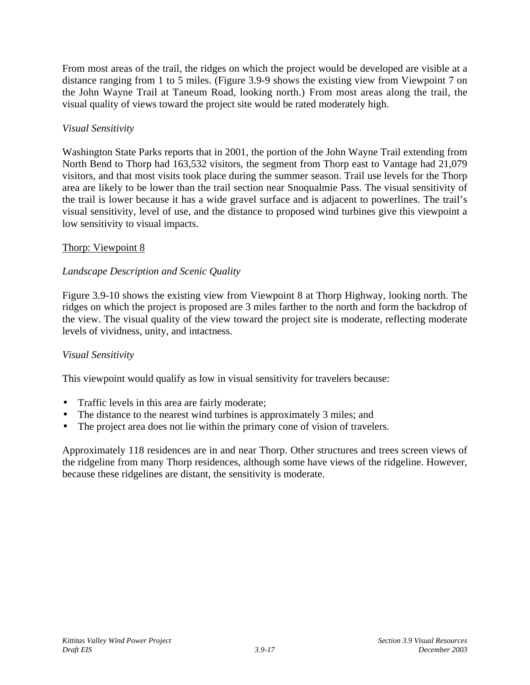From most areas of the trail, the ridges on which the project would be developed are visible at a distance ranging from 1 to 5 miles. (Figure 3.9-9 shows the existing view from Viewpoint 7 on the John Wayne Trail at Taneum Road, looking north.) From most areas along the trail, the visual quality of views toward the project site would be rated moderately high.

## *Visual Sensitivity*

Washington State Parks reports that in 2001, the portion of the John Wayne Trail extending from North Bend to Thorp had 163,532 visitors, the segment from Thorp east to Vantage had 21,079 visitors, and that most visits took place during the summer season. Trail use levels for the Thorp area are likely to be lower than the trail section near Snoqualmie Pass. The visual sensitivity of the trail is lower because it has a wide gravel surface and is adjacent to powerlines. The trail's visual sensitivity, level of use, and the distance to proposed wind turbines give this viewpoint a low sensitivity to visual impacts.

## Thorp: Viewpoint 8

## *Landscape Description and Scenic Quality*

Figure 3.9-10 shows the existing view from Viewpoint 8 at Thorp Highway, looking north. The ridges on which the project is proposed are 3 miles farther to the north and form the backdrop of the view. The visual quality of the view toward the project site is moderate, reflecting moderate levels of vividness, unity, and intactness.

## *Visual Sensitivity*

This viewpoint would qualify as low in visual sensitivity for travelers because:

- Traffic levels in this area are fairly moderate;
- The distance to the nearest wind turbines is approximately 3 miles; and
- The project area does not lie within the primary cone of vision of travelers.

Approximately 118 residences are in and near Thorp. Other structures and trees screen views of the ridgeline from many Thorp residences, although some have views of the ridgeline. However, because these ridgelines are distant, the sensitivity is moderate.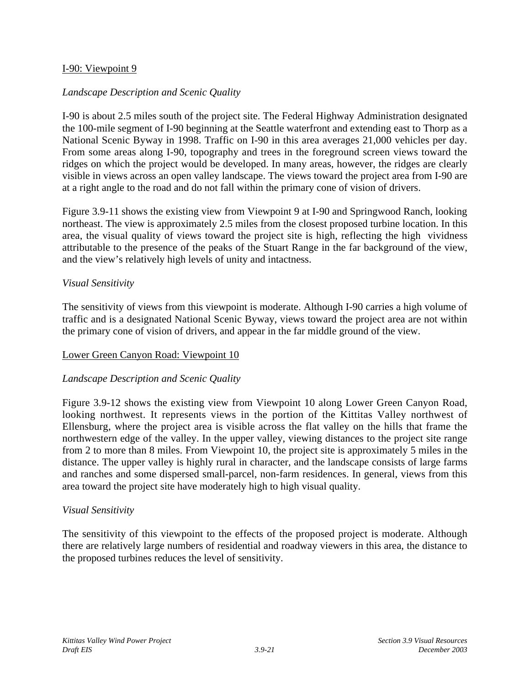### I-90: Viewpoint 9

### *Landscape Description and Scenic Quality*

I-90 is about 2.5 miles south of the project site. The Federal Highway Administration designated the 100-mile segment of I-90 beginning at the Seattle waterfront and extending east to Thorp as a National Scenic Byway in 1998. Traffic on I-90 in this area averages 21,000 vehicles per day. From some areas along I-90, topography and trees in the foreground screen views toward the ridges on which the project would be developed. In many areas, however, the ridges are clearly visible in views across an open valley landscape. The views toward the project area from I-90 are at a right angle to the road and do not fall within the primary cone of vision of drivers.

Figure 3.9-11 shows the existing view from Viewpoint 9 at I-90 and Springwood Ranch, looking northeast. The view is approximately 2.5 miles from the closest proposed turbine location. In this area, the visual quality of views toward the project site is high, reflecting the high vividness attributable to the presence of the peaks of the Stuart Range in the far background of the view, and the view's relatively high levels of unity and intactness.

### *Visual Sensitivity*

The sensitivity of views from this viewpoint is moderate. Although I-90 carries a high volume of traffic and is a designated National Scenic Byway, views toward the project area are not within the primary cone of vision of drivers, and appear in the far middle ground of the view.

### Lower Green Canyon Road: Viewpoint 10

### *Landscape Description and Scenic Quality*

Figure 3.9-12 shows the existing view from Viewpoint 10 along Lower Green Canyon Road, looking northwest. It represents views in the portion of the Kittitas Valley northwest of Ellensburg, where the project area is visible across the flat valley on the hills that frame the northwestern edge of the valley. In the upper valley, viewing distances to the project site range from 2 to more than 8 miles. From Viewpoint 10, the project site is approximately 5 miles in the distance. The upper valley is highly rural in character, and the landscape consists of large farms and ranches and some dispersed small-parcel, non-farm residences. In general, views from this area toward the project site have moderately high to high visual quality.

### *Visual Sensitivity*

The sensitivity of this viewpoint to the effects of the proposed project is moderate. Although there are relatively large numbers of residential and roadway viewers in this area, the distance to the proposed turbines reduces the level of sensitivity.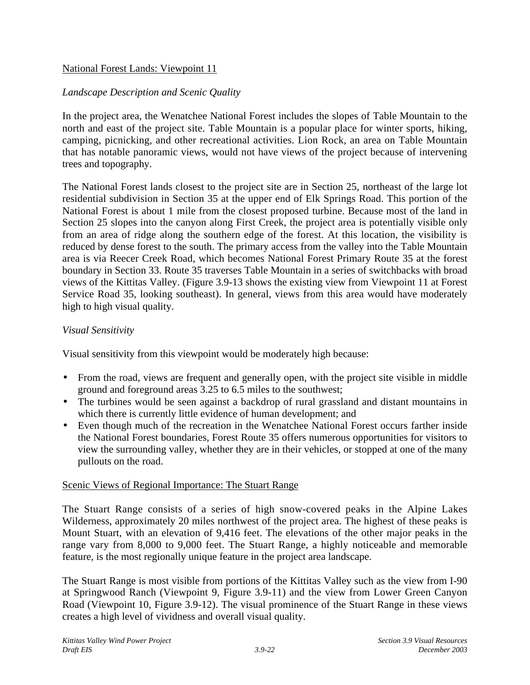## National Forest Lands: Viewpoint 11

## *Landscape Description and Scenic Quality*

In the project area, the Wenatchee National Forest includes the slopes of Table Mountain to the north and east of the project site. Table Mountain is a popular place for winter sports, hiking, camping, picnicking, and other recreational activities. Lion Rock, an area on Table Mountain that has notable panoramic views, would not have views of the project because of intervening trees and topography.

The National Forest lands closest to the project site are in Section 25, northeast of the large lot residential subdivision in Section 35 at the upper end of Elk Springs Road. This portion of the National Forest is about 1 mile from the closest proposed turbine. Because most of the land in Section 25 slopes into the canyon along First Creek, the project area is potentially visible only from an area of ridge along the southern edge of the forest. At this location, the visibility is reduced by dense forest to the south. The primary access from the valley into the Table Mountain area is via Reecer Creek Road, which becomes National Forest Primary Route 35 at the forest boundary in Section 33. Route 35 traverses Table Mountain in a series of switchbacks with broad views of the Kittitas Valley. (Figure 3.9-13 shows the existing view from Viewpoint 11 at Forest Service Road 35, looking southeast). In general, views from this area would have moderately high to high visual quality.

### *Visual Sensitivity*

Visual sensitivity from this viewpoint would be moderately high because:

- From the road, views are frequent and generally open, with the project site visible in middle ground and foreground areas 3.25 to 6.5 miles to the southwest;
- The turbines would be seen against a backdrop of rural grassland and distant mountains in which there is currently little evidence of human development; and
- Even though much of the recreation in the Wenatchee National Forest occurs farther inside the National Forest boundaries, Forest Route 35 offers numerous opportunities for visitors to view the surrounding valley, whether they are in their vehicles, or stopped at one of the many pullouts on the road.

### Scenic Views of Regional Importance: The Stuart Range

The Stuart Range consists of a series of high snow-covered peaks in the Alpine Lakes Wilderness, approximately 20 miles northwest of the project area. The highest of these peaks is Mount Stuart, with an elevation of 9,416 feet. The elevations of the other major peaks in the range vary from 8,000 to 9,000 feet. The Stuart Range, a highly noticeable and memorable feature, is the most regionally unique feature in the project area landscape.

The Stuart Range is most visible from portions of the Kittitas Valley such as the view from I-90 at Springwood Ranch (Viewpoint 9, Figure 3.9-11) and the view from Lower Green Canyon Road (Viewpoint 10, Figure 3.9-12). The visual prominence of the Stuart Range in these views creates a high level of vividness and overall visual quality.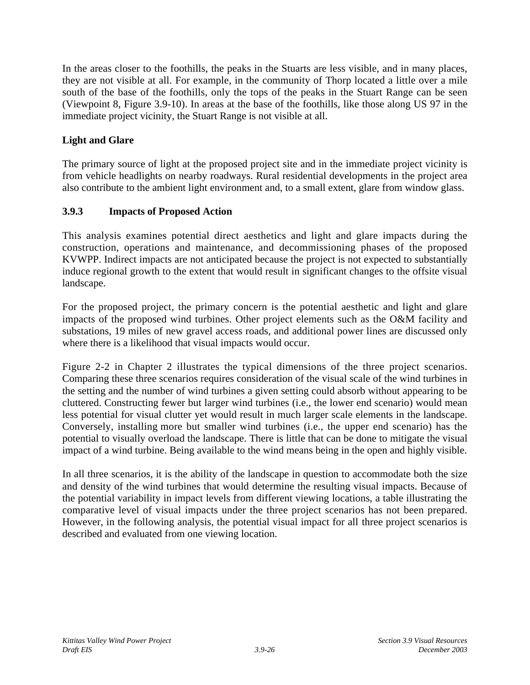In the areas closer to the foothills, the peaks in the Stuarts are less visible, and in many places, they are not visible at all. For example, in the community of Thorp located a little over a mile south of the base of the foothills, only the tops of the peaks in the Stuart Range can be seen (Viewpoint 8, Figure 3.9-10). In areas at the base of the foothills, like those along US 97 in the immediate project vicinity, the Stuart Range is not visible at all.

# **Light and Glare**

The primary source of light at the proposed project site and in the immediate project vicinity is from vehicle headlights on nearby roadways. Rural residential developments in the project area also contribute to the ambient light environment and, to a small extent, glare from window glass.

## **3.9.3 Impacts of Proposed Action**

This analysis examines potential direct aesthetics and light and glare impacts during the construction, operations and maintenance, and decommissioning phases of the proposed KVWPP. Indirect impacts are not anticipated because the project is not expected to substantially induce regional growth to the extent that would result in significant changes to the offsite visual landscape.

For the proposed project, the primary concern is the potential aesthetic and light and glare impacts of the proposed wind turbines. Other project elements such as the O&M facility and substations, 19 miles of new gravel access roads, and additional power lines are discussed only where there is a likelihood that visual impacts would occur.

Figure 2-2 in Chapter 2 illustrates the typical dimensions of the three project scenarios. Comparing these three scenarios requires consideration of the visual scale of the wind turbines in the setting and the number of wind turbines a given setting could absorb without appearing to be cluttered. Constructing fewer but larger wind turbines (i.e., the lower end scenario) would mean less potential for visual clutter yet would result in much larger scale elements in the landscape. Conversely, installing more but smaller wind turbines (i.e., the upper end scenario) has the potential to visually overload the landscape. There is little that can be done to mitigate the visual impact of a wind turbine. Being available to the wind means being in the open and highly visible.

In all three scenarios, it is the ability of the landscape in question to accommodate both the size and density of the wind turbines that would determine the resulting visual impacts. Because of the potential variability in impact levels from different viewing locations, a table illustrating the comparative level of visual impacts under the three project scenarios has not been prepared. However, in the following analysis, the potential visual impact for all three project scenarios is described and evaluated from one viewing location.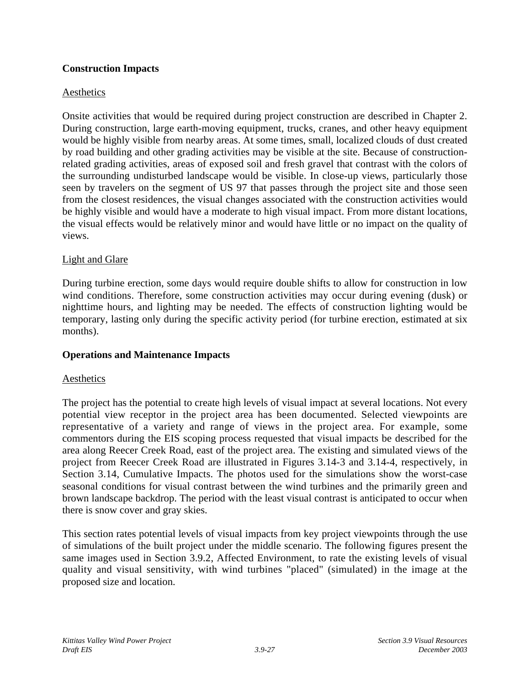## **Construction Impacts**

## Aesthetics

Onsite activities that would be required during project construction are described in Chapter 2. During construction, large earth-moving equipment, trucks, cranes, and other heavy equipment would be highly visible from nearby areas. At some times, small, localized clouds of dust created by road building and other grading activities may be visible at the site. Because of constructionrelated grading activities, areas of exposed soil and fresh gravel that contrast with the colors of the surrounding undisturbed landscape would be visible. In close-up views, particularly those seen by travelers on the segment of US 97 that passes through the project site and those seen from the closest residences, the visual changes associated with the construction activities would be highly visible and would have a moderate to high visual impact. From more distant locations, the visual effects would be relatively minor and would have little or no impact on the quality of views.

## Light and Glare

During turbine erection, some days would require double shifts to allow for construction in low wind conditions. Therefore, some construction activities may occur during evening (dusk) or nighttime hours, and lighting may be needed. The effects of construction lighting would be temporary, lasting only during the specific activity period (for turbine erection, estimated at six months).

## **Operations and Maintenance Impacts**

## **Aesthetics**

The project has the potential to create high levels of visual impact at several locations. Not every potential view receptor in the project area has been documented. Selected viewpoints are representative of a variety and range of views in the project area. For example, some commentors during the EIS scoping process requested that visual impacts be described for the area along Reecer Creek Road, east of the project area. The existing and simulated views of the project from Reecer Creek Road are illustrated in Figures 3.14-3 and 3.14-4, respectively, in Section 3.14, Cumulative Impacts. The photos used for the simulations show the worst-case seasonal conditions for visual contrast between the wind turbines and the primarily green and brown landscape backdrop. The period with the least visual contrast is anticipated to occur when there is snow cover and gray skies.

This section rates potential levels of visual impacts from key project viewpoints through the use of simulations of the built project under the middle scenario. The following figures present the same images used in Section 3.9.2, Affected Environment, to rate the existing levels of visual quality and visual sensitivity, with wind turbines "placed" (simulated) in the image at the proposed size and location.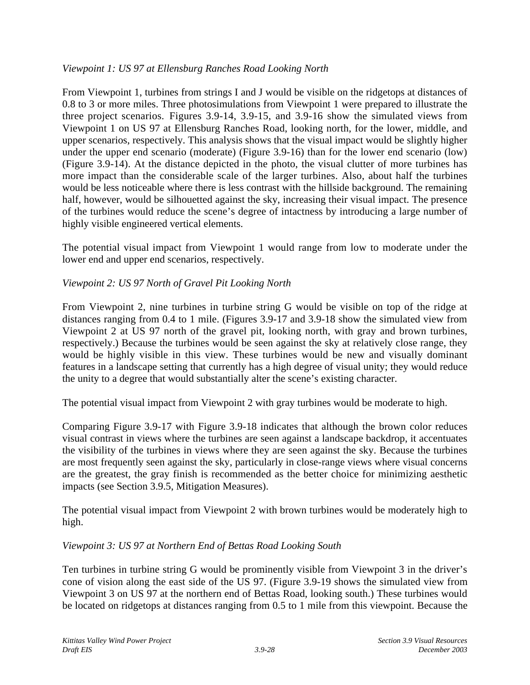## *Viewpoint 1: US 97 at Ellensburg Ranches Road Looking North*

From Viewpoint 1, turbines from strings I and J would be visible on the ridgetops at distances of 0.8 to 3 or more miles. Three photosimulations from Viewpoint 1 were prepared to illustrate the three project scenarios. Figures 3.9-14, 3.9-15, and 3.9-16 show the simulated views from Viewpoint 1 on US 97 at Ellensburg Ranches Road, looking north, for the lower, middle, and upper scenarios, respectively. This analysis shows that the visual impact would be slightly higher under the upper end scenario (moderate) (Figure 3.9-16) than for the lower end scenario (low) (Figure 3.9-14). At the distance depicted in the photo, the visual clutter of more turbines has more impact than the considerable scale of the larger turbines. Also, about half the turbines would be less noticeable where there is less contrast with the hillside background. The remaining half, however, would be silhouetted against the sky, increasing their visual impact. The presence of the turbines would reduce the scene's degree of intactness by introducing a large number of highly visible engineered vertical elements.

The potential visual impact from Viewpoint 1 would range from low to moderate under the lower end and upper end scenarios, respectively.

## *Viewpoint 2: US 97 North of Gravel Pit Looking North*

From Viewpoint 2, nine turbines in turbine string G would be visible on top of the ridge at distances ranging from 0.4 to 1 mile. (Figures 3.9-17 and 3.9-18 show the simulated view from Viewpoint 2 at US 97 north of the gravel pit, looking north, with gray and brown turbines, respectively.) Because the turbines would be seen against the sky at relatively close range, they would be highly visible in this view. These turbines would be new and visually dominant features in a landscape setting that currently has a high degree of visual unity; they would reduce the unity to a degree that would substantially alter the scene's existing character.

The potential visual impact from Viewpoint 2 with gray turbines would be moderate to high.

Comparing Figure 3.9-17 with Figure 3.9-18 indicates that although the brown color reduces visual contrast in views where the turbines are seen against a landscape backdrop, it accentuates the visibility of the turbines in views where they are seen against the sky. Because the turbines are most frequently seen against the sky, particularly in close-range views where visual concerns are the greatest, the gray finish is recommended as the better choice for minimizing aesthetic impacts (see Section 3.9.5, Mitigation Measures).

The potential visual impact from Viewpoint 2 with brown turbines would be moderately high to high.

## *Viewpoint 3: US 97 at Northern End of Bettas Road Looking South*

Ten turbines in turbine string G would be prominently visible from Viewpoint 3 in the driver's cone of vision along the east side of the US 97. (Figure 3.9-19 shows the simulated view from Viewpoint 3 on US 97 at the northern end of Bettas Road, looking south.) These turbines would be located on ridgetops at distances ranging from 0.5 to 1 mile from this viewpoint. Because the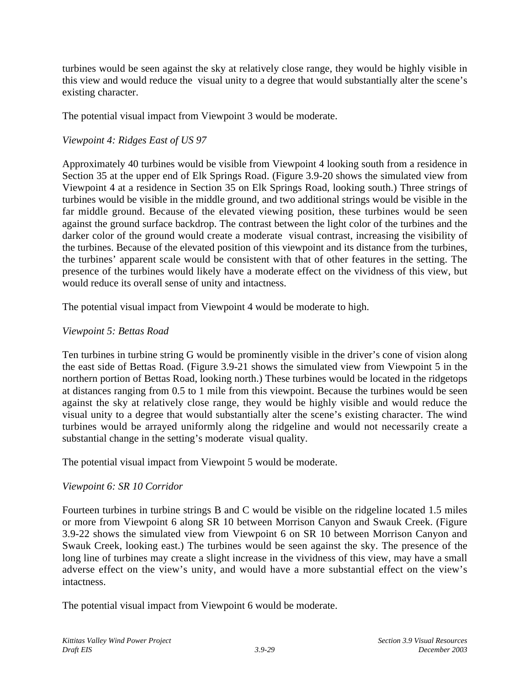turbines would be seen against the sky at relatively close range, they would be highly visible in this view and would reduce the visual unity to a degree that would substantially alter the scene's existing character.

The potential visual impact from Viewpoint 3 would be moderate.

# *Viewpoint 4: Ridges East of US 97*

Approximately 40 turbines would be visible from Viewpoint 4 looking south from a residence in Section 35 at the upper end of Elk Springs Road. (Figure 3.9-20 shows the simulated view from Viewpoint 4 at a residence in Section 35 on Elk Springs Road, looking south.) Three strings of turbines would be visible in the middle ground, and two additional strings would be visible in the far middle ground. Because of the elevated viewing position, these turbines would be seen against the ground surface backdrop. The contrast between the light color of the turbines and the darker color of the ground would create a moderate visual contrast, increasing the visibility of the turbines. Because of the elevated position of this viewpoint and its distance from the turbines, the turbines' apparent scale would be consistent with that of other features in the setting. The presence of the turbines would likely have a moderate effect on the vividness of this view, but would reduce its overall sense of unity and intactness.

The potential visual impact from Viewpoint 4 would be moderate to high.

## *Viewpoint 5: Bettas Road*

Ten turbines in turbine string G would be prominently visible in the driver's cone of vision along the east side of Bettas Road. (Figure 3.9-21 shows the simulated view from Viewpoint 5 in the northern portion of Bettas Road, looking north.) These turbines would be located in the ridgetops at distances ranging from 0.5 to 1 mile from this viewpoint. Because the turbines would be seen against the sky at relatively close range, they would be highly visible and would reduce the visual unity to a degree that would substantially alter the scene's existing character. The wind turbines would be arrayed uniformly along the ridgeline and would not necessarily create a substantial change in the setting's moderate visual quality.

The potential visual impact from Viewpoint 5 would be moderate.

# *Viewpoint 6: SR 10 Corridor*

Fourteen turbines in turbine strings B and C would be visible on the ridgeline located 1.5 miles or more from Viewpoint 6 along SR 10 between Morrison Canyon and Swauk Creek. (Figure 3.9-22 shows the simulated view from Viewpoint 6 on SR 10 between Morrison Canyon and Swauk Creek, looking east.) The turbines would be seen against the sky. The presence of the long line of turbines may create a slight increase in the vividness of this view, may have a small adverse effect on the view's unity, and would have a more substantial effect on the view's intactness.

The potential visual impact from Viewpoint 6 would be moderate.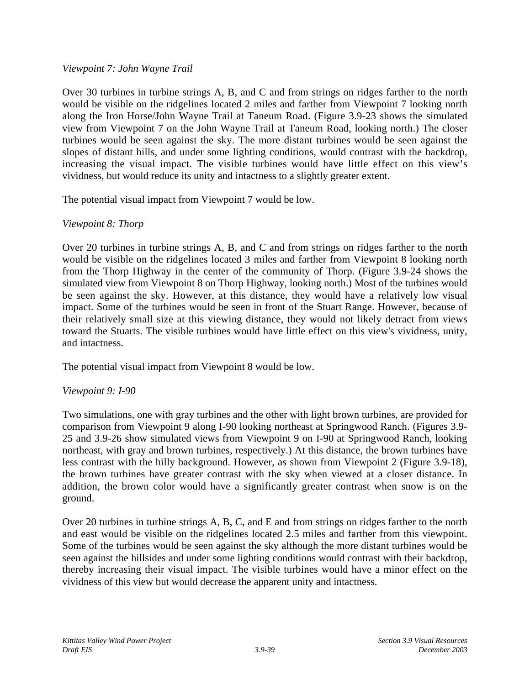### *Viewpoint 7: John Wayne Trail*

Over 30 turbines in turbine strings A, B, and C and from strings on ridges farther to the north would be visible on the ridgelines located 2 miles and farther from Viewpoint 7 looking north along the Iron Horse/John Wayne Trail at Taneum Road. (Figure 3.9-23 shows the simulated view from Viewpoint 7 on the John Wayne Trail at Taneum Road, looking north.) The closer turbines would be seen against the sky. The more distant turbines would be seen against the slopes of distant hills, and under some lighting conditions, would contrast with the backdrop, increasing the visual impact. The visible turbines would have little effect on this view's vividness, but would reduce its unity and intactness to a slightly greater extent.

The potential visual impact from Viewpoint 7 would be low.

## *Viewpoint 8: Thorp*

Over 20 turbines in turbine strings A, B, and C and from strings on ridges farther to the north would be visible on the ridgelines located 3 miles and farther from Viewpoint 8 looking north from the Thorp Highway in the center of the community of Thorp. (Figure 3.9-24 shows the simulated view from Viewpoint 8 on Thorp Highway, looking north.) Most of the turbines would be seen against the sky. However, at this distance, they would have a relatively low visual impact. Some of the turbines would be seen in front of the Stuart Range. However, because of their relatively small size at this viewing distance, they would not likely detract from views toward the Stuarts. The visible turbines would have little effect on this view's vividness, unity, and intactness.

The potential visual impact from Viewpoint 8 would be low.

## *Viewpoint 9: I-90*

Two simulations, one with gray turbines and the other with light brown turbines, are provided for comparison from Viewpoint 9 along I-90 looking northeast at Springwood Ranch. (Figures 3.9- 25 and 3.9-26 show simulated views from Viewpoint 9 on I-90 at Springwood Ranch, looking northeast, with gray and brown turbines, respectively.) At this distance, the brown turbines have less contrast with the hilly background. However, as shown from Viewpoint 2 (Figure 3.9-18), the brown turbines have greater contrast with the sky when viewed at a closer distance. In addition, the brown color would have a significantly greater contrast when snow is on the ground.

Over 20 turbines in turbine strings A, B, C, and E and from strings on ridges farther to the north and east would be visible on the ridgelines located 2.5 miles and farther from this viewpoint. Some of the turbines would be seen against the sky although the more distant turbines would be seen against the hillsides and under some lighting conditions would contrast with their backdrop, thereby increasing their visual impact. The visible turbines would have a minor effect on the vividness of this view but would decrease the apparent unity and intactness.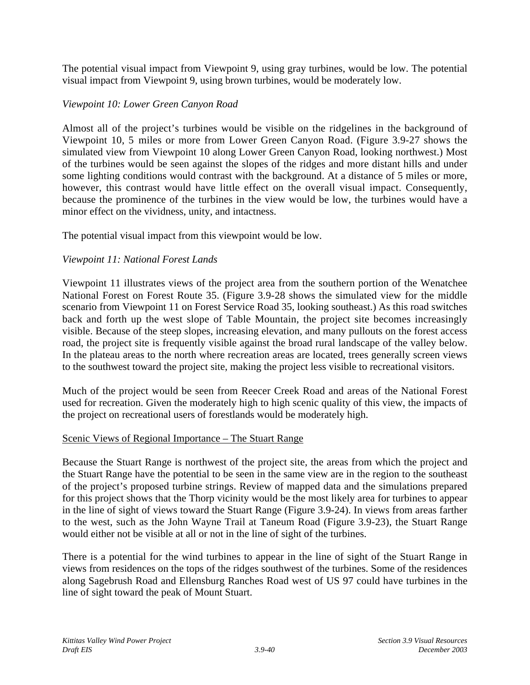The potential visual impact from Viewpoint 9, using gray turbines, would be low. The potential visual impact from Viewpoint 9, using brown turbines, would be moderately low.

### *Viewpoint 10: Lower Green Canyon Road*

Almost all of the project's turbines would be visible on the ridgelines in the background of Viewpoint 10, 5 miles or more from Lower Green Canyon Road. (Figure 3.9-27 shows the simulated view from Viewpoint 10 along Lower Green Canyon Road, looking northwest.) Most of the turbines would be seen against the slopes of the ridges and more distant hills and under some lighting conditions would contrast with the background. At a distance of 5 miles or more, however, this contrast would have little effect on the overall visual impact. Consequently, because the prominence of the turbines in the view would be low, the turbines would have a minor effect on the vividness, unity, and intactness.

The potential visual impact from this viewpoint would be low.

### *Viewpoint 11: National Forest Lands*

Viewpoint 11 illustrates views of the project area from the southern portion of the Wenatchee National Forest on Forest Route 35. (Figure 3.9-28 shows the simulated view for the middle scenario from Viewpoint 11 on Forest Service Road 35, looking southeast.) As this road switches back and forth up the west slope of Table Mountain, the project site becomes increasingly visible. Because of the steep slopes, increasing elevation, and many pullouts on the forest access road, the project site is frequently visible against the broad rural landscape of the valley below. In the plateau areas to the north where recreation areas are located, trees generally screen views to the southwest toward the project site, making the project less visible to recreational visitors.

Much of the project would be seen from Reecer Creek Road and areas of the National Forest used for recreation. Given the moderately high to high scenic quality of this view, the impacts of the project on recreational users of forestlands would be moderately high.

### Scenic Views of Regional Importance – The Stuart Range

Because the Stuart Range is northwest of the project site, the areas from which the project and the Stuart Range have the potential to be seen in the same view are in the region to the southeast of the project's proposed turbine strings. Review of mapped data and the simulations prepared for this project shows that the Thorp vicinity would be the most likely area for turbines to appear in the line of sight of views toward the Stuart Range (Figure 3.9-24). In views from areas farther to the west, such as the John Wayne Trail at Taneum Road (Figure 3.9-23), the Stuart Range would either not be visible at all or not in the line of sight of the turbines.

There is a potential for the wind turbines to appear in the line of sight of the Stuart Range in views from residences on the tops of the ridges southwest of the turbines. Some of the residences along Sagebrush Road and Ellensburg Ranches Road west of US 97 could have turbines in the line of sight toward the peak of Mount Stuart.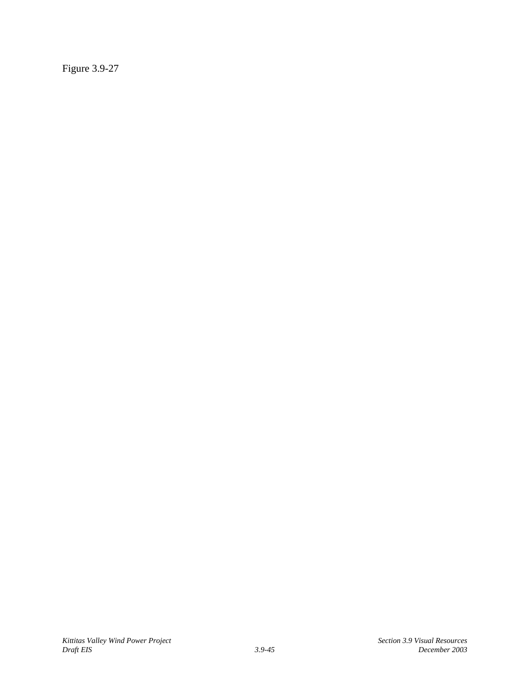Figure 3.9-27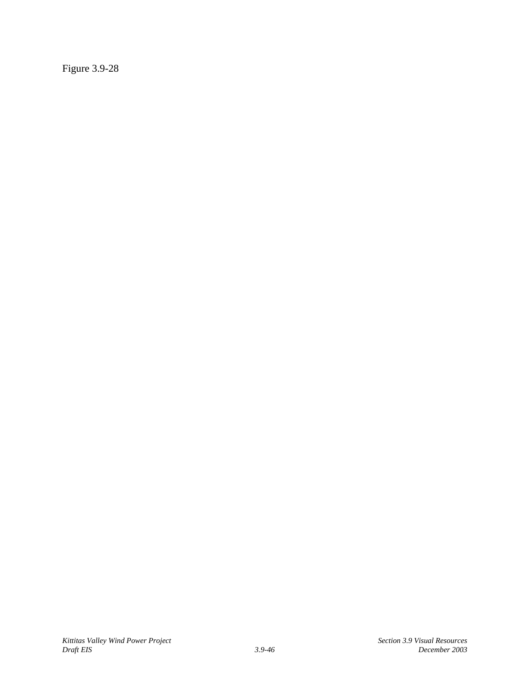Figure 3.9-28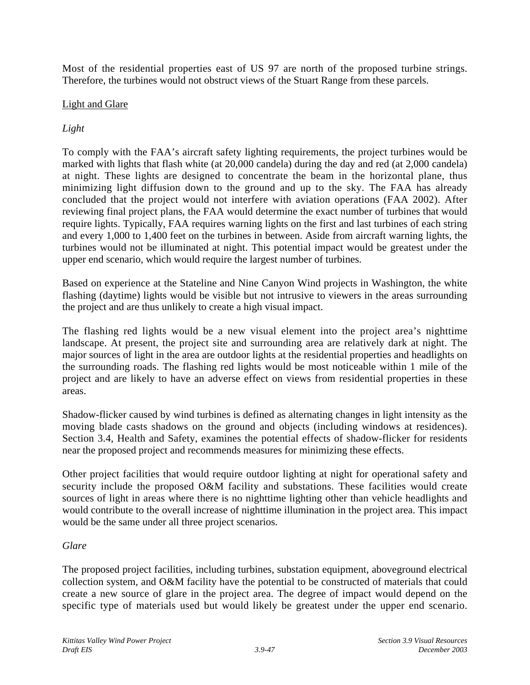Most of the residential properties east of US 97 are north of the proposed turbine strings. Therefore, the turbines would not obstruct views of the Stuart Range from these parcels.

### Light and Glare

# *Light*

To comply with the FAA's aircraft safety lighting requirements, the project turbines would be marked with lights that flash white (at 20,000 candela) during the day and red (at 2,000 candela) at night. These lights are designed to concentrate the beam in the horizontal plane, thus minimizing light diffusion down to the ground and up to the sky. The FAA has already concluded that the project would not interfere with aviation operations (FAA 2002). After reviewing final project plans, the FAA would determine the exact number of turbines that would require lights. Typically, FAA requires warning lights on the first and last turbines of each string and every 1,000 to 1,400 feet on the turbines in between. Aside from aircraft warning lights, the turbines would not be illuminated at night. This potential impact would be greatest under the upper end scenario, which would require the largest number of turbines.

Based on experience at the Stateline and Nine Canyon Wind projects in Washington, the white flashing (daytime) lights would be visible but not intrusive to viewers in the areas surrounding the project and are thus unlikely to create a high visual impact.

The flashing red lights would be a new visual element into the project area's nighttime landscape. At present, the project site and surrounding area are relatively dark at night. The major sources of light in the area are outdoor lights at the residential properties and headlights on the surrounding roads. The flashing red lights would be most noticeable within 1 mile of the project and are likely to have an adverse effect on views from residential properties in these areas.

Shadow-flicker caused by wind turbines is defined as alternating changes in light intensity as the moving blade casts shadows on the ground and objects (including windows at residences). Section 3.4, Health and Safety, examines the potential effects of shadow-flicker for residents near the proposed project and recommends measures for minimizing these effects.

Other project facilities that would require outdoor lighting at night for operational safety and security include the proposed O&M facility and substations. These facilities would create sources of light in areas where there is no nighttime lighting other than vehicle headlights and would contribute to the overall increase of nighttime illumination in the project area. This impact would be the same under all three project scenarios.

### *Glare*

The proposed project facilities, including turbines, substation equipment, aboveground electrical collection system, and O&M facility have the potential to be constructed of materials that could create a new source of glare in the project area. The degree of impact would depend on the specific type of materials used but would likely be greatest under the upper end scenario.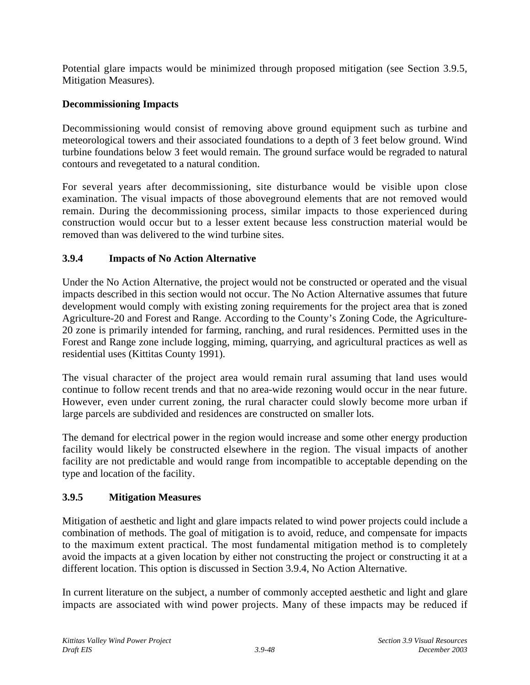Potential glare impacts would be minimized through proposed mitigation (see Section 3.9.5, Mitigation Measures).

# **Decommissioning Impacts**

Decommissioning would consist of removing above ground equipment such as turbine and meteorological towers and their associated foundations to a depth of 3 feet below ground. Wind turbine foundations below 3 feet would remain. The ground surface would be regraded to natural contours and revegetated to a natural condition.

For several years after decommissioning, site disturbance would be visible upon close examination. The visual impacts of those aboveground elements that are not removed would remain. During the decommissioning process, similar impacts to those experienced during construction would occur but to a lesser extent because less construction material would be removed than was delivered to the wind turbine sites.

# **3.9.4 Impacts of No Action Alternative**

Under the No Action Alternative, the project would not be constructed or operated and the visual impacts described in this section would not occur. The No Action Alternative assumes that future development would comply with existing zoning requirements for the project area that is zoned Agriculture-20 and Forest and Range. According to the County's Zoning Code, the Agriculture-20 zone is primarily intended for farming, ranching, and rural residences. Permitted uses in the Forest and Range zone include logging, miming, quarrying, and agricultural practices as well as residential uses (Kittitas County 1991).

The visual character of the project area would remain rural assuming that land uses would continue to follow recent trends and that no area-wide rezoning would occur in the near future. However, even under current zoning, the rural character could slowly become more urban if large parcels are subdivided and residences are constructed on smaller lots.

The demand for electrical power in the region would increase and some other energy production facility would likely be constructed elsewhere in the region. The visual impacts of another facility are not predictable and would range from incompatible to acceptable depending on the type and location of the facility.

# **3.9.5 Mitigation Measures**

Mitigation of aesthetic and light and glare impacts related to wind power projects could include a combination of methods. The goal of mitigation is to avoid, reduce, and compensate for impacts to the maximum extent practical. The most fundamental mitigation method is to completely avoid the impacts at a given location by either not constructing the project or constructing it at a different location. This option is discussed in Section 3.9.4, No Action Alternative.

In current literature on the subject, a number of commonly accepted aesthetic and light and glare impacts are associated with wind power projects. Many of these impacts may be reduced if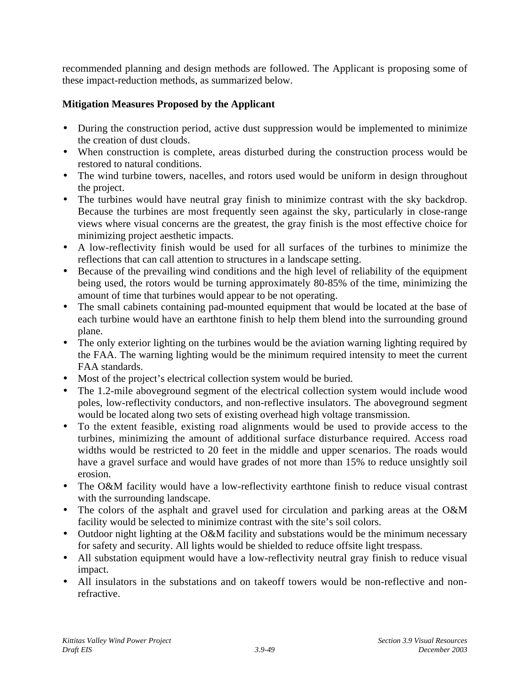recommended planning and design methods are followed. The Applicant is proposing some of these impact-reduction methods, as summarized below.

### **Mitigation Measures Proposed by the Applicant**

- During the construction period, active dust suppression would be implemented to minimize the creation of dust clouds.
- When construction is complete, areas disturbed during the construction process would be restored to natural conditions.
- The wind turbine towers, nacelles, and rotors used would be uniform in design throughout the project.
- The turbines would have neutral gray finish to minimize contrast with the sky backdrop. Because the turbines are most frequently seen against the sky, particularly in close-range views where visual concerns are the greatest, the gray finish is the most effective choice for minimizing project aesthetic impacts.
- A low-reflectivity finish would be used for all surfaces of the turbines to minimize the reflections that can call attention to structures in a landscape setting.
- Because of the prevailing wind conditions and the high level of reliability of the equipment being used, the rotors would be turning approximately 80-85% of the time, minimizing the amount of time that turbines would appear to be not operating.
- The small cabinets containing pad-mounted equipment that would be located at the base of each turbine would have an earthtone finish to help them blend into the surrounding ground plane.
- The only exterior lighting on the turbines would be the aviation warning lighting required by the FAA. The warning lighting would be the minimum required intensity to meet the current FAA standards.
- Most of the project's electrical collection system would be buried.
- The 1.2-mile aboveground segment of the electrical collection system would include wood poles, low-reflectivity conductors, and non-reflective insulators. The aboveground segment would be located along two sets of existing overhead high voltage transmission.
- To the extent feasible, existing road alignments would be used to provide access to the turbines, minimizing the amount of additional surface disturbance required. Access road widths would be restricted to 20 feet in the middle and upper scenarios. The roads would have a gravel surface and would have grades of not more than 15% to reduce unsightly soil erosion.
- The O&M facility would have a low-reflectivity earthtone finish to reduce visual contrast with the surrounding landscape.
- The colors of the asphalt and gravel used for circulation and parking areas at the O&M facility would be selected to minimize contrast with the site's soil colors.
- Outdoor night lighting at the O&M facility and substations would be the minimum necessary for safety and security. All lights would be shielded to reduce offsite light trespass.
- All substation equipment would have a low-reflectivity neutral gray finish to reduce visual impact.
- All insulators in the substations and on takeoff towers would be non-reflective and nonrefractive.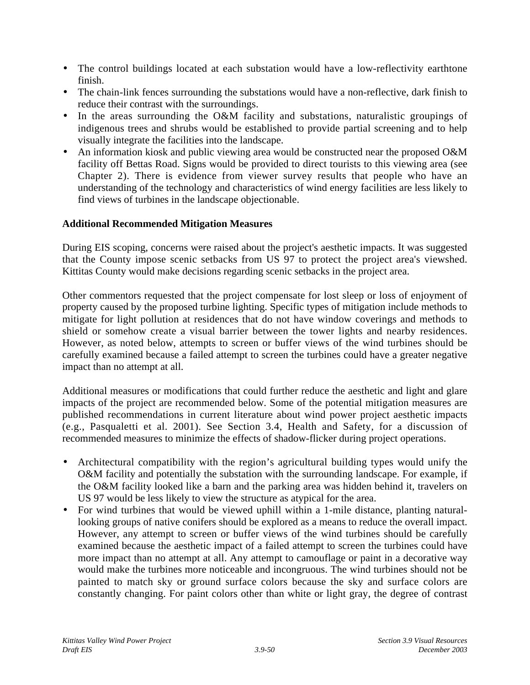- The control buildings located at each substation would have a low-reflectivity earthtone finish.
- The chain-link fences surrounding the substations would have a non-reflective, dark finish to reduce their contrast with the surroundings.
- In the areas surrounding the O&M facility and substations, naturalistic groupings of indigenous trees and shrubs would be established to provide partial screening and to help visually integrate the facilities into the landscape.
- An information kiosk and public viewing area would be constructed near the proposed O&M facility off Bettas Road. Signs would be provided to direct tourists to this viewing area (see Chapter 2). There is evidence from viewer survey results that people who have an understanding of the technology and characteristics of wind energy facilities are less likely to find views of turbines in the landscape objectionable.

### **Additional Recommended Mitigation Measures**

During EIS scoping, concerns were raised about the project's aesthetic impacts. It was suggested that the County impose scenic setbacks from US 97 to protect the project area's viewshed. Kittitas County would make decisions regarding scenic setbacks in the project area.

Other commentors requested that the project compensate for lost sleep or loss of enjoyment of property caused by the proposed turbine lighting. Specific types of mitigation include methods to mitigate for light pollution at residences that do not have window coverings and methods to shield or somehow create a visual barrier between the tower lights and nearby residences. However, as noted below, attempts to screen or buffer views of the wind turbines should be carefully examined because a failed attempt to screen the turbines could have a greater negative impact than no attempt at all.

Additional measures or modifications that could further reduce the aesthetic and light and glare impacts of the project are recommended below. Some of the potential mitigation measures are published recommendations in current literature about wind power project aesthetic impacts (e.g., Pasqualetti et al. 2001). See Section 3.4, Health and Safety, for a discussion of recommended measures to minimize the effects of shadow-flicker during project operations.

- Architectural compatibility with the region's agricultural building types would unify the O&M facility and potentially the substation with the surrounding landscape. For example, if the O&M facility looked like a barn and the parking area was hidden behind it, travelers on US 97 would be less likely to view the structure as atypical for the area.
- For wind turbines that would be viewed uphill within a 1-mile distance, planting naturallooking groups of native conifers should be explored as a means to reduce the overall impact. However, any attempt to screen or buffer views of the wind turbines should be carefully examined because the aesthetic impact of a failed attempt to screen the turbines could have more impact than no attempt at all. Any attempt to camouflage or paint in a decorative way would make the turbines more noticeable and incongruous. The wind turbines should not be painted to match sky or ground surface colors because the sky and surface colors are constantly changing. For paint colors other than white or light gray, the degree of contrast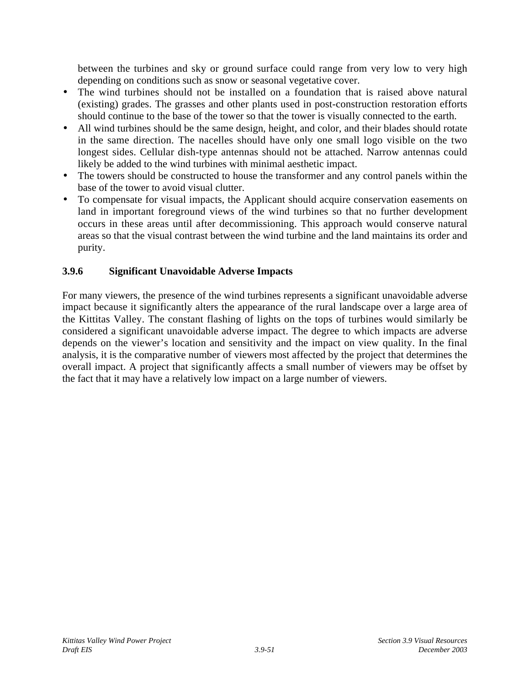between the turbines and sky or ground surface could range from very low to very high depending on conditions such as snow or seasonal vegetative cover.

- The wind turbines should not be installed on a foundation that is raised above natural (existing) grades. The grasses and other plants used in post-construction restoration efforts should continue to the base of the tower so that the tower is visually connected to the earth.
- All wind turbines should be the same design, height, and color, and their blades should rotate in the same direction. The nacelles should have only one small logo visible on the two longest sides. Cellular dish-type antennas should not be attached. Narrow antennas could likely be added to the wind turbines with minimal aesthetic impact.
- The towers should be constructed to house the transformer and any control panels within the base of the tower to avoid visual clutter.
- To compensate for visual impacts, the Applicant should acquire conservation easements on land in important foreground views of the wind turbines so that no further development occurs in these areas until after decommissioning. This approach would conserve natural areas so that the visual contrast between the wind turbine and the land maintains its order and purity.

# **3.9.6 Significant Unavoidable Adverse Impacts**

For many viewers, the presence of the wind turbines represents a significant unavoidable adverse impact because it significantly alters the appearance of the rural landscape over a large area of the Kittitas Valley. The constant flashing of lights on the tops of turbines would similarly be considered a significant unavoidable adverse impact. The degree to which impacts are adverse depends on the viewer's location and sensitivity and the impact on view quality. In the final analysis, it is the comparative number of viewers most affected by the project that determines the overall impact. A project that significantly affects a small number of viewers may be offset by the fact that it may have a relatively low impact on a large number of viewers.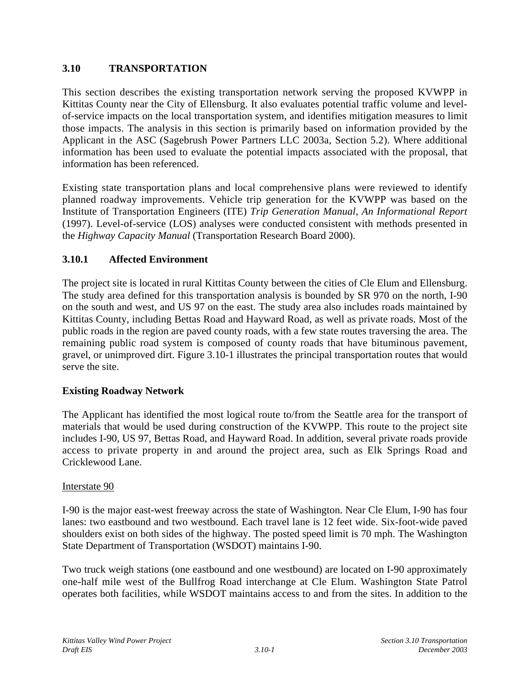# **3.10 TRANSPORTATION**

This section describes the existing transportation network serving the proposed KVWPP in Kittitas County near the City of Ellensburg. It also evaluates potential traffic volume and levelof-service impacts on the local transportation system, and identifies mitigation measures to limit those impacts. The analysis in this section is primarily based on information provided by the Applicant in the ASC (Sagebrush Power Partners LLC 2003a, Section 5.2). Where additional information has been used to evaluate the potential impacts associated with the proposal, that information has been referenced.

Existing state transportation plans and local comprehensive plans were reviewed to identify planned roadway improvements. Vehicle trip generation for the KVWPP was based on the Institute of Transportation Engineers (ITE) *Trip Generation Manual, An Informational Report* (1997). Level-of-service (LOS) analyses were conducted consistent with methods presented in the *Highway Capacity Manual* (Transportation Research Board 2000).

# **3.10.1 Affected Environment**

The project site is located in rural Kittitas County between the cities of Cle Elum and Ellensburg. The study area defined for this transportation analysis is bounded by SR 970 on the north, I-90 on the south and west, and US 97 on the east. The study area also includes roads maintained by Kittitas County, including Bettas Road and Hayward Road, as well as private roads. Most of the public roads in the region are paved county roads, with a few state routes traversing the area. The remaining public road system is composed of county roads that have bituminous pavement, gravel, or unimproved dirt. Figure 3.10-1 illustrates the principal transportation routes that would serve the site.

### **Existing Roadway Network**

The Applicant has identified the most logical route to/from the Seattle area for the transport of materials that would be used during construction of the KVWPP. This route to the project site includes I-90, US 97, Bettas Road, and Hayward Road. In addition, several private roads provide access to private property in and around the project area, such as Elk Springs Road and Cricklewood Lane.

#### Interstate 90

I-90 is the major east-west freeway across the state of Washington. Near Cle Elum, I-90 has four lanes: two eastbound and two westbound. Each travel lane is 12 feet wide. Six-foot-wide paved shoulders exist on both sides of the highway. The posted speed limit is 70 mph. The Washington State Department of Transportation (WSDOT) maintains I-90.

Two truck weigh stations (one eastbound and one westbound) are located on I-90 approximately one-half mile west of the Bullfrog Road interchange at Cle Elum. Washington State Patrol operates both facilities, while WSDOT maintains access to and from the sites. In addition to the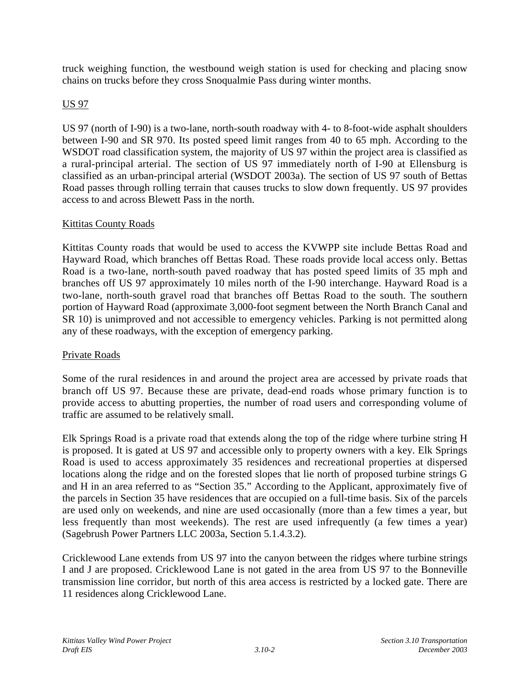truck weighing function, the westbound weigh station is used for checking and placing snow chains on trucks before they cross Snoqualmie Pass during winter months.

# US 97

US 97 (north of I-90) is a two-lane, north-south roadway with 4- to 8-foot-wide asphalt shoulders between I-90 and SR 970. Its posted speed limit ranges from 40 to 65 mph. According to the WSDOT road classification system, the majority of US 97 within the project area is classified as a rural-principal arterial. The section of US 97 immediately north of I-90 at Ellensburg is classified as an urban-principal arterial (WSDOT 2003a). The section of US 97 south of Bettas Road passes through rolling terrain that causes trucks to slow down frequently. US 97 provides access to and across Blewett Pass in the north.

#### Kittitas County Roads

Kittitas County roads that would be used to access the KVWPP site include Bettas Road and Hayward Road, which branches off Bettas Road. These roads provide local access only. Bettas Road is a two-lane, north-south paved roadway that has posted speed limits of 35 mph and branches off US 97 approximately 10 miles north of the I-90 interchange. Hayward Road is a two-lane, north-south gravel road that branches off Bettas Road to the south. The southern portion of Hayward Road (approximate 3,000-foot segment between the North Branch Canal and SR 10) is unimproved and not accessible to emergency vehicles. Parking is not permitted along any of these roadways, with the exception of emergency parking.

### Private Roads

Some of the rural residences in and around the project area are accessed by private roads that branch off US 97. Because these are private, dead-end roads whose primary function is to provide access to abutting properties, the number of road users and corresponding volume of traffic are assumed to be relatively small.

Elk Springs Road is a private road that extends along the top of the ridge where turbine string H is proposed. It is gated at US 97 and accessible only to property owners with a key. Elk Springs Road is used to access approximately 35 residences and recreational properties at dispersed locations along the ridge and on the forested slopes that lie north of proposed turbine strings G and H in an area referred to as "Section 35." According to the Applicant, approximately five of the parcels in Section 35 have residences that are occupied on a full-time basis. Six of the parcels are used only on weekends, and nine are used occasionally (more than a few times a year, but less frequently than most weekends). The rest are used infrequently (a few times a year) (Sagebrush Power Partners LLC 2003a, Section 5.1.4.3.2).

Cricklewood Lane extends from US 97 into the canyon between the ridges where turbine strings I and J are proposed. Cricklewood Lane is not gated in the area from US 97 to the Bonneville transmission line corridor, but north of this area access is restricted by a locked gate. There are 11 residences along Cricklewood Lane.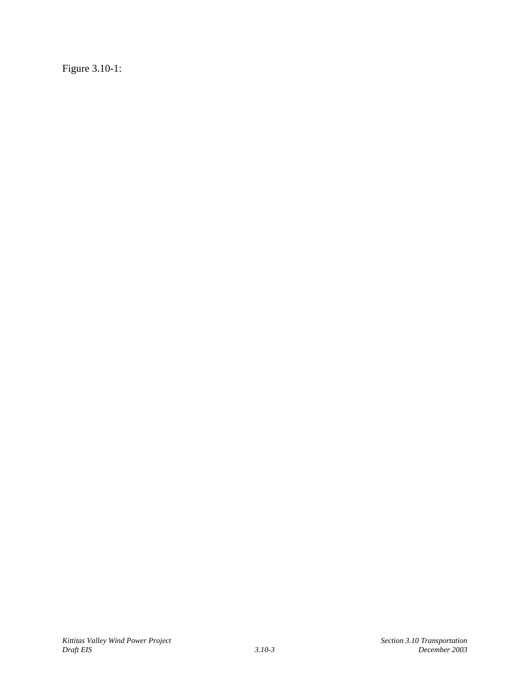Figure 3.10-1: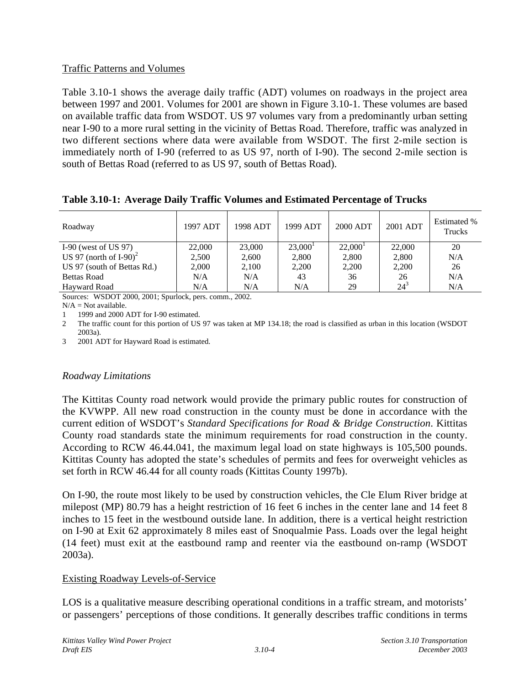### Traffic Patterns and Volumes

Table 3.10-1 shows the average daily traffic (ADT) volumes on roadways in the project area between 1997 and 2001. Volumes for 2001 are shown in Figure 3.10-1. These volumes are based on available traffic data from WSDOT. US 97 volumes vary from a predominantly urban setting near I-90 to a more rural setting in the vicinity of Bettas Road. Therefore, traffic was analyzed in two different sections where data were available from WSDOT. The first 2-mile section is immediately north of I-90 (referred to as US 97, north of I-90). The second 2-mile section is south of Bettas Road (referred to as US 97, south of Bettas Road).

| Roadway                               | 1997 ADT | 1998 ADT | 1999 ADT   | 2000 ADT   | 2001 ADT | Estimated %<br>Trucks |
|---------------------------------------|----------|----------|------------|------------|----------|-----------------------|
| I-90 (west of US $97$ )               | 22,000   | 23,000   | $23,000^1$ | $22,000^1$ | 22,000   | 20                    |
| US 97 (north of $I-90$ ) <sup>2</sup> | 2,500    | 2,600    | 2,800      | 2,800      | 2,800    | N/A                   |
| US 97 (south of Bettas Rd.)           | 2,000    | 2,100    | 2,200      | 2,200      | 2,200    | 26                    |
| <b>Bettas Road</b>                    | N/A      | N/A      | 43         | 36         | 26       | N/A                   |
| Hayward Road                          | N/A      | N/A      | N/A        | 29         | $24^{3}$ | N/A                   |

**Table 3.10-1: Average Daily Traffic Volumes and Estimated Percentage of Trucks**

Sources: WSDOT 2000, 2001; Spurlock, pers. comm., 2002.

 $N/A = Not available.$ 

1 1999 and 2000 ADT for I-90 estimated.

2 The traffic count for this portion of US 97 was taken at MP 134.18; the road is classified as urban in this location (WSDOT 2003a).

3 2001 ADT for Hayward Road is estimated.

### *Roadway Limitations*

The Kittitas County road network would provide the primary public routes for construction of the KVWPP. All new road construction in the county must be done in accordance with the current edition of WSDOT's *Standard Specifications for Road & Bridge Construction*. Kittitas County road standards state the minimum requirements for road construction in the county. According to RCW 46.44.041, the maximum legal load on state highways is 105,500 pounds. Kittitas County has adopted the state's schedules of permits and fees for overweight vehicles as set forth in RCW 46.44 for all county roads (Kittitas County 1997b).

On I-90, the route most likely to be used by construction vehicles, the Cle Elum River bridge at milepost (MP) 80.79 has a height restriction of 16 feet 6 inches in the center lane and 14 feet 8 inches to 15 feet in the westbound outside lane. In addition, there is a vertical height restriction on I-90 at Exit 62 approximately 8 miles east of Snoqualmie Pass. Loads over the legal height (14 feet) must exit at the eastbound ramp and reenter via the eastbound on-ramp (WSDOT 2003a).

### Existing Roadway Levels-of-Service

LOS is a qualitative measure describing operational conditions in a traffic stream, and motorists' or passengers' perceptions of those conditions. It generally describes traffic conditions in terms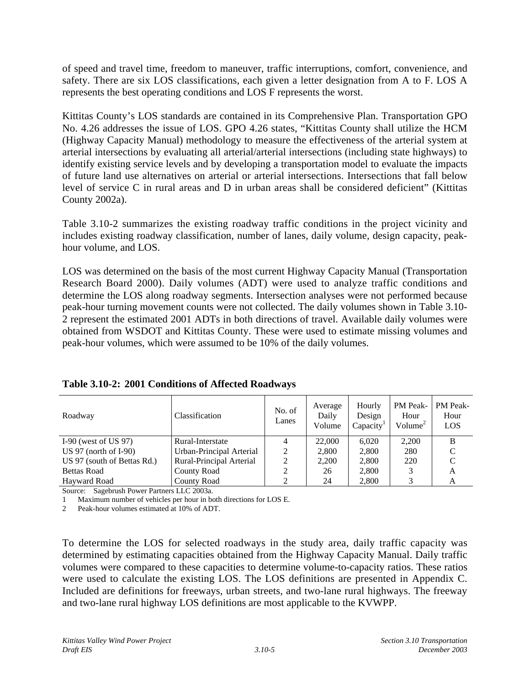of speed and travel time, freedom to maneuver, traffic interruptions, comfort, convenience, and safety. There are six LOS classifications, each given a letter designation from A to F. LOS A represents the best operating conditions and LOS F represents the worst.

Kittitas County's LOS standards are contained in its Comprehensive Plan. Transportation GPO No. 4.26 addresses the issue of LOS. GPO 4.26 states, "Kittitas County shall utilize the HCM (Highway Capacity Manual) methodology to measure the effectiveness of the arterial system at arterial intersections by evaluating all arterial/arterial intersections (including state highways) to identify existing service levels and by developing a transportation model to evaluate the impacts of future land use alternatives on arterial or arterial intersections. Intersections that fall below level of service C in rural areas and D in urban areas shall be considered deficient" (Kittitas County 2002a).

Table 3.10-2 summarizes the existing roadway traffic conditions in the project vicinity and includes existing roadway classification, number of lanes, daily volume, design capacity, peakhour volume, and LOS.

LOS was determined on the basis of the most current Highway Capacity Manual (Transportation Research Board 2000). Daily volumes (ADT) were used to analyze traffic conditions and determine the LOS along roadway segments. Intersection analyses were not performed because peak-hour turning movement counts were not collected. The daily volumes shown in Table 3.10- 2 represent the estimated 2001 ADTs in both directions of travel. Available daily volumes were obtained from WSDOT and Kittitas County. These were used to estimate missing volumes and peak-hour volumes, which were assumed to be 10% of the daily volumes.

| Roadway                     | <b>Classification</b>    | No. of<br>Lanes | Average<br>Daily<br>Volume | Hourly<br>Design<br>Capacity <sup>1</sup> | PM Peak-<br>Hour<br>Volume <sup>2</sup> | PM Peak-<br>Hour<br>LOS |
|-----------------------------|--------------------------|-----------------|----------------------------|-------------------------------------------|-----------------------------------------|-------------------------|
| I-90 (west of US $97$ )     | Rural-Interstate         | 4               | 22,000                     | 6.020                                     | 2,200                                   | B                       |
| US $97$ (north of I-90)     | Urban-Principal Arterial | 2               | 2.800                      | 2,800                                     | 280                                     |                         |
| US 97 (south of Bettas Rd.) | Rural-Principal Arterial | 2               | 2.200                      | 2,800                                     | 220                                     |                         |
| <b>Bettas Road</b>          | County Road              | 2               | 26                         | 2,800                                     |                                         | A                       |
| Havward Road                | County Road              |                 | 24                         | 2,800                                     | 3                                       | A                       |

| Table 3.10-2: 2001 Conditions of Affected Roadways |  |  |  |  |
|----------------------------------------------------|--|--|--|--|
|----------------------------------------------------|--|--|--|--|

Source: Sagebrush Power Partners LLC 2003a.

1 Maximum number of vehicles per hour in both directions for LOS E.

2 Peak-hour volumes estimated at 10% of ADT.

To determine the LOS for selected roadways in the study area, daily traffic capacity was determined by estimating capacities obtained from the Highway Capacity Manual. Daily traffic volumes were compared to these capacities to determine volume-to-capacity ratios. These ratios were used to calculate the existing LOS. The LOS definitions are presented in Appendix C. Included are definitions for freeways, urban streets, and two-lane rural highways. The freeway and two-lane rural highway LOS definitions are most applicable to the KVWPP.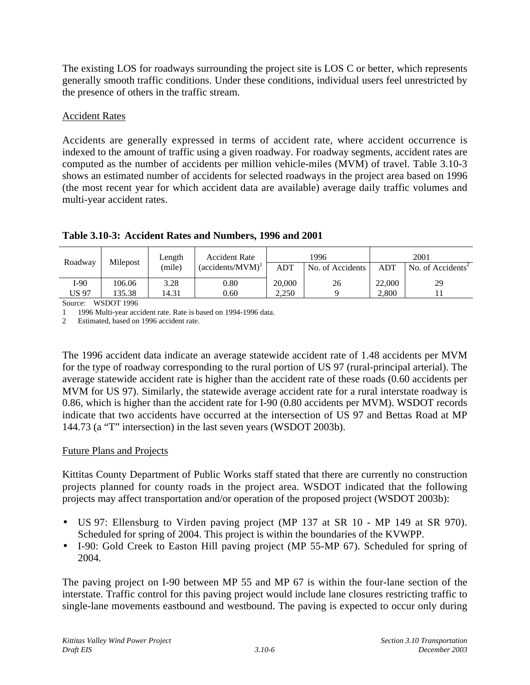The existing LOS for roadways surrounding the project site is LOS C or better, which represents generally smooth traffic conditions. Under these conditions, individual users feel unrestricted by the presence of others in the traffic stream.

#### Accident Rates

Accidents are generally expressed in terms of accident rate, where accident occurrence is indexed to the amount of traffic using a given roadway. For roadway segments, accident rates are computed as the number of accidents per million vehicle-miles (MVM) of travel. Table 3.10-3 shows an estimated number of accidents for selected roadways in the project area based on 1996 (the most recent year for which accident data are available) average daily traffic volumes and multi-year accident rates.

| Length<br>Milepost<br>Roadway |        | <b>Accident Rate</b>                                 |      | 1996   |                  | 2001   |                               |
|-------------------------------|--------|------------------------------------------------------|------|--------|------------------|--------|-------------------------------|
|                               |        | $(\text{accidents}/\text{MVM})^{\text{T}}$<br>(mile) |      | ADT    | No. of Accidents | ADT    | No. of Accidents <sup>2</sup> |
| I-90                          | 106.06 | 3.28                                                 | 0.80 | 20,000 | 26               | 22,000 | 29                            |
| US 97                         | 135.38 | 14.31                                                | 0.60 | 2.250  |                  | 2.800  |                               |

### **Table 3.10-3: Accident Rates and Numbers, 1996 and 2001**

Source: WSDOT 1996

1 1996 Multi-year accident rate. Rate is based on 1994-1996 data.

2 Estimated, based on 1996 accident rate.

The 1996 accident data indicate an average statewide accident rate of 1.48 accidents per MVM for the type of roadway corresponding to the rural portion of US 97 (rural-principal arterial). The average statewide accident rate is higher than the accident rate of these roads (0.60 accidents per MVM for US 97). Similarly, the statewide average accident rate for a rural interstate roadway is 0.86, which is higher than the accident rate for I-90 (0.80 accidents per MVM). WSDOT records indicate that two accidents have occurred at the intersection of US 97 and Bettas Road at MP 144.73 (a "T" intersection) in the last seven years (WSDOT 2003b).

#### Future Plans and Projects

Kittitas County Department of Public Works staff stated that there are currently no construction projects planned for county roads in the project area. WSDOT indicated that the following projects may affect transportation and/or operation of the proposed project (WSDOT 2003b):

- US 97: Ellensburg to Virden paving project (MP 137 at SR 10 MP 149 at SR 970). Scheduled for spring of 2004. This project is within the boundaries of the KVWPP.
- I-90: Gold Creek to Easton Hill paving project (MP 55-MP 67). Scheduled for spring of 2004.

The paving project on I-90 between MP 55 and MP 67 is within the four-lane section of the interstate. Traffic control for this paving project would include lane closures restricting traffic to single-lane movements eastbound and westbound. The paving is expected to occur only during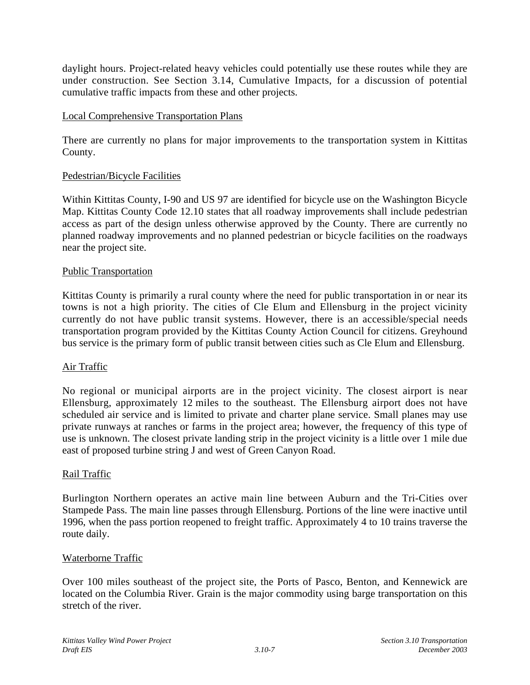daylight hours. Project-related heavy vehicles could potentially use these routes while they are under construction. See Section 3.14, Cumulative Impacts, for a discussion of potential cumulative traffic impacts from these and other projects.

#### Local Comprehensive Transportation Plans

There are currently no plans for major improvements to the transportation system in Kittitas County.

#### Pedestrian/Bicycle Facilities

Within Kittitas County, I-90 and US 97 are identified for bicycle use on the Washington Bicycle Map. Kittitas County Code 12.10 states that all roadway improvements shall include pedestrian access as part of the design unless otherwise approved by the County. There are currently no planned roadway improvements and no planned pedestrian or bicycle facilities on the roadways near the project site.

#### Public Transportation

Kittitas County is primarily a rural county where the need for public transportation in or near its towns is not a high priority. The cities of Cle Elum and Ellensburg in the project vicinity currently do not have public transit systems. However, there is an accessible/special needs transportation program provided by the Kittitas County Action Council for citizens. Greyhound bus service is the primary form of public transit between cities such as Cle Elum and Ellensburg.

### Air Traffic

No regional or municipal airports are in the project vicinity. The closest airport is near Ellensburg, approximately 12 miles to the southeast. The Ellensburg airport does not have scheduled air service and is limited to private and charter plane service. Small planes may use private runways at ranches or farms in the project area; however, the frequency of this type of use is unknown. The closest private landing strip in the project vicinity is a little over 1 mile due east of proposed turbine string J and west of Green Canyon Road.

#### Rail Traffic

Burlington Northern operates an active main line between Auburn and the Tri-Cities over Stampede Pass. The main line passes through Ellensburg. Portions of the line were inactive until 1996, when the pass portion reopened to freight traffic. Approximately 4 to 10 trains traverse the route daily.

#### Waterborne Traffic

Over 100 miles southeast of the project site, the Ports of Pasco, Benton, and Kennewick are located on the Columbia River. Grain is the major commodity using barge transportation on this stretch of the river.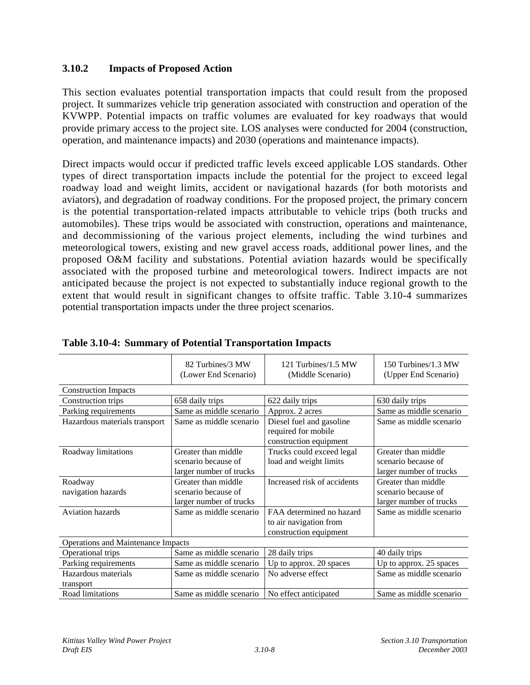### **3.10.2 Impacts of Proposed Action**

This section evaluates potential transportation impacts that could result from the proposed project. It summarizes vehicle trip generation associated with construction and operation of the KVWPP. Potential impacts on traffic volumes are evaluated for key roadways that would provide primary access to the project site. LOS analyses were conducted for 2004 (construction, operation, and maintenance impacts) and 2030 (operations and maintenance impacts).

Direct impacts would occur if predicted traffic levels exceed applicable LOS standards. Other types of direct transportation impacts include the potential for the project to exceed legal roadway load and weight limits, accident or navigational hazards (for both motorists and aviators), and degradation of roadway conditions. For the proposed project, the primary concern is the potential transportation-related impacts attributable to vehicle trips (both trucks and automobiles). These trips would be associated with construction, operations and maintenance, and decommissioning of the various project elements, including the wind turbines and meteorological towers, existing and new gravel access roads, additional power lines, and the proposed O&M facility and substations. Potential aviation hazards would be specifically associated with the proposed turbine and meteorological towers. Indirect impacts are not anticipated because the project is not expected to substantially induce regional growth to the extent that would result in significant changes to offsite traffic. Table 3.10-4 summarizes potential transportation impacts under the three project scenarios.

|                                    | 82 Turbines/3 MW<br>(Lower End Scenario) | 121 Turbines/1.5 MW<br>(Middle Scenario)         | 150 Turbines/1.3 MW<br>(Upper End Scenario) |
|------------------------------------|------------------------------------------|--------------------------------------------------|---------------------------------------------|
| <b>Construction Impacts</b>        |                                          |                                                  |                                             |
| Construction trips                 | 658 daily trips                          | 622 daily trips                                  | 630 daily trips                             |
| Parking requirements               | Same as middle scenario                  | Approx. 2 acres                                  | Same as middle scenario                     |
| Hazardous materials transport      | Same as middle scenario                  | Diesel fuel and gasoline<br>required for mobile  | Same as middle scenario                     |
|                                    |                                          | construction equipment                           |                                             |
| Roadway limitations                | Greater than middle                      | Trucks could exceed legal                        | Greater than middle                         |
|                                    | scenario because of                      | load and weight limits                           | scenario because of                         |
|                                    | larger number of trucks                  |                                                  | larger number of trucks                     |
| Roadway                            | Greater than middle                      | Increased risk of accidents                      | Greater than middle                         |
| navigation hazards                 | scenario because of                      |                                                  | scenario because of                         |
|                                    | larger number of trucks                  |                                                  | larger number of trucks                     |
| <b>Aviation hazards</b>            | Same as middle scenario                  | FAA determined no hazard                         | Same as middle scenario                     |
|                                    |                                          | to air navigation from<br>construction equipment |                                             |
| Operations and Maintenance Impacts |                                          |                                                  |                                             |
| Operational trips                  | Same as middle scenario                  | 28 daily trips                                   | 40 daily trips                              |
| Parking requirements               | Same as middle scenario                  | Up to approx. 20 spaces                          | Up to approx. 25 spaces                     |
| Hazardous materials                | Same as middle scenario                  | No adverse effect                                | Same as middle scenario                     |
| transport                          |                                          |                                                  |                                             |
| Road limitations                   | Same as middle scenario                  | No effect anticipated                            | Same as middle scenario                     |

|  | Table 3.10-4: Summary of Potential Transportation Impacts |  |
|--|-----------------------------------------------------------|--|
|  |                                                           |  |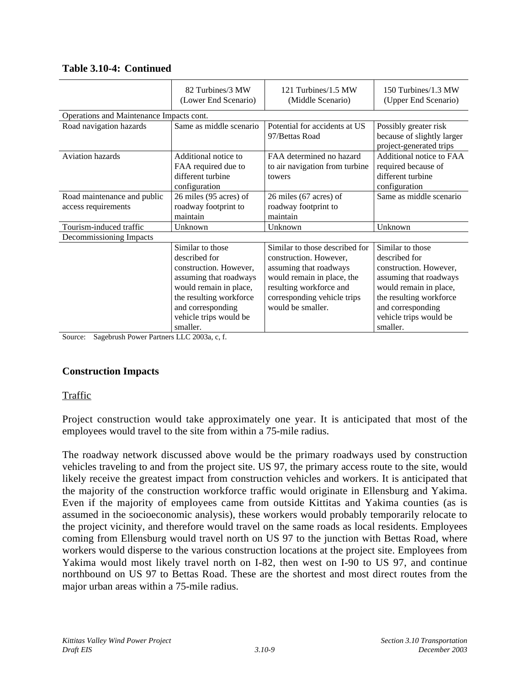|                                                    | 82 Turbines/3 MW<br>(Lower End Scenario)                                                                                                                                                              | 121 Turbines/1.5 MW<br>(Middle Scenario)                                                                                                                                                        | 150 Turbines/1.3 MW<br>(Upper End Scenario)                                                                                                                                                           |  |  |
|----------------------------------------------------|-------------------------------------------------------------------------------------------------------------------------------------------------------------------------------------------------------|-------------------------------------------------------------------------------------------------------------------------------------------------------------------------------------------------|-------------------------------------------------------------------------------------------------------------------------------------------------------------------------------------------------------|--|--|
| Operations and Maintenance Impacts cont.           |                                                                                                                                                                                                       |                                                                                                                                                                                                 |                                                                                                                                                                                                       |  |  |
| Road navigation hazards                            | Same as middle scenario                                                                                                                                                                               | Potential for accidents at US<br>97/Bettas Road                                                                                                                                                 | Possibly greater risk<br>because of slightly larger<br>project-generated trips                                                                                                                        |  |  |
| <b>Aviation hazards</b>                            | Additional notice to<br>FAA required due to<br>different turbine<br>configuration                                                                                                                     | FAA determined no hazard<br>to air navigation from turbine<br>towers                                                                                                                            | Additional notice to FAA<br>required because of<br>different turbine<br>configuration                                                                                                                 |  |  |
| Road maintenance and public<br>access requirements | 26 miles (95 acres) of<br>roadway footprint to<br>maintain                                                                                                                                            | 26 miles (67 acres) of<br>roadway footprint to<br>maintain                                                                                                                                      | Same as middle scenario                                                                                                                                                                               |  |  |
| Tourism-induced traffic                            | Unknown                                                                                                                                                                                               | Unknown                                                                                                                                                                                         | Unknown                                                                                                                                                                                               |  |  |
| Decommissioning Impacts                            |                                                                                                                                                                                                       |                                                                                                                                                                                                 |                                                                                                                                                                                                       |  |  |
|                                                    | Similar to those<br>described for<br>construction. However,<br>assuming that roadways<br>would remain in place,<br>the resulting workforce<br>and corresponding<br>vehicle trips would be<br>smaller. | Similar to those described for<br>construction. However,<br>assuming that roadways<br>would remain in place, the<br>resulting workforce and<br>corresponding vehicle trips<br>would be smaller. | Similar to those<br>described for<br>construction. However,<br>assuming that roadways<br>would remain in place,<br>the resulting workforce<br>and corresponding<br>vehicle trips would be<br>smaller. |  |  |

#### **Table 3.10-4: Continued**

Source: Sagebrush Power Partners LLC 2003a, c, f.

#### **Construction Impacts**

#### Traffic

Project construction would take approximately one year. It is anticipated that most of the employees would travel to the site from within a 75-mile radius.

The roadway network discussed above would be the primary roadways used by construction vehicles traveling to and from the project site. US 97, the primary access route to the site, would likely receive the greatest impact from construction vehicles and workers. It is anticipated that the majority of the construction workforce traffic would originate in Ellensburg and Yakima. Even if the majority of employees came from outside Kittitas and Yakima counties (as is assumed in the socioeconomic analysis), these workers would probably temporarily relocate to the project vicinity, and therefore would travel on the same roads as local residents. Employees coming from Ellensburg would travel north on US 97 to the junction with Bettas Road, where workers would disperse to the various construction locations at the project site. Employees from Yakima would most likely travel north on I-82, then west on I-90 to US 97, and continue northbound on US 97 to Bettas Road. These are the shortest and most direct routes from the major urban areas within a 75-mile radius.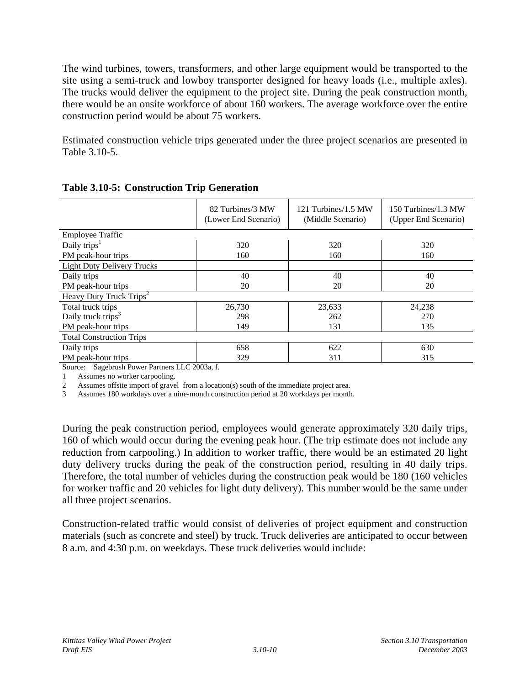The wind turbines, towers, transformers, and other large equipment would be transported to the site using a semi-truck and lowboy transporter designed for heavy loads (i.e., multiple axles). The trucks would deliver the equipment to the project site. During the peak construction month, there would be an onsite workforce of about 160 workers. The average workforce over the entire construction period would be about 75 workers.

Estimated construction vehicle trips generated under the three project scenarios are presented in Table 3.10-5.

|                                     | 82 Turbines/3 MW<br>(Lower End Scenario) | 121 Turbines/1.5 MW<br>(Middle Scenario) | 150 Turbines/1.3 MW<br>(Upper End Scenario) |
|-------------------------------------|------------------------------------------|------------------------------------------|---------------------------------------------|
| <b>Employee Traffic</b>             |                                          |                                          |                                             |
| Daily trips <sup>1</sup>            | 320                                      | 320                                      | 320                                         |
| PM peak-hour trips                  | 160                                      | 160                                      | 160                                         |
| <b>Light Duty Delivery Trucks</b>   |                                          |                                          |                                             |
| Daily trips                         | 40                                       | 40                                       | 40                                          |
| PM peak-hour trips                  | 20                                       | 20                                       | 20                                          |
| Heavy Duty Truck Trips <sup>2</sup> |                                          |                                          |                                             |
| Total truck trips                   | 26,730                                   | 23,633                                   | 24,238                                      |
| Daily truck trips <sup>3</sup>      | 298                                      | 262                                      | 270                                         |
| PM peak-hour trips                  | 149                                      | 131                                      | 135                                         |
| <b>Total Construction Trips</b>     |                                          |                                          |                                             |
| Daily trips                         | 658                                      | 622                                      | 630                                         |
| PM peak-hour trips                  | 329                                      | 311                                      | 315                                         |

#### **Table 3.10-5: Construction Trip Generation**

Source: Sagebrush Power Partners LLC 2003a, f.

1 Assumes no worker carpooling.

2 Assumes offsite import of gravel from a location(s) south of the immediate project area.<br>3 Assumes 180 workdays over a nine-month construction period at 20 workdays per month

Assumes 180 workdays over a nine-month construction period at 20 workdays per month.

During the peak construction period, employees would generate approximately 320 daily trips, 160 of which would occur during the evening peak hour. (The trip estimate does not include any reduction from carpooling.) In addition to worker traffic, there would be an estimated 20 light duty delivery trucks during the peak of the construction period, resulting in 40 daily trips. Therefore, the total number of vehicles during the construction peak would be 180 (160 vehicles for worker traffic and 20 vehicles for light duty delivery). This number would be the same under all three project scenarios.

Construction-related traffic would consist of deliveries of project equipment and construction materials (such as concrete and steel) by truck. Truck deliveries are anticipated to occur between 8 a.m. and 4:30 p.m. on weekdays. These truck deliveries would include: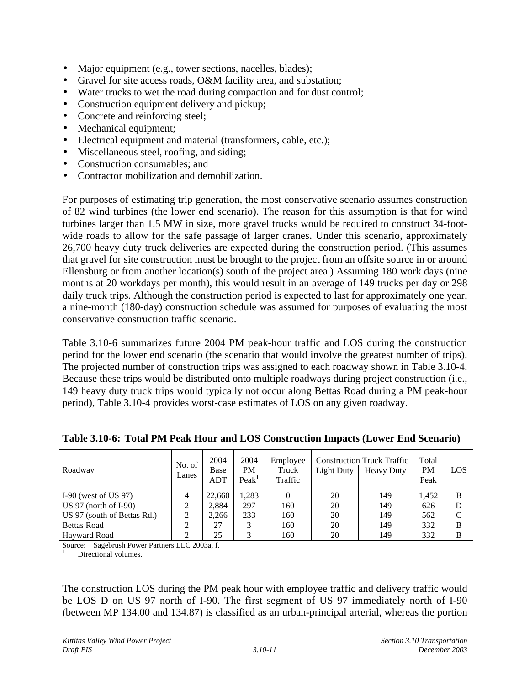- Major equipment (e.g., tower sections, nacelles, blades);
- Gravel for site access roads, O&M facility area, and substation;
- Water trucks to wet the road during compaction and for dust control;
- Construction equipment delivery and pickup;
- Concrete and reinforcing steel;
- Mechanical equipment;
- Electrical equipment and material (transformers, cable, etc.);
- Miscellaneous steel, roofing, and siding;
- Construction consumables; and
- Contractor mobilization and demobilization.

For purposes of estimating trip generation, the most conservative scenario assumes construction of 82 wind turbines (the lower end scenario). The reason for this assumption is that for wind turbines larger than 1.5 MW in size, more gravel trucks would be required to construct 34-footwide roads to allow for the safe passage of larger cranes. Under this scenario, approximately 26,700 heavy duty truck deliveries are expected during the construction period. (This assumes that gravel for site construction must be brought to the project from an offsite source in or around Ellensburg or from another location(s) south of the project area.) Assuming 180 work days (nine months at 20 workdays per month), this would result in an average of 149 trucks per day or 298 daily truck trips. Although the construction period is expected to last for approximately one year, a nine-month (180-day) construction schedule was assumed for purposes of evaluating the most conservative construction traffic scenario.

Table 3.10-6 summarizes future 2004 PM peak-hour traffic and LOS during the construction period for the lower end scenario (the scenario that would involve the greatest number of trips). The projected number of construction trips was assigned to each roadway shown in Table 3.10-4. Because these trips would be distributed onto multiple roadways during project construction (i.e., 149 heavy duty truck trips would typically not occur along Bettas Road during a PM peak-hour period), Table 3.10-4 provides worst-case estimates of LOS on any given roadway.

| Roadway                     | No. of<br>Lanes | 2004<br>Base<br>ADT | 2004<br>PM<br>Peak <sup>1</sup> | Employee<br>Truck<br>Traffic | Light Duty | <b>Construction Truck Traffic</b><br><b>Heavy Duty</b> | Total<br>PM<br>Peak | LOS |
|-----------------------------|-----------------|---------------------|---------------------------------|------------------------------|------------|--------------------------------------------------------|---------------------|-----|
| I-90 (west of US $97$ )     |                 | 22,660              | 1,283                           |                              | 20         | 149                                                    | 1.452               | B   |
| US $97$ (north of I-90)     |                 | 2.884               | 297                             | 160                          | 20         | 149                                                    | 626                 | D   |
| US 97 (south of Bettas Rd.) |                 | 2.266               | 233                             | 160                          | 20         | 149                                                    | 562                 | C   |
| <b>Bettas Road</b>          |                 | 27                  | 3                               | 160                          | 20         | 149                                                    | 332                 | В   |
| Havward Road                |                 | 25                  | 3                               | 160                          | 20         | 149                                                    | 332                 | В   |

**Table 3.10-6: Total PM Peak Hour and LOS Construction Impacts (Lower End Scenario)**

Source: Sagebrush Power Partners LLC 2003a, f. Directional volumes.

The construction LOS during the PM peak hour with employee traffic and delivery traffic would be LOS D on US 97 north of I-90. The first segment of US 97 immediately north of I-90 (between MP 134.00 and 134.87) is classified as an urban-principal arterial, whereas the portion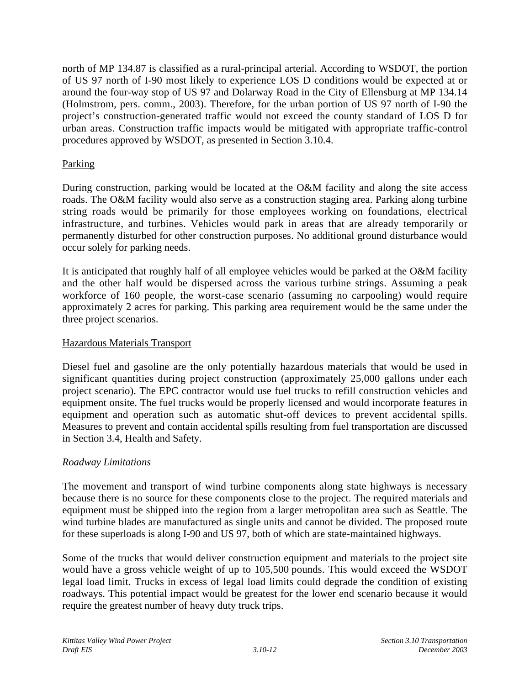north of MP 134.87 is classified as a rural-principal arterial. According to WSDOT, the portion of US 97 north of I-90 most likely to experience LOS D conditions would be expected at or around the four-way stop of US 97 and Dolarway Road in the City of Ellensburg at MP 134.14 (Holmstrom, pers. comm., 2003). Therefore, for the urban portion of US 97 north of I-90 the project's construction-generated traffic would not exceed the county standard of LOS D for urban areas. Construction traffic impacts would be mitigated with appropriate traffic-control procedures approved by WSDOT, as presented in Section 3.10.4.

#### Parking

During construction, parking would be located at the O&M facility and along the site access roads. The O&M facility would also serve as a construction staging area. Parking along turbine string roads would be primarily for those employees working on foundations, electrical infrastructure, and turbines. Vehicles would park in areas that are already temporarily or permanently disturbed for other construction purposes. No additional ground disturbance would occur solely for parking needs.

It is anticipated that roughly half of all employee vehicles would be parked at the O&M facility and the other half would be dispersed across the various turbine strings. Assuming a peak workforce of 160 people, the worst-case scenario (assuming no carpooling) would require approximately 2 acres for parking. This parking area requirement would be the same under the three project scenarios.

#### Hazardous Materials Transport

Diesel fuel and gasoline are the only potentially hazardous materials that would be used in significant quantities during project construction (approximately 25,000 gallons under each project scenario). The EPC contractor would use fuel trucks to refill construction vehicles and equipment onsite. The fuel trucks would be properly licensed and would incorporate features in equipment and operation such as automatic shut-off devices to prevent accidental spills. Measures to prevent and contain accidental spills resulting from fuel transportation are discussed in Section 3.4, Health and Safety.

#### *Roadway Limitations*

The movement and transport of wind turbine components along state highways is necessary because there is no source for these components close to the project. The required materials and equipment must be shipped into the region from a larger metropolitan area such as Seattle. The wind turbine blades are manufactured as single units and cannot be divided. The proposed route for these superloads is along I-90 and US 97, both of which are state-maintained highways.

Some of the trucks that would deliver construction equipment and materials to the project site would have a gross vehicle weight of up to 105,500 pounds. This would exceed the WSDOT legal load limit. Trucks in excess of legal load limits could degrade the condition of existing roadways. This potential impact would be greatest for the lower end scenario because it would require the greatest number of heavy duty truck trips.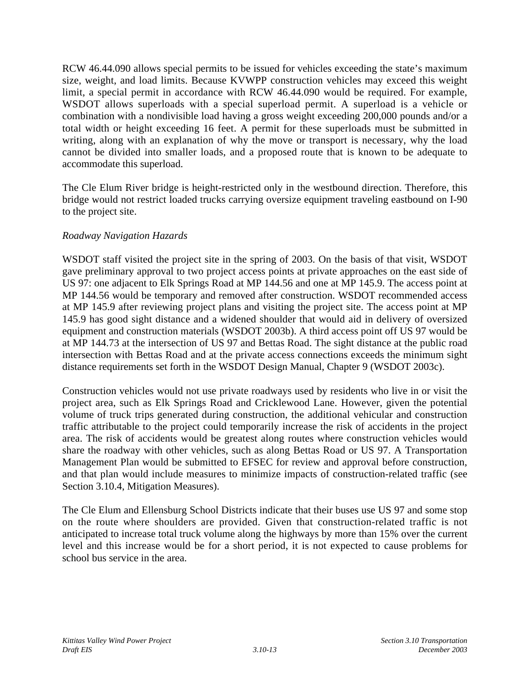RCW 46.44.090 allows special permits to be issued for vehicles exceeding the state's maximum size, weight, and load limits. Because KVWPP construction vehicles may exceed this weight limit, a special permit in accordance with RCW 46.44.090 would be required. For example, WSDOT allows superloads with a special superload permit. A superload is a vehicle or combination with a nondivisible load having a gross weight exceeding 200,000 pounds and/or a total width or height exceeding 16 feet. A permit for these superloads must be submitted in writing, along with an explanation of why the move or transport is necessary, why the load cannot be divided into smaller loads, and a proposed route that is known to be adequate to accommodate this superload.

The Cle Elum River bridge is height-restricted only in the westbound direction. Therefore, this bridge would not restrict loaded trucks carrying oversize equipment traveling eastbound on I-90 to the project site.

# *Roadway Navigation Hazards*

WSDOT staff visited the project site in the spring of 2003. On the basis of that visit, WSDOT gave preliminary approval to two project access points at private approaches on the east side of US 97: one adjacent to Elk Springs Road at MP 144.56 and one at MP 145.9. The access point at MP 144.56 would be temporary and removed after construction. WSDOT recommended access at MP 145.9 after reviewing project plans and visiting the project site. The access point at MP 145.9 has good sight distance and a widened shoulder that would aid in delivery of oversized equipment and construction materials (WSDOT 2003b). A third access point off US 97 would be at MP 144.73 at the intersection of US 97 and Bettas Road. The sight distance at the public road intersection with Bettas Road and at the private access connections exceeds the minimum sight distance requirements set forth in the WSDOT Design Manual, Chapter 9 (WSDOT 2003c).

Construction vehicles would not use private roadways used by residents who live in or visit the project area, such as Elk Springs Road and Cricklewood Lane. However, given the potential volume of truck trips generated during construction, the additional vehicular and construction traffic attributable to the project could temporarily increase the risk of accidents in the project area. The risk of accidents would be greatest along routes where construction vehicles would share the roadway with other vehicles, such as along Bettas Road or US 97. A Transportation Management Plan would be submitted to EFSEC for review and approval before construction, and that plan would include measures to minimize impacts of construction-related traffic (see Section 3.10.4, Mitigation Measures).

The Cle Elum and Ellensburg School Districts indicate that their buses use US 97 and some stop on the route where shoulders are provided. Given that construction-related traffic is not anticipated to increase total truck volume along the highways by more than 15% over the current level and this increase would be for a short period, it is not expected to cause problems for school bus service in the area.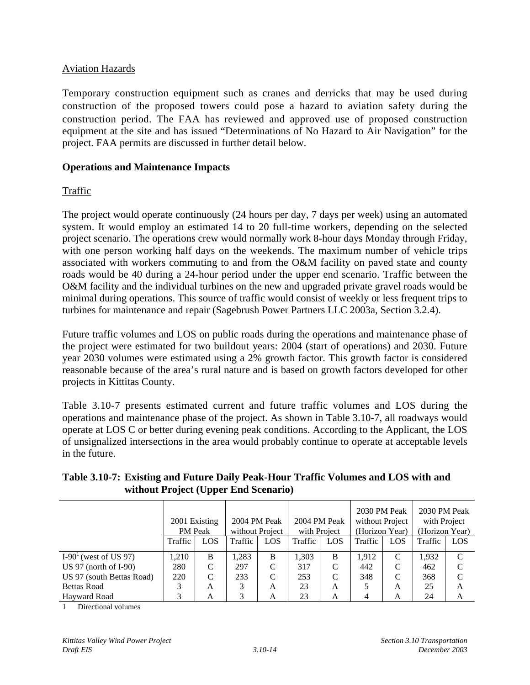#### Aviation Hazards

Temporary construction equipment such as cranes and derricks that may be used during construction of the proposed towers could pose a hazard to aviation safety during the construction period. The FAA has reviewed and approved use of proposed construction equipment at the site and has issued "Determinations of No Hazard to Air Navigation" for the project. FAA permits are discussed in further detail below.

#### **Operations and Maintenance Impacts**

### Traffic

The project would operate continuously (24 hours per day, 7 days per week) using an automated system. It would employ an estimated 14 to 20 full-time workers, depending on the selected project scenario. The operations crew would normally work 8-hour days Monday through Friday, with one person working half days on the weekends. The maximum number of vehicle trips associated with workers commuting to and from the O&M facility on paved state and county roads would be 40 during a 24-hour period under the upper end scenario. Traffic between the O&M facility and the individual turbines on the new and upgraded private gravel roads would be minimal during operations. This source of traffic would consist of weekly or less frequent trips to turbines for maintenance and repair (Sagebrush Power Partners LLC 2003a, Section 3.2.4).

Future traffic volumes and LOS on public roads during the operations and maintenance phase of the project were estimated for two buildout years: 2004 (start of operations) and 2030. Future year 2030 volumes were estimated using a 2% growth factor. This growth factor is considered reasonable because of the area's rural nature and is based on growth factors developed for other projects in Kittitas County.

Table 3.10-7 presents estimated current and future traffic volumes and LOS during the operations and maintenance phase of the project. As shown in Table 3.10-7, all roadways would operate at LOS C or better during evening peak conditions. According to the Applicant, the LOS of unsignalized intersections in the area would probably continue to operate at acceptable levels in the future.

|                           | 2001 Existing<br><b>PM</b> Peak |     | 2004 PM Peak<br>2004 PM Peak<br>without Project<br>with Project |     | 2030 PM Peak<br>2030 PM Peak<br>without Project<br>with Project<br>(Horizon Year)<br>(Horizon Year) |     |         |     |         |               |
|---------------------------|---------------------------------|-----|-----------------------------------------------------------------|-----|-----------------------------------------------------------------------------------------------------|-----|---------|-----|---------|---------------|
|                           | Traffic                         | LOS | Traffic                                                         | LOS | Traffic                                                                                             | LOS | Traffic | LOS | Traffic | LOS           |
| $I-901$ (west of US 97)   | 1,210                           | B   | 1,283                                                           | B   | 1,303                                                                                               | B   | 1,912   | C   | 1,932   | C             |
| US $97$ (north of I-90)   | 280                             | C   | 297                                                             | C   | 317                                                                                                 | C   | 442     | C   | 462     | C             |
| US 97 (south Bettas Road) | 220                             | C   | 233                                                             | C   | 253                                                                                                 | C   | 348     | C   | 368     | $\mathcal{C}$ |
| <b>Bettas Road</b>        | 3                               | A   | 3                                                               | A   | 23                                                                                                  | A   |         | A   | 25      | A             |
| Havward Road              | 3                               | A   | 3                                                               | А   | 23                                                                                                  | А   |         | А   | 24      | А             |

### **Table 3.10-7: Existing and Future Daily Peak-Hour Traffic Volumes and LOS with and without Project (Upper End Scenario)**

1 Directional volumes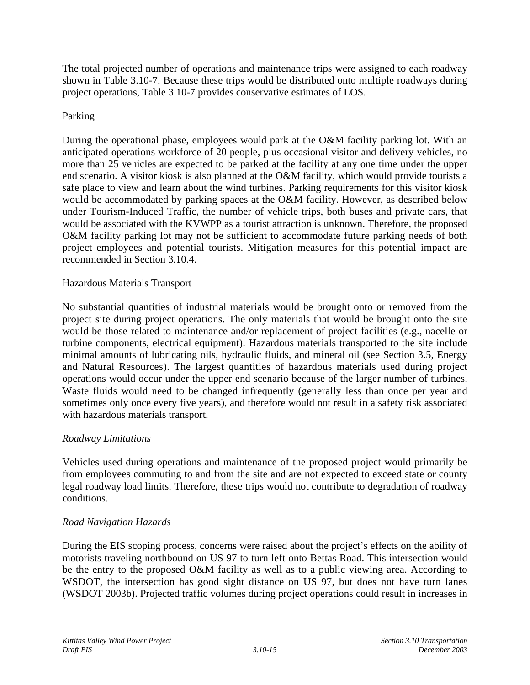The total projected number of operations and maintenance trips were assigned to each roadway shown in Table 3.10-7. Because these trips would be distributed onto multiple roadways during project operations, Table 3.10-7 provides conservative estimates of LOS.

# Parking

During the operational phase, employees would park at the O&M facility parking lot. With an anticipated operations workforce of 20 people, plus occasional visitor and delivery vehicles, no more than 25 vehicles are expected to be parked at the facility at any one time under the upper end scenario. A visitor kiosk is also planned at the O&M facility, which would provide tourists a safe place to view and learn about the wind turbines. Parking requirements for this visitor kiosk would be accommodated by parking spaces at the O&M facility. However, as described below under Tourism-Induced Traffic, the number of vehicle trips, both buses and private cars, that would be associated with the KVWPP as a tourist attraction is unknown. Therefore, the proposed O&M facility parking lot may not be sufficient to accommodate future parking needs of both project employees and potential tourists. Mitigation measures for this potential impact are recommended in Section 3.10.4.

### Hazardous Materials Transport

No substantial quantities of industrial materials would be brought onto or removed from the project site during project operations. The only materials that would be brought onto the site would be those related to maintenance and/or replacement of project facilities (e.g., nacelle or turbine components, electrical equipment). Hazardous materials transported to the site include minimal amounts of lubricating oils, hydraulic fluids, and mineral oil (see Section 3.5, Energy and Natural Resources). The largest quantities of hazardous materials used during project operations would occur under the upper end scenario because of the larger number of turbines. Waste fluids would need to be changed infrequently (generally less than once per year and sometimes only once every five years), and therefore would not result in a safety risk associated with hazardous materials transport.

### *Roadway Limitations*

Vehicles used during operations and maintenance of the proposed project would primarily be from employees commuting to and from the site and are not expected to exceed state or county legal roadway load limits. Therefore, these trips would not contribute to degradation of roadway conditions.

### *Road Navigation Hazards*

During the EIS scoping process, concerns were raised about the project's effects on the ability of motorists traveling northbound on US 97 to turn left onto Bettas Road. This intersection would be the entry to the proposed O&M facility as well as to a public viewing area. According to WSDOT, the intersection has good sight distance on US 97, but does not have turn lanes (WSDOT 2003b). Projected traffic volumes during project operations could result in increases in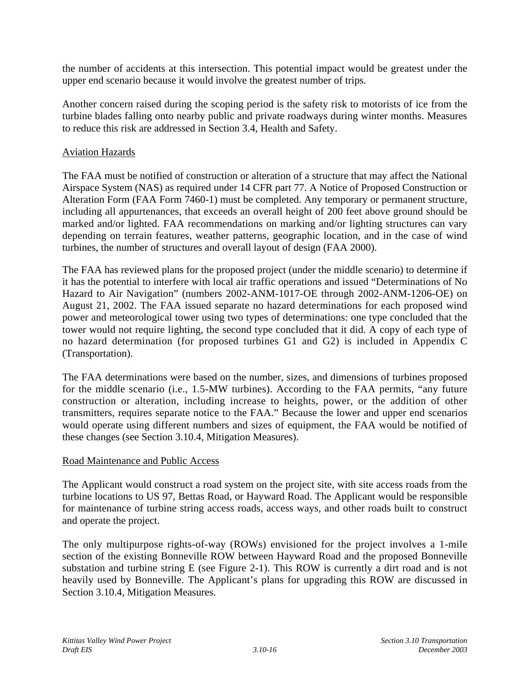the number of accidents at this intersection. This potential impact would be greatest under the upper end scenario because it would involve the greatest number of trips.

Another concern raised during the scoping period is the safety risk to motorists of ice from the turbine blades falling onto nearby public and private roadways during winter months. Measures to reduce this risk are addressed in Section 3.4, Health and Safety.

#### Aviation Hazards

The FAA must be notified of construction or alteration of a structure that may affect the National Airspace System (NAS) as required under 14 CFR part 77. A Notice of Proposed Construction or Alteration Form (FAA Form 7460-1) must be completed. Any temporary or permanent structure, including all appurtenances, that exceeds an overall height of 200 feet above ground should be marked and/or lighted. FAA recommendations on marking and/or lighting structures can vary depending on terrain features, weather patterns, geographic location, and in the case of wind turbines, the number of structures and overall layout of design (FAA 2000).

The FAA has reviewed plans for the proposed project (under the middle scenario) to determine if it has the potential to interfere with local air traffic operations and issued "Determinations of No Hazard to Air Navigation" (numbers 2002-ANM-1017-OE through 2002-ANM-1206-OE) on August 21, 2002. The FAA issued separate no hazard determinations for each proposed wind power and meteorological tower using two types of determinations: one type concluded that the tower would not require lighting, the second type concluded that it did. A copy of each type of no hazard determination (for proposed turbines G1 and G2) is included in Appendix C (Transportation).

The FAA determinations were based on the number, sizes, and dimensions of turbines proposed for the middle scenario (i.e., 1.5-MW turbines). According to the FAA permits, "any future construction or alteration, including increase to heights, power, or the addition of other transmitters, requires separate notice to the FAA." Because the lower and upper end scenarios would operate using different numbers and sizes of equipment, the FAA would be notified of these changes (see Section 3.10.4, Mitigation Measures).

#### Road Maintenance and Public Access

The Applicant would construct a road system on the project site, with site access roads from the turbine locations to US 97, Bettas Road, or Hayward Road. The Applicant would be responsible for maintenance of turbine string access roads, access ways, and other roads built to construct and operate the project.

The only multipurpose rights-of-way (ROWs) envisioned for the project involves a 1-mile section of the existing Bonneville ROW between Hayward Road and the proposed Bonneville substation and turbine string E (see Figure 2-1). This ROW is currently a dirt road and is not heavily used by Bonneville. The Applicant's plans for upgrading this ROW are discussed in Section 3.10.4, Mitigation Measures.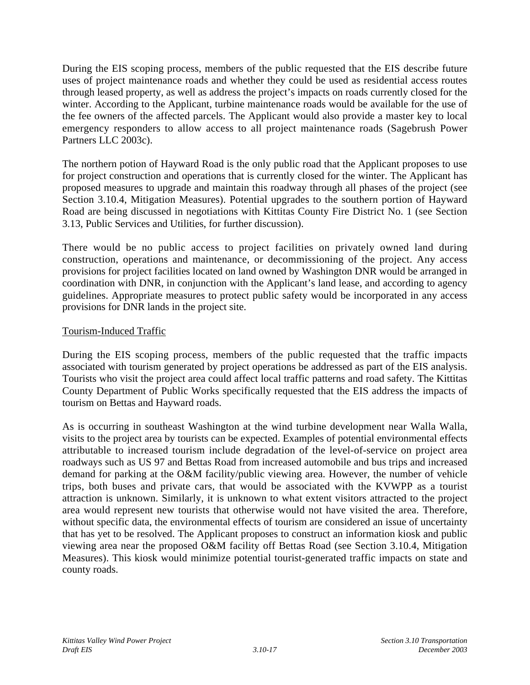During the EIS scoping process, members of the public requested that the EIS describe future uses of project maintenance roads and whether they could be used as residential access routes through leased property, as well as address the project's impacts on roads currently closed for the winter. According to the Applicant, turbine maintenance roads would be available for the use of the fee owners of the affected parcels. The Applicant would also provide a master key to local emergency responders to allow access to all project maintenance roads (Sagebrush Power Partners LLC 2003c).

The northern potion of Hayward Road is the only public road that the Applicant proposes to use for project construction and operations that is currently closed for the winter. The Applicant has proposed measures to upgrade and maintain this roadway through all phases of the project (see Section 3.10.4, Mitigation Measures). Potential upgrades to the southern portion of Hayward Road are being discussed in negotiations with Kittitas County Fire District No. 1 (see Section 3.13, Public Services and Utilities, for further discussion).

There would be no public access to project facilities on privately owned land during construction, operations and maintenance, or decommissioning of the project. Any access provisions for project facilities located on land owned by Washington DNR would be arranged in coordination with DNR, in conjunction with the Applicant's land lease, and according to agency guidelines. Appropriate measures to protect public safety would be incorporated in any access provisions for DNR lands in the project site.

### Tourism-Induced Traffic

During the EIS scoping process, members of the public requested that the traffic impacts associated with tourism generated by project operations be addressed as part of the EIS analysis. Tourists who visit the project area could affect local traffic patterns and road safety. The Kittitas County Department of Public Works specifically requested that the EIS address the impacts of tourism on Bettas and Hayward roads.

As is occurring in southeast Washington at the wind turbine development near Walla Walla, visits to the project area by tourists can be expected. Examples of potential environmental effects attributable to increased tourism include degradation of the level-of-service on project area roadways such as US 97 and Bettas Road from increased automobile and bus trips and increased demand for parking at the O&M facility/public viewing area. However, the number of vehicle trips, both buses and private cars, that would be associated with the KVWPP as a tourist attraction is unknown. Similarly, it is unknown to what extent visitors attracted to the project area would represent new tourists that otherwise would not have visited the area. Therefore, without specific data, the environmental effects of tourism are considered an issue of uncertainty that has yet to be resolved. The Applicant proposes to construct an information kiosk and public viewing area near the proposed O&M facility off Bettas Road (see Section 3.10.4, Mitigation Measures). This kiosk would minimize potential tourist-generated traffic impacts on state and county roads.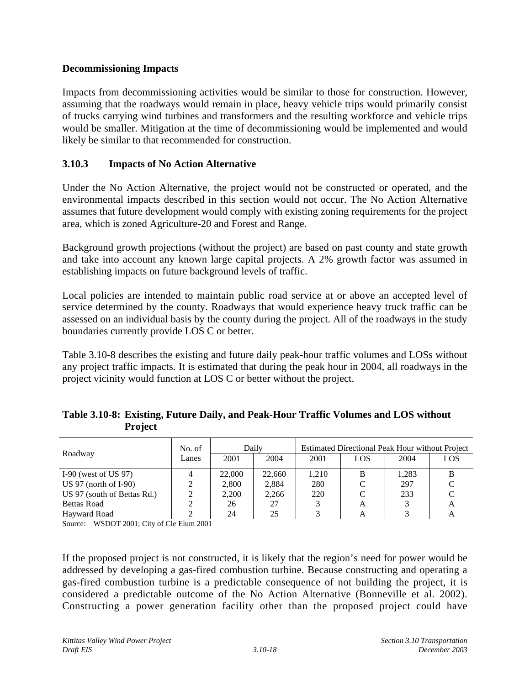#### **Decommissioning Impacts**

Impacts from decommissioning activities would be similar to those for construction. However, assuming that the roadways would remain in place, heavy vehicle trips would primarily consist of trucks carrying wind turbines and transformers and the resulting workforce and vehicle trips would be smaller. Mitigation at the time of decommissioning would be implemented and would likely be similar to that recommended for construction.

### **3.10.3 Impacts of No Action Alternative**

Under the No Action Alternative, the project would not be constructed or operated, and the environmental impacts described in this section would not occur. The No Action Alternative assumes that future development would comply with existing zoning requirements for the project area, which is zoned Agriculture-20 and Forest and Range.

Background growth projections (without the project) are based on past county and state growth and take into account any known large capital projects. A 2% growth factor was assumed in establishing impacts on future background levels of traffic.

Local policies are intended to maintain public road service at or above an accepted level of service determined by the county. Roadways that would experience heavy truck traffic can be assessed on an individual basis by the county during the project. All of the roadways in the study boundaries currently provide LOS C or better.

Table 3.10-8 describes the existing and future daily peak-hour traffic volumes and LOSs without any project traffic impacts. It is estimated that during the peak hour in 2004, all roadways in the project vicinity would function at LOS C or better without the project.

| Table 3.10-8: Existing, Future Daily, and Peak-Hour Traffic Volumes and LOS without |
|-------------------------------------------------------------------------------------|
| <b>Project</b>                                                                      |

|                             | Daily<br>No. of |        |        | <b>Estimated Directional Peak Hour without Project</b> |     |       |     |  |  |
|-----------------------------|-----------------|--------|--------|--------------------------------------------------------|-----|-------|-----|--|--|
| Roadway                     | Lanes           | 2001   | 2004   | 2001                                                   | LOS | 2004  | LOS |  |  |
| I-90 (west of US $97$ )     |                 | 22,000 | 22,660 | 1.210                                                  |     | 1.283 |     |  |  |
| US 97 (north of $I-90$ )    |                 | 2,800  | 2.884  | 280                                                    |     | 297   |     |  |  |
| US 97 (south of Bettas Rd.) |                 | 2.200  | 2.266  | 220                                                    |     | 233   |     |  |  |
| <b>Bettas Road</b>          |                 | 26     | 27     |                                                        | A   |       | A   |  |  |
| Havward Road                |                 | 24     | 25     |                                                        |     |       |     |  |  |

Source: WSDOT 2001; City of Cle Elum 2001

If the proposed project is not constructed, it is likely that the region's need for power would be addressed by developing a gas-fired combustion turbine. Because constructing and operating a gas-fired combustion turbine is a predictable consequence of not building the project, it is considered a predictable outcome of the No Action Alternative (Bonneville et al. 2002). Constructing a power generation facility other than the proposed project could have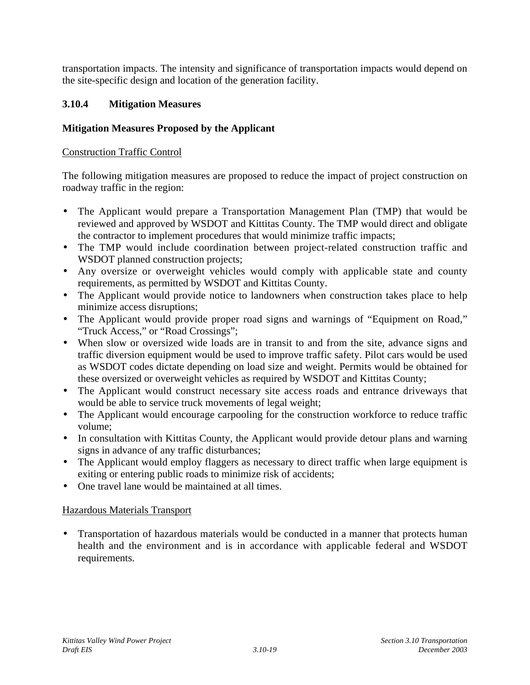transportation impacts. The intensity and significance of transportation impacts would depend on the site-specific design and location of the generation facility.

### **3.10.4 Mitigation Measures**

#### **Mitigation Measures Proposed by the Applicant**

#### Construction Traffic Control

The following mitigation measures are proposed to reduce the impact of project construction on roadway traffic in the region:

- The Applicant would prepare a Transportation Management Plan (TMP) that would be reviewed and approved by WSDOT and Kittitas County. The TMP would direct and obligate the contractor to implement procedures that would minimize traffic impacts;
- The TMP would include coordination between project-related construction traffic and WSDOT planned construction projects;
- Any oversize or overweight vehicles would comply with applicable state and county requirements, as permitted by WSDOT and Kittitas County.
- The Applicant would provide notice to landowners when construction takes place to help minimize access disruptions;
- The Applicant would provide proper road signs and warnings of "Equipment on Road," "Truck Access," or "Road Crossings";
- When slow or oversized wide loads are in transit to and from the site, advance signs and traffic diversion equipment would be used to improve traffic safety. Pilot cars would be used as WSDOT codes dictate depending on load size and weight. Permits would be obtained for these oversized or overweight vehicles as required by WSDOT and Kittitas County;
- The Applicant would construct necessary site access roads and entrance driveways that would be able to service truck movements of legal weight;
- The Applicant would encourage carpooling for the construction workforce to reduce traffic volume;
- In consultation with Kittitas County, the Applicant would provide detour plans and warning signs in advance of any traffic disturbances;
- The Applicant would employ flaggers as necessary to direct traffic when large equipment is exiting or entering public roads to minimize risk of accidents;
- One travel lane would be maintained at all times.

#### Hazardous Materials Transport

• Transportation of hazardous materials would be conducted in a manner that protects human health and the environment and is in accordance with applicable federal and WSDOT requirements.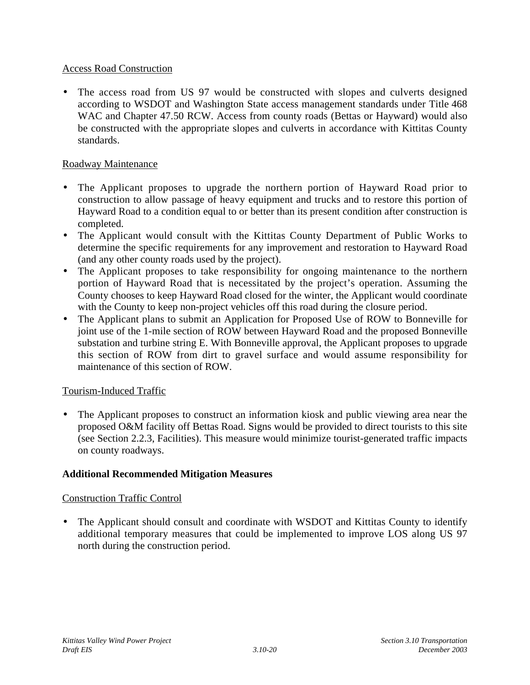#### Access Road Construction

• The access road from US 97 would be constructed with slopes and culverts designed according to WSDOT and Washington State access management standards under Title 468 WAC and Chapter 47.50 RCW. Access from county roads (Bettas or Hayward) would also be constructed with the appropriate slopes and culverts in accordance with Kittitas County standards.

#### Roadway Maintenance

- The Applicant proposes to upgrade the northern portion of Hayward Road prior to construction to allow passage of heavy equipment and trucks and to restore this portion of Hayward Road to a condition equal to or better than its present condition after construction is completed.
- The Applicant would consult with the Kittitas County Department of Public Works to determine the specific requirements for any improvement and restoration to Hayward Road (and any other county roads used by the project).
- The Applicant proposes to take responsibility for ongoing maintenance to the northern portion of Hayward Road that is necessitated by the project's operation. Assuming the County chooses to keep Hayward Road closed for the winter, the Applicant would coordinate with the County to keep non-project vehicles off this road during the closure period.
- The Applicant plans to submit an Application for Proposed Use of ROW to Bonneville for joint use of the 1-mile section of ROW between Hayward Road and the proposed Bonneville substation and turbine string E. With Bonneville approval, the Applicant proposes to upgrade this section of ROW from dirt to gravel surface and would assume responsibility for maintenance of this section of ROW.

### Tourism-Induced Traffic

• The Applicant proposes to construct an information kiosk and public viewing area near the proposed O&M facility off Bettas Road. Signs would be provided to direct tourists to this site (see Section 2.2.3, Facilities). This measure would minimize tourist-generated traffic impacts on county roadways.

#### **Additional Recommended Mitigation Measures**

### Construction Traffic Control

The Applicant should consult and coordinate with WSDOT and Kittitas County to identify additional temporary measures that could be implemented to improve LOS along US 97 north during the construction period.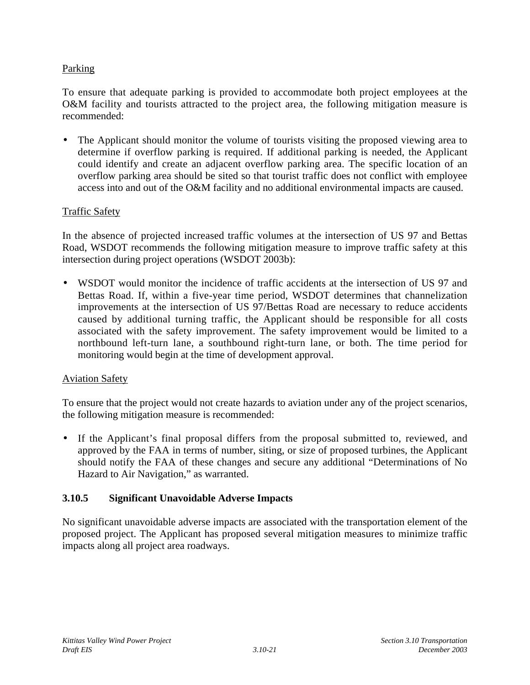### Parking

To ensure that adequate parking is provided to accommodate both project employees at the O&M facility and tourists attracted to the project area, the following mitigation measure is recommended:

The Applicant should monitor the volume of tourists visiting the proposed viewing area to determine if overflow parking is required. If additional parking is needed, the Applicant could identify and create an adjacent overflow parking area. The specific location of an overflow parking area should be sited so that tourist traffic does not conflict with employee access into and out of the O&M facility and no additional environmental impacts are caused.

### Traffic Safety

In the absence of projected increased traffic volumes at the intersection of US 97 and Bettas Road, WSDOT recommends the following mitigation measure to improve traffic safety at this intersection during project operations (WSDOT 2003b):

• WSDOT would monitor the incidence of traffic accidents at the intersection of US 97 and Bettas Road. If, within a five-year time period, WSDOT determines that channelization improvements at the intersection of US 97/Bettas Road are necessary to reduce accidents caused by additional turning traffic, the Applicant should be responsible for all costs associated with the safety improvement. The safety improvement would be limited to a northbound left-turn lane, a southbound right-turn lane, or both. The time period for monitoring would begin at the time of development approval.

### Aviation Safety

To ensure that the project would not create hazards to aviation under any of the project scenarios, the following mitigation measure is recommended:

If the Applicant's final proposal differs from the proposal submitted to, reviewed, and approved by the FAA in terms of number, siting, or size of proposed turbines, the Applicant should notify the FAA of these changes and secure any additional "Determinations of No Hazard to Air Navigation," as warranted.

# **3.10.5 Significant Unavoidable Adverse Impacts**

No significant unavoidable adverse impacts are associated with the transportation element of the proposed project. The Applicant has proposed several mitigation measures to minimize traffic impacts along all project area roadways.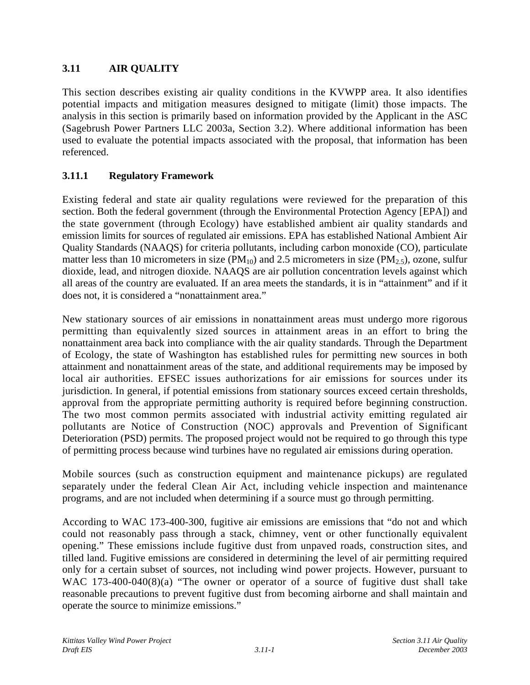# **3.11 AIR QUALITY**

This section describes existing air quality conditions in the KVWPP area. It also identifies potential impacts and mitigation measures designed to mitigate (limit) those impacts. The analysis in this section is primarily based on information provided by the Applicant in the ASC (Sagebrush Power Partners LLC 2003a, Section 3.2). Where additional information has been used to evaluate the potential impacts associated with the proposal, that information has been referenced.

# **3.11.1 Regulatory Framework**

Existing federal and state air quality regulations were reviewed for the preparation of this section. Both the federal government (through the Environmental Protection Agency [EPA]) and the state government (through Ecology) have established ambient air quality standards and emission limits for sources of regulated air emissions. EPA has established National Ambient Air Quality Standards (NAAQS) for criteria pollutants, including carbon monoxide (CO), particulate matter less than 10 micrometers in size ( $PM_{10}$ ) and 2.5 micrometers in size ( $PM_{2.5}$ ), ozone, sulfur dioxide, lead, and nitrogen dioxide. NAAQS are air pollution concentration levels against which all areas of the country are evaluated. If an area meets the standards, it is in "attainment" and if it does not, it is considered a "nonattainment area."

New stationary sources of air emissions in nonattainment areas must undergo more rigorous permitting than equivalently sized sources in attainment areas in an effort to bring the nonattainment area back into compliance with the air quality standards. Through the Department of Ecology, the state of Washington has established rules for permitting new sources in both attainment and nonattainment areas of the state, and additional requirements may be imposed by local air authorities. EFSEC issues authorizations for air emissions for sources under its jurisdiction. In general, if potential emissions from stationary sources exceed certain thresholds, approval from the appropriate permitting authority is required before beginning construction. The two most common permits associated with industrial activity emitting regulated air pollutants are Notice of Construction (NOC) approvals and Prevention of Significant Deterioration (PSD) permits. The proposed project would not be required to go through this type of permitting process because wind turbines have no regulated air emissions during operation.

Mobile sources (such as construction equipment and maintenance pickups) are regulated separately under the federal Clean Air Act, including vehicle inspection and maintenance programs, and are not included when determining if a source must go through permitting.

According to WAC 173-400-300, fugitive air emissions are emissions that "do not and which could not reasonably pass through a stack, chimney, vent or other functionally equivalent opening." These emissions include fugitive dust from unpaved roads, construction sites, and tilled land. Fugitive emissions are considered in determining the level of air permitting required only for a certain subset of sources, not including wind power projects. However, pursuant to WAC 173-400-040(8)(a) "The owner or operator of a source of fugitive dust shall take reasonable precautions to prevent fugitive dust from becoming airborne and shall maintain and operate the source to minimize emissions."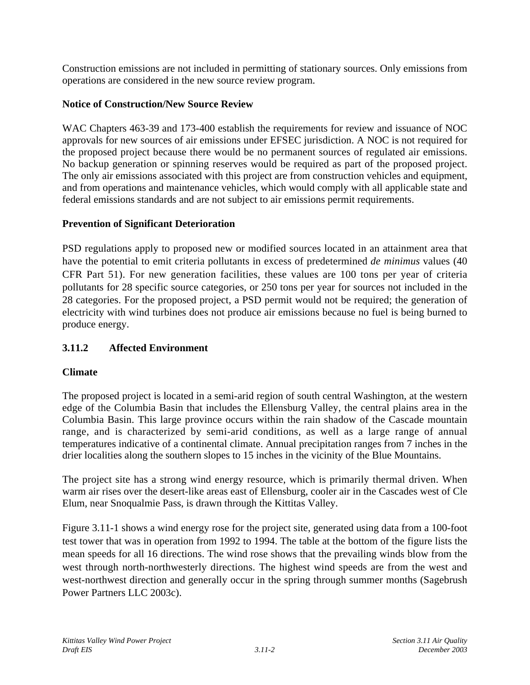Construction emissions are not included in permitting of stationary sources. Only emissions from operations are considered in the new source review program.

# **Notice of Construction/New Source Review**

WAC Chapters 463-39 and 173-400 establish the requirements for review and issuance of NOC approvals for new sources of air emissions under EFSEC jurisdiction. A NOC is not required for the proposed project because there would be no permanent sources of regulated air emissions. No backup generation or spinning reserves would be required as part of the proposed project. The only air emissions associated with this project are from construction vehicles and equipment, and from operations and maintenance vehicles, which would comply with all applicable state and federal emissions standards and are not subject to air emissions permit requirements.

# **Prevention of Significant Deterioration**

PSD regulations apply to proposed new or modified sources located in an attainment area that have the potential to emit criteria pollutants in excess of predetermined *de minimus* values (40 CFR Part 51). For new generation facilities, these values are 100 tons per year of criteria pollutants for 28 specific source categories, or 250 tons per year for sources not included in the 28 categories. For the proposed project, a PSD permit would not be required; the generation of electricity with wind turbines does not produce air emissions because no fuel is being burned to produce energy.

# **3.11.2 Affected Environment**

# **Climate**

The proposed project is located in a semi-arid region of south central Washington, at the western edge of the Columbia Basin that includes the Ellensburg Valley, the central plains area in the Columbia Basin. This large province occurs within the rain shadow of the Cascade mountain range, and is characterized by semi-arid conditions, as well as a large range of annual temperatures indicative of a continental climate. Annual precipitation ranges from 7 inches in the drier localities along the southern slopes to 15 inches in the vicinity of the Blue Mountains.

The project site has a strong wind energy resource, which is primarily thermal driven. When warm air rises over the desert-like areas east of Ellensburg, cooler air in the Cascades west of Cle Elum, near Snoqualmie Pass, is drawn through the Kittitas Valley.

Figure 3.11-1 shows a wind energy rose for the project site, generated using data from a 100-foot test tower that was in operation from 1992 to 1994. The table at the bottom of the figure lists the mean speeds for all 16 directions. The wind rose shows that the prevailing winds blow from the west through north-northwesterly directions. The highest wind speeds are from the west and west-northwest direction and generally occur in the spring through summer months (Sagebrush Power Partners LLC 2003c).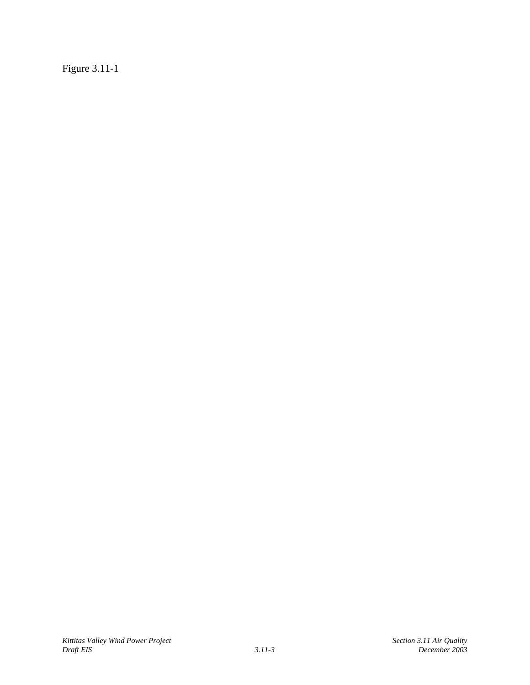Figure 3.11-1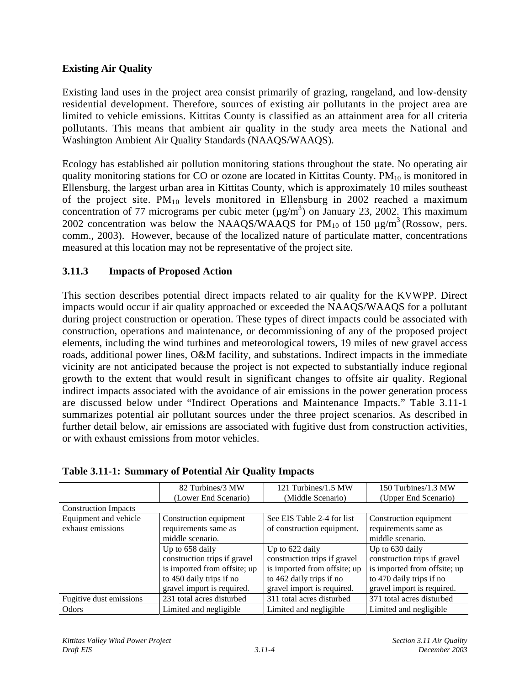### **Existing Air Quality**

Existing land uses in the project area consist primarily of grazing, rangeland, and low-density residential development. Therefore, sources of existing air pollutants in the project area are limited to vehicle emissions. Kittitas County is classified as an attainment area for all criteria pollutants. This means that ambient air quality in the study area meets the National and Washington Ambient Air Quality Standards (NAAQS/WAAQS).

Ecology has established air pollution monitoring stations throughout the state. No operating air quality monitoring stations for CO or ozone are located in Kittitas County.  $PM_{10}$  is monitored in Ellensburg, the largest urban area in Kittitas County, which is approximately 10 miles southeast of the project site.  $PM_{10}$  levels monitored in Ellensburg in 2002 reached a maximum concentration of 77 micrograms per cubic meter  $(\mu g/m^3)$  on January 23, 2002. This maximum 2002 concentration was below the NAAQS/WAAQS for  $PM_{10}$  of 150  $\mu$ g/m<sup>3</sup> (Rossow, pers. comm., 2003). However, because of the localized nature of particulate matter, concentrations measured at this location may not be representative of the project site.

# **3.11.3 Impacts of Proposed Action**

This section describes potential direct impacts related to air quality for the KVWPP. Direct impacts would occur if air quality approached or exceeded the NAAQS/WAAQS for a pollutant during project construction or operation. These types of direct impacts could be associated with construction, operations and maintenance, or decommissioning of any of the proposed project elements, including the wind turbines and meteorological towers, 19 miles of new gravel access roads, additional power lines, O&M facility, and substations. Indirect impacts in the immediate vicinity are not anticipated because the project is not expected to substantially induce regional growth to the extent that would result in significant changes to offsite air quality. Regional indirect impacts associated with the avoidance of air emissions in the power generation process are discussed below under "Indirect Operations and Maintenance Impacts." Table 3.11-1 summarizes potential air pollutant sources under the three project scenarios. As described in further detail below, air emissions are associated with fugitive dust from construction activities, or with exhaust emissions from motor vehicles.

|                             | 82 Turbines/3 MW             | 121 Turbines/1.5 MW          | 150 Turbines/1.3 MW          |
|-----------------------------|------------------------------|------------------------------|------------------------------|
|                             | (Lower End Scenario)         | (Middle Scenario)            | (Upper End Scenario)         |
| <b>Construction Impacts</b> |                              |                              |                              |
| Equipment and vehicle       | Construction equipment       | See EIS Table 2-4 for list   | Construction equipment       |
| exhaust emissions           | requirements same as         | of construction equipment.   | requirements same as         |
|                             | middle scenario.             |                              | middle scenario.             |
|                             | Up to 658 daily              | Up to 622 daily              | Up to 630 daily              |
|                             | construction trips if gravel | construction trips if gravel | construction trips if gravel |
|                             | is imported from offsite; up | is imported from offsite; up | is imported from offsite; up |
|                             | to 450 daily trips if no     | to 462 daily trips if no     | to 470 daily trips if no     |
|                             | gravel import is required.   | gravel import is required.   | gravel import is required.   |
| Fugitive dust emissions     | 231 total acres disturbed    | 311 total acres disturbed    | 371 total acres disturbed    |
| Odors                       | Limited and negligible       | Limited and negligible       | Limited and negligible       |

|  |  |  | <b>Table 3.11-1: Summary of Potential Air Quality Impacts</b> |
|--|--|--|---------------------------------------------------------------|
|--|--|--|---------------------------------------------------------------|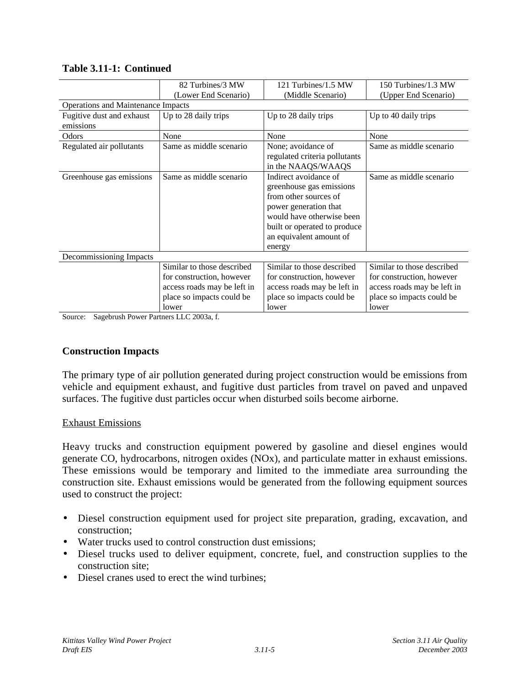|                                           | 82 Turbines/3 MW            | 121 Turbines/1.5 MW           | 150 Turbines/1.3 MW         |  |  |  |
|-------------------------------------------|-----------------------------|-------------------------------|-----------------------------|--|--|--|
|                                           | (Lower End Scenario)        | (Middle Scenario)             | (Upper End Scenario)        |  |  |  |
| <b>Operations and Maintenance Impacts</b> |                             |                               |                             |  |  |  |
| Fugitive dust and exhaust                 | Up to 28 daily trips        | Up to 28 daily trips          | Up to 40 daily trips        |  |  |  |
| emissions                                 |                             |                               |                             |  |  |  |
| Odors                                     | None                        | None                          | None                        |  |  |  |
| Regulated air pollutants                  | Same as middle scenario     | None; avoidance of            | Same as middle scenario     |  |  |  |
|                                           |                             | regulated criteria pollutants |                             |  |  |  |
|                                           |                             | in the NAAQS/WAAQS            |                             |  |  |  |
| Greenhouse gas emissions                  | Same as middle scenario     | Indirect avoidance of         | Same as middle scenario     |  |  |  |
|                                           |                             | greenhouse gas emissions      |                             |  |  |  |
|                                           |                             | from other sources of         |                             |  |  |  |
|                                           |                             | power generation that         |                             |  |  |  |
|                                           |                             | would have otherwise been     |                             |  |  |  |
|                                           |                             | built or operated to produce  |                             |  |  |  |
|                                           |                             | an equivalent amount of       |                             |  |  |  |
|                                           |                             | energy                        |                             |  |  |  |
| Decommissioning Impacts                   |                             |                               |                             |  |  |  |
|                                           | Similar to those described  | Similar to those described    | Similar to those described  |  |  |  |
|                                           | for construction, however   | for construction, however     | for construction, however   |  |  |  |
|                                           | access roads may be left in | access roads may be left in   | access roads may be left in |  |  |  |
|                                           | place so impacts could be   | place so impacts could be     | place so impacts could be   |  |  |  |
|                                           | lower                       | lower                         | lower                       |  |  |  |

#### **Table 3.11-1: Continued**

Source: Sagebrush Power Partners LLC 2003a, f.

### **Construction Impacts**

The primary type of air pollution generated during project construction would be emissions from vehicle and equipment exhaust, and fugitive dust particles from travel on paved and unpaved surfaces. The fugitive dust particles occur when disturbed soils become airborne.

#### Exhaust Emissions

Heavy trucks and construction equipment powered by gasoline and diesel engines would generate CO, hydrocarbons, nitrogen oxides (NOx), and particulate matter in exhaust emissions. These emissions would be temporary and limited to the immediate area surrounding the construction site. Exhaust emissions would be generated from the following equipment sources used to construct the project:

- Diesel construction equipment used for project site preparation, grading, excavation, and construction;
- Water trucks used to control construction dust emissions;
- Diesel trucks used to deliver equipment, concrete, fuel, and construction supplies to the construction site;
- Diesel cranes used to erect the wind turbines: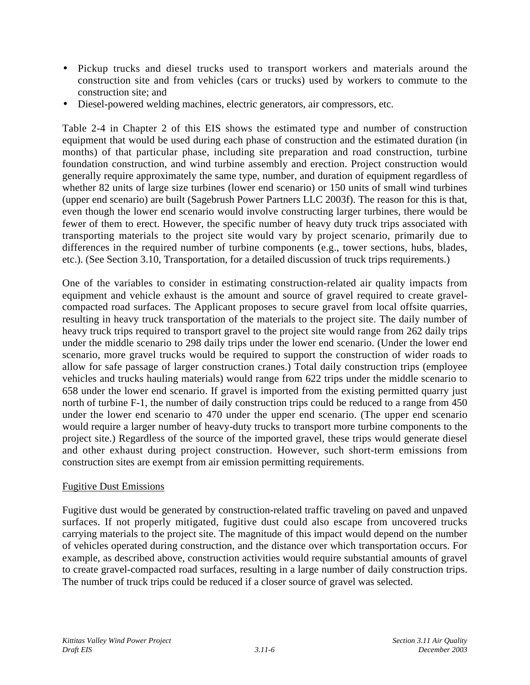- Pickup trucks and diesel trucks used to transport workers and materials around the construction site and from vehicles (cars or trucks) used by workers to commute to the construction site; and
- Diesel-powered welding machines, electric generators, air compressors, etc.

Table 2-4 in Chapter 2 of this EIS shows the estimated type and number of construction equipment that would be used during each phase of construction and the estimated duration (in months) of that particular phase, including site preparation and road construction, turbine foundation construction, and wind turbine assembly and erection. Project construction would generally require approximately the same type, number, and duration of equipment regardless of whether 82 units of large size turbines (lower end scenario) or 150 units of small wind turbines (upper end scenario) are built (Sagebrush Power Partners LLC 2003f). The reason for this is that, even though the lower end scenario would involve constructing larger turbines, there would be fewer of them to erect. However, the specific number of heavy duty truck trips associated with transporting materials to the project site would vary by project scenario, primarily due to differences in the required number of turbine components (e.g., tower sections, hubs, blades, etc.). (See Section 3.10, Transportation, for a detailed discussion of truck trips requirements.)

One of the variables to consider in estimating construction-related air quality impacts from equipment and vehicle exhaust is the amount and source of gravel required to create gravelcompacted road surfaces. The Applicant proposes to secure gravel from local offsite quarries, resulting in heavy truck transportation of the materials to the project site. The daily number of heavy truck trips required to transport gravel to the project site would range from 262 daily trips under the middle scenario to 298 daily trips under the lower end scenario. (Under the lower end scenario, more gravel trucks would be required to support the construction of wider roads to allow for safe passage of larger construction cranes.) Total daily construction trips (employee vehicles and trucks hauling materials) would range from 622 trips under the middle scenario to 658 under the lower end scenario. If gravel is imported from the existing permitted quarry just north of turbine F-1, the number of daily construction trips could be reduced to a range from 450 under the lower end scenario to 470 under the upper end scenario. (The upper end scenario would require a larger number of heavy-duty trucks to transport more turbine components to the project site.) Regardless of the source of the imported gravel, these trips would generate diesel and other exhaust during project construction. However, such short-term emissions from construction sites are exempt from air emission permitting requirements.

#### Fugitive Dust Emissions

Fugitive dust would be generated by construction-related traffic traveling on paved and unpaved surfaces. If not properly mitigated, fugitive dust could also escape from uncovered trucks carrying materials to the project site. The magnitude of this impact would depend on the number of vehicles operated during construction, and the distance over which transportation occurs. For example, as described above, construction activities would require substantial amounts of gravel to create gravel-compacted road surfaces, resulting in a large number of daily construction trips. The number of truck trips could be reduced if a closer source of gravel was selected.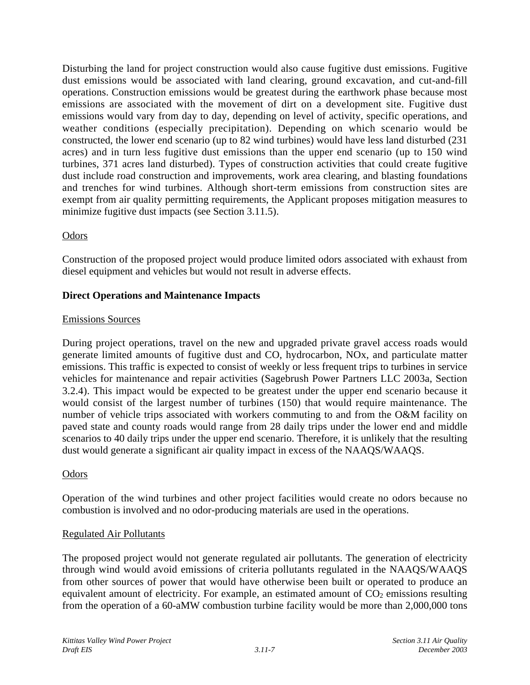Disturbing the land for project construction would also cause fugitive dust emissions. Fugitive dust emissions would be associated with land clearing, ground excavation, and cut-and-fill operations. Construction emissions would be greatest during the earthwork phase because most emissions are associated with the movement of dirt on a development site. Fugitive dust emissions would vary from day to day, depending on level of activity, specific operations, and weather conditions (especially precipitation). Depending on which scenario would be constructed, the lower end scenario (up to 82 wind turbines) would have less land disturbed (231 acres) and in turn less fugitive dust emissions than the upper end scenario (up to 150 wind turbines, 371 acres land disturbed). Types of construction activities that could create fugitive dust include road construction and improvements, work area clearing, and blasting foundations and trenches for wind turbines. Although short-term emissions from construction sites are exempt from air quality permitting requirements, the Applicant proposes mitigation measures to minimize fugitive dust impacts (see Section 3.11.5).

# **Odors**

Construction of the proposed project would produce limited odors associated with exhaust from diesel equipment and vehicles but would not result in adverse effects.

### **Direct Operations and Maintenance Impacts**

#### Emissions Sources

During project operations, travel on the new and upgraded private gravel access roads would generate limited amounts of fugitive dust and CO, hydrocarbon, NOx, and particulate matter emissions. This traffic is expected to consist of weekly or less frequent trips to turbines in service vehicles for maintenance and repair activities (Sagebrush Power Partners LLC 2003a, Section 3.2.4). This impact would be expected to be greatest under the upper end scenario because it would consist of the largest number of turbines (150) that would require maintenance. The number of vehicle trips associated with workers commuting to and from the O&M facility on paved state and county roads would range from 28 daily trips under the lower end and middle scenarios to 40 daily trips under the upper end scenario. Therefore, it is unlikely that the resulting dust would generate a significant air quality impact in excess of the NAAQS/WAAQS.

### **Odors**

Operation of the wind turbines and other project facilities would create no odors because no combustion is involved and no odor-producing materials are used in the operations.

#### Regulated Air Pollutants

The proposed project would not generate regulated air pollutants. The generation of electricity through wind would avoid emissions of criteria pollutants regulated in the NAAQS/WAAQS from other sources of power that would have otherwise been built or operated to produce an equivalent amount of electricity. For example, an estimated amount of  $CO<sub>2</sub>$  emissions resulting from the operation of a 60-aMW combustion turbine facility would be more than 2,000,000 tons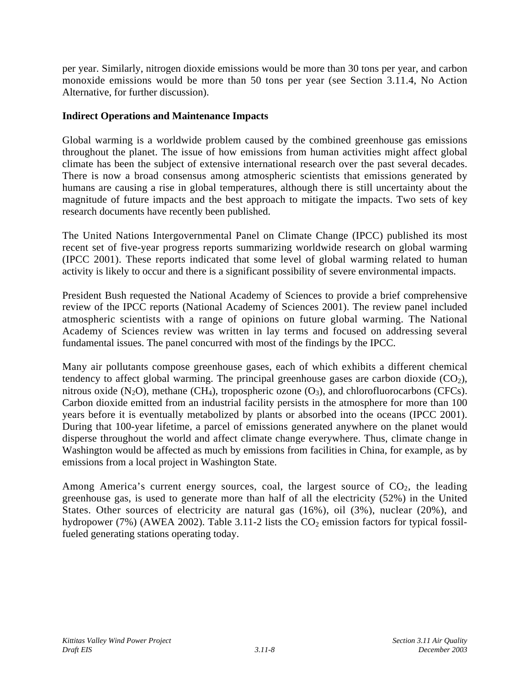per year. Similarly, nitrogen dioxide emissions would be more than 30 tons per year, and carbon monoxide emissions would be more than 50 tons per year (see Section 3.11.4, No Action Alternative, for further discussion).

### **Indirect Operations and Maintenance Impacts**

Global warming is a worldwide problem caused by the combined greenhouse gas emissions throughout the planet. The issue of how emissions from human activities might affect global climate has been the subject of extensive international research over the past several decades. There is now a broad consensus among atmospheric scientists that emissions generated by humans are causing a rise in global temperatures, although there is still uncertainty about the magnitude of future impacts and the best approach to mitigate the impacts. Two sets of key research documents have recently been published.

The United Nations Intergovernmental Panel on Climate Change (IPCC) published its most recent set of five-year progress reports summarizing worldwide research on global warming (IPCC 2001). These reports indicated that some level of global warming related to human activity is likely to occur and there is a significant possibility of severe environmental impacts.

President Bush requested the National Academy of Sciences to provide a brief comprehensive review of the IPCC reports (National Academy of Sciences 2001). The review panel included atmospheric scientists with a range of opinions on future global warming. The National Academy of Sciences review was written in lay terms and focused on addressing several fundamental issues. The panel concurred with most of the findings by the IPCC.

Many air pollutants compose greenhouse gases, each of which exhibits a different chemical tendency to affect global warming. The principal greenhouse gases are carbon dioxide  $(CO<sub>2</sub>)$ , nitrous oxide  $(N_2O)$ , methane  $(CH_4)$ , tropospheric ozone  $(O_3)$ , and chlorofluorocarbons (CFCs). Carbon dioxide emitted from an industrial facility persists in the atmosphere for more than 100 years before it is eventually metabolized by plants or absorbed into the oceans (IPCC 2001). During that 100-year lifetime, a parcel of emissions generated anywhere on the planet would disperse throughout the world and affect climate change everywhere. Thus, climate change in Washington would be affected as much by emissions from facilities in China, for example, as by emissions from a local project in Washington State.

Among America's current energy sources, coal, the largest source of  $CO<sub>2</sub>$ , the leading greenhouse gas, is used to generate more than half of all the electricity (52%) in the United States. Other sources of electricity are natural gas (16%), oil (3%), nuclear (20%), and hydropower (7%) (AWEA 2002). Table 3.11-2 lists the  $CO<sub>2</sub>$  emission factors for typical fossilfueled generating stations operating today.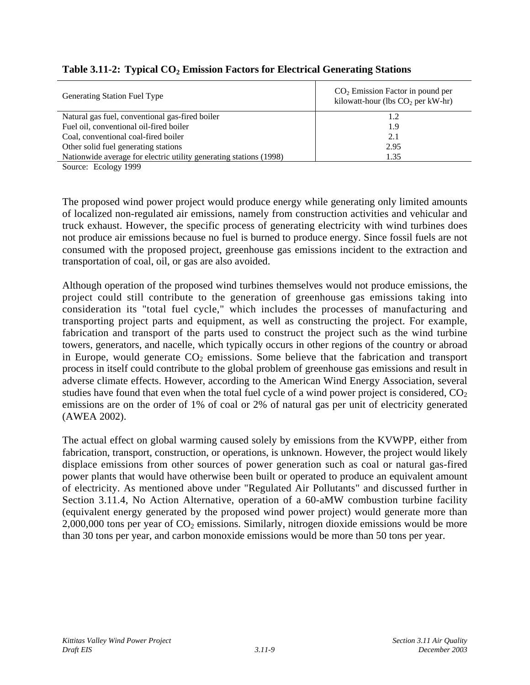| Generating Station Fuel Type                                       | $CO2$ Emission Factor in pound per<br>kilowatt-hour (lbs $CO2$ per kW-hr) |
|--------------------------------------------------------------------|---------------------------------------------------------------------------|
| Natural gas fuel, conventional gas-fired boiler                    | 1.2                                                                       |
| Fuel oil, conventional oil-fired boiler                            | 1.9                                                                       |
| Coal, conventional coal-fired boiler                               | 2.1                                                                       |
| Other solid fuel generating stations                               | 2.95                                                                      |
| Nationwide average for electric utility generating stations (1998) | 1.35                                                                      |

## Table 3.11-2: Typical CO<sub>2</sub> Emission Factors for Electrical Generating Stations

Source: Ecology 1999

The proposed wind power project would produce energy while generating only limited amounts of localized non-regulated air emissions, namely from construction activities and vehicular and truck exhaust. However, the specific process of generating electricity with wind turbines does not produce air emissions because no fuel is burned to produce energy. Since fossil fuels are not consumed with the proposed project, greenhouse gas emissions incident to the extraction and transportation of coal, oil, or gas are also avoided.

Although operation of the proposed wind turbines themselves would not produce emissions, the project could still contribute to the generation of greenhouse gas emissions taking into consideration its "total fuel cycle," which includes the processes of manufacturing and transporting project parts and equipment, as well as constructing the project. For example, fabrication and transport of the parts used to construct the project such as the wind turbine towers, generators, and nacelle, which typically occurs in other regions of the country or abroad in Europe, would generate  $CO<sub>2</sub>$  emissions. Some believe that the fabrication and transport process in itself could contribute to the global problem of greenhouse gas emissions and result in adverse climate effects. However, according to the American Wind Energy Association, several studies have found that even when the total fuel cycle of a wind power project is considered,  $CO<sub>2</sub>$ emissions are on the order of 1% of coal or 2% of natural gas per unit of electricity generated (AWEA 2002).

The actual effect on global warming caused solely by emissions from the KVWPP, either from fabrication, transport, construction, or operations, is unknown. However, the project would likely displace emissions from other sources of power generation such as coal or natural gas-fired power plants that would have otherwise been built or operated to produce an equivalent amount of electricity. As mentioned above under "Regulated Air Pollutants" and discussed further in Section 3.11.4, No Action Alternative, operation of a 60-aMW combustion turbine facility (equivalent energy generated by the proposed wind power project) would generate more than 2,000,000 tons per year of  $CO<sub>2</sub>$  emissions. Similarly, nitrogen dioxide emissions would be more than 30 tons per year, and carbon monoxide emissions would be more than 50 tons per year.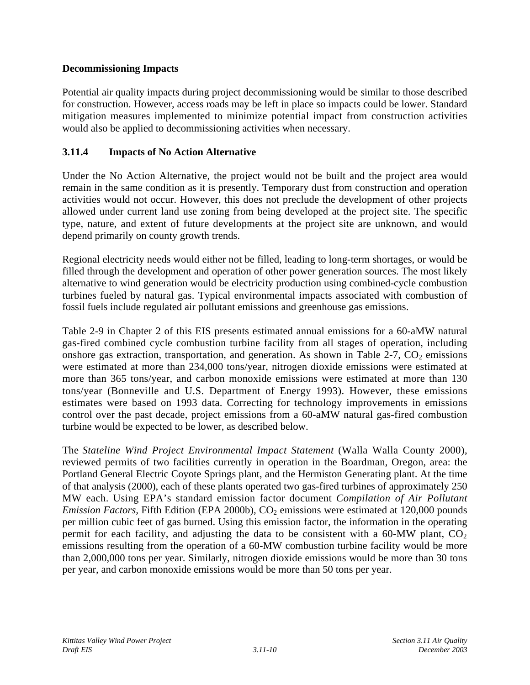## **Decommissioning Impacts**

Potential air quality impacts during project decommissioning would be similar to those described for construction. However, access roads may be left in place so impacts could be lower. Standard mitigation measures implemented to minimize potential impact from construction activities would also be applied to decommissioning activities when necessary.

## **3.11.4 Impacts of No Action Alternative**

Under the No Action Alternative, the project would not be built and the project area would remain in the same condition as it is presently. Temporary dust from construction and operation activities would not occur. However, this does not preclude the development of other projects allowed under current land use zoning from being developed at the project site. The specific type, nature, and extent of future developments at the project site are unknown, and would depend primarily on county growth trends.

Regional electricity needs would either not be filled, leading to long-term shortages, or would be filled through the development and operation of other power generation sources. The most likely alternative to wind generation would be electricity production using combined-cycle combustion turbines fueled by natural gas. Typical environmental impacts associated with combustion of fossil fuels include regulated air pollutant emissions and greenhouse gas emissions.

Table 2-9 in Chapter 2 of this EIS presents estimated annual emissions for a 60-aMW natural gas-fired combined cycle combustion turbine facility from all stages of operation, including onshore gas extraction, transportation, and generation. As shown in Table 2-7,  $CO<sub>2</sub>$  emissions were estimated at more than 234,000 tons/year, nitrogen dioxide emissions were estimated at more than 365 tons/year, and carbon monoxide emissions were estimated at more than 130 tons/year (Bonneville and U.S. Department of Energy 1993). However, these emissions estimates were based on 1993 data. Correcting for technology improvements in emissions control over the past decade, project emissions from a 60-aMW natural gas-fired combustion turbine would be expected to be lower, as described below.

The *Stateline Wind Project Environmental Impact Statement* (Walla Walla County 2000), reviewed permits of two facilities currently in operation in the Boardman, Oregon, area: the Portland General Electric Coyote Springs plant, and the Hermiston Generating plant. At the time of that analysis (2000), each of these plants operated two gas-fired turbines of approximately 250 MW each. Using EPA's standard emission factor document *Compilation of Air Pollutant Emission Factors, Fifth Edition (EPA 2000b), CO<sub>2</sub> emissions were estimated at 120,000 pounds* per million cubic feet of gas burned. Using this emission factor, the information in the operating permit for each facility, and adjusting the data to be consistent with a  $60-MW$  plant,  $CO<sub>2</sub>$ emissions resulting from the operation of a 60-MW combustion turbine facility would be more than 2,000,000 tons per year. Similarly, nitrogen dioxide emissions would be more than 30 tons per year, and carbon monoxide emissions would be more than 50 tons per year.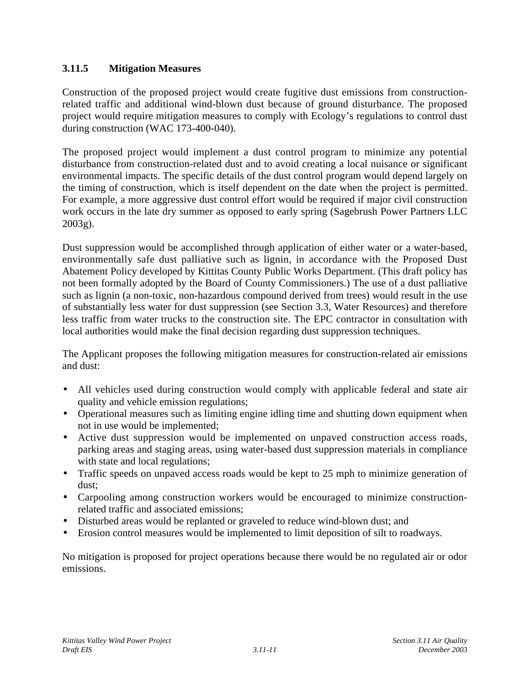## **3.11.5 Mitigation Measures**

Construction of the proposed project would create fugitive dust emissions from constructionrelated traffic and additional wind-blown dust because of ground disturbance. The proposed project would require mitigation measures to comply with Ecology's regulations to control dust during construction (WAC 173-400-040).

The proposed project would implement a dust control program to minimize any potential disturbance from construction-related dust and to avoid creating a local nuisance or significant environmental impacts. The specific details of the dust control program would depend largely on the timing of construction, which is itself dependent on the date when the project is permitted. For example, a more aggressive dust control effort would be required if major civil construction work occurs in the late dry summer as opposed to early spring (Sagebrush Power Partners LLC 2003g).

Dust suppression would be accomplished through application of either water or a water-based, environmentally safe dust palliative such as lignin, in accordance with the Proposed Dust Abatement Policy developed by Kittitas County Public Works Department. (This draft policy has not been formally adopted by the Board of County Commissioners.) The use of a dust palliative such as lignin (a non-toxic, non-hazardous compound derived from trees) would result in the use of substantially less water for dust suppression (see Section 3.3, Water Resources) and therefore less traffic from water trucks to the construction site. The EPC contractor in consultation with local authorities would make the final decision regarding dust suppression techniques.

The Applicant proposes the following mitigation measures for construction-related air emissions and dust:

- All vehicles used during construction would comply with applicable federal and state air quality and vehicle emission regulations;
- Operational measures such as limiting engine idling time and shutting down equipment when not in use would be implemented;
- Active dust suppression would be implemented on unpaved construction access roads, parking areas and staging areas, using water-based dust suppression materials in compliance with state and local regulations;
- Traffic speeds on unpaved access roads would be kept to 25 mph to minimize generation of dust;
- Carpooling among construction workers would be encouraged to minimize constructionrelated traffic and associated emissions;
- Disturbed areas would be replanted or graveled to reduce wind-blown dust; and
- Erosion control measures would be implemented to limit deposition of silt to roadways.

No mitigation is proposed for project operations because there would be no regulated air or odor emissions.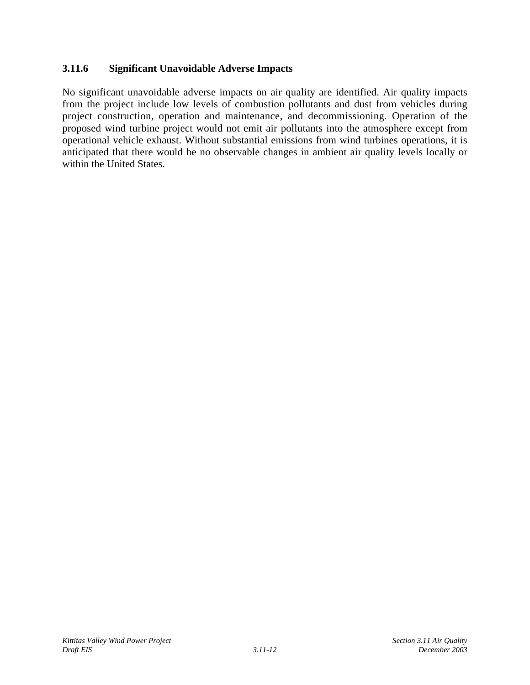## **3.11.6 Significant Unavoidable Adverse Impacts**

No significant unavoidable adverse impacts on air quality are identified. Air quality impacts from the project include low levels of combustion pollutants and dust from vehicles during project construction, operation and maintenance, and decommissioning. Operation of the proposed wind turbine project would not emit air pollutants into the atmosphere except from operational vehicle exhaust. Without substantial emissions from wind turbines operations, it is anticipated that there would be no observable changes in ambient air quality levels locally or within the United States.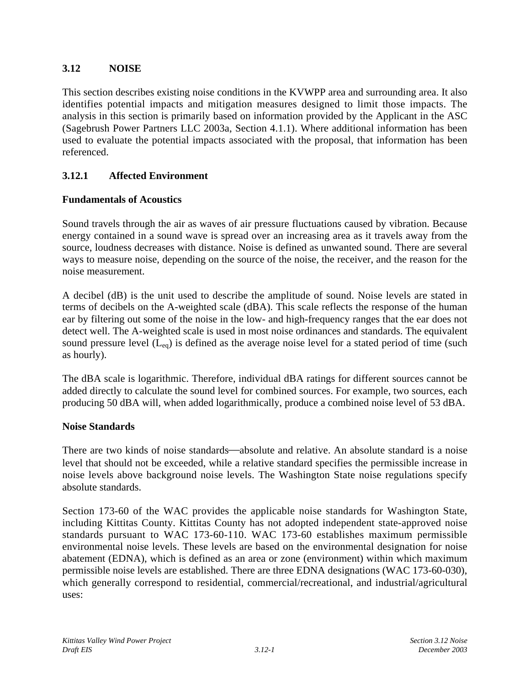## **3.12 NOISE**

This section describes existing noise conditions in the KVWPP area and surrounding area. It also identifies potential impacts and mitigation measures designed to limit those impacts. The analysis in this section is primarily based on information provided by the Applicant in the ASC (Sagebrush Power Partners LLC 2003a, Section 4.1.1). Where additional information has been used to evaluate the potential impacts associated with the proposal, that information has been referenced.

# **3.12.1 Affected Environment**

## **Fundamentals of Acoustics**

Sound travels through the air as waves of air pressure fluctuations caused by vibration. Because energy contained in a sound wave is spread over an increasing area as it travels away from the source, loudness decreases with distance. Noise is defined as unwanted sound. There are several ways to measure noise, depending on the source of the noise, the receiver, and the reason for the noise measurement.

A decibel (dB) is the unit used to describe the amplitude of sound. Noise levels are stated in terms of decibels on the A-weighted scale (dBA). This scale reflects the response of the human ear by filtering out some of the noise in the low- and high-frequency ranges that the ear does not detect well. The A-weighted scale is used in most noise ordinances and standards. The equivalent sound pressure level  $(L_{eq})$  is defined as the average noise level for a stated period of time (such as hourly).

The dBA scale is logarithmic. Therefore, individual dBA ratings for different sources cannot be added directly to calculate the sound level for combined sources. For example, two sources, each producing 50 dBA will, when added logarithmically, produce a combined noise level of 53 dBA.

## **Noise Standards**

There are two kinds of noise standards—absolute and relative. An absolute standard is a noise level that should not be exceeded, while a relative standard specifies the permissible increase in noise levels above background noise levels. The Washington State noise regulations specify absolute standards.

Section 173-60 of the WAC provides the applicable noise standards for Washington State, including Kittitas County. Kittitas County has not adopted independent state-approved noise standards pursuant to WAC 173-60-110. WAC 173-60 establishes maximum permissible environmental noise levels. These levels are based on the environmental designation for noise abatement (EDNA), which is defined as an area or zone (environment) within which maximum permissible noise levels are established. There are three EDNA designations (WAC 173-60-030), which generally correspond to residential, commercial/recreational, and industrial/agricultural uses: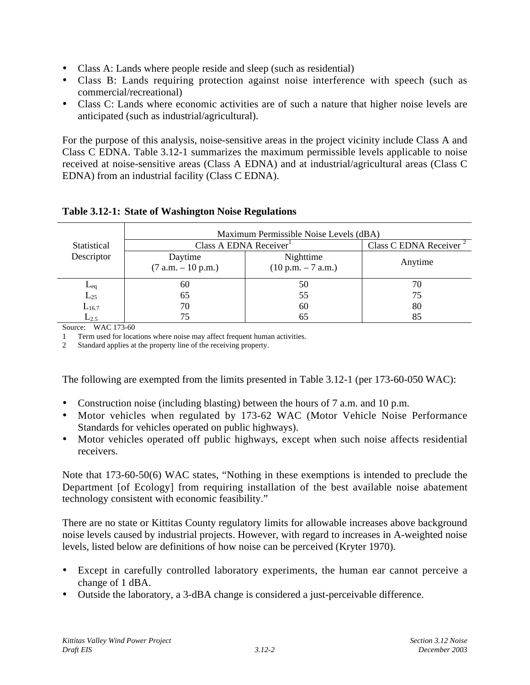- Class A: Lands where people reside and sleep (such as residential)
- Class B: Lands requiring protection against noise interference with speech (such as commercial/recreational)
- Class C: Lands where economic activities are of such a nature that higher noise levels are anticipated (such as industrial/agricultural).

For the purpose of this analysis, noise-sensitive areas in the project vicinity include Class A and Class C EDNA. Table 3.12-1 summarizes the maximum permissible levels applicable to noise received at noise-sensitive areas (Class A EDNA) and at industrial/agricultural areas (Class C EDNA) from an industrial facility (Class C EDNA).

|                      | Maximum Permissible Noise Levels (dBA)                               |    |                                    |  |  |  |  |
|----------------------|----------------------------------------------------------------------|----|------------------------------------|--|--|--|--|
| Statistical          | Class A EDNA Receiver <sup>1</sup>                                   |    | Class C EDNA Receiver <sup>2</sup> |  |  |  |  |
| Descriptor           | Nighttime<br>Daytime<br>$(7 a.m. - 10 p.m.)$<br>$(10 p.m. - 7 a.m.)$ |    | Anytime                            |  |  |  |  |
|                      | 60                                                                   | 50 | 70                                 |  |  |  |  |
| $L_{eq}$<br>$L_{25}$ | 65                                                                   | 55 | 75                                 |  |  |  |  |
| $L_{16.7}$           | 70                                                                   | 60 | 80                                 |  |  |  |  |
| $L_{2.5}$            |                                                                      | 65 | 85                                 |  |  |  |  |

#### **Table 3.12-1: State of Washington Noise Regulations**

Source: WAC 173-60

1 Term used for locations where noise may affect frequent human activities.

2 Standard applies at the property line of the receiving property.

The following are exempted from the limits presented in Table 3.12-1 (per 173-60-050 WAC):

- Construction noise (including blasting) between the hours of 7 a.m. and 10 p.m.
- Motor vehicles when regulated by 173-62 WAC (Motor Vehicle Noise Performance Standards for vehicles operated on public highways).
- Motor vehicles operated off public highways, except when such noise affects residential receivers.

Note that 173-60-50(6) WAC states, "Nothing in these exemptions is intended to preclude the Department [of Ecology] from requiring installation of the best available noise abatement technology consistent with economic feasibility."

There are no state or Kittitas County regulatory limits for allowable increases above background noise levels caused by industrial projects. However, with regard to increases in A-weighted noise levels, listed below are definitions of how noise can be perceived (Kryter 1970).

- Except in carefully controlled laboratory experiments, the human ear cannot perceive a change of 1 dBA.
- Outside the laboratory, a 3-dBA change is considered a just-perceivable difference.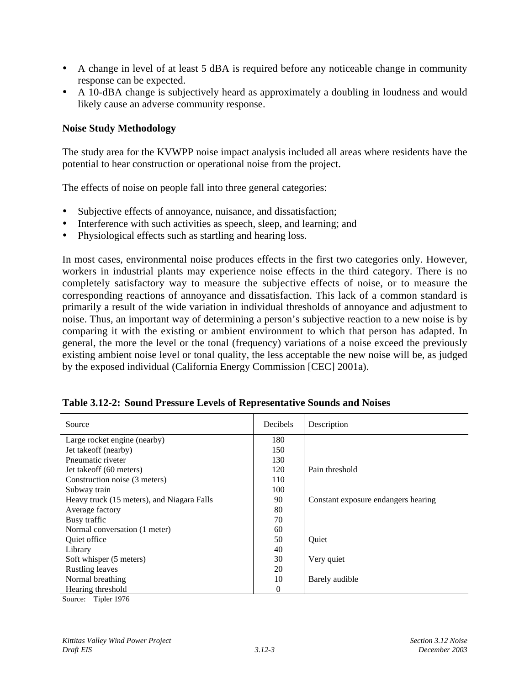- A change in level of at least 5 dBA is required before any noticeable change in community response can be expected.
- A 10-dBA change is subjectively heard as approximately a doubling in loudness and would likely cause an adverse community response.

#### **Noise Study Methodology**

The study area for the KVWPP noise impact analysis included all areas where residents have the potential to hear construction or operational noise from the project.

The effects of noise on people fall into three general categories:

- Subjective effects of annoyance, nuisance, and dissatisfaction;
- Interference with such activities as speech, sleep, and learning; and
- Physiological effects such as startling and hearing loss.

In most cases, environmental noise produces effects in the first two categories only. However, workers in industrial plants may experience noise effects in the third category. There is no completely satisfactory way to measure the subjective effects of noise, or to measure the corresponding reactions of annoyance and dissatisfaction. This lack of a common standard is primarily a result of the wide variation in individual thresholds of annoyance and adjustment to noise. Thus, an important way of determining a person's subjective reaction to a new noise is by comparing it with the existing or ambient environment to which that person has adapted. In general, the more the level or the tonal (frequency) variations of a noise exceed the previously existing ambient noise level or tonal quality, the less acceptable the new noise will be, as judged by the exposed individual (California Energy Commission [CEC] 2001a).

| Source                                     | Decibels | Description                         |
|--------------------------------------------|----------|-------------------------------------|
| Large rocket engine (nearby)               | 180      |                                     |
| Jet takeoff (nearby)                       | 150      |                                     |
| Pneumatic riveter                          | 130      |                                     |
| Jet takeoff (60 meters)                    | 120      | Pain threshold                      |
| Construction noise (3 meters)              | 110      |                                     |
| Subway train                               | 100      |                                     |
| Heavy truck (15 meters), and Niagara Falls | 90       | Constant exposure endangers hearing |
| Average factory                            | 80       |                                     |
| Busy traffic                               | 70       |                                     |
| Normal conversation (1 meter)              | 60       |                                     |
| <b>Oujet office</b>                        | 50       | Ouiet                               |
| Library                                    | 40       |                                     |
| Soft whisper (5 meters)                    | 30       | Very quiet                          |
| <b>Rustling leaves</b>                     | 20       |                                     |
| Normal breathing                           | 10       | Barely audible                      |
| Hearing threshold                          | $\theta$ |                                     |

|  |  |  | Table 3.12-2: Sound Pressure Levels of Representative Sounds and Noises |  |
|--|--|--|-------------------------------------------------------------------------|--|
|--|--|--|-------------------------------------------------------------------------|--|

Source: Tipler 1976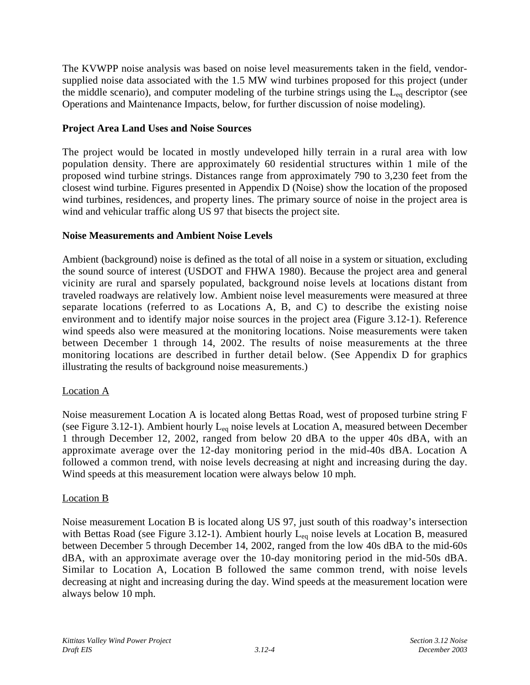The KVWPP noise analysis was based on noise level measurements taken in the field, vendorsupplied noise data associated with the 1.5 MW wind turbines proposed for this project (under the middle scenario), and computer modeling of the turbine strings using the  $L_{eq}$  descriptor (see Operations and Maintenance Impacts, below, for further discussion of noise modeling).

## **Project Area Land Uses and Noise Sources**

The project would be located in mostly undeveloped hilly terrain in a rural area with low population density. There are approximately 60 residential structures within 1 mile of the proposed wind turbine strings. Distances range from approximately 790 to 3,230 feet from the closest wind turbine. Figures presented in Appendix D (Noise) show the location of the proposed wind turbines, residences, and property lines. The primary source of noise in the project area is wind and vehicular traffic along US 97 that bisects the project site.

## **Noise Measurements and Ambient Noise Levels**

Ambient (background) noise is defined as the total of all noise in a system or situation, excluding the sound source of interest (USDOT and FHWA 1980). Because the project area and general vicinity are rural and sparsely populated, background noise levels at locations distant from traveled roadways are relatively low. Ambient noise level measurements were measured at three separate locations (referred to as Locations A, B, and C) to describe the existing noise environment and to identify major noise sources in the project area (Figure 3.12-1). Reference wind speeds also were measured at the monitoring locations. Noise measurements were taken between December 1 through 14, 2002. The results of noise measurements at the three monitoring locations are described in further detail below. (See Appendix D for graphics illustrating the results of background noise measurements.)

## Location A

Noise measurement Location A is located along Bettas Road, west of proposed turbine string F (see Figure 3.12-1). Ambient hourly  $L_{eq}$  noise levels at Location A, measured between December 1 through December 12, 2002, ranged from below 20 dBA to the upper 40s dBA, with an approximate average over the 12-day monitoring period in the mid-40s dBA. Location A followed a common trend, with noise levels decreasing at night and increasing during the day. Wind speeds at this measurement location were always below 10 mph.

## Location B

Noise measurement Location B is located along US 97, just south of this roadway's intersection with Bettas Road (see Figure 3.12-1). Ambient hourly  $L_{eq}$  noise levels at Location B, measured between December 5 through December 14, 2002, ranged from the low 40s dBA to the mid-60s dBA, with an approximate average over the 10-day monitoring period in the mid-50s dBA. Similar to Location A, Location B followed the same common trend, with noise levels decreasing at night and increasing during the day. Wind speeds at the measurement location were always below 10 mph.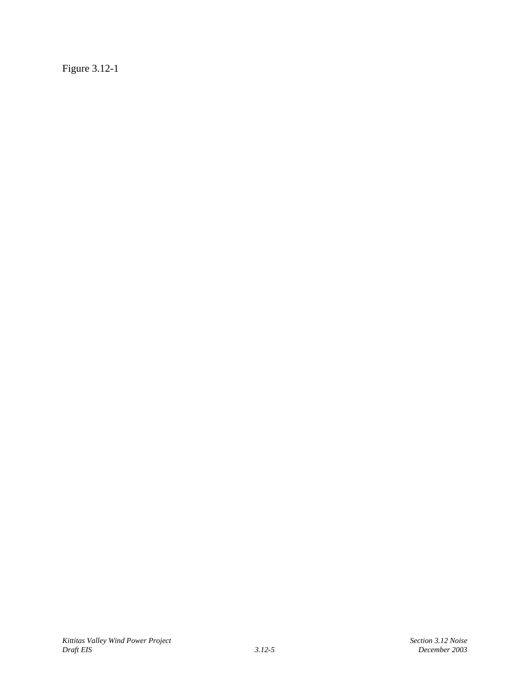Figure 3.12-1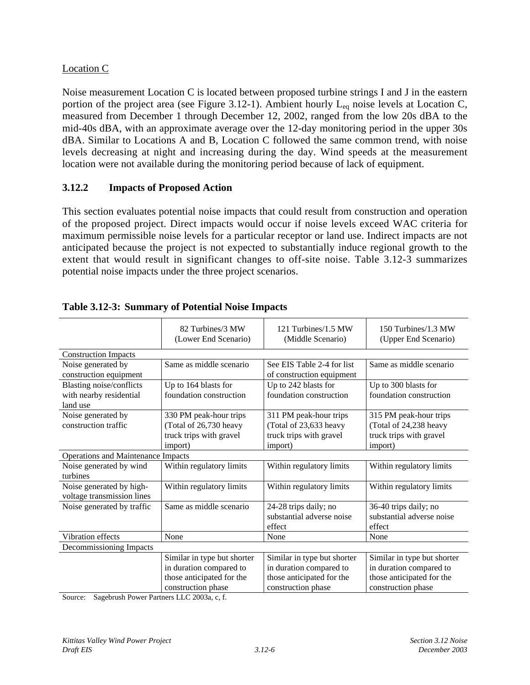## Location C

Noise measurement Location C is located between proposed turbine strings I and J in the eastern portion of the project area (see Figure 3.12-1). Ambient hourly  $L_{eq}$  noise levels at Location C, measured from December 1 through December 12, 2002, ranged from the low 20s dBA to the mid-40s dBA, with an approximate average over the 12-day monitoring period in the upper 30s dBA. Similar to Locations A and B, Location C followed the same common trend, with noise levels decreasing at night and increasing during the day. Wind speeds at the measurement location were not available during the monitoring period because of lack of equipment.

## **3.12.2 Impacts of Proposed Action**

This section evaluates potential noise impacts that could result from construction and operation of the proposed project. Direct impacts would occur if noise levels exceed WAC criteria for maximum permissible noise levels for a particular receptor or land use. Indirect impacts are not anticipated because the project is not expected to substantially induce regional growth to the extent that would result in significant changes to off-site noise. Table 3.12-3 summarizes potential noise impacts under the three project scenarios.

|                                    | 82 Turbines/3 MW<br>(Lower End Scenario) | 121 Turbines/1.5 MW<br>(Middle Scenario) | 150 Turbines/1.3 MW<br>(Upper End Scenario) |
|------------------------------------|------------------------------------------|------------------------------------------|---------------------------------------------|
| <b>Construction Impacts</b>        |                                          |                                          |                                             |
| Noise generated by                 | Same as middle scenario                  | See EIS Table 2-4 for list               | Same as middle scenario                     |
| construction equipment             |                                          | of construction equipment                |                                             |
| <b>Blasting noise/conflicts</b>    | Up to 164 blasts for                     | Up to 242 blasts for                     | Up to 300 blasts for                        |
| with nearby residential            | foundation construction                  | foundation construction                  | foundation construction                     |
| land use                           |                                          |                                          |                                             |
| Noise generated by                 | 330 PM peak-hour trips                   | 311 PM peak-hour trips                   | 315 PM peak-hour trips                      |
| construction traffic               | (Total of 26,730 heavy                   | (Total of 23,633 heavy                   | (Total of 24,238 heavy                      |
|                                    | truck trips with gravel                  | truck trips with gravel                  | truck trips with gravel                     |
|                                    | import)                                  | import)                                  | import)                                     |
| Operations and Maintenance Impacts |                                          |                                          |                                             |
| Noise generated by wind            | Within regulatory limits                 | Within regulatory limits                 | Within regulatory limits                    |
| turbines                           |                                          |                                          |                                             |
| Noise generated by high-           | Within regulatory limits                 | Within regulatory limits                 | Within regulatory limits                    |
| voltage transmission lines         |                                          |                                          |                                             |
| Noise generated by traffic         | Same as middle scenario                  | 24-28 trips daily; no                    | 36-40 trips daily; no                       |
|                                    |                                          | substantial adverse noise                | substantial adverse noise                   |
|                                    |                                          | effect                                   | effect                                      |
| Vibration effects                  | None                                     | None                                     | None                                        |
| Decommissioning Impacts            |                                          |                                          |                                             |
|                                    | Similar in type but shorter              | Similar in type but shorter              | Similar in type but shorter                 |
|                                    | in duration compared to                  | in duration compared to                  | in duration compared to                     |
|                                    | those anticipated for the                | those anticipated for the                | those anticipated for the                   |
|                                    | construction phase                       | construction phase                       | construction phase                          |

| Table 3.12-3: Summary of Potential Noise Impacts |  |  |
|--------------------------------------------------|--|--|
|                                                  |  |  |

Source: Sagebrush Power Partners LLC 2003a, c, f.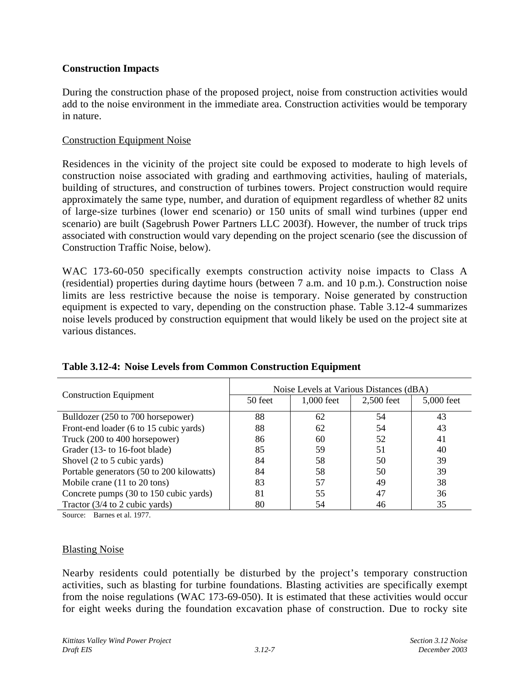## **Construction Impacts**

During the construction phase of the proposed project, noise from construction activities would add to the noise environment in the immediate area. Construction activities would be temporary in nature.

## Construction Equipment Noise

Residences in the vicinity of the project site could be exposed to moderate to high levels of construction noise associated with grading and earthmoving activities, hauling of materials, building of structures, and construction of turbines towers. Project construction would require approximately the same type, number, and duration of equipment regardless of whether 82 units of large-size turbines (lower end scenario) or 150 units of small wind turbines (upper end scenario) are built (Sagebrush Power Partners LLC 2003f). However, the number of truck trips associated with construction would vary depending on the project scenario (see the discussion of Construction Traffic Noise, below).

WAC 173-60-050 specifically exempts construction activity noise impacts to Class A (residential) properties during daytime hours (between 7 a.m. and 10 p.m.). Construction noise limits are less restrictive because the noise is temporary. Noise generated by construction equipment is expected to vary, depending on the construction phase. Table 3.12-4 summarizes noise levels produced by construction equipment that would likely be used on the project site at various distances.

|                                                 | Noise Levels at Various Distances (dBA) |            |            |            |  |  |  |
|-------------------------------------------------|-----------------------------------------|------------|------------|------------|--|--|--|
| <b>Construction Equipment</b>                   | 50 feet                                 | 1,000 feet | 2,500 feet | 5,000 feet |  |  |  |
| Bulldozer (250 to 700 horsepower)               | 88                                      | 62         | 54         | 43         |  |  |  |
| Front-end loader (6 to 15 cubic yards)          | 88                                      | 62         | 54         | 43         |  |  |  |
| Truck (200 to 400 horsepower)                   | 86                                      | 60         | 52         | 41         |  |  |  |
| Grader (13- to 16-foot blade)                   | 85                                      | 59         | 51         | 40         |  |  |  |
| Shovel (2 to 5 cubic yards)                     | 84                                      | 58         | 50         | 39         |  |  |  |
| Portable generators (50 to 200 kilowatts)       | 84                                      | 58         | 50         | 39         |  |  |  |
| Mobile crane $(11 \text{ to } 20 \text{ tons})$ | 83                                      | 57         | 49         | 38         |  |  |  |
| Concrete pumps (30 to 150 cubic yards)          | 81                                      | 55         | 47         | 36         |  |  |  |
| Tractor $(3/4$ to 2 cubic yards)                | 80                                      | 54         | 46         | 35         |  |  |  |

## **Table 3.12-4: Noise Levels from Common Construction Equipment**

Source: Barnes et al. 1977.

## Blasting Noise

Nearby residents could potentially be disturbed by the project's temporary construction activities, such as blasting for turbine foundations. Blasting activities are specifically exempt from the noise regulations (WAC 173-69-050). It is estimated that these activities would occur for eight weeks during the foundation excavation phase of construction. Due to rocky site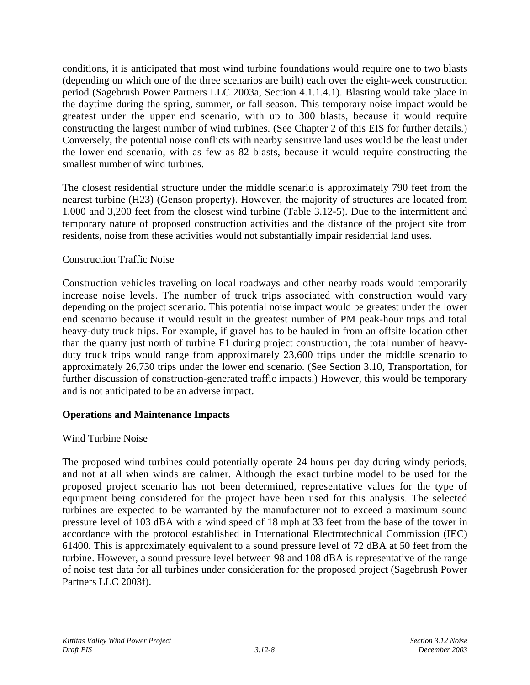conditions, it is anticipated that most wind turbine foundations would require one to two blasts (depending on which one of the three scenarios are built) each over the eight-week construction period (Sagebrush Power Partners LLC 2003a, Section 4.1.1.4.1). Blasting would take place in the daytime during the spring, summer, or fall season. This temporary noise impact would be greatest under the upper end scenario, with up to 300 blasts, because it would require constructing the largest number of wind turbines. (See Chapter 2 of this EIS for further details.) Conversely, the potential noise conflicts with nearby sensitive land uses would be the least under the lower end scenario, with as few as 82 blasts, because it would require constructing the smallest number of wind turbines.

The closest residential structure under the middle scenario is approximately 790 feet from the nearest turbine (H23) (Genson property). However, the majority of structures are located from 1,000 and 3,200 feet from the closest wind turbine (Table 3.12-5). Due to the intermittent and temporary nature of proposed construction activities and the distance of the project site from residents, noise from these activities would not substantially impair residential land uses.

## Construction Traffic Noise

Construction vehicles traveling on local roadways and other nearby roads would temporarily increase noise levels. The number of truck trips associated with construction would vary depending on the project scenario. This potential noise impact would be greatest under the lower end scenario because it would result in the greatest number of PM peak-hour trips and total heavy-duty truck trips. For example, if gravel has to be hauled in from an offsite location other than the quarry just north of turbine F1 during project construction, the total number of heavyduty truck trips would range from approximately 23,600 trips under the middle scenario to approximately 26,730 trips under the lower end scenario. (See Section 3.10, Transportation, for further discussion of construction-generated traffic impacts.) However, this would be temporary and is not anticipated to be an adverse impact.

## **Operations and Maintenance Impacts**

## Wind Turbine Noise

The proposed wind turbines could potentially operate 24 hours per day during windy periods, and not at all when winds are calmer. Although the exact turbine model to be used for the proposed project scenario has not been determined, representative values for the type of equipment being considered for the project have been used for this analysis. The selected turbines are expected to be warranted by the manufacturer not to exceed a maximum sound pressure level of 103 dBA with a wind speed of 18 mph at 33 feet from the base of the tower in accordance with the protocol established in International Electrotechnical Commission (IEC) 61400. This is approximately equivalent to a sound pressure level of 72 dBA at 50 feet from the turbine. However, a sound pressure level between 98 and 108 dBA is representative of the range of noise test data for all turbines under consideration for the proposed project (Sagebrush Power Partners LLC 2003f).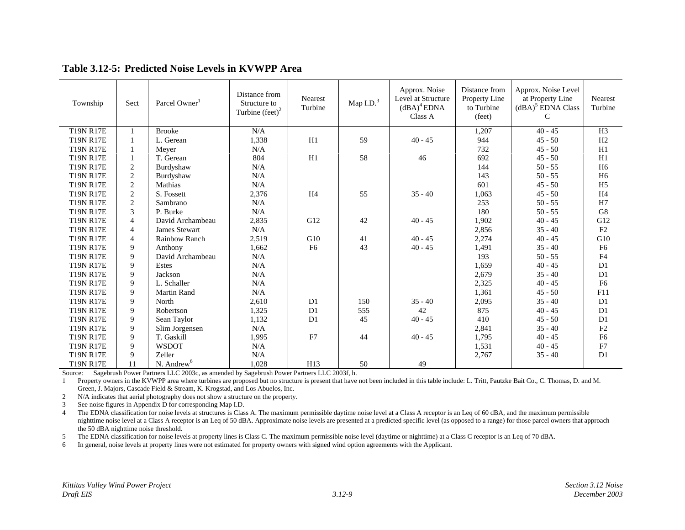| Township         | Sect           | Parcel Owner <sup>1</sup> | Distance from<br>Structure to<br>Turbine $(\text{feet})^2$ | <b>Nearest</b><br>Turbine | Map $I.D.3$ | Approx. Noise<br>Level at Structure<br>$(dBA)^4$ EDNA<br>Class A | Distance from<br><b>Property Line</b><br>to Turbine<br>(feet) | Approx. Noise Level<br>at Property Line<br>$(dBA)^5$ EDNA Class<br>C | <b>Nearest</b><br>Turbine |
|------------------|----------------|---------------------------|------------------------------------------------------------|---------------------------|-------------|------------------------------------------------------------------|---------------------------------------------------------------|----------------------------------------------------------------------|---------------------------|
| <b>T19N R17E</b> |                | <b>Brooke</b>             | N/A                                                        |                           |             |                                                                  | 1,207                                                         | $40 - 45$                                                            | H <sub>3</sub>            |
| <b>T19N R17E</b> |                | L. Gerean                 | 1,338                                                      | H1                        | 59          | $40 - 45$                                                        | 944                                                           | $45 - 50$                                                            | H2                        |
| <b>T19N R17E</b> |                | Meyer                     | N/A                                                        |                           |             |                                                                  | 732                                                           | $45 - 50$                                                            | H1                        |
| <b>T19N R17E</b> |                | T. Gerean                 | 804                                                        | H1                        | 58          | 46                                                               | 692                                                           | $45 - 50$                                                            | H1                        |
| <b>T19N R17E</b> | $\overline{2}$ | Burdyshaw                 | N/A                                                        |                           |             |                                                                  | 144                                                           | $50 - 55$                                                            | H <sub>6</sub>            |
| <b>T19N R17E</b> | $\overline{2}$ | Burdyshaw                 | N/A                                                        |                           |             |                                                                  | 143                                                           | $50 - 55$                                                            | H <sub>6</sub>            |
| <b>T19N R17E</b> | $\overline{2}$ | Mathias                   | N/A                                                        |                           |             |                                                                  | 601                                                           | $45 - 50$                                                            | H <sub>5</sub>            |
| <b>T19N R17E</b> | $\overline{2}$ | S. Fossett                | 2,376                                                      | H <sub>4</sub>            | 55          | $35 - 40$                                                        | 1,063                                                         | $45 - 50$                                                            | H <sub>4</sub>            |
| <b>T19N R17E</b> | $\overline{2}$ | Sambrano                  | N/A                                                        |                           |             |                                                                  | 253                                                           | $50 - 55$                                                            | H7                        |
| <b>T19N R17E</b> | $\mathcal{E}$  | P. Burke                  | N/A                                                        |                           |             |                                                                  | 180                                                           | $50 - 55$                                                            | G8                        |
| <b>T19N R17E</b> | $\overline{4}$ | David Archambeau          | 2,835                                                      | G12                       | 42          | $40 - 45$                                                        | 1,902                                                         | $40 - 45$                                                            | G12                       |
| <b>T19N R17E</b> | $\overline{4}$ | James Stewart             | N/A                                                        |                           |             |                                                                  | 2,856                                                         | $35 - 40$                                                            | F2                        |
| <b>T19N R17E</b> | $\overline{4}$ | <b>Rainbow Ranch</b>      | 2,519                                                      | G10                       | 41          | $40 - 45$                                                        | 2,274                                                         | $40 - 45$                                                            | G10                       |
| <b>T19N R17E</b> | 9              | Anthony                   | 1,662                                                      | F <sub>6</sub>            | 43          | $40 - 45$                                                        | 1,491                                                         | $35 - 40$                                                            | F <sub>6</sub>            |
| <b>T19N R17E</b> | $\mathbf Q$    | David Archambeau          | N/A                                                        |                           |             |                                                                  | 193                                                           | $50 - 55$                                                            | ${\rm F4}$                |
| <b>T19N R17E</b> | 9              | Estes                     | N/A                                                        |                           |             |                                                                  | 1,659                                                         | $40 - 45$                                                            | D1                        |
| <b>T19N R17E</b> | 9              | Jackson                   | N/A                                                        |                           |             |                                                                  | 2,679                                                         | $35 - 40$                                                            | D1                        |
| <b>T19N R17E</b> | $\mathbf Q$    | L. Schaller               | N/A                                                        |                           |             |                                                                  | 2,325                                                         | $40 - 45$                                                            | F <sub>6</sub>            |
| <b>T19N R17E</b> | 9              | <b>Martin Rand</b>        | N/A                                                        |                           |             |                                                                  | 1,361                                                         | $45 - 50$                                                            | F11                       |
| <b>T19N R17E</b> | 9              | North                     | 2,610                                                      | D <sub>1</sub>            | 150         | $35 - 40$                                                        | 2,095                                                         | $35 - 40$                                                            | D1                        |
| <b>T19N R17E</b> | $\mathbf Q$    | Robertson                 | 1,325                                                      | D1                        | 555         | 42                                                               | 875                                                           | $40 - 45$                                                            | D1                        |
| <b>T19N R17E</b> | 9              | Sean Taylor               | 1,132                                                      | D <sub>1</sub>            | 45          | $40 - 45$                                                        | 410                                                           | $45 - 50$                                                            | D1                        |
| <b>T19N R17E</b> | 9              | Slim Jorgensen            | N/A                                                        |                           |             |                                                                  | 2,841                                                         | $35 - 40$                                                            | $\rm F2$                  |
| <b>T19N R17E</b> | 9              | T. Gaskill                | 1,995                                                      | F7                        | 44          | $40 - 45$                                                        | 1,795                                                         | $40 - 45$                                                            | F <sub>6</sub>            |
| <b>T19N R17E</b> | 9              | <b>WSDOT</b>              | N/A                                                        |                           |             |                                                                  | 1,531                                                         | $40 - 45$                                                            | F7                        |
| <b>T19N R17E</b> | 9              | Zeller                    | N/A                                                        |                           |             |                                                                  | 2,767                                                         | $35 - 40$                                                            | D1                        |
| <b>T19N R17E</b> | 11             | N. Andrew <sup>6</sup>    | 1.028                                                      | H13                       | 50          | 49                                                               |                                                               |                                                                      |                           |

#### **Table 3.12-5: Predicted Noise Levels in KVWPP Area**

Source: Sagebrush Power Partners LLC 2003c, as amended by Sagebrush Power Partners LLC 2003f, h.

1 Property owners in the KVWPP area where turbines are proposed but no structure is present that have not been included in this table include: L. Tritt, Pautzke Bait Co., C. Thomas, D. and M. Green, J. Majors, Cascade Field & Stream, K. Krogstad, and Los Abuelos, Inc.

2N/A indicates that aerial photography does not show a structure on the property.

3See noise figures in Appendix D for corresponding Map I.D.

4 The EDNA classification for noise levels at structures is Class A. The maximum permissible daytime noise level at a Class A receptor is an Leq of 60 dBA, and the maximum permissible nighttime noise level at a Class A receptor is an Leq of 50 dBA. Approximate noise levels are presented at a predicted specific level (as opposed to a range) for those parcel owners that approach the 50 dBA nighttime noise threshold.

5The EDNA classification for noise levels at property lines is Class C. The maximum permissible noise level (daytime or nighttime) at a Class C receptor is an Leq of 70 dBA.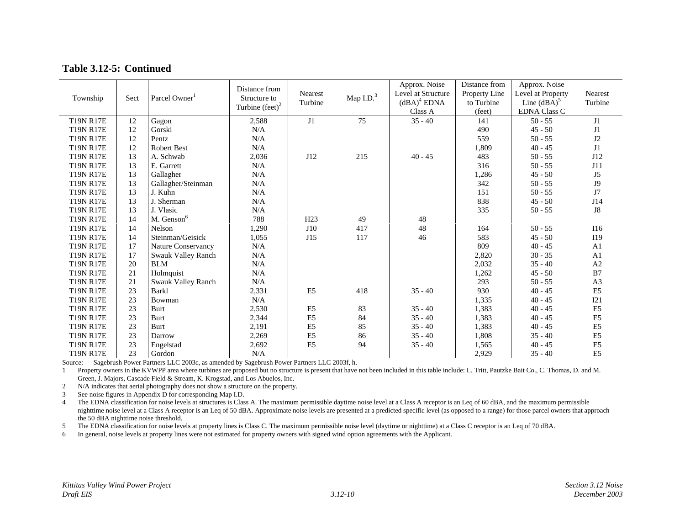| Table 3.12-5: Continued |  |
|-------------------------|--|
|-------------------------|--|

| Township         | Sect | Parcel Owner <sup>1</sup> | Distance from<br>Structure to<br>Turbine $(\text{feet})^2$ | <b>Nearest</b><br>Turbine | Map $I.D.3$ | Approx. Noise<br>Level at Structure<br>$(dBA)^4$ EDNA<br>Class A | Distance from<br>Property Line<br>to Turbine<br>(feet) | Approx. Noise<br>Level at Property<br>Line $\left($ dBA $\right)$ <sup>5</sup><br><b>EDNA Class C</b> | Nearest<br>Turbine |
|------------------|------|---------------------------|------------------------------------------------------------|---------------------------|-------------|------------------------------------------------------------------|--------------------------------------------------------|-------------------------------------------------------------------------------------------------------|--------------------|
| <b>T19N R17E</b> | 12   | Gagon                     | 2,588                                                      | J1                        | 75          | $35 - 40$                                                        | 141                                                    | $50 - 55$                                                                                             | J1                 |
| <b>T19N R17E</b> | 12   | Gorski                    | N/A                                                        |                           |             |                                                                  | 490                                                    | $45 - 50$                                                                                             | J1                 |
| <b>T19N R17E</b> | 12   | Pentz                     | N/A                                                        |                           |             |                                                                  | 559                                                    | $50 - 55$                                                                                             | J2                 |
| <b>T19N R17E</b> | 12   | <b>Robert Best</b>        | N/A                                                        |                           |             |                                                                  | 1,809                                                  | $40 - 45$                                                                                             | J1                 |
| <b>T19N R17E</b> | 13   | A. Schwab                 | 2,036                                                      | J12                       | 215         | $40 - 45$                                                        | 483                                                    | $50 - 55$                                                                                             | J12                |
| <b>T19N R17E</b> | 13   | E. Garrett                | N/A                                                        |                           |             |                                                                  | 316                                                    | $50 - 55$                                                                                             | J11                |
| <b>T19N R17E</b> | 13   | Gallagher                 | N/A                                                        |                           |             |                                                                  | 1,286                                                  | $45 - 50$                                                                                             | J5                 |
| <b>T19N R17E</b> | 13   | Gallagher/Steinman        | $\rm N/A$                                                  |                           |             |                                                                  | 342                                                    | $50 - 55$                                                                                             | <b>J9</b>          |
| <b>T19N R17E</b> | 13   | J. Kuhn                   | N/A                                                        |                           |             |                                                                  | 151                                                    | $50 - 55$                                                                                             | J7                 |
| <b>T19N R17E</b> | 13   | J. Sherman                | N/A                                                        |                           |             |                                                                  | 838                                                    | $45 - 50$                                                                                             | J14                |
| <b>T19N R17E</b> | 13   | J. Vlasic                 | N/A                                                        |                           |             |                                                                  | 335                                                    | $50 - 55$                                                                                             | J8                 |
| <b>T19N R17E</b> | 14   | M. Genson <sup>6</sup>    | 788                                                        | H <sub>23</sub>           | 49          | 48                                                               |                                                        |                                                                                                       |                    |
| <b>T19N R17E</b> | 14   | Nelson                    | 1,290                                                      | J10                       | 417         | 48                                                               | 164                                                    | $50 - 55$                                                                                             | I16                |
| <b>T19N R17E</b> | 14   | Steinman/Geisick          | 1,055                                                      | J15                       | 117         | 46                                                               | 583                                                    | $45 - 50$                                                                                             | I19                |
| <b>T19N R17E</b> | 17   | <b>Nature Conservancy</b> | N/A                                                        |                           |             |                                                                  | 809                                                    | $40 - 45$                                                                                             | A1                 |
| <b>T19N R17E</b> | 17   | Swauk Valley Ranch        | N/A                                                        |                           |             |                                                                  | 2,820                                                  | $30 - 35$                                                                                             | A <sub>1</sub>     |
| <b>T19N R17E</b> | 20   | <b>BLM</b>                | N/A                                                        |                           |             |                                                                  | 2,032                                                  | $35 - 40$                                                                                             | A2                 |
| <b>T19N R17E</b> | 21   | Holmquist                 | N/A                                                        |                           |             |                                                                  | 1,262                                                  | $45 - 50$                                                                                             | B7                 |
| <b>T19N R17E</b> | 21   | Swauk Valley Ranch        | N/A                                                        |                           |             |                                                                  | 293                                                    | $50 - 55$                                                                                             | A <sub>3</sub>     |
| <b>T19N R17E</b> | 23   | Barkl                     | 2,331                                                      | E <sub>5</sub>            | 418         | $35 - 40$                                                        | 930                                                    | $40 - 45$                                                                                             | E <sub>5</sub>     |
| <b>T19N R17E</b> | 23   | Bowman                    | N/A                                                        |                           |             |                                                                  | 1,335                                                  | $40 - 45$                                                                                             | I21                |
| <b>T19N R17E</b> | 23   | Burt                      | 2,530                                                      | E <sub>5</sub>            | 83          | $35 - 40$                                                        | 1,383                                                  | $40 - 45$                                                                                             | E <sub>5</sub>     |
| <b>T19N R17E</b> | 23   | <b>Burt</b>               | 2,344                                                      | E <sub>5</sub>            | 84          | $35 - 40$                                                        | 1,383                                                  | $40 - 45$                                                                                             | E <sub>5</sub>     |
| <b>T19N R17E</b> | 23   | Burt                      | 2,191                                                      | E <sub>5</sub>            | 85          | $35 - 40$                                                        | 1,383                                                  | $40 - 45$                                                                                             | E <sub>5</sub>     |
| <b>T19N R17E</b> | 23   | Darrow                    | 2,269                                                      | E <sub>5</sub>            | 86          | $35 - 40$                                                        | 1,808                                                  | $35 - 40$                                                                                             | E <sub>5</sub>     |
| <b>T19N R17E</b> | 23   | Engelstad                 | 2,692                                                      | E <sub>5</sub>            | 94          | $35 - 40$                                                        | 1,565                                                  | $40 - 45$                                                                                             | E <sub>5</sub>     |
| <b>T19N R17E</b> | 23   | Gordon                    | N/A                                                        |                           |             |                                                                  | 2.929                                                  | $35 - 40$                                                                                             | E <sub>5</sub>     |

Source: Sagebrush Power Partners LLC 2003c, as amended by Sagebrush Power Partners LLC 2003f, h.

1 Property owners in the KVWPP area where turbines are proposed but no structure is present that have not been included in this table include: L. Tritt, Pautzke Bait Co., C. Thomas, D. and M. Green, J. Majors, Cascade Field & Stream, K. Krogstad, and Los Abuelos, Inc.

2N/A indicates that aerial photography does not show a structure on the property.

3See noise figures in Appendix D for corresponding Map I.D.

4 The EDNA classification for noise levels at structures is Class A. The maximum permissible daytime noise level at a Class A receptor is an Leq of 60 dBA, and the maximum permissible nighttime noise level at a Class A receptor is an Leq of 50 dBA. Approximate noise levels are presented at a predicted specific level (as opposed to a range) for those parcel owners that approach the 50 dBA nighttime noise threshold.

5The EDNA classification for noise levels at property lines is Class C. The maximum permissible noise level (daytime or nighttime) at a Class C receptor is an Leq of 70 dBA.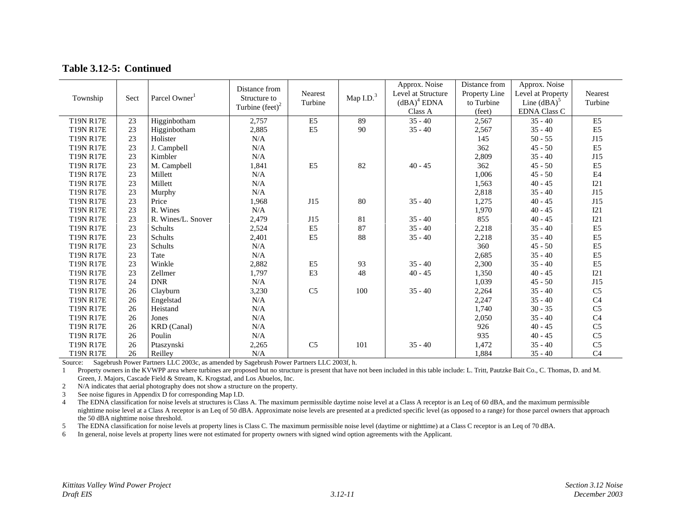| Table 3.12-5: Continued |  |
|-------------------------|--|
|-------------------------|--|

| Township         | Sect | Parcel Owner <sup>1</sup> | Distance from<br>Structure to<br>Turbine $(\text{feet})^2$ | Nearest<br>Turbine | Map $I.D.3$ | Approx. Noise<br>Level at Structure<br>$(dBA)^4$ EDNA<br>Class A | Distance from<br>Property Line<br>to Turbine<br>(feet) | Approx. Noise<br>Level at Property<br>Line $\left($ dBA $\right)$ <sup>5</sup><br><b>EDNA Class C</b> | <b>Nearest</b><br>Turbine |
|------------------|------|---------------------------|------------------------------------------------------------|--------------------|-------------|------------------------------------------------------------------|--------------------------------------------------------|-------------------------------------------------------------------------------------------------------|---------------------------|
| <b>T19N R17E</b> | 23   | Higginbotham              | 2,757                                                      | E <sub>5</sub>     | 89          | $35 - 40$                                                        | 2,567                                                  | $35 - 40$                                                                                             | E <sub>5</sub>            |
| <b>T19N R17E</b> | 23   | Higginbotham              | 2,885                                                      | E <sub>5</sub>     | 90          | $35 - 40$                                                        | 2,567                                                  | $35 - 40$                                                                                             | E <sub>5</sub>            |
| <b>T19N R17E</b> | 23   | Holister                  | N/A                                                        |                    |             |                                                                  | 145                                                    | $50 - 55$                                                                                             | J15                       |
| <b>T19N R17E</b> | 23   | J. Campbell               | N/A                                                        |                    |             |                                                                  | 362                                                    | $45 - 50$                                                                                             | E <sub>5</sub>            |
| <b>T19N R17E</b> | 23   | Kimbler                   | N/A                                                        |                    |             |                                                                  | 2,809                                                  | $35 - 40$                                                                                             | J15                       |
| <b>T19N R17E</b> | 23   | M. Campbell               | 1,841                                                      | E <sub>5</sub>     | 82          | $40 - 45$                                                        | 362                                                    | $45 - 50$                                                                                             | E <sub>5</sub>            |
| <b>T19N R17E</b> | 23   | Millett                   | N/A                                                        |                    |             |                                                                  | 1,006                                                  | $45 - 50$                                                                                             | E <sub>4</sub>            |
| <b>T19N R17E</b> | 23   | Millett                   | N/A                                                        |                    |             |                                                                  | 1,563                                                  | $40 - 45$                                                                                             | I21                       |
| <b>T19N R17E</b> | 23   | Murphy                    | N/A                                                        |                    |             |                                                                  | 2,818                                                  | $35 - 40$                                                                                             | J15                       |
| <b>T19N R17E</b> | 23   | Price                     | 1,968                                                      | J15                | 80          | $35 - 40$                                                        | 1,275                                                  | $40 - 45$                                                                                             | J15                       |
| <b>T19N R17E</b> | 23   | R. Wines                  | N/A                                                        |                    |             |                                                                  | 1,970                                                  | $40 - 45$                                                                                             | I21                       |
| <b>T19N R17E</b> | 23   | R. Wines/L. Snover        | 2,479                                                      | J15                | 81          | $35 - 40$                                                        | 855                                                    | $40 - 45$                                                                                             | I21                       |
| <b>T19N R17E</b> | 23   | Schults                   | 2,524                                                      | E <sub>5</sub>     | 87          | $35 - 40$                                                        | 2,218                                                  | $35 - 40$                                                                                             | E <sub>5</sub>            |
| <b>T19N R17E</b> | 23   | Schults                   | 2,401                                                      | E <sub>5</sub>     | 88          | $35 - 40$                                                        | 2,218                                                  | $35 - 40$                                                                                             | E <sub>5</sub>            |
| <b>T19N R17E</b> | 23   | Schults                   | N/A                                                        |                    |             |                                                                  | 360                                                    | $45 - 50$                                                                                             | E <sub>5</sub>            |
| <b>T19N R17E</b> | 23   | Tate                      | N/A                                                        |                    |             |                                                                  | 2,685                                                  | $35 - 40$                                                                                             | E <sub>5</sub>            |
| <b>T19N R17E</b> | 23   | Winkle                    | 2,882                                                      | E <sub>5</sub>     | 93          | $35 - 40$                                                        | 2,300                                                  | $35 - 40$                                                                                             | E <sub>5</sub>            |
| <b>T19N R17E</b> | 23   | Zellmer                   | 1,797                                                      | E <sub>3</sub>     | 48          | $40 - 45$                                                        | 1,350                                                  | $40 - 45$                                                                                             | I21                       |
| <b>T19N R17E</b> | 24   | <b>DNR</b>                | N/A                                                        |                    |             |                                                                  | 1,039                                                  | $45 - 50$                                                                                             | J15                       |
| <b>T19N R17E</b> | 26   | Clayburn                  | 3,230                                                      | C <sub>5</sub>     | 100         | $35 - 40$                                                        | 2,264                                                  | $35 - 40$                                                                                             | C <sub>5</sub>            |
| <b>T19N R17E</b> | 26   | Engelstad                 | N/A                                                        |                    |             |                                                                  | 2,247                                                  | $35 - 40$                                                                                             | C <sub>4</sub>            |
| <b>T19N R17E</b> | 26   | Heistand                  | N/A                                                        |                    |             |                                                                  | 1,740                                                  | $30 - 35$                                                                                             | C <sub>5</sub>            |
| <b>T19N R17E</b> | 26   | Jones                     | N/A                                                        |                    |             |                                                                  | 2,050                                                  | $35 - 40$                                                                                             | C <sub>4</sub>            |
| <b>T19N R17E</b> | 26   | KRD (Canal)               | N/A                                                        |                    |             |                                                                  | 926                                                    | $40 - 45$                                                                                             | C <sub>5</sub>            |
| <b>T19N R17E</b> | 26   | Poulin                    | N/A                                                        |                    |             |                                                                  | 935                                                    | $40 - 45$                                                                                             | C <sub>5</sub>            |
| <b>T19N R17E</b> | 26   | Ptaszynski                | 2,265                                                      | C <sub>5</sub>     | 101         | $35 - 40$                                                        | 1,472                                                  | $35 - 40$                                                                                             | C <sub>5</sub>            |
| <b>T19N R17E</b> | 26   | Reilley                   | N/A                                                        |                    |             |                                                                  | 1,884                                                  | $35 - 40$                                                                                             | C <sub>4</sub>            |

Source: Sagebrush Power Partners LLC 2003c, as amended by Sagebrush Power Partners LLC 2003f, h.

1 Property owners in the KVWPP area where turbines are proposed but no structure is present that have not been included in this table include: L. Tritt, Pautzke Bait Co., C. Thomas, D. and M. Green, J. Majors, Cascade Field & Stream, K. Krogstad, and Los Abuelos, Inc.

2N/A indicates that aerial photography does not show a structure on the property.

3See noise figures in Appendix D for corresponding Map I.D.

4 The EDNA classification for noise levels at structures is Class A. The maximum permissible daytime noise level at a Class A receptor is an Leq of 60 dBA, and the maximum permissible nighttime noise level at a Class A receptor is an Leq of 50 dBA. Approximate noise levels are presented at a predicted specific level (as opposed to a range) for those parcel owners that approach the 50 dBA nighttime noise threshold.

5The EDNA classification for noise levels at property lines is Class C. The maximum permissible noise level (daytime or nighttime) at a Class C receptor is an Leq of 70 dBA.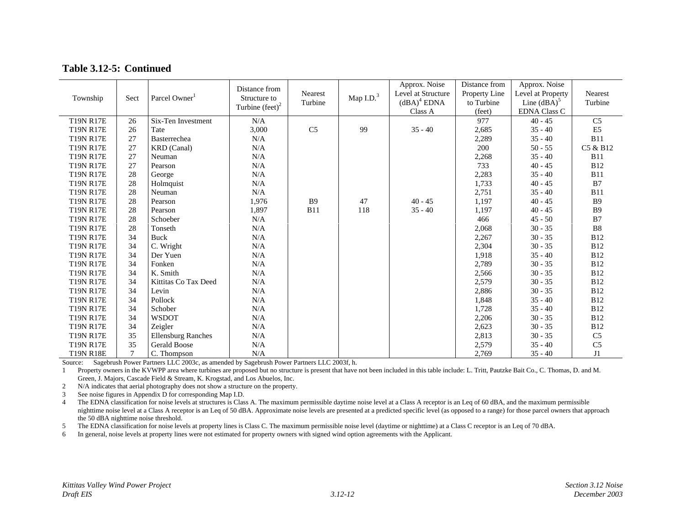#### **Table 3.12-5: Continued**

| Township         | Sect          | Parcel Owner <sup>1</sup> | Distance from<br>Structure to<br>Turbine $(\text{feet})^2$ | Nearest<br>Turbine | Map $I.D.3$ | Approx. Noise<br>Level at Structure<br>$(dBA)^4$ EDNA<br>Class A | Distance from<br>Property Line<br>to Turbine<br>(feet) | Approx. Noise<br>Level at Property<br>Line $\left($ dBA $\right)$ <sup>5</sup><br><b>EDNA Class C</b> | Nearest<br>Turbine |
|------------------|---------------|---------------------------|------------------------------------------------------------|--------------------|-------------|------------------------------------------------------------------|--------------------------------------------------------|-------------------------------------------------------------------------------------------------------|--------------------|
| <b>T19N R17E</b> | 26            | Six-Ten Investment        | N/A                                                        |                    |             |                                                                  | 977                                                    | $40 - 45$                                                                                             | C <sub>5</sub>     |
| <b>T19N R17E</b> | 26            | Tate                      | 3,000                                                      | C <sub>5</sub>     | 99          | $35 - 40$                                                        | 2,685                                                  | $35 - 40$                                                                                             | E <sub>5</sub>     |
| <b>T19N R17E</b> | 27            | Basterrechea              | N/A                                                        |                    |             |                                                                  | 2,289                                                  | $35 - 40$                                                                                             | <b>B11</b>         |
| <b>T19N R17E</b> | 27            | <b>KRD</b> (Canal)        | N/A                                                        |                    |             |                                                                  | 200                                                    | $50 - 55$                                                                                             | C5 & B12           |
| <b>T19N R17E</b> | 27            | Neuman                    | $\rm N/A$                                                  |                    |             |                                                                  | 2,268                                                  | $35 - 40$                                                                                             | <b>B11</b>         |
| <b>T19N R17E</b> | 27            | Pearson                   | N/A                                                        |                    |             |                                                                  | 733                                                    | $40 - 45$                                                                                             | <b>B12</b>         |
| <b>T19N R17E</b> | 28            | George                    | N/A                                                        |                    |             |                                                                  | 2,283                                                  | $35 - 40$                                                                                             | <b>B11</b>         |
| <b>T19N R17E</b> | 28            | Holmquist                 | N/A                                                        |                    |             |                                                                  | 1,733                                                  | $40 - 45$                                                                                             | B7                 |
| <b>T19N R17E</b> | 28            | Neuman                    | N/A                                                        |                    |             |                                                                  | 2,751                                                  | $35 - 40$                                                                                             | <b>B11</b>         |
| <b>T19N R17E</b> | 28            | Pearson                   | 1,976                                                      | <b>B9</b>          | 47          | $40 - 45$                                                        | 1,197                                                  | $40 - 45$                                                                                             | <b>B</b> 9         |
| <b>T19N R17E</b> | 28            | Pearson                   | 1,897                                                      | <b>B11</b>         | 118         | $35 - 40$                                                        | 1,197                                                  | $40 - 45$                                                                                             | <b>B9</b>          |
| <b>T19N R17E</b> | 28            | Schoeber                  | N/A                                                        |                    |             |                                                                  | 466                                                    | $45 - 50$                                                                                             | B7                 |
| <b>T19N R17E</b> | 28            | Tonseth                   | N/A                                                        |                    |             |                                                                  | 2,068                                                  | $30 - 35$                                                                                             | <b>B8</b>          |
| <b>T19N R17E</b> | 34            | Buck                      | N/A                                                        |                    |             |                                                                  | 2,267                                                  | $30 - 35$                                                                                             | <b>B12</b>         |
| <b>T19N R17E</b> | 34            | C. Wright                 | N/A                                                        |                    |             |                                                                  | 2,304                                                  | $30 - 35$                                                                                             | <b>B12</b>         |
| <b>T19N R17E</b> | 34            | Der Yuen                  | N/A                                                        |                    |             |                                                                  | 1,918                                                  | $35 - 40$                                                                                             | <b>B12</b>         |
| <b>T19N R17E</b> | 34            | Fonken                    | N/A                                                        |                    |             |                                                                  | 2,789                                                  | $30 - 35$                                                                                             | <b>B12</b>         |
| <b>T19N R17E</b> | 34            | K. Smith                  | $\rm N/A$                                                  |                    |             |                                                                  | 2,566                                                  | $30 - 35$                                                                                             | <b>B12</b>         |
| <b>T19N R17E</b> | 34            | Kittitas Co Tax Deed      | $\rm N/A$                                                  |                    |             |                                                                  | 2,579                                                  | $30 - 35$                                                                                             | <b>B12</b>         |
| <b>T19N R17E</b> | 34            | Levin                     | N/A                                                        |                    |             |                                                                  | 2,886                                                  | $30 - 35$                                                                                             | <b>B12</b>         |
| <b>T19N R17E</b> | 34            | Pollock                   | $\rm N/A$                                                  |                    |             |                                                                  | 1,848                                                  | $35 - 40$                                                                                             | <b>B12</b>         |
| <b>T19N R17E</b> | 34            | Schober                   | N/A                                                        |                    |             |                                                                  | 1,728                                                  | $35 - 40$                                                                                             | <b>B12</b>         |
| <b>T19N R17E</b> | 34            | <b>WSDOT</b>              | N/A                                                        |                    |             |                                                                  | 2,206                                                  | $30 - 35$                                                                                             | <b>B12</b>         |
| <b>T19N R17E</b> | 34            | Zeigler                   | N/A                                                        |                    |             |                                                                  | 2,623                                                  | $30 - 35$                                                                                             | <b>B12</b>         |
| <b>T19N R17E</b> | 35            | <b>Ellensburg Ranches</b> | N/A                                                        |                    |             |                                                                  | 2,813                                                  | $30 - 35$                                                                                             | C <sub>5</sub>     |
| <b>T19N R17E</b> | 35            | <b>Gerald Boose</b>       | $\rm N/A$                                                  |                    |             |                                                                  | 2,579                                                  | $35 - 40$                                                                                             | C <sub>5</sub>     |
| <b>T19N R18E</b> | $\mathcal{I}$ | C. Thompson               | N/A                                                        |                    |             |                                                                  | 2,769                                                  | $35 - 40$                                                                                             | J1                 |

Source: Sagebrush Power Partners LLC 2003c, as amended by Sagebrush Power Partners LLC 2003f, h.

1 Property owners in the KVWPP area where turbines are proposed but no structure is present that have not been included in this table include: L. Tritt, Pautzke Bait Co., C. Thomas, D. and M. Green, J. Majors, Cascade Field & Stream, K. Krogstad, and Los Abuelos, Inc.

2N/A indicates that aerial photography does not show a structure on the property.

3See noise figures in Appendix D for corresponding Map I.D.

4 The EDNA classification for noise levels at structures is Class A. The maximum permissible daytime noise level at a Class A receptor is an Leq of 60 dBA, and the maximum permissible nighttime noise level at a Class A receptor is an Leq of 50 dBA. Approximate noise levels are presented at a predicted specific level (as opposed to a range) for those parcel owners that approach the 50 dBA nighttime noise threshold.

5The EDNA classification for noise levels at property lines is Class C. The maximum permissible noise level (daytime or nighttime) at a Class C receptor is an Leq of 70 dBA.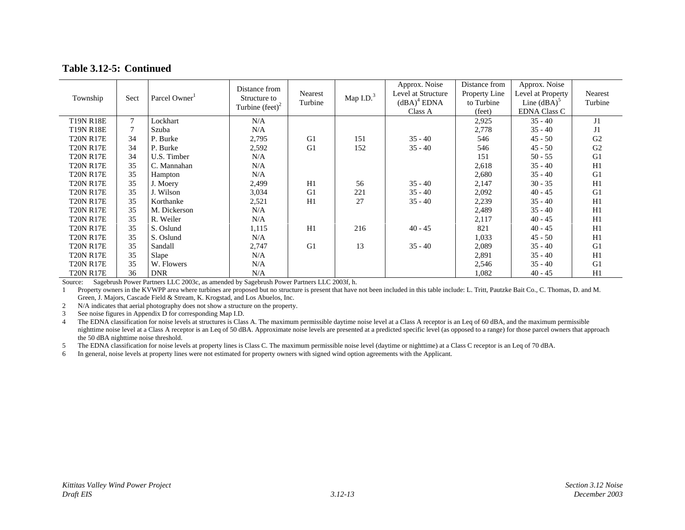#### **Table 3.12-5: Continued**

| Township         | Sect | Parcel Owner | Distance from<br>Structure to<br>Turbine $(\text{feet})^2$ | Nearest<br>Turbine | Map $I.D.3$ | Approx. Noise<br>Level at Structure<br>$(dBA)^4$ EDNA<br>Class A | Distance from<br>Property Line<br>to Turbine<br>(feet) | Approx. Noise<br>Level at Property<br>Line $(dBA)^5$<br><b>EDNA Class C</b> | Nearest<br>Turbine |
|------------------|------|--------------|------------------------------------------------------------|--------------------|-------------|------------------------------------------------------------------|--------------------------------------------------------|-----------------------------------------------------------------------------|--------------------|
| <b>T19N R18E</b> | 7    | Lockhart     | N/A                                                        |                    |             |                                                                  | 2,925                                                  | $35 - 40$                                                                   | J1                 |
| <b>T19N R18E</b> |      | Szuba        | N/A                                                        |                    |             |                                                                  | 2,778                                                  | $35 - 40$                                                                   | J1                 |
| <b>T20N R17E</b> | 34   | P. Burke     | 2,795                                                      | G1                 | 151         | $35 - 40$                                                        | 546                                                    | $45 - 50$                                                                   | G <sub>2</sub>     |
| <b>T20N R17E</b> | 34   | P. Burke     | 2,592                                                      | G1                 | 152         | $35 - 40$                                                        | 546                                                    | $45 - 50$                                                                   | G <sub>2</sub>     |
| <b>T20N R17E</b> | 34   | U.S. Timber  | N/A                                                        |                    |             |                                                                  | 151                                                    | $50 - 55$                                                                   | G1                 |
| <b>T20N R17E</b> | 35   | C. Mannahan  | N/A                                                        |                    |             |                                                                  | 2,618                                                  | $35 - 40$                                                                   | H1                 |
| <b>T20N R17E</b> | 35   | Hampton      | N/A                                                        |                    |             |                                                                  | 2,680                                                  | $35 - 40$                                                                   | G1                 |
| <b>T20N R17E</b> | 35   | J. Moery     | 2,499                                                      | H1                 | 56          | $35 - 40$                                                        | 2,147                                                  | $30 - 35$                                                                   | H1                 |
| <b>T20N R17E</b> | 35   | J. Wilson    | 3,034                                                      | G1                 | 221         | $35 - 40$                                                        | 2,092                                                  | $40 - 45$                                                                   | G1                 |
| <b>T20N R17E</b> | 35   | Korthanke    | 2,521                                                      | H1                 | 27          | $35 - 40$                                                        | 2,239                                                  | $35 - 40$                                                                   | H1                 |
| <b>T20N R17E</b> | 35   | M. Dickerson | N/A                                                        |                    |             |                                                                  | 2,489                                                  | $35 - 40$                                                                   | H1                 |
| <b>T20N R17E</b> | 35   | R. Weiler    | N/A                                                        |                    |             |                                                                  | 2,117                                                  | $40 - 45$                                                                   | H1                 |
| <b>T20N R17E</b> | 35   | S. Oslund    | 1,115                                                      | H1                 | 216         | $40 - 45$                                                        | 821                                                    | $40 - 45$                                                                   | H1                 |
| <b>T20N R17E</b> | 35   | S. Oslund    | N/A                                                        |                    |             |                                                                  | 1,033                                                  | $45 - 50$                                                                   | H1                 |
| <b>T20N R17E</b> | 35   | Sandall      | 2,747                                                      | G1                 | 13          | $35 - 40$                                                        | 2,089                                                  | $35 - 40$                                                                   | G1                 |
| <b>T20N R17E</b> | 35   | Slape        | N/A                                                        |                    |             |                                                                  | 2,891                                                  | $35 - 40$                                                                   | H1                 |
| <b>T20N R17E</b> | 35   | W. Flowers   | N/A                                                        |                    |             |                                                                  | 2,546                                                  | $35 - 40$                                                                   | G1                 |
| <b>T20N R17E</b> | 36   | <b>DNR</b>   | N/A                                                        |                    |             |                                                                  | 1,082                                                  | $40 - 45$                                                                   | H1                 |

Source: Sagebrush Power Partners LLC 2003c, as amended by Sagebrush Power Partners LLC 2003f, h.

1 Property owners in the KVWPP area where turbines are proposed but no structure is present that have not been included in this table include: L. Tritt, Pautzke Bait Co., C. Thomas, D. and M. Green, J. Majors, Cascade Field & Stream, K. Krogstad, and Los Abuelos, Inc.

2N/A indicates that aerial photography does not show a structure on the property.

3See noise figures in Appendix D for corresponding Map I.D.

4 The EDNA classification for noise levels at structures is Class A. The maximum permissible daytime noise level at a Class A receptor is an Leq of 60 dBA, and the maximum permissible nighttime noise level at a Class A receptor is an Leq of 50 dBA. Approximate noise levels are presented at a predicted specific level (as opposed to a range) for those parcel owners that approach the 50 dBA nighttime noise threshold.

5The EDNA classification for noise levels at property lines is Class C. The maximum permissible noise level (daytime or nighttime) at a Class C receptor is an Leq of 70 dBA.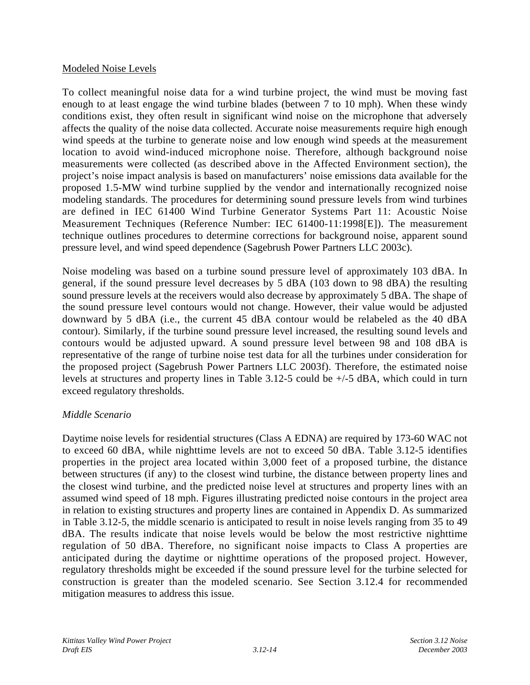#### Modeled Noise Levels

To collect meaningful noise data for a wind turbine project, the wind must be moving fast enough to at least engage the wind turbine blades (between 7 to 10 mph). When these windy conditions exist, they often result in significant wind noise on the microphone that adversely affects the quality of the noise data collected. Accurate noise measurements require high enough wind speeds at the turbine to generate noise and low enough wind speeds at the measurement location to avoid wind-induced microphone noise. Therefore, although background noise measurements were collected (as described above in the Affected Environment section), the project's noise impact analysis is based on manufacturers' noise emissions data available for the proposed 1.5-MW wind turbine supplied by the vendor and internationally recognized noise modeling standards. The procedures for determining sound pressure levels from wind turbines are defined in IEC 61400 Wind Turbine Generator Systems Part 11: Acoustic Noise Measurement Techniques (Reference Number: IEC 61400-11:1998[E]). The measurement technique outlines procedures to determine corrections for background noise, apparent sound pressure level, and wind speed dependence (Sagebrush Power Partners LLC 2003c).

Noise modeling was based on a turbine sound pressure level of approximately 103 dBA. In general, if the sound pressure level decreases by 5 dBA (103 down to 98 dBA) the resulting sound pressure levels at the receivers would also decrease by approximately 5 dBA. The shape of the sound pressure level contours would not change. However, their value would be adjusted downward by 5 dBA (i.e., the current 45 dBA contour would be relabeled as the 40 dBA contour). Similarly, if the turbine sound pressure level increased, the resulting sound levels and contours would be adjusted upward. A sound pressure level between 98 and 108 dBA is representative of the range of turbine noise test data for all the turbines under consideration for the proposed project (Sagebrush Power Partners LLC 2003f). Therefore, the estimated noise levels at structures and property lines in Table 3.12-5 could be +/-5 dBA, which could in turn exceed regulatory thresholds.

## *Middle Scenario*

Daytime noise levels for residential structures (Class A EDNA) are required by 173-60 WAC not to exceed 60 dBA, while nighttime levels are not to exceed 50 dBA. Table 3.12-5 identifies properties in the project area located within 3,000 feet of a proposed turbine, the distance between structures (if any) to the closest wind turbine, the distance between property lines and the closest wind turbine, and the predicted noise level at structures and property lines with an assumed wind speed of 18 mph. Figures illustrating predicted noise contours in the project area in relation to existing structures and property lines are contained in Appendix D. As summarized in Table 3.12-5, the middle scenario is anticipated to result in noise levels ranging from 35 to 49 dBA. The results indicate that noise levels would be below the most restrictive nighttime regulation of 50 dBA. Therefore, no significant noise impacts to Class A properties are anticipated during the daytime or nighttime operations of the proposed project. However, regulatory thresholds might be exceeded if the sound pressure level for the turbine selected for construction is greater than the modeled scenario. See Section 3.12.4 for recommended mitigation measures to address this issue.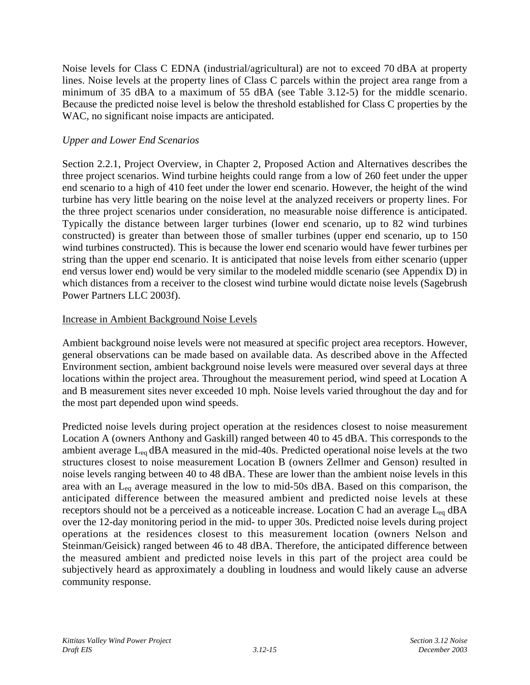Noise levels for Class C EDNA (industrial/agricultural) are not to exceed 70 dBA at property lines. Noise levels at the property lines of Class C parcels within the project area range from a minimum of 35 dBA to a maximum of 55 dBA (see Table 3.12-5) for the middle scenario. Because the predicted noise level is below the threshold established for Class C properties by the WAC, no significant noise impacts are anticipated.

#### *Upper and Lower End Scenarios*

Section 2.2.1, Project Overview, in Chapter 2, Proposed Action and Alternatives describes the three project scenarios. Wind turbine heights could range from a low of 260 feet under the upper end scenario to a high of 410 feet under the lower end scenario. However, the height of the wind turbine has very little bearing on the noise level at the analyzed receivers or property lines. For the three project scenarios under consideration, no measurable noise difference is anticipated. Typically the distance between larger turbines (lower end scenario, up to 82 wind turbines constructed) is greater than between those of smaller turbines (upper end scenario, up to 150 wind turbines constructed). This is because the lower end scenario would have fewer turbines per string than the upper end scenario. It is anticipated that noise levels from either scenario (upper end versus lower end) would be very similar to the modeled middle scenario (see Appendix D) in which distances from a receiver to the closest wind turbine would dictate noise levels (Sagebrush Power Partners LLC 2003f).

#### Increase in Ambient Background Noise Levels

Ambient background noise levels were not measured at specific project area receptors. However, general observations can be made based on available data. As described above in the Affected Environment section, ambient background noise levels were measured over several days at three locations within the project area. Throughout the measurement period, wind speed at Location A and B measurement sites never exceeded 10 mph. Noise levels varied throughout the day and for the most part depended upon wind speeds.

Predicted noise levels during project operation at the residences closest to noise measurement Location A (owners Anthony and Gaskill) ranged between 40 to 45 dBA. This corresponds to the ambient average  $L_{eq}$  dBA measured in the mid-40s. Predicted operational noise levels at the two structures closest to noise measurement Location B (owners Zellmer and Genson) resulted in noise levels ranging between 40 to 48 dBA. These are lower than the ambient noise levels in this area with an  $L_{eq}$  average measured in the low to mid-50s dBA. Based on this comparison, the anticipated difference between the measured ambient and predicted noise levels at these receptors should not be a perceived as a noticeable increase. Location C had an average  $L_{eq}$  dBA over the 12-day monitoring period in the mid- to upper 30s. Predicted noise levels during project operations at the residences closest to this measurement location (owners Nelson and Steinman/Geisick) ranged between 46 to 48 dBA. Therefore, the anticipated difference between the measured ambient and predicted noise levels in this part of the project area could be subjectively heard as approximately a doubling in loudness and would likely cause an adverse community response.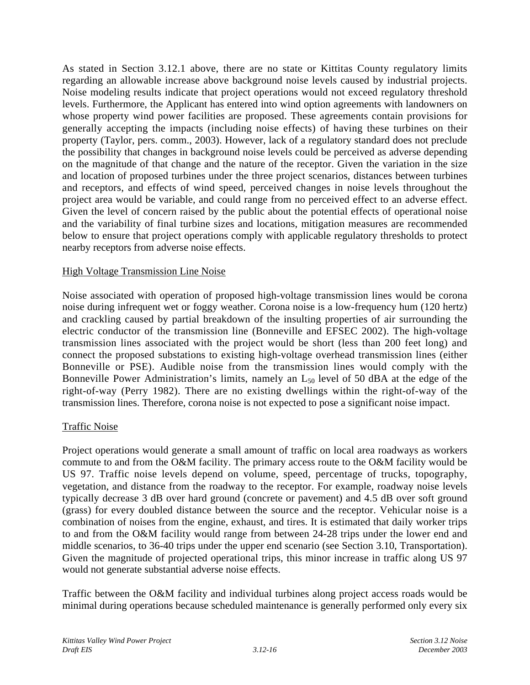As stated in Section 3.12.1 above, there are no state or Kittitas County regulatory limits regarding an allowable increase above background noise levels caused by industrial projects. Noise modeling results indicate that project operations would not exceed regulatory threshold levels. Furthermore, the Applicant has entered into wind option agreements with landowners on whose property wind power facilities are proposed. These agreements contain provisions for generally accepting the impacts (including noise effects) of having these turbines on their property (Taylor, pers. comm., 2003). However, lack of a regulatory standard does not preclude the possibility that changes in background noise levels could be perceived as adverse depending on the magnitude of that change and the nature of the receptor. Given the variation in the size and location of proposed turbines under the three project scenarios, distances between turbines and receptors, and effects of wind speed, perceived changes in noise levels throughout the project area would be variable, and could range from no perceived effect to an adverse effect. Given the level of concern raised by the public about the potential effects of operational noise and the variability of final turbine sizes and locations, mitigation measures are recommended below to ensure that project operations comply with applicable regulatory thresholds to protect nearby receptors from adverse noise effects.

#### High Voltage Transmission Line Noise

Noise associated with operation of proposed high-voltage transmission lines would be corona noise during infrequent wet or foggy weather. Corona noise is a low-frequency hum (120 hertz) and crackling caused by partial breakdown of the insulting properties of air surrounding the electric conductor of the transmission line (Bonneville and EFSEC 2002). The high-voltage transmission lines associated with the project would be short (less than 200 feet long) and connect the proposed substations to existing high-voltage overhead transmission lines (either Bonneville or PSE). Audible noise from the transmission lines would comply with the Bonneville Power Administration's limits, namely an  $L_{50}$  level of 50 dBA at the edge of the right-of-way (Perry 1982). There are no existing dwellings within the right-of-way of the transmission lines. Therefore, corona noise is not expected to pose a significant noise impact.

## Traffic Noise

Project operations would generate a small amount of traffic on local area roadways as workers commute to and from the O&M facility. The primary access route to the O&M facility would be US 97. Traffic noise levels depend on volume, speed, percentage of trucks, topography, vegetation, and distance from the roadway to the receptor. For example, roadway noise levels typically decrease 3 dB over hard ground (concrete or pavement) and 4.5 dB over soft ground (grass) for every doubled distance between the source and the receptor. Vehicular noise is a combination of noises from the engine, exhaust, and tires. It is estimated that daily worker trips to and from the O&M facility would range from between 24-28 trips under the lower end and middle scenarios, to 36-40 trips under the upper end scenario (see Section 3.10, Transportation). Given the magnitude of projected operational trips, this minor increase in traffic along US 97 would not generate substantial adverse noise effects.

Traffic between the O&M facility and individual turbines along project access roads would be minimal during operations because scheduled maintenance is generally performed only every six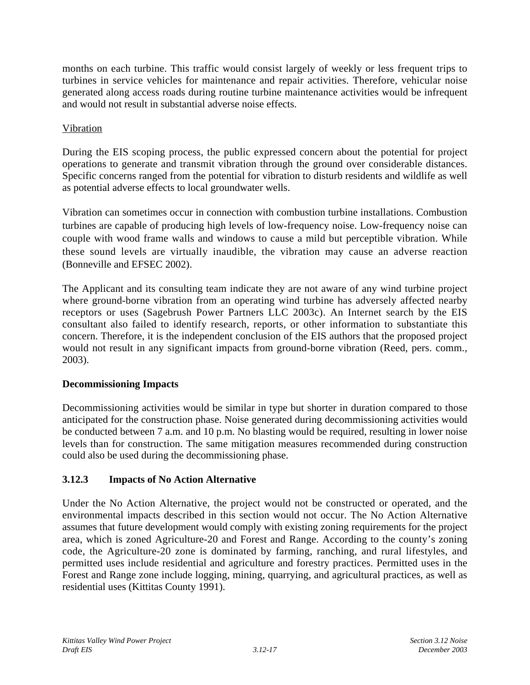months on each turbine. This traffic would consist largely of weekly or less frequent trips to turbines in service vehicles for maintenance and repair activities. Therefore, vehicular noise generated along access roads during routine turbine maintenance activities would be infrequent and would not result in substantial adverse noise effects.

## Vibration

During the EIS scoping process, the public expressed concern about the potential for project operations to generate and transmit vibration through the ground over considerable distances. Specific concerns ranged from the potential for vibration to disturb residents and wildlife as well as potential adverse effects to local groundwater wells.

Vibration can sometimes occur in connection with combustion turbine installations. Combustion turbines are capable of producing high levels of low-frequency noise. Low-frequency noise can couple with wood frame walls and windows to cause a mild but perceptible vibration. While these sound levels are virtually inaudible, the vibration may cause an adverse reaction (Bonneville and EFSEC 2002).

The Applicant and its consulting team indicate they are not aware of any wind turbine project where ground-borne vibration from an operating wind turbine has adversely affected nearby receptors or uses (Sagebrush Power Partners LLC 2003c). An Internet search by the EIS consultant also failed to identify research, reports, or other information to substantiate this concern. Therefore, it is the independent conclusion of the EIS authors that the proposed project would not result in any significant impacts from ground-borne vibration (Reed, pers. comm., 2003).

## **Decommissioning Impacts**

Decommissioning activities would be similar in type but shorter in duration compared to those anticipated for the construction phase. Noise generated during decommissioning activities would be conducted between 7 a.m. and 10 p.m. No blasting would be required, resulting in lower noise levels than for construction. The same mitigation measures recommended during construction could also be used during the decommissioning phase.

## **3.12.3 Impacts of No Action Alternative**

Under the No Action Alternative, the project would not be constructed or operated, and the environmental impacts described in this section would not occur. The No Action Alternative assumes that future development would comply with existing zoning requirements for the project area, which is zoned Agriculture-20 and Forest and Range. According to the county's zoning code, the Agriculture-20 zone is dominated by farming, ranching, and rural lifestyles, and permitted uses include residential and agriculture and forestry practices. Permitted uses in the Forest and Range zone include logging, mining, quarrying, and agricultural practices, as well as residential uses (Kittitas County 1991).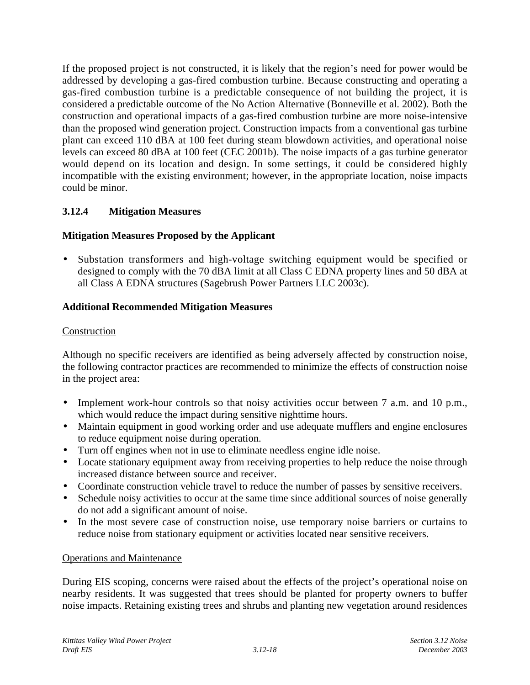If the proposed project is not constructed, it is likely that the region's need for power would be addressed by developing a gas-fired combustion turbine. Because constructing and operating a gas-fired combustion turbine is a predictable consequence of not building the project, it is considered a predictable outcome of the No Action Alternative (Bonneville et al. 2002). Both the construction and operational impacts of a gas-fired combustion turbine are more noise-intensive than the proposed wind generation project. Construction impacts from a conventional gas turbine plant can exceed 110 dBA at 100 feet during steam blowdown activities, and operational noise levels can exceed 80 dBA at 100 feet (CEC 2001b). The noise impacts of a gas turbine generator would depend on its location and design. In some settings, it could be considered highly incompatible with the existing environment; however, in the appropriate location, noise impacts could be minor.

## **3.12.4 Mitigation Measures**

## **Mitigation Measures Proposed by the Applicant**

• Substation transformers and high-voltage switching equipment would be specified or designed to comply with the 70 dBA limit at all Class C EDNA property lines and 50 dBA at all Class A EDNA structures (Sagebrush Power Partners LLC 2003c).

## **Additional Recommended Mitigation Measures**

#### Construction

Although no specific receivers are identified as being adversely affected by construction noise, the following contractor practices are recommended to minimize the effects of construction noise in the project area:

- Implement work-hour controls so that noisy activities occur between 7 a.m. and 10 p.m., which would reduce the impact during sensitive nighttime hours.
- Maintain equipment in good working order and use adequate mufflers and engine enclosures to reduce equipment noise during operation.
- Turn off engines when not in use to eliminate needless engine idle noise.
- Locate stationary equipment away from receiving properties to help reduce the noise through increased distance between source and receiver.
- Coordinate construction vehicle travel to reduce the number of passes by sensitive receivers.
- Schedule noisy activities to occur at the same time since additional sources of noise generally do not add a significant amount of noise.
- In the most severe case of construction noise, use temporary noise barriers or curtains to reduce noise from stationary equipment or activities located near sensitive receivers.

#### Operations and Maintenance

During EIS scoping, concerns were raised about the effects of the project's operational noise on nearby residents. It was suggested that trees should be planted for property owners to buffer noise impacts. Retaining existing trees and shrubs and planting new vegetation around residences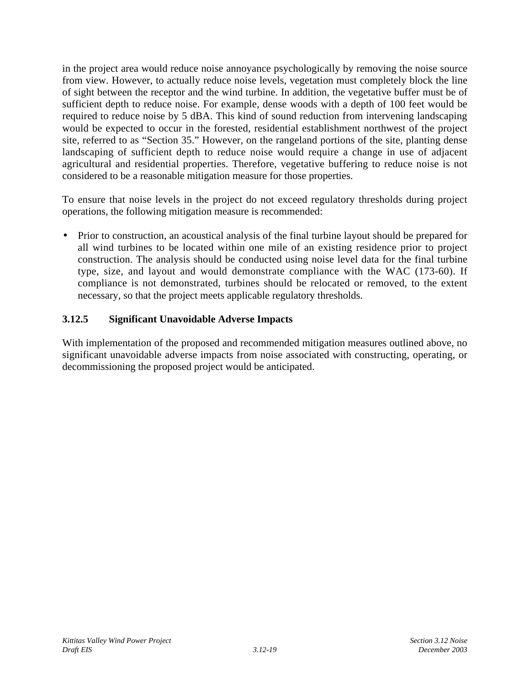in the project area would reduce noise annoyance psychologically by removing the noise source from view. However, to actually reduce noise levels, vegetation must completely block the line of sight between the receptor and the wind turbine. In addition, the vegetative buffer must be of sufficient depth to reduce noise. For example, dense woods with a depth of 100 feet would be required to reduce noise by 5 dBA. This kind of sound reduction from intervening landscaping would be expected to occur in the forested, residential establishment northwest of the project site, referred to as "Section 35." However, on the rangeland portions of the site, planting dense landscaping of sufficient depth to reduce noise would require a change in use of adjacent agricultural and residential properties. Therefore, vegetative buffering to reduce noise is not considered to be a reasonable mitigation measure for those properties.

To ensure that noise levels in the project do not exceed regulatory thresholds during project operations, the following mitigation measure is recommended:

• Prior to construction, an acoustical analysis of the final turbine layout should be prepared for all wind turbines to be located within one mile of an existing residence prior to project construction. The analysis should be conducted using noise level data for the final turbine type, size, and layout and would demonstrate compliance with the WAC (173-60). If compliance is not demonstrated, turbines should be relocated or removed, to the extent necessary, so that the project meets applicable regulatory thresholds.

## **3.12.5 Significant Unavoidable Adverse Impacts**

With implementation of the proposed and recommended mitigation measures outlined above, no significant unavoidable adverse impacts from noise associated with constructing, operating, or decommissioning the proposed project would be anticipated.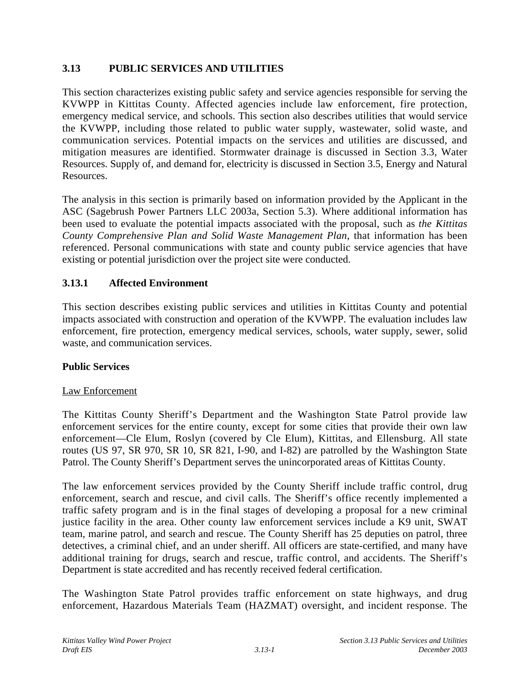## **3.13 PUBLIC SERVICES AND UTILITIES**

This section characterizes existing public safety and service agencies responsible for serving the KVWPP in Kittitas County. Affected agencies include law enforcement, fire protection, emergency medical service, and schools. This section also describes utilities that would service the KVWPP, including those related to public water supply, wastewater, solid waste, and communication services. Potential impacts on the services and utilities are discussed, and mitigation measures are identified. Stormwater drainage is discussed in Section 3.3, Water Resources. Supply of, and demand for, electricity is discussed in Section 3.5, Energy and Natural Resources.

The analysis in this section is primarily based on information provided by the Applicant in the ASC (Sagebrush Power Partners LLC 2003a, Section 5.3). Where additional information has been used to evaluate the potential impacts associated with the proposal, such as *the Kittitas County Comprehensive Plan and Solid Waste Management Plan*, that information has been referenced. Personal communications with state and county public service agencies that have existing or potential jurisdiction over the project site were conducted.

## **3.13.1 Affected Environment**

This section describes existing public services and utilities in Kittitas County and potential impacts associated with construction and operation of the KVWPP. The evaluation includes law enforcement, fire protection, emergency medical services, schools, water supply, sewer, solid waste, and communication services.

## **Public Services**

#### Law Enforcement

The Kittitas County Sheriff's Department and the Washington State Patrol provide law enforcement services for the entire county, except for some cities that provide their own law enforcement—Cle Elum, Roslyn (covered by Cle Elum), Kittitas, and Ellensburg. All state routes (US 97, SR 970, SR 10, SR 821, I-90, and I-82) are patrolled by the Washington State Patrol. The County Sheriff's Department serves the unincorporated areas of Kittitas County.

The law enforcement services provided by the County Sheriff include traffic control, drug enforcement, search and rescue, and civil calls. The Sheriff's office recently implemented a traffic safety program and is in the final stages of developing a proposal for a new criminal justice facility in the area. Other county law enforcement services include a K9 unit, SWAT team, marine patrol, and search and rescue. The County Sheriff has 25 deputies on patrol, three detectives, a criminal chief, and an under sheriff. All officers are state-certified, and many have additional training for drugs, search and rescue, traffic control, and accidents. The Sheriff's Department is state accredited and has recently received federal certification.

The Washington State Patrol provides traffic enforcement on state highways, and drug enforcement, Hazardous Materials Team (HAZMAT) oversight, and incident response. The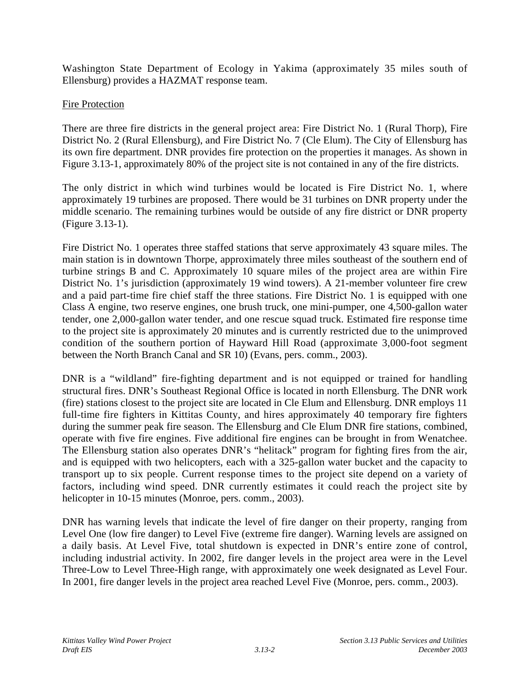Washington State Department of Ecology in Yakima (approximately 35 miles south of Ellensburg) provides a HAZMAT response team.

## Fire Protection

There are three fire districts in the general project area: Fire District No. 1 (Rural Thorp), Fire District No. 2 (Rural Ellensburg), and Fire District No. 7 (Cle Elum). The City of Ellensburg has its own fire department. DNR provides fire protection on the properties it manages. As shown in Figure 3.13-1, approximately 80% of the project site is not contained in any of the fire districts.

The only district in which wind turbines would be located is Fire District No. 1, where approximately 19 turbines are proposed. There would be 31 turbines on DNR property under the middle scenario. The remaining turbines would be outside of any fire district or DNR property (Figure 3.13-1).

Fire District No. 1 operates three staffed stations that serve approximately 43 square miles. The main station is in downtown Thorpe, approximately three miles southeast of the southern end of turbine strings B and C. Approximately 10 square miles of the project area are within Fire District No. 1's jurisdiction (approximately 19 wind towers). A 21-member volunteer fire crew and a paid part-time fire chief staff the three stations. Fire District No. 1 is equipped with one Class A engine, two reserve engines, one brush truck, one mini-pumper, one 4,500-gallon water tender, one 2,000-gallon water tender, and one rescue squad truck. Estimated fire response time to the project site is approximately 20 minutes and is currently restricted due to the unimproved condition of the southern portion of Hayward Hill Road (approximate 3,000-foot segment between the North Branch Canal and SR 10) (Evans, pers. comm., 2003).

DNR is a "wildland" fire-fighting department and is not equipped or trained for handling structural fires. DNR's Southeast Regional Office is located in north Ellensburg. The DNR work (fire) stations closest to the project site are located in Cle Elum and Ellensburg. DNR employs 11 full-time fire fighters in Kittitas County, and hires approximately 40 temporary fire fighters during the summer peak fire season. The Ellensburg and Cle Elum DNR fire stations, combined, operate with five fire engines. Five additional fire engines can be brought in from Wenatchee. The Ellensburg station also operates DNR's "helitack" program for fighting fires from the air, and is equipped with two helicopters, each with a 325-gallon water bucket and the capacity to transport up to six people. Current response times to the project site depend on a variety of factors, including wind speed. DNR currently estimates it could reach the project site by helicopter in 10-15 minutes (Monroe, pers. comm., 2003).

DNR has warning levels that indicate the level of fire danger on their property, ranging from Level One (low fire danger) to Level Five (extreme fire danger). Warning levels are assigned on a daily basis. At Level Five, total shutdown is expected in DNR's entire zone of control, including industrial activity. In 2002, fire danger levels in the project area were in the Level Three-Low to Level Three-High range, with approximately one week designated as Level Four. In 2001, fire danger levels in the project area reached Level Five (Monroe, pers. comm., 2003).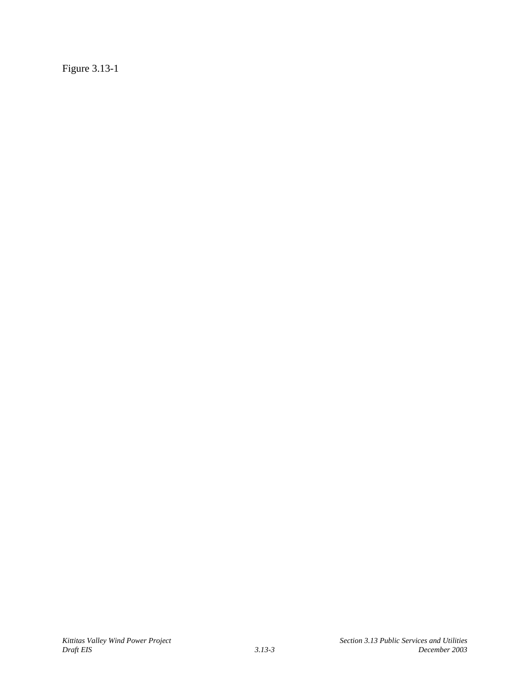Figure 3.13-1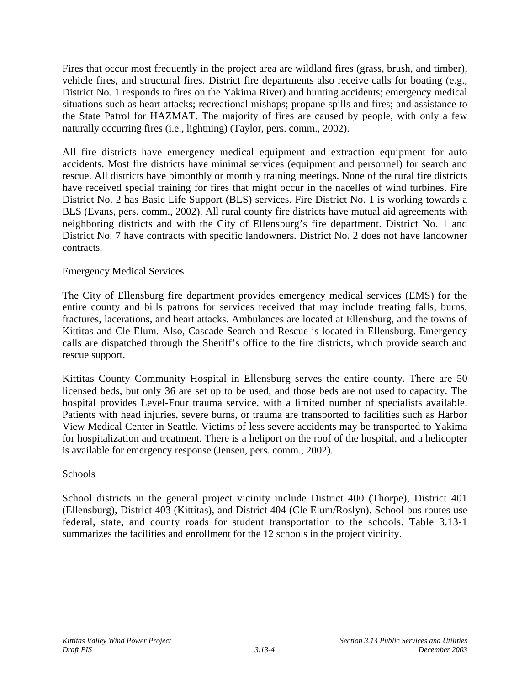Fires that occur most frequently in the project area are wildland fires (grass, brush, and timber), vehicle fires, and structural fires. District fire departments also receive calls for boating (e.g., District No. 1 responds to fires on the Yakima River) and hunting accidents; emergency medical situations such as heart attacks; recreational mishaps; propane spills and fires; and assistance to the State Patrol for HAZMAT. The majority of fires are caused by people, with only a few naturally occurring fires (i.e., lightning) (Taylor, pers. comm., 2002).

All fire districts have emergency medical equipment and extraction equipment for auto accidents. Most fire districts have minimal services (equipment and personnel) for search and rescue. All districts have bimonthly or monthly training meetings. None of the rural fire districts have received special training for fires that might occur in the nacelles of wind turbines. Fire District No. 2 has Basic Life Support (BLS) services. Fire District No. 1 is working towards a BLS (Evans, pers. comm., 2002). All rural county fire districts have mutual aid agreements with neighboring districts and with the City of Ellensburg's fire department. District No. 1 and District No. 7 have contracts with specific landowners. District No. 2 does not have landowner contracts.

#### Emergency Medical Services

The City of Ellensburg fire department provides emergency medical services (EMS) for the entire county and bills patrons for services received that may include treating falls, burns, fractures, lacerations, and heart attacks. Ambulances are located at Ellensburg, and the towns of Kittitas and Cle Elum. Also, Cascade Search and Rescue is located in Ellensburg. Emergency calls are dispatched through the Sheriff's office to the fire districts, which provide search and rescue support.

Kittitas County Community Hospital in Ellensburg serves the entire county. There are 50 licensed beds, but only 36 are set up to be used, and those beds are not used to capacity. The hospital provides Level-Four trauma service, with a limited number of specialists available. Patients with head injuries, severe burns, or trauma are transported to facilities such as Harbor View Medical Center in Seattle. Victims of less severe accidents may be transported to Yakima for hospitalization and treatment. There is a heliport on the roof of the hospital, and a helicopter is available for emergency response (Jensen, pers. comm., 2002).

#### Schools

School districts in the general project vicinity include District 400 (Thorpe), District 401 (Ellensburg), District 403 (Kittitas), and District 404 (Cle Elum/Roslyn). School bus routes use federal, state, and county roads for student transportation to the schools. Table 3.13-1 summarizes the facilities and enrollment for the 12 schools in the project vicinity.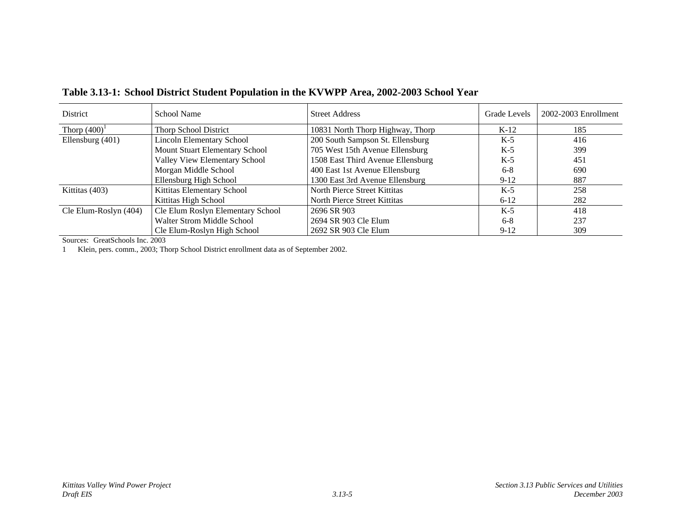| <b>District</b>       | School Name                       | <b>Street Address</b>             | Grade Levels | $2002 - 2003$ Enrollment |
|-----------------------|-----------------------------------|-----------------------------------|--------------|--------------------------|
| Thorp $(400)^1$       | <b>Thorp School District</b>      | 10831 North Thorp Highway, Thorp  | $K-12$       | 185                      |
| Ellensburg (401)      | <b>Lincoln Elementary School</b>  | 200 South Sampson St. Ellensburg  | $K-5$        | 416                      |
|                       | Mount Stuart Elementary School    | 705 West 15th Avenue Ellensburg   | $K-5$        | 399                      |
|                       | Valley View Elementary School     | 1508 East Third Avenue Ellensburg | $K-5$        | 451                      |
|                       | Morgan Middle School              | 400 East 1st Avenue Ellensburg    | $6 - 8$      | 690                      |
|                       | Ellensburg High School            | 1300 East 3rd Avenue Ellensburg   | $9-12$       | 887                      |
| Kittitas (403)        | Kittitas Elementary School        | North Pierce Street Kittitas      | $K-5$        | 258                      |
|                       | Kittitas High School              | North Pierce Street Kittitas      | $6 - 12$     | 282                      |
| Cle Elum-Roslyn (404) | Cle Elum Roslyn Elementary School | 2696 SR 903                       | $K-5$        | 418                      |
|                       | <b>Walter Strom Middle School</b> | 2694 SR 903 Cle Elum              | $6 - 8$      | 237                      |
|                       | Cle Elum-Roslyn High School       | 2692 SR 903 Cle Elum              | $9-12$       | 309                      |

**Table 3.13-1: School District Student Population in the KVWPP Area, 2002-2003 School Year**

Sources: GreatSchools Inc. 2003

1 Klein, pers. comm., 2003; Thorp School District enrollment data as of September 2002.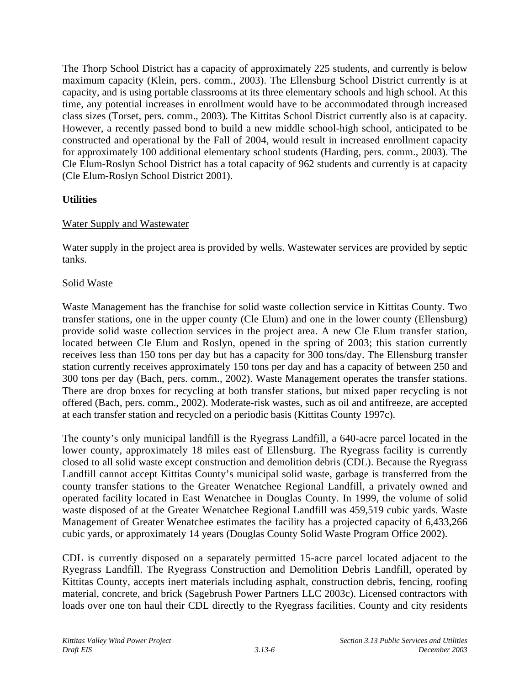The Thorp School District has a capacity of approximately 225 students, and currently is below maximum capacity (Klein, pers. comm., 2003). The Ellensburg School District currently is at capacity, and is using portable classrooms at its three elementary schools and high school. At this time, any potential increases in enrollment would have to be accommodated through increased class sizes (Torset, pers. comm., 2003). The Kittitas School District currently also is at capacity. However, a recently passed bond to build a new middle school-high school, anticipated to be constructed and operational by the Fall of 2004, would result in increased enrollment capacity for approximately 100 additional elementary school students (Harding, pers. comm., 2003). The Cle Elum-Roslyn School District has a total capacity of 962 students and currently is at capacity (Cle Elum-Roslyn School District 2001).

## **Utilities**

## Water Supply and Wastewater

Water supply in the project area is provided by wells. Wastewater services are provided by septic tanks.

## Solid Waste

Waste Management has the franchise for solid waste collection service in Kittitas County. Two transfer stations, one in the upper county (Cle Elum) and one in the lower county (Ellensburg) provide solid waste collection services in the project area. A new Cle Elum transfer station, located between Cle Elum and Roslyn, opened in the spring of 2003; this station currently receives less than 150 tons per day but has a capacity for 300 tons/day. The Ellensburg transfer station currently receives approximately 150 tons per day and has a capacity of between 250 and 300 tons per day (Bach, pers. comm., 2002). Waste Management operates the transfer stations. There are drop boxes for recycling at both transfer stations, but mixed paper recycling is not offered (Bach, pers. comm., 2002). Moderate-risk wastes, such as oil and antifreeze, are accepted at each transfer station and recycled on a periodic basis (Kittitas County 1997c).

The county's only municipal landfill is the Ryegrass Landfill, a 640-acre parcel located in the lower county, approximately 18 miles east of Ellensburg. The Ryegrass facility is currently closed to all solid waste except construction and demolition debris (CDL). Because the Ryegrass Landfill cannot accept Kittitas County's municipal solid waste, garbage is transferred from the county transfer stations to the Greater Wenatchee Regional Landfill, a privately owned and operated facility located in East Wenatchee in Douglas County. In 1999, the volume of solid waste disposed of at the Greater Wenatchee Regional Landfill was 459,519 cubic yards. Waste Management of Greater Wenatchee estimates the facility has a projected capacity of 6,433,266 cubic yards, or approximately 14 years (Douglas County Solid Waste Program Office 2002).

CDL is currently disposed on a separately permitted 15-acre parcel located adjacent to the Ryegrass Landfill. The Ryegrass Construction and Demolition Debris Landfill, operated by Kittitas County, accepts inert materials including asphalt, construction debris, fencing, roofing material, concrete, and brick (Sagebrush Power Partners LLC 2003c). Licensed contractors with loads over one ton haul their CDL directly to the Ryegrass facilities. County and city residents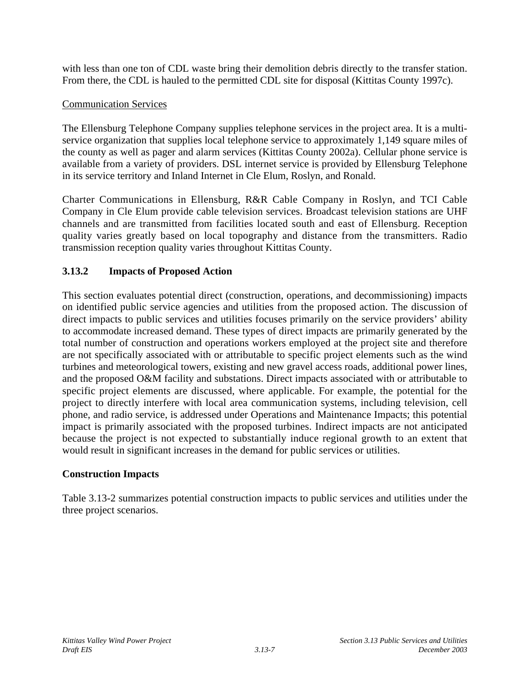with less than one ton of CDL waste bring their demolition debris directly to the transfer station. From there, the CDL is hauled to the permitted CDL site for disposal (Kittitas County 1997c).

## Communication Services

The Ellensburg Telephone Company supplies telephone services in the project area. It is a multiservice organization that supplies local telephone service to approximately 1,149 square miles of the county as well as pager and alarm services (Kittitas County 2002a). Cellular phone service is available from a variety of providers. DSL internet service is provided by Ellensburg Telephone in its service territory and Inland Internet in Cle Elum, Roslyn, and Ronald.

Charter Communications in Ellensburg, R&R Cable Company in Roslyn, and TCI Cable Company in Cle Elum provide cable television services. Broadcast television stations are UHF channels and are transmitted from facilities located south and east of Ellensburg. Reception quality varies greatly based on local topography and distance from the transmitters. Radio transmission reception quality varies throughout Kittitas County.

## **3.13.2 Impacts of Proposed Action**

This section evaluates potential direct (construction, operations, and decommissioning) impacts on identified public service agencies and utilities from the proposed action. The discussion of direct impacts to public services and utilities focuses primarily on the service providers' ability to accommodate increased demand. These types of direct impacts are primarily generated by the total number of construction and operations workers employed at the project site and therefore are not specifically associated with or attributable to specific project elements such as the wind turbines and meteorological towers, existing and new gravel access roads, additional power lines, and the proposed O&M facility and substations. Direct impacts associated with or attributable to specific project elements are discussed, where applicable. For example, the potential for the project to directly interfere with local area communication systems, including television, cell phone, and radio service, is addressed under Operations and Maintenance Impacts; this potential impact is primarily associated with the proposed turbines. Indirect impacts are not anticipated because the project is not expected to substantially induce regional growth to an extent that would result in significant increases in the demand for public services or utilities.

## **Construction Impacts**

Table 3.13-2 summarizes potential construction impacts to public services and utilities under the three project scenarios.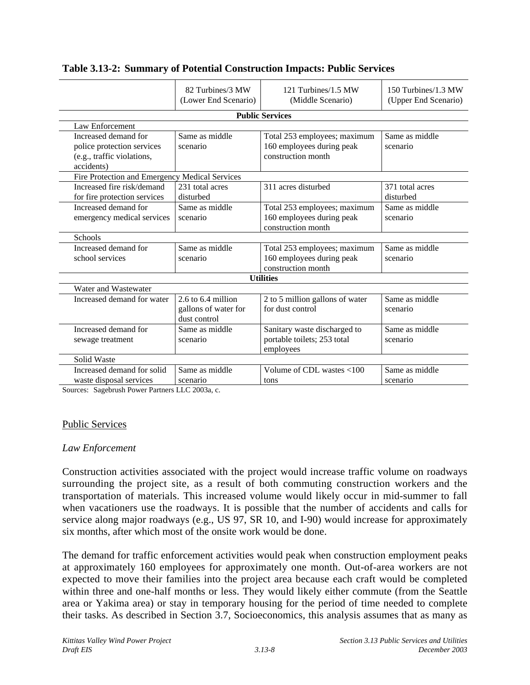|                                                                                                | 82 Turbines/3 MW<br>(Lower End Scenario)                                                                      | 121 Turbines/1.5 MW<br>(Middle Scenario)                                        | 150 Turbines/1.3 MW<br>(Upper End Scenario) |  |  |  |
|------------------------------------------------------------------------------------------------|---------------------------------------------------------------------------------------------------------------|---------------------------------------------------------------------------------|---------------------------------------------|--|--|--|
|                                                                                                |                                                                                                               | <b>Public Services</b>                                                          |                                             |  |  |  |
| Law Enforcement                                                                                |                                                                                                               |                                                                                 |                                             |  |  |  |
| Increased demand for<br>police protection services<br>(e.g., traffic violations,<br>accidents) | Same as middle<br>Total 253 employees; maximum<br>160 employees during peak<br>scenario<br>construction month |                                                                                 | Same as middle<br>scenario                  |  |  |  |
| Fire Protection and Emergency Medical Services                                                 |                                                                                                               |                                                                                 |                                             |  |  |  |
| Increased fire risk/demand<br>for fire protection services                                     | 231 total acres<br>disturbed                                                                                  | 311 acres disturbed                                                             | 371 total acres<br>disturbed                |  |  |  |
| Increased demand for<br>emergency medical services                                             | Same as middle<br>scenario                                                                                    | Total 253 employees; maximum<br>160 employees during peak<br>construction month | Same as middle<br>scenario                  |  |  |  |
| <b>Schools</b>                                                                                 |                                                                                                               |                                                                                 |                                             |  |  |  |
| Increased demand for<br>school services                                                        | Same as middle<br>scenario                                                                                    | Total 253 employees; maximum<br>160 employees during peak<br>construction month | Same as middle<br>scenario                  |  |  |  |
| <b>Utilities</b>                                                                               |                                                                                                               |                                                                                 |                                             |  |  |  |
| Water and Wastewater                                                                           |                                                                                                               |                                                                                 |                                             |  |  |  |
| Increased demand for water                                                                     | $2.6$ to $6.4$ million<br>gallons of water for<br>dust control                                                | 2 to 5 million gallons of water<br>for dust control                             | Same as middle<br>scenario                  |  |  |  |
| Increased demand for<br>sewage treatment                                                       | Same as middle<br>scenario                                                                                    | Sanitary waste discharged to<br>portable toilets; 253 total<br>employees        | Same as middle<br>scenario                  |  |  |  |
| Solid Waste                                                                                    |                                                                                                               |                                                                                 |                                             |  |  |  |
| Increased demand for solid<br>waste disposal services                                          | Same as middle<br>scenario                                                                                    | Volume of CDL wastes <100<br>tons                                               | Same as middle<br>scenario                  |  |  |  |

#### **Table 3.13-2: Summary of Potential Construction Impacts: Public Services**

Sources: Sagebrush Power Partners LLC 2003a, c.

#### Public Services

#### *Law Enforcement*

Construction activities associated with the project would increase traffic volume on roadways surrounding the project site, as a result of both commuting construction workers and the transportation of materials. This increased volume would likely occur in mid-summer to fall when vacationers use the roadways. It is possible that the number of accidents and calls for service along major roadways (e.g., US 97, SR 10, and I-90) would increase for approximately six months, after which most of the onsite work would be done.

The demand for traffic enforcement activities would peak when construction employment peaks at approximately 160 employees for approximately one month. Out-of-area workers are not expected to move their families into the project area because each craft would be completed within three and one-half months or less. They would likely either commute (from the Seattle area or Yakima area) or stay in temporary housing for the period of time needed to complete their tasks. As described in Section 3.7, Socioeconomics, this analysis assumes that as many as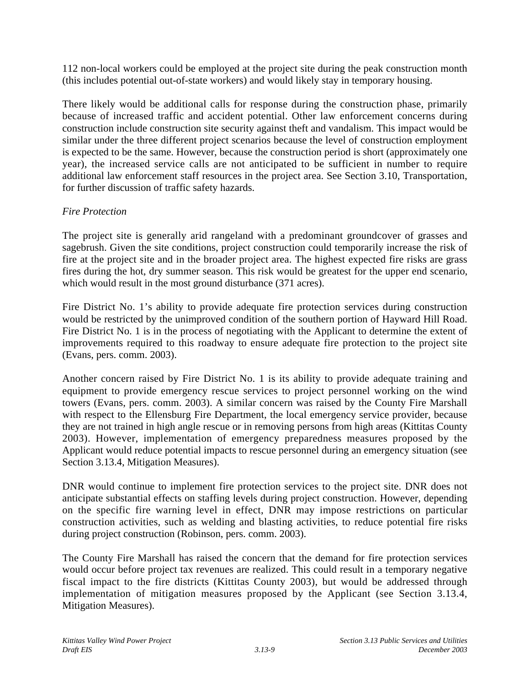112 non-local workers could be employed at the project site during the peak construction month (this includes potential out-of-state workers) and would likely stay in temporary housing.

There likely would be additional calls for response during the construction phase, primarily because of increased traffic and accident potential. Other law enforcement concerns during construction include construction site security against theft and vandalism. This impact would be similar under the three different project scenarios because the level of construction employment is expected to be the same. However, because the construction period is short (approximately one year), the increased service calls are not anticipated to be sufficient in number to require additional law enforcement staff resources in the project area. See Section 3.10, Transportation, for further discussion of traffic safety hazards.

## *Fire Protection*

The project site is generally arid rangeland with a predominant groundcover of grasses and sagebrush. Given the site conditions, project construction could temporarily increase the risk of fire at the project site and in the broader project area. The highest expected fire risks are grass fires during the hot, dry summer season. This risk would be greatest for the upper end scenario, which would result in the most ground disturbance (371 acres).

Fire District No. 1's ability to provide adequate fire protection services during construction would be restricted by the unimproved condition of the southern portion of Hayward Hill Road. Fire District No. 1 is in the process of negotiating with the Applicant to determine the extent of improvements required to this roadway to ensure adequate fire protection to the project site (Evans, pers. comm. 2003).

Another concern raised by Fire District No. 1 is its ability to provide adequate training and equipment to provide emergency rescue services to project personnel working on the wind towers (Evans, pers. comm. 2003). A similar concern was raised by the County Fire Marshall with respect to the Ellensburg Fire Department, the local emergency service provider, because they are not trained in high angle rescue or in removing persons from high areas (Kittitas County 2003). However, implementation of emergency preparedness measures proposed by the Applicant would reduce potential impacts to rescue personnel during an emergency situation (see Section 3.13.4, Mitigation Measures).

DNR would continue to implement fire protection services to the project site. DNR does not anticipate substantial effects on staffing levels during project construction. However, depending on the specific fire warning level in effect, DNR may impose restrictions on particular construction activities, such as welding and blasting activities, to reduce potential fire risks during project construction (Robinson, pers. comm. 2003).

The County Fire Marshall has raised the concern that the demand for fire protection services would occur before project tax revenues are realized. This could result in a temporary negative fiscal impact to the fire districts (Kittitas County 2003), but would be addressed through implementation of mitigation measures proposed by the Applicant (see Section 3.13.4, Mitigation Measures).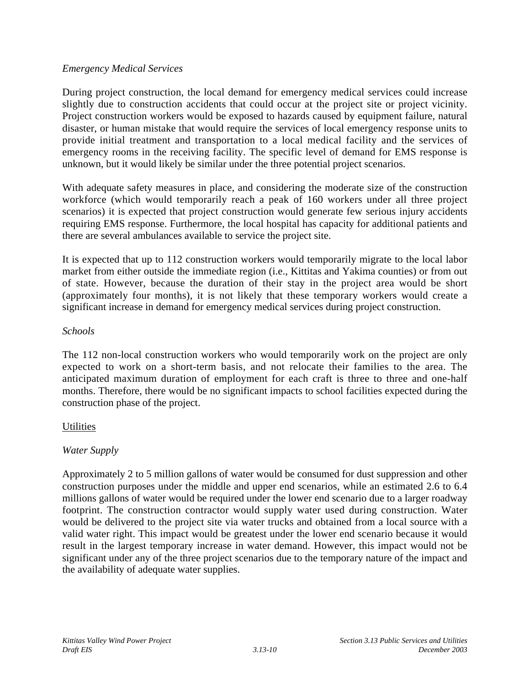#### *Emergency Medical Services*

During project construction, the local demand for emergency medical services could increase slightly due to construction accidents that could occur at the project site or project vicinity. Project construction workers would be exposed to hazards caused by equipment failure, natural disaster, or human mistake that would require the services of local emergency response units to provide initial treatment and transportation to a local medical facility and the services of emergency rooms in the receiving facility. The specific level of demand for EMS response is unknown, but it would likely be similar under the three potential project scenarios.

With adequate safety measures in place, and considering the moderate size of the construction workforce (which would temporarily reach a peak of 160 workers under all three project scenarios) it is expected that project construction would generate few serious injury accidents requiring EMS response. Furthermore, the local hospital has capacity for additional patients and there are several ambulances available to service the project site.

It is expected that up to 112 construction workers would temporarily migrate to the local labor market from either outside the immediate region (i.e., Kittitas and Yakima counties) or from out of state. However, because the duration of their stay in the project area would be short (approximately four months), it is not likely that these temporary workers would create a significant increase in demand for emergency medical services during project construction.

#### *Schools*

The 112 non-local construction workers who would temporarily work on the project are only expected to work on a short-term basis, and not relocate their families to the area. The anticipated maximum duration of employment for each craft is three to three and one-half months. Therefore, there would be no significant impacts to school facilities expected during the construction phase of the project.

## **Utilities**

## *Water Supply*

Approximately 2 to 5 million gallons of water would be consumed for dust suppression and other construction purposes under the middle and upper end scenarios, while an estimated 2.6 to 6.4 millions gallons of water would be required under the lower end scenario due to a larger roadway footprint. The construction contractor would supply water used during construction. Water would be delivered to the project site via water trucks and obtained from a local source with a valid water right. This impact would be greatest under the lower end scenario because it would result in the largest temporary increase in water demand. However, this impact would not be significant under any of the three project scenarios due to the temporary nature of the impact and the availability of adequate water supplies.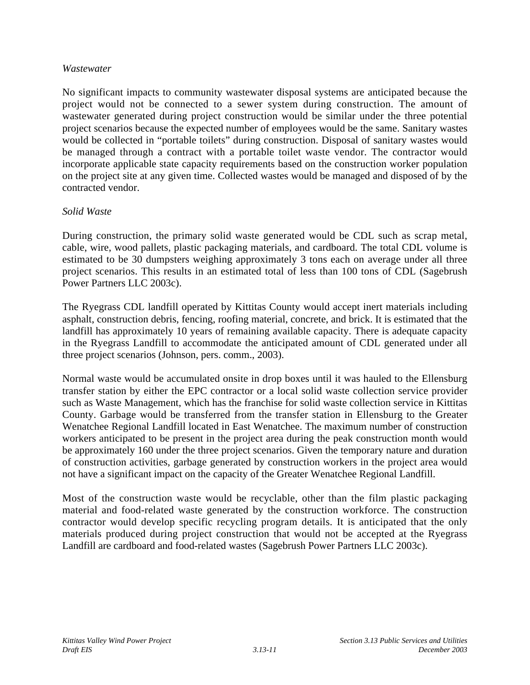#### *Wastewater*

No significant impacts to community wastewater disposal systems are anticipated because the project would not be connected to a sewer system during construction. The amount of wastewater generated during project construction would be similar under the three potential project scenarios because the expected number of employees would be the same. Sanitary wastes would be collected in "portable toilets" during construction. Disposal of sanitary wastes would be managed through a contract with a portable toilet waste vendor. The contractor would incorporate applicable state capacity requirements based on the construction worker population on the project site at any given time. Collected wastes would be managed and disposed of by the contracted vendor.

#### *Solid Waste*

During construction, the primary solid waste generated would be CDL such as scrap metal, cable, wire, wood pallets, plastic packaging materials, and cardboard. The total CDL volume is estimated to be 30 dumpsters weighing approximately 3 tons each on average under all three project scenarios. This results in an estimated total of less than 100 tons of CDL (Sagebrush Power Partners LLC 2003c).

The Ryegrass CDL landfill operated by Kittitas County would accept inert materials including asphalt, construction debris, fencing, roofing material, concrete, and brick. It is estimated that the landfill has approximately 10 years of remaining available capacity. There is adequate capacity in the Ryegrass Landfill to accommodate the anticipated amount of CDL generated under all three project scenarios (Johnson, pers. comm., 2003).

Normal waste would be accumulated onsite in drop boxes until it was hauled to the Ellensburg transfer station by either the EPC contractor or a local solid waste collection service provider such as Waste Management, which has the franchise for solid waste collection service in Kittitas County. Garbage would be transferred from the transfer station in Ellensburg to the Greater Wenatchee Regional Landfill located in East Wenatchee. The maximum number of construction workers anticipated to be present in the project area during the peak construction month would be approximately 160 under the three project scenarios. Given the temporary nature and duration of construction activities, garbage generated by construction workers in the project area would not have a significant impact on the capacity of the Greater Wenatchee Regional Landfill.

Most of the construction waste would be recyclable, other than the film plastic packaging material and food-related waste generated by the construction workforce. The construction contractor would develop specific recycling program details. It is anticipated that the only materials produced during project construction that would not be accepted at the Ryegrass Landfill are cardboard and food-related wastes (Sagebrush Power Partners LLC 2003c).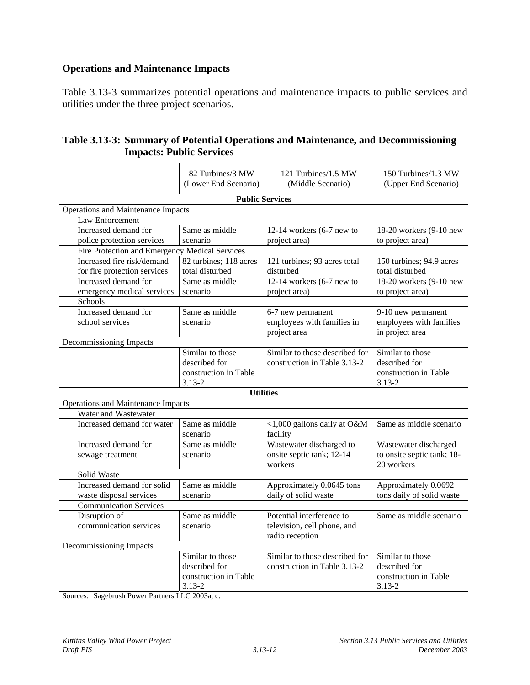# **Operations and Maintenance Impacts**

Table 3.13-3 summarizes potential operations and maintenance impacts to public services and utilities under the three project scenarios.

|                                                            | 82 Turbines/3 MW<br>(Lower End Scenario) | 121 Turbines/1.5 MW<br>(Middle Scenario) | 150 Turbines/1.3 MW<br>(Upper End Scenario) |
|------------------------------------------------------------|------------------------------------------|------------------------------------------|---------------------------------------------|
|                                                            |                                          | <b>Public Services</b>                   |                                             |
| Operations and Maintenance Impacts                         |                                          |                                          |                                             |
| Law Enforcement                                            |                                          |                                          |                                             |
| Increased demand for                                       | Same as middle                           | $12-14$ workers (6-7 new to              | 18-20 workers (9-10 new                     |
| police protection services                                 | scenario                                 | project area)                            | to project area)                            |
| Fire Protection and Emergency Medical Services             |                                          |                                          |                                             |
| Increased fire risk/demand                                 | 82 turbines; 118 acres                   | 121 turbines; 93 acres total             | 150 turbines; 94.9 acres                    |
| for fire protection services                               | total disturbed                          | disturbed                                | total disturbed                             |
| Increased demand for                                       | Same as middle                           | 12-14 workers $(6-7$ new to              | 18-20 workers (9-10 new                     |
| emergency medical services                                 | scenario                                 | project area)                            | to project area)                            |
| Schools                                                    |                                          |                                          |                                             |
| Increased demand for                                       | Same as middle                           | 6-7 new permanent                        | 9-10 new permanent                          |
| school services                                            | scenario                                 | employees with families in               | employees with families                     |
|                                                            |                                          | project area                             | in project area                             |
| Decommissioning Impacts                                    |                                          |                                          |                                             |
|                                                            | Similar to those                         | Similar to those described for           | Similar to those                            |
|                                                            | described for                            | construction in Table 3.13-2             | described for                               |
|                                                            | construction in Table<br>$3.13 - 2$      |                                          | construction in Table                       |
|                                                            |                                          | <b>Utilities</b>                         | $3.13 - 2$                                  |
|                                                            |                                          |                                          |                                             |
| Operations and Maintenance Impacts<br>Water and Wastewater |                                          |                                          |                                             |
| Increased demand for water                                 | Same as middle                           |                                          | Same as middle scenario                     |
|                                                            | scenario                                 | <1,000 gallons daily at O&M<br>facility  |                                             |
| Increased demand for                                       | Same as middle                           | Wastewater discharged to                 | Wastewater discharged                       |
| sewage treatment                                           | scenario                                 | onsite septic tank; 12-14                | to onsite septic tank; 18-                  |
|                                                            |                                          | workers                                  | 20 workers                                  |
| Solid Waste                                                |                                          |                                          |                                             |
| Increased demand for solid                                 | Same as middle                           | Approximately 0.0645 tons                | Approximately 0.0692                        |
| waste disposal services                                    | scenario                                 | daily of solid waste                     | tons daily of solid waste                   |
| <b>Communication Services</b>                              |                                          |                                          |                                             |
| Disruption of                                              | Same as middle                           | Potential interference to                | Same as middle scenario                     |
| communication services                                     | scenario                                 | television, cell phone, and              |                                             |
|                                                            |                                          | radio reception                          |                                             |
| Decommissioning Impacts                                    |                                          |                                          |                                             |
|                                                            | Similar to those                         | Similar to those described for           | Similar to those                            |
|                                                            | described for                            | construction in Table 3.13-2             | described for                               |
|                                                            | construction in Table                    |                                          | construction in Table                       |
|                                                            | $3.13 - 2$                               |                                          | $3.13 - 2$                                  |

| Table 3.13-3: Summary of Potential Operations and Maintenance, and Decommissioning |
|------------------------------------------------------------------------------------|
| <b>Impacts: Public Services</b>                                                    |

Sources: Sagebrush Power Partners LLC 2003a, c.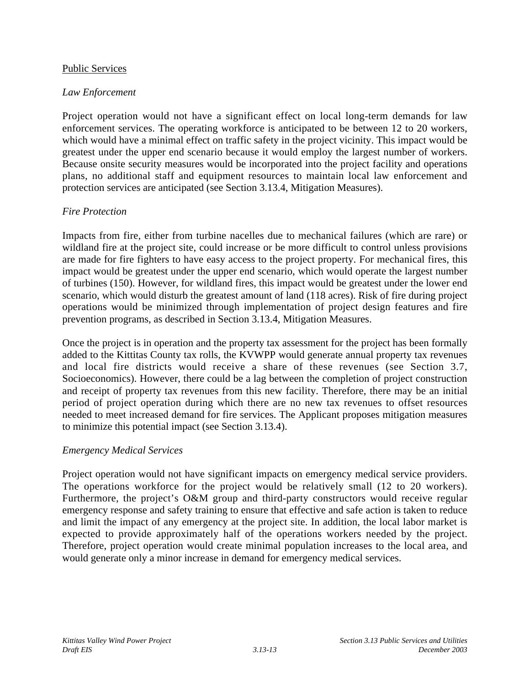#### Public Services

#### *Law Enforcement*

Project operation would not have a significant effect on local long-term demands for law enforcement services. The operating workforce is anticipated to be between 12 to 20 workers, which would have a minimal effect on traffic safety in the project vicinity. This impact would be greatest under the upper end scenario because it would employ the largest number of workers. Because onsite security measures would be incorporated into the project facility and operations plans, no additional staff and equipment resources to maintain local law enforcement and protection services are anticipated (see Section 3.13.4, Mitigation Measures).

#### *Fire Protection*

Impacts from fire, either from turbine nacelles due to mechanical failures (which are rare) or wildland fire at the project site, could increase or be more difficult to control unless provisions are made for fire fighters to have easy access to the project property. For mechanical fires, this impact would be greatest under the upper end scenario, which would operate the largest number of turbines (150). However, for wildland fires, this impact would be greatest under the lower end scenario, which would disturb the greatest amount of land (118 acres). Risk of fire during project operations would be minimized through implementation of project design features and fire prevention programs, as described in Section 3.13.4, Mitigation Measures.

Once the project is in operation and the property tax assessment for the project has been formally added to the Kittitas County tax rolls, the KVWPP would generate annual property tax revenues and local fire districts would receive a share of these revenues (see Section 3.7, Socioeconomics). However, there could be a lag between the completion of project construction and receipt of property tax revenues from this new facility. Therefore, there may be an initial period of project operation during which there are no new tax revenues to offset resources needed to meet increased demand for fire services. The Applicant proposes mitigation measures to minimize this potential impact (see Section 3.13.4).

#### *Emergency Medical Services*

Project operation would not have significant impacts on emergency medical service providers. The operations workforce for the project would be relatively small (12 to 20 workers). Furthermore, the project's O&M group and third-party constructors would receive regular emergency response and safety training to ensure that effective and safe action is taken to reduce and limit the impact of any emergency at the project site. In addition, the local labor market is expected to provide approximately half of the operations workers needed by the project. Therefore, project operation would create minimal population increases to the local area, and would generate only a minor increase in demand for emergency medical services.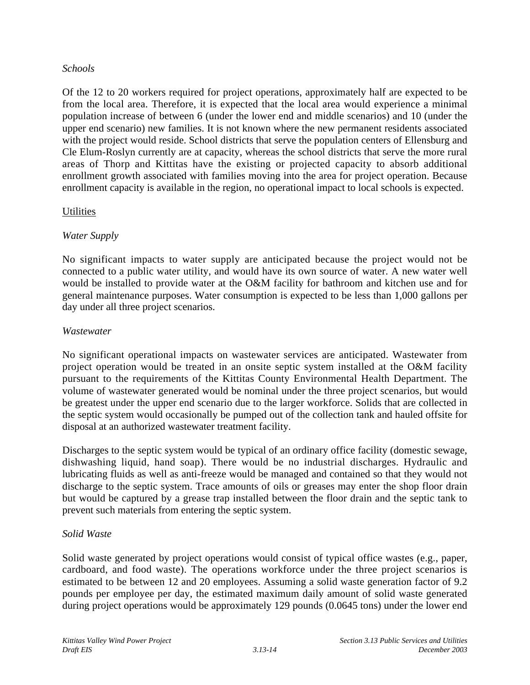#### *Schools*

Of the 12 to 20 workers required for project operations, approximately half are expected to be from the local area. Therefore, it is expected that the local area would experience a minimal population increase of between 6 (under the lower end and middle scenarios) and 10 (under the upper end scenario) new families. It is not known where the new permanent residents associated with the project would reside. School districts that serve the population centers of Ellensburg and Cle Elum-Roslyn currently are at capacity, whereas the school districts that serve the more rural areas of Thorp and Kittitas have the existing or projected capacity to absorb additional enrollment growth associated with families moving into the area for project operation. Because enrollment capacity is available in the region, no operational impact to local schools is expected.

### **Utilities**

### *Water Supply*

No significant impacts to water supply are anticipated because the project would not be connected to a public water utility, and would have its own source of water. A new water well would be installed to provide water at the O&M facility for bathroom and kitchen use and for general maintenance purposes. Water consumption is expected to be less than 1,000 gallons per day under all three project scenarios.

### *Wastewater*

No significant operational impacts on wastewater services are anticipated. Wastewater from project operation would be treated in an onsite septic system installed at the O&M facility pursuant to the requirements of the Kittitas County Environmental Health Department. The volume of wastewater generated would be nominal under the three project scenarios, but would be greatest under the upper end scenario due to the larger workforce. Solids that are collected in the septic system would occasionally be pumped out of the collection tank and hauled offsite for disposal at an authorized wastewater treatment facility.

Discharges to the septic system would be typical of an ordinary office facility (domestic sewage, dishwashing liquid, hand soap). There would be no industrial discharges. Hydraulic and lubricating fluids as well as anti-freeze would be managed and contained so that they would not discharge to the septic system. Trace amounts of oils or greases may enter the shop floor drain but would be captured by a grease trap installed between the floor drain and the septic tank to prevent such materials from entering the septic system.

#### *Solid Waste*

Solid waste generated by project operations would consist of typical office wastes (e.g., paper, cardboard, and food waste). The operations workforce under the three project scenarios is estimated to be between 12 and 20 employees. Assuming a solid waste generation factor of 9.2 pounds per employee per day, the estimated maximum daily amount of solid waste generated during project operations would be approximately 129 pounds (0.0645 tons) under the lower end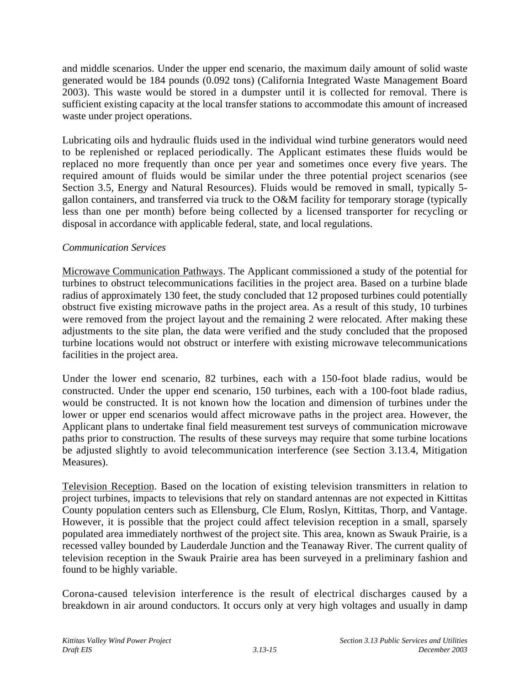and middle scenarios. Under the upper end scenario, the maximum daily amount of solid waste generated would be 184 pounds (0.092 tons) (California Integrated Waste Management Board 2003). This waste would be stored in a dumpster until it is collected for removal. There is sufficient existing capacity at the local transfer stations to accommodate this amount of increased waste under project operations.

Lubricating oils and hydraulic fluids used in the individual wind turbine generators would need to be replenished or replaced periodically. The Applicant estimates these fluids would be replaced no more frequently than once per year and sometimes once every five years. The required amount of fluids would be similar under the three potential project scenarios (see Section 3.5, Energy and Natural Resources). Fluids would be removed in small, typically 5 gallon containers, and transferred via truck to the O&M facility for temporary storage (typically less than one per month) before being collected by a licensed transporter for recycling or disposal in accordance with applicable federal, state, and local regulations.

### *Communication Services*

Microwave Communication Pathways. The Applicant commissioned a study of the potential for turbines to obstruct telecommunications facilities in the project area. Based on a turbine blade radius of approximately 130 feet, the study concluded that 12 proposed turbines could potentially obstruct five existing microwave paths in the project area. As a result of this study, 10 turbines were removed from the project layout and the remaining 2 were relocated. After making these adjustments to the site plan, the data were verified and the study concluded that the proposed turbine locations would not obstruct or interfere with existing microwave telecommunications facilities in the project area.

Under the lower end scenario, 82 turbines, each with a 150-foot blade radius, would be constructed. Under the upper end scenario, 150 turbines, each with a 100-foot blade radius, would be constructed. It is not known how the location and dimension of turbines under the lower or upper end scenarios would affect microwave paths in the project area. However, the Applicant plans to undertake final field measurement test surveys of communication microwave paths prior to construction. The results of these surveys may require that some turbine locations be adjusted slightly to avoid telecommunication interference (see Section 3.13.4, Mitigation Measures).

Television Reception. Based on the location of existing television transmitters in relation to project turbines, impacts to televisions that rely on standard antennas are not expected in Kittitas County population centers such as Ellensburg, Cle Elum, Roslyn, Kittitas, Thorp, and Vantage. However, it is possible that the project could affect television reception in a small, sparsely populated area immediately northwest of the project site. This area, known as Swauk Prairie, is a recessed valley bounded by Lauderdale Junction and the Teanaway River. The current quality of television reception in the Swauk Prairie area has been surveyed in a preliminary fashion and found to be highly variable.

Corona-caused television interference is the result of electrical discharges caused by a breakdown in air around conductors. It occurs only at very high voltages and usually in damp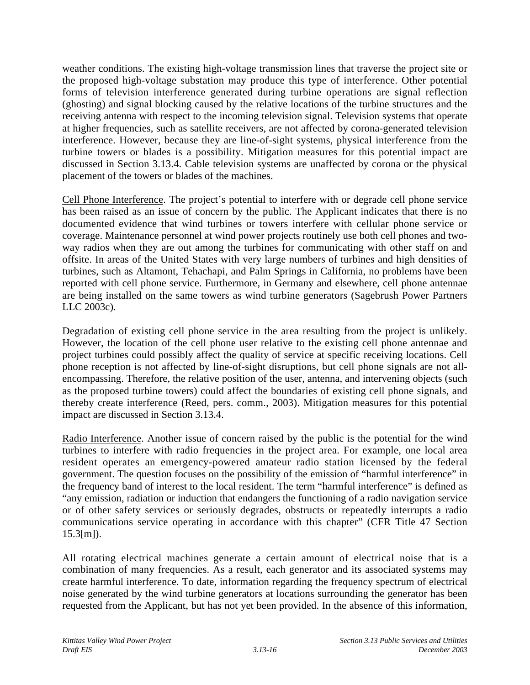weather conditions. The existing high-voltage transmission lines that traverse the project site or the proposed high-voltage substation may produce this type of interference. Other potential forms of television interference generated during turbine operations are signal reflection (ghosting) and signal blocking caused by the relative locations of the turbine structures and the receiving antenna with respect to the incoming television signal. Television systems that operate at higher frequencies, such as satellite receivers, are not affected by corona-generated television interference. However, because they are line-of-sight systems, physical interference from the turbine towers or blades is a possibility. Mitigation measures for this potential impact are discussed in Section 3.13.4. Cable television systems are unaffected by corona or the physical placement of the towers or blades of the machines.

Cell Phone Interference. The project's potential to interfere with or degrade cell phone service has been raised as an issue of concern by the public. The Applicant indicates that there is no documented evidence that wind turbines or towers interfere with cellular phone service or coverage. Maintenance personnel at wind power projects routinely use both cell phones and twoway radios when they are out among the turbines for communicating with other staff on and offsite. In areas of the United States with very large numbers of turbines and high densities of turbines, such as Altamont, Tehachapi, and Palm Springs in California, no problems have been reported with cell phone service. Furthermore, in Germany and elsewhere, cell phone antennae are being installed on the same towers as wind turbine generators (Sagebrush Power Partners LLC 2003c).

Degradation of existing cell phone service in the area resulting from the project is unlikely. However, the location of the cell phone user relative to the existing cell phone antennae and project turbines could possibly affect the quality of service at specific receiving locations. Cell phone reception is not affected by line-of-sight disruptions, but cell phone signals are not allencompassing. Therefore, the relative position of the user, antenna, and intervening objects (such as the proposed turbine towers) could affect the boundaries of existing cell phone signals, and thereby create interference (Reed, pers. comm., 2003). Mitigation measures for this potential impact are discussed in Section 3.13.4.

Radio Interference. Another issue of concern raised by the public is the potential for the wind turbines to interfere with radio frequencies in the project area. For example, one local area resident operates an emergency-powered amateur radio station licensed by the federal government. The question focuses on the possibility of the emission of "harmful interference" in the frequency band of interest to the local resident. The term "harmful interference" is defined as "any emission, radiation or induction that endangers the functioning of a radio navigation service or of other safety services or seriously degrades, obstructs or repeatedly interrupts a radio communications service operating in accordance with this chapter" (CFR Title 47 Section 15.3[m]).

All rotating electrical machines generate a certain amount of electrical noise that is a combination of many frequencies. As a result, each generator and its associated systems may create harmful interference. To date, information regarding the frequency spectrum of electrical noise generated by the wind turbine generators at locations surrounding the generator has been requested from the Applicant, but has not yet been provided. In the absence of this information,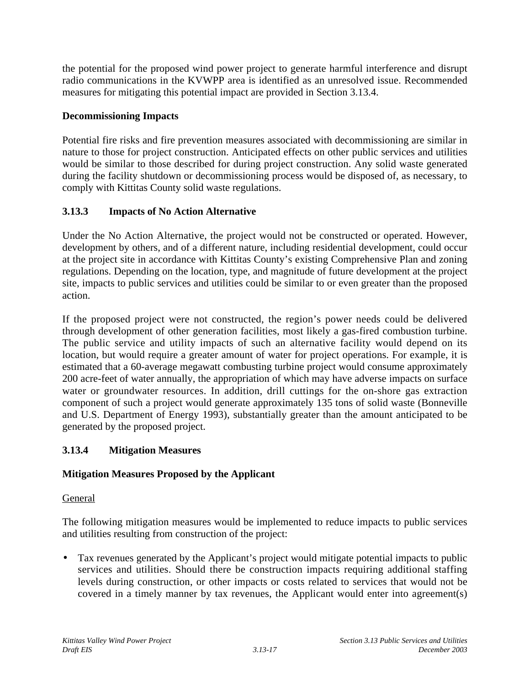the potential for the proposed wind power project to generate harmful interference and disrupt radio communications in the KVWPP area is identified as an unresolved issue. Recommended measures for mitigating this potential impact are provided in Section 3.13.4.

## **Decommissioning Impacts**

Potential fire risks and fire prevention measures associated with decommissioning are similar in nature to those for project construction. Anticipated effects on other public services and utilities would be similar to those described for during project construction. Any solid waste generated during the facility shutdown or decommissioning process would be disposed of, as necessary, to comply with Kittitas County solid waste regulations.

# **3.13.3 Impacts of No Action Alternative**

Under the No Action Alternative, the project would not be constructed or operated. However, development by others, and of a different nature, including residential development, could occur at the project site in accordance with Kittitas County's existing Comprehensive Plan and zoning regulations. Depending on the location, type, and magnitude of future development at the project site, impacts to public services and utilities could be similar to or even greater than the proposed action.

If the proposed project were not constructed, the region's power needs could be delivered through development of other generation facilities, most likely a gas-fired combustion turbine. The public service and utility impacts of such an alternative facility would depend on its location, but would require a greater amount of water for project operations. For example, it is estimated that a 60-average megawatt combusting turbine project would consume approximately 200 acre-feet of water annually, the appropriation of which may have adverse impacts on surface water or groundwater resources. In addition, drill cuttings for the on-shore gas extraction component of such a project would generate approximately 135 tons of solid waste (Bonneville and U.S. Department of Energy 1993), substantially greater than the amount anticipated to be generated by the proposed project.

# **3.13.4 Mitigation Measures**

# **Mitigation Measures Proposed by the Applicant**

### General

The following mitigation measures would be implemented to reduce impacts to public services and utilities resulting from construction of the project:

• Tax revenues generated by the Applicant's project would mitigate potential impacts to public services and utilities. Should there be construction impacts requiring additional staffing levels during construction, or other impacts or costs related to services that would not be covered in a timely manner by tax revenues, the Applicant would enter into agreement(s)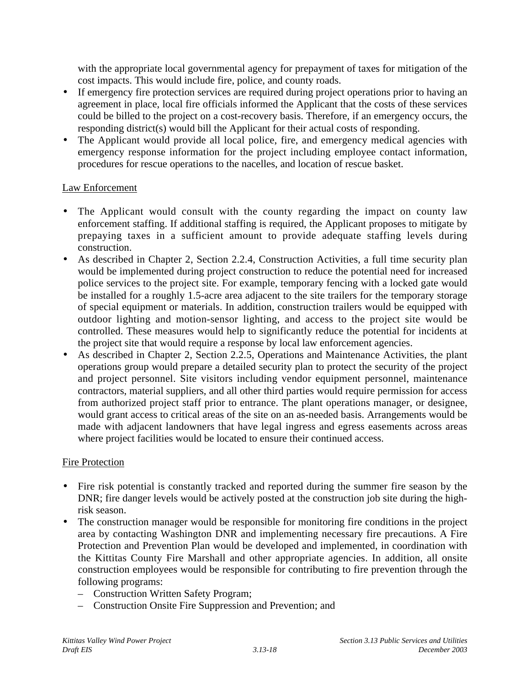with the appropriate local governmental agency for prepayment of taxes for mitigation of the cost impacts. This would include fire, police, and county roads.

- If emergency fire protection services are required during project operations prior to having an agreement in place, local fire officials informed the Applicant that the costs of these services could be billed to the project on a cost-recovery basis. Therefore, if an emergency occurs, the responding district(s) would bill the Applicant for their actual costs of responding.
- The Applicant would provide all local police, fire, and emergency medical agencies with emergency response information for the project including employee contact information, procedures for rescue operations to the nacelles, and location of rescue basket.

### Law Enforcement

- The Applicant would consult with the county regarding the impact on county law enforcement staffing. If additional staffing is required, the Applicant proposes to mitigate by prepaying taxes in a sufficient amount to provide adequate staffing levels during construction.
- As described in Chapter 2, Section 2.2.4, Construction Activities, a full time security plan would be implemented during project construction to reduce the potential need for increased police services to the project site. For example, temporary fencing with a locked gate would be installed for a roughly 1.5-acre area adjacent to the site trailers for the temporary storage of special equipment or materials. In addition, construction trailers would be equipped with outdoor lighting and motion-sensor lighting, and access to the project site would be controlled. These measures would help to significantly reduce the potential for incidents at the project site that would require a response by local law enforcement agencies.
- As described in Chapter 2, Section 2.2.5, Operations and Maintenance Activities, the plant operations group would prepare a detailed security plan to protect the security of the project and project personnel. Site visitors including vendor equipment personnel, maintenance contractors, material suppliers, and all other third parties would require permission for access from authorized project staff prior to entrance. The plant operations manager, or designee, would grant access to critical areas of the site on an as-needed basis. Arrangements would be made with adjacent landowners that have legal ingress and egress easements across areas where project facilities would be located to ensure their continued access.

#### Fire Protection

- Fire risk potential is constantly tracked and reported during the summer fire season by the DNR; fire danger levels would be actively posted at the construction job site during the highrisk season.
- The construction manager would be responsible for monitoring fire conditions in the project area by contacting Washington DNR and implementing necessary fire precautions. A Fire Protection and Prevention Plan would be developed and implemented, in coordination with the Kittitas County Fire Marshall and other appropriate agencies. In addition, all onsite construction employees would be responsible for contributing to fire prevention through the following programs:
	- Construction Written Safety Program;
	- Construction Onsite Fire Suppression and Prevention; and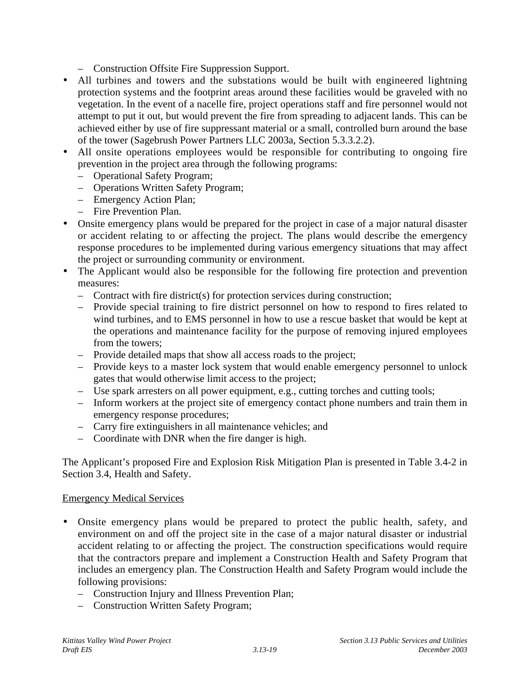- Construction Offsite Fire Suppression Support.
- All turbines and towers and the substations would be built with engineered lightning protection systems and the footprint areas around these facilities would be graveled with no vegetation. In the event of a nacelle fire, project operations staff and fire personnel would not attempt to put it out, but would prevent the fire from spreading to adjacent lands. This can be achieved either by use of fire suppressant material or a small, controlled burn around the base of the tower (Sagebrush Power Partners LLC 2003a, Section 5.3.3.2.2).
- All onsite operations employees would be responsible for contributing to ongoing fire prevention in the project area through the following programs:
	- Operational Safety Program;
	- Operations Written Safety Program;
	- Emergency Action Plan;
	- Fire Prevention Plan.
- Onsite emergency plans would be prepared for the project in case of a major natural disaster or accident relating to or affecting the project. The plans would describe the emergency response procedures to be implemented during various emergency situations that may affect the project or surrounding community or environment.
- The Applicant would also be responsible for the following fire protection and prevention measures:
	- Contract with fire district(s) for protection services during construction;
	- Provide special training to fire district personnel on how to respond to fires related to wind turbines, and to EMS personnel in how to use a rescue basket that would be kept at the operations and maintenance facility for the purpose of removing injured employees from the towers;
	- Provide detailed maps that show all access roads to the project;
	- Provide keys to a master lock system that would enable emergency personnel to unlock gates that would otherwise limit access to the project;
	- Use spark arresters on all power equipment, e.g., cutting torches and cutting tools;
	- Inform workers at the project site of emergency contact phone numbers and train them in emergency response procedures;
	- Carry fire extinguishers in all maintenance vehicles; and
	- Coordinate with DNR when the fire danger is high.

The Applicant's proposed Fire and Explosion Risk Mitigation Plan is presented in Table 3.4-2 in Section 3.4, Health and Safety.

#### Emergency Medical Services

- Onsite emergency plans would be prepared to protect the public health, safety, and environment on and off the project site in the case of a major natural disaster or industrial accident relating to or affecting the project. The construction specifications would require that the contractors prepare and implement a Construction Health and Safety Program that includes an emergency plan. The Construction Health and Safety Program would include the following provisions:
	- Construction Injury and Illness Prevention Plan;
	- Construction Written Safety Program;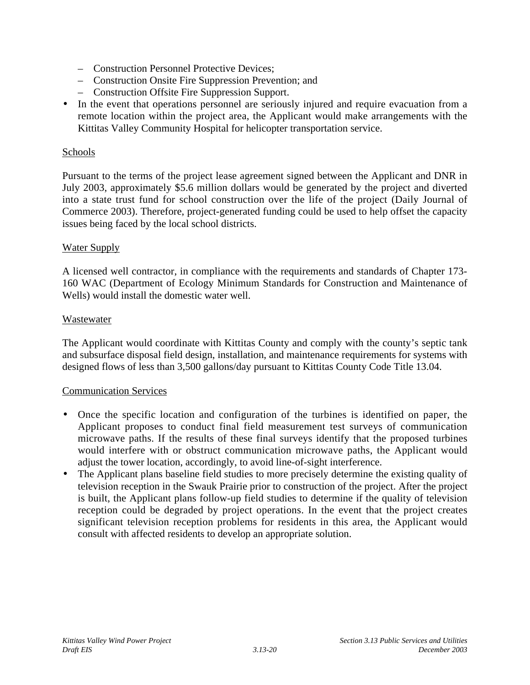- Construction Personnel Protective Devices;
- Construction Onsite Fire Suppression Prevention; and
- Construction Offsite Fire Suppression Support.
- In the event that operations personnel are seriously injured and require evacuation from a remote location within the project area, the Applicant would make arrangements with the Kittitas Valley Community Hospital for helicopter transportation service.

#### Schools

Pursuant to the terms of the project lease agreement signed between the Applicant and DNR in July 2003, approximately \$5.6 million dollars would be generated by the project and diverted into a state trust fund for school construction over the life of the project (Daily Journal of Commerce 2003). Therefore, project-generated funding could be used to help offset the capacity issues being faced by the local school districts.

#### Water Supply

A licensed well contractor, in compliance with the requirements and standards of Chapter 173- 160 WAC (Department of Ecology Minimum Standards for Construction and Maintenance of Wells) would install the domestic water well.

#### Wastewater

The Applicant would coordinate with Kittitas County and comply with the county's septic tank and subsurface disposal field design, installation, and maintenance requirements for systems with designed flows of less than 3,500 gallons/day pursuant to Kittitas County Code Title 13.04.

#### Communication Services

- Once the specific location and configuration of the turbines is identified on paper, the Applicant proposes to conduct final field measurement test surveys of communication microwave paths. If the results of these final surveys identify that the proposed turbines would interfere with or obstruct communication microwave paths, the Applicant would adjust the tower location, accordingly, to avoid line-of-sight interference.
- The Applicant plans baseline field studies to more precisely determine the existing quality of television reception in the Swauk Prairie prior to construction of the project. After the project is built, the Applicant plans follow-up field studies to determine if the quality of television reception could be degraded by project operations. In the event that the project creates significant television reception problems for residents in this area, the Applicant would consult with affected residents to develop an appropriate solution.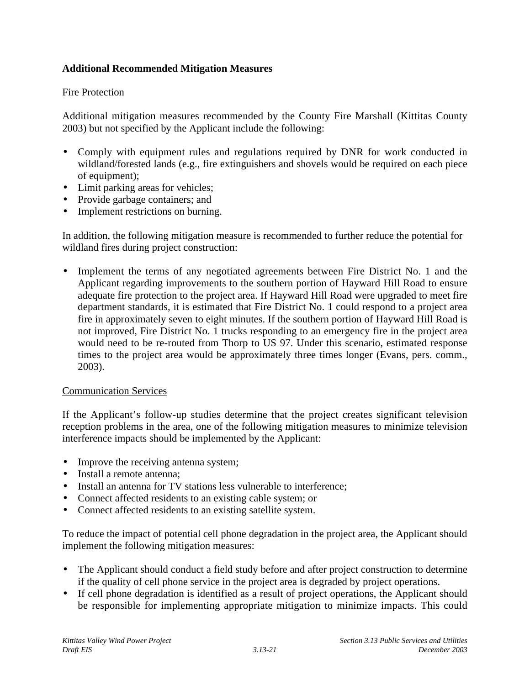### **Additional Recommended Mitigation Measures**

### Fire Protection

Additional mitigation measures recommended by the County Fire Marshall (Kittitas County 2003) but not specified by the Applicant include the following:

- Comply with equipment rules and regulations required by DNR for work conducted in wildland/forested lands (e.g., fire extinguishers and shovels would be required on each piece of equipment);
- Limit parking areas for vehicles;
- Provide garbage containers; and
- Implement restrictions on burning.

In addition, the following mitigation measure is recommended to further reduce the potential for wildland fires during project construction:

Implement the terms of any negotiated agreements between Fire District No. 1 and the Applicant regarding improvements to the southern portion of Hayward Hill Road to ensure adequate fire protection to the project area. If Hayward Hill Road were upgraded to meet fire department standards, it is estimated that Fire District No. 1 could respond to a project area fire in approximately seven to eight minutes. If the southern portion of Hayward Hill Road is not improved, Fire District No. 1 trucks responding to an emergency fire in the project area would need to be re-routed from Thorp to US 97. Under this scenario, estimated response times to the project area would be approximately three times longer (Evans, pers. comm., 2003).

#### Communication Services

If the Applicant's follow-up studies determine that the project creates significant television reception problems in the area, one of the following mitigation measures to minimize television interference impacts should be implemented by the Applicant:

- Improve the receiving antenna system;
- Install a remote antenna:
- Install an antenna for TV stations less vulnerable to interference;
- Connect affected residents to an existing cable system; or
- Connect affected residents to an existing satellite system.

To reduce the impact of potential cell phone degradation in the project area, the Applicant should implement the following mitigation measures:

- The Applicant should conduct a field study before and after project construction to determine if the quality of cell phone service in the project area is degraded by project operations.
- If cell phone degradation is identified as a result of project operations, the Applicant should be responsible for implementing appropriate mitigation to minimize impacts. This could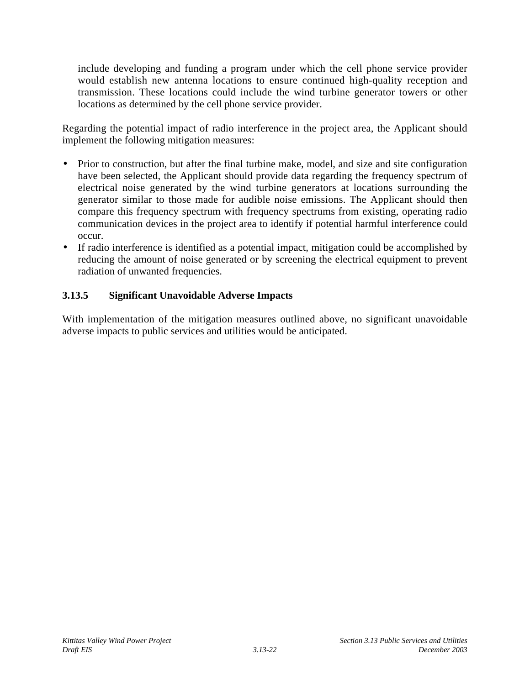include developing and funding a program under which the cell phone service provider would establish new antenna locations to ensure continued high-quality reception and transmission. These locations could include the wind turbine generator towers or other locations as determined by the cell phone service provider.

Regarding the potential impact of radio interference in the project area, the Applicant should implement the following mitigation measures:

- Prior to construction, but after the final turbine make, model, and size and site configuration have been selected, the Applicant should provide data regarding the frequency spectrum of electrical noise generated by the wind turbine generators at locations surrounding the generator similar to those made for audible noise emissions. The Applicant should then compare this frequency spectrum with frequency spectrums from existing, operating radio communication devices in the project area to identify if potential harmful interference could occur.
- If radio interference is identified as a potential impact, mitigation could be accomplished by reducing the amount of noise generated or by screening the electrical equipment to prevent radiation of unwanted frequencies.

## **3.13.5 Significant Unavoidable Adverse Impacts**

With implementation of the mitigation measures outlined above, no significant unavoidable adverse impacts to public services and utilities would be anticipated.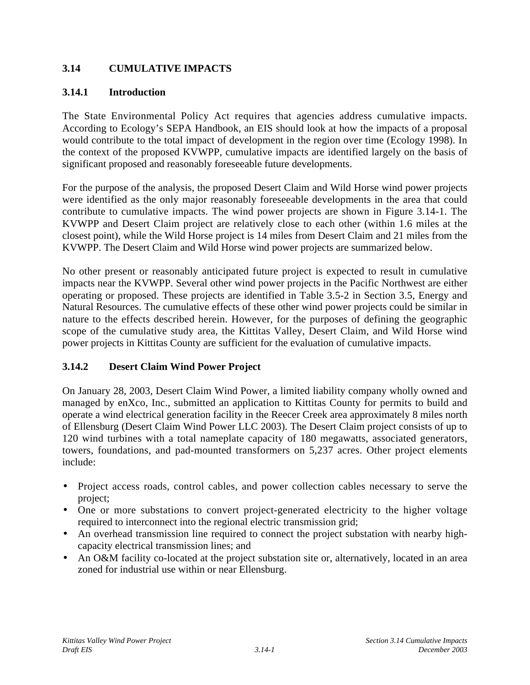# **3.14 CUMULATIVE IMPACTS**

## **3.14.1 Introduction**

The State Environmental Policy Act requires that agencies address cumulative impacts. According to Ecology's SEPA Handbook, an EIS should look at how the impacts of a proposal would contribute to the total impact of development in the region over time (Ecology 1998). In the context of the proposed KVWPP, cumulative impacts are identified largely on the basis of significant proposed and reasonably foreseeable future developments.

For the purpose of the analysis, the proposed Desert Claim and Wild Horse wind power projects were identified as the only major reasonably foreseeable developments in the area that could contribute to cumulative impacts. The wind power projects are shown in Figure 3.14-1. The KVWPP and Desert Claim project are relatively close to each other (within 1.6 miles at the closest point), while the Wild Horse project is 14 miles from Desert Claim and 21 miles from the KVWPP. The Desert Claim and Wild Horse wind power projects are summarized below.

No other present or reasonably anticipated future project is expected to result in cumulative impacts near the KVWPP. Several other wind power projects in the Pacific Northwest are either operating or proposed. These projects are identified in Table 3.5-2 in Section 3.5, Energy and Natural Resources. The cumulative effects of these other wind power projects could be similar in nature to the effects described herein. However, for the purposes of defining the geographic scope of the cumulative study area, the Kittitas Valley, Desert Claim, and Wild Horse wind power projects in Kittitas County are sufficient for the evaluation of cumulative impacts.

# **3.14.2 Desert Claim Wind Power Project**

On January 28, 2003, Desert Claim Wind Power, a limited liability company wholly owned and managed by enXco, Inc., submitted an application to Kittitas County for permits to build and operate a wind electrical generation facility in the Reecer Creek area approximately 8 miles north of Ellensburg (Desert Claim Wind Power LLC 2003). The Desert Claim project consists of up to 120 wind turbines with a total nameplate capacity of 180 megawatts, associated generators, towers, foundations, and pad-mounted transformers on 5,237 acres. Other project elements include:

- Project access roads, control cables, and power collection cables necessary to serve the project;
- One or more substations to convert project-generated electricity to the higher voltage required to interconnect into the regional electric transmission grid;
- An overhead transmission line required to connect the project substation with nearby highcapacity electrical transmission lines; and
- An O&M facility co-located at the project substation site or, alternatively, located in an area zoned for industrial use within or near Ellensburg.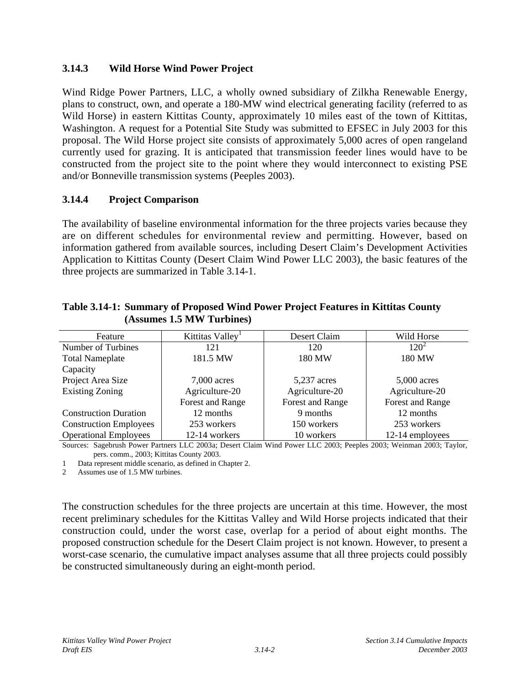## **3.14.3 Wild Horse Wind Power Project**

Wind Ridge Power Partners, LLC, a wholly owned subsidiary of Zilkha Renewable Energy, plans to construct, own, and operate a 180-MW wind electrical generating facility (referred to as Wild Horse) in eastern Kittitas County, approximately 10 miles east of the town of Kittitas, Washington. A request for a Potential Site Study was submitted to EFSEC in July 2003 for this proposal. The Wild Horse project site consists of approximately 5,000 acres of open rangeland currently used for grazing. It is anticipated that transmission feeder lines would have to be constructed from the project site to the point where they would interconnect to existing PSE and/or Bonneville transmission systems (Peeples 2003).

# **3.14.4 Project Comparison**

The availability of baseline environmental information for the three projects varies because they are on different schedules for environmental review and permitting. However, based on information gathered from available sources, including Desert Claim's Development Activities Application to Kittitas County (Desert Claim Wind Power LLC 2003), the basic features of the three projects are summarized in Table 3.14-1.

| Feature                       | Kittitas Valley <sup>1</sup> | Desert Claim     | Wild Horse       |
|-------------------------------|------------------------------|------------------|------------------|
| Number of Turbines            | 121                          | 120              | $120^2$          |
| <b>Total Nameplate</b>        | 181.5 MW                     | 180 MW           | 180 MW           |
| Capacity                      |                              |                  |                  |
| Project Area Size             | $7,000$ acres                | 5,237 acres      | $5,000$ acres    |
| <b>Existing Zoning</b>        | Agriculture-20               | Agriculture-20   | Agriculture-20   |
|                               | Forest and Range             | Forest and Range | Forest and Range |
| <b>Construction Duration</b>  | 12 months                    | 9 months         | 12 months        |
| <b>Construction Employees</b> | 253 workers                  | 150 workers      | 253 workers      |
| <b>Operational Employees</b>  | 12-14 workers                | 10 workers       | 12-14 employees  |

**Table 3.14-1: Summary of Proposed Wind Power Project Features in Kittitas County (Assumes 1.5 MW Turbines)**

Sources: Sagebrush Power Partners LLC 2003a; Desert Claim Wind Power LLC 2003; Peeples 2003; Weinman 2003; Taylor, pers. comm., 2003; Kittitas County 2003.

1 Data represent middle scenario, as defined in Chapter 2.

2 Assumes use of 1.5 MW turbines.

The construction schedules for the three projects are uncertain at this time. However, the most recent preliminary schedules for the Kittitas Valley and Wild Horse projects indicated that their construction could, under the worst case, overlap for a period of about eight months. The proposed construction schedule for the Desert Claim project is not known. However, to present a worst-case scenario, the cumulative impact analyses assume that all three projects could possibly be constructed simultaneously during an eight-month period.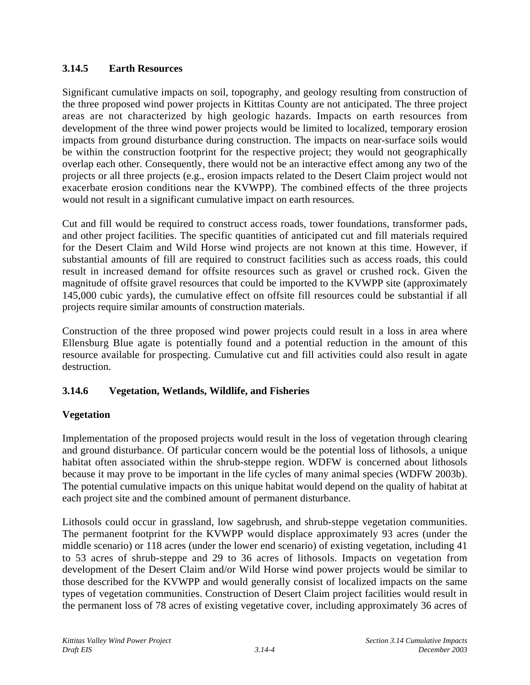# **3.14.5 Earth Resources**

Significant cumulative impacts on soil, topography, and geology resulting from construction of the three proposed wind power projects in Kittitas County are not anticipated. The three project areas are not characterized by high geologic hazards. Impacts on earth resources from development of the three wind power projects would be limited to localized, temporary erosion impacts from ground disturbance during construction. The impacts on near-surface soils would be within the construction footprint for the respective project; they would not geographically overlap each other. Consequently, there would not be an interactive effect among any two of the projects or all three projects (e.g., erosion impacts related to the Desert Claim project would not exacerbate erosion conditions near the KVWPP). The combined effects of the three projects would not result in a significant cumulative impact on earth resources.

Cut and fill would be required to construct access roads, tower foundations, transformer pads, and other project facilities. The specific quantities of anticipated cut and fill materials required for the Desert Claim and Wild Horse wind projects are not known at this time. However, if substantial amounts of fill are required to construct facilities such as access roads, this could result in increased demand for offsite resources such as gravel or crushed rock. Given the magnitude of offsite gravel resources that could be imported to the KVWPP site (approximately 145,000 cubic yards), the cumulative effect on offsite fill resources could be substantial if all projects require similar amounts of construction materials.

Construction of the three proposed wind power projects could result in a loss in area where Ellensburg Blue agate is potentially found and a potential reduction in the amount of this resource available for prospecting. Cumulative cut and fill activities could also result in agate destruction.

# **3.14.6 Vegetation, Wetlands, Wildlife, and Fisheries**

### **Vegetation**

Implementation of the proposed projects would result in the loss of vegetation through clearing and ground disturbance. Of particular concern would be the potential loss of lithosols, a unique habitat often associated within the shrub-steppe region. WDFW is concerned about lithosols because it may prove to be important in the life cycles of many animal species (WDFW 2003b). The potential cumulative impacts on this unique habitat would depend on the quality of habitat at each project site and the combined amount of permanent disturbance.

Lithosols could occur in grassland, low sagebrush, and shrub-steppe vegetation communities. The permanent footprint for the KVWPP would displace approximately 93 acres (under the middle scenario) or 118 acres (under the lower end scenario) of existing vegetation, including 41 to 53 acres of shrub-steppe and 29 to 36 acres of lithosols. Impacts on vegetation from development of the Desert Claim and/or Wild Horse wind power projects would be similar to those described for the KVWPP and would generally consist of localized impacts on the same types of vegetation communities. Construction of Desert Claim project facilities would result in the permanent loss of 78 acres of existing vegetative cover, including approximately 36 acres of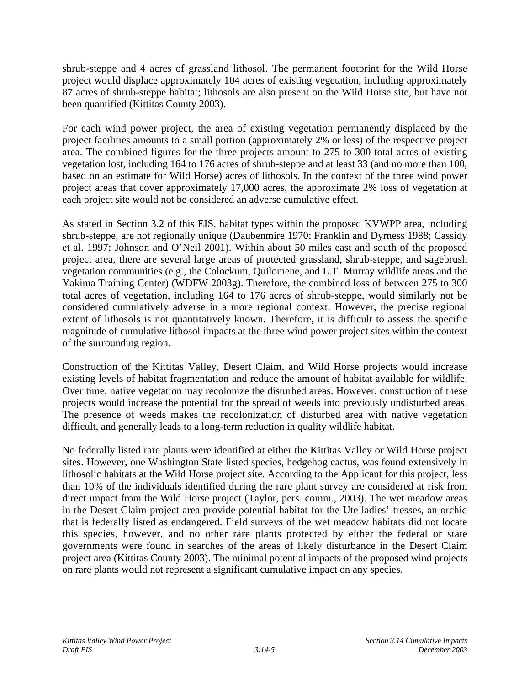shrub-steppe and 4 acres of grassland lithosol. The permanent footprint for the Wild Horse project would displace approximately 104 acres of existing vegetation, including approximately 87 acres of shrub-steppe habitat; lithosols are also present on the Wild Horse site, but have not been quantified (Kittitas County 2003).

For each wind power project, the area of existing vegetation permanently displaced by the project facilities amounts to a small portion (approximately 2% or less) of the respective project area. The combined figures for the three projects amount to 275 to 300 total acres of existing vegetation lost, including 164 to 176 acres of shrub-steppe and at least 33 (and no more than 100, based on an estimate for Wild Horse) acres of lithosols. In the context of the three wind power project areas that cover approximately 17,000 acres, the approximate 2% loss of vegetation at each project site would not be considered an adverse cumulative effect.

As stated in Section 3.2 of this EIS, habitat types within the proposed KVWPP area, including shrub-steppe, are not regionally unique (Daubenmire 1970; Franklin and Dyrness 1988; Cassidy et al. 1997; Johnson and O'Neil 2001). Within about 50 miles east and south of the proposed project area, there are several large areas of protected grassland, shrub-steppe, and sagebrush vegetation communities (e.g., the Colockum, Quilomene, and L.T. Murray wildlife areas and the Yakima Training Center) (WDFW 2003g). Therefore, the combined loss of between 275 to 300 total acres of vegetation, including 164 to 176 acres of shrub-steppe, would similarly not be considered cumulatively adverse in a more regional context. However, the precise regional extent of lithosols is not quantitatively known. Therefore, it is difficult to assess the specific magnitude of cumulative lithosol impacts at the three wind power project sites within the context of the surrounding region.

Construction of the Kittitas Valley, Desert Claim, and Wild Horse projects would increase existing levels of habitat fragmentation and reduce the amount of habitat available for wildlife. Over time, native vegetation may recolonize the disturbed areas. However, construction of these projects would increase the potential for the spread of weeds into previously undisturbed areas. The presence of weeds makes the recolonization of disturbed area with native vegetation difficult, and generally leads to a long-term reduction in quality wildlife habitat.

No federally listed rare plants were identified at either the Kittitas Valley or Wild Horse project sites. However, one Washington State listed species, hedgehog cactus, was found extensively in lithosolic habitats at the Wild Horse project site. According to the Applicant for this project, less than 10% of the individuals identified during the rare plant survey are considered at risk from direct impact from the Wild Horse project (Taylor, pers. comm., 2003). The wet meadow areas in the Desert Claim project area provide potential habitat for the Ute ladies'-tresses, an orchid that is federally listed as endangered. Field surveys of the wet meadow habitats did not locate this species, however, and no other rare plants protected by either the federal or state governments were found in searches of the areas of likely disturbance in the Desert Claim project area (Kittitas County 2003). The minimal potential impacts of the proposed wind projects on rare plants would not represent a significant cumulative impact on any species.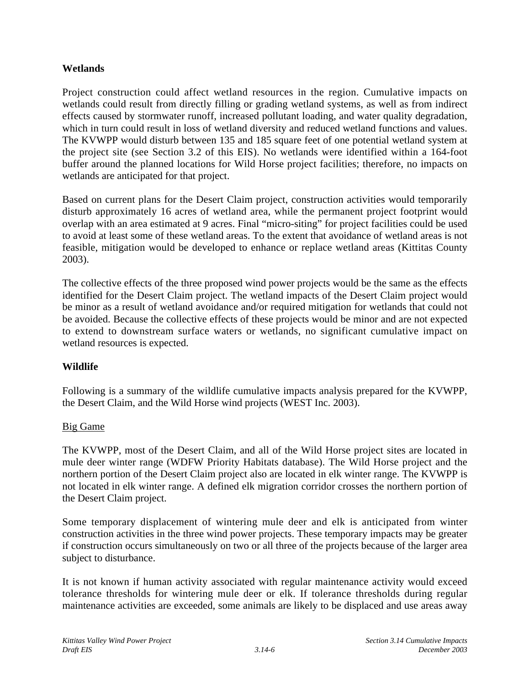### **Wetlands**

Project construction could affect wetland resources in the region. Cumulative impacts on wetlands could result from directly filling or grading wetland systems, as well as from indirect effects caused by stormwater runoff, increased pollutant loading, and water quality degradation, which in turn could result in loss of wetland diversity and reduced wetland functions and values. The KVWPP would disturb between 135 and 185 square feet of one potential wetland system at the project site (see Section 3.2 of this EIS). No wetlands were identified within a 164-foot buffer around the planned locations for Wild Horse project facilities; therefore, no impacts on wetlands are anticipated for that project.

Based on current plans for the Desert Claim project, construction activities would temporarily disturb approximately 16 acres of wetland area, while the permanent project footprint would overlap with an area estimated at 9 acres. Final "micro-siting" for project facilities could be used to avoid at least some of these wetland areas. To the extent that avoidance of wetland areas is not feasible, mitigation would be developed to enhance or replace wetland areas (Kittitas County 2003).

The collective effects of the three proposed wind power projects would be the same as the effects identified for the Desert Claim project. The wetland impacts of the Desert Claim project would be minor as a result of wetland avoidance and/or required mitigation for wetlands that could not be avoided. Because the collective effects of these projects would be minor and are not expected to extend to downstream surface waters or wetlands, no significant cumulative impact on wetland resources is expected.

### **Wildlife**

Following is a summary of the wildlife cumulative impacts analysis prepared for the KVWPP, the Desert Claim, and the Wild Horse wind projects (WEST Inc. 2003).

#### Big Game

The KVWPP, most of the Desert Claim, and all of the Wild Horse project sites are located in mule deer winter range (WDFW Priority Habitats database). The Wild Horse project and the northern portion of the Desert Claim project also are located in elk winter range. The KVWPP is not located in elk winter range. A defined elk migration corridor crosses the northern portion of the Desert Claim project.

Some temporary displacement of wintering mule deer and elk is anticipated from winter construction activities in the three wind power projects. These temporary impacts may be greater if construction occurs simultaneously on two or all three of the projects because of the larger area subject to disturbance.

It is not known if human activity associated with regular maintenance activity would exceed tolerance thresholds for wintering mule deer or elk. If tolerance thresholds during regular maintenance activities are exceeded, some animals are likely to be displaced and use areas away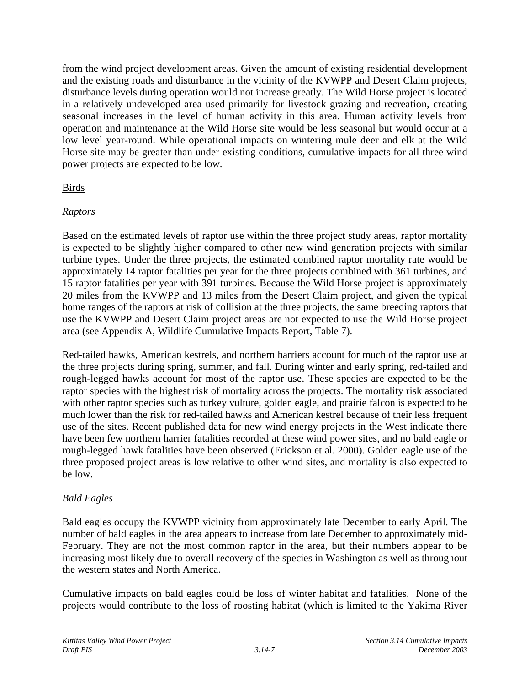from the wind project development areas. Given the amount of existing residential development and the existing roads and disturbance in the vicinity of the KVWPP and Desert Claim projects, disturbance levels during operation would not increase greatly. The Wild Horse project is located in a relatively undeveloped area used primarily for livestock grazing and recreation, creating seasonal increases in the level of human activity in this area. Human activity levels from operation and maintenance at the Wild Horse site would be less seasonal but would occur at a low level year-round. While operational impacts on wintering mule deer and elk at the Wild Horse site may be greater than under existing conditions, cumulative impacts for all three wind power projects are expected to be low.

## Birds

## *Raptors*

Based on the estimated levels of raptor use within the three project study areas, raptor mortality is expected to be slightly higher compared to other new wind generation projects with similar turbine types. Under the three projects, the estimated combined raptor mortality rate would be approximately 14 raptor fatalities per year for the three projects combined with 361 turbines, and 15 raptor fatalities per year with 391 turbines. Because the Wild Horse project is approximately 20 miles from the KVWPP and 13 miles from the Desert Claim project, and given the typical home ranges of the raptors at risk of collision at the three projects, the same breeding raptors that use the KVWPP and Desert Claim project areas are not expected to use the Wild Horse project area (see Appendix A, Wildlife Cumulative Impacts Report, Table 7).

Red-tailed hawks, American kestrels, and northern harriers account for much of the raptor use at the three projects during spring, summer, and fall. During winter and early spring, red-tailed and rough-legged hawks account for most of the raptor use. These species are expected to be the raptor species with the highest risk of mortality across the projects. The mortality risk associated with other raptor species such as turkey vulture, golden eagle, and prairie falcon is expected to be much lower than the risk for red-tailed hawks and American kestrel because of their less frequent use of the sites. Recent published data for new wind energy projects in the West indicate there have been few northern harrier fatalities recorded at these wind power sites, and no bald eagle or rough-legged hawk fatalities have been observed (Erickson et al. 2000). Golden eagle use of the three proposed project areas is low relative to other wind sites, and mortality is also expected to be low.

# *Bald Eagles*

Bald eagles occupy the KVWPP vicinity from approximately late December to early April. The number of bald eagles in the area appears to increase from late December to approximately mid-February. They are not the most common raptor in the area, but their numbers appear to be increasing most likely due to overall recovery of the species in Washington as well as throughout the western states and North America.

Cumulative impacts on bald eagles could be loss of winter habitat and fatalities. None of the projects would contribute to the loss of roosting habitat (which is limited to the Yakima River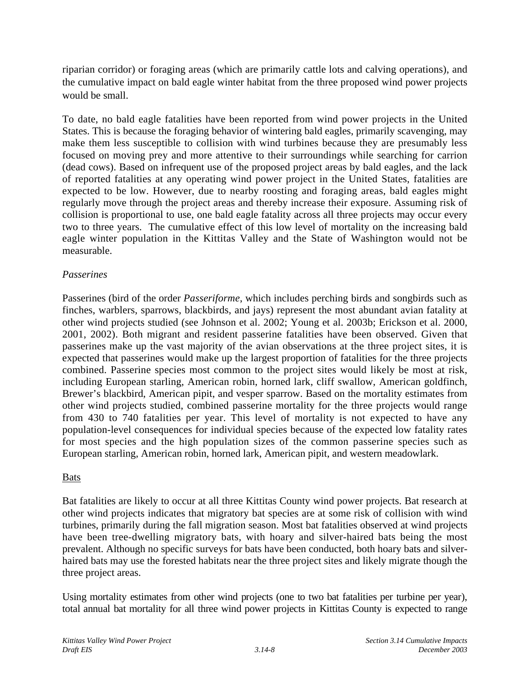riparian corridor) or foraging areas (which are primarily cattle lots and calving operations), and the cumulative impact on bald eagle winter habitat from the three proposed wind power projects would be small.

To date, no bald eagle fatalities have been reported from wind power projects in the United States. This is because the foraging behavior of wintering bald eagles, primarily scavenging, may make them less susceptible to collision with wind turbines because they are presumably less focused on moving prey and more attentive to their surroundings while searching for carrion (dead cows). Based on infrequent use of the proposed project areas by bald eagles, and the lack of reported fatalities at any operating wind power project in the United States, fatalities are expected to be low. However, due to nearby roosting and foraging areas, bald eagles might regularly move through the project areas and thereby increase their exposure. Assuming risk of collision is proportional to use, one bald eagle fatality across all three projects may occur every two to three years. The cumulative effect of this low level of mortality on the increasing bald eagle winter population in the Kittitas Valley and the State of Washington would not be measurable.

### *Passerines*

Passerines (bird of the order *Passeriforme*, which includes perching birds and songbirds such as finches, warblers, sparrows, blackbirds, and jays) represent the most abundant avian fatality at other wind projects studied (see Johnson et al. 2002; Young et al. 2003b; Erickson et al. 2000, 2001, 2002). Both migrant and resident passerine fatalities have been observed. Given that passerines make up the vast majority of the avian observations at the three project sites, it is expected that passerines would make up the largest proportion of fatalities for the three projects combined. Passerine species most common to the project sites would likely be most at risk, including European starling, American robin, horned lark, cliff swallow, American goldfinch, Brewer's blackbird, American pipit, and vesper sparrow. Based on the mortality estimates from other wind projects studied, combined passerine mortality for the three projects would range from 430 to 740 fatalities per year. This level of mortality is not expected to have any population-level consequences for individual species because of the expected low fatality rates for most species and the high population sizes of the common passerine species such as European starling, American robin, horned lark, American pipit, and western meadowlark.

### Bats

Bat fatalities are likely to occur at all three Kittitas County wind power projects. Bat research at other wind projects indicates that migratory bat species are at some risk of collision with wind turbines, primarily during the fall migration season. Most bat fatalities observed at wind projects have been tree-dwelling migratory bats, with hoary and silver-haired bats being the most prevalent. Although no specific surveys for bats have been conducted, both hoary bats and silverhaired bats may use the forested habitats near the three project sites and likely migrate though the three project areas.

Using mortality estimates from other wind projects (one to two bat fatalities per turbine per year), total annual bat mortality for all three wind power projects in Kittitas County is expected to range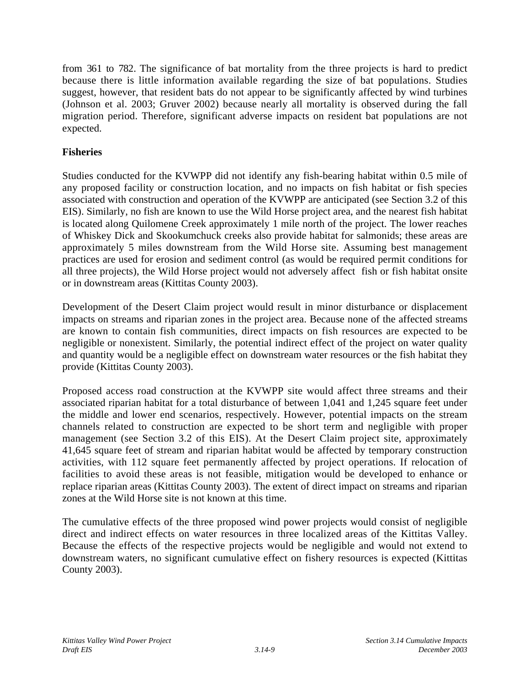from 361 to 782. The significance of bat mortality from the three projects is hard to predict because there is little information available regarding the size of bat populations. Studies suggest, however, that resident bats do not appear to be significantly affected by wind turbines (Johnson et al. 2003; Gruver 2002) because nearly all mortality is observed during the fall migration period. Therefore, significant adverse impacts on resident bat populations are not expected.

## **Fisheries**

Studies conducted for the KVWPP did not identify any fish-bearing habitat within 0.5 mile of any proposed facility or construction location, and no impacts on fish habitat or fish species associated with construction and operation of the KVWPP are anticipated (see Section 3.2 of this EIS). Similarly, no fish are known to use the Wild Horse project area, and the nearest fish habitat is located along Quilomene Creek approximately 1 mile north of the project. The lower reaches of Whiskey Dick and Skookumchuck creeks also provide habitat for salmonids; these areas are approximately 5 miles downstream from the Wild Horse site. Assuming best management practices are used for erosion and sediment control (as would be required permit conditions for all three projects), the Wild Horse project would not adversely affect fish or fish habitat onsite or in downstream areas (Kittitas County 2003).

Development of the Desert Claim project would result in minor disturbance or displacement impacts on streams and riparian zones in the project area. Because none of the affected streams are known to contain fish communities, direct impacts on fish resources are expected to be negligible or nonexistent. Similarly, the potential indirect effect of the project on water quality and quantity would be a negligible effect on downstream water resources or the fish habitat they provide (Kittitas County 2003).

Proposed access road construction at the KVWPP site would affect three streams and their associated riparian habitat for a total disturbance of between 1,041 and 1,245 square feet under the middle and lower end scenarios, respectively. However, potential impacts on the stream channels related to construction are expected to be short term and negligible with proper management (see Section 3.2 of this EIS). At the Desert Claim project site, approximately 41,645 square feet of stream and riparian habitat would be affected by temporary construction activities, with 112 square feet permanently affected by project operations. If relocation of facilities to avoid these areas is not feasible, mitigation would be developed to enhance or replace riparian areas (Kittitas County 2003). The extent of direct impact on streams and riparian zones at the Wild Horse site is not known at this time.

The cumulative effects of the three proposed wind power projects would consist of negligible direct and indirect effects on water resources in three localized areas of the Kittitas Valley. Because the effects of the respective projects would be negligible and would not extend to downstream waters, no significant cumulative effect on fishery resources is expected (Kittitas County 2003).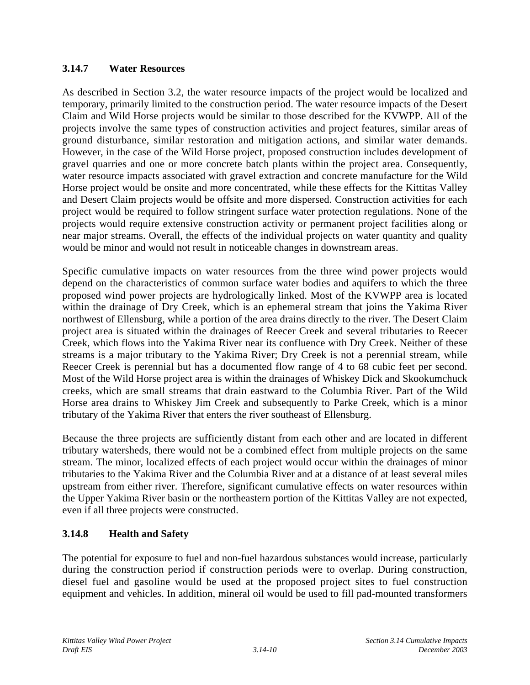## **3.14.7 Water Resources**

As described in Section 3.2, the water resource impacts of the project would be localized and temporary, primarily limited to the construction period. The water resource impacts of the Desert Claim and Wild Horse projects would be similar to those described for the KVWPP. All of the projects involve the same types of construction activities and project features, similar areas of ground disturbance, similar restoration and mitigation actions, and similar water demands. However, in the case of the Wild Horse project, proposed construction includes development of gravel quarries and one or more concrete batch plants within the project area. Consequently, water resource impacts associated with gravel extraction and concrete manufacture for the Wild Horse project would be onsite and more concentrated, while these effects for the Kittitas Valley and Desert Claim projects would be offsite and more dispersed. Construction activities for each project would be required to follow stringent surface water protection regulations. None of the projects would require extensive construction activity or permanent project facilities along or near major streams. Overall, the effects of the individual projects on water quantity and quality would be minor and would not result in noticeable changes in downstream areas.

Specific cumulative impacts on water resources from the three wind power projects would depend on the characteristics of common surface water bodies and aquifers to which the three proposed wind power projects are hydrologically linked. Most of the KVWPP area is located within the drainage of Dry Creek, which is an ephemeral stream that joins the Yakima River northwest of Ellensburg, while a portion of the area drains directly to the river. The Desert Claim project area is situated within the drainages of Reecer Creek and several tributaries to Reecer Creek, which flows into the Yakima River near its confluence with Dry Creek. Neither of these streams is a major tributary to the Yakima River; Dry Creek is not a perennial stream, while Reecer Creek is perennial but has a documented flow range of 4 to 68 cubic feet per second. Most of the Wild Horse project area is within the drainages of Whiskey Dick and Skookumchuck creeks, which are small streams that drain eastward to the Columbia River. Part of the Wild Horse area drains to Whiskey Jim Creek and subsequently to Parke Creek, which is a minor tributary of the Yakima River that enters the river southeast of Ellensburg.

Because the three projects are sufficiently distant from each other and are located in different tributary watersheds, there would not be a combined effect from multiple projects on the same stream. The minor, localized effects of each project would occur within the drainages of minor tributaries to the Yakima River and the Columbia River and at a distance of at least several miles upstream from either river. Therefore, significant cumulative effects on water resources within the Upper Yakima River basin or the northeastern portion of the Kittitas Valley are not expected, even if all three projects were constructed.

# **3.14.8 Health and Safety**

The potential for exposure to fuel and non-fuel hazardous substances would increase, particularly during the construction period if construction periods were to overlap. During construction, diesel fuel and gasoline would be used at the proposed project sites to fuel construction equipment and vehicles. In addition, mineral oil would be used to fill pad-mounted transformers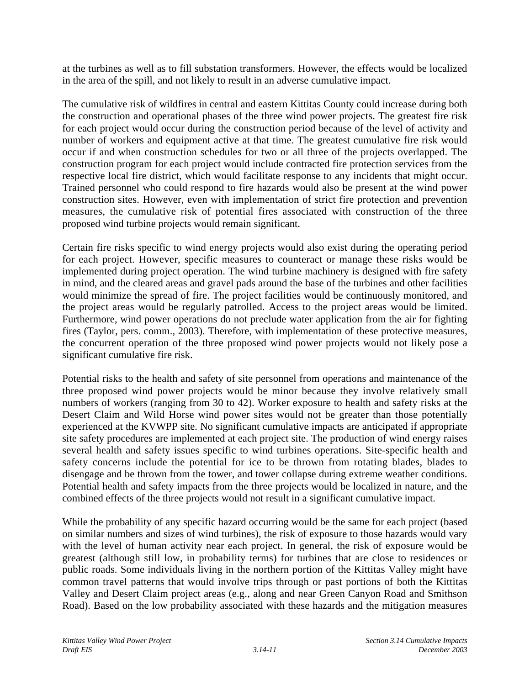at the turbines as well as to fill substation transformers. However, the effects would be localized in the area of the spill, and not likely to result in an adverse cumulative impact.

The cumulative risk of wildfires in central and eastern Kittitas County could increase during both the construction and operational phases of the three wind power projects. The greatest fire risk for each project would occur during the construction period because of the level of activity and number of workers and equipment active at that time. The greatest cumulative fire risk would occur if and when construction schedules for two or all three of the projects overlapped. The construction program for each project would include contracted fire protection services from the respective local fire district, which would facilitate response to any incidents that might occur. Trained personnel who could respond to fire hazards would also be present at the wind power construction sites. However, even with implementation of strict fire protection and prevention measures, the cumulative risk of potential fires associated with construction of the three proposed wind turbine projects would remain significant.

Certain fire risks specific to wind energy projects would also exist during the operating period for each project. However, specific measures to counteract or manage these risks would be implemented during project operation. The wind turbine machinery is designed with fire safety in mind, and the cleared areas and gravel pads around the base of the turbines and other facilities would minimize the spread of fire. The project facilities would be continuously monitored, and the project areas would be regularly patrolled. Access to the project areas would be limited. Furthermore, wind power operations do not preclude water application from the air for fighting fires (Taylor, pers. comm., 2003). Therefore, with implementation of these protective measures, the concurrent operation of the three proposed wind power projects would not likely pose a significant cumulative fire risk.

Potential risks to the health and safety of site personnel from operations and maintenance of the three proposed wind power projects would be minor because they involve relatively small numbers of workers (ranging from 30 to 42). Worker exposure to health and safety risks at the Desert Claim and Wild Horse wind power sites would not be greater than those potentially experienced at the KVWPP site. No significant cumulative impacts are anticipated if appropriate site safety procedures are implemented at each project site. The production of wind energy raises several health and safety issues specific to wind turbines operations. Site-specific health and safety concerns include the potential for ice to be thrown from rotating blades, blades to disengage and be thrown from the tower, and tower collapse during extreme weather conditions. Potential health and safety impacts from the three projects would be localized in nature, and the combined effects of the three projects would not result in a significant cumulative impact.

While the probability of any specific hazard occurring would be the same for each project (based on similar numbers and sizes of wind turbines), the risk of exposure to those hazards would vary with the level of human activity near each project. In general, the risk of exposure would be greatest (although still low, in probability terms) for turbines that are close to residences or public roads. Some individuals living in the northern portion of the Kittitas Valley might have common travel patterns that would involve trips through or past portions of both the Kittitas Valley and Desert Claim project areas (e.g., along and near Green Canyon Road and Smithson Road). Based on the low probability associated with these hazards and the mitigation measures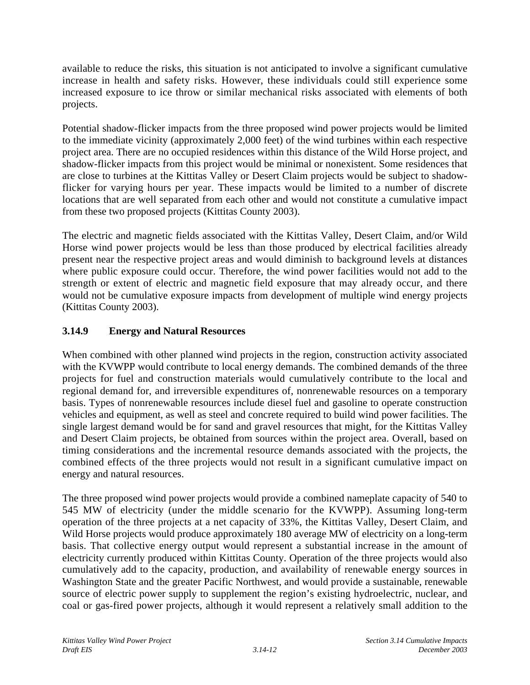available to reduce the risks, this situation is not anticipated to involve a significant cumulative increase in health and safety risks. However, these individuals could still experience some increased exposure to ice throw or similar mechanical risks associated with elements of both projects.

Potential shadow-flicker impacts from the three proposed wind power projects would be limited to the immediate vicinity (approximately 2,000 feet) of the wind turbines within each respective project area. There are no occupied residences within this distance of the Wild Horse project, and shadow-flicker impacts from this project would be minimal or nonexistent. Some residences that are close to turbines at the Kittitas Valley or Desert Claim projects would be subject to shadowflicker for varying hours per year. These impacts would be limited to a number of discrete locations that are well separated from each other and would not constitute a cumulative impact from these two proposed projects (Kittitas County 2003).

The electric and magnetic fields associated with the Kittitas Valley, Desert Claim, and/or Wild Horse wind power projects would be less than those produced by electrical facilities already present near the respective project areas and would diminish to background levels at distances where public exposure could occur. Therefore, the wind power facilities would not add to the strength or extent of electric and magnetic field exposure that may already occur, and there would not be cumulative exposure impacts from development of multiple wind energy projects (Kittitas County 2003).

# **3.14.9 Energy and Natural Resources**

When combined with other planned wind projects in the region, construction activity associated with the KVWPP would contribute to local energy demands. The combined demands of the three projects for fuel and construction materials would cumulatively contribute to the local and regional demand for, and irreversible expenditures of, nonrenewable resources on a temporary basis. Types of nonrenewable resources include diesel fuel and gasoline to operate construction vehicles and equipment, as well as steel and concrete required to build wind power facilities. The single largest demand would be for sand and gravel resources that might, for the Kittitas Valley and Desert Claim projects, be obtained from sources within the project area. Overall, based on timing considerations and the incremental resource demands associated with the projects, the combined effects of the three projects would not result in a significant cumulative impact on energy and natural resources.

The three proposed wind power projects would provide a combined nameplate capacity of 540 to 545 MW of electricity (under the middle scenario for the KVWPP). Assuming long-term operation of the three projects at a net capacity of 33%, the Kittitas Valley, Desert Claim, and Wild Horse projects would produce approximately 180 average MW of electricity on a long-term basis. That collective energy output would represent a substantial increase in the amount of electricity currently produced within Kittitas County. Operation of the three projects would also cumulatively add to the capacity, production, and availability of renewable energy sources in Washington State and the greater Pacific Northwest, and would provide a sustainable, renewable source of electric power supply to supplement the region's existing hydroelectric, nuclear, and coal or gas-fired power projects, although it would represent a relatively small addition to the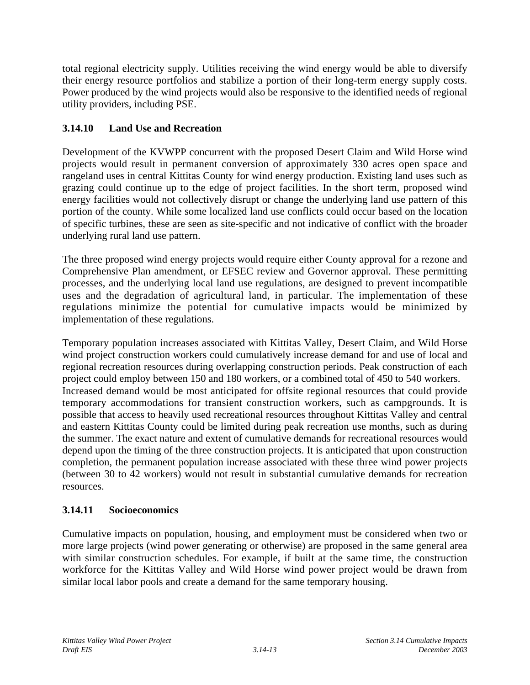total regional electricity supply. Utilities receiving the wind energy would be able to diversify their energy resource portfolios and stabilize a portion of their long-term energy supply costs. Power produced by the wind projects would also be responsive to the identified needs of regional utility providers, including PSE.

# **3.14.10 Land Use and Recreation**

Development of the KVWPP concurrent with the proposed Desert Claim and Wild Horse wind projects would result in permanent conversion of approximately 330 acres open space and rangeland uses in central Kittitas County for wind energy production. Existing land uses such as grazing could continue up to the edge of project facilities. In the short term, proposed wind energy facilities would not collectively disrupt or change the underlying land use pattern of this portion of the county. While some localized land use conflicts could occur based on the location of specific turbines, these are seen as site-specific and not indicative of conflict with the broader underlying rural land use pattern.

The three proposed wind energy projects would require either County approval for a rezone and Comprehensive Plan amendment, or EFSEC review and Governor approval. These permitting processes, and the underlying local land use regulations, are designed to prevent incompatible uses and the degradation of agricultural land, in particular. The implementation of these regulations minimize the potential for cumulative impacts would be minimized by implementation of these regulations.

Temporary population increases associated with Kittitas Valley, Desert Claim, and Wild Horse wind project construction workers could cumulatively increase demand for and use of local and regional recreation resources during overlapping construction periods. Peak construction of each project could employ between 150 and 180 workers, or a combined total of 450 to 540 workers. Increased demand would be most anticipated for offsite regional resources that could provide temporary accommodations for transient construction workers, such as campgrounds. It is possible that access to heavily used recreational resources throughout Kittitas Valley and central and eastern Kittitas County could be limited during peak recreation use months, such as during the summer. The exact nature and extent of cumulative demands for recreational resources would depend upon the timing of the three construction projects. It is anticipated that upon construction completion, the permanent population increase associated with these three wind power projects (between 30 to 42 workers) would not result in substantial cumulative demands for recreation resources.

# **3.14.11 Socioeconomics**

Cumulative impacts on population, housing, and employment must be considered when two or more large projects (wind power generating or otherwise) are proposed in the same general area with similar construction schedules. For example, if built at the same time, the construction workforce for the Kittitas Valley and Wild Horse wind power project would be drawn from similar local labor pools and create a demand for the same temporary housing.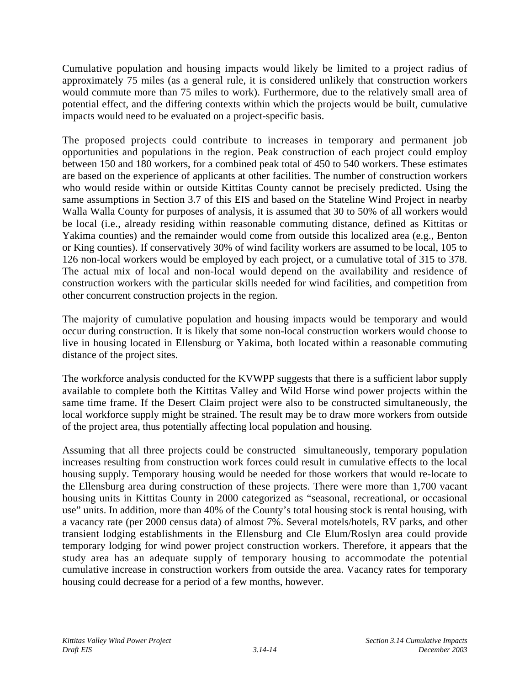Cumulative population and housing impacts would likely be limited to a project radius of approximately 75 miles (as a general rule, it is considered unlikely that construction workers would commute more than 75 miles to work). Furthermore, due to the relatively small area of potential effect, and the differing contexts within which the projects would be built, cumulative impacts would need to be evaluated on a project-specific basis.

The proposed projects could contribute to increases in temporary and permanent job opportunities and populations in the region. Peak construction of each project could employ between 150 and 180 workers, for a combined peak total of 450 to 540 workers. These estimates are based on the experience of applicants at other facilities. The number of construction workers who would reside within or outside Kittitas County cannot be precisely predicted. Using the same assumptions in Section 3.7 of this EIS and based on the Stateline Wind Project in nearby Walla Walla County for purposes of analysis, it is assumed that 30 to 50% of all workers would be local (i.e., already residing within reasonable commuting distance, defined as Kittitas or Yakima counties) and the remainder would come from outside this localized area (e.g., Benton or King counties). If conservatively 30% of wind facility workers are assumed to be local, 105 to 126 non-local workers would be employed by each project, or a cumulative total of 315 to 378. The actual mix of local and non-local would depend on the availability and residence of construction workers with the particular skills needed for wind facilities, and competition from other concurrent construction projects in the region.

The majority of cumulative population and housing impacts would be temporary and would occur during construction. It is likely that some non-local construction workers would choose to live in housing located in Ellensburg or Yakima, both located within a reasonable commuting distance of the project sites.

The workforce analysis conducted for the KVWPP suggests that there is a sufficient labor supply available to complete both the Kittitas Valley and Wild Horse wind power projects within the same time frame. If the Desert Claim project were also to be constructed simultaneously, the local workforce supply might be strained. The result may be to draw more workers from outside of the project area, thus potentially affecting local population and housing.

Assuming that all three projects could be constructed simultaneously, temporary population increases resulting from construction work forces could result in cumulative effects to the local housing supply. Temporary housing would be needed for those workers that would re-locate to the Ellensburg area during construction of these projects. There were more than 1,700 vacant housing units in Kittitas County in 2000 categorized as "seasonal, recreational, or occasional use" units. In addition, more than 40% of the County's total housing stock is rental housing, with a vacancy rate (per 2000 census data) of almost 7%. Several motels/hotels, RV parks, and other transient lodging establishments in the Ellensburg and Cle Elum/Roslyn area could provide temporary lodging for wind power project construction workers. Therefore, it appears that the study area has an adequate supply of temporary housing to accommodate the potential cumulative increase in construction workers from outside the area. Vacancy rates for temporary housing could decrease for a period of a few months, however.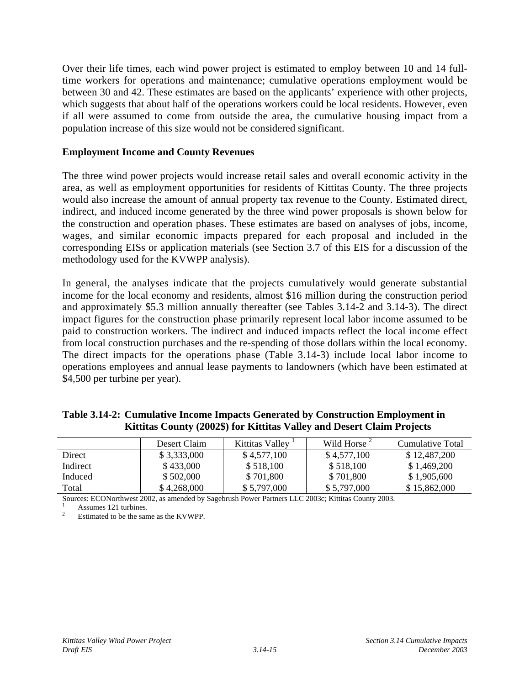Over their life times, each wind power project is estimated to employ between 10 and 14 fulltime workers for operations and maintenance; cumulative operations employment would be between 30 and 42. These estimates are based on the applicants' experience with other projects, which suggests that about half of the operations workers could be local residents. However, even if all were assumed to come from outside the area, the cumulative housing impact from a population increase of this size would not be considered significant.

#### **Employment Income and County Revenues**

The three wind power projects would increase retail sales and overall economic activity in the area, as well as employment opportunities for residents of Kittitas County. The three projects would also increase the amount of annual property tax revenue to the County. Estimated direct, indirect, and induced income generated by the three wind power proposals is shown below for the construction and operation phases. These estimates are based on analyses of jobs, income, wages, and similar economic impacts prepared for each proposal and included in the corresponding EISs or application materials (see Section 3.7 of this EIS for a discussion of the methodology used for the KVWPP analysis).

In general, the analyses indicate that the projects cumulatively would generate substantial income for the local economy and residents, almost \$16 million during the construction period and approximately \$5.3 million annually thereafter (see Tables 3.14-2 and 3.14-3). The direct impact figures for the construction phase primarily represent local labor income assumed to be paid to construction workers. The indirect and induced impacts reflect the local income effect from local construction purchases and the re-spending of those dollars within the local economy. The direct impacts for the operations phase (Table 3.14-3) include local labor income to operations employees and annual lease payments to landowners (which have been estimated at \$4,500 per turbine per year).

|          | Desert Claim | Kittitas Valley <sup>1</sup> | Wild Horse $\frac{2}{3}$ | Cumulative Total |
|----------|--------------|------------------------------|--------------------------|------------------|
| Direct   | \$3,333,000  | \$4,577,100                  | \$4,577,100              | \$12,487,200     |
| Indirect | \$433,000    | \$518,100                    | \$518,100                | \$1,469,200      |
| Induced  | \$502,000    | \$701,800                    | \$701,800                | \$1,905,600      |
| Total    | \$4,268,000  | \$5,797,000                  | \$5,797,000              | \$15,862,000     |

**Table 3.14-2: Cumulative Income Impacts Generated by Construction Employment in Kittitas County (2002\$) for Kittitas Valley and Desert Claim Projects**

Sources: ECONorthwest 2002, as amended by Sagebrush Power Partners LLC 2003c; Kittitas County 2003.

Assumes 121 turbines.<br>Estimated to be the same as the KVWPP.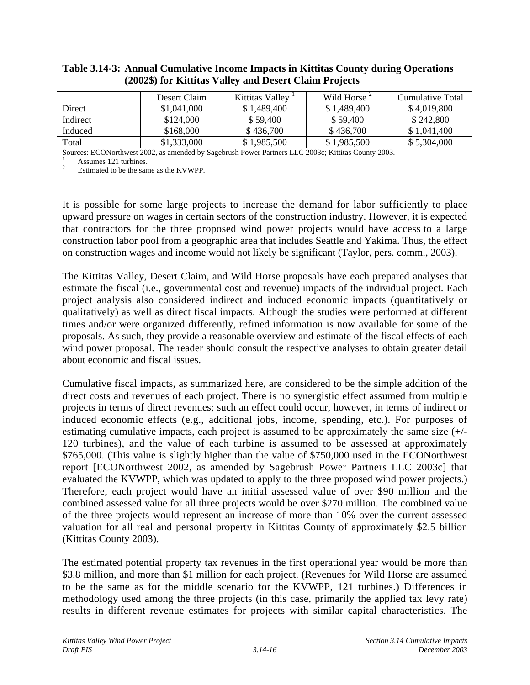|          | Desert Claim | Kittitas Valley <sup>1</sup> | Wild Horse $\frac{2}{3}$ | Cumulative Total |
|----------|--------------|------------------------------|--------------------------|------------------|
| Direct   | \$1,041,000  | \$1,489,400                  | \$1,489,400              | \$4,019,800      |
| Indirect | \$124,000    | \$59,400                     | \$59,400                 | \$242,800        |
| Induced  | \$168,000    | \$436,700                    | \$436,700                | \$1.041.400      |
| Total    | \$1,333,000  | \$1,985,500                  | \$1,985,500              | \$5,304,000      |

#### **Table 3.14-3: Annual Cumulative Income Impacts in Kittitas County during Operations (2002\$) for Kittitas Valley and Desert Claim Projects**

Sources: ECONorthwest 2002, as amended by Sagebrush Power Partners LLC 2003c; Kittitas County 2003.

<sup>1</sup> Assumes 121 turbines.<br><sup>2</sup> Estimated to be the same as the KVWPP.

It is possible for some large projects to increase the demand for labor sufficiently to place upward pressure on wages in certain sectors of the construction industry. However, it is expected that contractors for the three proposed wind power projects would have access to a large construction labor pool from a geographic area that includes Seattle and Yakima. Thus, the effect on construction wages and income would not likely be significant (Taylor, pers. comm., 2003).

The Kittitas Valley, Desert Claim, and Wild Horse proposals have each prepared analyses that estimate the fiscal (i.e., governmental cost and revenue) impacts of the individual project. Each project analysis also considered indirect and induced economic impacts (quantitatively or qualitatively) as well as direct fiscal impacts. Although the studies were performed at different times and/or were organized differently, refined information is now available for some of the proposals. As such, they provide a reasonable overview and estimate of the fiscal effects of each wind power proposal. The reader should consult the respective analyses to obtain greater detail about economic and fiscal issues.

Cumulative fiscal impacts, as summarized here, are considered to be the simple addition of the direct costs and revenues of each project. There is no synergistic effect assumed from multiple projects in terms of direct revenues; such an effect could occur, however, in terms of indirect or induced economic effects (e.g., additional jobs, income, spending, etc.). For purposes of estimating cumulative impacts, each project is assumed to be approximately the same size (+/- 120 turbines), and the value of each turbine is assumed to be assessed at approximately \$765,000. (This value is slightly higher than the value of \$750,000 used in the ECONorthwest report [ECONorthwest 2002, as amended by Sagebrush Power Partners LLC 2003c] that evaluated the KVWPP, which was updated to apply to the three proposed wind power projects.) Therefore, each project would have an initial assessed value of over \$90 million and the combined assessed value for all three projects would be over \$270 million. The combined value of the three projects would represent an increase of more than 10% over the current assessed valuation for all real and personal property in Kittitas County of approximately \$2.5 billion (Kittitas County 2003).

The estimated potential property tax revenues in the first operational year would be more than \$3.8 million, and more than \$1 million for each project. (Revenues for Wild Horse are assumed to be the same as for the middle scenario for the KVWPP, 121 turbines.) Differences in methodology used among the three projects (in this case, primarily the applied tax levy rate) results in different revenue estimates for projects with similar capital characteristics. The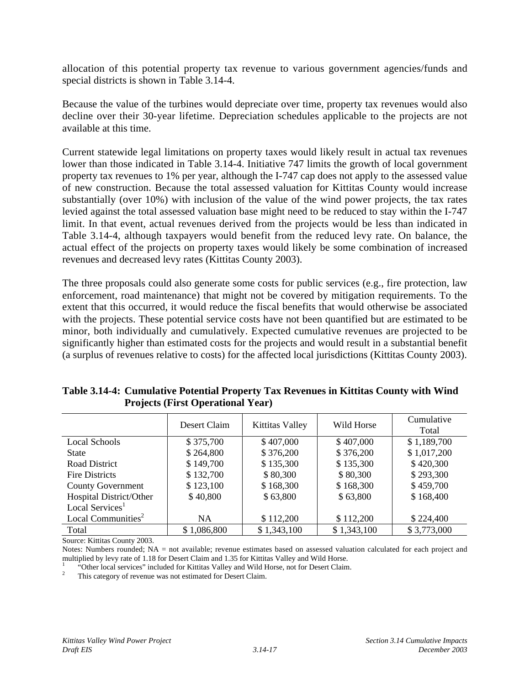allocation of this potential property tax revenue to various government agencies/funds and special districts is shown in Table 3.14-4.

Because the value of the turbines would depreciate over time, property tax revenues would also decline over their 30-year lifetime. Depreciation schedules applicable to the projects are not available at this time.

Current statewide legal limitations on property taxes would likely result in actual tax revenues lower than those indicated in Table 3.14-4. Initiative 747 limits the growth of local government property tax revenues to 1% per year, although the I-747 cap does not apply to the assessed value of new construction. Because the total assessed valuation for Kittitas County would increase substantially (over 10%) with inclusion of the value of the wind power projects, the tax rates levied against the total assessed valuation base might need to be reduced to stay within the I-747 limit. In that event, actual revenues derived from the projects would be less than indicated in Table 3.14-4, although taxpayers would benefit from the reduced levy rate. On balance, the actual effect of the projects on property taxes would likely be some combination of increased revenues and decreased levy rates (Kittitas County 2003).

The three proposals could also generate some costs for public services (e.g., fire protection, law enforcement, road maintenance) that might not be covered by mitigation requirements. To the extent that this occurred, it would reduce the fiscal benefits that would otherwise be associated with the projects. These potential service costs have not been quantified but are estimated to be minor, both individually and cumulatively. Expected cumulative revenues are projected to be significantly higher than estimated costs for the projects and would result in a substantial benefit (a surplus of revenues relative to costs) for the affected local jurisdictions (Kittitas County 2003).

|                                | Desert Claim | Kittitas Valley | Wild Horse  | Cumulative<br>Total |
|--------------------------------|--------------|-----------------|-------------|---------------------|
| Local Schools                  | \$375,700    | \$407,000       | \$407,000   | \$1,189,700         |
| <b>State</b>                   | \$264,800    | \$376,200       | \$376,200   | \$1,017,200         |
| Road District                  | \$149,700    | \$135,300       | \$135,300   | \$420,300           |
| <b>Fire Districts</b>          | \$132,700    | \$80,300        | \$80,300    | \$293,300           |
| <b>County Government</b>       | \$123,100    | \$168,300       | \$168,300   | \$459,700           |
| Hospital District/Other        | \$40,800     | \$63,800        | \$63,800    | \$168,400           |
| Local Services <sup>1</sup>    |              |                 |             |                     |
| Local Communities <sup>2</sup> | NA.          | \$112,200       | \$112,200   | \$224,400           |
| Total                          | \$1,086,800  | \$1,343,100     | \$1,343,100 | \$3,773,000         |

**Table 3.14-4: Cumulative Potential Property Tax Revenues in Kittitas County with Wind Projects (First Operational Year)**

Source: Kittitas County 2003.

Notes: Numbers rounded; NA = not available; revenue estimates based on assessed valuation calculated for each project and multiplied by levy rate of 1.18 for Desert Claim and 1.35 for Kittitas Valley and Wild Horse.

<sup>1</sup> "Other local services" included for Kittitas Valley and Wild Horse, not for Desert Claim.<br><sup>2</sup> This category of revenue was not estimated for Desert Claim.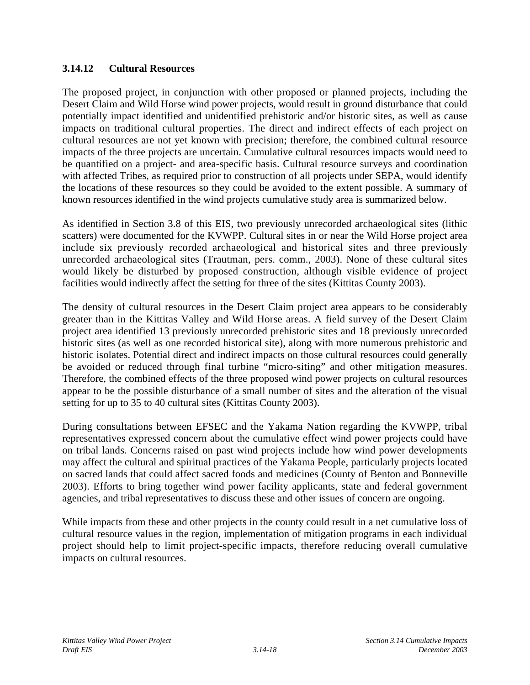## **3.14.12 Cultural Resources**

The proposed project, in conjunction with other proposed or planned projects, including the Desert Claim and Wild Horse wind power projects, would result in ground disturbance that could potentially impact identified and unidentified prehistoric and/or historic sites, as well as cause impacts on traditional cultural properties. The direct and indirect effects of each project on cultural resources are not yet known with precision; therefore, the combined cultural resource impacts of the three projects are uncertain. Cumulative cultural resources impacts would need to be quantified on a project- and area-specific basis. Cultural resource surveys and coordination with affected Tribes, as required prior to construction of all projects under SEPA, would identify the locations of these resources so they could be avoided to the extent possible. A summary of known resources identified in the wind projects cumulative study area is summarized below.

As identified in Section 3.8 of this EIS, two previously unrecorded archaeological sites (lithic scatters) were documented for the KVWPP. Cultural sites in or near the Wild Horse project area include six previously recorded archaeological and historical sites and three previously unrecorded archaeological sites (Trautman, pers. comm., 2003). None of these cultural sites would likely be disturbed by proposed construction, although visible evidence of project facilities would indirectly affect the setting for three of the sites (Kittitas County 2003).

The density of cultural resources in the Desert Claim project area appears to be considerably greater than in the Kittitas Valley and Wild Horse areas. A field survey of the Desert Claim project area identified 13 previously unrecorded prehistoric sites and 18 previously unrecorded historic sites (as well as one recorded historical site), along with more numerous prehistoric and historic isolates. Potential direct and indirect impacts on those cultural resources could generally be avoided or reduced through final turbine "micro-siting" and other mitigation measures. Therefore, the combined effects of the three proposed wind power projects on cultural resources appear to be the possible disturbance of a small number of sites and the alteration of the visual setting for up to 35 to 40 cultural sites (Kittitas County 2003).

During consultations between EFSEC and the Yakama Nation regarding the KVWPP, tribal representatives expressed concern about the cumulative effect wind power projects could have on tribal lands. Concerns raised on past wind projects include how wind power developments may affect the cultural and spiritual practices of the Yakama People, particularly projects located on sacred lands that could affect sacred foods and medicines (County of Benton and Bonneville 2003). Efforts to bring together wind power facility applicants, state and federal government agencies, and tribal representatives to discuss these and other issues of concern are ongoing.

While impacts from these and other projects in the county could result in a net cumulative loss of cultural resource values in the region, implementation of mitigation programs in each individual project should help to limit project-specific impacts, therefore reducing overall cumulative impacts on cultural resources.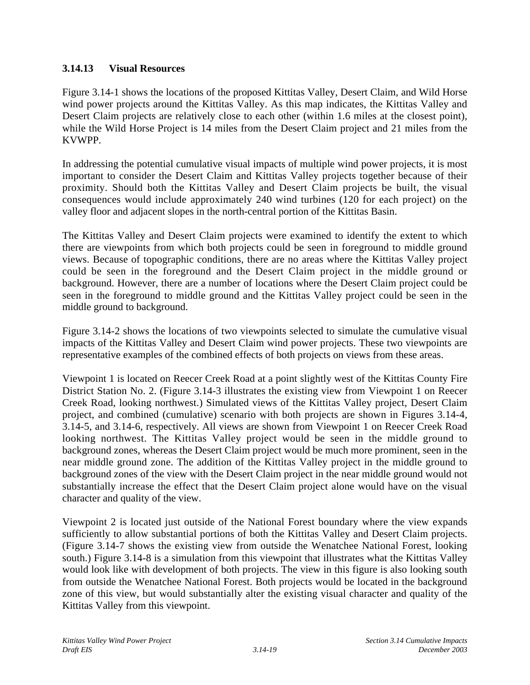## **3.14.13 Visual Resources**

Figure 3.14-1 shows the locations of the proposed Kittitas Valley, Desert Claim, and Wild Horse wind power projects around the Kittitas Valley. As this map indicates, the Kittitas Valley and Desert Claim projects are relatively close to each other (within 1.6 miles at the closest point), while the Wild Horse Project is 14 miles from the Desert Claim project and 21 miles from the KVWPP.

In addressing the potential cumulative visual impacts of multiple wind power projects, it is most important to consider the Desert Claim and Kittitas Valley projects together because of their proximity. Should both the Kittitas Valley and Desert Claim projects be built, the visual consequences would include approximately 240 wind turbines (120 for each project) on the valley floor and adjacent slopes in the north-central portion of the Kittitas Basin.

The Kittitas Valley and Desert Claim projects were examined to identify the extent to which there are viewpoints from which both projects could be seen in foreground to middle ground views. Because of topographic conditions, there are no areas where the Kittitas Valley project could be seen in the foreground and the Desert Claim project in the middle ground or background. However, there are a number of locations where the Desert Claim project could be seen in the foreground to middle ground and the Kittitas Valley project could be seen in the middle ground to background.

Figure 3.14-2 shows the locations of two viewpoints selected to simulate the cumulative visual impacts of the Kittitas Valley and Desert Claim wind power projects. These two viewpoints are representative examples of the combined effects of both projects on views from these areas.

Viewpoint 1 is located on Reecer Creek Road at a point slightly west of the Kittitas County Fire District Station No. 2. (Figure 3.14-3 illustrates the existing view from Viewpoint 1 on Reecer Creek Road, looking northwest.) Simulated views of the Kittitas Valley project, Desert Claim project, and combined (cumulative) scenario with both projects are shown in Figures 3.14-4, 3.14-5, and 3.14-6, respectively. All views are shown from Viewpoint 1 on Reecer Creek Road looking northwest. The Kittitas Valley project would be seen in the middle ground to background zones, whereas the Desert Claim project would be much more prominent, seen in the near middle ground zone. The addition of the Kittitas Valley project in the middle ground to background zones of the view with the Desert Claim project in the near middle ground would not substantially increase the effect that the Desert Claim project alone would have on the visual character and quality of the view.

Viewpoint 2 is located just outside of the National Forest boundary where the view expands sufficiently to allow substantial portions of both the Kittitas Valley and Desert Claim projects. (Figure 3.14-7 shows the existing view from outside the Wenatchee National Forest, looking south.) Figure 3.14-8 is a simulation from this viewpoint that illustrates what the Kittitas Valley would look like with development of both projects. The view in this figure is also looking south from outside the Wenatchee National Forest. Both projects would be located in the background zone of this view, but would substantially alter the existing visual character and quality of the Kittitas Valley from this viewpoint.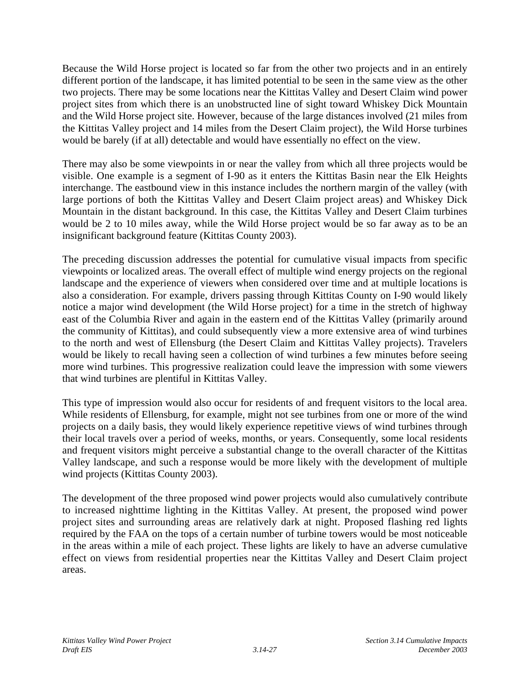Because the Wild Horse project is located so far from the other two projects and in an entirely different portion of the landscape, it has limited potential to be seen in the same view as the other two projects. There may be some locations near the Kittitas Valley and Desert Claim wind power project sites from which there is an unobstructed line of sight toward Whiskey Dick Mountain and the Wild Horse project site. However, because of the large distances involved (21 miles from the Kittitas Valley project and 14 miles from the Desert Claim project), the Wild Horse turbines would be barely (if at all) detectable and would have essentially no effect on the view.

There may also be some viewpoints in or near the valley from which all three projects would be visible. One example is a segment of I-90 as it enters the Kittitas Basin near the Elk Heights interchange. The eastbound view in this instance includes the northern margin of the valley (with large portions of both the Kittitas Valley and Desert Claim project areas) and Whiskey Dick Mountain in the distant background. In this case, the Kittitas Valley and Desert Claim turbines would be 2 to 10 miles away, while the Wild Horse project would be so far away as to be an insignificant background feature (Kittitas County 2003).

The preceding discussion addresses the potential for cumulative visual impacts from specific viewpoints or localized areas. The overall effect of multiple wind energy projects on the regional landscape and the experience of viewers when considered over time and at multiple locations is also a consideration. For example, drivers passing through Kittitas County on I-90 would likely notice a major wind development (the Wild Horse project) for a time in the stretch of highway east of the Columbia River and again in the eastern end of the Kittitas Valley (primarily around the community of Kittitas), and could subsequently view a more extensive area of wind turbines to the north and west of Ellensburg (the Desert Claim and Kittitas Valley projects). Travelers would be likely to recall having seen a collection of wind turbines a few minutes before seeing more wind turbines. This progressive realization could leave the impression with some viewers that wind turbines are plentiful in Kittitas Valley.

This type of impression would also occur for residents of and frequent visitors to the local area. While residents of Ellensburg, for example, might not see turbines from one or more of the wind projects on a daily basis, they would likely experience repetitive views of wind turbines through their local travels over a period of weeks, months, or years. Consequently, some local residents and frequent visitors might perceive a substantial change to the overall character of the Kittitas Valley landscape, and such a response would be more likely with the development of multiple wind projects (Kittitas County 2003).

The development of the three proposed wind power projects would also cumulatively contribute to increased nighttime lighting in the Kittitas Valley. At present, the proposed wind power project sites and surrounding areas are relatively dark at night. Proposed flashing red lights required by the FAA on the tops of a certain number of turbine towers would be most noticeable in the areas within a mile of each project. These lights are likely to have an adverse cumulative effect on views from residential properties near the Kittitas Valley and Desert Claim project areas.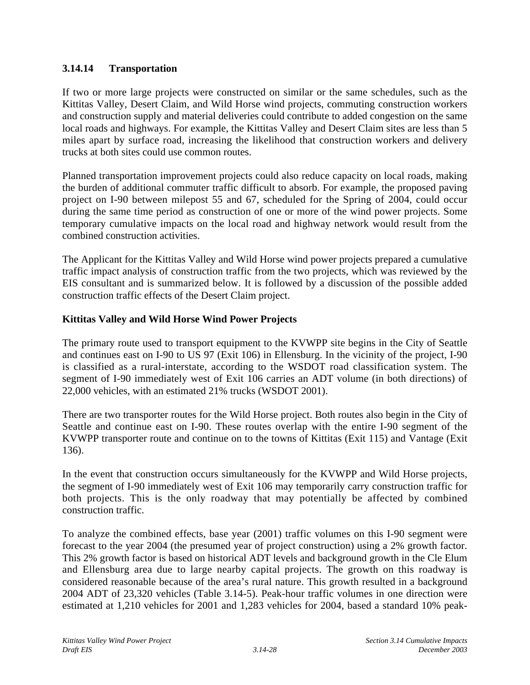## **3.14.14 Transportation**

If two or more large projects were constructed on similar or the same schedules, such as the Kittitas Valley, Desert Claim, and Wild Horse wind projects, commuting construction workers and construction supply and material deliveries could contribute to added congestion on the same local roads and highways. For example, the Kittitas Valley and Desert Claim sites are less than 5 miles apart by surface road, increasing the likelihood that construction workers and delivery trucks at both sites could use common routes.

Planned transportation improvement projects could also reduce capacity on local roads, making the burden of additional commuter traffic difficult to absorb. For example, the proposed paving project on I-90 between milepost 55 and 67, scheduled for the Spring of 2004, could occur during the same time period as construction of one or more of the wind power projects. Some temporary cumulative impacts on the local road and highway network would result from the combined construction activities.

The Applicant for the Kittitas Valley and Wild Horse wind power projects prepared a cumulative traffic impact analysis of construction traffic from the two projects, which was reviewed by the EIS consultant and is summarized below. It is followed by a discussion of the possible added construction traffic effects of the Desert Claim project.

### **Kittitas Valley and Wild Horse Wind Power Projects**

The primary route used to transport equipment to the KVWPP site begins in the City of Seattle and continues east on I-90 to US 97 (Exit 106) in Ellensburg. In the vicinity of the project, I-90 is classified as a rural-interstate, according to the WSDOT road classification system. The segment of I-90 immediately west of Exit 106 carries an ADT volume (in both directions) of 22,000 vehicles, with an estimated 21% trucks (WSDOT 2001).

There are two transporter routes for the Wild Horse project. Both routes also begin in the City of Seattle and continue east on I-90. These routes overlap with the entire I-90 segment of the KVWPP transporter route and continue on to the towns of Kittitas (Exit 115) and Vantage (Exit 136).

In the event that construction occurs simultaneously for the KVWPP and Wild Horse projects, the segment of I-90 immediately west of Exit 106 may temporarily carry construction traffic for both projects. This is the only roadway that may potentially be affected by combined construction traffic.

To analyze the combined effects, base year (2001) traffic volumes on this I-90 segment were forecast to the year 2004 (the presumed year of project construction) using a 2% growth factor. This 2% growth factor is based on historical ADT levels and background growth in the Cle Elum and Ellensburg area due to large nearby capital projects. The growth on this roadway is considered reasonable because of the area's rural nature. This growth resulted in a background 2004 ADT of 23,320 vehicles (Table 3.14-5). Peak-hour traffic volumes in one direction were estimated at 1,210 vehicles for 2001 and 1,283 vehicles for 2004, based a standard 10% peak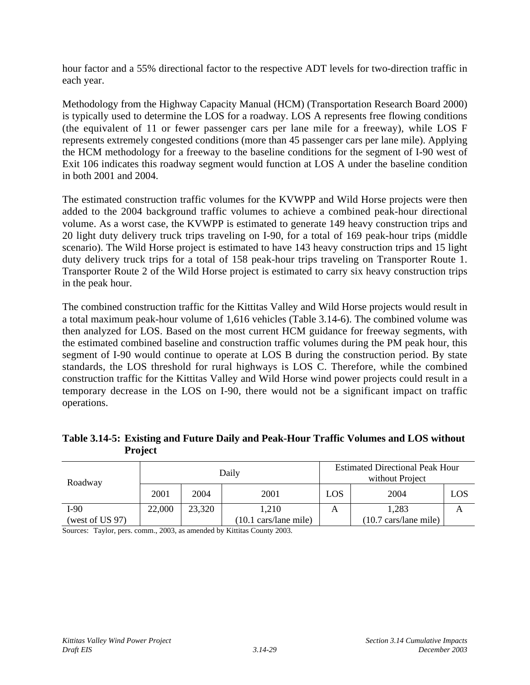hour factor and a 55% directional factor to the respective ADT levels for two-direction traffic in each year.

Methodology from the Highway Capacity Manual (HCM) (Transportation Research Board 2000) is typically used to determine the LOS for a roadway. LOS A represents free flowing conditions (the equivalent of 11 or fewer passenger cars per lane mile for a freeway), while LOS F represents extremely congested conditions (more than 45 passenger cars per lane mile). Applying the HCM methodology for a freeway to the baseline conditions for the segment of I-90 west of Exit 106 indicates this roadway segment would function at LOS A under the baseline condition in both 2001 and 2004.

The estimated construction traffic volumes for the KVWPP and Wild Horse projects were then added to the 2004 background traffic volumes to achieve a combined peak-hour directional volume. As a worst case, the KVWPP is estimated to generate 149 heavy construction trips and 20 light duty delivery truck trips traveling on I-90, for a total of 169 peak-hour trips (middle scenario). The Wild Horse project is estimated to have 143 heavy construction trips and 15 light duty delivery truck trips for a total of 158 peak-hour trips traveling on Transporter Route 1. Transporter Route 2 of the Wild Horse project is estimated to carry six heavy construction trips in the peak hour.

The combined construction traffic for the Kittitas Valley and Wild Horse projects would result in a total maximum peak-hour volume of 1,616 vehicles (Table 3.14-6). The combined volume was then analyzed for LOS. Based on the most current HCM guidance for freeway segments, with the estimated combined baseline and construction traffic volumes during the PM peak hour, this segment of I-90 would continue to operate at LOS B during the construction period. By state standards, the LOS threshold for rural highways is LOS C. Therefore, while the combined construction traffic for the Kittitas Valley and Wild Horse wind power projects could result in a temporary decrease in the LOS on I-90, there would not be a significant impact on traffic operations.

| Table 3.14-5: Existing and Future Daily and Peak-Hour Traffic Volumes and LOS without |
|---------------------------------------------------------------------------------------|
| <b>Project</b>                                                                        |

| Roadway            | Daily  |        |                                        | <b>Estimated Directional Peak Hour</b><br>without Project |                                        |     |
|--------------------|--------|--------|----------------------------------------|-----------------------------------------------------------|----------------------------------------|-----|
|                    | 2001   | 2004   | 2001                                   | LOS                                                       | 2004                                   | LOS |
| I-90               | 22,000 | 23,320 | 1.210                                  | A                                                         | 1,283                                  | A   |
| (west of US $97$ ) |        |        | $(10.1 \text{ cars}/\text{lane mile})$ |                                                           | $(10.7 \text{ cars}/\text{lane mile})$ |     |

Sources: Taylor, pers. comm., 2003, as amended by Kittitas County 2003.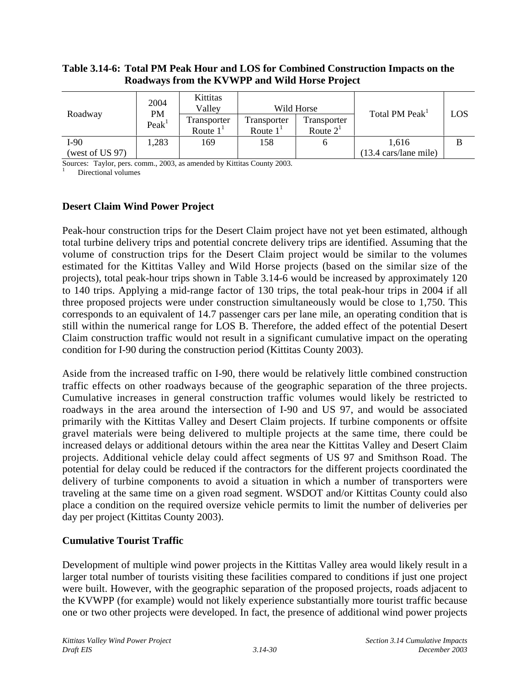#### **Table 3.14-6: Total PM Peak Hour and LOS for Combined Construction Impacts on the Roadways from the KVWPP and Wild Horse Project**

|                 | 2004<br>PM<br>Peak <sup>1</sup> | Kittitas<br>Vallev        | Wild Horse                       |                            |                                        |     |
|-----------------|---------------------------------|---------------------------|----------------------------------|----------------------------|----------------------------------------|-----|
| Roadway         |                                 | Transporter<br>Route $1T$ | Transporter<br>Route $1^{\circ}$ | Transporter<br>Route $2^1$ | Total PM Peak <sup>1</sup>             | LOS |
| I-90            | .283                            | 169                       | 158                              |                            | 1.616                                  |     |
| (west of US 97) |                                 |                           |                                  |                            | $(13.4 \text{ cars}/\text{lane mile})$ |     |

Sources: Taylor, pers. comm., 2003, as amended by Kittitas County 2003.

Directional volumes

### **Desert Claim Wind Power Project**

Peak-hour construction trips for the Desert Claim project have not yet been estimated, although total turbine delivery trips and potential concrete delivery trips are identified. Assuming that the volume of construction trips for the Desert Claim project would be similar to the volumes estimated for the Kittitas Valley and Wild Horse projects (based on the similar size of the projects), total peak-hour trips shown in Table 3.14-6 would be increased by approximately 120 to 140 trips. Applying a mid-range factor of 130 trips, the total peak-hour trips in 2004 if all three proposed projects were under construction simultaneously would be close to 1,750. This corresponds to an equivalent of 14.7 passenger cars per lane mile, an operating condition that is still within the numerical range for LOS B. Therefore, the added effect of the potential Desert Claim construction traffic would not result in a significant cumulative impact on the operating condition for I-90 during the construction period (Kittitas County 2003).

Aside from the increased traffic on I-90, there would be relatively little combined construction traffic effects on other roadways because of the geographic separation of the three projects. Cumulative increases in general construction traffic volumes would likely be restricted to roadways in the area around the intersection of I-90 and US 97, and would be associated primarily with the Kittitas Valley and Desert Claim projects. If turbine components or offsite gravel materials were being delivered to multiple projects at the same time, there could be increased delays or additional detours within the area near the Kittitas Valley and Desert Claim projects. Additional vehicle delay could affect segments of US 97 and Smithson Road. The potential for delay could be reduced if the contractors for the different projects coordinated the delivery of turbine components to avoid a situation in which a number of transporters were traveling at the same time on a given road segment. WSDOT and/or Kittitas County could also place a condition on the required oversize vehicle permits to limit the number of deliveries per day per project (Kittitas County 2003).

## **Cumulative Tourist Traffic**

Development of multiple wind power projects in the Kittitas Valley area would likely result in a larger total number of tourists visiting these facilities compared to conditions if just one project were built. However, with the geographic separation of the proposed projects, roads adjacent to the KVWPP (for example) would not likely experience substantially more tourist traffic because one or two other projects were developed. In fact, the presence of additional wind power projects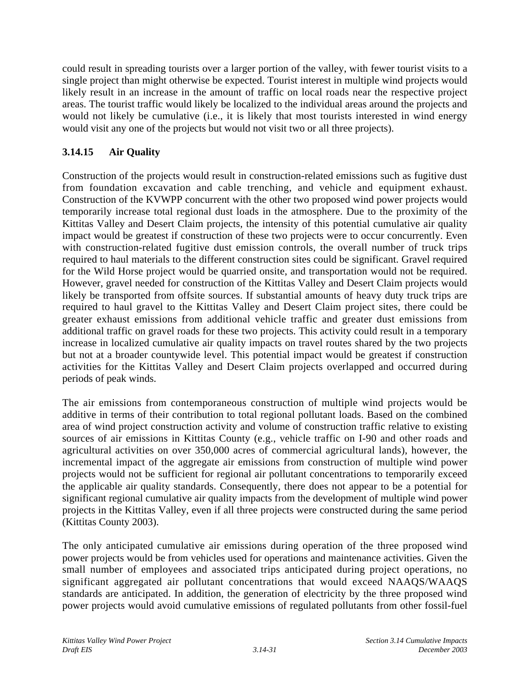could result in spreading tourists over a larger portion of the valley, with fewer tourist visits to a single project than might otherwise be expected. Tourist interest in multiple wind projects would likely result in an increase in the amount of traffic on local roads near the respective project areas. The tourist traffic would likely be localized to the individual areas around the projects and would not likely be cumulative (i.e., it is likely that most tourists interested in wind energy would visit any one of the projects but would not visit two or all three projects).

# **3.14.15 Air Quality**

Construction of the projects would result in construction-related emissions such as fugitive dust from foundation excavation and cable trenching, and vehicle and equipment exhaust. Construction of the KVWPP concurrent with the other two proposed wind power projects would temporarily increase total regional dust loads in the atmosphere. Due to the proximity of the Kittitas Valley and Desert Claim projects, the intensity of this potential cumulative air quality impact would be greatest if construction of these two projects were to occur concurrently. Even with construction-related fugitive dust emission controls, the overall number of truck trips required to haul materials to the different construction sites could be significant. Gravel required for the Wild Horse project would be quarried onsite, and transportation would not be required. However, gravel needed for construction of the Kittitas Valley and Desert Claim projects would likely be transported from offsite sources. If substantial amounts of heavy duty truck trips are required to haul gravel to the Kittitas Valley and Desert Claim project sites, there could be greater exhaust emissions from additional vehicle traffic and greater dust emissions from additional traffic on gravel roads for these two projects. This activity could result in a temporary increase in localized cumulative air quality impacts on travel routes shared by the two projects but not at a broader countywide level. This potential impact would be greatest if construction activities for the Kittitas Valley and Desert Claim projects overlapped and occurred during periods of peak winds.

The air emissions from contemporaneous construction of multiple wind projects would be additive in terms of their contribution to total regional pollutant loads. Based on the combined area of wind project construction activity and volume of construction traffic relative to existing sources of air emissions in Kittitas County (e.g., vehicle traffic on I-90 and other roads and agricultural activities on over 350,000 acres of commercial agricultural lands), however, the incremental impact of the aggregate air emissions from construction of multiple wind power projects would not be sufficient for regional air pollutant concentrations to temporarily exceed the applicable air quality standards. Consequently, there does not appear to be a potential for significant regional cumulative air quality impacts from the development of multiple wind power projects in the Kittitas Valley, even if all three projects were constructed during the same period (Kittitas County 2003).

The only anticipated cumulative air emissions during operation of the three proposed wind power projects would be from vehicles used for operations and maintenance activities. Given the small number of employees and associated trips anticipated during project operations, no significant aggregated air pollutant concentrations that would exceed NAAQS/WAAQS standards are anticipated. In addition, the generation of electricity by the three proposed wind power projects would avoid cumulative emissions of regulated pollutants from other fossil-fuel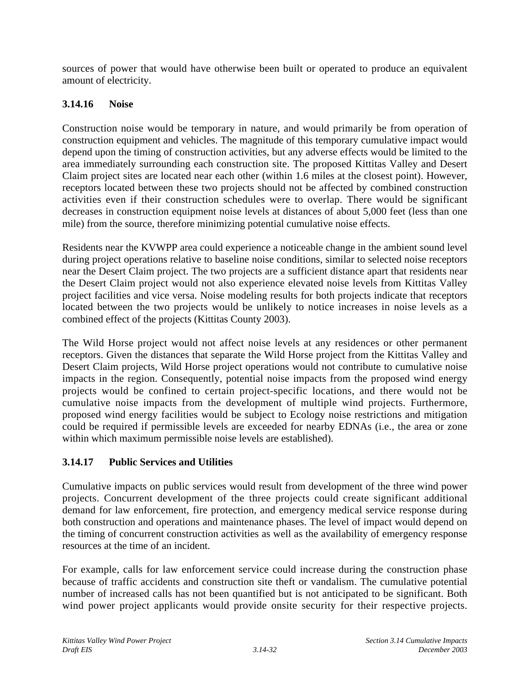sources of power that would have otherwise been built or operated to produce an equivalent amount of electricity.

## **3.14.16 Noise**

Construction noise would be temporary in nature, and would primarily be from operation of construction equipment and vehicles. The magnitude of this temporary cumulative impact would depend upon the timing of construction activities, but any adverse effects would be limited to the area immediately surrounding each construction site. The proposed Kittitas Valley and Desert Claim project sites are located near each other (within 1.6 miles at the closest point). However, receptors located between these two projects should not be affected by combined construction activities even if their construction schedules were to overlap. There would be significant decreases in construction equipment noise levels at distances of about 5,000 feet (less than one mile) from the source, therefore minimizing potential cumulative noise effects.

Residents near the KVWPP area could experience a noticeable change in the ambient sound level during project operations relative to baseline noise conditions, similar to selected noise receptors near the Desert Claim project. The two projects are a sufficient distance apart that residents near the Desert Claim project would not also experience elevated noise levels from Kittitas Valley project facilities and vice versa. Noise modeling results for both projects indicate that receptors located between the two projects would be unlikely to notice increases in noise levels as a combined effect of the projects (Kittitas County 2003).

The Wild Horse project would not affect noise levels at any residences or other permanent receptors. Given the distances that separate the Wild Horse project from the Kittitas Valley and Desert Claim projects, Wild Horse project operations would not contribute to cumulative noise impacts in the region. Consequently, potential noise impacts from the proposed wind energy projects would be confined to certain project-specific locations, and there would not be cumulative noise impacts from the development of multiple wind projects. Furthermore, proposed wind energy facilities would be subject to Ecology noise restrictions and mitigation could be required if permissible levels are exceeded for nearby EDNAs (i.e., the area or zone within which maximum permissible noise levels are established).

## **3.14.17 Public Services and Utilities**

Cumulative impacts on public services would result from development of the three wind power projects. Concurrent development of the three projects could create significant additional demand for law enforcement, fire protection, and emergency medical service response during both construction and operations and maintenance phases. The level of impact would depend on the timing of concurrent construction activities as well as the availability of emergency response resources at the time of an incident.

For example, calls for law enforcement service could increase during the construction phase because of traffic accidents and construction site theft or vandalism. The cumulative potential number of increased calls has not been quantified but is not anticipated to be significant. Both wind power project applicants would provide onsite security for their respective projects.